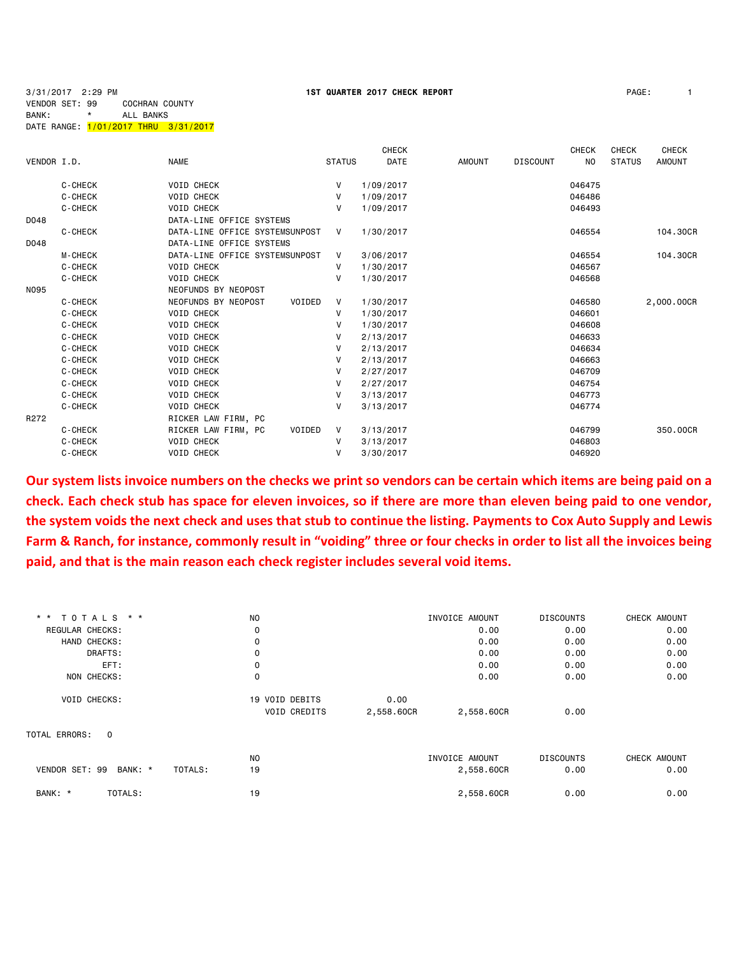3/31/2017 2:29 PM **1ST QUARTER 2017 CHECK REPORT** PAGE: 1 VENDOR SET: 99 COCHRAN COUNTY BANK: \* ALL BANKS DATE RANGE: 1/01/2017 THRU 3/31/2017

|  | PAGE: |  |
|--|-------|--|
|--|-------|--|

|             |                |                                |               | <b>CHECK</b> |               |                 | <b>CHECK</b> | <b>CHECK</b>  | <b>CHECK</b>  |
|-------------|----------------|--------------------------------|---------------|--------------|---------------|-----------------|--------------|---------------|---------------|
| VENDOR I.D. |                | <b>NAME</b>                    | <b>STATUS</b> | DATE         | <b>AMOUNT</b> | <b>DISCOUNT</b> | NO.          | <b>STATUS</b> | <b>AMOUNT</b> |
|             | C-CHECK        | <b>VOID CHECK</b>              | V             | 1/09/2017    |               |                 | 046475       |               |               |
|             | C-CHECK        | <b>VOID CHECK</b>              | v             | 1/09/2017    |               |                 | 046486       |               |               |
|             | C-CHECK        | <b>VOID CHECK</b>              | v             | 1/09/2017    |               |                 | 046493       |               |               |
| D048        |                | DATA-LINE OFFICE SYSTEMS       |               |              |               |                 |              |               |               |
|             | C-CHECK        | DATA-LINE OFFICE SYSTEMSUNPOST | V             | 1/30/2017    |               |                 | 046554       |               | 104.30CR      |
| D048        |                | DATA-LINE OFFICE SYSTEMS       |               |              |               |                 |              |               |               |
|             | <b>M-CHECK</b> | DATA-LINE OFFICE SYSTEMSUNPOST | V             | 3/06/2017    |               |                 | 046554       |               | 104,30CR      |
|             | C-CHECK        | <b>VOID CHECK</b>              | v             | 1/30/2017    |               |                 | 046567       |               |               |
|             | C-CHECK        | <b>VOID CHECK</b>              | v             | 1/30/2017    |               |                 | 046568       |               |               |
| <b>NO95</b> |                | NEOFUNDS BY NEOPOST            |               |              |               |                 |              |               |               |
|             | C-CHECK        | NEOFUNDS BY NEOPOST<br>VOIDED  | V             | 1/30/2017    |               |                 | 046580       |               | 2,000.00CR    |
|             | C-CHECK        | <b>VOID CHECK</b>              | V             | 1/30/2017    |               |                 | 046601       |               |               |
|             | C-CHECK        | <b>VOID CHECK</b>              | v             | 1/30/2017    |               |                 | 046608       |               |               |
|             | C-CHECK        | <b>VOID CHECK</b>              | V             | 2/13/2017    |               |                 | 046633       |               |               |
|             | C-CHECK        | <b>VOID CHECK</b>              | v             | 2/13/2017    |               |                 | 046634       |               |               |
|             | C-CHECK        | <b>VOID CHECK</b>              | v             | 2/13/2017    |               |                 | 046663       |               |               |
|             | C-CHECK        | <b>VOID CHECK</b>              | v             | 2/27/2017    |               |                 | 046709       |               |               |
|             | C-CHECK        | <b>VOID CHECK</b>              | v             | 2/27/2017    |               |                 | 046754       |               |               |
|             | C-CHECK        | <b>VOID CHECK</b>              | V             | 3/13/2017    |               |                 | 046773       |               |               |
|             | C-CHECK        | <b>VOID CHECK</b>              | v             | 3/13/2017    |               |                 | 046774       |               |               |
| R272        |                | RICKER LAW FIRM, PC            |               |              |               |                 |              |               |               |
|             | C-CHECK        | RICKER LAW FIRM, PC<br>VOIDED  | V             | 3/13/2017    |               |                 | 046799       |               | 350,00CR      |
|             | C-CHECK        | <b>VOID CHECK</b>              | V             | 3/13/2017    |               |                 | 046803       |               |               |
|             | C-CHECK        | <b>VOID CHECK</b>              | v             | 3/30/2017    |               |                 | 046920       |               |               |

**Our system lists invoice numbers on the checks we print so vendors can be certain which items are being paid on a check. Each check stub has space for eleven invoices, so if there are more than eleven being paid to one vendor, the system voids the next check and uses that stub to continue the listing. Payments to Cox Auto Supply and Lewis Farm & Ranch, for instance, commonly result in "voiding" three or four checks in order to list all the invoices being paid, and that is the main reason each check register includes several void items.**

| * * TOTALS * *                       | N <sub>O</sub>      |            | INVOICE AMOUNT | <b>DISCOUNTS</b> | CHECK AMOUNT |
|--------------------------------------|---------------------|------------|----------------|------------------|--------------|
| REGULAR CHECKS:                      | 0                   |            | 0.00           | 0.00             | 0.00         |
| HAND CHECKS:                         | 0                   |            | 0.00           | 0.00             | 0.00         |
| DRAFTS:                              | 0                   |            | 0.00           | 0.00             | 0.00         |
| EFT:                                 | 0                   |            | 0.00           | 0.00             | 0.00         |
| NON CHECKS:                          | $\mathbf 0$         |            | 0.00           | 0.00             | 0.00         |
| VOID CHECKS:                         | 19 VOID DEBITS      | 0.00       |                |                  |              |
|                                      | <b>VOID CREDITS</b> | 2,558.60CR | 2,558.60CR     | 0.00             |              |
| TOTAL ERRORS: 0                      |                     |            |                |                  |              |
|                                      | N <sub>0</sub>      |            | INVOICE AMOUNT | <b>DISCOUNTS</b> | CHECK AMOUNT |
| VENDOR SET: 99<br>BANK: *<br>TOTALS: | 19                  |            | 2,558.60CR     | 0.00             | 0.00         |
| TOTALS:<br>BANK: *                   | 19                  |            | 2,558.60CR     | 0.00             | 0.00         |
|                                      |                     |            |                |                  |              |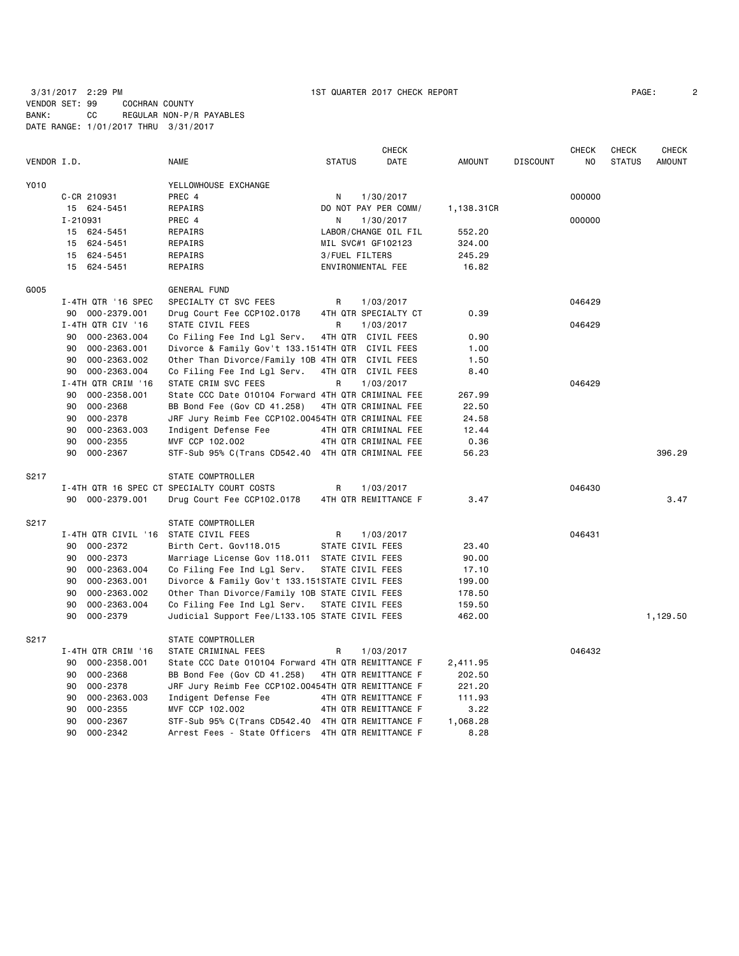|             |                                      |                                                    |                    | <b>CHECK</b>         |            |                 | <b>CHECK</b> | <b>CHECK</b>  | <b>CHECK</b>  |
|-------------|--------------------------------------|----------------------------------------------------|--------------------|----------------------|------------|-----------------|--------------|---------------|---------------|
| VENDOR I.D. |                                      | NAME                                               | <b>STATUS</b>      | DATE                 | AMOUNT     | <b>DISCOUNT</b> | NO           | <b>STATUS</b> | <b>AMOUNT</b> |
| Y010        |                                      | YELLOWHOUSE EXCHANGE                               |                    |                      |            |                 |              |               |               |
|             | C-CR 210931                          | PREC 4                                             | N                  | 1/30/2017            |            |                 | 000000       |               |               |
|             | 15 624-5451                          | REPAIRS                                            |                    | DO NOT PAY PER COMM/ | 1,138.31CR |                 |              |               |               |
|             | I-210931                             | PREC 4                                             | N                  | 1/30/2017            |            |                 | 000000       |               |               |
|             | 15 624-5451                          | REPAIRS                                            |                    | LABOR/CHANGE OIL FIL | 552.20     |                 |              |               |               |
|             | 15 624-5451                          | REPAIRS                                            | MIL SVC#1 GF102123 |                      | 324.00     |                 |              |               |               |
|             | 15 624-5451                          | REPAIRS                                            | 3/FUEL FILTERS     |                      | 245.29     |                 |              |               |               |
|             | 15 624-5451                          | REPAIRS                                            | ENVIRONMENTAL FEE  |                      | 16.82      |                 |              |               |               |
| G005        |                                      | GENERAL FUND                                       |                    |                      |            |                 |              |               |               |
|             | I-4TH QTR '16 SPEC                   | SPECIALTY CT SVC FEES                              | R                  | 1/03/2017            |            |                 | 046429       |               |               |
|             | 90 000-2379.001                      | Drug Court Fee CCP102.0178                         |                    | 4TH QTR SPECIALTY CT | 0.39       |                 |              |               |               |
|             | I-4TH QTR CIV '16                    | STATE CIVIL FEES                                   | R                  | 1/03/2017            |            |                 | 046429       |               |               |
|             | 000-2363.004<br>90                   | Co Filing Fee Ind Lgl Serv.                        | 4TH QTR CIVIL FEES |                      | 0.90       |                 |              |               |               |
|             | 000-2363.001<br>90                   | Divorce & Family Gov't 133.1514TH QTR CIVIL FEES   |                    |                      | 1.00       |                 |              |               |               |
|             | 90<br>000-2363.002                   | Other Than Divorce/Family 10B 4TH QTR CIVIL FEES   |                    |                      | 1.50       |                 |              |               |               |
|             | 90 000-2363.004                      | Co Filing Fee Ind Lgl Serv.                        | 4TH QTR CIVIL FEES |                      | 8.40       |                 |              |               |               |
|             | I-4TH QTR CRIM '16                   | STATE CRIM SVC FEES                                | R                  | 1/03/2017            |            |                 | 046429       |               |               |
|             | 000-2358.001<br>90                   | State CCC Date 010104 Forward 4TH QTR CRIMINAL FEE |                    |                      | 267.99     |                 |              |               |               |
|             | 000-2368<br>90                       | BB Bond Fee (Gov CD 41.258)                        |                    | 4TH QTR CRIMINAL FEE | 22.50      |                 |              |               |               |
|             | 000-2378<br>90                       | JRF Jury Reimb Fee CCP102.00454TH QTR CRIMINAL FEE |                    |                      | 24.58      |                 |              |               |               |
|             | 90<br>000-2363.003                   | Indigent Defense Fee                               |                    | 4TH QTR CRIMINAL FEE | 12.44      |                 |              |               |               |
|             | $000 - 2355$<br>90                   | MVF CCP 102.002                                    |                    | 4TH QTR CRIMINAL FEE | 0.36       |                 |              |               |               |
|             | 90<br>000-2367                       | STF-Sub 95% C(Trans CD542.40 4TH QTR CRIMINAL FEE  |                    |                      | 56.23      |                 |              |               | 396.29        |
| S217        |                                      | STATE COMPTROLLER                                  |                    |                      |            |                 |              |               |               |
|             |                                      | I-4TH QTR 16 SPEC CT SPECIALTY COURT COSTS         | R                  | 1/03/2017            |            |                 | 046430       |               |               |
|             | 90 000-2379.001                      | Drug Court Fee CCP102.0178                         |                    | 4TH QTR REMITTANCE F | 3.47       |                 |              |               | 3.47          |
| S217        |                                      | STATE COMPTROLLER                                  |                    |                      |            |                 |              |               |               |
|             | I-4TH QTR CIVIL '16 STATE CIVIL FEES |                                                    | R                  | 1/03/2017            |            |                 | 046431       |               |               |
|             | 000-2372<br>90                       | Birth Cert. Gov118.015                             | STATE CIVIL FEES   |                      | 23.40      |                 |              |               |               |
|             | 000-2373<br>90                       | Marriage License Gov 118.011 STATE CIVIL FEES      |                    |                      | 90.00      |                 |              |               |               |
|             | 90<br>000-2363.004                   | Co Filing Fee Ind Lgl Serv.                        | STATE CIVIL FEES   |                      | 17.10      |                 |              |               |               |
|             | 90<br>000-2363.001                   | Divorce & Family Gov't 133.151STATE CIVIL FEES     |                    |                      | 199.00     |                 |              |               |               |
|             | 90<br>000-2363.002                   | Other Than Divorce/Family 10B STATE CIVIL FEES     |                    |                      | 178.50     |                 |              |               |               |
|             | 90<br>000-2363.004                   | Co Filing Fee Ind Lgl Serv.                        | STATE CIVIL FEES   |                      | 159.50     |                 |              |               |               |
|             | 90<br>000-2379                       | Judicial Support Fee/L133.105 STATE CIVIL FEES     |                    |                      | 462.00     |                 |              |               | 1,129.50      |
| S217        |                                      | STATE COMPTROLLER                                  |                    |                      |            |                 |              |               |               |
|             | I-4TH QTR CRIM '16                   | STATE CRIMINAL FEES                                | R                  | 1/03/2017            |            |                 | 046432       |               |               |
|             | 90<br>000-2358.001                   | State CCC Date 010104 Forward 4TH QTR REMITTANCE F |                    |                      | 2,411.95   |                 |              |               |               |
|             | 000-2368<br>90                       | BB Bond Fee (Gov CD 41.258)                        |                    | 4TH QTR REMITTANCE F | 202.50     |                 |              |               |               |
|             | 000-2378<br>90                       | JRF Jury Reimb Fee CCP102.00454TH QTR REMITTANCE F |                    |                      | 221.20     |                 |              |               |               |
|             | 000-2363.003<br>90                   | Indigent Defense Fee                               |                    | 4TH QTR REMITTANCE F | 111.93     |                 |              |               |               |
|             | 90<br>000-2355                       | MVF CCP 102.002                                    |                    | 4TH QTR REMITTANCE F | 3.22       |                 |              |               |               |
|             | 90<br>$000 - 2367$                   | STF-Sub 95% C(Trans CD542.40 4TH QTR REMITTANCE F  |                    |                      | 1,068.28   |                 |              |               |               |

90 000-2342 Arrest Fees - State Officers 4TH QTR REMITTANCE F 8.28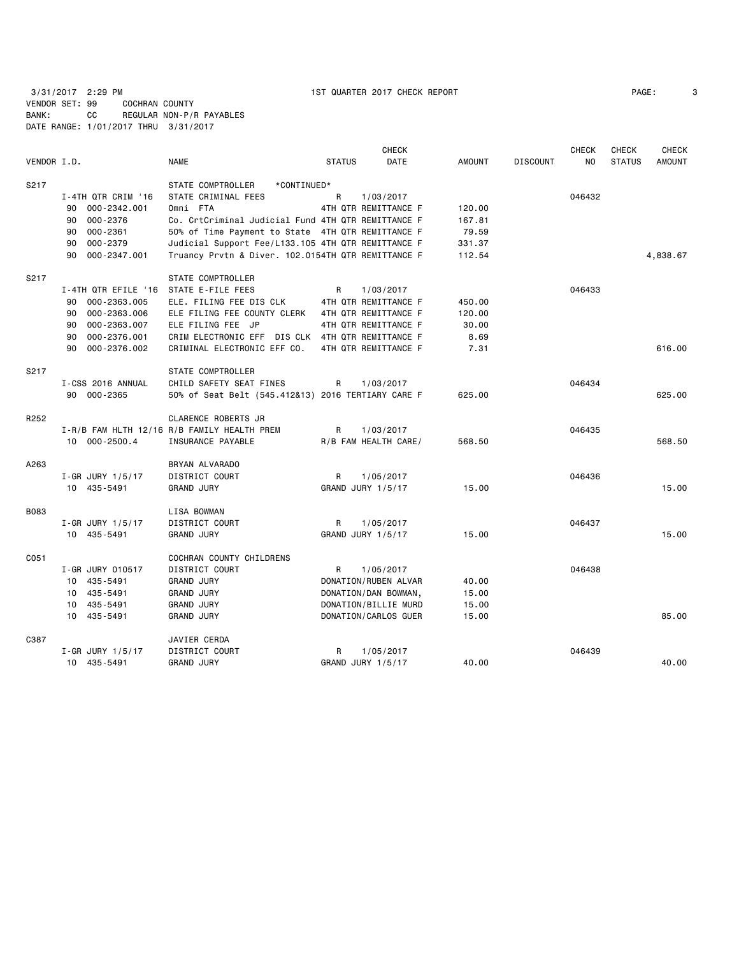3/31/2017 2:29 PM 1ST QUARTER 2017 CHECK REPORT PAGE: 3 VENDOR SET: 99 COCHRAN COUNTY BANK: CC REGULAR NON-P/R PAYABLES

DATE RANGE: 1/01/2017 THRU 3/31/2017

| VENDOR I.D. |                        | <b>NAME</b>                                        | <b>STATUS</b> | <b>CHECK</b><br><b>DATE</b> | <b>AMOUNT</b> | <b>DISCOUNT</b> | <b>CHECK</b><br>NO. | <b>CHECK</b><br><b>STATUS</b> | <b>CHECK</b><br><b>AMOUNT</b> |
|-------------|------------------------|----------------------------------------------------|---------------|-----------------------------|---------------|-----------------|---------------------|-------------------------------|-------------------------------|
| S217        |                        | STATE COMPTROLLER<br>*CONTINUED*                   |               |                             |               |                 |                     |                               |                               |
|             | I-4TH QTR CRIM '16     | STATE CRIMINAL FEES                                | R             | 1/03/2017                   |               |                 | 046432              |                               |                               |
|             | 000-2342.001<br>90     | Omni FTA                                           |               | 4TH QTR REMITTANCE F        | 120.00        |                 |                     |                               |                               |
|             | 000-2376<br>90         | Co. CrtCriminal Judicial Fund 4TH QTR REMITTANCE F |               |                             | 167.81        |                 |                     |                               |                               |
|             | 000-2361<br>90         | 50% of Time Payment to State 4TH QTR REMITTANCE F  |               |                             | 79.59         |                 |                     |                               |                               |
|             | 000-2379<br>90         | Judicial Support Fee/L133.105 4TH QTR REMITTANCE F |               |                             | 331.37        |                 |                     |                               |                               |
|             | 90<br>000-2347.001     | Truancy Prvtn & Diver. 102.0154TH QTR REMITTANCE F |               |                             | 112.54        |                 |                     |                               | 4,838.67                      |
| S217        |                        | STATE COMPTROLLER                                  |               |                             |               |                 |                     |                               |                               |
|             | I-4TH QTR EFILE '16    | STATE E-FILE FEES                                  | R             | 1/03/2017                   |               |                 | 046433              |                               |                               |
|             | 000-2363.005<br>90     | ELE. FILING FEE DIS CLK                            |               | 4TH QTR REMITTANCE F        | 450.00        |                 |                     |                               |                               |
|             | 000-2363.006<br>90     | ELE FILING FEE COUNTY CLERK                        |               | 4TH QTR REMITTANCE F        | 120.00        |                 |                     |                               |                               |
|             | 000-2363.007<br>90     | ELE FILING FEE JP                                  |               | 4TH QTR REMITTANCE F        | 30.00         |                 |                     |                               |                               |
|             | 000-2376.001<br>90     | CRIM ELECTRONIC EFF DIS CLK 4TH QTR REMITTANCE F   |               |                             | 8.69          |                 |                     |                               |                               |
|             | 000-2376.002<br>90     | CRIMINAL ELECTRONIC EFF CO.                        |               | 4TH QTR REMITTANCE F        | 7.31          |                 |                     |                               | 616.00                        |
| S217        |                        | <b>STATE COMPTROLLER</b>                           |               |                             |               |                 |                     |                               |                               |
|             | I-CSS 2016 ANNUAL      | CHILD SAFETY SEAT FINES                            | R             | 1/03/2017                   |               |                 | 046434              |                               |                               |
|             | 90 000-2365            | 50% of Seat Belt (545.412&13) 2016 TERTIARY CARE F |               |                             | 625.00        |                 |                     |                               | 625.00                        |
| R252        |                        | <b>CLARENCE ROBERTS JR</b>                         |               |                             |               |                 |                     |                               |                               |
|             |                        | I-R/B FAM HLTH 12/16 R/B FAMILY HEALTH PREM        | R             | 1/03/2017                   |               |                 | 046435              |                               |                               |
|             | 10 000-2500.4          | INSURANCE PAYABLE                                  |               | R/B FAM HEALTH CARE/        | 568.50        |                 |                     |                               | 568.50                        |
| A263        |                        | BRYAN ALVARADO                                     |               |                             |               |                 |                     |                               |                               |
|             | I-GR JURY 1/5/17       | DISTRICT COURT                                     | R             | 1/05/2017                   |               |                 | 046436              |                               |                               |
|             | 10 435-5491            | <b>GRAND JURY</b>                                  |               | GRAND JURY 1/5/17           | 15.00         |                 |                     |                               | 15.00                         |
| <b>B083</b> |                        | LISA BOWMAN                                        |               |                             |               |                 |                     |                               |                               |
|             | $I - GR$ JURY $1/5/17$ | DISTRICT COURT                                     | R             | 1/05/2017                   |               |                 | 046437              |                               |                               |
|             | 10 435-5491            | <b>GRAND JURY</b>                                  |               | GRAND JURY 1/5/17           | 15.00         |                 |                     |                               | 15.00                         |
| C051        |                        | COCHRAN COUNTY CHILDRENS                           |               |                             |               |                 |                     |                               |                               |
|             | I-GR JURY 010517       | DISTRICT COURT                                     | R             | 1/05/2017                   |               |                 | 046438              |                               |                               |
|             | 10 435-5491            | <b>GRAND JURY</b>                                  |               | DONATION/RUBEN ALVAR        | 40.00         |                 |                     |                               |                               |
|             | 10 435-5491            | <b>GRAND JURY</b>                                  |               | DONATION/DAN BOWMAN,        | 15.00         |                 |                     |                               |                               |
|             | 10 435-5491            | <b>GRAND JURY</b>                                  |               | DONATION/BILLIE MURD        | 15.00         |                 |                     |                               |                               |
|             | 10 435-5491            | <b>GRAND JURY</b>                                  |               | DONATION/CARLOS GUER        | 15.00         |                 |                     |                               | 85.00                         |
| C387        |                        | JAVIER CERDA                                       |               |                             |               |                 |                     |                               |                               |
|             | $I - GR$ JURY $1/5/17$ | <b>DISTRICT COURT</b>                              | R             | 1/05/2017                   |               |                 | 046439              |                               |                               |
|             | 10 435-5491            | <b>GRAND JURY</b>                                  |               | GRAND JURY 1/5/17           | 40.00         |                 |                     |                               | 40.00                         |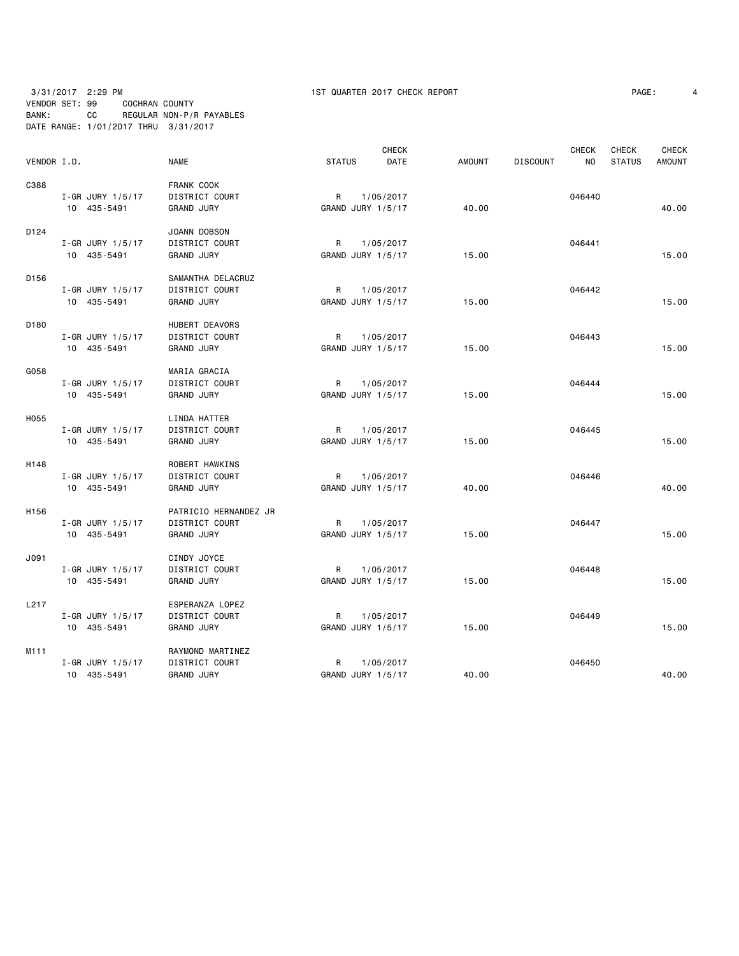| PAGE: |  |
|-------|--|
|-------|--|

|                  |                        |                       |                   | <b>CHECK</b> |               |                 | CHECK          | CHECK         | <b>CHECK</b>  |
|------------------|------------------------|-----------------------|-------------------|--------------|---------------|-----------------|----------------|---------------|---------------|
| VENDOR I.D.      |                        | <b>NAME</b>           | <b>STATUS</b>     | <b>DATE</b>  | <b>AMOUNT</b> | <b>DISCOUNT</b> | N <sub>O</sub> | <b>STATUS</b> | <b>AMOUNT</b> |
| C388             |                        | FRANK COOK            |                   |              |               |                 |                |               |               |
|                  | $I - GR$ JURY 1/5/17   | DISTRICT COURT        | R                 | 1/05/2017    |               |                 | 046440         |               |               |
|                  | 10 435-5491            | <b>GRAND JURY</b>     | GRAND JURY 1/5/17 |              | 40.00         |                 |                |               | 40.00         |
| D <sub>124</sub> |                        | JOANN DOBSON          |                   |              |               |                 |                |               |               |
|                  | I-GR JURY 1/5/17       | DISTRICT COURT        | R                 | 1/05/2017    |               |                 | 046441         |               |               |
|                  | 10 435-5491            | <b>GRAND JURY</b>     | GRAND JURY 1/5/17 |              | 15.00         |                 |                |               | 15.00         |
| D <sub>156</sub> |                        | SAMANTHA DELACRUZ     |                   |              |               |                 |                |               |               |
|                  | I-GR JURY 1/5/17       | DISTRICT COURT        | R                 | 1/05/2017    |               |                 | 046442         |               |               |
|                  | 10 435-5491            | <b>GRAND JURY</b>     | GRAND JURY 1/5/17 |              | 15.00         |                 |                |               | 15.00         |
| D <sub>180</sub> |                        | HUBERT DEAVORS        |                   |              |               |                 |                |               |               |
|                  | I-GR JURY 1/5/17       | DISTRICT COURT        | R                 | 1/05/2017    |               |                 | 046443         |               |               |
|                  | 10 435-5491            | <b>GRAND JURY</b>     | GRAND JURY 1/5/17 |              | 15.00         |                 |                |               | 15.00         |
| G058             |                        | MARIA GRACIA          |                   |              |               |                 |                |               |               |
|                  | $I-GR$ JURY 1/5/17     | DISTRICT COURT        | R                 | 1/05/2017    |               |                 | 046444         |               |               |
|                  | 10 435-5491            | <b>GRAND JURY</b>     | GRAND JURY 1/5/17 |              | 15.00         |                 |                |               | 15.00         |
| H055             |                        | LINDA HATTER          |                   |              |               |                 |                |               |               |
|                  | I-GR JURY 1/5/17       | DISTRICT COURT        | R                 | 1/05/2017    |               |                 | 046445         |               |               |
|                  | 10 435-5491            | <b>GRAND JURY</b>     | GRAND JURY 1/5/17 |              | 15.00         |                 |                |               | 15.00         |
| H148             |                        | ROBERT HAWKINS        |                   |              |               |                 |                |               |               |
|                  | I-GR JURY 1/5/17       | DISTRICT COURT        | R                 | 1/05/2017    |               |                 | 046446         |               |               |
|                  | 10 435-5491            | <b>GRAND JURY</b>     | GRAND JURY 1/5/17 |              | 40.00         |                 |                |               | 40.00         |
| H <sub>156</sub> |                        | PATRICIO HERNANDEZ JR |                   |              |               |                 |                |               |               |
|                  | I-GR JURY 1/5/17       | DISTRICT COURT        | R                 | 1/05/2017    |               |                 | 046447         |               |               |
|                  | 10 435-5491            | <b>GRAND JURY</b>     | GRAND JURY 1/5/17 |              | 15.00         |                 |                |               | 15.00         |
| J091             |                        | CINDY JOYCE           |                   |              |               |                 |                |               |               |
|                  | I-GR JURY 1/5/17       | DISTRICT COURT        | R                 | 1/05/2017    |               |                 | 046448         |               |               |
|                  | 10 435-5491            | <b>GRAND JURY</b>     | GRAND JURY 1/5/17 |              | 15.00         |                 |                |               | 15.00         |
| L217             |                        | ESPERANZA LOPEZ       |                   |              |               |                 |                |               |               |
|                  | $I - GR$ JURY $1/5/17$ | DISTRICT COURT        | R                 | 1/05/2017    |               |                 | 046449         |               |               |
|                  | 10 435-5491            | <b>GRAND JURY</b>     | GRAND JURY 1/5/17 |              | 15.00         |                 |                |               | 15.00         |
| M111             |                        | RAYMOND MARTINEZ      |                   |              |               |                 |                |               |               |
|                  | I-GR JURY 1/5/17       | DISTRICT COURT        | R                 | 1/05/2017    |               |                 | 046450         |               |               |
|                  | 10 435-5491            | <b>GRAND JURY</b>     | GRAND JURY 1/5/17 |              | 40.00         |                 |                |               | 40.00         |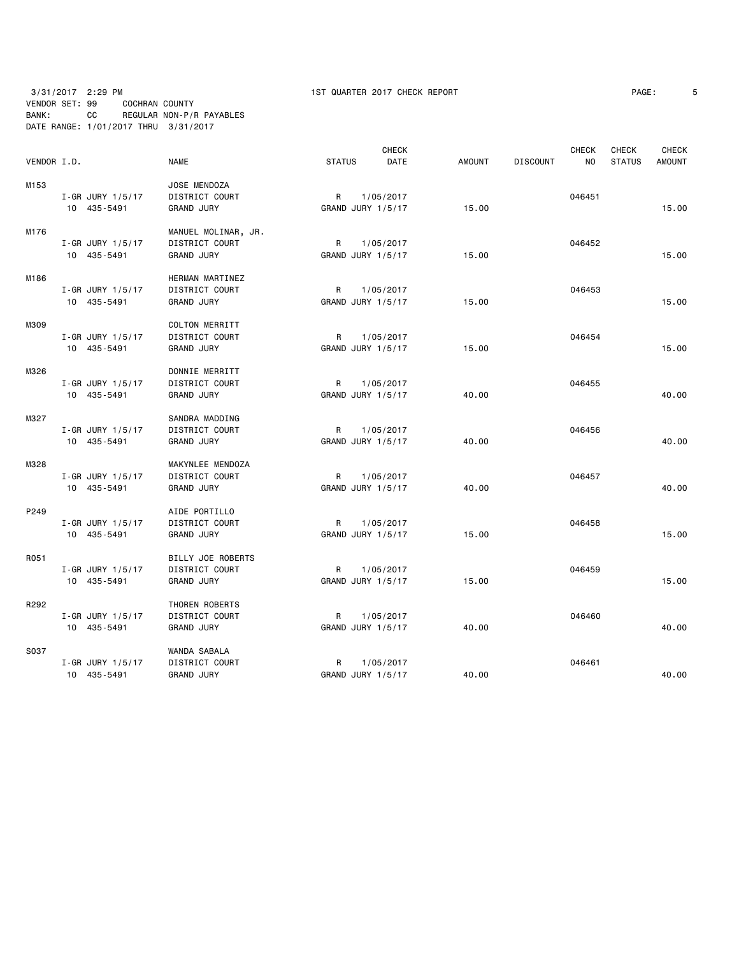|             |                        |                       |                   | <b>CHECK</b> |               |                 | <b>CHECK</b>   | <b>CHECK</b>  | CHECK         |
|-------------|------------------------|-----------------------|-------------------|--------------|---------------|-----------------|----------------|---------------|---------------|
| VENDOR I.D. |                        | <b>NAME</b>           | <b>STATUS</b>     | DATE         | <b>AMOUNT</b> | <b>DISCOUNT</b> | N <sub>O</sub> | <b>STATUS</b> | <b>AMOUNT</b> |
| M153        |                        | JOSE MENDOZA          |                   |              |               |                 |                |               |               |
|             | $I - GR$ JURY $1/5/17$ | DISTRICT COURT        | R                 | 1/05/2017    |               |                 | 046451         |               |               |
|             | 10 435-5491            | <b>GRAND JURY</b>     | GRAND JURY 1/5/17 |              | 15.00         |                 |                |               | 15.00         |
| M176        |                        | MANUEL MOLINAR, JR.   |                   |              |               |                 |                |               |               |
|             | I-GR JURY 1/5/17       | DISTRICT COURT        | R                 | 1/05/2017    |               |                 | 046452         |               |               |
|             | 10 435-5491            | <b>GRAND JURY</b>     | GRAND JURY 1/5/17 |              | 15.00         |                 |                |               | 15.00         |
| M186        |                        | HERMAN MARTINEZ       |                   |              |               |                 |                |               |               |
|             | I-GR JURY 1/5/17       | DISTRICT COURT        | R                 | 1/05/2017    |               |                 | 046453         |               |               |
|             | 10 435-5491            | <b>GRAND JURY</b>     | GRAND JURY 1/5/17 |              | 15.00         |                 |                |               | 15.00         |
| M309        |                        | <b>COLTON MERRITT</b> |                   |              |               |                 |                |               |               |
|             | I-GR JURY 1/5/17       | DISTRICT COURT        | R                 | 1/05/2017    |               |                 | 046454         |               |               |
|             | 10 435-5491            | <b>GRAND JURY</b>     | GRAND JURY 1/5/17 |              | 15.00         |                 |                |               | 15.00         |
| M326        |                        | DONNIE MERRITT        |                   |              |               |                 |                |               |               |
|             | $I - GR$ JURY $1/5/17$ | DISTRICT COURT        | R.                | 1/05/2017    |               |                 | 046455         |               |               |
|             | 10 435-5491            | <b>GRAND JURY</b>     | GRAND JURY 1/5/17 |              | 40.00         |                 |                |               | 40.00         |
| M327        |                        | SANDRA MADDING        |                   |              |               |                 |                |               |               |
|             | I-GR JURY 1/5/17       | DISTRICT COURT        | R                 | 1/05/2017    |               |                 | 046456         |               |               |
|             | 10 435-5491            | <b>GRAND JURY</b>     | GRAND JURY 1/5/17 |              | 40.00         |                 |                |               | 40.00         |
| M328        |                        | MAKYNLEE MENDOZA      |                   |              |               |                 |                |               |               |
|             | I-GR JURY 1/5/17       | DISTRICT COURT        | R                 | 1/05/2017    |               |                 | 046457         |               |               |
|             | 10 435-5491            | <b>GRAND JURY</b>     | GRAND JURY 1/5/17 |              | 40.00         |                 |                |               | 40.00         |
| P249        |                        | AIDE PORTILLO         |                   |              |               |                 |                |               |               |
|             | I-GR JURY 1/5/17       | DISTRICT COURT        | R                 | 1/05/2017    |               |                 | 046458         |               |               |
|             | 10 435-5491            | <b>GRAND JURY</b>     | GRAND JURY 1/5/17 |              | 15.00         |                 |                |               | 15.00         |
| R051        |                        | BILLY JOE ROBERTS     |                   |              |               |                 |                |               |               |
|             | $I - GR$ JURY $1/5/17$ | DISTRICT COURT        | R.                | 1/05/2017    |               |                 | 046459         |               |               |
|             | 10 435-5491            | <b>GRAND JURY</b>     | GRAND JURY 1/5/17 |              | 15.00         |                 |                |               | 15.00         |
| R292        |                        | THOREN ROBERTS        |                   |              |               |                 |                |               |               |
|             | I-GR JURY 1/5/17       | DISTRICT COURT        | R                 | 1/05/2017    |               |                 | 046460         |               |               |
|             | 10 435-5491            | <b>GRAND JURY</b>     | GRAND JURY 1/5/17 |              | 40.00         |                 |                |               | 40.00         |
| S037        |                        | WANDA SABALA          |                   |              |               |                 |                |               |               |
|             | $I - GR$ JURY $1/5/17$ | DISTRICT COURT        | R                 | 1/05/2017    |               |                 | 046461         |               |               |
|             | 10 435-5491            | <b>GRAND JURY</b>     | GRAND JURY 1/5/17 |              | 40.00         |                 |                |               | 40.00         |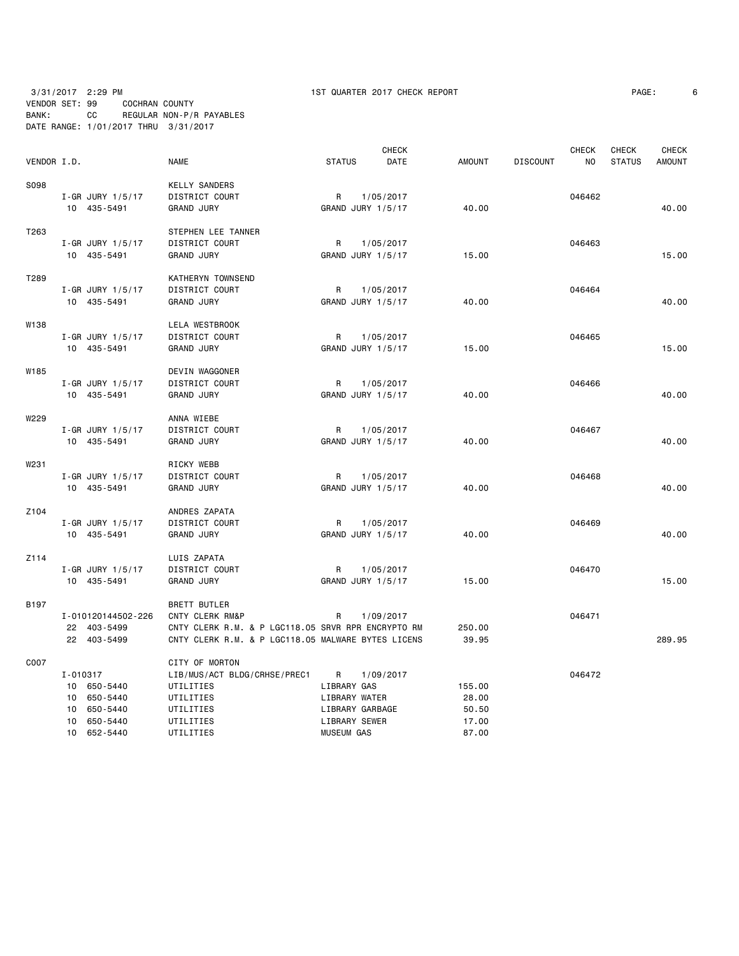| VENDOR I.D. |                                 | <b>NAME</b>                                        | <b>STATUS</b>                     | <b>CHECK</b><br>DATE | <b>AMOUNT</b> | <b>DISCOUNT</b> | <b>CHECK</b><br>NO | <b>CHECK</b><br><b>STATUS</b> | <b>CHECK</b><br><b>AMOUNT</b> |
|-------------|---------------------------------|----------------------------------------------------|-----------------------------------|----------------------|---------------|-----------------|--------------------|-------------------------------|-------------------------------|
|             |                                 |                                                    |                                   |                      |               |                 |                    |                               |                               |
| S098        |                                 | <b>KELLY SANDERS</b>                               |                                   |                      |               |                 |                    |                               |                               |
|             | I-GR JURY 1/5/17<br>10 435-5491 | DISTRICT COURT<br><b>GRAND JURY</b>                | $\mathsf{R}$<br>GRAND JURY 1/5/17 | 1/05/2017            | 40.00         |                 | 046462             |                               | 40.00                         |
|             |                                 |                                                    |                                   |                      |               |                 |                    |                               |                               |
| T263        |                                 | STEPHEN LEE TANNER                                 |                                   |                      |               |                 |                    |                               |                               |
|             | I-GR JURY 1/5/17                | DISTRICT COURT                                     | R                                 | 1/05/2017            |               |                 | 046463             |                               |                               |
|             | 10 435-5491                     | <b>GRAND JURY</b>                                  | GRAND JURY 1/5/17                 |                      | 15.00         |                 |                    |                               | 15.00                         |
|             |                                 |                                                    |                                   |                      |               |                 |                    |                               |                               |
| T289        |                                 | KATHERYN TOWNSEND                                  |                                   |                      |               |                 |                    |                               |                               |
|             | $I - GR$ JURY $1/5/17$          | DISTRICT COURT                                     | R                                 | 1/05/2017            |               |                 | 046464             |                               |                               |
|             | 10 435-5491                     | <b>GRAND JURY</b>                                  | GRAND JURY 1/5/17                 |                      | 40.00         |                 |                    |                               | 40.00                         |
| W138        |                                 | <b>LELA WESTBROOK</b>                              |                                   |                      |               |                 |                    |                               |                               |
|             | I-GR JURY 1/5/17                | DISTRICT COURT                                     | R                                 | 1/05/2017            |               |                 | 046465             |                               |                               |
|             | 10 435-5491                     | <b>GRAND JURY</b>                                  | GRAND JURY 1/5/17                 |                      | 15.00         |                 |                    |                               | 15.00                         |
|             |                                 |                                                    |                                   |                      |               |                 |                    |                               |                               |
| W185        |                                 | DEVIN WAGGONER                                     |                                   |                      |               |                 |                    |                               |                               |
|             | $I - GR$ JURY $1/5/17$          | DISTRICT COURT                                     | R                                 | 1/05/2017            |               |                 | 046466             |                               |                               |
|             | 10 435-5491                     | <b>GRAND JURY</b>                                  | GRAND JURY 1/5/17                 |                      | 40.00         |                 |                    |                               | 40.00                         |
| W229        |                                 | ANNA WIEBE                                         |                                   |                      |               |                 |                    |                               |                               |
|             | $I - GR$ JURY $1/5/17$          | DISTRICT COURT                                     | R                                 | 1/05/2017            |               |                 | 046467             |                               |                               |
|             | 10 435-5491                     | <b>GRAND JURY</b>                                  | GRAND JURY 1/5/17                 |                      | 40.00         |                 |                    |                               | 40.00                         |
|             |                                 |                                                    |                                   |                      |               |                 |                    |                               |                               |
| W231        |                                 | RICKY WEBB                                         |                                   |                      |               |                 |                    |                               |                               |
|             | I-GR JURY 1/5/17                | DISTRICT COURT                                     | R                                 | 1/05/2017            |               |                 | 046468             |                               |                               |
|             | 10 435-5491                     | <b>GRAND JURY</b>                                  | GRAND JURY 1/5/17                 |                      | 40.00         |                 |                    |                               | 40.00                         |
|             |                                 |                                                    |                                   |                      |               |                 |                    |                               |                               |
| Z104        |                                 | ANDRES ZAPATA                                      |                                   |                      |               |                 |                    |                               |                               |
|             | $I - GR$ JURY 1/5/17            | DISTRICT COURT                                     | R                                 | 1/05/2017            |               |                 | 046469             |                               |                               |
|             | 10 435-5491                     | <b>GRAND JURY</b>                                  | GRAND JURY 1/5/17                 |                      | 40.00         |                 |                    |                               | 40.00                         |
| Z114        |                                 | LUIS ZAPATA                                        |                                   |                      |               |                 |                    |                               |                               |
|             | I-GR JURY 1/5/17                | DISTRICT COURT                                     | R                                 | 1/05/2017            |               |                 | 046470             |                               |                               |
|             | 10 435-5491                     | <b>GRAND JURY</b>                                  | GRAND JURY 1/5/17                 |                      | 15.00         |                 |                    |                               | 15.00                         |
|             |                                 |                                                    |                                   |                      |               |                 |                    |                               |                               |
| B197        |                                 | <b>BRETT BUTLER</b>                                |                                   |                      |               |                 |                    |                               |                               |
|             | I-010120144502-226              | CNTY CLERK RM&P                                    | R                                 | 1/09/2017            |               |                 | 046471             |                               |                               |
|             | 22 403-5499                     | CNTY CLERK R.M. & P LGC118.05 SRVR RPR ENCRYPTO RM |                                   |                      | 250.00        |                 |                    |                               |                               |
|             | 22 403-5499                     | CNTY CLERK R.M. & P LGC118.05 MALWARE BYTES LICENS |                                   |                      | 39.95         |                 |                    |                               | 289.95                        |
| C007        |                                 | CITY OF MORTON                                     |                                   |                      |               |                 |                    |                               |                               |
|             | I-010317                        | LIB/MUS/ACT BLDG/CRHSE/PREC1                       | R                                 | 1/09/2017            |               |                 | 046472             |                               |                               |
|             | 10 650-5440                     | UTILITIES                                          | LIBRARY GAS                       |                      | 155.00        |                 |                    |                               |                               |
|             | 10<br>650-5440                  | UTILITIES                                          | LIBRARY WATER                     |                      | 28.00         |                 |                    |                               |                               |
|             | 10<br>650-5440                  | UTILITIES                                          | LIBRARY GARBAGE                   |                      | 50.50         |                 |                    |                               |                               |
|             | 650-5440<br>10                  | UTILITIES                                          | LIBRARY SEWER                     |                      | 17.00         |                 |                    |                               |                               |
|             | 10 652-5440                     | UTILITIES                                          | <b>MUSEUM GAS</b>                 |                      | 87.00         |                 |                    |                               |                               |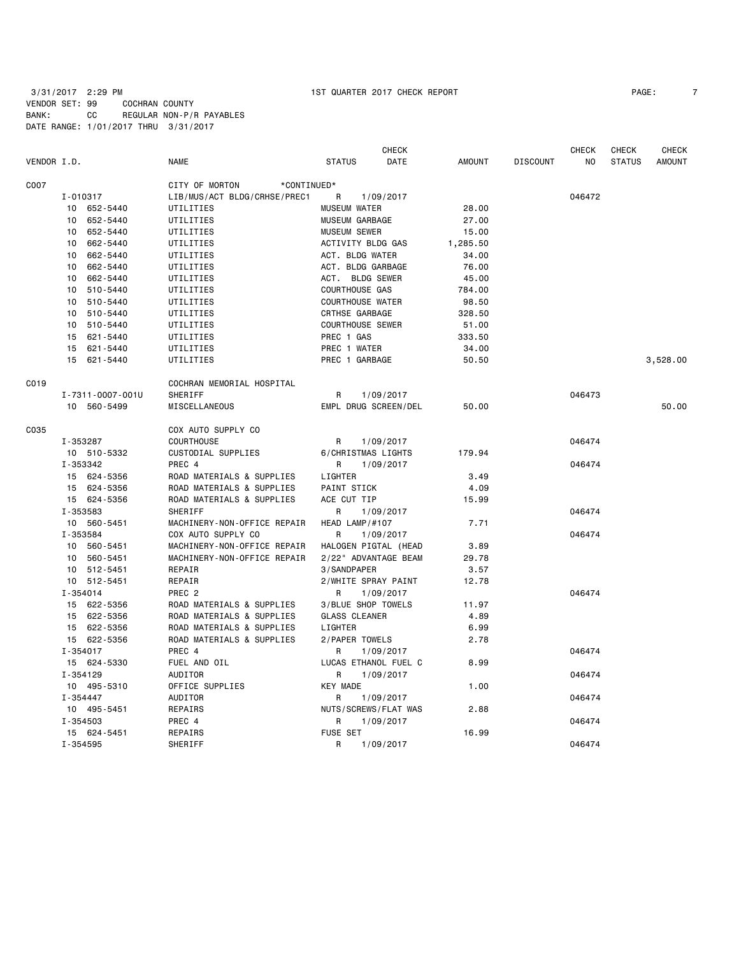| VENDOR I.D. |                  | <b>NAME</b>                   | <b>CHECK</b><br><b>STATUS</b><br>DATE | <b>AMOUNT</b> | <b>DISCOUNT</b> | <b>CHECK</b><br>NO | <b>CHECK</b><br><b>STATUS</b> | <b>CHECK</b><br><b>AMOUNT</b> |
|-------------|------------------|-------------------------------|---------------------------------------|---------------|-----------------|--------------------|-------------------------------|-------------------------------|
| C007        |                  | CITY OF MORTON<br>*CONTINUED* |                                       |               |                 |                    |                               |                               |
|             | I-010317         | LIB/MUS/ACT BLDG/CRHSE/PREC1  | R<br>1/09/2017                        |               |                 | 046472             |                               |                               |
|             | 652-5440<br>10   | UTILITIES                     | <b>MUSEUM WATER</b>                   | 28.00         |                 |                    |                               |                               |
|             | 652-5440<br>10   | UTILITIES                     | MUSEUM GARBAGE                        | 27.00         |                 |                    |                               |                               |
|             | 652-5440<br>10   | UTILITIES                     | <b>MUSEUM SEWER</b>                   | 15.00         |                 |                    |                               |                               |
|             | 10 662-5440      | UTILITIES                     | ACTIVITY BLDG GAS                     | 1,285.50      |                 |                    |                               |                               |
|             | 10 662-5440      | UTILITIES                     | ACT. BLDG WATER                       | 34.00         |                 |                    |                               |                               |
|             | 662-5440<br>10   | UTILITIES                     | ACT. BLDG GARBAGE                     | 76.00         |                 |                    |                               |                               |
|             | 662-5440<br>10   | UTILITIES                     | ACT. BLDG SEWER                       | 45.00         |                 |                    |                               |                               |
|             | 10 510-5440      | UTILITIES                     | <b>COURTHOUSE GAS</b>                 | 784.00        |                 |                    |                               |                               |
|             | 510-5440<br>10   | UTILITIES                     | <b>COURTHOUSE WATER</b>               | 98.50         |                 |                    |                               |                               |
|             | 510-5440<br>10   | UTILITIES                     | CRTHSE GARBAGE                        | 328.50        |                 |                    |                               |                               |
|             | 10 510-5440      | UTILITIES                     | <b>COURTHOUSE SEWER</b>               | 51.00         |                 |                    |                               |                               |
|             | 15 621-5440      | UTILITIES                     | PREC 1 GAS                            | 333.50        |                 |                    |                               |                               |
|             | 621-5440<br>15   | UTILITIES                     | PREC 1 WATER                          | 34.00         |                 |                    |                               |                               |
|             | 15 621-5440      | UTILITIES                     | PREC 1 GARBAGE                        | 50.50         |                 |                    |                               | 3,528.00                      |
| C019        |                  | COCHRAN MEMORIAL HOSPITAL     |                                       |               |                 |                    |                               |                               |
|             | I-7311-0007-001U | SHERIFF                       | R<br>1/09/2017                        |               |                 | 046473             |                               |                               |
|             | 10 560-5499      | MISCELLANEOUS                 | EMPL DRUG SCREEN/DEL                  | 50.00         |                 |                    |                               | 50.00                         |
| C035        |                  | COX AUTO SUPPLY CO            |                                       |               |                 |                    |                               |                               |
|             | I-353287         | COURTHOUSE                    | 1/09/2017<br>R                        |               |                 | 046474             |                               |                               |
|             | 10 510-5332      | CUSTODIAL SUPPLIES            | 6/CHRISTMAS LIGHTS                    | 179.94        |                 |                    |                               |                               |
|             | I-353342         | PREC 4                        | R<br>1/09/2017                        |               |                 | 046474             |                               |                               |
|             | 15 624-5356      | ROAD MATERIALS & SUPPLIES     | LIGHTER                               | 3.49          |                 |                    |                               |                               |
|             | 15 624-5356      | ROAD MATERIALS & SUPPLIES     | PAINT STICK                           | 4.09          |                 |                    |                               |                               |
|             | 15 624-5356      | ROAD MATERIALS & SUPPLIES     | ACE CUT TIP                           | 15.99         |                 |                    |                               |                               |
|             | I-353583         | SHERIFF                       | R<br>1/09/2017                        |               |                 | 046474             |                               |                               |
|             | 10 560-5451      | MACHINERY-NON-OFFICE REPAIR   | HEAD LAMP/#107                        | 7.71          |                 |                    |                               |                               |
|             | I-353584         | COX AUTO SUPPLY CO            | R<br>1/09/2017                        |               |                 | 046474             |                               |                               |
|             | 10 560-5451      | MACHINERY-NON-OFFICE REPAIR   | HALOGEN PIGTAL (HEAD                  | 3.89          |                 |                    |                               |                               |
|             | 10 560-5451      | MACHINERY-NON-OFFICE REPAIR   | 2/22" ADVANTAGE BEAM                  | 29.78         |                 |                    |                               |                               |
|             | 512-5451<br>10   | REPAIR                        | 3/SANDPAPER                           | 3.57          |                 |                    |                               |                               |
|             | 10 512-5451      | REPAIR                        | 2/WHITE SPRAY PAINT                   | 12.78         |                 |                    |                               |                               |
|             | I-354014         | PREC <sub>2</sub>             | R<br>1/09/2017                        |               |                 | 046474             |                               |                               |
|             | 15 622-5356      | ROAD MATERIALS & SUPPLIES     | 3/BLUE SHOP TOWELS                    | 11.97         |                 |                    |                               |                               |
|             | 15 622-5356      | ROAD MATERIALS & SUPPLIES     | <b>GLASS CLEANER</b>                  | 4.89          |                 |                    |                               |                               |
|             | 15 622-5356      | ROAD MATERIALS & SUPPLIES     | LIGHTER                               | 6.99          |                 |                    |                               |                               |
|             | 15 622-5356      | ROAD MATERIALS & SUPPLIES     | 2/PAPER TOWELS                        | 2.78          |                 |                    |                               |                               |
|             | I-354017         | PREC 4                        | 1/09/2017<br>R                        |               |                 | 046474             |                               |                               |
|             | 15 624-5330      | FUEL AND OIL                  | LUCAS ETHANOL FUEL C                  | 8.99          |                 |                    |                               |                               |
|             | I-354129         | AUDITOR                       | R<br>1/09/2017                        |               |                 | 046474             |                               |                               |
|             | 10 495-5310      | OFFICE SUPPLIES               | <b>KEY MADE</b>                       | 1.00          |                 |                    |                               |                               |
|             | I-354447         | AUDITOR                       | R<br>1/09/2017                        |               |                 | 046474             |                               |                               |
|             | 10 495-5451      | REPAIRS                       | NUTS/SCREWS/FLAT WAS                  | 2.88          |                 |                    |                               |                               |
|             | I-354503         | PREC 4                        | 1/09/2017<br>R                        |               |                 | 046474             |                               |                               |
|             | 15 624-5451      | REPAIRS                       | <b>FUSE SET</b>                       | 16.99         |                 |                    |                               |                               |
|             | I-354595         | SHERIFF                       | R<br>1/09/2017                        |               |                 | 046474             |                               |                               |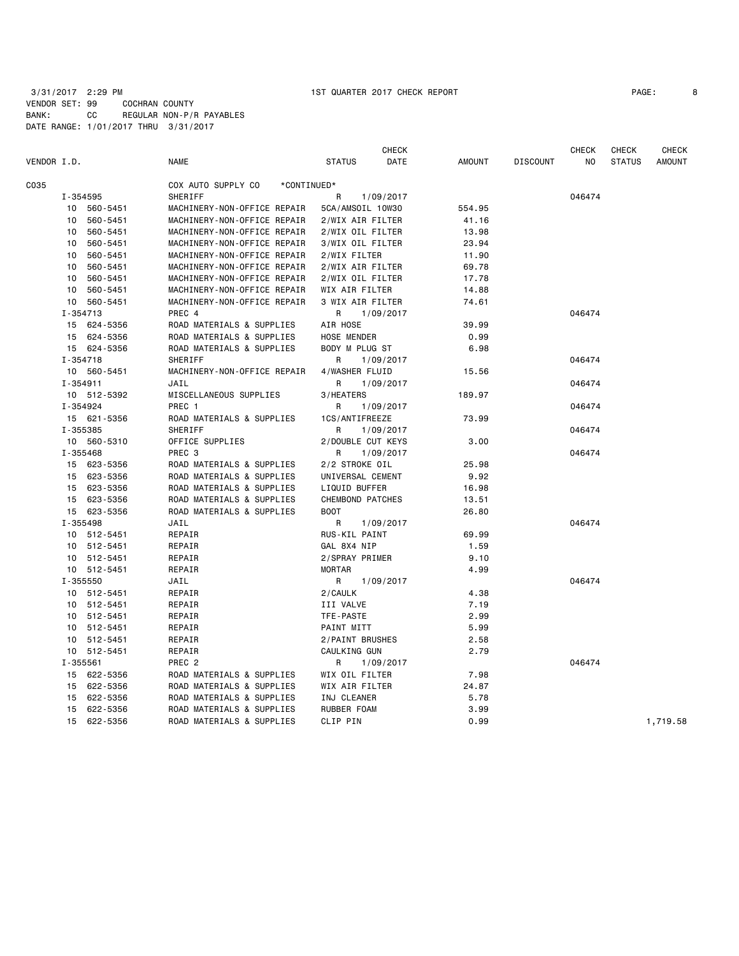| PAGE: |  |
|-------|--|
|-------|--|

|             |              |             |                                   | <b>CHECK</b>            |        |                 | CHECK  | <b>CHECK</b>  | CHECK         |
|-------------|--------------|-------------|-----------------------------------|-------------------------|--------|-----------------|--------|---------------|---------------|
| VENDOR I.D. |              |             | <b>NAME</b>                       | <b>STATUS</b><br>DATE   | AMOUNT | <b>DISCOUNT</b> | NO.    | <b>STATUS</b> | <b>AMOUNT</b> |
| C035        |              |             | COX AUTO SUPPLY CO<br>*CONTINUED* |                         |        |                 |        |               |               |
|             | I-354595     |             | SHERIFF                           | 1/09/2017<br>R          |        |                 | 046474 |               |               |
|             |              | 10 560-5451 | MACHINERY-NON-OFFICE REPAIR       | 5CA/AMSOIL 10W30        | 554.95 |                 |        |               |               |
|             |              | 10 560-5451 | MACHINERY-NON-OFFICE REPAIR       | 2/WIX AIR FILTER        | 41.16  |                 |        |               |               |
|             |              | 10 560-5451 | MACHINERY-NON-OFFICE REPAIR       | 2/WIX OIL FILTER        | 13.98  |                 |        |               |               |
|             |              | 10 560-5451 | MACHINERY-NON-OFFICE REPAIR       | 3/WIX OIL FILTER        | 23.94  |                 |        |               |               |
|             |              | 10 560-5451 | MACHINERY-NON-OFFICE REPAIR       | 2/WIX FILTER            | 11.90  |                 |        |               |               |
|             |              | 10 560-5451 | MACHINERY-NON-OFFICE REPAIR       | 2/WIX AIR FILTER        | 69.78  |                 |        |               |               |
|             |              | 10 560-5451 | MACHINERY-NON-OFFICE REPAIR       | 2/WIX OIL FILTER        | 17.78  |                 |        |               |               |
|             |              | 10 560-5451 | MACHINERY-NON-OFFICE REPAIR       | WIX AIR FILTER          | 14.88  |                 |        |               |               |
|             |              | 10 560-5451 | MACHINERY-NON-OFFICE REPAIR       | 3 WIX AIR FILTER        | 74.61  |                 |        |               |               |
|             | I-354713     |             | PREC 4                            | 1/09/2017<br>R          |        |                 | 046474 |               |               |
|             |              | 15 624-5356 | ROAD MATERIALS & SUPPLIES         | AIR HOSE                | 39.99  |                 |        |               |               |
|             |              | 15 624-5356 | ROAD MATERIALS & SUPPLIES         | HOSE MENDER             | 0.99   |                 |        |               |               |
|             |              | 15 624-5356 | ROAD MATERIALS & SUPPLIES         | BODY M PLUG ST          | 6.98   |                 |        |               |               |
|             | I-354718     |             | SHERIFF                           | 1/09/2017<br>R.         |        |                 | 046474 |               |               |
|             |              | 10 560-5451 | MACHINERY-NON-OFFICE REPAIR       | 4/WASHER FLUID          | 15.56  |                 |        |               |               |
|             | $I - 354911$ |             | JAIL                              | 1/09/2017<br>R          |        |                 | 046474 |               |               |
|             |              | 10 512-5392 | MISCELLANEOUS SUPPLIES            | 3/HEATERS               | 189.97 |                 |        |               |               |
|             | I-354924     |             | PREC <sub>1</sub>                 | R<br>1/09/2017          |        |                 | 046474 |               |               |
|             |              | 15 621-5356 | ROAD MATERIALS & SUPPLIES         | 1CS/ANTIFREEZE          | 73.99  |                 |        |               |               |
|             | I-355385     |             | SHERIFF                           | R<br>1/09/2017          |        |                 | 046474 |               |               |
|             |              | 10 560-5310 | OFFICE SUPPLIES                   | 2/DOUBLE CUT KEYS       | 3.00   |                 |        |               |               |
|             | I-355468     |             | PREC 3                            | R.<br>1/09/2017         |        |                 | 046474 |               |               |
|             |              | 15 623-5356 | ROAD MATERIALS & SUPPLIES         | 2/2 STROKE OIL          | 25.98  |                 |        |               |               |
|             |              | 15 623-5356 | ROAD MATERIALS & SUPPLIES         | UNIVERSAL CEMENT        | 9.92   |                 |        |               |               |
|             |              | 15 623-5356 | ROAD MATERIALS & SUPPLIES         | LIQUID BUFFER           | 16.98  |                 |        |               |               |
|             |              | 15 623-5356 | ROAD MATERIALS & SUPPLIES         | <b>CHEMBOND PATCHES</b> | 13.51  |                 |        |               |               |
|             |              | 15 623-5356 | ROAD MATERIALS & SUPPLIES         | <b>BOOT</b>             | 26.80  |                 |        |               |               |
|             | I-355498     |             | JAIL                              | R<br>1/09/2017          |        |                 | 046474 |               |               |
|             |              | 10 512-5451 | REPAIR                            | RUS-KIL PAINT           | 69.99  |                 |        |               |               |
|             |              | 10 512-5451 | REPAIR                            | GAL 8X4 NIP             | 1.59   |                 |        |               |               |
|             |              | 10 512-5451 | REPAIR                            | 2/SPRAY PRIMER          | 9.10   |                 |        |               |               |
|             |              | 10 512-5451 | REPAIR                            | MORTAR                  | 4.99   |                 |        |               |               |
|             | I-355550     |             | JAIL                              | R<br>1/09/2017          |        |                 | 046474 |               |               |
|             |              | 10 512-5451 | REPAIR                            | 2/CAULK                 | 4.38   |                 |        |               |               |
|             |              | 10 512-5451 | REPAIR                            | III VALVE               | 7.19   |                 |        |               |               |
|             |              | 10 512-5451 | REPAIR                            | TFE-PASTE               | 2.99   |                 |        |               |               |
|             |              | 10 512-5451 | REPAIR                            | PAINT MITT              | 5.99   |                 |        |               |               |
|             |              | 10 512-5451 | REPAIR                            | 2/PAINT BRUSHES         | 2.58   |                 |        |               |               |
|             |              | 10 512-5451 | REPAIR                            | CAULKING GUN            | 2.79   |                 |        |               |               |
|             | I-355561     |             | PREC <sub>2</sub>                 | 1/09/2017<br>R          |        |                 | 046474 |               |               |
|             |              | 15 622-5356 | ROAD MATERIALS & SUPPLIES         | WIX OIL FILTER          | 7.98   |                 |        |               |               |
|             |              | 15 622-5356 | ROAD MATERIALS & SUPPLIES         | WIX AIR FILTER          | 24.87  |                 |        |               |               |
|             |              | 15 622-5356 | ROAD MATERIALS & SUPPLIES         | INJ CLEANER             | 5.78   |                 |        |               |               |
|             |              | 15 622-5356 | ROAD MATERIALS & SUPPLIES         | RUBBER FOAM             | 3.99   |                 |        |               |               |
|             |              | 15 622-5356 | ROAD MATERIALS & SUPPLIES         | CLIP PIN                | 0.99   |                 |        |               | 1,719.58      |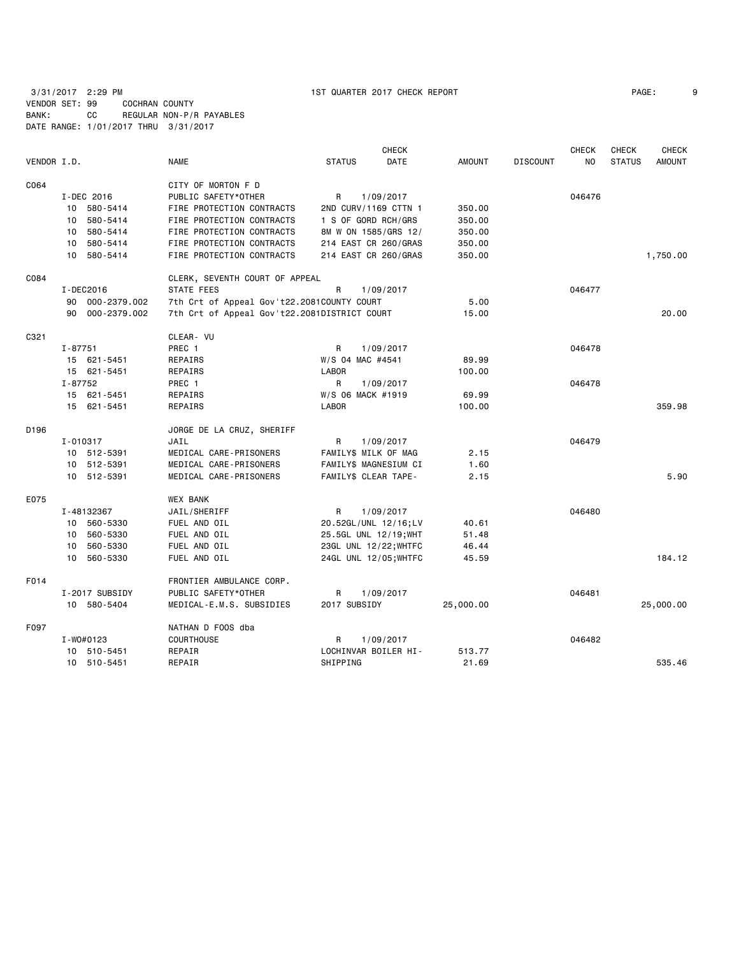|             |                    |                                              | <b>CHECK</b>                 |               |                 | <b>CHECK</b>   | <b>CHECK</b>  | <b>CHECK</b>  |
|-------------|--------------------|----------------------------------------------|------------------------------|---------------|-----------------|----------------|---------------|---------------|
| VENDOR I.D. |                    | <b>NAME</b>                                  | <b>STATUS</b><br><b>DATE</b> | <b>AMOUNT</b> | <b>DISCOUNT</b> | N <sub>O</sub> | <b>STATUS</b> | <b>AMOUNT</b> |
| C064        |                    | CITY OF MORTON F D                           |                              |               |                 |                |               |               |
|             | I-DEC 2016         | PUBLIC SAFETY*OTHER                          | 1/09/2017<br>R               |               |                 | 046476         |               |               |
|             | 10 580-5414        | FIRE PROTECTION CONTRACTS                    | 2ND CURV/1169 CTTN 1         | 350.00        |                 |                |               |               |
|             | 580-5414<br>10     | FIRE PROTECTION CONTRACTS                    | 1 S OF GORD RCH/GRS          | 350.00        |                 |                |               |               |
|             | 10 580-5414        | FIRE PROTECTION CONTRACTS                    | 8M W ON 1585/GRS 12/         | 350.00        |                 |                |               |               |
|             | 10 580-5414        | FIRE PROTECTION CONTRACTS                    | 214 EAST CR 260/GRAS         | 350.00        |                 |                |               |               |
|             | 10 580-5414        | FIRE PROTECTION CONTRACTS                    | 214 EAST CR 260/GRAS         | 350.00        |                 |                |               | 1,750.00      |
| C084        |                    | CLERK, SEVENTH COURT OF APPEAL               |                              |               |                 |                |               |               |
|             | I-DEC2016          | STATE FEES                                   | R<br>1/09/2017               |               |                 | 046477         |               |               |
|             | 000-2379.002<br>90 | 7th Crt of Appeal Gov't22.2081COUNTY COURT   |                              | 5.00          |                 |                |               |               |
|             | 90 000-2379.002    | 7th Crt of Appeal Gov't22.2081DISTRICT COURT |                              | 15.00         |                 |                |               | 20,00         |
| C321        |                    | CLEAR- VU                                    |                              |               |                 |                |               |               |
|             | $I - 87751$        | PREC 1                                       | R<br>1/09/2017               |               |                 | 046478         |               |               |
|             | 15 621-5451        | REPAIRS                                      | W/S 04 MAC #4541             | 89.99         |                 |                |               |               |
|             | 15 621-5451        | REPAIRS                                      | <b>LABOR</b>                 | 100.00        |                 |                |               |               |
|             | I-87752            | PREC 1                                       | R<br>1/09/2017               |               |                 | 046478         |               |               |
|             | 15 621-5451        | REPAIRS                                      | W/S 06 MACK #1919            | 69.99         |                 |                |               |               |
|             | 15 621-5451        | REPAIRS                                      | <b>LABOR</b>                 | 100.00        |                 |                |               | 359.98        |
| D196        |                    | JORGE DE LA CRUZ, SHERIFF                    |                              |               |                 |                |               |               |
|             | I-010317           | JAIL                                         | 1/09/2017<br>R               |               |                 | 046479         |               |               |
|             | 10 512-5391        | MEDICAL CARE-PRISONERS                       | FAMILY\$ MILK OF MAG         | 2.15          |                 |                |               |               |
|             | 10 512-5391        | MEDICAL CARE-PRISONERS                       | FAMILY\$ MAGNESIUM CI        | 1.60          |                 |                |               |               |
|             | 10 512-5391        | MEDICAL CARE-PRISONERS                       | FAMILY\$ CLEAR TAPE-         | 2.15          |                 |                |               | 5.90          |
| E075        |                    | <b>WEX BANK</b>                              |                              |               |                 |                |               |               |
|             | I-48132367         | JAIL/SHERIFF                                 | R<br>1/09/2017               |               |                 | 046480         |               |               |
|             | 10 560-5330        | FUEL AND OIL                                 | 20.52GL/UNL 12/16;LV         | 40.61         |                 |                |               |               |
|             | 560-5330<br>10     | FUEL AND OIL                                 | 25.5GL UNL 12/19; WHT        | 51.48         |                 |                |               |               |
|             | 10 560-5330        | FUEL AND OIL                                 | 23GL UNL 12/22; WHTFC        | 46.44         |                 |                |               |               |
|             | 10 560-5330        | FUEL AND OIL                                 | 24GL UNL 12/05; WHTFC        | 45.59         |                 |                |               | 184.12        |
| F014        |                    | FRONTIER AMBULANCE CORP.                     |                              |               |                 |                |               |               |
|             | I-2017 SUBSIDY     | PUBLIC SAFETY*OTHER                          | R<br>1/09/2017               |               |                 | 046481         |               |               |
|             | 10 580-5404        | MEDICAL-E.M.S. SUBSIDIES                     | 2017 SUBSIDY                 | 25,000.00     |                 |                |               | 25,000.00     |
| F097        |                    | NATHAN D FOOS dba                            |                              |               |                 |                |               |               |
|             | I-W0#0123          | <b>COURTHOUSE</b>                            | R<br>1/09/2017               |               |                 | 046482         |               |               |
|             | 10 510-5451        | REPAIR                                       | LOCHINVAR BOILER HI-         | 513.77        |                 |                |               |               |
|             | 10 510-5451        | REPAIR                                       | SHIPPING                     | 21.69         |                 |                |               | 535.46        |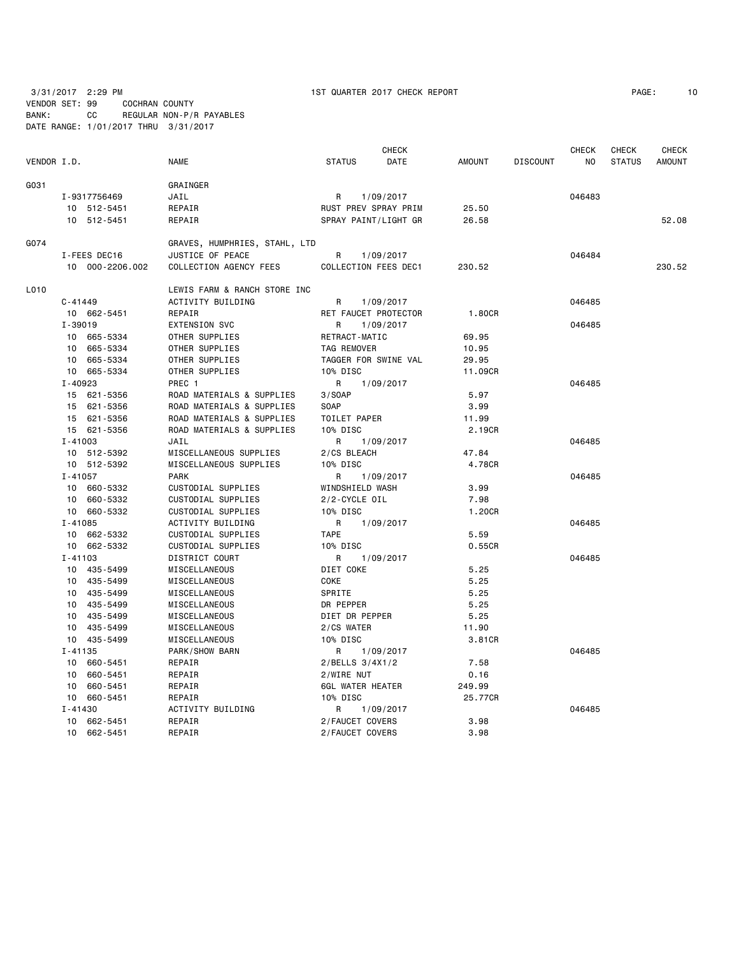3/31/2017 2:29 PM 1ST QUARTER 2017 CHECK REPORT PAGE: 10 VENDOR SET: 99 COCHRAN COUNTY

BANK: CC REGULAR NON-P/R PAYABLES DATE RANGE: 1/01/2017 THRU 3/31/2017

 CHECK CHECK CHECK CHECK VENDOR I.D. NAME STATUS DATE AMOUNT DISCOUNT NO STATUS AMOUNT G031 GRAINGER I-9317756469 JAIL R 1/09/2017 046483 10 512-5451 REPAIR RUST PREV SPRAY PRIM 25.50 10 512-5451 REPAIR SPRAY PAINT/LIGHT GR 26.58 52.08 G074 GRAVES, HUMPHRIES, STAHL, LTD I-FEES DEC16 JUSTICE OF PEACE R 1/09/2017 046484 10 000-2206.002 COLLECTION AGENCY FEES COLLECTION FEES DEC1 230.52 230.52 L010 LEWIS FARM & RANCH STORE INC C-41449 ACTIVITY BUILDING R 1/09/2017 046485 10 662-5451 REPAIR RET FAUCET PROTECTOR 1.80CR I-39019 EXTENSION SVC R 1/09/2017 046485 10 665-5334 OTHER SUPPLIES RETRACT-MATIC 69.95 10 665-5334 OTHER SUPPLIES TAG REMOVER 10.95 10 665-5334 OTHER SUPPLIES TAGGER FOR SWINE VAL 29.95 10 665-5334 OTHER SUPPLIES 10% DISC 10 100 11.09CR I-40923 PREC 1 R 1/09/2017 046485 15 621-5356 ROAD MATERIALS & SUPPLIES 3/SOAP 5.97 15 621-5356 ROAD MATERIALS & SUPPLIES SOAP 3.99 15 621-5356 ROAD MATERIALS & SUPPLIES TOILET PAPER 11.99 15 621-5356 ROAD MATERIALS & SUPPLIES 10% DISC 2.19CR I-41003 JAIL R 1/09/2017 046485 10 512-5392 MISCELLANEOUS SUPPLIES 2/CS BLEACH 47.84 10 512-5392 MISCELLANEOUS SUPPLIES 10% DISC 4.78CR I-41057 PARK R 1/09/2017 046485 CUSTODIAL SUPPLIES WINDSHIELD WASH 3.99 10 660-5332 CUSTODIAL SUPPLIES 2/2-CYCLE OIL 7.98 10 660-5332 CUSTODIAL SUPPLIES 10% DISC 1.20CR I-41085 ACTIVITY BUILDING R 1/09/2017 046485 10 662-5332 CUSTODIAL SUPPLIES TAPE 5.59 10 662-5332 CUSTODIAL SUPPLIES 10% DISC 0.55CR I-41103 DISTRICT COURT R 1/09/2017 046485 10 435-5499 MISCELLANEOUS DIET COKE 5.25 10 435-5499 MISCELLANEOUS COKE 5.25 10 435-5499 MISCELLANEOUS SPRITE 5.25 10 435-5499 MISCELLANEOUS DR PEPPER 5.25 DIET DR PEPPER 10 435-5499 MISCELLANEOUS 2/CS WATER 11.90 10 435-5499 MISCELLANEOUS 10% DISC 3.81CR I-41135 PARK/SHOW BARN R 1/09/2017 R 109/2017 046485 10 660-5451 REPAIR 2/BELLS 3/4X1/2 7.58 10 660-5451 REPAIR 2/WIRE NUT 0.16 10 660-5451 REPAIR 6GL WATER HEATER 249.99 10 660-5451 REPAIR 10% DISC 25.77CR I-41430 ACTIVITY BUILDING R 1/09/2017 046485 10 662-5451 REPAIR 2/FAUCET COVERS 3.98 10 662-5451 REPAIR 2/FAUCET COVERS 3.98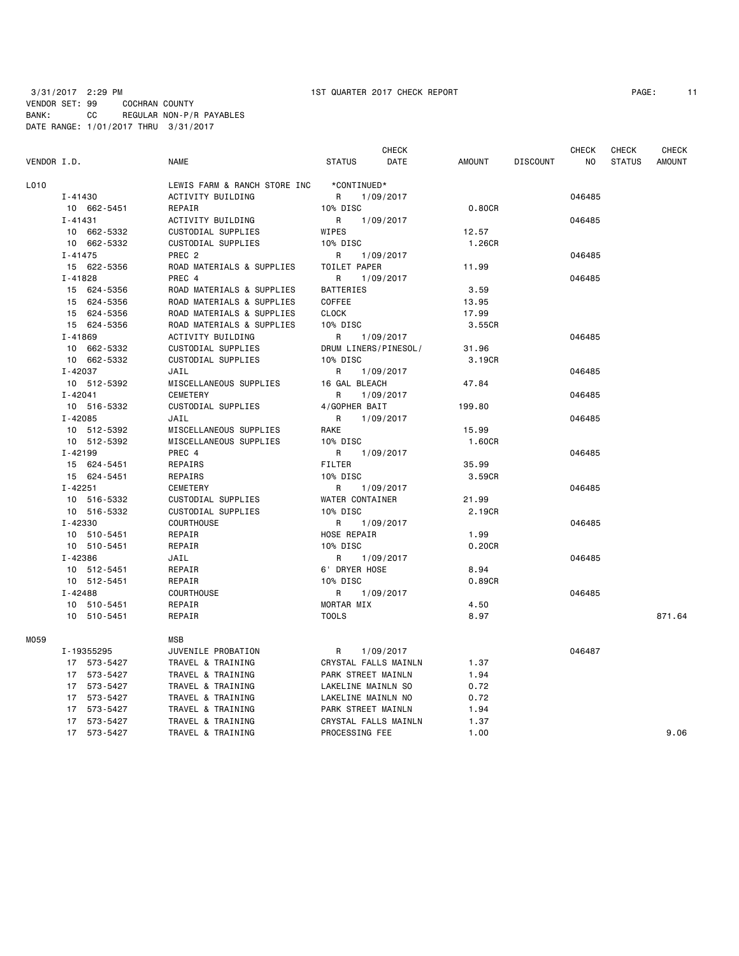| PAGE: | 11 |  |
|-------|----|--|
|-------|----|--|

|             |             |                              |                      | <b>CHECK</b> |               |                 | <b>CHECK</b> | <b>CHECK</b>  | <b>CHECK</b>  |
|-------------|-------------|------------------------------|----------------------|--------------|---------------|-----------------|--------------|---------------|---------------|
| VENDOR I.D. |             | <b>NAME</b>                  | <b>STATUS</b>        | DATE         | <b>AMOUNT</b> | <b>DISCOUNT</b> | NO           | <b>STATUS</b> | <b>AMOUNT</b> |
| L010        |             | LEWIS FARM & RANCH STORE INC | *CONTINUED*          |              |               |                 |              |               |               |
|             | $I - 41430$ | ACTIVITY BUILDING            | R                    | 1/09/2017    |               |                 | 046485       |               |               |
|             | 10 662-5451 | REPAIR                       | 10% DISC             |              | 0.80CR        |                 |              |               |               |
|             | $I - 41431$ | ACTIVITY BUILDING            | R                    | 1/09/2017    |               |                 | 046485       |               |               |
|             | 10 662-5332 | CUSTODIAL SUPPLIES           | WIPES                |              | 12.57         |                 |              |               |               |
|             | 10 662-5332 | CUSTODIAL SUPPLIES           | 10% DISC             |              | 1.26CR        |                 |              |               |               |
|             | $I - 41475$ | PREC <sub>2</sub>            | R                    | 1/09/2017    |               |                 | 046485       |               |               |
|             | 15 622-5356 | ROAD MATERIALS & SUPPLIES    | TOILET PAPER         |              | 11.99         |                 |              |               |               |
|             | $I - 41828$ | PREC 4                       | R                    | 1/09/2017    |               |                 | 046485       |               |               |
|             | 15 624-5356 | ROAD MATERIALS & SUPPLIES    | BATTERIES            |              | 3.59          |                 |              |               |               |
|             | 15 624-5356 | ROAD MATERIALS & SUPPLIES    | COFFEE               |              | 13.95         |                 |              |               |               |
|             | 15 624-5356 | ROAD MATERIALS & SUPPLIES    | <b>CLOCK</b>         |              | 17.99         |                 |              |               |               |
|             | 15 624-5356 | ROAD MATERIALS & SUPPLIES    | 10% DISC             |              | 3.55CR        |                 |              |               |               |
|             | $I - 41869$ | ACTIVITY BUILDING            | R                    | 1/09/2017    |               |                 | 046485       |               |               |
|             | 10 662-5332 | CUSTODIAL SUPPLIES           | DRUM LINERS/PINESOL/ |              | 31.96         |                 |              |               |               |
|             | 10 662-5332 | CUSTODIAL SUPPLIES           | 10% DISC             |              | 3.19CR        |                 |              |               |               |
|             | I-42037     | JAIL                         | R                    | 1/09/2017    |               |                 | 046485       |               |               |
|             | 10 512-5392 | MISCELLANEOUS SUPPLIES       | 16 GAL BLEACH        |              | 47.84         |                 |              |               |               |
|             | $I - 42041$ | CEMETERY                     | R                    | 1/09/2017    |               |                 | 046485       |               |               |
|             | 10 516-5332 | CUSTODIAL SUPPLIES           | 4/GOPHER BAIT        |              | 199.80        |                 |              |               |               |
|             | $I - 42085$ | JAIL                         | R                    | 1/09/2017    |               |                 | 046485       |               |               |
|             | 10 512-5392 | MISCELLANEOUS SUPPLIES       | RAKE                 |              | 15.99         |                 |              |               |               |
|             | 10 512-5392 | MISCELLANEOUS SUPPLIES       | 10% DISC             |              | 1.60CR        |                 |              |               |               |
|             | $I - 42199$ | PREC 4                       | R                    | 1/09/2017    |               |                 | 046485       |               |               |
|             | 15 624-5451 | REPAIRS                      | <b>FILTER</b>        |              | 35.99         |                 |              |               |               |
|             | 15 624-5451 | REPAIRS                      | 10% DISC             |              | 3.59CR        |                 |              |               |               |
|             | $I - 42251$ | CEMETERY                     | R                    | 1/09/2017    |               |                 | 046485       |               |               |
|             | 10 516-5332 | CUSTODIAL SUPPLIES           | WATER CONTAINER      |              | 21.99         |                 |              |               |               |
|             | 10 516-5332 | CUSTODIAL SUPPLIES           | 10% DISC             |              | 2.19CR        |                 |              |               |               |
|             | I-42330     | <b>COURTHOUSE</b>            | R                    | 1/09/2017    |               |                 | 046485       |               |               |
|             | 10 510-5451 | REPAIR                       | HOSE REPAIR          |              | 1.99          |                 |              |               |               |
|             | 10 510-5451 | REPAIR                       | 10% DISC             |              | 0.20CR        |                 |              |               |               |
|             | I-42386     | JAIL                         | R                    | 1/09/2017    |               |                 | 046485       |               |               |
|             | 10 512-5451 | REPAIR                       | 6' DRYER HOSE        |              | 8.94          |                 |              |               |               |
|             | 10 512-5451 | REPAIR                       | 10% DISC             |              | 0.89CR        |                 |              |               |               |
|             | $I - 42488$ | <b>COURTHOUSE</b>            | R                    | 1/09/2017    |               |                 | 046485       |               |               |
|             | 10 510-5451 | REPAIR                       | MORTAR MIX           |              | 4.50          |                 |              |               |               |
|             | 10 510-5451 | REPAIR                       | <b>TOOLS</b>         |              | 8.97          |                 |              |               | 871.64        |
| M059        |             | <b>MSB</b>                   |                      |              |               |                 |              |               |               |
|             | I-19355295  | JUVENILE PROBATION           | R                    | 1/09/2017    |               |                 | 046487       |               |               |
|             | 17 573-5427 | TRAVEL & TRAINING            | CRYSTAL FALLS MAINLN |              | 1.37          |                 |              |               |               |
|             | 17 573-5427 | TRAVEL & TRAINING            | PARK STREET MAINLN   |              | 1.94          |                 |              |               |               |
|             | 17 573-5427 | TRAVEL & TRAINING            | LAKELINE MAINLN SO   |              | 0.72          |                 |              |               |               |
|             | 17 573-5427 | TRAVEL & TRAINING            | LAKELINE MAINLN NO   |              | 0.72          |                 |              |               |               |
|             | 17 573-5427 | TRAVEL & TRAINING            | PARK STREET MAINLN   |              | 1.94          |                 |              |               |               |
|             | 17 573-5427 | TRAVEL & TRAINING            | CRYSTAL FALLS MAINLN |              | 1.37          |                 |              |               |               |
|             | 17 573-5427 | TRAVEL & TRAINING            | PROCESSING FEE       |              | 1.00          |                 |              |               | 9.06          |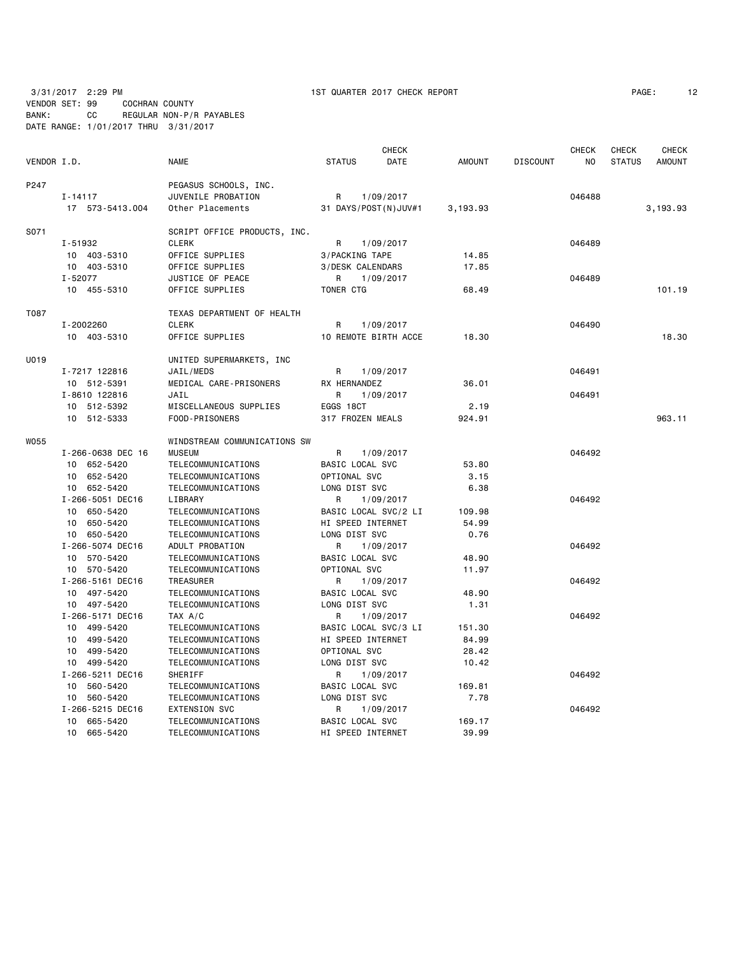3/31/2017 2:29 PM 1ST QUARTER 2017 CHECK REPORT PAGE: 12 VENDOR SET: 99 COCHRAN COUNTY BANK: CC REGULAR NON-P/R PAYABLES

DATE RANGE: 1/01/2017 THRU 3/31/2017

|             |                   |                              |                      | <b>CHECK</b>         |               |                 | <b>CHECK</b>   | <b>CHECK</b>  | <b>CHECK</b>  |
|-------------|-------------------|------------------------------|----------------------|----------------------|---------------|-----------------|----------------|---------------|---------------|
| VENDOR I.D. |                   | <b>NAME</b>                  | <b>STATUS</b>        | DATE                 | <b>AMOUNT</b> | <b>DISCOUNT</b> | N <sub>O</sub> | <b>STATUS</b> | <b>AMOUNT</b> |
| P247        |                   | PEGASUS SCHOOLS, INC.        |                      |                      |               |                 |                |               |               |
|             | $I - 14117$       | JUVENILE PROBATION           | R                    | 1/09/2017            |               |                 | 046488         |               |               |
|             | 17 573-5413.004   | Other Placements             | 31 DAYS/POST(N)JUV#1 |                      | 3,193.93      |                 |                |               | 3,193.93      |
| S071        |                   | SCRIPT OFFICE PRODUCTS, INC. |                      |                      |               |                 |                |               |               |
|             | I-51932           | <b>CLERK</b>                 | R                    | 1/09/2017            |               |                 | 046489         |               |               |
|             | 10 403-5310       | OFFICE SUPPLIES              | 3/PACKING TAPE       |                      | 14.85         |                 |                |               |               |
|             | 10 403-5310       | OFFICE SUPPLIES              | 3/DESK CALENDARS     |                      | 17.85         |                 |                |               |               |
|             | $I - 52077$       | JUSTICE OF PEACE             | R                    | 1/09/2017            |               |                 | 046489         |               |               |
|             | 10 455-5310       | OFFICE SUPPLIES              | TONER CTG            |                      | 68.49         |                 |                |               | 101.19        |
| T087        |                   | TEXAS DEPARTMENT OF HEALTH   |                      |                      |               |                 |                |               |               |
|             | I-2002260         | <b>CLERK</b>                 | R                    | 1/09/2017            |               |                 | 046490         |               |               |
|             | 10 403-5310       | OFFICE SUPPLIES              | 10 REMOTE BIRTH ACCE |                      | 18.30         |                 |                |               | 18,30         |
| U019        |                   | UNITED SUPERMARKETS, INC     |                      |                      |               |                 |                |               |               |
|             | I-7217 122816     | JAIL/MEDS                    | R                    | 1/09/2017            |               |                 | 046491         |               |               |
|             | 10 512-5391       | MEDICAL CARE-PRISONERS       | RX HERNANDEZ         |                      | 36.01         |                 |                |               |               |
|             | I-8610 122816     | JAIL                         | R                    | 1/09/2017            |               |                 | 046491         |               |               |
|             | 10 512-5392       | MISCELLANEOUS SUPPLIES       | EGGS 18CT            |                      | 2.19          |                 |                |               |               |
|             | 10 512-5333       | FOOD-PRISONERS               | 317 FROZEN MEALS     |                      | 924.91        |                 |                |               | 963.11        |
| W055        |                   | WINDSTREAM COMMUNICATIONS SW |                      |                      |               |                 |                |               |               |
|             | I-266-0638 DEC 16 | <b>MUSEUM</b>                | R                    | 1/09/2017            |               |                 | 046492         |               |               |
|             | 10 652-5420       | TELECOMMUNICATIONS           | BASIC LOCAL SVC      |                      | 53.80         |                 |                |               |               |
|             | 10 652-5420       | TELECOMMUNICATIONS           | OPTIONAL SVC         |                      | 3.15          |                 |                |               |               |
|             | 10 652-5420       | TELECOMMUNICATIONS           | LONG DIST SVC        |                      | 6.38          |                 |                |               |               |
|             | I-266-5051 DEC16  | LIBRARY                      | R                    | 1/09/2017            |               |                 | 046492         |               |               |
|             | 10 650-5420       | TELECOMMUNICATIONS           |                      | BASIC LOCAL SVC/2 LI | 109.98        |                 |                |               |               |
|             | 10 650-5420       | TELECOMMUNICATIONS           | HI SPEED INTERNET    |                      | 54.99         |                 |                |               |               |
|             | 10 650-5420       | TELECOMMUNICATIONS           | LONG DIST SVC        |                      | 0.76          |                 |                |               |               |
|             | I-266-5074 DEC16  | ADULT PROBATION              | R                    | 1/09/2017            |               |                 | 046492         |               |               |
|             | 10 570-5420       | TELECOMMUNICATIONS           | BASIC LOCAL SVC      |                      | 48.90         |                 |                |               |               |
|             | 10 570-5420       | TELECOMMUNICATIONS           | OPTIONAL SVC         |                      | 11.97         |                 |                |               |               |
|             | I-266-5161 DEC16  | <b>TREASURER</b>             | R                    | 1/09/2017            |               |                 | 046492         |               |               |
|             | 10 497-5420       | TELECOMMUNICATIONS           | BASIC LOCAL SVC      |                      | 48.90         |                 |                |               |               |
|             | 10 497-5420       | TELECOMMUNICATIONS           | LONG DIST SVC        |                      | 1.31          |                 |                |               |               |
|             | I-266-5171 DEC16  | TAX A/C                      | R                    | 1/09/2017            |               |                 | 046492         |               |               |
|             | 10 499-5420       | TELECOMMUNICATIONS           |                      | BASIC LOCAL SVC/3 LI | 151.30        |                 |                |               |               |
|             | 10 499-5420       | TELECOMMUNICATIONS           | HI SPEED INTERNET    |                      | 84.99         |                 |                |               |               |
|             | 10 499-5420       | TELECOMMUNICATIONS           | OPTIONAL SVC         |                      | 28.42         |                 |                |               |               |
|             | 10 499-5420       | TELECOMMUNICATIONS           | LONG DIST SVC        |                      | 10.42         |                 |                |               |               |
|             | I-266-5211 DEC16  | SHERIFF                      | R                    | 1/09/2017            |               |                 | 046492         |               |               |
|             | 10 560-5420       | TELECOMMUNICATIONS           | BASIC LOCAL SVC      |                      | 169.81        |                 |                |               |               |
|             | 10 560-5420       | TELECOMMUNICATIONS           | LONG DIST SVC        |                      | 7.78          |                 |                |               |               |
|             | I-266-5215 DEC16  | <b>EXTENSION SVC</b>         | R                    | 1/09/2017            |               |                 | 046492         |               |               |
|             | 10 665-5420       | TELECOMMUNICATIONS           | BASIC LOCAL SVC      |                      | 169.17        |                 |                |               |               |
|             | 10 665-5420       | TELECOMMUNICATIONS           | HI SPEED INTERNET    |                      | 39.99         |                 |                |               |               |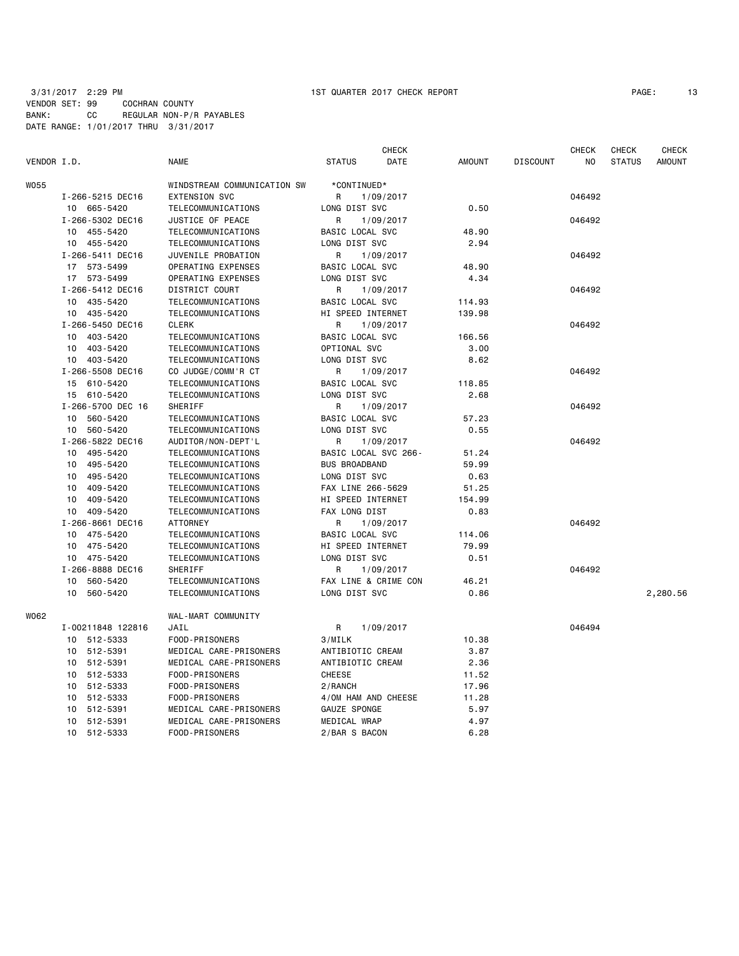| PAGE : | 13 |
|--------|----|
|--------|----|

|             |                                    |                             |                        | <b>CHECK</b> |               |                 | <b>CHECK</b> | <b>CHECK</b>  | <b>CHECK</b>  |
|-------------|------------------------------------|-----------------------------|------------------------|--------------|---------------|-----------------|--------------|---------------|---------------|
| VENDOR I.D. |                                    | <b>NAME</b>                 | STATUS                 | DATE         | <b>AMOUNT</b> | <b>DISCOUNT</b> | NO           | <b>STATUS</b> | <b>AMOUNT</b> |
| W055        |                                    | WINDSTREAM COMMUNICATION SW | *CONTINUED*            |              |               |                 |              |               |               |
|             | I-266-5215 DEC16                   | <b>EXTENSION SVC</b>        | R                      | 1/09/2017    |               |                 | 046492       |               |               |
|             | 10 665-5420                        | TELECOMMUNICATIONS          | LONG DIST SVC          |              | 0.50          |                 |              |               |               |
|             | I-266-5302 DEC16                   | JUSTICE OF PEACE            | R                      | 1/09/2017    |               |                 | 046492       |               |               |
|             | 10 455-5420                        | TELECOMMUNICATIONS          | BASIC LOCAL SVC        |              | 48.90         |                 |              |               |               |
|             | 10 455-5420                        | TELECOMMUNICATIONS          | LONG DIST SVC          |              | 2.94          |                 |              |               |               |
|             | I-266-5411 DEC16                   | JUVENILE PROBATION          | R                      | 1/09/2017    |               |                 | 046492       |               |               |
|             | 17 573-5499                        | OPERATING EXPENSES          | BASIC LOCAL SVC        |              | 48.90         |                 |              |               |               |
|             | 17 573-5499                        | OPERATING EXPENSES          | LONG DIST SVC          |              | 4.34          |                 |              |               |               |
|             |                                    |                             | R                      | 1/09/2017    |               |                 | 046492       |               |               |
|             | I-266-5412 DEC16<br>DISTRICT COURT |                             |                        |              |               |                 |              |               |               |
|             | 10 435-5420                        | TELECOMMUNICATIONS          | BASIC LOCAL SVC        |              | 114.93        |                 |              |               |               |
|             | 10 435-5420                        | TELECOMMUNICATIONS          | HI SPEED INTERNET      |              | 139.98        |                 |              |               |               |
|             | I-266-5450 DEC16                   | <b>CLERK</b>                | R                      | 1/09/2017    |               |                 | 046492       |               |               |
|             | 403-5420<br>10                     | TELECOMMUNICATIONS          | <b>BASIC LOCAL SVC</b> |              | 166.56        |                 |              |               |               |
|             | 10 403-5420                        | TELECOMMUNICATIONS          | OPTIONAL SVC           |              | 3.00          |                 |              |               |               |
|             | 10 403-5420                        | TELECOMMUNICATIONS          | LONG DIST SVC          |              | 8.62          |                 |              |               |               |
|             | I-266-5508 DEC16                   | CO JUDGE/COMM'R CT          | R                      | 1/09/2017    |               |                 | 046492       |               |               |
|             | 15 610-5420                        | TELECOMMUNICATIONS          | BASIC LOCAL SVC        |              | 118.85        |                 |              |               |               |
|             | 15 610-5420                        | TELECOMMUNICATIONS          | LONG DIST SVC          |              | 2.68          |                 |              |               |               |
|             | I-266-5700 DEC 16                  | SHERIFF                     | R                      | 1/09/2017    |               |                 | 046492       |               |               |
|             | 560-5420<br>10                     | TELECOMMUNICATIONS          | BASIC LOCAL SVC        |              | 57.23         |                 |              |               |               |
|             | 10<br>560-5420                     | TELECOMMUNICATIONS          | LONG DIST SVC          |              | 0.55          |                 |              |               |               |
|             | I-266-5822 DEC16                   | AUDITOR/NON-DEPT'L          | R                      | 1/09/2017    |               |                 | 046492       |               |               |
|             | 10 495-5420                        | TELECOMMUNICATIONS          | BASIC LOCAL SVC 266-   |              | 51.24         |                 |              |               |               |
|             | 495-5420<br>10                     | TELECOMMUNICATIONS          | <b>BUS BROADBAND</b>   |              | 59.99         |                 |              |               |               |
|             | 495-5420<br>10                     | TELECOMMUNICATIONS          | LONG DIST SVC          |              | 0.63          |                 |              |               |               |
|             | 409-5420<br>10                     | TELECOMMUNICATIONS          | FAX LINE 266-5629      |              | 51.25         |                 |              |               |               |
|             | 409-5420<br>10                     | TELECOMMUNICATIONS          | HI SPEED INTERNET      |              | 154.99        |                 |              |               |               |
|             | 10 409-5420                        | TELECOMMUNICATIONS          | FAX LONG DIST          |              | 0.83          |                 |              |               |               |
|             | I-266-8661 DEC16                   | <b>ATTORNEY</b>             | R                      | 1/09/2017    |               |                 | 046492       |               |               |
|             | 475-5420<br>10                     | TELECOMMUNICATIONS          | BASIC LOCAL SVC        |              | 114.06        |                 |              |               |               |
|             | 10 475-5420                        | TELECOMMUNICATIONS          | HI SPEED INTERNET      |              | 79.99         |                 |              |               |               |
|             | 10 475-5420                        | TELECOMMUNICATIONS          | LONG DIST SVC          |              | 0.51          |                 |              |               |               |
|             | I-266-8888 DEC16                   | SHERIFF                     | R                      | 1/09/2017    |               |                 | 046492       |               |               |
|             | 560-5420<br>10                     | TELECOMMUNICATIONS          | FAX LINE & CRIME CON   |              | 46.21         |                 |              |               |               |
|             | 560-5420<br>10                     | TELECOMMUNICATIONS          | LONG DIST SVC          |              | 0.86          |                 |              |               | 2,280.56      |
| W062        |                                    | WAL-MART COMMUNITY          |                        |              |               |                 |              |               |               |
|             | I-00211848 122816                  | JAIL                        | R                      | 1/09/2017    |               |                 | 046494       |               |               |
|             | 10<br>512-5333                     | FOOD-PRISONERS              | 3/MILK                 |              | 10.38         |                 |              |               |               |
|             | 10 512-5391                        | MEDICAL CARE-PRISONERS      | ANTIBIOTIC CREAM       |              | 3.87          |                 |              |               |               |
|             | 512-5391<br>10                     | MEDICAL CARE-PRISONERS      | ANTIBIOTIC CREAM       |              | 2.36          |                 |              |               |               |
|             | 10 512-5333                        | FOOD-PRISONERS              | CHEESE                 |              | 11.52         |                 |              |               |               |
|             | 512-5333<br>10                     | FOOD-PRISONERS              | 2/RANCH                |              | 17.96         |                 |              |               |               |
|             | 10 512-5333                        | FOOD-PRISONERS              | 4/0M HAM AND CHEESE    |              | 11.28         |                 |              |               |               |
|             | 512-5391<br>10                     | MEDICAL CARE-PRISONERS      | GAUZE SPONGE           |              | 5.97          |                 |              |               |               |
|             | 512-5391<br>10                     | MEDICAL CARE-PRISONERS      | MEDICAL WRAP           |              | 4.97          |                 |              |               |               |
|             | 10 512-5333                        | FOOD-PRISONERS              | 2/BAR S BACON          |              | 6.28          |                 |              |               |               |
|             |                                    |                             |                        |              |               |                 |              |               |               |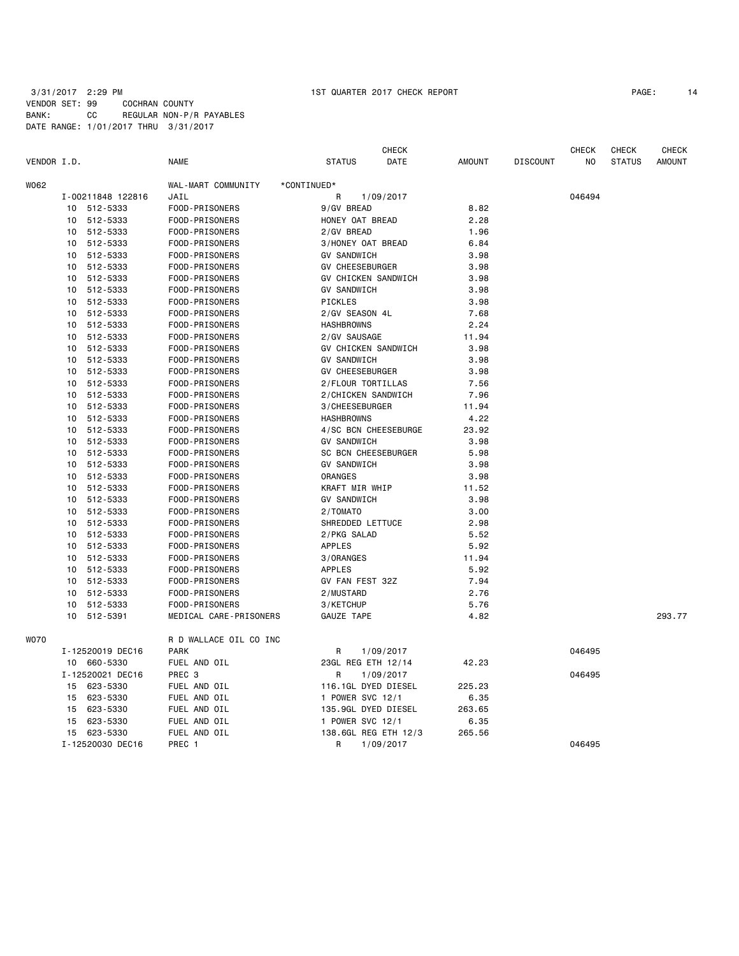| VENDOR I.D. |    |                   | <b>NAME</b>            |             | <b>STATUS</b>          | <b>CHECK</b><br>DATE       | <b>AMOUNT</b> | <b>DISCOUNT</b> | <b>CHECK</b><br>N <sub>O</sub> | <b>CHECK</b><br><b>STATUS</b> | CHECK<br><b>AMOUNT</b> |
|-------------|----|-------------------|------------------------|-------------|------------------------|----------------------------|---------------|-----------------|--------------------------------|-------------------------------|------------------------|
| W062        |    |                   | WAL-MART COMMUNITY     | *CONTINUED* |                        |                            |               |                 |                                |                               |                        |
|             |    | I-00211848 122816 | JAIL                   |             | R                      | 1/09/2017                  |               |                 | 046494                         |                               |                        |
|             | 10 | 512-5333          | FOOD-PRISONERS         |             | 9/GV BREAD             |                            | 8.82          |                 |                                |                               |                        |
|             | 10 | 512-5333          | FOOD-PRISONERS         |             | HONEY OAT BREAD        |                            | 2.28          |                 |                                |                               |                        |
|             | 10 | 512-5333          | FOOD-PRISONERS         |             | 2/GV BREAD             |                            | 1.96          |                 |                                |                               |                        |
|             | 10 | 512-5333          | FOOD-PRISONERS         |             | 3/HONEY OAT BREAD      |                            | 6.84          |                 |                                |                               |                        |
|             | 10 | 512-5333          | FOOD-PRISONERS         |             | <b>GV SANDWICH</b>     |                            | 3.98          |                 |                                |                               |                        |
|             | 10 | 512-5333          | FOOD-PRISONERS         |             | <b>GV CHEESEBURGER</b> |                            | 3.98          |                 |                                |                               |                        |
|             | 10 | 512-5333          | FOOD-PRISONERS         |             |                        | GV CHICKEN SANDWICH        | 3.98          |                 |                                |                               |                        |
|             | 10 | 512-5333          | FOOD-PRISONERS         |             | <b>GV SANDWICH</b>     |                            | 3.98          |                 |                                |                               |                        |
|             | 10 | 512-5333          | FOOD-PRISONERS         |             | PICKLES                |                            | 3.98          |                 |                                |                               |                        |
|             | 10 | 512-5333          | FOOD-PRISONERS         |             | 2/GV SEASON 4L         |                            | 7.68          |                 |                                |                               |                        |
|             | 10 | 512-5333          | FOOD-PRISONERS         |             | <b>HASHBROWNS</b>      |                            | 2.24          |                 |                                |                               |                        |
|             | 10 | 512-5333          | FOOD-PRISONERS         |             | 2/GV SAUSAGE           |                            | 11.94         |                 |                                |                               |                        |
|             | 10 | 512-5333          | FOOD-PRISONERS         |             |                        | GV CHICKEN SANDWICH        | 3.98          |                 |                                |                               |                        |
|             | 10 | 512-5333          | FOOD-PRISONERS         |             | <b>GV SANDWICH</b>     |                            | 3.98          |                 |                                |                               |                        |
|             | 10 | 512-5333          | FOOD-PRISONERS         |             | GV CHEESEBURGER        |                            | 3.98          |                 |                                |                               |                        |
|             | 10 | 512-5333          | FOOD-PRISONERS         |             | 2/FLOUR TORTILLAS      |                            | 7.56          |                 |                                |                               |                        |
|             | 10 | 512-5333          | FOOD-PRISONERS         |             | 2/CHICKEN SANDWICH     |                            | 7.96          |                 |                                |                               |                        |
|             | 10 | 512-5333          | FOOD-PRISONERS         |             | 3/CHEESEBURGER         |                            | 11.94         |                 |                                |                               |                        |
|             | 10 | 512-5333          | FOOD-PRISONERS         |             | <b>HASHBROWNS</b>      |                            | 4.22          |                 |                                |                               |                        |
|             | 10 | 512-5333          | FOOD-PRISONERS         |             |                        | 4/SC BCN CHEESEBURGE       | 23.92         |                 |                                |                               |                        |
|             | 10 | 512-5333          | FOOD-PRISONERS         |             | <b>GV SANDWICH</b>     |                            | 3.98          |                 |                                |                               |                        |
|             | 10 | 512-5333          | FOOD-PRISONERS         |             |                        | <b>SC BCN CHEESEBURGER</b> | 5.98          |                 |                                |                               |                        |
|             | 10 | 512-5333          | FOOD-PRISONERS         |             | <b>GV SANDWICH</b>     |                            | 3.98          |                 |                                |                               |                        |
|             | 10 | 512-5333          | FOOD-PRISONERS         |             | ORANGES                |                            | 3.98          |                 |                                |                               |                        |
|             | 10 | 512-5333          | FOOD-PRISONERS         |             | KRAFT MIR WHIP         |                            | 11.52         |                 |                                |                               |                        |
|             | 10 | 512-5333          | FOOD-PRISONERS         |             | <b>GV SANDWICH</b>     |                            | 3.98          |                 |                                |                               |                        |
|             | 10 | 512-5333          | FOOD-PRISONERS         |             | 2/TOMATO               |                            | 3.00          |                 |                                |                               |                        |
|             | 10 | 512-5333          | FOOD-PRISONERS         |             | SHREDDED LETTUCE       |                            | 2.98          |                 |                                |                               |                        |
|             | 10 | 512-5333          | FOOD-PRISONERS         |             | 2/PKG SALAD            |                            | 5.52          |                 |                                |                               |                        |
|             | 10 | 512-5333          | FOOD-PRISONERS         |             | <b>APPLES</b>          |                            | 5.92          |                 |                                |                               |                        |
|             | 10 | 512-5333          | FOOD-PRISONERS         |             | 3/0RANGES              |                            | 11.94         |                 |                                |                               |                        |
|             | 10 | 512-5333          | FOOD-PRISONERS         |             | <b>APPLES</b>          |                            | 5.92          |                 |                                |                               |                        |
|             | 10 | 512-5333          | FOOD-PRISONERS         |             | GV FAN FEST 32Z        |                            | 7.94          |                 |                                |                               |                        |
|             | 10 | 512-5333          | FOOD-PRISONERS         |             | 2/MUSTARD              |                            | 2.76          |                 |                                |                               |                        |
|             | 10 | 512-5333          | FOOD-PRISONERS         |             | 3/KETCHUP              |                            | 5.76          |                 |                                |                               |                        |
|             | 10 | 512-5391          | MEDICAL CARE-PRISONERS |             | GAUZE TAPE             |                            | 4.82          |                 |                                |                               | 293.77                 |
| <b>WO70</b> |    |                   | R D WALLACE OIL CO INC |             |                        |                            |               |                 |                                |                               |                        |
|             |    | I-12520019 DEC16  | <b>PARK</b>            |             | R                      | 1/09/2017                  |               |                 | 046495                         |                               |                        |
|             |    | 10 660-5330       | FUEL AND OIL           |             | 23GL REG ETH 12/14     |                            | 42.23         |                 |                                |                               |                        |
|             |    | I-12520021 DEC16  | PREC 3                 |             | R                      | 1/09/2017                  |               |                 | 046495                         |                               |                        |
|             | 15 | 623-5330          | FUEL AND OIL           |             |                        | 116.1GL DYED DIESEL        | 225.23        |                 |                                |                               |                        |
|             | 15 | 623-5330          | FUEL AND OIL           |             | 1 POWER SVC 12/1       |                            | 6.35          |                 |                                |                               |                        |
|             | 15 | 623-5330          | FUEL AND OIL           |             |                        | 135.9GL DYED DIESEL        | 263.65        |                 |                                |                               |                        |
|             | 15 | 623-5330          | FUEL AND OIL           |             | 1 POWER SVC 12/1       |                            | 6.35          |                 |                                |                               |                        |
|             | 15 | 623-5330          | FUEL AND OIL           |             |                        | 138.6GL REG ETH 12/3       | 265.56        |                 |                                |                               |                        |
|             |    | I-12520030 DEC16  | PREC 1                 |             | R                      | 1/09/2017                  |               |                 | 046495                         |                               |                        |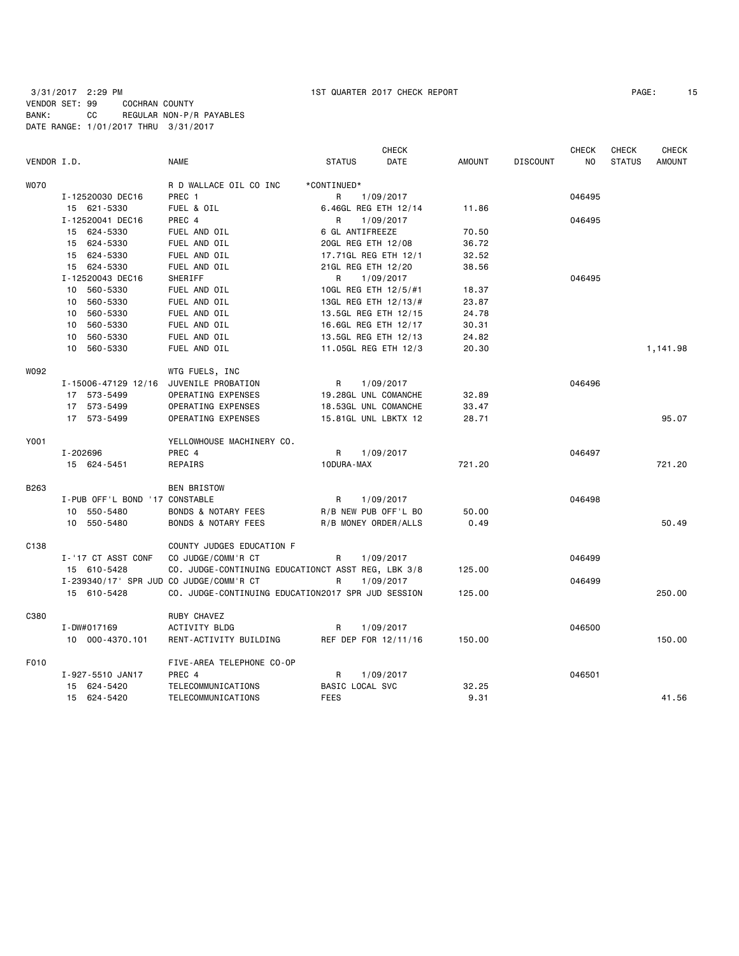|             |                                                        |                                                    |                      | <b>CHECK</b> |               |                 | <b>CHECK</b> | <b>CHECK</b>  | <b>CHECK</b>  |
|-------------|--------------------------------------------------------|----------------------------------------------------|----------------------|--------------|---------------|-----------------|--------------|---------------|---------------|
| VENDOR I.D. |                                                        | <b>NAME</b>                                        | <b>STATUS</b>        | DATE         | <b>AMOUNT</b> | <b>DISCOUNT</b> | NO.          | <b>STATUS</b> | <b>AMOUNT</b> |
| <b>WO70</b> |                                                        | R D WALLACE OIL CO INC                             | *CONTINUED*          |              |               |                 |              |               |               |
|             | I-12520030 DEC16                                       | PREC 1                                             | R                    | 1/09/2017    |               |                 | 046495       |               |               |
|             | 15 621-5330                                            | FUEL & OIL                                         | 6.46GL REG ETH 12/14 |              | 11.86         |                 |              |               |               |
|             | I-12520041 DEC16                                       | PREC 4                                             | R                    | 1/09/2017    |               |                 | 046495       |               |               |
|             | 15 624-5330                                            | FUEL AND OIL                                       | 6 GL ANTIFREEZE      |              | 70.50         |                 |              |               |               |
|             | 15 624-5330                                            | FUEL AND OIL                                       | 20GL REG ETH 12/08   |              | 36.72         |                 |              |               |               |
|             | 15 624-5330                                            | FUEL AND OIL                                       | 17.71GL REG ETH 12/1 |              | 32.52         |                 |              |               |               |
|             | 15 624-5330                                            | FUEL AND OIL                                       | 21GL REG ETH 12/20   |              | 38.56         |                 |              |               |               |
|             | I-12520043 DEC16                                       | <b>SHERIFF</b>                                     | R                    | 1/09/2017    |               |                 | 046495       |               |               |
|             | 10 560-5330                                            | FUEL AND OIL                                       | 10GL REG ETH 12/5/#1 |              | 18.37         |                 |              |               |               |
|             | 10 560-5330                                            | FUEL AND OIL                                       | 13GL REG ETH 12/13/# |              | 23.87         |                 |              |               |               |
|             | 10 560-5330                                            | FUEL AND OIL                                       | 13.5GL REG ETH 12/15 |              | 24.78         |                 |              |               |               |
|             | 560-5330<br>10                                         | FUEL AND OIL                                       | 16.6GL REG ETH 12/17 |              | 30.31         |                 |              |               |               |
|             | 560-5330<br>10                                         | FUEL AND OIL                                       | 13.5GL REG ETH 12/13 |              | 24.82         |                 |              |               |               |
|             | 10 560-5330                                            | FUEL AND OIL                                       | 11.05GL REG ETH 12/3 |              | 20.30         |                 |              |               | 1,141.98      |
| W092        |                                                        | WTG FUELS, INC                                     |                      |              |               |                 |              |               |               |
|             | I-15006-47129 12/16 JUVENILE PROBATION                 |                                                    | R                    | 1/09/2017    |               |                 | 046496       |               |               |
|             | 17 573-5499                                            | OPERATING EXPENSES                                 | 19.28GL UNL COMANCHE |              | 32.89         |                 |              |               |               |
|             | 17 573-5499                                            | OPERATING EXPENSES                                 | 18.53GL UNL COMANCHE |              | 33.47         |                 |              |               |               |
|             | 17 573-5499                                            | OPERATING EXPENSES                                 | 15.81GL UNL LBKTX 12 |              | 28.71         |                 |              |               | 95.07         |
| Y001        |                                                        | YELLOWHOUSE MACHINERY CO.                          |                      |              |               |                 |              |               |               |
|             | I-202696                                               | PREC 4                                             | R.                   | 1/09/2017    |               |                 | 046497       |               |               |
|             | 15 624-5451                                            | REPAIRS                                            | 10DURA-MAX           |              | 721.20        |                 |              |               | 721.20        |
| B263        |                                                        | <b>BEN BRISTOW</b>                                 |                      |              |               |                 |              |               |               |
|             | I-PUB OFF'L BOND '17 CONSTABLE                         |                                                    | R                    | 1/09/2017    |               |                 | 046498       |               |               |
|             | 10 550-5480                                            | BONDS & NOTARY FEES                                | R/B NEW PUB OFF'L BO |              | 50.00         |                 |              |               |               |
|             | 10 550-5480                                            | <b>BONDS &amp; NOTARY FEES</b>                     | R/B MONEY ORDER/ALLS |              | 0.49          |                 |              |               | 50.49         |
| C138        |                                                        | COUNTY JUDGES EDUCATION F                          |                      |              |               |                 |              |               |               |
|             | I-'17 CT ASST CONF                                     | CO JUDGE/COMM'R CT                                 | R                    | 1/09/2017    |               |                 | 046499       |               |               |
|             | 15 610-5428                                            | CO. JUDGE-CONTINUING EDUCATIONCT ASST REG, LBK 3/8 |                      |              | 125.00        |                 |              |               |               |
|             | I-239340/17' SPR JUD CO JUDGE/COMM'R CT<br>15 610-5428 | CO. JUDGE-CONTINUING EDUCATION2017 SPR JUD SESSION | R                    | 1/09/2017    | 125.00        |                 | 046499       |               | 250.00        |
|             |                                                        |                                                    |                      |              |               |                 |              |               |               |
| C380        |                                                        | RUBY CHAVEZ                                        |                      |              |               |                 |              |               |               |
|             | I-DW#017169                                            | ACTIVITY BLDG                                      | R                    | 1/09/2017    |               |                 | 046500       |               |               |
|             | 10 000-4370.101                                        | RENT-ACTIVITY BUILDING                             | REF DEP FOR 12/11/16 |              | 150.00        |                 |              |               | 150.00        |
| F010        |                                                        | FIVE-AREA TELEPHONE CO-OP                          |                      |              |               |                 |              |               |               |
|             | I-927-5510 JAN17                                       | PREC 4                                             | R                    | 1/09/2017    |               |                 | 046501       |               |               |
|             | 15 624-5420                                            | TELECOMMUNICATIONS                                 | BASIC LOCAL SVC      |              | 32.25         |                 |              |               |               |
|             | 15 624-5420                                            | TELECOMMUNICATIONS                                 | <b>FEES</b>          |              | 9.31          |                 |              |               | 41.56         |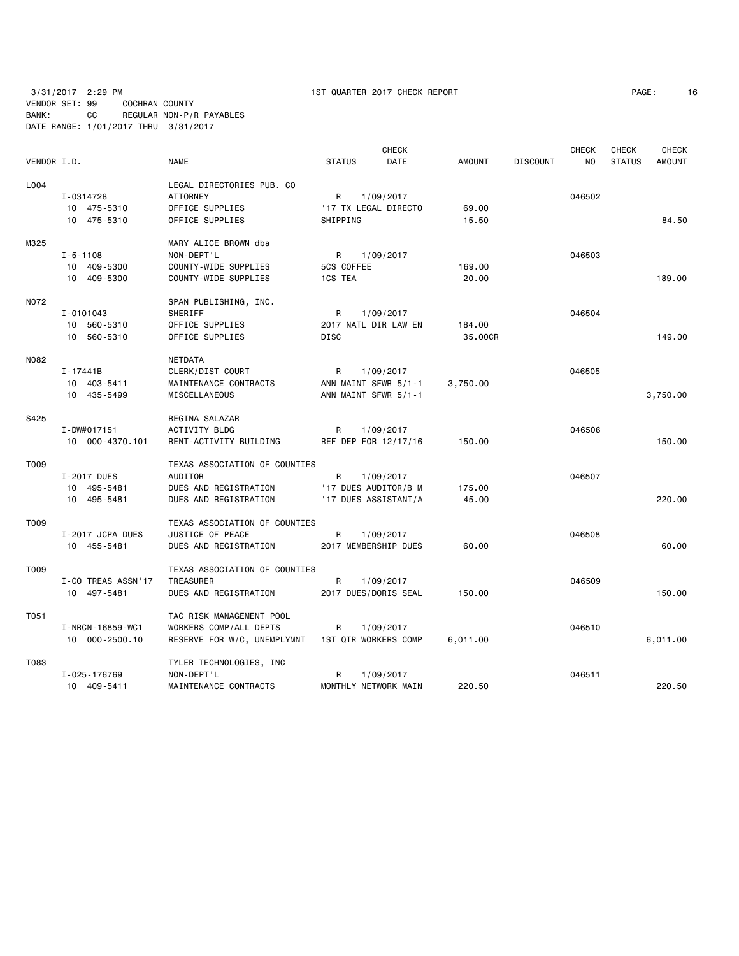| PAGE: | 16 |
|-------|----|
|-------|----|

|             |                    |                                                  |                      | <b>CHECK</b>         |               |                 | <b>CHECK</b>   | CHECK         | <b>CHECK</b>  |
|-------------|--------------------|--------------------------------------------------|----------------------|----------------------|---------------|-----------------|----------------|---------------|---------------|
| VENDOR I.D. |                    | <b>NAME</b>                                      | <b>STATUS</b>        | DATE                 | <b>AMOUNT</b> | <b>DISCOUNT</b> | N <sub>O</sub> | <b>STATUS</b> | <b>AMOUNT</b> |
| L004        |                    | LEGAL DIRECTORIES PUB. CO                        |                      |                      |               |                 |                |               |               |
|             | I-0314728          | <b>ATTORNEY</b>                                  | R                    | 1/09/2017            |               |                 | 046502         |               |               |
|             | 10 475-5310        | OFFICE SUPPLIES                                  | '17 TX LEGAL DIRECTO |                      | 69.00         |                 |                |               |               |
|             | 10 475-5310        | OFFICE SUPPLIES                                  | SHIPPING             |                      | 15.50         |                 |                |               | 84.50         |
| M325        |                    | MARY ALICE BROWN dba                             |                      |                      |               |                 |                |               |               |
|             | $I - 5 - 1108$     | NON-DEPT'L                                       | $\mathsf{R}$         | 1/09/2017            |               |                 | 046503         |               |               |
|             | 10 409-5300        | COUNTY-WIDE SUPPLIES                             | 5CS COFFEE           |                      | 169.00        |                 |                |               |               |
|             | 10 409-5300        | COUNTY-WIDE SUPPLIES                             | 1CS TEA              |                      | 20,00         |                 |                |               | 189.00        |
| N072        |                    | SPAN PUBLISHING, INC.                            |                      |                      |               |                 |                |               |               |
|             | I-0101043          | SHERIFF                                          | R                    | 1/09/2017            |               |                 | 046504         |               |               |
|             | 10 560-5310        | OFFICE SUPPLIES                                  | 2017 NATL DIR LAW EN |                      | 184.00        |                 |                |               |               |
|             | 10 560-5310        | OFFICE SUPPLIES                                  | <b>DISC</b>          |                      | 35,00CR       |                 |                |               | 149.00        |
| N082        |                    | <b>NETDATA</b>                                   |                      |                      |               |                 |                |               |               |
|             | $I - 17441B$       | CLERK/DIST COURT                                 | R                    | 1/09/2017            |               |                 | 046505         |               |               |
|             | 10 403-5411        | MAINTENANCE CONTRACTS                            | ANN MAINT SFWR 5/1-1 |                      | 3,750.00      |                 |                |               |               |
|             | 10 435-5499        | MISCELLANEOUS                                    | ANN MAINT SFWR 5/1-1 |                      |               |                 |                |               | 3,750.00      |
| S425        |                    | REGINA SALAZAR                                   |                      |                      |               |                 |                |               |               |
|             | I-DW#017151        | ACTIVITY BLDG                                    | R                    | 1/09/2017            |               |                 | 046506         |               |               |
|             | 10 000-4370.101    | RENT-ACTIVITY BUILDING                           | REF DEP FOR 12/17/16 |                      | 150.00        |                 |                |               | 150.00        |
| T009        |                    | TEXAS ASSOCIATION OF COUNTIES                    |                      |                      |               |                 |                |               |               |
|             | I-2017 DUES        | AUDITOR                                          | R                    | 1/09/2017            |               |                 | 046507         |               |               |
|             | 10 495-5481        | DUES AND REGISTRATION                            |                      | '17 DUES AUDITOR/B M | 175.00        |                 |                |               |               |
|             | 10 495-5481        | DUES AND REGISTRATION                            |                      | '17 DUES ASSISTANT/A | 45.00         |                 |                |               | 220.00        |
| T009        |                    | TEXAS ASSOCIATION OF COUNTIES                    |                      |                      |               |                 |                |               |               |
|             | I-2017 JCPA DUES   | JUSTICE OF PEACE                                 | R                    | 1/09/2017            |               |                 | 046508         |               |               |
|             | 10 455-5481        | DUES AND REGISTRATION                            | 2017 MEMBERSHIP DUES |                      | 60.00         |                 |                |               | 60.00         |
| T009        |                    | TEXAS ASSOCIATION OF COUNTIES                    |                      |                      |               |                 |                |               |               |
|             | I-CO TREAS ASSN'17 | TREASURER                                        | R                    | 1/09/2017            |               |                 | 046509         |               |               |
|             | 10 497-5481        | DUES AND REGISTRATION                            | 2017 DUES/DORIS SEAL |                      | 150.00        |                 |                |               | 150.00        |
| T051        |                    | TAC RISK MANAGEMENT POOL                         |                      |                      |               |                 |                |               |               |
|             | I-NRCN-16859-WC1   | WORKERS COMP/ALL DEPTS                           | R                    | 1/09/2017            |               |                 | 046510         |               |               |
|             | 10 000-2500.10     | RESERVE FOR W/C, UNEMPLYMNT 1ST QTR WORKERS COMP |                      |                      | 6,011.00      |                 |                |               | 6,011.00      |
| T083        |                    | TYLER TECHNOLOGIES, INC                          |                      |                      |               |                 |                |               |               |
|             | I-025-176769       | NON-DEPT'L                                       | R                    | 1/09/2017            |               |                 | 046511         |               |               |
|             | 10 409-5411        | MAINTENANCE CONTRACTS                            | MONTHLY NETWORK MAIN |                      | 220.50        |                 |                |               | 220.50        |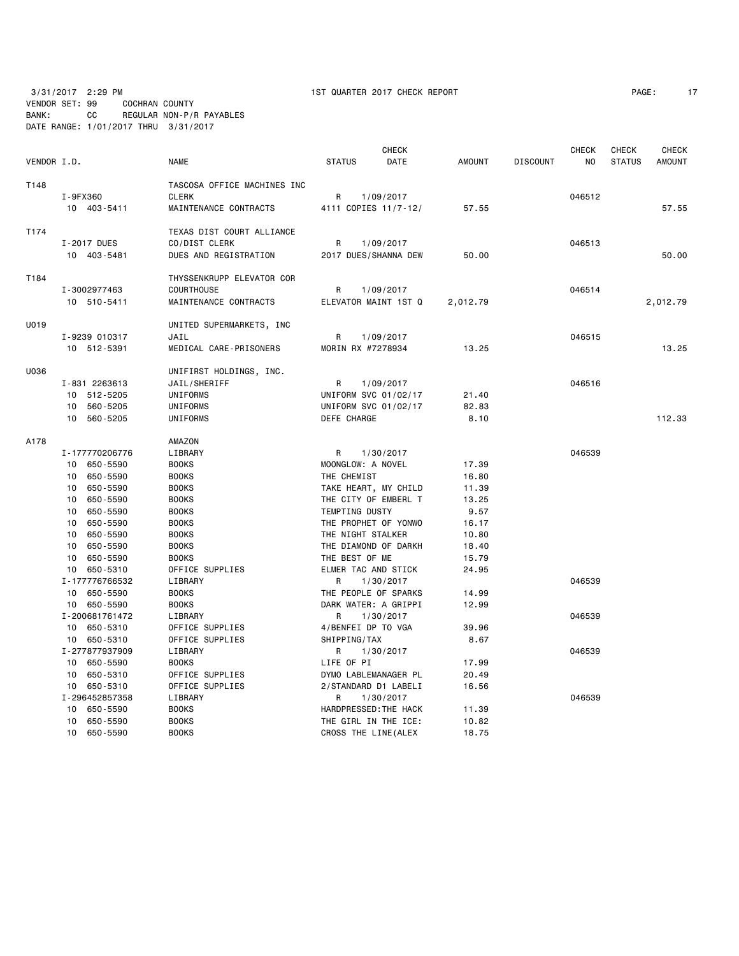3/31/2017 2:29 PM 1ST QUARTER 2017 CHECK REPORT PAGE: 17

VENDOR SET: 99 COCHRAN COUNTY BANK: CC REGULAR NON-P/R PAYABLES DATE RANGE: 1/01/2017 THRU 3/31/2017

| VENDOR I.D. |                               | <b>NAME</b>                 | <b>STATUS</b>          | <b>CHECK</b><br><b>DATE</b> | <b>AMOUNT</b> | <b>DISCOUNT</b> | <b>CHECK</b><br>NO | <b>CHECK</b><br><b>STATUS</b> | <b>CHECK</b><br><b>AMOUNT</b> |
|-------------|-------------------------------|-----------------------------|------------------------|-----------------------------|---------------|-----------------|--------------------|-------------------------------|-------------------------------|
| T148        |                               | TASCOSA OFFICE MACHINES INC |                        |                             |               |                 |                    |                               |                               |
|             | I-9FX360                      | <b>CLERK</b>                | R.                     | 1/09/2017                   |               |                 | 046512             |                               |                               |
|             | 10 403-5411                   | MAINTENANCE CONTRACTS       | 4111 COPIES 11/7-12/   |                             | 57.55         |                 |                    |                               | 57.55                         |
|             |                               |                             |                        |                             |               |                 |                    |                               |                               |
| T174        |                               | TEXAS DIST COURT ALLIANCE   |                        |                             |               |                 |                    |                               |                               |
|             | I-2017 DUES                   | CO/DIST CLERK               | R                      | 1/09/2017                   |               |                 | 046513             |                               |                               |
|             | 10 403-5481                   | DUES AND REGISTRATION       | 2017 DUES/SHANNA DEW   |                             | 50.00         |                 |                    |                               | 50,00                         |
|             |                               |                             |                        |                             |               |                 |                    |                               |                               |
| T184        |                               | THYSSENKRUPP ELEVATOR COR   |                        |                             |               |                 |                    |                               |                               |
|             | I-3002977463                  | <b>COURTHOUSE</b>           | R                      | 1/09/2017                   |               |                 | 046514             |                               |                               |
|             | 10 510-5411                   | MAINTENANCE CONTRACTS       | ELEVATOR MAINT 1ST Q   |                             | 2,012.79      |                 |                    |                               | 2,012.79                      |
| U019        |                               | UNITED SUPERMARKETS, INC    |                        |                             |               |                 |                    |                               |                               |
|             | I-9239 010317                 | JAIL                        | R                      | 1/09/2017                   |               |                 | 046515             |                               |                               |
|             | 10 512-5391                   | MEDICAL CARE-PRISONERS      | MORIN RX #7278934      |                             | 13.25         |                 |                    |                               | 13.25                         |
|             |                               |                             |                        |                             |               |                 |                    |                               |                               |
| U036        |                               | UNIFIRST HOLDINGS, INC.     |                        |                             |               |                 |                    |                               |                               |
|             | I-831 2263613                 | JAIL/SHERIFF                | R                      | 1/09/2017                   |               |                 | 046516             |                               |                               |
|             | 10 512-5205                   | UNIFORMS                    | UNIFORM SVC 01/02/17   |                             | 21.40         |                 |                    |                               |                               |
|             | 560-5205<br>10                | UNIFORMS                    | UNIFORM SVC 01/02/17   |                             | 82.83         |                 |                    |                               |                               |
|             | 10 560-5205                   | UNIFORMS                    | DEFE CHARGE            |                             | 8.10          |                 |                    |                               | 112.33                        |
|             |                               |                             |                        |                             |               |                 |                    |                               |                               |
| A178        |                               | AMAZON                      |                        |                             |               |                 |                    |                               |                               |
|             | I-177770206776<br>10 650-5590 | LIBRARY<br><b>BOOKS</b>     | R<br>MOONGLOW: A NOVEL | 1/30/2017                   | 17.39         |                 | 046539             |                               |                               |
|             | 10 650-5590                   | <b>BOOKS</b>                | THE CHEMIST            |                             | 16.80         |                 |                    |                               |                               |
|             | 10 650-5590                   | <b>BOOKS</b>                | TAKE HEART, MY CHILD   |                             | 11.39         |                 |                    |                               |                               |
|             | 10 650-5590                   | <b>BOOKS</b>                | THE CITY OF EMBERL T   |                             | 13.25         |                 |                    |                               |                               |
|             | 650-5590<br>10                | <b>BOOKS</b>                | TEMPTING DUSTY         |                             | 9.57          |                 |                    |                               |                               |
|             | 650-5590<br>10                | <b>BOOKS</b>                | THE PROPHET OF YONWO   |                             | 16.17         |                 |                    |                               |                               |
|             | 10<br>650-5590                | <b>BOOKS</b>                | THE NIGHT STALKER      |                             | 10.80         |                 |                    |                               |                               |
|             | 650-5590<br>10                | <b>BOOKS</b>                | THE DIAMOND OF DARKH   |                             | 18.40         |                 |                    |                               |                               |
|             | 10 650-5590                   | <b>BOOKS</b>                | THE BEST OF ME         |                             | 15.79         |                 |                    |                               |                               |
|             | 10 650-5310                   | OFFICE SUPPLIES             | ELMER TAC AND STICK    |                             | 24.95         |                 |                    |                               |                               |
|             | I-177776766532                | LIBRARY                     | R                      | 1/30/2017                   |               |                 | 046539             |                               |                               |
|             | 10 650-5590                   | <b>BOOKS</b>                | THE PEOPLE OF SPARKS   |                             | 14.99         |                 |                    |                               |                               |
|             | 10 650-5590                   | <b>BOOKS</b>                | DARK WATER: A GRIPPI   |                             | 12.99         |                 |                    |                               |                               |
|             | I-200681761472                | LIBRARY                     | R                      | 1/30/2017                   |               |                 | 046539             |                               |                               |
|             | 10 650-5310                   | OFFICE SUPPLIES             | 4/BENFEI DP TO VGA     |                             | 39.96         |                 |                    |                               |                               |
|             | 10 650-5310                   | OFFICE SUPPLIES             | SHIPPING/TAX           |                             | 8.67          |                 |                    |                               |                               |
|             | I-277877937909                | LIBRARY                     | R                      | 1/30/2017                   |               |                 | 046539             |                               |                               |
|             | 10 650-5590                   | <b>BOOKS</b>                | LIFE OF PI             |                             | 17.99         |                 |                    |                               |                               |
|             | 10 650-5310                   | OFFICE SUPPLIES             | DYMO LABLEMANAGER PL   |                             | 20.49         |                 |                    |                               |                               |
|             | 10 650-5310                   | OFFICE SUPPLIES             | 2/STANDARD D1 LABELI   |                             | 16.56         |                 |                    |                               |                               |
|             | I-296452857358                | LIBRARY                     | R                      | 1/30/2017                   |               |                 | 046539             |                               |                               |
|             | 10 650-5590                   | <b>BOOKS</b>                | HARDPRESSED: THE HACK  |                             | 11.39         |                 |                    |                               |                               |
|             | 10 650-5590                   | <b>BOOKS</b>                | THE GIRL IN THE ICE:   |                             | 10.82         |                 |                    |                               |                               |
|             | 10 650-5590                   | <b>BOOKS</b>                | CROSS THE LINE (ALEX   |                             | 18.75         |                 |                    |                               |                               |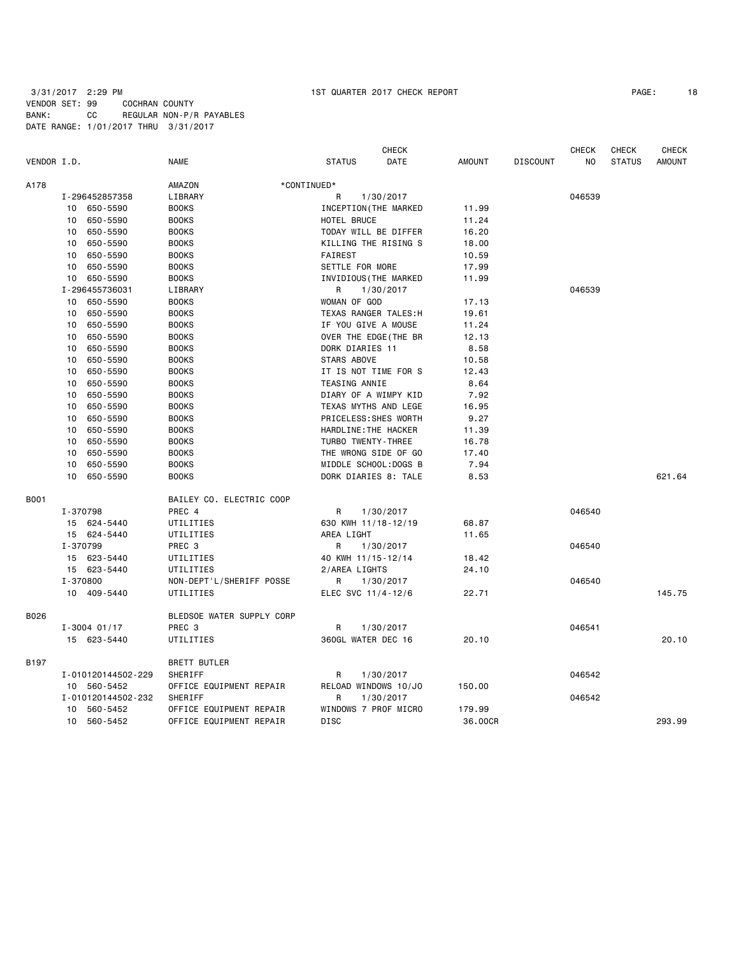|             |                             |                           |                       | CHECK                 |               |                 | <b>CHECK</b>   | CHECK         | <b>CHECK</b>  |
|-------------|-----------------------------|---------------------------|-----------------------|-----------------------|---------------|-----------------|----------------|---------------|---------------|
| VENDOR I.D. |                             | <b>NAME</b>               | <b>STATUS</b>         | DATE                  | <b>AMOUNT</b> | <b>DISCOUNT</b> | N <sub>O</sub> | <b>STATUS</b> | <b>AMOUNT</b> |
| A178        |                             | AMAZON                    | *CONTINUED*           |                       |               |                 |                |               |               |
|             | I-296452857358              | LIBRARY                   | R                     | 1/30/2017             |               |                 | 046539         |               |               |
|             | 10 650-5590                 | <b>BOOKS</b>              |                       | INCEPTION (THE MARKED |               |                 |                |               |               |
|             | 650-5590<br>10              | <b>BOOKS</b>              | HOTEL BRUCE           |                       | 11.24         |                 |                |               |               |
|             | 650-5590<br>10              | <b>BOOKS</b>              | TODAY WILL BE DIFFER  |                       | 16.20         |                 |                |               |               |
|             | 650-5590<br>10              | <b>BOOKS</b>              | KILLING THE RISING S  |                       | 18.00         |                 |                |               |               |
|             | 650-5590<br>10              | <b>BOOKS</b>              | <b>FAIREST</b>        |                       | 10.59         |                 |                |               |               |
|             | 650-5590<br>10              | <b>BOOKS</b>              | SETTLE FOR MORE       |                       | 17.99         |                 |                |               |               |
|             | 10 650-5590                 | <b>BOOKS</b>              | INVIDIOUS (THE MARKED |                       | 11.99         |                 |                |               |               |
|             | I-296455736031              | LIBRARY                   | R                     | 1/30/2017             |               |                 | 046539         |               |               |
|             | 10 650-5590                 | <b>BOOKS</b>              | WOMAN OF GOD          |                       | 17.13         |                 |                |               |               |
|             | 650-5590<br>10 <sup>1</sup> | <b>BOOKS</b>              | TEXAS RANGER TALES: H |                       | 19.61         |                 |                |               |               |
|             | 650-5590<br>10              | <b>BOOKS</b>              | IF YOU GIVE A MOUSE   |                       | 11.24         |                 |                |               |               |
|             | 650-5590<br>10              | <b>BOOKS</b>              | OVER THE EDGE (THE BR |                       | 12.13         |                 |                |               |               |
|             | 650-5590<br>10              | <b>BOOKS</b>              | DORK DIARIES 11       |                       | 8.58          |                 |                |               |               |
|             | 650-5590<br>$10-10$         | <b>BOOKS</b>              | STARS ABOVE           |                       | 10.58         |                 |                |               |               |
|             | 650-5590<br>10              | <b>BOOKS</b>              | IT IS NOT TIME FOR S  |                       | 12.43         |                 |                |               |               |
|             | 650-5590<br>10              | <b>BOOKS</b>              | <b>TEASING ANNIE</b>  |                       | 8.64          |                 |                |               |               |
|             | 650-5590<br>10              | <b>BOOKS</b>              | DIARY OF A WIMPY KID  |                       | 7.92          |                 |                |               |               |
|             | 650-5590<br>10              | <b>BOOKS</b>              | TEXAS MYTHS AND LEGE  |                       | 16.95         |                 |                |               |               |
|             | 650-5590<br>10              | <b>BOOKS</b>              | PRICELESS: SHES WORTH |                       | 9.27          |                 |                |               |               |
|             | 650-5590<br>10              | <b>BOOKS</b>              | HARDLINE: THE HACKER  |                       | 11.39         |                 |                |               |               |
|             | 650-5590<br>10              | <b>BOOKS</b>              | TURBO TWENTY-THREE    |                       | 16.78         |                 |                |               |               |
|             | 650-5590<br>10              | <b>BOOKS</b>              | THE WRONG SIDE OF GO  |                       | 17.40         |                 |                |               |               |
|             | 10 650-5590                 | <b>BOOKS</b>              | MIDDLE SCHOOL: DOGS B |                       | 7.94          |                 |                |               |               |
|             | 10 650-5590                 | <b>BOOKS</b>              | DORK DIARIES 8: TALE  |                       | 8.53          |                 |                |               | 621.64        |
|             |                             |                           |                       |                       |               |                 |                |               |               |
| <b>B001</b> |                             | BAILEY CO. ELECTRIC COOP  |                       |                       |               |                 |                |               |               |
|             | I-370798                    | PREC 4                    | R                     | 1/30/2017             |               |                 | 046540         |               |               |
|             | 15 624-5440                 | UTILITIES                 | 630 KWH 11/18-12/19   |                       | 68.87         |                 |                |               |               |
|             | 15 624-5440                 | UTILITIES                 | AREA LIGHT            |                       | 11.65         |                 |                |               |               |
|             | I-370799                    | PREC 3                    | R                     | 1/30/2017             |               |                 | 046540         |               |               |
|             | 15 623-5440                 | UTILITIES                 | 40 KWH 11/15-12/14    |                       | 18.42         |                 |                |               |               |
|             | 15 623-5440                 | UTILITIES                 | 2/AREA LIGHTS         |                       | 24.10         |                 |                |               |               |
|             | I-370800                    | NON-DEPT'L/SHERIFF POSSE  | R                     | 1/30/2017             |               |                 | 046540         |               |               |
|             | 10 409-5440                 | UTILITIES                 | ELEC SVC 11/4-12/6    |                       | 22.71         |                 |                |               | 145.75        |
| B026        |                             | BLEDSOE WATER SUPPLY CORP |                       |                       |               |                 |                |               |               |
|             | $I - 3004$ 01/17            | PREC <sub>3</sub>         | R                     | 1/30/2017             |               |                 | 046541         |               |               |
|             | 15 623-5440                 | UTILITIES                 | 360GL WATER DEC 16    |                       | 20.10         |                 |                |               | 20.10         |
| B197        |                             | <b>BRETT BUTLER</b>       |                       |                       |               |                 |                |               |               |
|             | I-010120144502-229          | SHERIFF                   | R                     | 1/30/2017             |               |                 | 046542         |               |               |
|             | 10 560-5452                 | OFFICE EQUIPMENT REPAIR   | RELOAD WINDOWS 10/JO  |                       | 150.00        |                 |                |               |               |
|             | I-010120144502-232          | SHERIFF                   | R                     | 1/30/2017             |               |                 | 046542         |               |               |
|             | 10 560-5452                 | OFFICE EQUIPMENT REPAIR   | WINDOWS 7 PROF MICRO  |                       | 179.99        |                 |                |               |               |
|             | 10 560-5452                 | OFFICE EQUIPMENT REPAIR   | <b>DISC</b>           |                       | 36.00CR       |                 |                |               | 293.99        |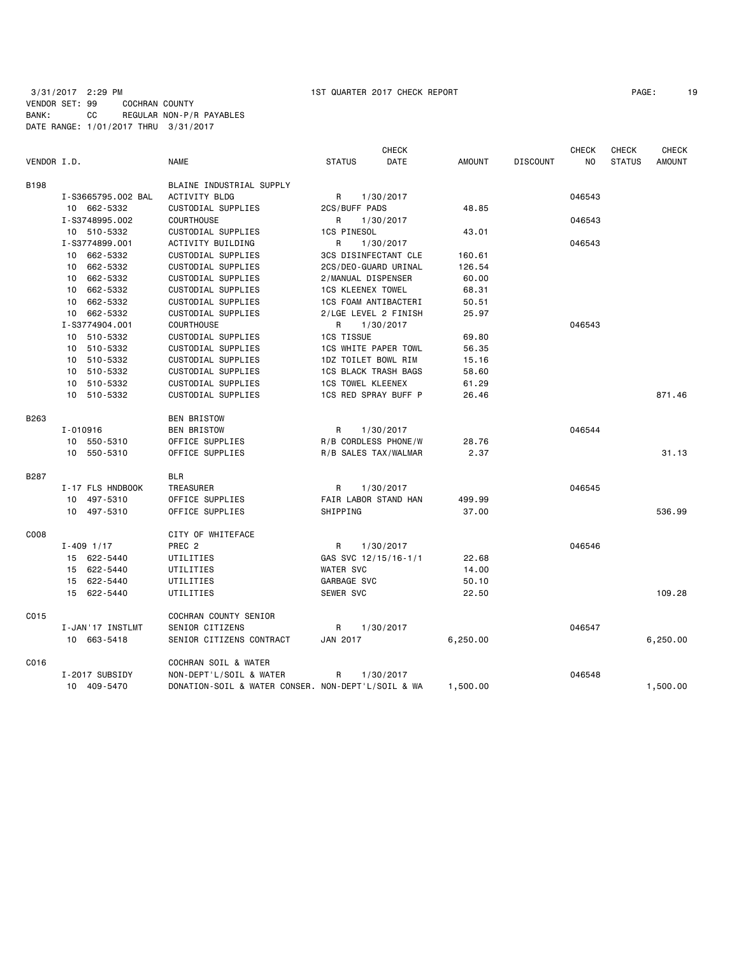| PAGE: | 19 |
|-------|----|
|-------|----|

| VENDOR I.D. |                    | <b>NAME</b>                                        | <b>STATUS</b>               | <b>CHECK</b><br>DATE | <b>AMOUNT</b> | <b>DISCOUNT</b> | CHECK<br>N <sub>O</sub> | <b>CHECK</b><br><b>STATUS</b> | <b>CHECK</b><br><b>AMOUNT</b> |
|-------------|--------------------|----------------------------------------------------|-----------------------------|----------------------|---------------|-----------------|-------------------------|-------------------------------|-------------------------------|
|             |                    |                                                    |                             |                      |               |                 |                         |                               |                               |
| <b>B198</b> |                    | BLAINE INDUSTRIAL SUPPLY                           |                             |                      |               |                 |                         |                               |                               |
|             | I-S3665795.002 BAL | <b>ACTIVITY BLDG</b>                               | R                           | 1/30/2017            |               |                 | 046543                  |                               |                               |
|             | 10 662-5332        | CUSTODIAL SUPPLIES                                 | 2CS/BUFF PADS               |                      | 48.85         |                 |                         |                               |                               |
|             | I-S3748995.002     | <b>COURTHOUSE</b>                                  | R                           | 1/30/2017            |               |                 | 046543                  |                               |                               |
|             | 10 510-5332        | CUSTODIAL SUPPLIES                                 | <b>1CS PINESOL</b>          |                      | 43.01         |                 |                         |                               |                               |
|             | I-S3774899.001     | ACTIVITY BUILDING                                  | R                           | 1/30/2017            |               |                 | 046543                  |                               |                               |
|             | 10 662-5332        | CUSTODIAL SUPPLIES                                 | 3CS DISINFECTANT CLE        |                      | 160.61        |                 |                         |                               |                               |
|             | 10 662-5332        | CUSTODIAL SUPPLIES                                 | 2CS/DEO-GUARD URINAL        |                      | 126.54        |                 |                         |                               |                               |
|             | 10 662-5332        | CUSTODIAL SUPPLIES                                 | 2/MANUAL DISPENSER          |                      | 60.00         |                 |                         |                               |                               |
|             | 10 662-5332        | CUSTODIAL SUPPLIES                                 | <b>1CS KLEENEX TOWEL</b>    |                      | 68.31         |                 |                         |                               |                               |
|             | 10 662-5332        | CUSTODIAL SUPPLIES                                 | 1CS FOAM ANTIBACTERI        |                      | 50.51         |                 |                         |                               |                               |
|             | 10 662-5332        | CUSTODIAL SUPPLIES                                 | 2/LGE LEVEL 2 FINISH        |                      | 25.97         |                 |                         |                               |                               |
|             | I-S3774904.001     | <b>COURTHOUSE</b>                                  | R                           | 1/30/2017            |               |                 | 046543                  |                               |                               |
|             | 10 510-5332        | CUSTODIAL SUPPLIES                                 | 1CS TISSUE                  |                      | 69.80         |                 |                         |                               |                               |
|             | 10 510-5332        | CUSTODIAL SUPPLIES                                 | 1CS WHITE PAPER TOWL        |                      | 56.35         |                 |                         |                               |                               |
|             | 510-5332<br>10     | CUSTODIAL SUPPLIES                                 | 1DZ TOILET BOWL RIM         |                      | 15.16         |                 |                         |                               |                               |
|             | 10 510-5332        | CUSTODIAL SUPPLIES                                 | <b>1CS BLACK TRASH BAGS</b> |                      | 58.60         |                 |                         |                               |                               |
|             | 10 510-5332        | CUSTODIAL SUPPLIES                                 | <b>1CS TOWEL KLEENEX</b>    |                      | 61.29         |                 |                         |                               |                               |
|             | 10 510-5332        | CUSTODIAL SUPPLIES                                 | 1CS RED SPRAY BUFF P        |                      | 26.46         |                 |                         |                               | 871.46                        |
| B263        |                    | <b>BEN BRISTOW</b>                                 |                             |                      |               |                 |                         |                               |                               |
|             | I-010916           | <b>BEN BRISTOW</b>                                 | R                           | 1/30/2017            |               |                 | 046544                  |                               |                               |
|             | 10 550-5310        | OFFICE SUPPLIES                                    | R/B CORDLESS PHONE/W        |                      | 28.76         |                 |                         |                               |                               |
|             | 10 550-5310        | OFFICE SUPPLIES                                    | R/B SALES TAX/WALMAR        |                      | 2.37          |                 |                         |                               | 31.13                         |
| B287        |                    | BLR                                                |                             |                      |               |                 |                         |                               |                               |
|             | I-17 FLS HNDBOOK   | TREASURER                                          | R                           | 1/30/2017            |               |                 | 046545                  |                               |                               |
|             | 10 497-5310        | OFFICE SUPPLIES                                    | FAIR LABOR STAND HAN        |                      | 499.99        |                 |                         |                               |                               |
|             | 10 497-5310        | OFFICE SUPPLIES                                    | SHIPPING                    |                      | 37.00         |                 |                         |                               | 536.99                        |
| C008        |                    | CITY OF WHITEFACE                                  |                             |                      |               |                 |                         |                               |                               |
|             | $I - 409$ 1/17     | PREC <sub>2</sub>                                  | R                           | 1/30/2017            |               |                 | 046546                  |                               |                               |
|             | 15 622-5440        | UTILITIES                                          | GAS SVC 12/15/16-1/1        |                      | 22.68         |                 |                         |                               |                               |
|             | 15 622-5440        | UTILITIES                                          | <b>WATER SVC</b>            |                      | 14.00         |                 |                         |                               |                               |
|             | 15 622-5440        | UTILITIES                                          | GARBAGE SVC                 |                      | 50.10         |                 |                         |                               |                               |
|             | 15 622-5440        | UTILITIES                                          | SEWER SVC                   |                      | 22.50         |                 |                         |                               | 109.28                        |
| C015        |                    | COCHRAN COUNTY SENIOR                              |                             |                      |               |                 |                         |                               |                               |
|             | I-JAN'17 INSTLMT   | SENIOR CITIZENS                                    | R.                          | 1/30/2017            |               |                 | 046547                  |                               |                               |
|             | 10 663-5418        | SENIOR CITIZENS CONTRACT                           | JAN 2017                    |                      | 6,250.00      |                 |                         |                               | 6,250.00                      |
| C016        |                    | COCHRAN SOIL & WATER                               |                             |                      |               |                 |                         |                               |                               |
|             | I-2017 SUBSIDY     | NON-DEPT'L/SOIL & WATER                            | R                           | 1/30/2017            |               |                 | 046548                  |                               |                               |
|             | 10 409-5470        | DONATION-SOIL & WATER CONSER. NON-DEPT'L/SOIL & WA |                             |                      | 1,500.00      |                 |                         |                               | 1,500.00                      |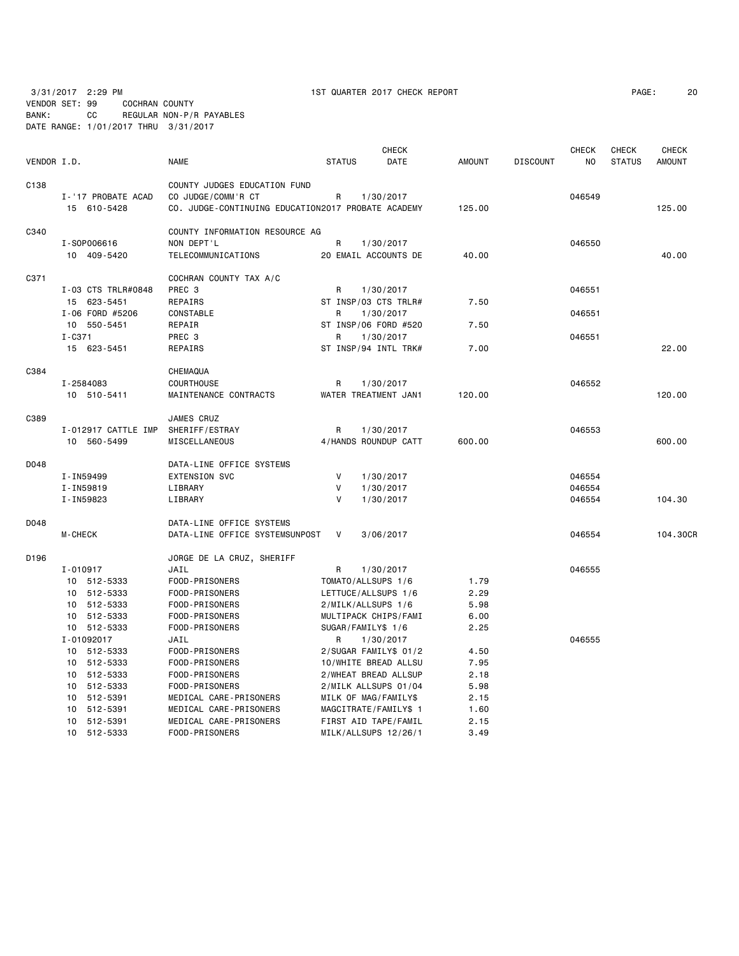3/31/2017 2:29 PM 1ST QUARTER 2017 CHECK REPORT PAGE: 20

# VENDOR SET: 99 COCHRAN COUNTY BANK: CC REGULAR NON-P/R PAYABLES DATE RANGE: 1/01/2017 THRU 3/31/2017

|             |                     |                                                    |               | <b>CHECK</b>          |               |                 | <b>CHECK</b>   | <b>CHECK</b>  | <b>CHECK</b>  |
|-------------|---------------------|----------------------------------------------------|---------------|-----------------------|---------------|-----------------|----------------|---------------|---------------|
| VENDOR I.D. |                     | <b>NAME</b>                                        | <b>STATUS</b> | DATE                  | <b>AMOUNT</b> | <b>DISCOUNT</b> | N <sub>O</sub> | <b>STATUS</b> | <b>AMOUNT</b> |
| C138        |                     | COUNTY JUDGES EDUCATION FUND                       |               |                       |               |                 |                |               |               |
|             | I-'17 PROBATE ACAD  | CO JUDGE/COMM'R CT                                 | R             | 1/30/2017             |               |                 | 046549         |               |               |
|             | 15 610-5428         | CO. JUDGE-CONTINUING EDUCATION2017 PROBATE ACADEMY |               |                       | 125.00        |                 |                |               | 125,00        |
| C340        |                     | COUNTY INFORMATION RESOURCE AG                     |               |                       |               |                 |                |               |               |
|             | I-S0P006616         | NON DEPT'L                                         | R             | 1/30/2017             |               |                 | 046550         |               |               |
|             | 10 409-5420         | TELECOMMUNICATIONS                                 |               | 20 EMAIL ACCOUNTS DE  | 40.00         |                 |                |               | 40.00         |
|             |                     |                                                    |               |                       |               |                 |                |               |               |
| C371        |                     | COCHRAN COUNTY TAX A/C                             |               |                       |               |                 |                |               |               |
|             | I-03 CTS TRLR#0848  | PREC 3                                             | R             | 1/30/2017             |               |                 | 046551         |               |               |
|             | 15 623-5451         | REPAIRS                                            |               | ST INSP/03 CTS TRLR#  | 7.50          |                 |                |               |               |
|             | I-06 FORD #5206     | <b>CONSTABLE</b>                                   | R             | 1/30/2017             |               |                 | 046551         |               |               |
|             | 10 550-5451         | REPAIR                                             |               | ST INSP/06 FORD #520  | 7.50          |                 |                |               |               |
|             | $I - C371$          | PREC 3                                             | R             | 1/30/2017             |               |                 | 046551         |               |               |
|             | 15 623-5451         | REPAIRS                                            |               | ST INSP/94 INTL TRK#  | 7.00          |                 |                |               | 22.00         |
| C384        |                     | CHEMAQUA                                           |               |                       |               |                 |                |               |               |
|             | I-2584083           | COURTHOUSE                                         | R             | 1/30/2017             |               |                 | 046552         |               |               |
|             | 10 510-5411         | MAINTENANCE CONTRACTS                              |               | WATER TREATMENT JAN1  | 120.00        |                 |                |               | 120.00        |
| C389        |                     | JAMES CRUZ                                         |               |                       |               |                 |                |               |               |
|             | I-012917 CATTLE IMP | SHERIFF/ESTRAY                                     | R             | 1/30/2017             |               |                 | 046553         |               |               |
|             | 10 560-5499         | MISCELLANEOUS                                      |               | 4/HANDS ROUNDUP CATT  | 600.00        |                 |                |               | 600.00        |
|             |                     |                                                    |               |                       |               |                 |                |               |               |
| D048        |                     | DATA-LINE OFFICE SYSTEMS                           |               |                       |               |                 |                |               |               |
|             | I-IN59499           | <b>EXTENSION SVC</b>                               | V             | 1/30/2017             |               |                 | 046554         |               |               |
|             | I-IN59819           | LIBRARY                                            | V             | 1/30/2017             |               |                 | 046554         |               |               |
|             | I-IN59823           | LIBRARY                                            | v             | 1/30/2017             |               |                 | 046554         |               | 104.30        |
| D048        |                     | DATA-LINE OFFICE SYSTEMS                           |               |                       |               |                 |                |               |               |
|             | <b>M-CHECK</b>      | DATA-LINE OFFICE SYSTEMSUNPOST                     | V             | 3/06/2017             |               |                 | 046554         |               | 104.30CR      |
| D196        |                     | JORGE DE LA CRUZ, SHERIFF                          |               |                       |               |                 |                |               |               |
|             | $I - 010917$        | JAIL                                               | R             | 1/30/2017             |               |                 | 046555         |               |               |
|             | 10 512-5333         | FOOD-PRISONERS                                     |               | TOMATO/ALLSUPS 1/6    | 1.79          |                 |                |               |               |
|             | 10 512-5333         | FOOD-PRISONERS                                     |               | LETTUCE/ALLSUPS 1/6   | 2.29          |                 |                |               |               |
|             | 10 512-5333         | FOOD-PRISONERS                                     |               | 2/MILK/ALLSUPS 1/6    | 5.98          |                 |                |               |               |
|             | 10 512-5333         | FOOD-PRISONERS                                     |               | MULTIPACK CHIPS/FAMI  | 6.00          |                 |                |               |               |
|             | 10 512-5333         | FOOD-PRISONERS                                     |               | SUGAR/FAMILY\$ 1/6    | 2.25          |                 |                |               |               |
|             | I-01092017          | JAIL                                               | R             | 1/30/2017             |               |                 | 046555         |               |               |
|             | 10 512-5333         | FOOD-PRISONERS                                     |               | 2/SUGAR FAMILY\$ 01/2 | 4.50          |                 |                |               |               |
|             | 10 512-5333         | FOOD-PRISONERS                                     |               | 10/WHITE BREAD ALLSU  | 7.95          |                 |                |               |               |
|             | 10 512-5333         | FOOD-PRISONERS                                     |               | 2/WHEAT BREAD ALLSUP  | 2.18          |                 |                |               |               |
|             | 512-5333<br>10      | FOOD-PRISONERS                                     |               | 2/MILK ALLSUPS 01/04  | 5.98          |                 |                |               |               |
|             | 10<br>512-5391      | MEDICAL CARE-PRISONERS                             |               | MILK OF MAG/FAMILY\$  | 2.15          |                 |                |               |               |
|             | 10<br>512-5391      | MEDICAL CARE-PRISONERS                             |               | MAGCITRATE/FAMILY\$ 1 | 1.60          |                 |                |               |               |
|             | 512-5391<br>10      | MEDICAL CARE-PRISONERS                             |               | FIRST AID TAPE/FAMIL  | 2.15          |                 |                |               |               |
|             | 10 512-5333         | FOOD-PRISONERS                                     |               | MILK/ALLSUPS 12/26/1  | 3.49          |                 |                |               |               |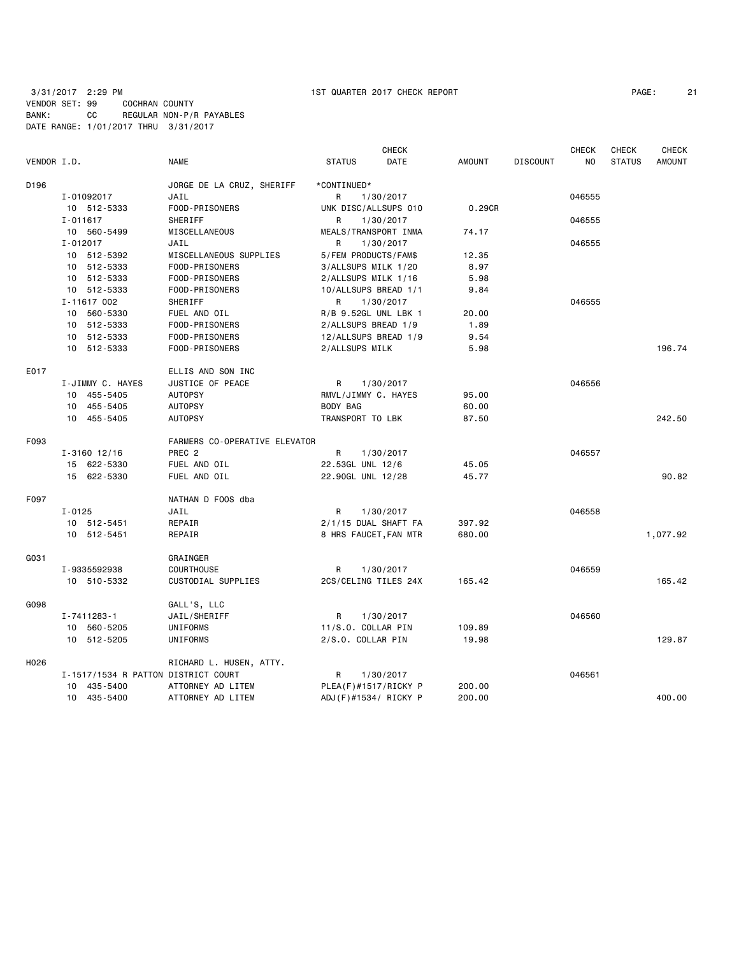|             |                                     |                               |                       | <b>CHECK</b> |               |                 | <b>CHECK</b> | <b>CHECK</b>  | <b>CHECK</b>  |
|-------------|-------------------------------------|-------------------------------|-----------------------|--------------|---------------|-----------------|--------------|---------------|---------------|
| VENDOR I.D. |                                     | <b>NAME</b>                   | <b>STATUS</b>         | DATE         | <b>AMOUNT</b> | <b>DISCOUNT</b> | NO.          | <b>STATUS</b> | <b>AMOUNT</b> |
| D196        |                                     | JORGE DE LA CRUZ, SHERIFF     | *CONTINUED*           |              |               |                 |              |               |               |
|             | I-01092017                          | JAIL                          | R                     | 1/30/2017    |               |                 | 046555       |               |               |
|             | 10 512-5333                         | FOOD-PRISONERS                | UNK DISC/ALLSUPS 010  |              | 0.29CR        |                 |              |               |               |
|             | $I - 011617$                        | SHERIFF                       | R                     | 1/30/2017    |               |                 | 046555       |               |               |
|             | 10 560-5499                         | MISCELLANEOUS                 | MEALS/TRANSPORT INMA  |              | 74.17         |                 |              |               |               |
|             | $I - 012017$                        | JAIL                          | R                     | 1/30/2017    |               |                 | 046555       |               |               |
|             | 10 512-5392                         | MISCELLANEOUS SUPPLIES        | 5/FEM PRODUCTS/FAM\$  |              | 12.35         |                 |              |               |               |
|             | 10 512-5333                         | FOOD-PRISONERS                | 3/ALLSUPS MILK 1/20   |              | 8.97          |                 |              |               |               |
|             | 10 512-5333                         | FOOD-PRISONERS                | 2/ALLSUPS MILK 1/16   |              | 5.98          |                 |              |               |               |
|             | 10 512-5333                         | FOOD-PRISONERS                | 10/ALLSUPS BREAD 1/1  |              | 9.84          |                 |              |               |               |
|             | I-11617 002                         | SHERIFF                       | R                     | 1/30/2017    |               |                 | 046555       |               |               |
|             | 10 560-5330                         | FUEL AND OIL                  | R/B 9.52GL UNL LBK 1  |              | 20.00         |                 |              |               |               |
|             | 10 512-5333                         | FOOD-PRISONERS                | 2/ALLSUPS BREAD 1/9   |              | 1.89          |                 |              |               |               |
|             | 512-5333<br>10                      | FOOD-PRISONERS                | 12/ALLSUPS BREAD 1/9  |              | 9.54          |                 |              |               |               |
|             | 10 512-5333                         | FOOD-PRISONERS                | 2/ALLSUPS MILK        |              | 5.98          |                 |              |               | 196.74        |
| E017        |                                     | ELLIS AND SON INC             |                       |              |               |                 |              |               |               |
|             | I-JIMMY C. HAYES                    | JUSTICE OF PEACE              | R                     | 1/30/2017    |               |                 | 046556       |               |               |
|             | 10 455-5405                         | <b>AUTOPSY</b>                | RMVL/JIMMY C. HAYES   |              | 95.00         |                 |              |               |               |
|             | 10 455-5405                         | <b>AUTOPSY</b>                | BODY BAG              |              | 60.00         |                 |              |               |               |
|             | 10 455-5405                         | <b>AUTOPSY</b>                | TRANSPORT TO LBK      |              | 87.50         |                 |              |               | 242.50        |
| F093        |                                     | FARMERS CO-OPERATIVE ELEVATOR |                       |              |               |                 |              |               |               |
|             | $I - 3160$ 12/16                    | PREC <sub>2</sub>             | R                     | 1/30/2017    |               |                 | 046557       |               |               |
|             | 15 622-5330                         | FUEL AND OIL                  | 22.53GL UNL 12/6      |              | 45.05         |                 |              |               |               |
|             | 15 622-5330                         | FUEL AND OIL                  | 22.90GL UNL 12/28     |              | 45.77         |                 |              |               | 90.82         |
| F097        |                                     | NATHAN D FOOS dba             |                       |              |               |                 |              |               |               |
|             | $I - 0125$                          | JAIL                          | R.                    | 1/30/2017    |               |                 | 046558       |               |               |
|             | 10 512-5451                         | REPAIR                        | 2/1/15 DUAL SHAFT FA  |              | 397.92        |                 |              |               |               |
|             | 10 512-5451                         | REPAIR                        | 8 HRS FAUCET, FAN MTR |              | 680.00        |                 |              |               | 1,077.92      |
| G031        |                                     | GRAINGER                      |                       |              |               |                 |              |               |               |
|             | I-9335592938                        | COURTHOUSE                    | R                     | 1/30/2017    |               |                 | 046559       |               |               |
|             | 10 510-5332                         | CUSTODIAL SUPPLIES            | 2CS/CELING TILES 24X  |              | 165.42        |                 |              |               | 165.42        |
| G098        |                                     | GALL'S, LLC                   |                       |              |               |                 |              |               |               |
|             | I-7411283-1                         | JAIL/SHERIFF                  | R                     | 1/30/2017    |               |                 | 046560       |               |               |
|             | 10 560-5205                         | UNIFORMS                      | 11/S.O. COLLAR PIN    |              | 109.89        |                 |              |               |               |
|             | 10 512-5205                         | UNIFORMS                      | 2/S.O. COLLAR PIN     |              | 19.98         |                 |              |               | 129.87        |
| H026        |                                     | RICHARD L. HUSEN, ATTY.       |                       |              |               |                 |              |               |               |
|             | I-1517/1534 R PATTON DISTRICT COURT |                               | R                     | 1/30/2017    |               |                 | 046561       |               |               |
|             | 10 435-5400                         | ATTORNEY AD LITEM             | PLEA(F)#1517/RICKY P  |              | 200.00        |                 |              |               |               |
|             | 10 435-5400                         | ATTORNEY AD LITEM             | ADJ(F)#1534/ RICKY P  |              | 200.00        |                 |              |               | 400.00        |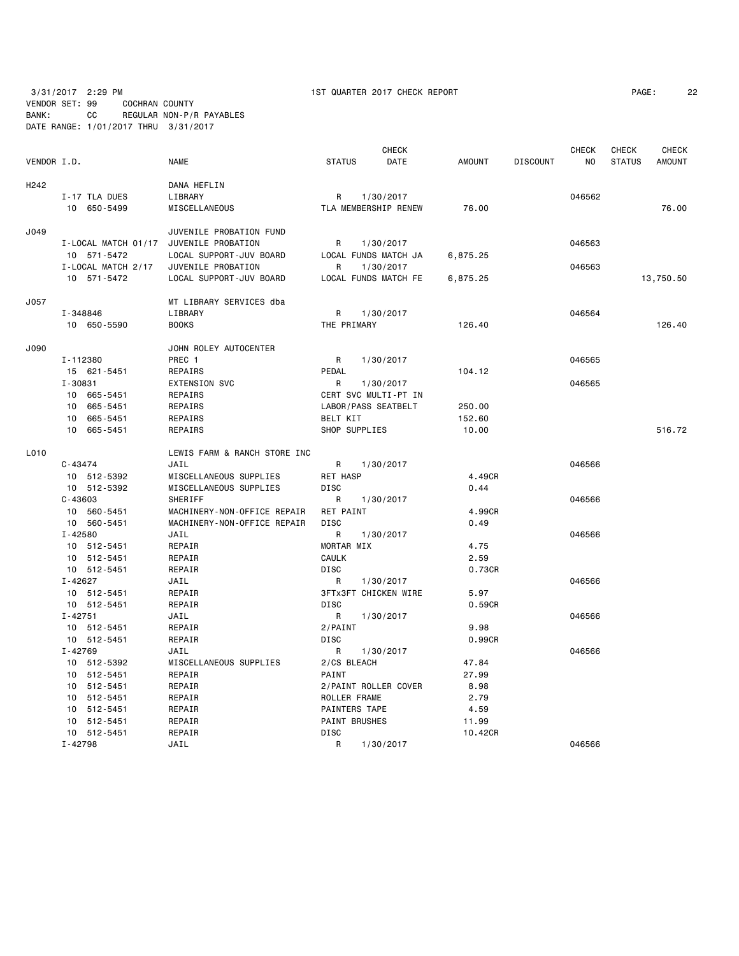| PAGE: | 22 |
|-------|----|
|-------|----|

|                  |                                        |                              |                        | <b>CHECK</b>                |               |                 | <b>CHECK</b> | <b>CHECK</b>  | <b>CHECK</b>  |
|------------------|----------------------------------------|------------------------------|------------------------|-----------------------------|---------------|-----------------|--------------|---------------|---------------|
| VENDOR I.D.      |                                        | <b>NAME</b>                  | <b>STATUS</b>          | DATE                        | <b>AMOUNT</b> | <b>DISCOUNT</b> | NO           | <b>STATUS</b> | <b>AMOUNT</b> |
| H <sub>242</sub> |                                        | DANA HEFLIN                  |                        |                             |               |                 |              |               |               |
|                  | I-17 TLA DUES                          | LIBRARY                      | R                      | 1/30/2017                   |               |                 | 046562       |               |               |
|                  | 10 650-5499                            | MISCELLANEOUS                |                        | TLA MEMBERSHIP RENEW        | 76.00         |                 |              |               | 76.00         |
| J049             |                                        | JUVENILE PROBATION FUND      |                        |                             |               |                 |              |               |               |
|                  | I-LOCAL MATCH 01/17 JUVENILE PROBATION |                              | R                      | 1/30/2017                   |               |                 | 046563       |               |               |
|                  | 10 571-5472                            | LOCAL SUPPORT-JUV BOARD      |                        | LOCAL FUNDS MATCH JA        | 6,875.25      |                 |              |               |               |
|                  | I-LOCAL MATCH 2/17                     | JUVENILE PROBATION           | R                      | 1/30/2017                   |               |                 | 046563       |               |               |
|                  | 10 571-5472                            | LOCAL SUPPORT-JUV BOARD      |                        | LOCAL FUNDS MATCH FE        | 6,875.25      |                 |              |               | 13,750.50     |
| J057             |                                        | MT LIBRARY SERVICES dba      |                        |                             |               |                 |              |               |               |
|                  | I-348846                               | LIBRARY                      | R                      | 1/30/2017                   |               |                 | 046564       |               |               |
|                  | 10 650-5590                            | <b>BOOKS</b>                 | THE PRIMARY            |                             | 126.40        |                 |              |               | 126.40        |
| J090             |                                        | JOHN ROLEY AUTOCENTER        |                        |                             |               |                 |              |               |               |
|                  | I-112380                               | PREC 1                       | R                      | 1/30/2017                   |               |                 | 046565       |               |               |
|                  | 15 621-5451                            | REPAIRS                      | PEDAL                  |                             | 104.12        |                 |              |               |               |
|                  | I-30831                                | <b>EXTENSION SVC</b>         | R                      | 1/30/2017                   |               |                 | 046565       |               |               |
|                  | 10 665-5451                            | REPAIRS                      |                        | CERT SVC MULTI-PT IN        |               |                 |              |               |               |
|                  | 10<br>665-5451                         | REPAIRS                      |                        | LABOR/PASS SEATBELT         | 250.00        |                 |              |               |               |
|                  | 10<br>665-5451                         | REPAIRS                      | BELT KIT               |                             | 152.60        |                 |              |               |               |
|                  | 10 665-5451                            | REPAIRS                      | SHOP SUPPLIES          |                             | 10.00         |                 |              |               | 516.72        |
| L010             |                                        | LEWIS FARM & RANCH STORE INC |                        |                             |               |                 |              |               |               |
|                  | $C - 43474$                            | JAIL                         | R                      | 1/30/2017                   |               |                 | 046566       |               |               |
|                  | 10 512-5392                            | MISCELLANEOUS SUPPLIES       | RET HASP               |                             | 4.49CR        |                 |              |               |               |
|                  | 10 512-5392                            | MISCELLANEOUS SUPPLIES       | DISC                   |                             | 0.44          |                 |              |               |               |
|                  | $C - 43603$                            | SHERIFF                      | R                      | 1/30/2017                   |               |                 | 046566       |               |               |
|                  | 10 560-5451                            | MACHINERY-NON-OFFICE REPAIR  | <b>RET PAINT</b>       |                             | 4.99CR        |                 |              |               |               |
|                  | 10 560-5451                            | MACHINERY-NON-OFFICE REPAIR  | <b>DISC</b>            |                             | 0.49          |                 |              |               |               |
|                  | $I - 42580$                            | JAIL                         | R                      | 1/30/2017                   |               |                 | 046566       |               |               |
|                  | 10 512-5451                            | REPAIR                       | MORTAR MIX             |                             | 4.75          |                 |              |               |               |
|                  | 10 512-5451                            | REPAIR                       | <b>CAULK</b>           |                             | 2.59          |                 |              |               |               |
|                  | 10 512-5451                            | REPAIR                       | DISC                   |                             | 0.73CR        |                 |              |               |               |
|                  | $I - 42627$                            | JAIL                         | R                      | 1/30/2017                   |               |                 | 046566       |               |               |
|                  | 10 512-5451                            | REPAIR                       |                        | <b>3FTx3FT CHICKEN WIRE</b> | 5.97          |                 |              |               |               |
|                  | 10 512-5451                            | REPAIR                       | <b>DISC</b>            |                             | 0.59CR        |                 |              |               |               |
|                  | $I - 42751$                            | JAIL                         | R                      | 1/30/2017                   | 9.98          |                 | 046566       |               |               |
|                  | 10 512-5451                            | REPAIR                       | 2/PAINT<br><b>DISC</b> |                             |               |                 |              |               |               |
|                  | 10 512-5451<br>$I - 42769$             | REPAIR<br>JAIL               | R                      | 1/30/2017                   | 0.99CR        |                 | 046566       |               |               |
|                  | 10 512-5392                            | MISCELLANEOUS SUPPLIES       | 2/CS BLEACH            |                             | 47.84         |                 |              |               |               |
|                  | 10 512-5451                            | REPAIR                       | PAINT                  |                             | 27.99         |                 |              |               |               |
|                  | 10 512-5451                            | REPAIR                       |                        | 2/PAINT ROLLER COVER        | 8.98          |                 |              |               |               |
|                  | 10 512-5451                            | REPAIR                       | ROLLER FRAME           |                             | 2.79          |                 |              |               |               |
|                  | 10 512-5451                            | REPAIR                       | PAINTERS TAPE          |                             | 4.59          |                 |              |               |               |
|                  | 10 512-5451                            | REPAIR                       | PAINT BRUSHES          |                             | 11.99         |                 |              |               |               |
|                  | 10 512-5451                            | REPAIR                       | <b>DISC</b>            |                             | 10.42CR       |                 |              |               |               |
|                  | $I - 42798$                            | JAIL                         | $\mathsf{R}$           | 1/30/2017                   |               |                 | 046566       |               |               |
|                  |                                        |                              |                        |                             |               |                 |              |               |               |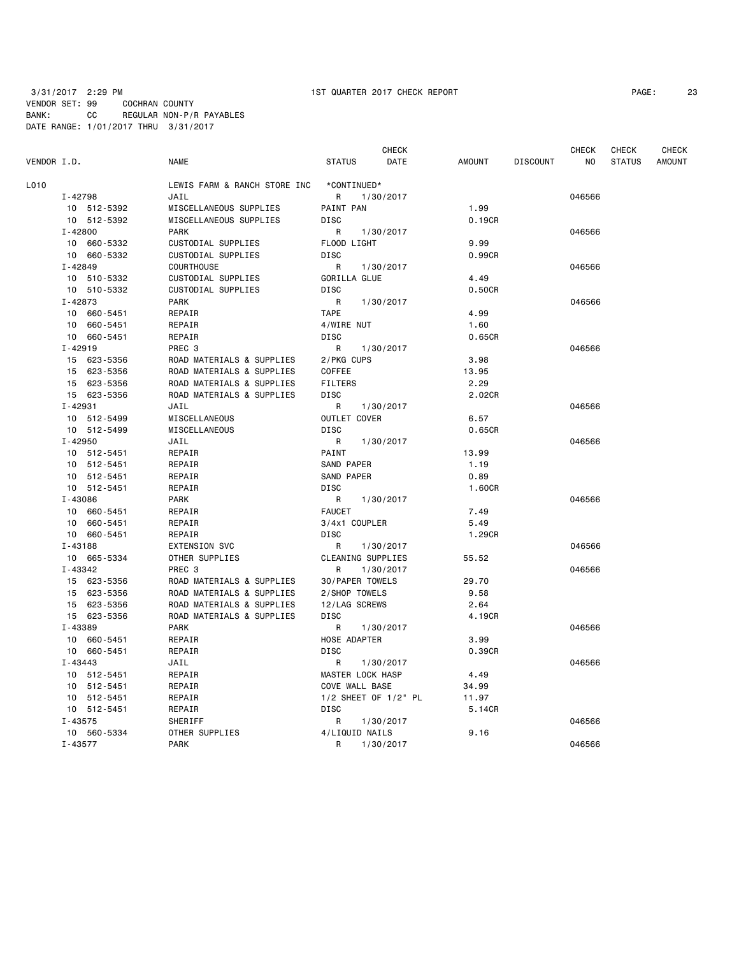| VENDOR I.D. |                | <b>NAME</b>                  | <b>STATUS</b>        | <b>CHECK</b><br>DATE | <b>AMOUNT</b> | <b>DISCOUNT</b> | CHECK<br>ΝO | <b>CHECK</b><br><b>STATUS</b> | <b>CHECK</b><br><b>AMOUNT</b> |
|-------------|----------------|------------------------------|----------------------|----------------------|---------------|-----------------|-------------|-------------------------------|-------------------------------|
| L010        |                | LEWIS FARM & RANCH STORE INC | *CONTINUED*          |                      |               |                 |             |                               |                               |
|             | I-42798        | JAIL                         | R                    | 1/30/2017            |               |                 | 046566      |                               |                               |
|             | 10 512-5392    | MISCELLANEOUS SUPPLIES       | PAINT PAN            |                      | 1.99          |                 |             |                               |                               |
|             | 10 512-5392    | MISCELLANEOUS SUPPLIES       | DISC                 |                      | 0.19CR        |                 |             |                               |                               |
|             | $I - 42800$    | <b>PARK</b>                  | R                    | 1/30/2017            |               |                 | 046566      |                               |                               |
|             | 10 660-5332    | CUSTODIAL SUPPLIES           | FLOOD LIGHT          |                      | 9.99          |                 |             |                               |                               |
|             | 10 660-5332    | CUSTODIAL SUPPLIES           | DISC                 |                      | 0.99CR        |                 |             |                               |                               |
|             | I-42849        | COURTHOUSE                   | R                    | 1/30/2017            |               |                 | 046566      |                               |                               |
|             | 10 510-5332    | CUSTODIAL SUPPLIES           | GORILLA GLUE         |                      | 4.49          |                 |             |                               |                               |
|             | 10 510-5332    | CUSTODIAL SUPPLIES           | DISC                 |                      | 0.50CR        |                 |             |                               |                               |
|             | I-42873        | <b>PARK</b>                  | R                    | 1/30/2017            |               |                 | 046566      |                               |                               |
|             | 10 660-5451    | REPAIR                       | <b>TAPE</b>          |                      | 4.99          |                 |             |                               |                               |
|             | 10 660-5451    | REPAIR                       | 4/WIRE NUT           |                      | 1.60          |                 |             |                               |                               |
|             | 10 660-5451    | REPAIR                       | <b>DISC</b>          |                      | 0.65CR        |                 |             |                               |                               |
|             | $I - 42919$    | PREC <sub>3</sub>            | R                    | 1/30/2017            |               |                 | 046566      |                               |                               |
|             | 15 623-5356    | ROAD MATERIALS & SUPPLIES    | 2/PKG CUPS           |                      | 3.98          |                 |             |                               |                               |
|             | 15 623-5356    | ROAD MATERIALS & SUPPLIES    | <b>COFFEE</b>        |                      | 13.95         |                 |             |                               |                               |
|             | 15 623-5356    | ROAD MATERIALS & SUPPLIES    | <b>FILTERS</b>       |                      | 2.29          |                 |             |                               |                               |
|             | 15 623-5356    | ROAD MATERIALS & SUPPLIES    | DISC                 |                      | 2.02CR        |                 |             |                               |                               |
|             | I-42931        | JAIL                         | R                    | 1/30/2017            |               |                 | 046566      |                               |                               |
|             | 10 512-5499    | MISCELLANEOUS                | OUTLET COVER         |                      | 6.57          |                 |             |                               |                               |
|             | 10 512-5499    | MISCELLANEOUS                | DISC                 |                      | 0.65CR        |                 |             |                               |                               |
|             | $I - 42950$    | JAIL                         | R                    | 1/30/2017            |               |                 | 046566      |                               |                               |
|             | 10 512-5451    | REPAIR                       | PAINT                |                      | 13.99         |                 |             |                               |                               |
|             | 10 512-5451    | REPAIR                       | SAND PAPER           |                      | 1.19          |                 |             |                               |                               |
|             | 10 512-5451    | REPAIR                       | SAND PAPER           |                      | 0.89          |                 |             |                               |                               |
|             | 10 512-5451    | REPAIR                       | DISC                 |                      | 1.60CR        |                 |             |                               |                               |
|             | I-43086        | <b>PARK</b>                  | R                    | 1/30/2017            |               |                 | 046566      |                               |                               |
|             | 10 660-5451    | REPAIR                       | <b>FAUCET</b>        |                      | 7.49          |                 |             |                               |                               |
|             | 10 660-5451    | REPAIR                       | 3/4x1 COUPLER        |                      | 5.49          |                 |             |                               |                               |
|             | 10 660-5451    | REPAIR                       | <b>DISC</b>          |                      | 1.29CR        |                 |             |                               |                               |
|             | $I - 43188$    | <b>EXTENSION SVC</b>         | R                    | 1/30/2017            |               |                 | 046566      |                               |                               |
|             | 10 665-5334    | OTHER SUPPLIES               | CLEANING SUPPLIES    |                      | 55.52         |                 |             |                               |                               |
|             | I-43342        | PREC 3                       | R                    | 1/30/2017            |               |                 | 046566      |                               |                               |
|             | 15 623-5356    | ROAD MATERIALS & SUPPLIES    | 30/PAPER TOWELS      |                      | 29.70         |                 |             |                               |                               |
|             | 15 623-5356    | ROAD MATERIALS & SUPPLIES    | 2/SHOP TOWELS        |                      | 9.58          |                 |             |                               |                               |
|             | 15 623-5356    | ROAD MATERIALS & SUPPLIES    | 12/LAG SCREWS        |                      | 2.64          |                 |             |                               |                               |
|             | 15 623-5356    | ROAD MATERIALS & SUPPLIES    | DISC                 |                      | 4.19CR        |                 |             |                               |                               |
|             | I-43389        | <b>PARK</b>                  | R                    | 1/30/2017            |               |                 | 046566      |                               |                               |
|             | 660-5451<br>10 | REPAIR                       | HOSE ADAPTER         |                      | 3.99          |                 |             |                               |                               |
|             | 10 660-5451    | REPAIR                       | DISC                 |                      | 0.39CR        |                 |             |                               |                               |
|             | $I - 43443$    | JAIL                         | R                    | 1/30/2017            |               |                 | 046566      |                               |                               |
|             | 10 512-5451    | REPAIR                       | MASTER LOCK HASP     |                      | 4.49          |                 |             |                               |                               |
|             | 10 512-5451    | REPAIR                       | COVE WALL BASE       |                      | 34.99         |                 |             |                               |                               |
|             | 10 512-5451    | REPAIR                       | 1/2 SHEET OF 1/2" PL |                      | 11.97         |                 |             |                               |                               |
|             | 10 512-5451    | REPAIR                       | DISC                 |                      | 5.14CR        |                 |             |                               |                               |
|             | $I - 43575$    | SHERIFF                      | R                    | 1/30/2017            |               |                 | 046566      |                               |                               |
|             | 10 560-5334    | OTHER SUPPLIES               | 4/LIQUID NAILS       |                      | 9.16          |                 |             |                               |                               |
|             | $I - 43577$    | <b>PARK</b>                  | R                    | 1/30/2017            |               |                 | 046566      |                               |                               |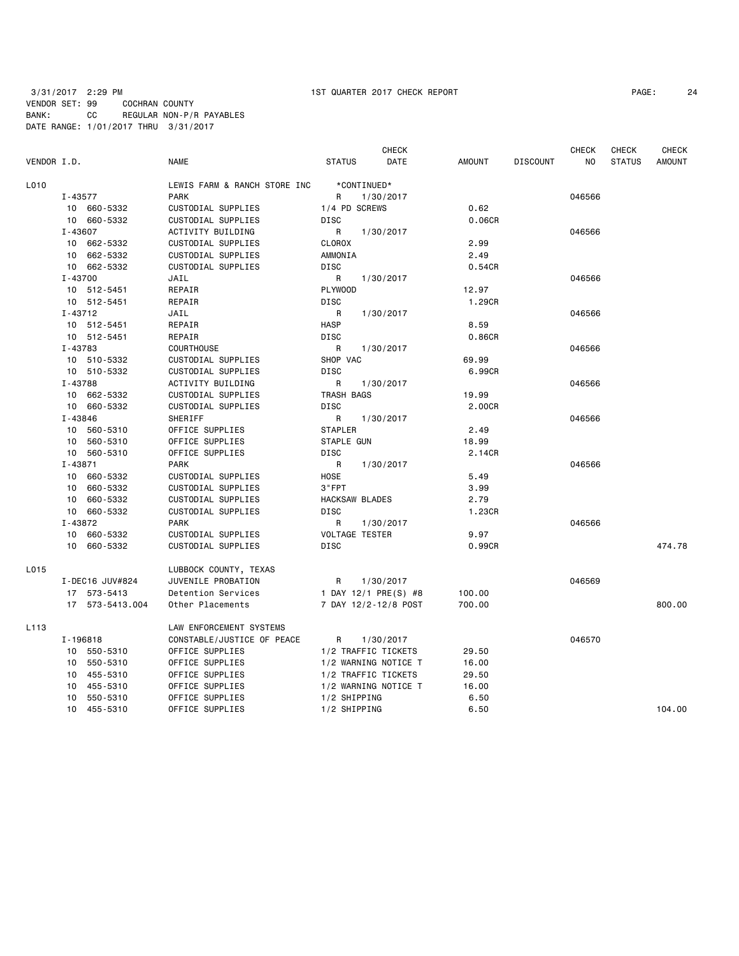| PAGE: | 24 |
|-------|----|
|-------|----|

|             |                 |                              |                       | <b>CHECK</b>         |        |                 | <b>CHECK</b> | <b>CHECK</b>  | <b>CHECK</b>  |
|-------------|-----------------|------------------------------|-----------------------|----------------------|--------|-----------------|--------------|---------------|---------------|
| VENDOR I.D. |                 | <b>NAME</b>                  | <b>STATUS</b>         | DATE                 | AMOUNT | <b>DISCOUNT</b> | NO.          | <b>STATUS</b> | <b>AMOUNT</b> |
| L010        |                 | LEWIS FARM & RANCH STORE INC | *CONTINUED*           |                      |        |                 |              |               |               |
|             | I-43577         | <b>PARK</b>                  | R                     | 1/30/2017            |        |                 | 046566       |               |               |
|             | 10 660-5332     | CUSTODIAL SUPPLIES           | 1/4 PD SCREWS         |                      | 0.62   |                 |              |               |               |
|             | 10 660-5332     | CUSTODIAL SUPPLIES           | DISC                  |                      | 0.06CR |                 |              |               |               |
|             | I-43607         | ACTIVITY BUILDING            | R                     | 1/30/2017            |        |                 | 046566       |               |               |
|             | 10 662-5332     | CUSTODIAL SUPPLIES           | <b>CLOROX</b>         |                      | 2.99   |                 |              |               |               |
|             | 10 662-5332     | CUSTODIAL SUPPLIES           | AMMONIA               |                      | 2.49   |                 |              |               |               |
|             | 10 662-5332     | CUSTODIAL SUPPLIES           | DISC                  |                      | 0.54CR |                 |              |               |               |
|             | I-43700         | JAIL                         | R                     | 1/30/2017            |        |                 | 046566       |               |               |
|             | 10 512-5451     | REPAIR                       | PLYWOOD               |                      | 12.97  |                 |              |               |               |
|             | 10 512-5451     | REPAIR                       | DISC                  |                      | 1.29CR |                 |              |               |               |
|             | I-43712         | JAIL                         | R                     | 1/30/2017            |        |                 | 046566       |               |               |
|             | 10 512-5451     | REPAIR                       | <b>HASP</b>           |                      | 8.59   |                 |              |               |               |
|             | 10 512-5451     | REPAIR                       | <b>DISC</b>           |                      | 0.86CR |                 |              |               |               |
|             | I-43783         | <b>COURTHOUSE</b>            | R                     | 1/30/2017            |        |                 | 046566       |               |               |
|             | 10 510-5332     | CUSTODIAL SUPPLIES           | SHOP VAC              |                      | 69.99  |                 |              |               |               |
|             | 10 510-5332     | CUSTODIAL SUPPLIES           | <b>DISC</b>           |                      | 6.99CR |                 |              |               |               |
|             | I-43788         | ACTIVITY BUILDING            | R                     | 1/30/2017            |        |                 | 046566       |               |               |
|             | 10 662-5332     | CUSTODIAL SUPPLIES           | TRASH BAGS            |                      | 19.99  |                 |              |               |               |
|             | 10 660-5332     | CUSTODIAL SUPPLIES           | DISC                  |                      | 2.00CR |                 |              |               |               |
|             | I-43846         | SHERIFF                      | R                     | 1/30/2017            |        |                 | 046566       |               |               |
|             | 10 560-5310     | OFFICE SUPPLIES              | <b>STAPLER</b>        |                      | 2.49   |                 |              |               |               |
|             | 10 560-5310     | OFFICE SUPPLIES              | STAPLE GUN            |                      | 18.99  |                 |              |               |               |
|             | 10 560-5310     | OFFICE SUPPLIES              | DISC                  |                      | 2.14CR |                 |              |               |               |
|             | I-43871         | <b>PARK</b>                  | R                     | 1/30/2017            |        |                 | 046566       |               |               |
|             | 10 660-5332     | CUSTODIAL SUPPLIES           | HOSE                  |                      | 5.49   |                 |              |               |               |
|             | 10 660-5332     | CUSTODIAL SUPPLIES           | 3"FPT                 |                      | 3.99   |                 |              |               |               |
|             | 10 660-5332     | CUSTODIAL SUPPLIES           | <b>HACKSAW BLADES</b> |                      | 2.79   |                 |              |               |               |
|             | 10 660-5332     | CUSTODIAL SUPPLIES           | <b>DISC</b>           |                      | 1.23CR |                 |              |               |               |
|             | I-43872         | <b>PARK</b>                  | R                     | 1/30/2017            |        |                 | 046566       |               |               |
|             | 10 660-5332     | CUSTODIAL SUPPLIES           | <b>VOLTAGE TESTER</b> |                      | 9.97   |                 |              |               |               |
|             | 10 660-5332     | CUSTODIAL SUPPLIES           | <b>DISC</b>           |                      | 0.99CR |                 |              |               | 474.78        |
| L015        |                 | LUBBOCK COUNTY, TEXAS        |                       |                      |        |                 |              |               |               |
|             | I-DEC16 JUV#824 | JUVENILE PROBATION           | R                     | 1/30/2017            |        |                 | 046569       |               |               |
|             | 17 573-5413     | Detention Services           |                       | 1 DAY 12/1 PRE(S) #8 | 100.00 |                 |              |               |               |
|             | 17 573-5413.004 | Other Placements             |                       | 7 DAY 12/2-12/8 POST | 700.00 |                 |              |               | 800.00        |
| L113        |                 | LAW ENFORCEMENT SYSTEMS      |                       |                      |        |                 |              |               |               |
|             | I-196818        | CONSTABLE/JUSTICE OF PEACE   | R                     | 1/30/2017            |        |                 | 046570       |               |               |
|             | 10 550-5310     | OFFICE SUPPLIES              | 1/2 TRAFFIC TICKETS   |                      | 29.50  |                 |              |               |               |
|             | 10 550-5310     | OFFICE SUPPLIES              |                       | 1/2 WARNING NOTICE T | 16.00  |                 |              |               |               |
|             | 10 455-5310     | OFFICE SUPPLIES              | 1/2 TRAFFIC TICKETS   |                      | 29.50  |                 |              |               |               |
|             | 455-5310<br>10  | OFFICE SUPPLIES              |                       | 1/2 WARNING NOTICE T | 16.00  |                 |              |               |               |
|             | 550-5310<br>10  | OFFICE SUPPLIES              | 1/2 SHIPPING          |                      | 6.50   |                 |              |               |               |
|             | 10 455-5310     | OFFICE SUPPLIES              | 1/2 SHIPPING          |                      | 6.50   |                 |              |               | 104.00        |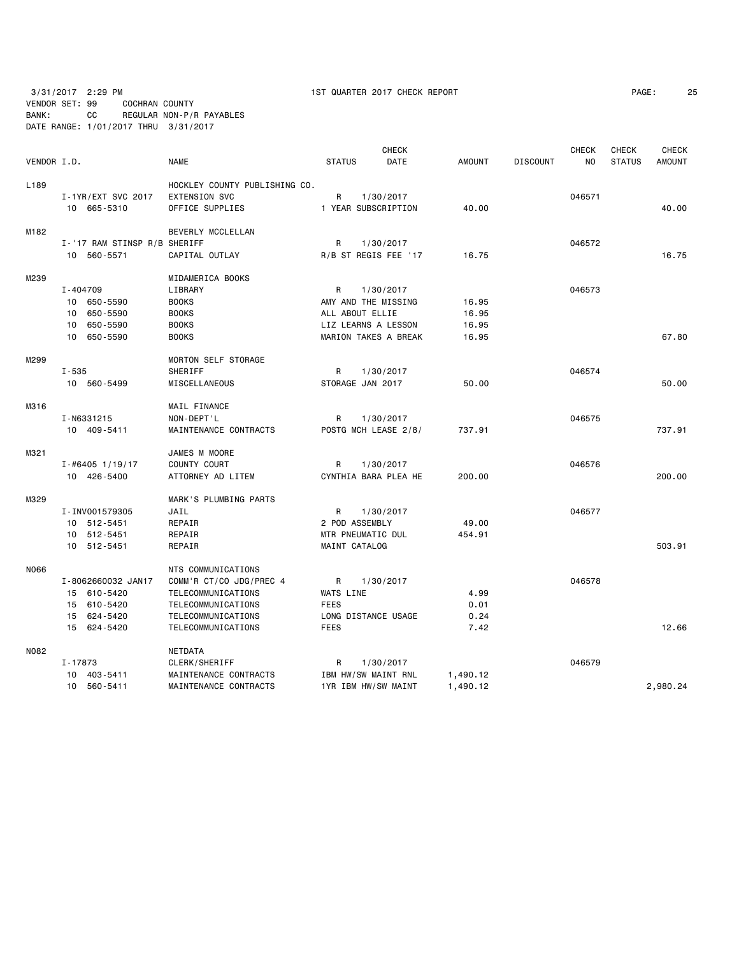3/31/2017 2:29 PM 1ST QUARTER 2017 CHECK REPORT PAGE: 25 VENDOR SET: 99 COCHRAN COUNTY

| BANK: | CC<br>DATE RANGE: 1/01/2017 THRU 3/31/2017 | REGULAR NON-P/R PAYABLES      |                     |                      |               |                 |                    |                               |                               |
|-------|--------------------------------------------|-------------------------------|---------------------|----------------------|---------------|-----------------|--------------------|-------------------------------|-------------------------------|
|       | VENDOR I.D.                                | <b>NAME</b>                   | <b>STATUS</b>       | <b>CHECK</b><br>DATE | <b>AMOUNT</b> | <b>DISCOUNT</b> | CHECK<br><b>NO</b> | <b>CHECK</b><br><b>STATUS</b> | <b>CHECK</b><br><b>AMOUNT</b> |
| L189  |                                            | HOCKLEY COUNTY PUBLISHING CO. |                     |                      |               |                 |                    |                               |                               |
|       | I-1YR/EXT SVC 2017                         | <b>EXTENSION SVC</b>          | $\mathsf{R}$        | 1/30/2017            |               |                 | 046571             |                               |                               |
|       | 10 665-5310                                | OFFICE SUPPLIES               | 1 YEAR SUBSCRIPTION |                      | 40.00         |                 |                    |                               | 40.00                         |
| M182  |                                            | BEVERLY MCCLELLAN             |                     |                      |               |                 |                    |                               |                               |
|       | I-'17 RAM STINSP R/B SHERIFF               |                               | R                   | 1/30/2017            |               |                 | 046572             |                               |                               |
|       | 10 560-5571                                | CAPITAL OUTLAY                |                     | R/B ST REGIS FEE '17 | 16.75         |                 |                    |                               | 16.75                         |
| M239  |                                            | MIDAMERICA BOOKS              |                     |                      |               |                 |                    |                               |                               |
|       | I-404709                                   | LIBRARY                       | $\mathsf{R}$        | 1/30/2017            |               |                 | 046573             |                               |                               |
|       | 10 650-5590                                | <b>BOOKS</b>                  | AMY AND THE MISSING |                      | 16.95         |                 |                    |                               |                               |
|       | 10 650-5590                                | <b>BOOKS</b>                  | ALL ABOUT ELLIE     |                      | 16.95         |                 |                    |                               |                               |
|       | 10 650-5590                                | <b>BOOKS</b>                  | LIZ LEARNS A LESSON |                      | 16.95         |                 |                    |                               |                               |
|       | 10 650-5590                                | <b>BOOKS</b>                  |                     | MARION TAKES A BREAK | 16.95         |                 |                    |                               | 67.80                         |
| M299  |                                            | <b>MORTON SELF STORAGE</b>    |                     |                      |               |                 |                    |                               |                               |
|       | $I - 535$                                  | SHERIFF                       | R.                  | 1/30/2017            |               |                 | 046574             |                               |                               |
|       | 10 560-5499                                | MISCELLANEOUS                 | STORAGE JAN 2017    |                      | 50.00         |                 |                    |                               | 50.00                         |
| M316  |                                            | MAIL FINANCE                  |                     |                      |               |                 |                    |                               |                               |
|       | I-N6331215                                 | NON-DEPT'L                    | $\mathsf{R}$        | 1/30/2017            |               |                 | 046575             |                               |                               |
|       | 10 409-5411                                | MAINTENANCE CONTRACTS         |                     | POSTG MCH LEASE 2/8/ | 737.91        |                 |                    |                               | 737.91                        |
| M321  |                                            | JAMES M MOORE                 |                     |                      |               |                 |                    |                               |                               |
|       | $I - #6405$ 1/19/17                        | COUNTY COURT                  | R                   | 1/30/2017            |               |                 | 046576             |                               |                               |
|       | 10 426-5400                                | ATTORNEY AD LITEM             |                     | CYNTHIA BARA PLEA HE | 200,00        |                 |                    |                               | 200,00                        |
|       |                                            |                               |                     |                      |               |                 |                    |                               |                               |

|      | $1 - #0405$ $1/19/17$ | <b>COUNTY COURT</b>     | н.<br>1/30/2017           |          | <b>U405/0</b> |          |
|------|-----------------------|-------------------------|---------------------------|----------|---------------|----------|
|      | 10 426-5400           | ATTORNEY AD LITEM       | CYNTHIA BARA PLEA HE      | 200.00   |               | 200.00   |
| M329 |                       | MARK'S PLUMBING PARTS   |                           |          |               |          |
|      | I-INV001579305        | JAIL                    | 1/30/2017<br>R            |          | 046577        |          |
|      | 512-5451<br>10        | REPAIR                  | 2 POD ASSEMBLY            | 49.00    |               |          |
|      | 512-5451<br>10        | REPAIR                  | MTR PNEUMATIC DUL         | 454.91   |               |          |
|      | 512-5451<br>10        | REPAIR                  | MAINT CATALOG             |          |               | 503.91   |
| N066 |                       | NTS COMMUNICATIONS      |                           |          |               |          |
|      | I-8062660032 JAN17    | COMM'R CT/CO JDG/PREC 4 | $\mathsf{R}$<br>1/30/2017 |          | 046578        |          |
|      | 15 610-5420           | TELECOMMUNICATIONS      | WATS LINE                 | 4.99     |               |          |
|      | 610-5420<br>15        | TELECOMMUNICATIONS      | <b>FEES</b>               | 0.01     |               |          |
|      | 624-5420<br>15        | TELECOMMUNICATIONS      | LONG DISTANCE USAGE       | 0.24     |               |          |
|      | 15 624-5420           | TELECOMMUNICATIONS      | <b>FEES</b>               | 7.42     |               | 12.66    |
| N082 |                       | NETDATA                 |                           |          |               |          |
|      | I-17873               | CLERK/SHERIFF           | R.<br>1/30/2017           |          | 046579        |          |
|      | 403-5411<br>10        | MAINTENANCE CONTRACTS   | IBM HW/SW MAINT RNL       | 1,490.12 |               |          |
|      | 560-5411<br>10        | MAINTENANCE CONTRACTS   | 1YR IBM HW/SW MAINT       | 1,490.12 |               | 2,980.24 |
|      |                       |                         |                           |          |               |          |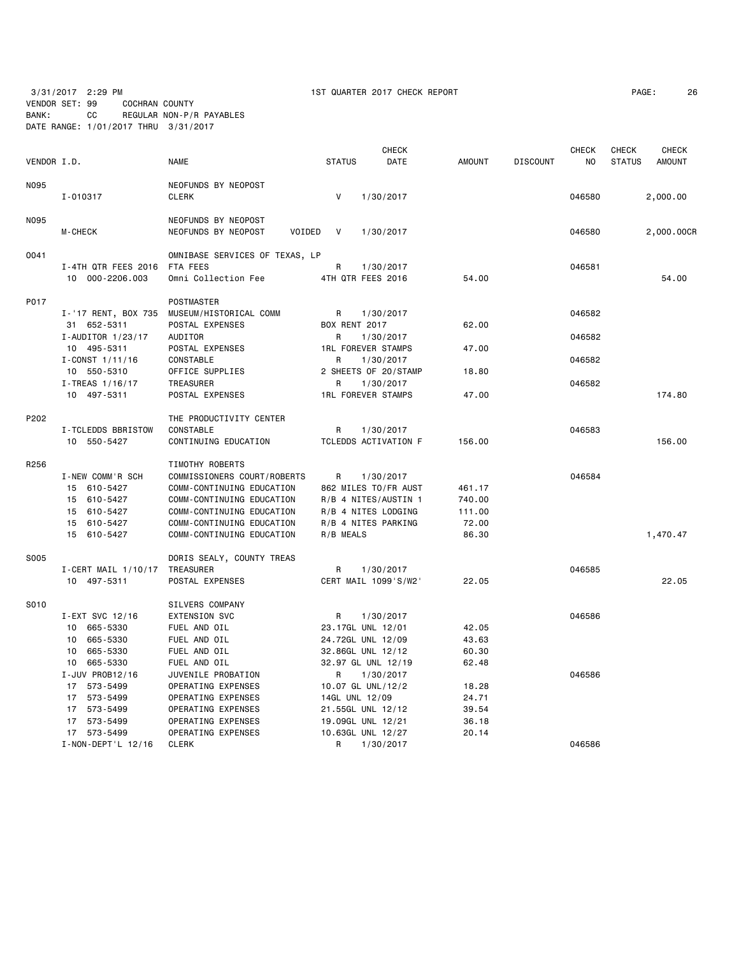VENDOR SET: 99 COCHRAN COUNTY BANK: CC REGULAR NON-P/R PAYABLES

| PAGE: | 26 |
|-------|----|
|-------|----|

|             | DATE RANGE: 1/01/2017 THRU 3/31/2017 |                                                      |                      |                                        |                |                 |                         |                               |                               |
|-------------|--------------------------------------|------------------------------------------------------|----------------------|----------------------------------------|----------------|-----------------|-------------------------|-------------------------------|-------------------------------|
| VENDOR I.D. |                                      | <b>NAME</b>                                          | <b>STATUS</b>        | <b>CHECK</b><br>DATE                   | <b>AMOUNT</b>  | <b>DISCOUNT</b> | CHECK<br>N <sub>O</sub> | <b>CHECK</b><br><b>STATUS</b> | <b>CHECK</b><br><b>AMOUNT</b> |
| N095        |                                      | NEOFUNDS BY NEOPOST                                  |                      |                                        |                |                 |                         |                               |                               |
|             | I-010317                             | <b>CLERK</b>                                         | $\mathsf{V}$         | 1/30/2017                              |                |                 | 046580                  |                               | 2,000.00                      |
| N095        | <b>M-CHECK</b>                       | NEOFUNDS BY NEOPOST<br>NEOFUNDS BY NEOPOST<br>VOIDED | V                    | 1/30/2017                              |                |                 | 046580                  |                               | 2,000.00CR                    |
| 0041        |                                      | OMNIBASE SERVICES OF TEXAS, LP                       |                      |                                        |                |                 |                         |                               |                               |
|             | I-4TH QTR FEES 2016                  | FTA FEES                                             | R                    | 1/30/2017                              |                |                 | 046581                  |                               |                               |
|             | 10 000-2206.003                      | Omni Collection Fee                                  |                      | 4TH QTR FEES 2016                      | 54.00          |                 |                         |                               | 54.00                         |
| P017        |                                      | POSTMASTER                                           |                      |                                        |                |                 |                         |                               |                               |
|             | I-'17 RENT, BOX 735                  | MUSEUM/HISTORICAL COMM                               | R                    | 1/30/2017                              |                |                 | 046582                  |                               |                               |
|             | 31 652-5311                          | POSTAL EXPENSES                                      | <b>BOX RENT 2017</b> |                                        | 62.00          |                 |                         |                               |                               |
|             | I-AUDITOR 1/23/17                    | AUDITOR                                              | R                    | 1/30/2017                              |                |                 | 046582                  |                               |                               |
|             | 10 495-5311                          | POSTAL EXPENSES                                      |                      | <b>1RL FOREVER STAMPS</b>              | 47.00          |                 |                         |                               |                               |
|             | $I-CONST$ 1/11/16                    | CONSTABLE                                            | R                    | 1/30/2017                              |                |                 | 046582                  |                               |                               |
|             | 10 550-5310                          | OFFICE SUPPLIES                                      |                      | 2 SHEETS OF 20/STAMP                   | 18.80          |                 |                         |                               |                               |
|             | $I$ -TREAS $1/16/17$                 | TREASURER                                            | R                    | 1/30/2017                              |                |                 | 046582                  |                               |                               |
|             | 10 497-5311                          | POSTAL EXPENSES                                      |                      | <b>1RL FOREVER STAMPS</b>              | 47.00          |                 |                         |                               | 174.80                        |
| P202        |                                      | THE PRODUCTIVITY CENTER                              |                      |                                        |                |                 |                         |                               |                               |
|             | I-TCLEDDS BBRISTOW                   | CONSTABLE                                            | R                    | 1/30/2017                              |                |                 | 046583                  |                               |                               |
|             | 10 550-5427                          | CONTINUING EDUCATION                                 |                      | TCLEDDS ACTIVATION F                   | 156.00         |                 |                         |                               | 156.00                        |
| R256        |                                      | TIMOTHY ROBERTS                                      |                      |                                        |                |                 |                         |                               |                               |
|             | I-NEW COMM'R SCH                     | COMMISSIONERS COURT/ROBERTS                          | R.                   | 1/30/2017                              |                |                 | 046584                  |                               |                               |
|             | 15 610-5427                          | COMM-CONTINUING EDUCATION                            |                      | 862 MILES TO/FR AUST                   | 461.17         |                 |                         |                               |                               |
|             | 15 610-5427                          | COMM-CONTINUING EDUCATION                            |                      | R/B 4 NITES/AUSTIN 1                   | 740.00         |                 |                         |                               |                               |
|             | 15 610-5427                          | COMM-CONTINUING EDUCATION                            |                      | R/B 4 NITES LODGING                    | 111.00         |                 |                         |                               |                               |
|             | 15 610-5427                          | COMM-CONTINUING EDUCATION                            |                      | R/B 4 NITES PARKING                    | 72.00          |                 |                         |                               |                               |
|             | 15 610-5427                          | COMM-CONTINUING EDUCATION                            | R/B MEALS            |                                        | 86.30          |                 |                         |                               | 1,470.47                      |
| S005        |                                      | DORIS SEALY, COUNTY TREAS                            |                      |                                        |                |                 |                         |                               |                               |
|             | $I$ -CERT MAIL 1/10/17               | TREASURER                                            | R                    | 1/30/2017                              |                |                 | 046585                  |                               |                               |
|             | 10 497-5311                          | POSTAL EXPENSES                                      |                      | CERT MAIL 1099'S/W2'                   | 22.05          |                 |                         |                               | 22.05                         |
| S010        |                                      | SILVERS COMPANY                                      |                      |                                        |                |                 |                         |                               |                               |
|             | I-EXT SVC 12/16                      | <b>EXTENSION SVC</b>                                 | R                    | 1/30/2017                              |                |                 | 046586                  |                               |                               |
|             | 10 665-5330                          | FUEL AND OIL                                         |                      | 23.17GL UNL 12/01                      | 42.05          |                 |                         |                               |                               |
|             | 665-5330<br>10                       | FUEL AND OIL                                         |                      | 24.72GL UNL 12/09                      | 43.63          |                 |                         |                               |                               |
|             | 10<br>665-5330                       | FUEL AND OIL                                         |                      | 32.86GL UNL 12/12                      | 60.30          |                 |                         |                               |                               |
|             | 10 665-5330                          | FUEL AND OIL                                         |                      | 32.97 GL UNL 12/19                     | 62.48          |                 |                         |                               |                               |
|             | I-JUV PROB12/16                      | JUVENILE PROBATION                                   | R                    | 1/30/2017                              |                |                 | 046586                  |                               |                               |
|             | 17 573-5499                          | OPERATING EXPENSES                                   |                      | 10.07 GL UNL/12/2                      | 18.28          |                 |                         |                               |                               |
|             | 17 573-5499                          | OPERATING EXPENSES                                   | 14GL UNL 12/09       |                                        | 24.71          |                 |                         |                               |                               |
|             | 17 573-5499<br>17 573-5499           | OPERATING EXPENSES<br>OPERATING EXPENSES             |                      | 21.55GL UNL 12/12                      | 39.54<br>36.18 |                 |                         |                               |                               |
|             | 17 573-5499                          | OPERATING EXPENSES                                   |                      | 19.09GL UNL 12/21<br>10.63GL UNL 12/27 | 20.14          |                 |                         |                               |                               |
|             | I-NON-DEPT'L 12/16                   | <b>CLERK</b>                                         | R                    | 1/30/2017                              |                |                 | 046586                  |                               |                               |
|             |                                      |                                                      |                      |                                        |                |                 |                         |                               |                               |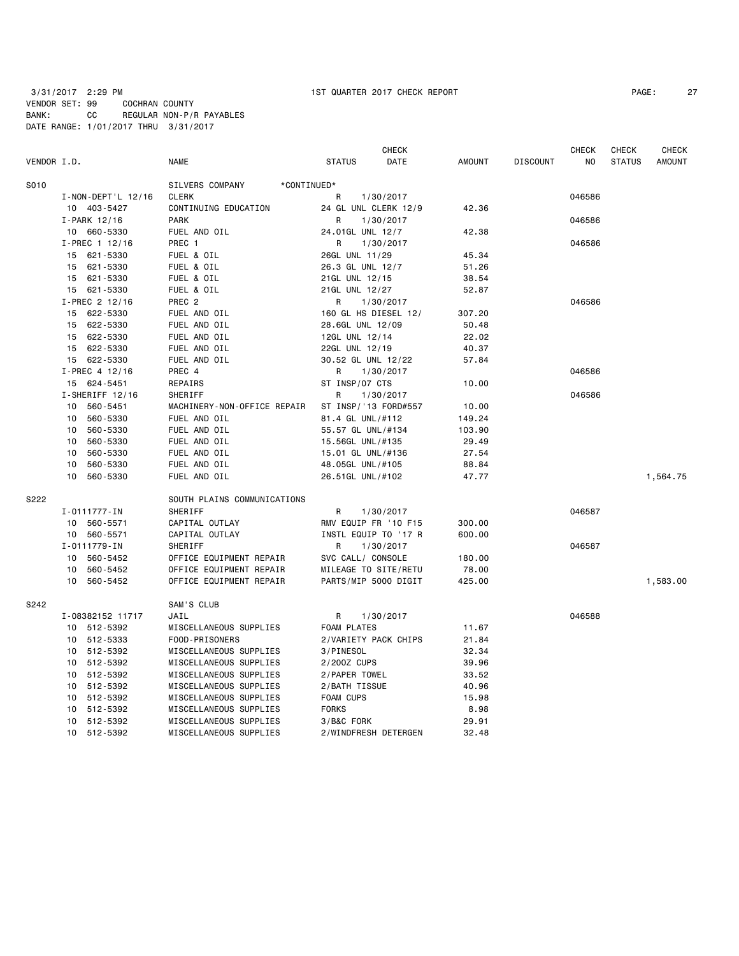| VENDOR I.D. |                             | <b>NAME</b>                    | <b>STATUS</b>             | <b>CHECK</b><br>DATE | <b>AMOUNT</b>   | <b>DISCOUNT</b> | <b>CHECK</b><br>N <sub>O</sub> | <b>CHECK</b><br><b>STATUS</b> | <b>CHECK</b><br><b>AMOUNT</b> |
|-------------|-----------------------------|--------------------------------|---------------------------|----------------------|-----------------|-----------------|--------------------------------|-------------------------------|-------------------------------|
| S010        |                             | SILVERS COMPANY<br>*CONTINUED* |                           |                      |                 |                 |                                |                               |                               |
|             | I-NON-DEPT'L 12/16          | <b>CLERK</b>                   | R                         |                      |                 |                 | 046586                         |                               |                               |
|             | 10 403-5427                 | CONTINUING EDUCATION           | 24 GL UNL CLERK 12/9      | 1/30/2017            | 42.36           |                 |                                |                               |                               |
|             | $I-PARK$ 12/16              | <b>PARK</b>                    | R                         | 1/30/2017            |                 |                 | 046586                         |                               |                               |
|             | 10 660-5330                 | FUEL AND OIL                   | 24.01GL UNL 12/7          |                      | 42.38           |                 |                                |                               |                               |
|             | I-PREC 1 12/16              | PREC 1                         | R                         | 1/30/2017            |                 |                 | 046586                         |                               |                               |
|             | 15 621-5330                 | FUEL & OIL                     | 26GL UNL 11/29            |                      | 45.34           |                 |                                |                               |                               |
|             | 15 621-5330                 | FUEL & OIL                     | 26.3 GL UNL 12/7          |                      | 51.26           |                 |                                |                               |                               |
|             | 15 621-5330                 | FUEL & OIL                     | 21GL UNL 12/15            |                      | 38.54           |                 |                                |                               |                               |
|             | 15 621-5330                 | FUEL & OIL                     | 21GL UNL 12/27            |                      | 52.87           |                 |                                |                               |                               |
|             | I-PREC 2 12/16              | PREC <sub>2</sub>              | R.                        | 1/30/2017            |                 |                 | 046586                         |                               |                               |
|             | 15 622-5330                 | FUEL AND OIL                   | 160 GL HS DIESEL 12/      |                      | 307.20          |                 |                                |                               |                               |
|             | 15 622-5330                 | FUEL AND OIL                   | 28.6GL UNL 12/09          |                      | 50.48           |                 |                                |                               |                               |
|             | 15 622-5330                 | FUEL AND OIL                   | 12GL UNL 12/14            |                      | 22.02           |                 |                                |                               |                               |
|             | 15 622-5330                 | FUEL AND OIL                   | 22GL UNL 12/19            |                      | 40.37           |                 |                                |                               |                               |
|             | 15 622-5330                 | FUEL AND OIL                   | 30.52 GL UNL 12/22        |                      | 57.84           |                 |                                |                               |                               |
|             | I-PREC 4 12/16              | PREC 4                         | R                         | 1/30/2017            |                 |                 | 046586                         |                               |                               |
|             | 15 624-5451                 | REPAIRS                        | ST INSP/07 CTS            |                      | 10.00           |                 |                                |                               |                               |
|             | $I-SHERIFF 12/16$           | SHERIFF                        | R                         | 1/30/2017            |                 |                 | 046586                         |                               |                               |
|             | 10<br>560-5451              | MACHINERY-NON-OFFICE REPAIR    | ST INSP/'13 FORD#557      |                      | 10.00           |                 |                                |                               |                               |
|             | 560-5330<br>10              | FUEL AND OIL                   | 81.4 GL UNL/#112          |                      | 149.24          |                 |                                |                               |                               |
|             | 560-5330<br>10              | FUEL AND OIL                   | 55.57 GL UNL/#134         |                      | 103.90          |                 |                                |                               |                               |
|             | 560-5330<br>10              | FUEL AND OIL                   | 15.56GL UNL/#135          |                      | 29.49           |                 |                                |                               |                               |
|             | 560-5330<br>10              | FUEL AND OIL                   | 15.01 GL UNL/#136         |                      | 27.54           |                 |                                |                               |                               |
|             | 560-5330<br>10              | FUEL AND OIL                   | 48.05GL UNL/#105          |                      | 88.84           |                 |                                |                               |                               |
|             | 10<br>560-5330              | FUEL AND OIL                   | 26.51GL UNL/#102          |                      | 47.77           |                 |                                |                               | 1,564.75                      |
| S222        |                             | SOUTH PLAINS COMMUNICATIONS    |                           |                      |                 |                 |                                |                               |                               |
|             |                             | SHERIFF                        |                           |                      |                 |                 | 046587                         |                               |                               |
|             | I-0111777-IN<br>10 560-5571 | CAPITAL OUTLAY                 | R<br>RMV EQUIP FR '10 F15 | 1/30/2017            | 300.00          |                 |                                |                               |                               |
|             | 10 560-5571                 | CAPITAL OUTLAY                 | INSTL EQUIP TO '17 R      |                      | 600.00          |                 |                                |                               |                               |
|             | I-0111779-IN                | SHERIFF                        | R                         | 1/30/2017            |                 |                 | 046587                         |                               |                               |
|             | 10 560-5452                 | OFFICE EQUIPMENT REPAIR        | SVC CALL/ CONSOLE         |                      |                 |                 |                                |                               |                               |
|             | 10 560-5452                 | OFFICE EQUIPMENT REPAIR        | MILEAGE TO SITE/RETU      |                      | 180.00<br>78.00 |                 |                                |                               |                               |
|             | 10 560-5452                 | OFFICE EQUIPMENT REPAIR        | PARTS/MIP 5000 DIGIT      |                      | 425.00          |                 |                                |                               | 1,583.00                      |
|             |                             |                                |                           |                      |                 |                 |                                |                               |                               |
| S242        |                             | SAM'S CLUB                     |                           |                      |                 |                 |                                |                               |                               |
|             | I-08382152 11717            | JAIL                           | R                         | 1/30/2017            |                 |                 | 046588                         |                               |                               |
|             | 10 512-5392                 | MISCELLANEOUS SUPPLIES         | FOAM PLATES               |                      | 11.67           |                 |                                |                               |                               |
|             | 10 512-5333                 | FOOD-PRISONERS                 | 2/VARIETY PACK CHIPS      |                      | 21.84           |                 |                                |                               |                               |
|             | 10 512-5392                 | MISCELLANEOUS SUPPLIES         | 3/PINESOL                 |                      | 32.34           |                 |                                |                               |                               |
|             | 512-5392<br>10              | MISCELLANEOUS SUPPLIES         | 2/200Z CUPS               |                      | 39.96           |                 |                                |                               |                               |
|             | 10 512-5392                 | MISCELLANEOUS SUPPLIES         | 2/PAPER TOWEL             |                      | 33.52           |                 |                                |                               |                               |
|             | 10 512-5392                 | MISCELLANEOUS SUPPLIES         | 2/BATH TISSUE             |                      | 40.96           |                 |                                |                               |                               |
|             | 10 512-5392                 | MISCELLANEOUS SUPPLIES         | FOAM CUPS                 |                      | 15.98           |                 |                                |                               |                               |
|             | 10 512-5392                 | MISCELLANEOUS SUPPLIES         | <b>FORKS</b>              |                      | 8.98            |                 |                                |                               |                               |
|             | 10 512-5392                 | MISCELLANEOUS SUPPLIES         | 3/B&C FORK                |                      | 29.91           |                 |                                |                               |                               |
|             | 10 512-5392                 | MISCELLANEOUS SUPPLIES         | 2/WINDFRESH DETERGEN      |                      | 32.48           |                 |                                |                               |                               |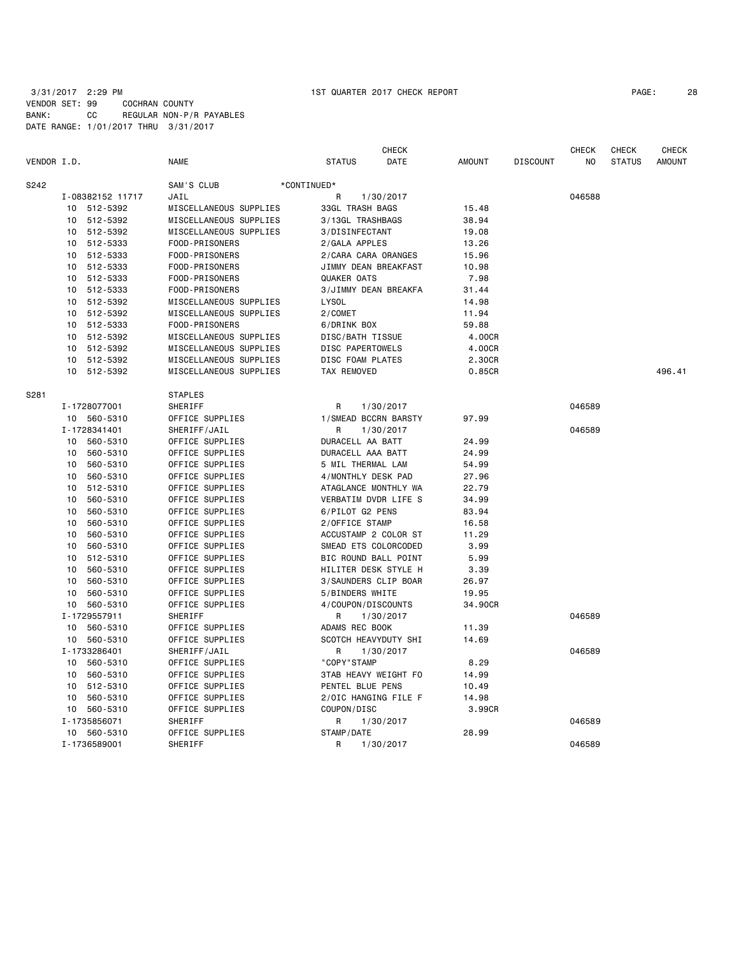| PAGE: | 28 |
|-------|----|
|       |    |

|             |    |                  |                        |                      | <b>CHECK</b> |               |                 | <b>CHECK</b> | <b>CHECK</b>  | <b>CHECK</b>  |
|-------------|----|------------------|------------------------|----------------------|--------------|---------------|-----------------|--------------|---------------|---------------|
| VENDOR I.D. |    |                  | <b>NAME</b>            | <b>STATUS</b>        | DATE         | <b>AMOUNT</b> | <b>DISCOUNT</b> | NO           | <b>STATUS</b> | <b>AMOUNT</b> |
| S242        |    |                  | SAM'S CLUB             | *CONTINUED*          |              |               |                 |              |               |               |
|             |    | I-08382152 11717 | JAIL                   | R                    | 1/30/2017    |               |                 | 046588       |               |               |
|             |    | 10 512-5392      | MISCELLANEOUS SUPPLIES | 33GL TRASH BAGS      |              | 15.48         |                 |              |               |               |
|             | 10 | 512-5392         | MISCELLANEOUS SUPPLIES | 3/13GL TRASHBAGS     |              | 38.94         |                 |              |               |               |
|             |    | 10 512-5392      | MISCELLANEOUS SUPPLIES | 3/DISINFECTANT       |              | 19.08         |                 |              |               |               |
|             | 10 | 512-5333         | FOOD-PRISONERS         | 2/GALA APPLES        |              | 13.26         |                 |              |               |               |
|             | 10 | 512-5333         | FOOD-PRISONERS         | 2/CARA CARA ORANGES  |              | 15.96         |                 |              |               |               |
|             | 10 | 512-5333         | FOOD-PRISONERS         | JIMMY DEAN BREAKFAST |              | 10.98         |                 |              |               |               |
|             | 10 | 512-5333         | FOOD-PRISONERS         | QUAKER OATS          |              | 7.98          |                 |              |               |               |
|             | 10 | 512-5333         | FOOD-PRISONERS         | 3/JIMMY DEAN BREAKFA |              | 31.44         |                 |              |               |               |
|             | 10 | 512-5392         | MISCELLANEOUS SUPPLIES | <b>LYSOL</b>         |              | 14.98         |                 |              |               |               |
|             | 10 | 512-5392         | MISCELLANEOUS SUPPLIES | 2/COMET              |              | 11.94         |                 |              |               |               |
|             | 10 | 512-5333         | FOOD-PRISONERS         | 6/DRINK BOX          |              | 59.88         |                 |              |               |               |
|             | 10 | 512-5392         | MISCELLANEOUS SUPPLIES | DISC/BATH TISSUE     |              | 4.00CR        |                 |              |               |               |
|             | 10 | 512-5392         | MISCELLANEOUS SUPPLIES | DISC PAPERTOWELS     |              | 4.00CR        |                 |              |               |               |
|             |    | 10 512-5392      | MISCELLANEOUS SUPPLIES | DISC FOAM PLATES     |              | 2.30CR        |                 |              |               |               |
|             | 10 | 512-5392         | MISCELLANEOUS SUPPLIES | TAX REMOVED          |              | 0.85CR        |                 |              |               | 496.41        |
| S281        |    |                  | <b>STAPLES</b>         |                      |              |               |                 |              |               |               |
|             |    | I-1728077001     | SHERIFF                | R                    | 1/30/2017    |               |                 | 046589       |               |               |
|             |    | 10 560-5310      | OFFICE SUPPLIES        | 1/SMEAD BCCRN BARSTY |              | 97.99         |                 |              |               |               |
|             |    | I-1728341401     | SHERIFF/JAIL           | R                    | 1/30/2017    |               |                 | 046589       |               |               |
|             |    | 10 560-5310      | OFFICE SUPPLIES        | DURACELL AA BATT     |              | 24.99         |                 |              |               |               |
|             | 10 | 560-5310         | OFFICE SUPPLIES        | DURACELL AAA BATT    |              | 24.99         |                 |              |               |               |
|             | 10 | 560-5310         | OFFICE SUPPLIES        | 5 MIL THERMAL LAM    |              | 54.99         |                 |              |               |               |
|             | 10 | 560-5310         | OFFICE SUPPLIES        | 4/MONTHLY DESK PAD   |              | 27.96         |                 |              |               |               |
|             | 10 | 512-5310         | OFFICE SUPPLIES        | ATAGLANCE MONTHLY WA |              | 22.79         |                 |              |               |               |
|             | 10 | 560-5310         | OFFICE SUPPLIES        | VERBATIM DVDR LIFE S |              | 34.99         |                 |              |               |               |
|             | 10 | 560-5310         | OFFICE SUPPLIES        | 6/PILOT G2 PENS      |              | 83.94         |                 |              |               |               |
|             | 10 | 560-5310         | OFFICE SUPPLIES        | 2/OFFICE STAMP       |              | 16.58         |                 |              |               |               |
|             | 10 | 560-5310         | OFFICE SUPPLIES        | ACCUSTAMP 2 COLOR ST |              | 11.29         |                 |              |               |               |
|             | 10 | 560-5310         | OFFICE SUPPLIES        | SMEAD ETS COLORCODED |              | 3.99          |                 |              |               |               |
|             | 10 | 512-5310         | OFFICE SUPPLIES        | BIC ROUND BALL POINT |              | 5.99          |                 |              |               |               |
|             | 10 | 560-5310         | OFFICE SUPPLIES        | HILITER DESK STYLE H |              | 3.39          |                 |              |               |               |
|             | 10 | 560-5310         | OFFICE SUPPLIES        | 3/SAUNDERS CLIP BOAR |              | 26.97         |                 |              |               |               |
|             | 10 | 560-5310         | OFFICE SUPPLIES        | 5/BINDERS WHITE      |              | 19.95         |                 |              |               |               |
|             |    | 10 560-5310      | OFFICE SUPPLIES        | 4/COUPON/DISCOUNTS   |              | 34,90CR       |                 |              |               |               |
|             |    | I-1729557911     | SHERIFF                | R                    | 1/30/2017    |               |                 | 046589       |               |               |
|             | 10 | 560-5310         | OFFICE SUPPLIES        | ADAMS REC BOOK       |              | 11.39         |                 |              |               |               |
|             |    | 10 560-5310      | OFFICE SUPPLIES        | SCOTCH HEAVYDUTY SHI |              | 14.69         |                 |              |               |               |
|             |    | I-1733286401     | SHERIFF/JAIL           | R                    | 1/30/2017    |               |                 | 046589       |               |               |
|             | 10 | 560-5310         | OFFICE SUPPLIES        | "COPY"STAMP          |              | 8.29          |                 |              |               |               |
|             | 10 | 560-5310         | OFFICE SUPPLIES        | 3TAB HEAVY WEIGHT FO |              | 14.99         |                 |              |               |               |
|             | 10 | 512-5310         | OFFICE SUPPLIES        | PENTEL BLUE PENS     |              | 10.49         |                 |              |               |               |
|             |    | 10 560-5310      | OFFICE SUPPLIES        | 2/OIC HANGING FILE F |              | 14.98         |                 |              |               |               |
|             |    | 10 560-5310      | OFFICE SUPPLIES        | COUPON/DISC          |              | 3.99CR        |                 |              |               |               |
|             |    | I-1735856071     | SHERIFF                | R                    | 1/30/2017    |               |                 | 046589       |               |               |
|             |    | 10 560-5310      | OFFICE SUPPLIES        | STAMP/DATE           |              | 28.99         |                 |              |               |               |
|             |    | I-1736589001     | SHERIFF                | R                    | 1/30/2017    |               |                 | 046589       |               |               |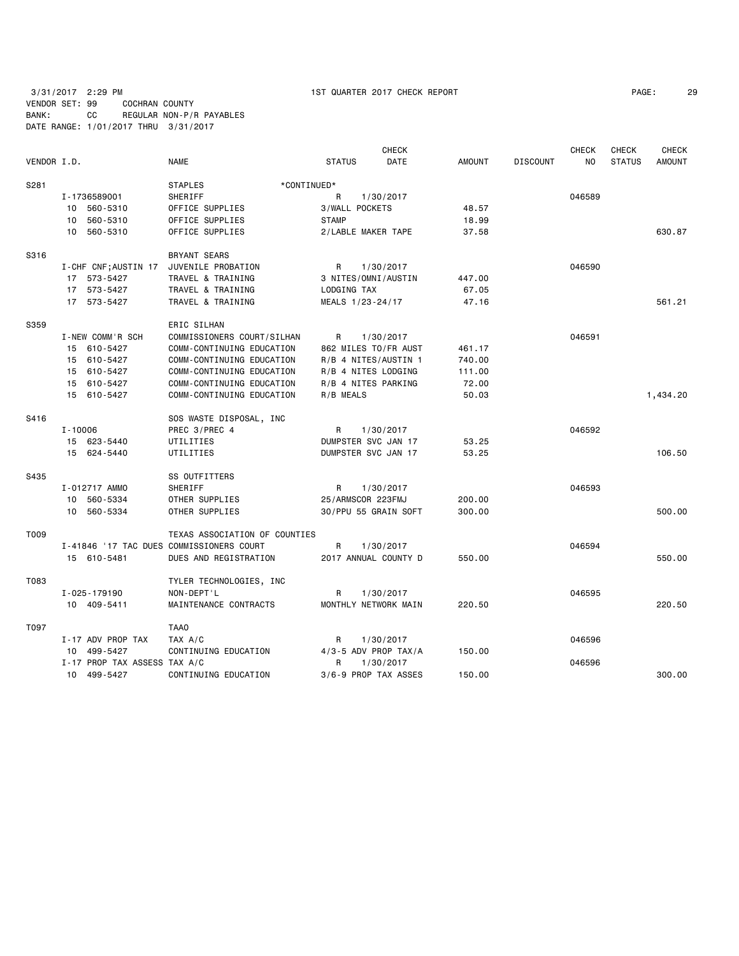| PAGE: | 29 |  |
|-------|----|--|
|-------|----|--|

|             |                                          |                               |                          | <b>CHECK</b> |               |                 | CHECK  | CHECK         | <b>CHECK</b>  |
|-------------|------------------------------------------|-------------------------------|--------------------------|--------------|---------------|-----------------|--------|---------------|---------------|
| VENDOR I.D. |                                          | <b>NAME</b>                   | <b>STATUS</b>            | DATE         | <b>AMOUNT</b> | <b>DISCOUNT</b> | NO.    | <b>STATUS</b> | <b>AMOUNT</b> |
| S281        |                                          | <b>STAPLES</b><br>*CONTINUED* |                          |              |               |                 |        |               |               |
|             | I-1736589001                             | <b>SHERIFF</b>                | R                        | 1/30/2017    |               |                 | 046589 |               |               |
|             | 10 560-5310                              | OFFICE SUPPLIES               | 3/WALL POCKETS           |              | 48.57         |                 |        |               |               |
|             | 560-5310<br>10                           | OFFICE SUPPLIES               | <b>STAMP</b>             |              | 18.99         |                 |        |               |               |
|             | 10 560-5310                              | OFFICE SUPPLIES               | 2/LABLE MAKER TAPE       |              | 37.58         |                 |        |               | 630.87        |
| S316        |                                          | <b>BRYANT SEARS</b>           |                          |              |               |                 |        |               |               |
|             | I-CHF CNF; AUSTIN 17                     | JUVENILE PROBATION            | R                        | 1/30/2017    |               |                 | 046590 |               |               |
|             | 17 573-5427                              | TRAVEL & TRAINING             | 3 NITES/OMNI/AUSTIN      |              | 447.00        |                 |        |               |               |
|             | 17 573-5427                              | TRAVEL & TRAINING             | LODGING TAX              |              | 67.05         |                 |        |               |               |
|             | 17 573-5427                              | TRAVEL & TRAINING             | MEALS 1/23-24/17         |              | 47.16         |                 |        |               | 561.21        |
| S359        |                                          | ERIC SILHAN                   |                          |              |               |                 |        |               |               |
|             | I-NEW COMM'R SCH                         | COMMISSIONERS COURT/SILHAN    | R                        | 1/30/2017    |               |                 | 046591 |               |               |
|             | 15 610-5427                              | COMM-CONTINUING EDUCATION     | 862 MILES TO/FR AUST     |              | 461.17        |                 |        |               |               |
|             | 15 610-5427                              | COMM-CONTINUING EDUCATION     | R/B 4 NITES/AUSTIN 1     |              | 740.00        |                 |        |               |               |
|             | 15 610-5427                              | COMM-CONTINUING EDUCATION     | R/B 4 NITES LODGING      |              | 111.00        |                 |        |               |               |
|             | 15 610-5427                              | COMM-CONTINUING EDUCATION     | R/B 4 NITES PARKING      |              | 72.00         |                 |        |               |               |
|             | 15 610-5427                              | COMM-CONTINUING EDUCATION     | R/B MEALS                |              | 50.03         |                 |        |               | 1,434.20      |
| S416        |                                          | SOS WASTE DISPOSAL, INC       |                          |              |               |                 |        |               |               |
|             | $I - 10006$                              | PREC 3/PREC 4                 | R                        | 1/30/2017    |               |                 | 046592 |               |               |
|             | 15 623-5440                              | UTILITIES                     | DUMPSTER SVC JAN 17      |              | 53.25         |                 |        |               |               |
|             | 15 624-5440                              | UTILITIES                     | DUMPSTER SVC JAN 17      |              | 53.25         |                 |        |               | 106.50        |
| S435        |                                          | SS OUTFITTERS                 |                          |              |               |                 |        |               |               |
|             | I-012717 AMMO                            | SHERIFF                       | R                        | 1/30/2017    |               |                 | 046593 |               |               |
|             | 10 560-5334                              | OTHER SUPPLIES                | 25/ARMSCOR 223FMJ        |              | 200.00        |                 |        |               |               |
|             | 10 560-5334                              | OTHER SUPPLIES                | 30/PPU 55 GRAIN SOFT     |              | 300.00        |                 |        |               | 500.00        |
| T009        |                                          | TEXAS ASSOCIATION OF COUNTIES |                          |              |               |                 |        |               |               |
|             | I-41846 '17 TAC DUES COMMISSIONERS COURT |                               | R                        | 1/30/2017    |               |                 | 046594 |               |               |
|             | 15 610-5481                              | DUES AND REGISTRATION         | 2017 ANNUAL COUNTY D     |              | 550.00        |                 |        |               | 550.00        |
| T083        |                                          | TYLER TECHNOLOGIES, INC       |                          |              |               |                 |        |               |               |
|             | I-025-179190                             | NON-DEPT'L                    | R                        | 1/30/2017    |               |                 | 046595 |               |               |
|             | 10 409-5411                              | MAINTENANCE CONTRACTS         | MONTHLY NETWORK MAIN     |              | 220.50        |                 |        |               | 220.50        |
| T097        |                                          | TAA0                          |                          |              |               |                 |        |               |               |
|             | I-17 ADV PROP TAX                        | TAX A/C                       | R                        | 1/30/2017    |               |                 | 046596 |               |               |
|             | 499-5427<br>10                           | CONTINUING EDUCATION          | $4/3 - 5$ ADV PROP TAX/A |              | 150.00        |                 |        |               |               |
|             | I-17 PROP TAX ASSESS TAX A/C             |                               | R                        | 1/30/2017    |               |                 | 046596 |               |               |
|             | 10 499-5427                              | CONTINUING EDUCATION          | 3/6-9 PROP TAX ASSES     |              | 150.00        |                 |        |               | 300.00        |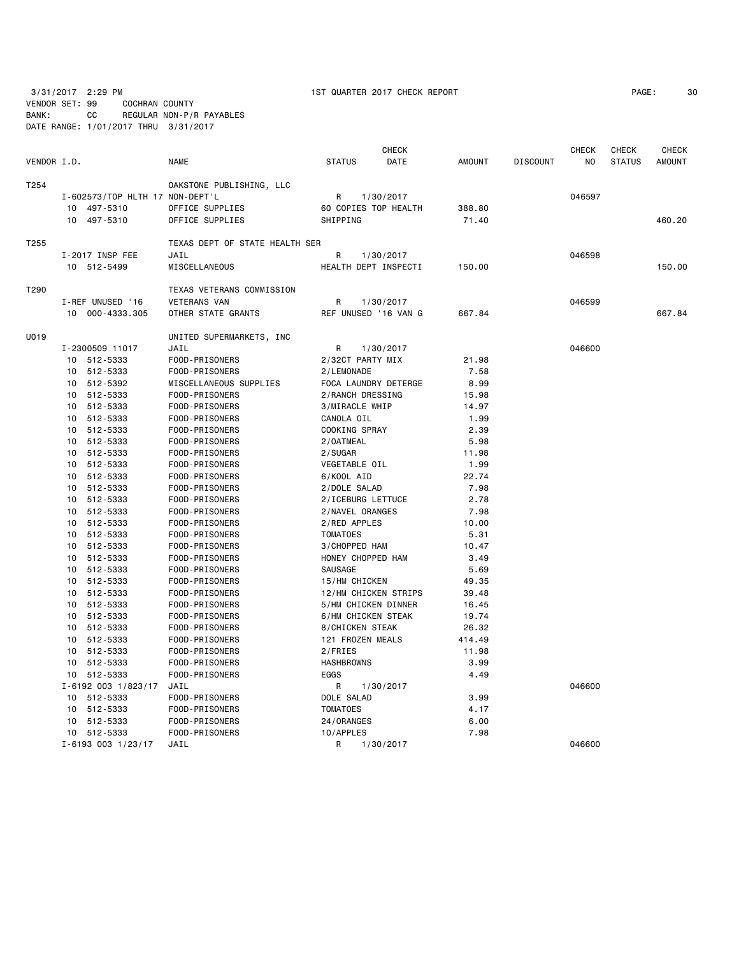3/31/2017 2:29 PM 1ST QUARTER 2017 CHECK REPORT VENDOR SET: 99 COCHRAN COUNTY

BANK: CC REGULAR NON-P/R PAYABLES DATE RANGE: 1/01/2017 THRU 3/31/2017

| PAGE: | 30 |
|-------|----|
|-------|----|

| VENDOR I.D. |                                 | <b>NAME</b>                    | <b>CHECK</b><br><b>STATUS</b><br>DATE | <b>AMOUNT</b> | <b>DISCOUNT</b> | <b>CHECK</b><br>NO | <b>CHECK</b><br><b>STATUS</b> | <b>CHECK</b><br><b>AMOUNT</b> |
|-------------|---------------------------------|--------------------------------|---------------------------------------|---------------|-----------------|--------------------|-------------------------------|-------------------------------|
| T254        |                                 | OAKSTONE PUBLISHING, LLC       |                                       |               |                 |                    |                               |                               |
|             | I-602573/TOP HLTH 17 NON-DEPT'L |                                | R<br>1/30/2017                        |               |                 | 046597             |                               |                               |
|             | 497-5310<br>10                  | OFFICE SUPPLIES                | 60 COPIES TOP HEALTH                  | 388.80        |                 |                    |                               |                               |
|             | 497-5310<br>10                  | OFFICE SUPPLIES                | SHIPPING                              | 71.40         |                 |                    |                               | 460.20                        |
|             |                                 |                                |                                       |               |                 |                    |                               |                               |
| T255        |                                 | TEXAS DEPT OF STATE HEALTH SER |                                       |               |                 |                    |                               |                               |
|             | I-2017 INSP FEE                 | JAIL                           | R<br>1/30/2017                        |               |                 | 046598             |                               |                               |
|             | 10 512-5499                     | MISCELLANEOUS                  | HEALTH DEPT INSPECTI                  | 150.00        |                 |                    |                               | 150.00                        |
| T290        |                                 | TEXAS VETERANS COMMISSION      |                                       |               |                 |                    |                               |                               |
|             | I-REF UNUSED '16                | <b>VETERANS VAN</b>            | 1/30/2017<br>R                        |               |                 | 046599             |                               |                               |
|             | 10 000-4333.305                 | OTHER STATE GRANTS             | REF UNUSED '16 VAN G                  | 667.84        |                 |                    |                               | 667.84                        |
|             |                                 |                                |                                       |               |                 |                    |                               |                               |
| U019        |                                 | UNITED SUPERMARKETS, INC       |                                       |               |                 |                    |                               |                               |
|             | I-2300509 11017                 | JAIL                           | R<br>1/30/2017                        |               |                 | 046600             |                               |                               |
|             | 10 512-5333                     | FOOD-PRISONERS                 | 2/32CT PARTY MIX                      | 21.98         |                 |                    |                               |                               |
|             | 10 512-5333                     | FOOD-PRISONERS                 | 2/LEMONADE                            | 7.58          |                 |                    |                               |                               |
|             | 10 512-5392                     | MISCELLANEOUS SUPPLIES         | FOCA LAUNDRY DETERGE                  | 8.99          |                 |                    |                               |                               |
|             | 10 512-5333                     | FOOD-PRISONERS                 | 2/RANCH DRESSING                      | 15.98         |                 |                    |                               |                               |
|             | 10 512-5333                     | FOOD-PRISONERS                 | 3/MIRACLE WHIP                        | 14.97         |                 |                    |                               |                               |
|             | 10 512-5333                     | FOOD-PRISONERS                 | CANOLA OIL                            | 1.99          |                 |                    |                               |                               |
|             | 10 512-5333                     | FOOD-PRISONERS                 | COOKING SPRAY                         | 2.39          |                 |                    |                               |                               |
|             | 10 512-5333                     | FOOD-PRISONERS                 | 2/0ATMEAL                             | 5.98          |                 |                    |                               |                               |
|             | 10 512-5333                     | FOOD-PRISONERS                 | 2/SUGAR                               | 11.98         |                 |                    |                               |                               |
|             | 10 512-5333                     | FOOD-PRISONERS                 | VEGETABLE OIL                         | 1.99          |                 |                    |                               |                               |
|             | 10 512-5333                     | FOOD-PRISONERS                 | 6/KOOL AID                            | 22.74         |                 |                    |                               |                               |
|             | 10 512-5333                     | FOOD-PRISONERS                 | 2/DOLE SALAD                          | 7.98          |                 |                    |                               |                               |
|             | 10 512-5333                     | FOOD-PRISONERS                 | 2/ICEBURG LETTUCE                     | 2.78          |                 |                    |                               |                               |
|             | 10 512-5333                     | FOOD-PRISONERS                 | 2/NAVEL ORANGES                       | 7.98          |                 |                    |                               |                               |
|             | 10 512-5333                     | FOOD-PRISONERS                 | 2/RED APPLES                          | 10.00         |                 |                    |                               |                               |
|             | 10<br>512-5333                  | FOOD-PRISONERS                 | <b>TOMATOES</b>                       | 5.31          |                 |                    |                               |                               |
|             | 10 512-5333                     | FOOD-PRISONERS                 | 3/CHOPPED HAM                         | 10.47         |                 |                    |                               |                               |
|             | 10 512-5333                     | FOOD-PRISONERS                 | HONEY CHOPPED HAM                     | 3.49          |                 |                    |                               |                               |
|             | 10 512-5333                     | FOOD-PRISONERS                 | SAUSAGE                               | 5.69          |                 |                    |                               |                               |
|             | 10 512-5333                     | FOOD-PRISONERS                 | 15/HM CHICKEN                         | 49.35         |                 |                    |                               |                               |
|             | 10 512-5333                     | FOOD-PRISONERS                 | 12/HM CHICKEN STRIPS                  | 39.48         |                 |                    |                               |                               |
|             | 10 512-5333                     | FOOD-PRISONERS                 | 5/HM CHICKEN DINNER                   | 16.45         |                 |                    |                               |                               |
|             | 10 512-5333                     | FOOD-PRISONERS                 | 6/HM CHICKEN STEAK                    | 19.74         |                 |                    |                               |                               |
|             | 10 512-5333                     | FOOD-PRISONERS                 | 8/CHICKEN STEAK                       | 26.32         |                 |                    |                               |                               |
|             | 10 512-5333                     | FOOD-PRISONERS                 | 121 FROZEN MEALS                      | 414.49        |                 |                    |                               |                               |
|             | 10 512-5333                     | FOOD-PRISONERS                 | 2/FRIES                               | 11.98         |                 |                    |                               |                               |
|             | 10 512-5333                     | FOOD-PRISONERS                 | <b>HASHBROWNS</b>                     | 3.99          |                 |                    |                               |                               |
|             | 10 512-5333                     | FOOD-PRISONERS                 | EGGS                                  | 4.49          |                 |                    |                               |                               |
|             | I-6192 003 1/823/17             | JAIL                           | 1/30/2017<br>R                        |               |                 | 046600             |                               |                               |
|             | 10 512-5333                     | FOOD-PRISONERS                 | DOLE SALAD                            | 3.99          |                 |                    |                               |                               |
|             | 10 512-5333                     | FOOD-PRISONERS                 | <b>TOMATOES</b>                       | 4.17          |                 |                    |                               |                               |
|             | 10 512-5333                     | FOOD-PRISONERS                 | 24/ORANGES                            | 6.00          |                 |                    |                               |                               |
|             | 10 512-5333                     | FOOD-PRISONERS                 | 10/APPLES                             | 7.98          |                 |                    |                               |                               |
|             | I-6193 003 1/23/17              | JAIL                           | 1/30/2017<br>R                        |               |                 | 046600             |                               |                               |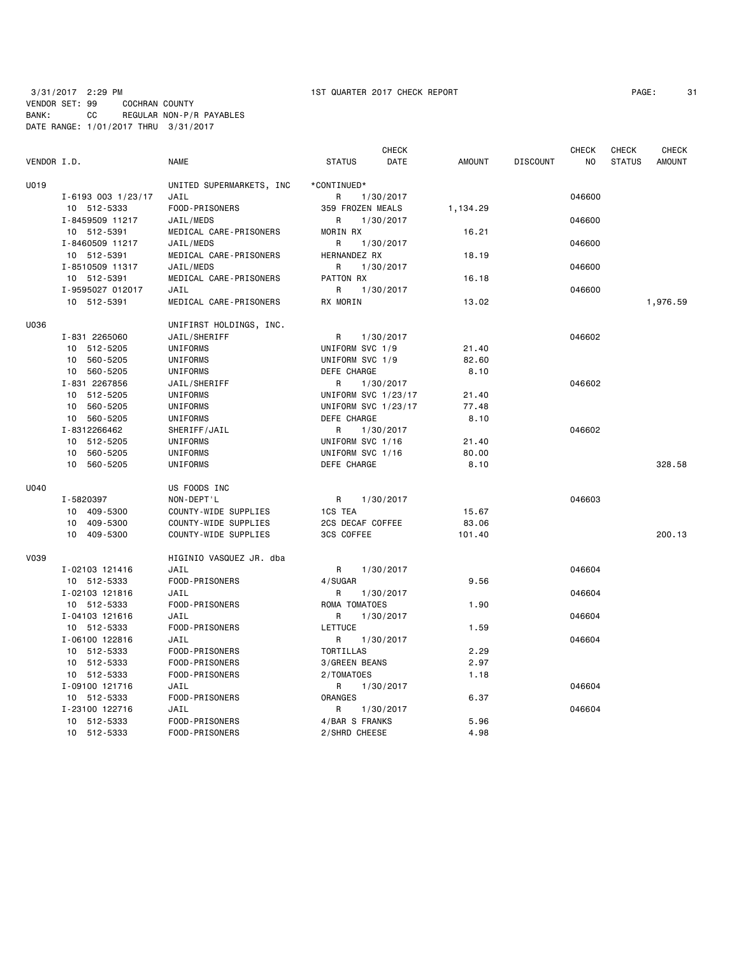| PAGE: | 3. |
|-------|----|
|-------|----|

|             |                    |                          |                     | <b>CHECK</b> |               |                 | <b>CHECK</b> | <b>CHECK</b>  | <b>CHECK</b>  |
|-------------|--------------------|--------------------------|---------------------|--------------|---------------|-----------------|--------------|---------------|---------------|
| VENDOR I.D. |                    | NAME                     | <b>STATUS</b>       | DATE         | <b>AMOUNT</b> | <b>DISCOUNT</b> | NO           | <b>STATUS</b> | <b>AMOUNT</b> |
| U019        |                    | UNITED SUPERMARKETS, INC | *CONTINUED*         |              |               |                 |              |               |               |
|             | I-6193 003 1/23/17 | JAIL                     | R                   | 1/30/2017    |               |                 | 046600       |               |               |
|             | 10 512-5333        | FOOD-PRISONERS           | 359 FROZEN MEALS    |              | 1,134.29      |                 |              |               |               |
|             | I-8459509 11217    | JAIL/MEDS                | R                   | 1/30/2017    |               |                 | 046600       |               |               |
|             | 10 512-5391        | MEDICAL CARE-PRISONERS   | MORIN RX            |              | 16.21         |                 |              |               |               |
|             | I-8460509 11217    | JAIL/MEDS                | R                   | 1/30/2017    |               |                 | 046600       |               |               |
|             | 10 512-5391        | MEDICAL CARE-PRISONERS   | HERNANDEZ RX        |              | 18.19         |                 |              |               |               |
|             | I-8510509 11317    | JAIL/MEDS                | R                   | 1/30/2017    |               |                 | 046600       |               |               |
|             | 10 512-5391        | MEDICAL CARE-PRISONERS   | <b>PATTON RX</b>    |              | 16.18         |                 |              |               |               |
|             | I-9595027 012017   | JAIL                     | R                   | 1/30/2017    |               |                 | 046600       |               |               |
|             | 10 512-5391        | MEDICAL CARE-PRISONERS   | RX MORIN            |              | 13.02         |                 |              |               | 1,976.59      |
|             |                    |                          |                     |              |               |                 |              |               |               |
| U036        |                    | UNIFIRST HOLDINGS, INC.  |                     |              |               |                 |              |               |               |
|             | I-831 2265060      | JAIL/SHERIFF             | R                   | 1/30/2017    |               |                 | 046602       |               |               |
|             | 10 512-5205        | UNIFORMS                 | UNIFORM SVC 1/9     |              | 21.40         |                 |              |               |               |
|             | 10 560-5205        | UNIFORMS                 | UNIFORM SVC 1/9     |              | 82.60         |                 |              |               |               |
|             | 10 560-5205        | UNIFORMS                 | DEFE CHARGE         |              | 8.10          |                 |              |               |               |
|             | I-831 2267856      | JAIL/SHERIFF             | R                   | 1/30/2017    |               |                 | 046602       |               |               |
|             | 10 512-5205        | UNIFORMS                 | UNIFORM SVC 1/23/17 |              | 21.40         |                 |              |               |               |
|             | 10 560-5205        | UNIFORMS                 | UNIFORM SVC 1/23/17 |              | 77.48         |                 |              |               |               |
|             | 10 560-5205        | UNIFORMS                 | DEFE CHARGE         |              | 8.10          |                 |              |               |               |
|             | I-8312266462       | SHERIFF/JAIL             | R                   | 1/30/2017    |               |                 | 046602       |               |               |
|             | 10 512-5205        | UNIFORMS                 | UNIFORM SVC 1/16    |              | 21.40         |                 |              |               |               |
|             | 10 560-5205        | UNIFORMS                 | UNIFORM SVC 1/16    |              | 80.00         |                 |              |               |               |
|             | 10 560-5205        | UNIFORMS                 | DEFE CHARGE         |              | 8.10          |                 |              |               | 328.58        |
| U040        |                    | US FOODS INC             |                     |              |               |                 |              |               |               |
|             | I-5820397          | NON-DEPT'L               | R                   | 1/30/2017    |               |                 | 046603       |               |               |
|             | 10 409-5300        | COUNTY-WIDE SUPPLIES     | 1CS TEA             |              | 15.67         |                 |              |               |               |
|             | 10 409-5300        | COUNTY-WIDE SUPPLIES     | 2CS DECAF COFFEE    |              | 83.06         |                 |              |               |               |
|             | 10 409-5300        | COUNTY-WIDE SUPPLIES     | 3CS COFFEE          |              | 101.40        |                 |              |               | 200.13        |
| V039        |                    | HIGINIO VASQUEZ JR. dba  |                     |              |               |                 |              |               |               |
|             | I-02103 121416     | JAIL                     | R                   | 1/30/2017    |               |                 | 046604       |               |               |
|             | 10 512-5333        | FOOD-PRISONERS           | 4/SUGAR             |              | 9.56          |                 |              |               |               |
|             | I-02103 121816     | JAIL                     | R                   | 1/30/2017    |               |                 | 046604       |               |               |
|             | 10 512-5333        | FOOD-PRISONERS           | ROMA TOMATOES       |              | 1.90          |                 |              |               |               |
|             | I-04103 121616     | JAIL                     | R                   | 1/30/2017    |               |                 | 046604       |               |               |
|             | 10 512-5333        | FOOD-PRISONERS           | LETTUCE             |              | 1.59          |                 |              |               |               |
|             | I-06100 122816     | JAIL                     | R                   | 1/30/2017    |               |                 | 046604       |               |               |
|             | 10 512-5333        | FOOD-PRISONERS           | TORTILLAS           |              | 2.29          |                 |              |               |               |
|             | 10 512-5333        | FOOD-PRISONERS           | 3/GREEN BEANS       |              | 2.97          |                 |              |               |               |
|             |                    |                          |                     |              |               |                 |              |               |               |
|             | 10 512-5333        | FOOD-PRISONERS           | 2/TOMATOES          |              | 1.18          |                 |              |               |               |
|             | I-09100 121716     | JAIL                     | R                   | 1/30/2017    |               |                 | 046604       |               |               |
|             | 10 512-5333        | FOOD-PRISONERS           | ORANGES             |              | 6.37          |                 |              |               |               |
|             | I-23100 122716     | JAIL                     | R                   | 1/30/2017    |               |                 | 046604       |               |               |
|             | 10 512-5333        | FOOD-PRISONERS           | 4/BAR S FRANKS      |              | 5.96          |                 |              |               |               |
|             | 10 512-5333        | FOOD-PRISONERS           | 2/SHRD CHEESE       |              | 4.98          |                 |              |               |               |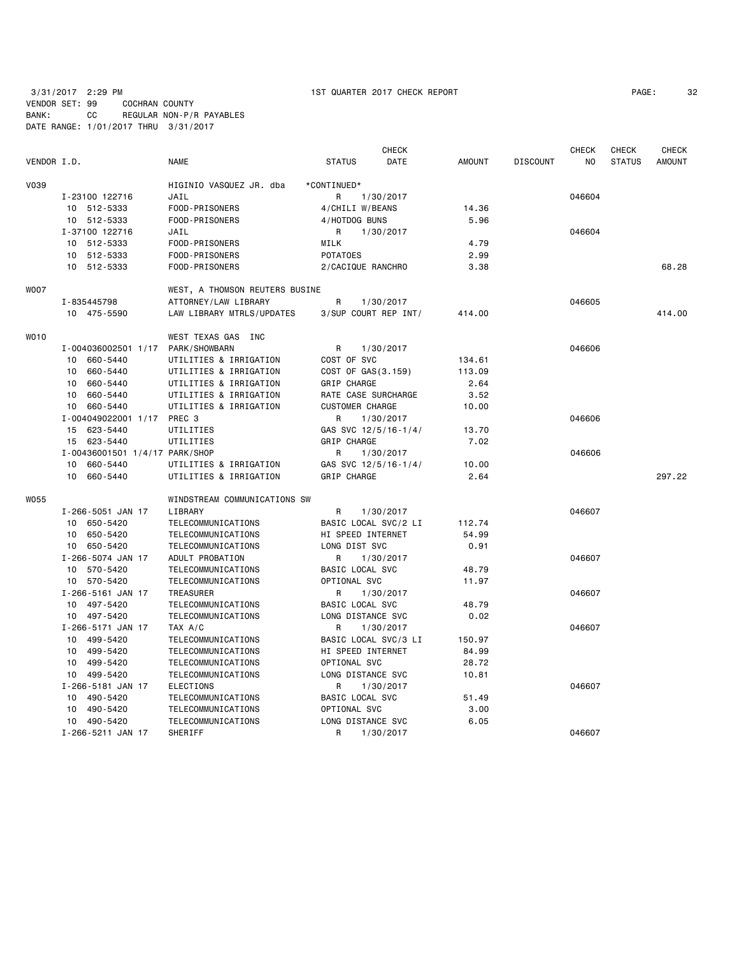3/31/2017 2:29 PM 1ST QUARTER 2017 CHECK REPORT PAGE: 32

VENDOR SET: 99 COCHRAN COUNTY BANK: CC REGULAR NON-P/R PAYABLES DATE RANGE: 1/01/2017 THRU 3/31/2017

|             |                                |                                |                        | CHECK     |        |                 | <b>CHECK</b> | <b>CHECK</b>  | <b>CHECK</b>  |
|-------------|--------------------------------|--------------------------------|------------------------|-----------|--------|-----------------|--------------|---------------|---------------|
| VENDOR I.D. |                                | <b>NAME</b>                    | <b>STATUS</b>          | DATE      | AMOUNT | <b>DISCOUNT</b> | NO           | <b>STATUS</b> | <b>AMOUNT</b> |
| V039        |                                | HIGINIO VASQUEZ JR. dba        | *CONTINUED*            |           |        |                 |              |               |               |
|             | I-23100 122716                 | JAIL                           | R                      | 1/30/2017 |        |                 | 046604       |               |               |
|             | 10 512-5333                    | FOOD-PRISONERS                 | 4/CHILI W/BEANS        |           | 14.36  |                 |              |               |               |
|             | 10 512-5333                    | FOOD-PRISONERS                 | 4/HOTDOG BUNS          |           | 5.96   |                 |              |               |               |
|             | I-37100 122716                 | JAIL                           | R                      | 1/30/2017 |        |                 | 046604       |               |               |
|             | 10 512-5333                    | FOOD-PRISONERS                 | MILK                   |           | 4.79   |                 |              |               |               |
|             | 10 512-5333                    | FOOD-PRISONERS                 | <b>POTATOES</b>        |           | 2.99   |                 |              |               |               |
|             | 10 512-5333                    | FOOD-PRISONERS                 | 2/CACIQUE RANCHRO      |           | 3.38   |                 |              |               | 68.28         |
| WO07        |                                | WEST, A THOMSON REUTERS BUSINE |                        |           |        |                 |              |               |               |
|             | I-835445798                    | ATTORNEY/LAW LIBRARY           | R                      | 1/30/2017 |        |                 | 046605       |               |               |
|             | 10 475-5590                    | LAW LIBRARY MTRLS/UPDATES      | 3/SUP COURT REP INT/   |           | 414.00 |                 |              |               | 414.00        |
| WO10        |                                | WEST TEXAS GAS INC             |                        |           |        |                 |              |               |               |
|             | I-004036002501 1/17            | PARK/SHOWBARN                  | R                      | 1/30/2017 |        |                 | 046606       |               |               |
|             | 10 660-5440                    | UTILITIES & IRRIGATION         | COST OF SVC            |           | 134.61 |                 |              |               |               |
|             | 660-5440<br>10                 | UTILITIES & IRRIGATION         | COST OF GAS(3.159)     |           | 113.09 |                 |              |               |               |
|             | 10 660-5440                    | UTILITIES & IRRIGATION         | GRIP CHARGE            |           | 2.64   |                 |              |               |               |
|             | 10 660-5440                    | UTILITIES & IRRIGATION         | RATE CASE SURCHARGE    |           | 3.52   |                 |              |               |               |
|             | 10 660-5440                    | UTILITIES & IRRIGATION         | <b>CUSTOMER CHARGE</b> |           | 10.00  |                 |              |               |               |
|             | I-004049022001 1/17            | PREC 3                         | R                      | 1/30/2017 |        |                 | 046606       |               |               |
|             | 15 623-5440                    | UTILITIES                      | GAS SVC 12/5/16-1/4/   |           | 13.70  |                 |              |               |               |
|             | 15 623-5440                    | UTILITIES                      | GRIP CHARGE            |           | 7.02   |                 |              |               |               |
|             | I-00436001501 1/4/17 PARK/SHOP |                                | R                      | 1/30/2017 |        |                 | 046606       |               |               |
|             | 10 660-5440                    | UTILITIES & IRRIGATION         | GAS SVC 12/5/16-1/4/   |           | 10.00  |                 |              |               |               |
|             | 10 660-5440                    | UTILITIES & IRRIGATION         | GRIP CHARGE            |           | 2.64   |                 |              |               | 297.22        |
| WO55        |                                | WINDSTREAM COMMUNICATIONS SW   |                        |           |        |                 |              |               |               |
|             | I-266-5051 JAN 17              | LIBRARY                        | R                      | 1/30/2017 |        |                 | 046607       |               |               |
|             | 10 650-5420                    | TELECOMMUNICATIONS             | BASIC LOCAL SVC/2 LI   |           | 112.74 |                 |              |               |               |
|             | 10 650-5420                    | TELECOMMUNICATIONS             | HI SPEED INTERNET      |           | 54.99  |                 |              |               |               |
|             | 10 650-5420                    | TELECOMMUNICATIONS             | LONG DIST SVC          |           | 0.91   |                 |              |               |               |
|             | I-266-5074 JAN 17              | ADULT PROBATION                | R                      | 1/30/2017 |        |                 | 046607       |               |               |
|             | 10 570-5420                    | TELECOMMUNICATIONS             | BASIC LOCAL SVC        |           | 48.79  |                 |              |               |               |
|             | 10 570-5420                    | TELECOMMUNICATIONS             | OPTIONAL SVC           |           | 11.97  |                 |              |               |               |
|             | I-266-5161 JAN 17              | TREASURER                      | R                      | 1/30/2017 |        |                 | 046607       |               |               |
|             | 10 497-5420                    | TELECOMMUNICATIONS             | BASIC LOCAL SVC        |           | 48.79  |                 |              |               |               |
|             | 10 497-5420                    | TELECOMMUNICATIONS             | LONG DISTANCE SVC      |           | 0.02   |                 |              |               |               |
|             | I-266-5171 JAN 17              | TAX A/C                        | R                      | 1/30/2017 |        |                 | 046607       |               |               |
|             | 10 499-5420                    | TELECOMMUNICATIONS             | BASIC LOCAL SVC/3 LI   |           | 150.97 |                 |              |               |               |
|             | 10 499-5420                    | TELECOMMUNICATIONS             | HI SPEED INTERNET      |           | 84.99  |                 |              |               |               |
|             | 10 499-5420                    | TELECOMMUNICATIONS             | OPTIONAL SVC           |           | 28.72  |                 |              |               |               |
|             | 10 499-5420                    | TELECOMMUNICATIONS             | LONG DISTANCE SVC      |           | 10.81  |                 |              |               |               |
|             | I-266-5181 JAN 17              | <b>ELECTIONS</b>               | R                      | 1/30/2017 |        |                 | 046607       |               |               |
|             | 10 490-5420                    | TELECOMMUNICATIONS             | BASIC LOCAL SVC        |           | 51.49  |                 |              |               |               |
|             | 10 490-5420                    | TELECOMMUNICATIONS             | OPTIONAL SVC           |           | 3.00   |                 |              |               |               |
|             | 10 490-5420                    | TELECOMMUNICATIONS             | LONG DISTANCE SVC      |           | 6.05   |                 |              |               |               |
|             | I-266-5211 JAN 17              | SHERIFF                        | R                      | 1/30/2017 |        |                 | 046607       |               |               |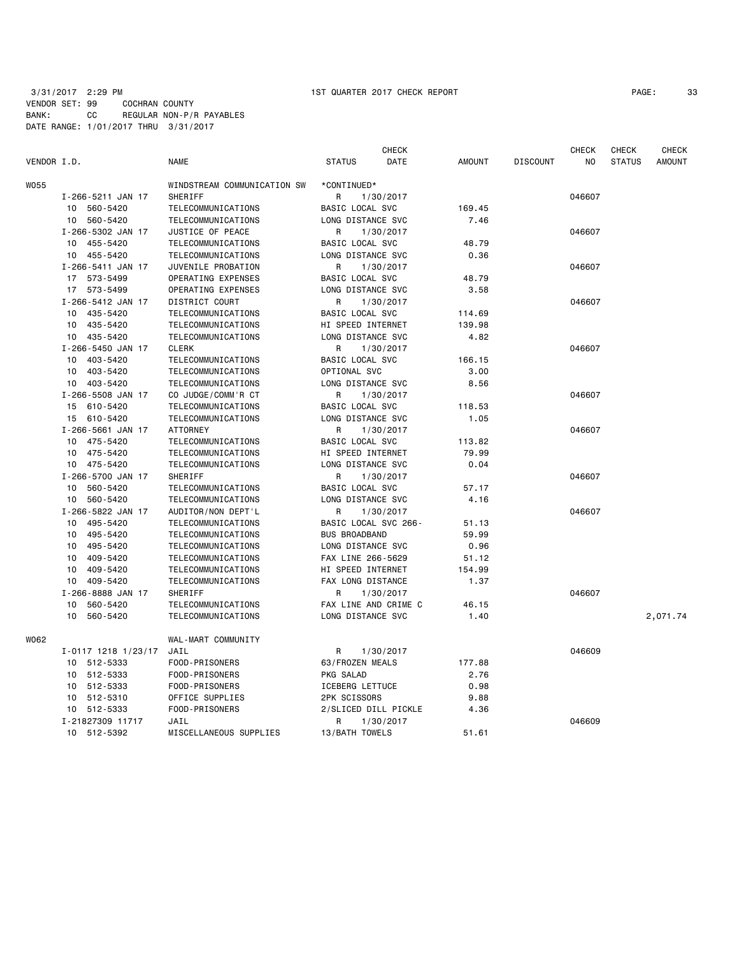| PAGE : | 33 |
|--------|----|
|--------|----|

| VENDOR I.D. |                     | <b>NAME</b>                 | <b>STATUS</b>          | <b>CHECK</b><br>DATE | <b>AMOUNT</b> | <b>DISCOUNT</b> | <b>CHECK</b><br>NO. | <b>CHECK</b><br><b>STATUS</b> | <b>CHECK</b><br>AMOUNT |
|-------------|---------------------|-----------------------------|------------------------|----------------------|---------------|-----------------|---------------------|-------------------------------|------------------------|
| W055        |                     | WINDSTREAM COMMUNICATION SW | *CONTINUED*            |                      |               |                 |                     |                               |                        |
|             | I-266-5211 JAN 17   | <b>SHERIFF</b>              | R                      | 1/30/2017            |               |                 | 046607              |                               |                        |
|             | 10 560-5420         | TELECOMMUNICATIONS          | BASIC LOCAL SVC        |                      | 169.45        |                 |                     |                               |                        |
|             | 10 560-5420         | TELECOMMUNICATIONS          | LONG DISTANCE SVC      |                      | 7.46          |                 |                     |                               |                        |
|             | I-266-5302 JAN 17   | JUSTICE OF PEACE            | R                      | 1/30/2017            |               |                 | 046607              |                               |                        |
|             | 455-5420<br>10      | TELECOMMUNICATIONS          | BASIC LOCAL SVC        |                      | 48.79         |                 |                     |                               |                        |
|             | 10 455-5420         | TELECOMMUNICATIONS          | LONG DISTANCE SVC      |                      | 0.36          |                 |                     |                               |                        |
|             | I-266-5411 JAN 17   | JUVENILE PROBATION          | R                      | 1/30/2017            |               |                 | 046607              |                               |                        |
|             | 17 573-5499         | OPERATING EXPENSES          | BASIC LOCAL SVC        |                      | 48.79         |                 |                     |                               |                        |
|             | 17 573-5499         | OPERATING EXPENSES          | LONG DISTANCE SVC      |                      | 3.58          |                 |                     |                               |                        |
|             | I-266-5412 JAN 17   | DISTRICT COURT              | R                      | 1/30/2017            |               |                 | 046607              |                               |                        |
|             | 435-5420<br>10      | TELECOMMUNICATIONS          | BASIC LOCAL SVC        |                      | 114.69        |                 |                     |                               |                        |
|             | 435-5420<br>10      | TELECOMMUNICATIONS          | HI SPEED INTERNET      |                      | 139.98        |                 |                     |                               |                        |
|             | 435-5420<br>10      | TELECOMMUNICATIONS          | LONG DISTANCE SVC      |                      | 4.82          |                 |                     |                               |                        |
|             | I-266-5450 JAN 17   | <b>CLERK</b>                | R                      | 1/30/2017            |               |                 | 046607              |                               |                        |
|             | 403-5420<br>10      | TELECOMMUNICATIONS          | BASIC LOCAL SVC        |                      | 166.15        |                 |                     |                               |                        |
|             | 403-5420<br>10      | TELECOMMUNICATIONS          | OPTIONAL SVC           |                      | 3.00          |                 |                     |                               |                        |
|             | 10 403-5420         | TELECOMMUNICATIONS          | LONG DISTANCE SVC      |                      | 8.56          |                 |                     |                               |                        |
|             | I-266-5508 JAN 17   | CO JUDGE/COMM'R CT          | R                      | 1/30/2017            |               |                 | 046607              |                               |                        |
|             | 15 610-5420         | TELECOMMUNICATIONS          | BASIC LOCAL SVC        |                      | 118.53        |                 |                     |                               |                        |
|             | 15 610-5420         | TELECOMMUNICATIONS          | LONG DISTANCE SVC      |                      | 1.05          |                 |                     |                               |                        |
|             | I-266-5661 JAN 17   | <b>ATTORNEY</b>             | R                      | 1/30/2017            |               |                 | 046607              |                               |                        |
|             | 10<br>475-5420      | TELECOMMUNICATIONS          | BASIC LOCAL SVC        |                      | 113.82        |                 |                     |                               |                        |
|             | 10<br>475-5420      | TELECOMMUNICATIONS          | HI SPEED INTERNET      |                      | 79.99         |                 |                     |                               |                        |
|             | 475-5420<br>10      | TELECOMMUNICATIONS          | LONG DISTANCE SVC      |                      | 0.04          |                 |                     |                               |                        |
|             | I-266-5700 JAN 17   | SHERIFF                     | R                      | 1/30/2017            |               |                 | 046607              |                               |                        |
|             | 10 560-5420         | TELECOMMUNICATIONS          | BASIC LOCAL SVC        |                      | 57.17         |                 |                     |                               |                        |
|             | 560-5420<br>10      | TELECOMMUNICATIONS          | LONG DISTANCE SVC      |                      | 4.16          |                 |                     |                               |                        |
|             | I-266-5822 JAN 17   | AUDITOR/NON DEPT'L          | R                      | 1/30/2017            |               |                 | 046607              |                               |                        |
|             | 495-5420<br>10      | TELECOMMUNICATIONS          | BASIC LOCAL SVC 266-   |                      | 51.13         |                 |                     |                               |                        |
|             | 495-5420<br>10      | TELECOMMUNICATIONS          | <b>BUS BROADBAND</b>   |                      | 59.99         |                 |                     |                               |                        |
|             | 495-5420<br>10      | TELECOMMUNICATIONS          | LONG DISTANCE SVC      |                      | 0.96          |                 |                     |                               |                        |
|             | 409-5420<br>10      | TELECOMMUNICATIONS          | FAX LINE 266-5629      |                      | 51.12         |                 |                     |                               |                        |
|             | 409-5420<br>10      | TELECOMMUNICATIONS          | HI SPEED INTERNET      |                      | 154.99        |                 |                     |                               |                        |
|             | 10<br>409-5420      | TELECOMMUNICATIONS          | FAX LONG DISTANCE      |                      | 1.37          |                 |                     |                               |                        |
|             | I-266-8888 JAN 17   | <b>SHERIFF</b>              | R                      | 1/30/2017            |               |                 | 046607              |                               |                        |
|             | 10<br>560-5420      | TELECOMMUNICATIONS          | FAX LINE AND CRIME C   |                      | 46.15         |                 |                     |                               |                        |
|             | 560-5420<br>10      | TELECOMMUNICATIONS          | LONG DISTANCE SVC      |                      | 1.40          |                 |                     |                               | 2,071.74               |
| W062        |                     | WAL-MART COMMUNITY          |                        |                      |               |                 |                     |                               |                        |
|             | I-0117 1218 1/23/17 | JAIL                        | R                      | 1/30/2017            |               |                 | 046609              |                               |                        |
|             | 10 512-5333         | FOOD-PRISONERS              | 63/FROZEN MEALS        |                      | 177.88        |                 |                     |                               |                        |
|             | 512-5333<br>10      | FOOD-PRISONERS              | PKG SALAD              |                      | 2.76          |                 |                     |                               |                        |
|             | 512-5333<br>10      | FOOD-PRISONERS              | <b>ICEBERG LETTUCE</b> |                      | 0.98          |                 |                     |                               |                        |
|             | 512-5310<br>10      | OFFICE SUPPLIES             | 2PK SCISSORS           |                      | 9.88          |                 |                     |                               |                        |
|             | 10<br>512-5333      | FOOD-PRISONERS              | 2/SLICED DILL PICKLE   |                      | 4.36          |                 |                     |                               |                        |
|             | I-21827309 11717    | JAIL                        | R                      | 1/30/2017            |               |                 | 046609              |                               |                        |
|             | 512-5392<br>10      | MISCELLANEOUS SUPPLIES      | 13/BATH TOWELS         |                      | 51.61         |                 |                     |                               |                        |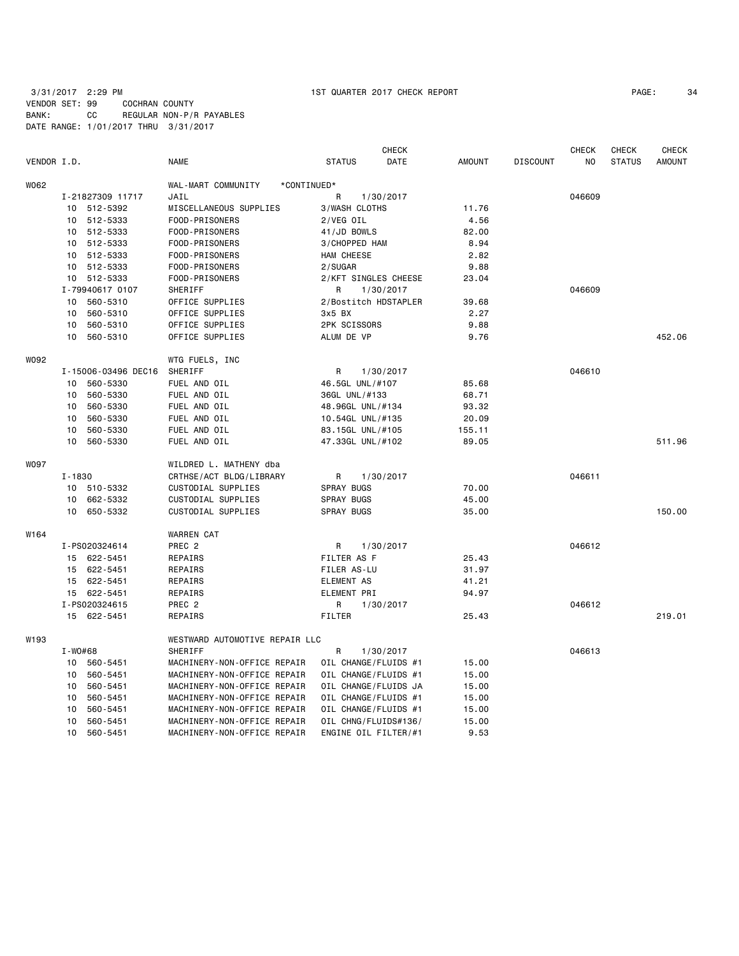| PAGE: | 34 |
|-------|----|
|-------|----|

|                  |            |                     |                                   |                      | <b>CHECK</b> |               |                 | <b>CHECK</b> | <b>CHECK</b>  | <b>CHECK</b>  |
|------------------|------------|---------------------|-----------------------------------|----------------------|--------------|---------------|-----------------|--------------|---------------|---------------|
| VENDOR I.D.      |            |                     | <b>NAME</b>                       | <b>STATUS</b>        | DATE         | <b>AMOUNT</b> | <b>DISCOUNT</b> | NO.          | <b>STATUS</b> | <b>AMOUNT</b> |
| W062             |            |                     | WAL-MART COMMUNITY<br>*CONTINUED* |                      |              |               |                 |              |               |               |
|                  |            | I-21827309 11717    | JAIL                              | R                    | 1/30/2017    |               |                 | 046609       |               |               |
|                  | 10         | 512-5392            | MISCELLANEOUS SUPPLIES            | <b>3/WASH CLOTHS</b> |              | 11.76         |                 |              |               |               |
|                  | 10         | 512-5333            | FOOD-PRISONERS                    | 2/VEG OIL            |              | 4.56          |                 |              |               |               |
|                  | 10         | 512-5333            | FOOD-PRISONERS                    | 41/JD BOWLS          |              | 82.00         |                 |              |               |               |
|                  | 10         | 512-5333            | FOOD-PRISONERS                    | 3/CHOPPED HAM        |              | 8.94          |                 |              |               |               |
|                  | 10         | 512-5333            | FOOD-PRISONERS                    | HAM CHEESE           |              | 2.82          |                 |              |               |               |
|                  | 10         | 512-5333            | FOOD-PRISONERS                    | 2/SUGAR              |              | 9.88          |                 |              |               |               |
|                  |            | 10 512-5333         | FOOD-PRISONERS                    | 2/KFT SINGLES CHEESE |              | 23.04         |                 |              |               |               |
|                  |            | I-79940617 0107     | SHERIFF                           | R                    | 1/30/2017    |               |                 | 046609       |               |               |
|                  | 10         | 560-5310            | OFFICE SUPPLIES                   | 2/Bostitch HDSTAPLER |              | 39.68         |                 |              |               |               |
|                  | 10         | 560-5310            | OFFICE SUPPLIES                   | 3x5 BX               |              | 2.27          |                 |              |               |               |
|                  | 10         | 560-5310            | OFFICE SUPPLIES                   | 2PK SCISSORS         |              | 9.88          |                 |              |               |               |
|                  | 10         | 560-5310            | OFFICE SUPPLIES                   | ALUM DE VP           |              | 9.76          |                 |              |               | 452.06        |
| W092             |            |                     | WTG FUELS, INC                    |                      |              |               |                 |              |               |               |
|                  |            | I-15006-03496 DEC16 | SHERIFF                           | R                    | 1/30/2017    |               |                 | 046610       |               |               |
|                  | 10         | 560-5330            | FUEL AND OIL                      | 46.5GL UNL/#107      |              | 85.68         |                 |              |               |               |
|                  | 10         | 560-5330            | FUEL AND OIL                      | 36GL UNL/#133        |              | 68.71         |                 |              |               |               |
|                  | 10         | 560-5330            | FUEL AND OIL                      | 48.96GL UNL/#134     |              | 93.32         |                 |              |               |               |
|                  | 10         | 560-5330            | FUEL AND OIL                      | 10.54GL UNL/#135     |              | 20.09         |                 |              |               |               |
|                  | 10         | 560-5330            | FUEL AND OIL                      | 83.15GL UNL/#105     |              | 155.11        |                 |              |               |               |
|                  | 10         | 560-5330            | FUEL AND OIL                      | 47.33GL UNL/#102     |              | 89.05         |                 |              |               | 511.96        |
| <b>WO97</b>      |            |                     | WILDRED L. MATHENY dba            |                      |              |               |                 |              |               |               |
|                  | $I - 1830$ |                     | CRTHSE/ACT BLDG/LIBRARY           | R                    | 1/30/2017    |               |                 | 046611       |               |               |
|                  |            | 10 510-5332         | CUSTODIAL SUPPLIES                | SPRAY BUGS           |              | 70.00         |                 |              |               |               |
|                  | 10         | 662-5332            | CUSTODIAL SUPPLIES                | SPRAY BUGS           |              | 45.00         |                 |              |               |               |
|                  | 10         | 650-5332            | CUSTODIAL SUPPLIES                | SPRAY BUGS           |              | 35.00         |                 |              |               | 150.00        |
| W <sub>164</sub> |            |                     | <b>WARREN CAT</b>                 |                      |              |               |                 |              |               |               |
|                  |            | I-PS020324614       | PREC <sub>2</sub>                 | R                    | 1/30/2017    |               |                 | 046612       |               |               |
|                  |            | 15 622-5451         | REPAIRS                           | FILTER AS F          |              | 25.43         |                 |              |               |               |
|                  |            | 15 622-5451         | REPAIRS                           | FILER AS-LU          |              | 31.97         |                 |              |               |               |
|                  |            | 15 622-5451         | REPAIRS                           | <b>ELEMENT AS</b>    |              | 41.21         |                 |              |               |               |
|                  |            | 15 622-5451         | REPAIRS                           | ELEMENT PRI          |              | 94.97         |                 |              |               |               |
|                  |            | I-PS020324615       | PREC <sub>2</sub>                 | R                    | 1/30/2017    |               |                 | 046612       |               |               |
|                  |            | 15 622-5451         | REPAIRS                           | <b>FILTER</b>        |              | 25.43         |                 |              |               | 219.01        |
| W193             |            |                     | WESTWARD AUTOMOTIVE REPAIR LLC    |                      |              |               |                 |              |               |               |
|                  | I-W0#68    |                     | SHERIFF                           | R                    | 1/30/2017    |               |                 | 046613       |               |               |
|                  |            | 10 560-5451         | MACHINERY-NON-OFFICE REPAIR       | OIL CHANGE/FLUIDS #1 |              | 15.00         |                 |              |               |               |
|                  | 10         | 560-5451            | MACHINERY-NON-OFFICE REPAIR       | OIL CHANGE/FLUIDS #1 |              | 15.00         |                 |              |               |               |
|                  | 10         | 560-5451            | MACHINERY-NON-OFFICE REPAIR       | OIL CHANGE/FLUIDS JA |              | 15.00         |                 |              |               |               |
|                  | 10         | 560-5451            | MACHINERY-NON-OFFICE REPAIR       | OIL CHANGE/FLUIDS #1 |              | 15.00         |                 |              |               |               |
|                  | 10         | 560-5451            | MACHINERY-NON-OFFICE REPAIR       | OIL CHANGE/FLUIDS #1 |              | 15.00         |                 |              |               |               |
|                  | 10         | 560-5451            | MACHINERY-NON-OFFICE REPAIR       | OIL CHNG/FLUIDS#136/ |              | 15.00         |                 |              |               |               |
|                  | 10         | 560-5451            | MACHINERY-NON-OFFICE REPAIR       | ENGINE OIL FILTER/#1 |              | 9.53          |                 |              |               |               |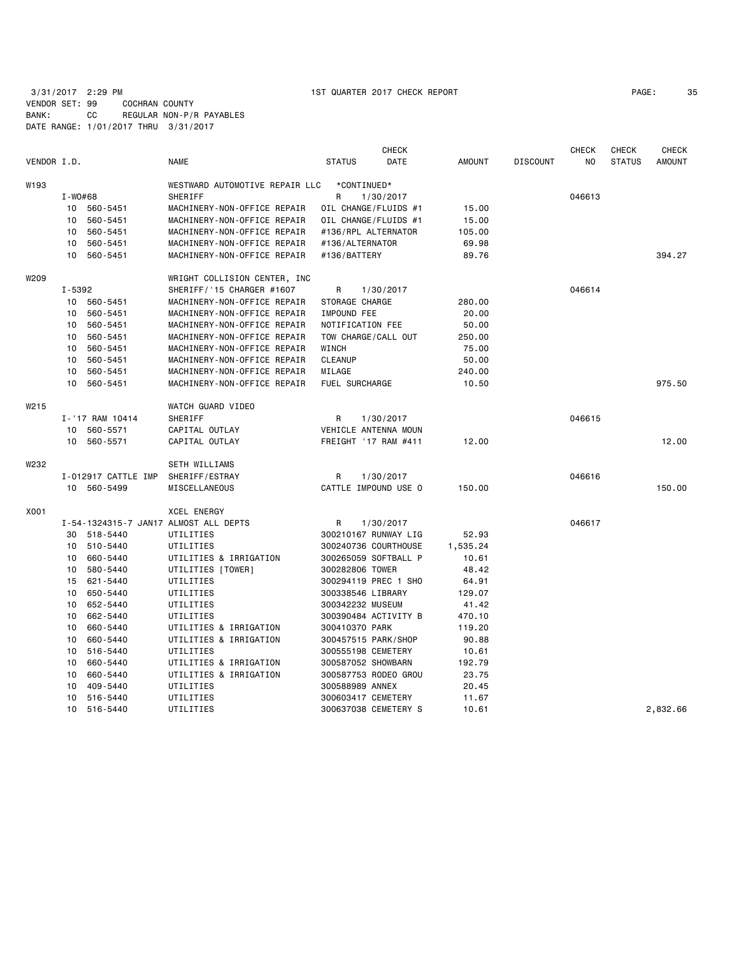| PAGE: | 35 |
|-------|----|
|-------|----|

|             |             |                     |                                       |                      | <b>CHECK</b> |               |                 | <b>CHECK</b>   | <b>CHECK</b>  | <b>CHECK</b>  |
|-------------|-------------|---------------------|---------------------------------------|----------------------|--------------|---------------|-----------------|----------------|---------------|---------------|
| VENDOR I.D. |             |                     | <b>NAME</b>                           | <b>STATUS</b>        | DATE         | <b>AMOUNT</b> | <b>DISCOUNT</b> | N <sub>O</sub> | <b>STATUS</b> | <b>AMOUNT</b> |
| W193        |             |                     | WESTWARD AUTOMOTIVE REPAIR LLC        | *CONTINUED*          |              |               |                 |                |               |               |
|             | $I - WO#68$ |                     | <b>SHERIFF</b>                        | R                    | 1/30/2017    |               |                 | 046613         |               |               |
|             |             | 10 560-5451         | MACHINERY-NON-OFFICE REPAIR           | OIL CHANGE/FLUIDS #1 |              | 15.00         |                 |                |               |               |
|             | 10          | 560-5451            | MACHINERY-NON-OFFICE REPAIR           | OIL CHANGE/FLUIDS #1 |              | 15.00         |                 |                |               |               |
|             | 10          | 560-5451            | MACHINERY-NON-OFFICE REPAIR           | #136/RPL ALTERNATOR  |              | 105.00        |                 |                |               |               |
|             | 10          | 560-5451            | MACHINERY-NON-OFFICE REPAIR           | #136/ALTERNATOR      |              | 69.98         |                 |                |               |               |
|             |             | 10 560-5451         | MACHINERY-NON-OFFICE REPAIR           | #136/BATTERY         |              | 89.76         |                 |                |               | 394.27        |
| W209        |             |                     | WRIGHT COLLISION CENTER, INC          |                      |              |               |                 |                |               |               |
|             | I-5392      |                     | SHERIFF/'15 CHARGER #1607             | R                    | 1/30/2017    |               |                 | 046614         |               |               |
|             | 10          | 560-5451            | MACHINERY-NON-OFFICE REPAIR           | STORAGE CHARGE       |              | 280.00        |                 |                |               |               |
|             | 10          | 560-5451            | MACHINERY-NON-OFFICE REPAIR           | IMPOUND FEE          |              | 20.00         |                 |                |               |               |
|             | 10          | 560-5451            | MACHINERY-NON-OFFICE REPAIR           | NOTIFICATION FEE     |              | 50.00         |                 |                |               |               |
|             | 10          | 560-5451            | MACHINERY-NON-OFFICE REPAIR           | TOW CHARGE/CALL OUT  |              | 250.00        |                 |                |               |               |
|             | 10          | 560-5451            | MACHINERY-NON-OFFICE REPAIR           | WINCH                |              | 75.00         |                 |                |               |               |
|             | 10          | 560-5451            | MACHINERY-NON-OFFICE REPAIR           | <b>CLEANUP</b>       |              | 50.00         |                 |                |               |               |
|             | 10          | 560-5451            | MACHINERY-NON-OFFICE REPAIR           | MILAGE               |              | 240.00        |                 |                |               |               |
|             | 10          | 560-5451            | MACHINERY-NON-OFFICE REPAIR           | FUEL SURCHARGE       |              | 10.50         |                 |                |               | 975.50        |
| W215        |             |                     | WATCH GUARD VIDEO                     |                      |              |               |                 |                |               |               |
|             |             | I-'17 RAM 10414     | SHERIFF                               | R                    | 1/30/2017    |               |                 | 046615         |               |               |
|             |             | 10 560-5571         | CAPITAL OUTLAY                        | VEHICLE ANTENNA MOUN |              |               |                 |                |               |               |
|             |             | 10 560-5571         | CAPITAL OUTLAY                        | FREIGHT '17 RAM #411 |              | 12.00         |                 |                |               | 12.00         |
| W232        |             |                     | SETH WILLIAMS                         |                      |              |               |                 |                |               |               |
|             |             | I-012917 CATTLE IMP | SHERIFF/ESTRAY                        | R                    | 1/30/2017    |               |                 | 046616         |               |               |
|             |             | 10 560-5499         | MISCELLANEOUS                         | CATTLE IMPOUND USE O |              | 150.00        |                 |                |               | 150.00        |
| X001        |             |                     | <b>XCEL ENERGY</b>                    |                      |              |               |                 |                |               |               |
|             |             |                     | I-54-1324315-7 JAN17 ALMOST ALL DEPTS | R                    | 1/30/2017    |               |                 | 046617         |               |               |
|             |             | 30 518-5440         | UTILITIES                             | 300210167 RUNWAY LIG |              | 52.93         |                 |                |               |               |
|             | 10          | 510-5440            | UTILITIES                             | 300240736 COURTHOUSE |              | 1,535.24      |                 |                |               |               |
|             | 10          | 660-5440            | UTILITIES & IRRIGATION                | 300265059 SOFTBALL P |              | 10.61         |                 |                |               |               |
|             | 10          | 580-5440            | UTILITIES [TOWER]                     | 300282806 TOWER      |              | 48.42         |                 |                |               |               |
|             | 15          | 621-5440            | UTILITIES                             | 300294119 PREC 1 SHO |              | 64.91         |                 |                |               |               |
|             | 10          | 650-5440            | UTILITIES                             | 300338546 LIBRARY    |              | 129.07        |                 |                |               |               |
|             |             | 10 652-5440         | UTILITIES                             | 300342232 MUSEUM     |              | 41.42         |                 |                |               |               |
|             | 10          | 662-5440            | UTILITIES                             | 300390484 ACTIVITY B |              | 470.10        |                 |                |               |               |
|             | 10          | 660-5440            | UTILITIES & IRRIGATION                | 300410370 PARK       |              | 119.20        |                 |                |               |               |
|             | 10          | 660-5440            | UTILITIES & IRRIGATION                | 300457515 PARK/SHOP  |              | 90.88         |                 |                |               |               |
|             | 10          | 516-5440            | UTILITIES                             | 300555198 CEMETERY   |              | 10.61         |                 |                |               |               |
|             | 10          | 660-5440            | UTILITIES & IRRIGATION                | 300587052 SHOWBARN   |              | 192.79        |                 |                |               |               |
|             | 10          | 660-5440            | UTILITIES & IRRIGATION                | 300587753 RODEO GROU |              | 23.75         |                 |                |               |               |
|             | 10          | 409-5440            | UTILITIES                             | 300588989 ANNEX      |              | 20.45         |                 |                |               |               |
|             | 10          | 516-5440            | UTILITIES                             | 300603417 CEMETERY   |              | 11.67         |                 |                |               |               |
|             | 10          | 516-5440            | UTILITIES                             | 300637038 CEMETERY S |              | 10.61         |                 |                |               | 2,832.66      |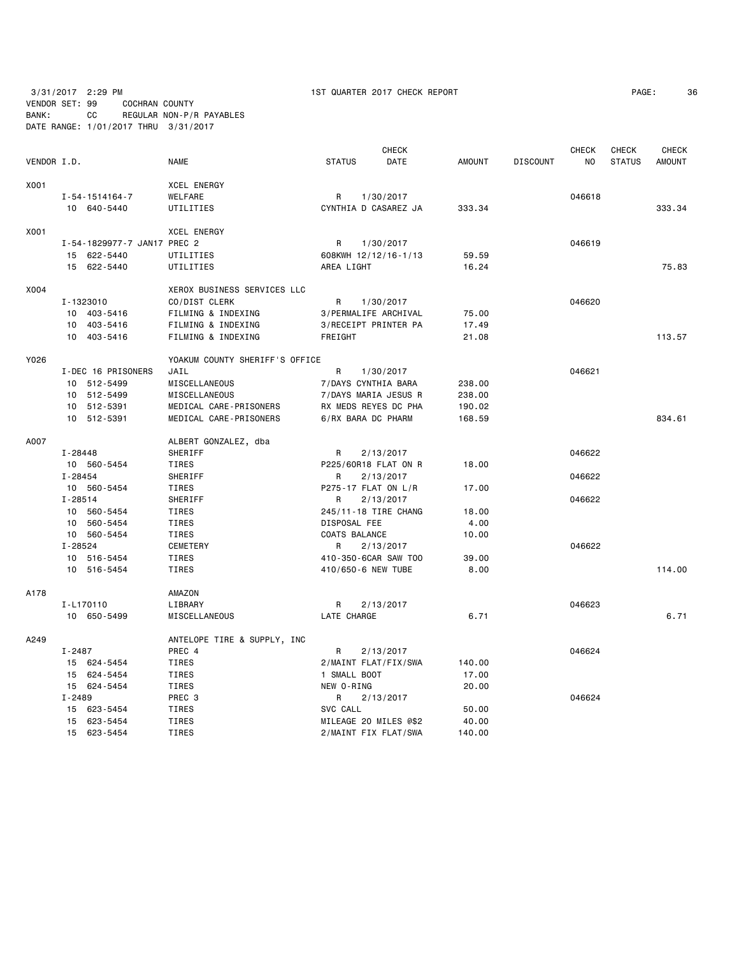| BANK:       | 3/31/2017 2:29 PM<br>VENDOR SET: 99<br>COCHRAN COUNTY<br>CС | REGULAR NON-P/R PAYABLES       | 1ST QUARTER 2017 CHECK REPORT |               |                 |                     | PAGE:<br>36   |
|-------------|-------------------------------------------------------------|--------------------------------|-------------------------------|---------------|-----------------|---------------------|---------------|
|             | DATE RANGE: 1/01/2017 THRU 3/31/2017                        |                                |                               |               |                 |                     |               |
|             |                                                             |                                | <b>CHECK</b>                  |               | <b>CHECK</b>    | CHECK               | <b>CHECK</b>  |
| VENDOR I.D. |                                                             | <b>NAME</b>                    | <b>STATUS</b><br>DATE         | <b>AMOUNT</b> | <b>DISCOUNT</b> | <b>STATUS</b><br>NO | <b>AMOUNT</b> |
| X001        |                                                             | <b>XCEL ENERGY</b>             |                               |               |                 |                     |               |
|             | $I - 54 - 1514164 - 7$                                      | WELFARE                        | 1/30/2017<br>R                |               |                 | 046618              |               |
|             | 10 640-5440                                                 | UTILITIES                      | CYNTHIA D CASAREZ JA          | 333.34        |                 |                     | 333.34        |
| X001        |                                                             | <b>XCEL ENERGY</b>             |                               |               |                 |                     |               |
|             | I-54-1829977-7 JAN17 PREC 2                                 |                                | R<br>1/30/2017                |               |                 | 046619              |               |
|             | 15 622-5440                                                 | UTILITIES                      | 608KWH 12/12/16-1/13          | 59.59         |                 |                     |               |
|             | 15 622-5440                                                 | UTILITIES                      | AREA LIGHT                    | 16.24         |                 |                     | 75.83         |
| X004        |                                                             | XEROX BUSINESS SERVICES LLC    |                               |               |                 |                     |               |
|             | I-1323010                                                   | CO/DIST CLERK                  | 1/30/2017<br>R.               |               |                 | 046620              |               |
|             | 10 403-5416                                                 | FILMING & INDEXING             | 3/PERMALIFE ARCHIVAL          | 75.00         |                 |                     |               |
|             | 10 403-5416                                                 | FILMING & INDEXING             | 3/RECEIPT PRINTER PA          | 17.49         |                 |                     |               |
|             | 10 403-5416                                                 | FILMING & INDEXING             | FREIGHT                       | 21.08         |                 |                     | 113.57        |
| Y026        |                                                             | YOAKUM COUNTY SHERIFF'S OFFICE |                               |               |                 |                     |               |
|             | I-DEC 16 PRISONERS                                          | JAIL                           | R<br>1/30/2017                |               |                 | 046621              |               |
|             | 10 512-5499                                                 | MISCELLANEOUS                  | 7/DAYS CYNTHIA BARA           | 238.00        |                 |                     |               |
|             | 10 512-5499                                                 | MISCELLANEOUS                  | 7/DAYS MARIA JESUS R          | 238.00        |                 |                     |               |
|             | 10 512-5391                                                 | MEDICAL CARE-PRISONERS         | RX MEDS REYES DC PHA          | 190.02        |                 |                     |               |
|             | 10 512-5391                                                 | MEDICAL CARE-PRISONERS         | 6/RX BARA DC PHARM            | 168.59        |                 |                     | 834.61        |
| A007        |                                                             | ALBERT GONZALEZ, dba           |                               |               |                 |                     |               |
|             | I-28448                                                     | SHERIFF                        | R<br>2/13/2017                |               |                 | 046622              |               |
|             | 10 560-5454                                                 | TIRES                          | P225/60R18 FLAT ON R          | 18.00         |                 |                     |               |
|             | I-28454                                                     | SHERIFF                        | 2/13/2017<br>R.               |               |                 | 046622              |               |
|             | 10 560-5454                                                 | TIRES                          | P275-17 FLAT ON L/R           | 17.00         |                 |                     |               |
|             | $I - 28514$                                                 | SHERIFF                        | 2/13/2017<br>R                |               |                 | 046622              |               |
|             | 10 560-5454                                                 | TIRES                          | 245/11-18 TIRE CHANG          | 18.00         |                 |                     |               |
|             | 10 560-5454                                                 | TIRES                          | DISPOSAL FEE                  | 4.00          |                 |                     |               |
|             | 10 560-5454                                                 | TIRES                          | COATS BALANCE                 | 10.00         |                 |                     |               |
|             | I-28524                                                     | CEMETERY                       | R<br>2/13/2017                |               |                 | 046622              |               |
|             | 10 516-5454                                                 | TIRES                          | 410-350-6CAR SAW TOO          | 39.00         |                 |                     |               |
|             | 10 516-5454                                                 | <b>TIRES</b>                   | 410/650-6 NEW TUBE            | 8.00          |                 |                     | 114.00        |
| A178        |                                                             | AMAZON                         |                               |               |                 |                     |               |
|             | I-L170110                                                   | LIBRARY                        | R<br>2/13/2017                |               |                 | 046623              |               |
|             | 10 650-5499                                                 | MISCELLANEOUS                  | LATE CHARGE                   | 6.71          |                 |                     | 6.71          |
| A249        |                                                             | ANTELOPE TIRE & SUPPLY, INC    |                               |               |                 |                     |               |
|             | I-2487                                                      | PREC 4                         | 2/13/2017<br>R.               |               |                 | 046624              |               |
|             | 15 624-5454                                                 | TIRES                          | 2/MAINT FLAT/FIX/SWA          | 140.00        |                 |                     |               |
|             | 15 624-5454                                                 | TIRES                          | 1 SMALL BOOT                  | 17.00         |                 |                     |               |
|             | 15 624-5454                                                 | TIRES                          | NEW O-RING                    | 20.00         |                 |                     |               |
|             | I-2489                                                      | PREC 3                         | R<br>2/13/2017                |               |                 | 046624              |               |
|             | 15 623-5454                                                 | TIRES                          | SVC CALL                      | 50.00         |                 |                     |               |
|             | 15 623-5454                                                 | TIRES                          | MILEAGE 20 MILES @\$2         | 40.00         |                 |                     |               |
|             | 15 623-5454                                                 | TIRES                          | 2/MAINT FIX FLAT/SWA          | 140.00        |                 |                     |               |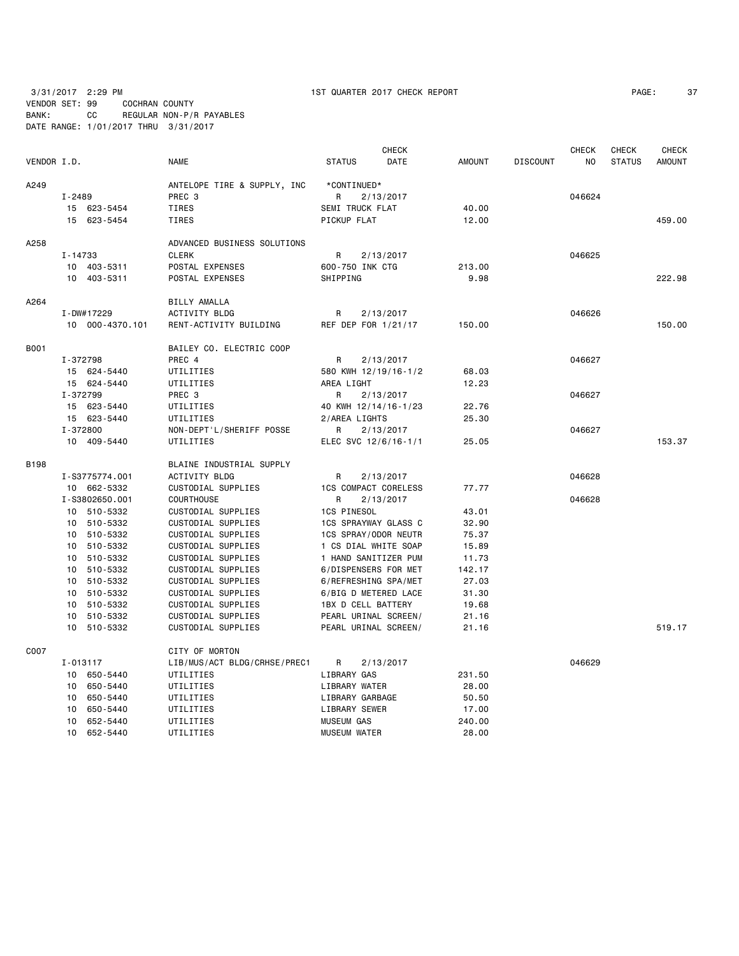3/31/2017 2:29 PM 1ST QUARTER 2017 CHECK REPORT PAGE: 37

VENDOR SET: 99 COCHRAN COUNTY BANK: CC REGULAR NON-P/R PAYABLES DATE RANGE: 1/01/2017 THRU 3/31/2017

| VENDOR I.D. |            |                 | <b>NAME</b>                  | <b>STATUS</b>               | <b>CHECK</b><br>DATE | <b>AMOUNT</b> | <b>DISCOUNT</b> | <b>CHECK</b><br>NO | <b>CHECK</b><br><b>STATUS</b> | <b>CHECK</b><br><b>AMOUNT</b> |
|-------------|------------|-----------------|------------------------------|-----------------------------|----------------------|---------------|-----------------|--------------------|-------------------------------|-------------------------------|
| A249        |            |                 | ANTELOPE TIRE & SUPPLY, INC  | *CONTINUED*                 |                      |               |                 |                    |                               |                               |
|             | I-2489     |                 | PREC <sub>3</sub>            | R                           | 2/13/2017            |               |                 | 046624             |                               |                               |
|             |            | 15 623-5454     | TIRES                        | SEMI TRUCK FLAT             |                      | 40.00         |                 |                    |                               |                               |
|             |            | 15 623-5454     | TIRES                        | PICKUP FLAT                 |                      | 12.00         |                 |                    |                               | 459.00                        |
|             |            |                 |                              |                             |                      |               |                 |                    |                               |                               |
| A258        |            |                 | ADVANCED BUSINESS SOLUTIONS  |                             |                      |               |                 |                    |                               |                               |
|             | I-14733    |                 | <b>CLERK</b>                 | R                           | 2/13/2017            |               |                 | 046625             |                               |                               |
|             |            | 10 403-5311     | POSTAL EXPENSES              | 600-750 INK CTG             |                      | 213.00        |                 |                    |                               |                               |
|             |            | 10 403-5311     | POSTAL EXPENSES              | SHIPPING                    |                      | 9.98          |                 |                    |                               | 222.98                        |
| A264        |            |                 | <b>BILLY AMALLA</b>          |                             |                      |               |                 |                    |                               |                               |
|             | I-DW#17229 |                 | ACTIVITY BLDG                | R                           | 2/13/2017            |               |                 | 046626             |                               |                               |
|             |            | 10 000-4370.101 | RENT-ACTIVITY BUILDING       | REF DEP FOR 1/21/17         |                      | 150.00        |                 |                    |                               | 150.00                        |
|             |            |                 |                              |                             |                      |               |                 |                    |                               |                               |
| B001        |            |                 | BAILEY CO. ELECTRIC COOP     |                             |                      |               |                 |                    |                               |                               |
|             | I-372798   |                 | PREC 4                       | R                           | 2/13/2017            |               |                 | 046627             |                               |                               |
|             |            | 15 624-5440     | UTILITIES                    | 580 KWH 12/19/16-1/2        |                      | 68.03         |                 |                    |                               |                               |
|             |            | 15 624-5440     | UTILITIES                    | AREA LIGHT                  |                      | 12.23         |                 |                    |                               |                               |
|             | I-372799   |                 | PREC <sub>3</sub>            | R                           | 2/13/2017            |               |                 | 046627             |                               |                               |
|             |            | 15 623-5440     | UTILITIES                    | 40 KWH 12/14/16-1/23        |                      | 22.76         |                 |                    |                               |                               |
|             |            | 15 623-5440     | UTILITIES                    | 2/AREA LIGHTS               |                      | 25.30         |                 |                    |                               |                               |
|             | I-372800   |                 | NON-DEPT'L/SHERIFF POSSE     | R                           | 2/13/2017            |               |                 | 046627             |                               |                               |
|             |            | 10 409-5440     | UTILITIES                    | ELEC SVC 12/6/16-1/1        |                      | 25.05         |                 |                    |                               | 153.37                        |
| B198        |            |                 | BLAINE INDUSTRIAL SUPPLY     |                             |                      |               |                 |                    |                               |                               |
|             |            | I-S3775774.001  | ACTIVITY BLDG                | R.                          | 2/13/2017            |               |                 | 046628             |                               |                               |
|             |            | 10 662-5332     | CUSTODIAL SUPPLIES           | <b>1CS COMPACT CORELESS</b> |                      | 77.77         |                 |                    |                               |                               |
|             |            | I-S3802650.001  | <b>COURTHOUSE</b>            | R                           | 2/13/2017            |               |                 | 046628             |                               |                               |
|             |            | 10 510-5332     | CUSTODIAL SUPPLIES           | <b>1CS PINESOL</b>          |                      | 43.01         |                 |                    |                               |                               |
|             |            | 10 510-5332     | CUSTODIAL SUPPLIES           | 1CS SPRAYWAY GLASS C        |                      | 32.90         |                 |                    |                               |                               |
|             |            | 10 510-5332     | CUSTODIAL SUPPLIES           | 1CS SPRAY/ODOR NEUTR        |                      | 75.37         |                 |                    |                               |                               |
|             |            | 10 510-5332     | CUSTODIAL SUPPLIES           | 1 CS DIAL WHITE SOAP        |                      | 15.89         |                 |                    |                               |                               |
|             | 10         | 510-5332        | CUSTODIAL SUPPLIES           | 1 HAND SANITIZER PUM        |                      | 11.73         |                 |                    |                               |                               |
|             | 10         | 510-5332        | CUSTODIAL SUPPLIES           | 6/DISPENSERS FOR MET        |                      | 142.17        |                 |                    |                               |                               |
|             | 10         | 510-5332        | CUSTODIAL SUPPLIES           | 6/REFRESHING SPA/MET        |                      | 27.03         |                 |                    |                               |                               |
|             | 10         | 510-5332        | CUSTODIAL SUPPLIES           | 6/BIG D METERED LACE        |                      | 31.30         |                 |                    |                               |                               |
|             |            | 10 510-5332     | CUSTODIAL SUPPLIES           | 1BX D CELL BATTERY          |                      | 19.68         |                 |                    |                               |                               |
|             | 10         | 510-5332        | CUSTODIAL SUPPLIES           | PEARL URINAL SCREEN/        |                      | 21.16         |                 |                    |                               |                               |
|             | 10         | 510-5332        | CUSTODIAL SUPPLIES           | PEARL URINAL SCREEN/        |                      | 21.16         |                 |                    |                               | 519.17                        |
| C007        |            |                 | CITY OF MORTON               |                             |                      |               |                 |                    |                               |                               |
|             | I-013117   |                 | LIB/MUS/ACT BLDG/CRHSE/PREC1 | R                           | 2/13/2017            |               |                 | 046629             |                               |                               |
|             |            | 10 650-5440     | UTILITIES                    | LIBRARY GAS                 |                      | 231.50        |                 |                    |                               |                               |
|             |            | 10 650-5440     | UTILITIES                    | LIBRARY WATER               |                      | 28.00         |                 |                    |                               |                               |
|             | 10         | 650-5440        | UTILITIES                    | LIBRARY GARBAGE             |                      | 50.50         |                 |                    |                               |                               |
|             | 10         | 650-5440        | UTILITIES                    | LIBRARY SEWER               |                      | 17.00         |                 |                    |                               |                               |
|             | 10         | 652-5440        | UTILITIES                    | <b>MUSEUM GAS</b>           |                      | 240.00        |                 |                    |                               |                               |
|             | 10         | 652-5440        | UTILITIES                    | <b>MUSEUM WATER</b>         |                      | 28.00         |                 |                    |                               |                               |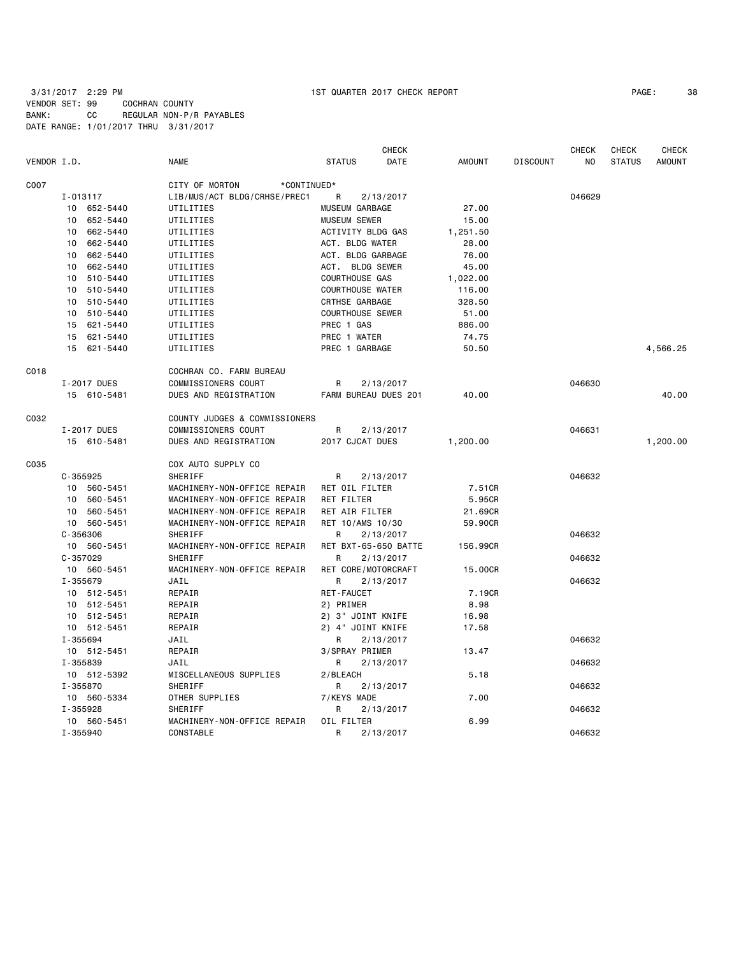| VENDOR I.D. |                | <b>NAME</b>                   | <b>CHECK</b><br><b>STATUS</b><br>DATE | <b>AMOUNT</b> | <b>DISCOUNT</b> | <b>CHECK</b><br>NO | <b>CHECK</b><br><b>STATUS</b> | <b>CHECK</b><br><b>AMOUNT</b> |
|-------------|----------------|-------------------------------|---------------------------------------|---------------|-----------------|--------------------|-------------------------------|-------------------------------|
| C007        |                | CITY OF MORTON<br>*CONTINUED* |                                       |               |                 |                    |                               |                               |
|             | I-013117       | LIB/MUS/ACT BLDG/CRHSE/PREC1  | 2/13/2017<br>R                        |               |                 | 046629             |                               |                               |
|             | 10 652-5440    | UTILITIES                     | MUSEUM GARBAGE                        | 27.00         |                 |                    |                               |                               |
|             | 652-5440<br>10 | UTILITIES                     | <b>MUSEUM SEWER</b>                   | 15.00         |                 |                    |                               |                               |
|             | 662-5440<br>10 | UTILITIES                     | ACTIVITY BLDG GAS                     | 1,251.50      |                 |                    |                               |                               |
|             | 662-5440<br>10 | UTILITIES                     | ACT. BLDG WATER                       | 28.00         |                 |                    |                               |                               |
|             | 662-5440<br>10 | UTILITIES                     | ACT. BLDG GARBAGE                     | 76.00         |                 |                    |                               |                               |
|             | 662-5440<br>10 | UTILITIES                     | ACT. BLDG SEWER                       | 45.00         |                 |                    |                               |                               |
|             | 10 510-5440    | UTILITIES                     | COURTHOUSE GAS                        | 1,022.00      |                 |                    |                               |                               |
|             | 510-5440<br>10 | UTILITIES                     | <b>COURTHOUSE WATER</b>               | 116.00        |                 |                    |                               |                               |
|             | 510-5440<br>10 | UTILITIES                     | CRTHSE GARBAGE                        | 328.50        |                 |                    |                               |                               |
|             | 510-5440<br>10 | UTILITIES                     | <b>COURTHOUSE SEWER</b>               | 51.00         |                 |                    |                               |                               |
|             | 15<br>621-5440 | UTILITIES                     | PREC 1 GAS                            | 886.00        |                 |                    |                               |                               |
|             | 621-5440<br>15 | UTILITIES                     | PREC 1 WATER                          | 74.75         |                 |                    |                               |                               |
|             | 15<br>621-5440 | UTILITIES                     | PREC 1 GARBAGE                        | 50.50         |                 |                    |                               | 4,566.25                      |
| C018        |                | COCHRAN CO. FARM BUREAU       |                                       |               |                 |                    |                               |                               |
|             | I-2017 DUES    | COMMISSIONERS COURT           | R<br>2/13/2017                        |               |                 | 046630             |                               |                               |
|             | 15 610-5481    | DUES AND REGISTRATION         | FARM BUREAU DUES 201                  | 40.00         |                 |                    |                               | 40.00                         |
| C032        |                | COUNTY JUDGES & COMMISSIONERS |                                       |               |                 |                    |                               |                               |
|             | I-2017 DUES    | COMMISSIONERS COURT           | 2/13/2017<br>R                        |               |                 | 046631             |                               |                               |
|             | 15 610-5481    | DUES AND REGISTRATION         | 2017 CJCAT DUES                       | 1,200.00      |                 |                    |                               | 1,200.00                      |
| C035        |                | COX AUTO SUPPLY CO            |                                       |               |                 |                    |                               |                               |
|             | $C - 355925$   | SHERIFF                       | 2/13/2017<br>R                        |               |                 | 046632             |                               |                               |
|             | 10 560-5451    | MACHINERY-NON-OFFICE REPAIR   | RET OIL FILTER                        | 7.51CR        |                 |                    |                               |                               |
|             | 560-5451<br>10 | MACHINERY-NON-OFFICE REPAIR   | <b>RET FILTER</b>                     | 5.95CR        |                 |                    |                               |                               |
|             | 10 560-5451    | MACHINERY-NON-OFFICE REPAIR   | RET AIR FILTER                        | 21.69CR       |                 |                    |                               |                               |
|             | 10 560-5451    | MACHINERY-NON-OFFICE REPAIR   | RET 10/AMS 10/30                      | 59.90CR       |                 |                    |                               |                               |
|             | $C - 356306$   | <b>SHERIFF</b>                | 2/13/2017<br>R                        |               |                 | 046632             |                               |                               |
|             | 10 560-5451    | MACHINERY-NON-OFFICE REPAIR   | RET BXT-65-650 BATTE                  | 156.99CR      |                 |                    |                               |                               |
|             | $C - 357029$   | <b>SHERIFF</b>                | 2/13/2017<br>R                        |               |                 | 046632             |                               |                               |
|             | 10 560-5451    | MACHINERY-NON-OFFICE REPAIR   | RET CORE/MOTORCRAFT                   | 15,00CR       |                 |                    |                               |                               |
|             | I-355679       | JAIL                          | 2/13/2017<br>R                        |               |                 | 046632             |                               |                               |
|             | 10 512-5451    | REPAIR                        | <b>RET-FAUCET</b>                     | 7.19CR        |                 |                    |                               |                               |
|             | 10 512-5451    | REPAIR                        | 2) PRIMER                             | 8.98          |                 |                    |                               |                               |
|             | 10 512-5451    | REPAIR                        | 2) 3" JOINT KNIFE                     | 16.98         |                 |                    |                               |                               |
|             | 10 512-5451    | REPAIR                        | 2) 4" JOINT KNIFE                     | 17.58         |                 |                    |                               |                               |
|             | I-355694       | JAIL                          | R<br>2/13/2017                        |               |                 | 046632             |                               |                               |
|             | 10 512-5451    | REPAIR                        | 3/SPRAY PRIMER                        | 13.47         |                 |                    |                               |                               |
|             | I-355839       | JAIL                          | 2/13/2017<br>R                        |               |                 | 046632             |                               |                               |
|             | 10 512-5392    | MISCELLANEOUS SUPPLIES        | 2/BLEACH                              | 5.18          |                 |                    |                               |                               |
|             | I-355870       | SHERIFF                       | R<br>2/13/2017                        |               |                 | 046632             |                               |                               |
|             | 10 560-5334    | OTHER SUPPLIES                | 7/KEYS MADE                           | 7.00          |                 |                    |                               |                               |
|             | I-355928       | <b>SHERIFF</b>                | R<br>2/13/2017                        |               |                 | 046632             |                               |                               |
|             | 10 560-5451    | MACHINERY-NON-OFFICE REPAIR   | OIL FILTER                            | 6.99          |                 |                    |                               |                               |
|             | I-355940       | CONSTABLE                     | R<br>2/13/2017                        |               |                 | 046632             |                               |                               |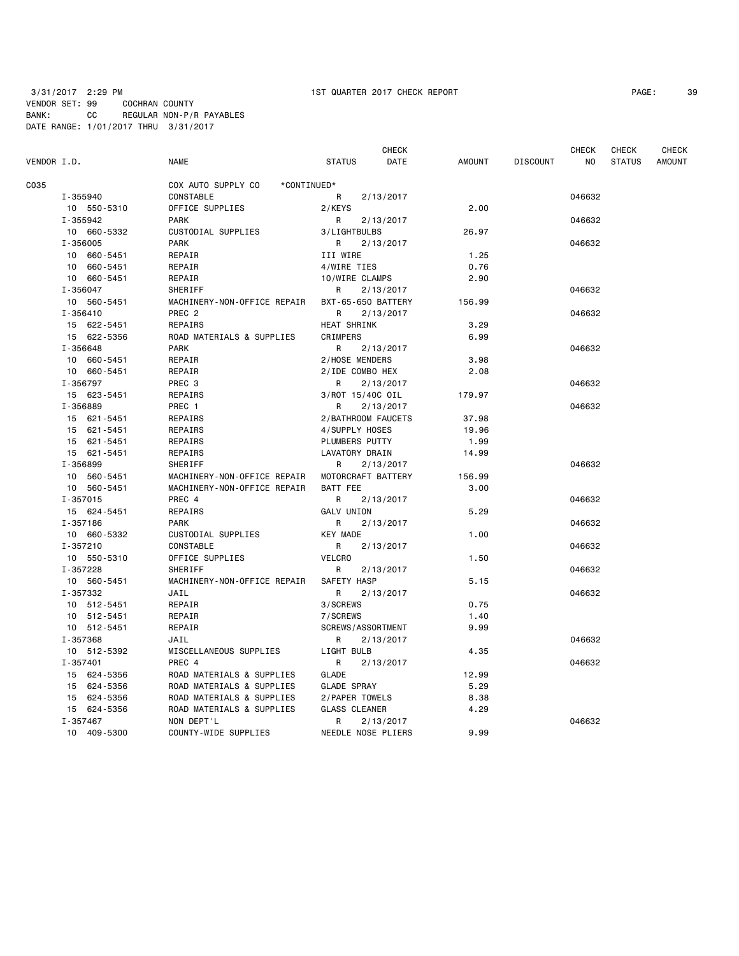|             |              |                                         | <b>CHECK</b>                 |               |                 | <b>CHECK</b> | <b>CHECK</b>  | <b>CHECK</b>  |
|-------------|--------------|-----------------------------------------|------------------------------|---------------|-----------------|--------------|---------------|---------------|
| VENDOR I.D. |              | <b>NAME</b>                             | <b>STATUS</b><br>DATE        | <b>AMOUNT</b> | <b>DISCOUNT</b> | NO.          | <b>STATUS</b> | <b>AMOUNT</b> |
| C035        |              | COX AUTO SUPPLY CO<br>*CONTINUED*       |                              |               |                 |              |               |               |
|             | I-355940     | CONSTABLE                               | R<br>2/13/2017               |               |                 | 046632       |               |               |
|             | 10 550-5310  | OFFICE SUPPLIES                         | 2/KEYS                       | 2.00          |                 |              |               |               |
|             | I-355942     | <b>PARK</b>                             | R<br>2/13/2017               |               |                 | 046632       |               |               |
|             | 10 660-5332  | CUSTODIAL SUPPLIES                      | 3/LIGHTBULBS                 | 26.97         |                 |              |               |               |
|             | $I - 356005$ | <b>PARK</b>                             | R.<br>2/13/2017              |               |                 | 046632       |               |               |
|             | 10 660-5451  | REPAIR                                  | III WIRE                     | 1.25          |                 |              |               |               |
|             | 10 660-5451  | REPAIR                                  | 4/WIRE TIES                  | 0.76          |                 |              |               |               |
|             | 10 660-5451  | REPAIR                                  | 10/WIRE CLAMPS               | 2.90          |                 |              |               |               |
|             | I-356047     | SHERIFF                                 | R.<br>2/13/2017              |               |                 | 046632       |               |               |
|             | 10 560-5451  | MACHINERY-NON-OFFICE REPAIR             | BXT-65-650 BATTERY           | 156.99        |                 |              |               |               |
|             | I-356410     | PREC <sub>2</sub>                       | R<br>2/13/2017               |               |                 | 046632       |               |               |
|             | 15 622-5451  | REPAIRS                                 | HEAT SHRINK                  | 3.29          |                 |              |               |               |
|             | 15 622-5356  | ROAD MATERIALS & SUPPLIES               | CRIMPERS                     | 6.99          |                 |              |               |               |
|             | I-356648     | <b>PARK</b>                             | 2/13/2017<br>R               |               |                 | 046632       |               |               |
|             | 10 660-5451  | REPAIR                                  | 2/HOSE MENDERS               | 3.98          |                 |              |               |               |
|             | 10 660-5451  | REPAIR                                  | 2/IDE COMBO HEX              | 2.08          |                 |              |               |               |
|             | I-356797     | PREC 3                                  | R<br>2/13/2017               |               |                 | 046632       |               |               |
|             | 15 623-5451  | REPAIRS                                 | 3/ROT 15/40C OIL             | 179.97        |                 |              |               |               |
|             | I-356889     | PREC 1                                  | 2/13/2017<br>R               |               |                 | 046632       |               |               |
|             | 15 621-5451  | REPAIRS                                 | 2/BATHROOM FAUCETS           | 37.98         |                 |              |               |               |
|             | 15 621-5451  | REPAIRS                                 | 4/SUPPLY HOSES               | 19.96         |                 |              |               |               |
|             | 15 621-5451  | REPAIRS                                 | PLUMBERS PUTTY               | 1.99          |                 |              |               |               |
|             | 15 621-5451  | REPAIRS                                 | <b>LAVATORY DRAIN</b>        | 14.99         |                 |              |               |               |
|             | I-356899     | SHERIFF                                 | 2/13/2017<br>R               |               |                 | 046632       |               |               |
|             | 10 560-5451  | MACHINERY-NON-OFFICE REPAIR             | MOTORCRAFT BATTERY           | 156.99        |                 |              |               |               |
|             | 10 560-5451  | MACHINERY-NON-OFFICE REPAIR             | BATT FEE                     | 3.00          |                 |              |               |               |
|             | I-357015     | PREC 4                                  | R<br>2/13/2017               |               |                 | 046632       |               |               |
|             | 15 624-5451  | REPAIRS                                 | GALV UNION                   | 5.29          |                 |              |               |               |
|             | I-357186     | <b>PARK</b>                             | R<br>2/13/2017               |               |                 | 046632       |               |               |
|             | 10 660-5332  | CUSTODIAL SUPPLIES                      | <b>KEY MADE</b>              | 1.00          |                 |              |               |               |
|             | I-357210     | <b>CONSTABLE</b>                        | R<br>2/13/2017               |               |                 | 046632       |               |               |
|             | 10 550-5310  | OFFICE SUPPLIES                         | <b>VELCRO</b>                | 1.50          |                 |              |               |               |
|             | I-357228     | SHERIFF                                 | R<br>2/13/2017               |               |                 | 046632       |               |               |
|             | 10 560-5451  | MACHINERY-NON-OFFICE REPAIR             | SAFETY HASP                  | 5.15          |                 |              |               |               |
|             | I-357332     | JAIL                                    | R.<br>2/13/2017              |               |                 | 046632       |               |               |
|             | 10 512-5451  | REPAIR                                  | 3/SCREWS                     | 0.75          |                 |              |               |               |
|             | 10 512-5451  | REPAIR                                  | 7/SCREWS                     | 1.40          |                 |              |               |               |
|             | 10 512-5451  | REPAIR                                  | <b>SCREWS/ASSORTMENT</b>     | 9.99          |                 |              |               |               |
|             | I-357368     | JAIL                                    |                              |               |                 | 046632       |               |               |
|             | 10 512-5392  | MISCELLANEOUS SUPPLIES                  | 2/13/2017<br>R<br>LIGHT BULB | 4.35          |                 |              |               |               |
|             | I-357401     | PREC 4                                  |                              |               |                 | 046632       |               |               |
|             |              |                                         | R<br>2/13/2017               |               |                 |              |               |               |
|             | 15 624-5356  | ROAD MATERIALS & SUPPLIES               | GLADE                        | 12.99         |                 |              |               |               |
|             | 15 624-5356  | ROAD MATERIALS & SUPPLIES               | GLADE SPRAY                  | 5.29          |                 |              |               |               |
|             | 15 624-5356  | ROAD MATERIALS & SUPPLIES               | 2/PAPER TOWELS               | 8.38<br>4.29  |                 |              |               |               |
|             | 15 624-5356  | ROAD MATERIALS & SUPPLIES<br>NON DEPT'L | <b>GLASS CLEANER</b>         |               |                 |              |               |               |
|             | I-357467     |                                         | $\mathsf{R}$<br>2/13/2017    |               |                 | 046632       |               |               |
|             | 10 409-5300  | COUNTY-WIDE SUPPLIES                    | NEEDLE NOSE PLIERS           | 9.99          |                 |              |               |               |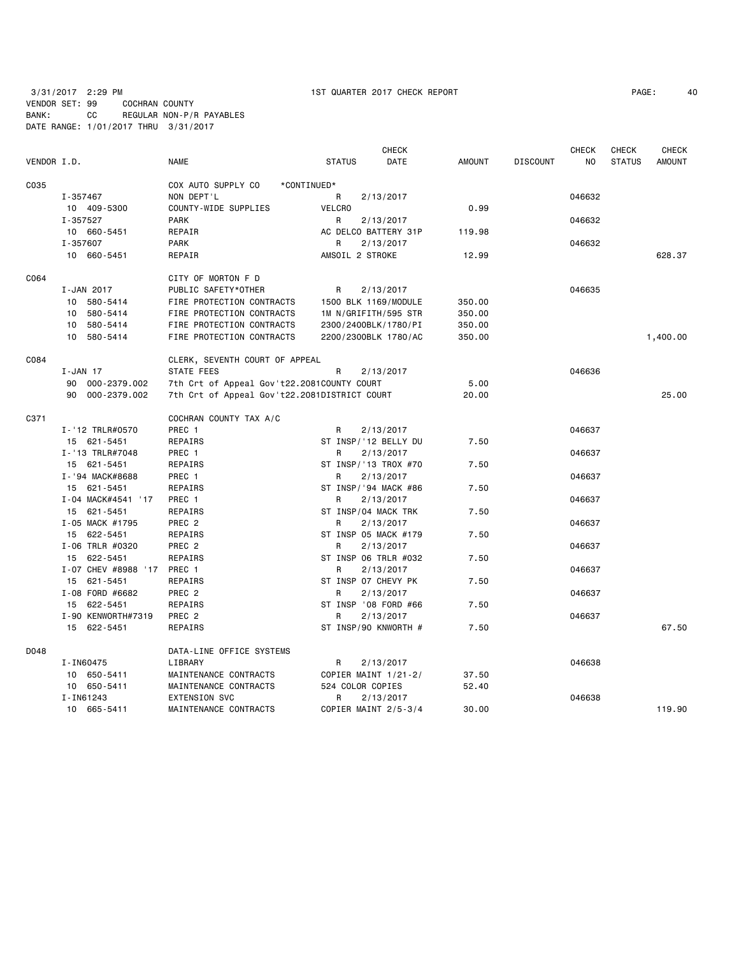3/31/2017 2:29 PM 1ST QUARTER 2017 CHECK REPORT PAGE: 40

VENDOR SET: 99 COCHRAN COUNTY BANK: CC REGULAR NON-P/R PAYABLES DATE RANGE: 1/01/2017 THRU 3/31/2017

| VENDOR I.D. |                         | <b>NAME</b>                                  | <b>STATUS</b>        | <b>CHECK</b><br>DATE | <b>AMOUNT</b> | <b>DISCOUNT</b> | <b>CHECK</b><br>NO. | <b>CHECK</b><br><b>STATUS</b> | <b>CHECK</b><br><b>AMOUNT</b> |
|-------------|-------------------------|----------------------------------------------|----------------------|----------------------|---------------|-----------------|---------------------|-------------------------------|-------------------------------|
|             |                         |                                              |                      |                      |               |                 |                     |                               |                               |
| C035        |                         | COX AUTO SUPPLY CO<br>*CONTINUED*            |                      |                      |               |                 |                     |                               |                               |
|             | I-357467                | NON DEPT'L<br>COUNTY-WIDE SUPPLIES           | R                    | 2/13/2017            | 0.99          |                 | 046632              |                               |                               |
|             | 10 409-5300             |                                              | <b>VELCRO</b>        |                      |               |                 |                     |                               |                               |
|             | I-357527                | <b>PARK</b>                                  | R                    | 2/13/2017            |               |                 | 046632              |                               |                               |
|             | 10 660-5451<br>I-357607 | REPAIR                                       | AC DELCO BATTERY 31P |                      | 119.98        |                 |                     |                               |                               |
|             | 10 660-5451             | <b>PARK</b><br>REPAIR                        | R<br>AMSOIL 2 STROKE | 2/13/2017            | 12.99         |                 | 046632              |                               | 628.37                        |
| C064        |                         | CITY OF MORTON F D                           |                      |                      |               |                 |                     |                               |                               |
|             | I-JAN 2017              | PUBLIC SAFETY*OTHER                          | R                    | 2/13/2017            |               |                 | 046635              |                               |                               |
|             | 580-5414<br>10          | FIRE PROTECTION CONTRACTS                    | 1500 BLK 1169/MODULE |                      | 350.00        |                 |                     |                               |                               |
|             | 10 580-5414             | FIRE PROTECTION CONTRACTS                    | 1M N/GRIFITH/595 STR |                      | 350.00        |                 |                     |                               |                               |
|             |                         | FIRE PROTECTION CONTRACTS                    |                      |                      |               |                 |                     |                               |                               |
|             | 10 580-5414             |                                              | 2300/2400BLK/1780/PI |                      | 350.00        |                 |                     |                               |                               |
|             | 10 580-5414             | FIRE PROTECTION CONTRACTS                    | 2200/2300BLK 1780/AC |                      | 350.00        |                 |                     |                               | 1,400.00                      |
| C084        |                         | CLERK, SEVENTH COURT OF APPEAL               |                      |                      |               |                 |                     |                               |                               |
|             | $I - JAN$ 17            | STATE FEES                                   | R                    | 2/13/2017            |               |                 | 046636              |                               |                               |
|             | 90 000-2379.002         | 7th Crt of Appeal Gov't22.2081COUNTY COURT   |                      |                      | 5.00          |                 |                     |                               |                               |
|             | 90 000-2379.002         | 7th Crt of Appeal Gov't22.2081DISTRICT COURT |                      |                      | 20.00         |                 |                     |                               | 25,00                         |
| C371        |                         | COCHRAN COUNTY TAX A/C                       |                      |                      |               |                 |                     |                               |                               |
|             | I-'12 TRLR#0570         | PREC 1                                       | R                    | 2/13/2017            |               |                 | 046637              |                               |                               |
|             | 15 621-5451             | <b>REPAIRS</b>                               | ST INSP/'12 BELLY DU |                      | 7.50          |                 |                     |                               |                               |
|             | I-'13 TRLR#7048         | PREC 1                                       | R                    | 2/13/2017            |               |                 | 046637              |                               |                               |
|             | 15 621-5451             | REPAIRS                                      | ST INSP/'13 TROX #70 |                      | 7.50          |                 |                     |                               |                               |
|             | I-'94 MACK#8688         | PREC 1                                       | R                    | 2/13/2017            |               |                 | 046637              |                               |                               |
|             | 15 621-5451             | REPAIRS                                      | ST INSP/'94 MACK #86 |                      | 7.50          |                 |                     |                               |                               |
|             | I-04 MACK#4541 '17      | PREC 1                                       | R                    | 2/13/2017            |               |                 | 046637              |                               |                               |
|             | 15 621-5451             | REPAIRS                                      | ST INSP/04 MACK TRK  |                      | 7.50          |                 |                     |                               |                               |
|             | I-05 MACK #1795         | PREC <sub>2</sub>                            | R                    | 2/13/2017            |               |                 | 046637              |                               |                               |
|             | 15 622-5451             | REPAIRS                                      | ST INSP 05 MACK #179 |                      | 7.50          |                 |                     |                               |                               |
|             | I-06 TRLR #0320         | PREC <sub>2</sub>                            | R                    | 2/13/2017            |               |                 | 046637              |                               |                               |
|             | 15 622-5451             | REPAIRS                                      | ST INSP 06 TRLR #032 |                      | 7.50          |                 |                     |                               |                               |
|             | I-07 CHEV #8988 '17     | PREC 1                                       | R                    | 2/13/2017            |               |                 | 046637              |                               |                               |
|             | 15 621-5451             | REPAIRS                                      | ST INSP 07 CHEVY PK  |                      | 7.50          |                 |                     |                               |                               |
|             | I-08 FORD #6682         | PREC <sub>2</sub>                            | R                    | 2/13/2017            |               |                 | 046637              |                               |                               |
|             | 15 622-5451             | REPAIRS                                      | ST INSP '08 FORD #66 |                      | 7.50          |                 |                     |                               |                               |
|             | I-90 KENWORTH#7319      | PREC <sub>2</sub>                            | R                    | 2/13/2017            |               |                 | 046637              |                               |                               |
|             | 15 622-5451             | REPAIRS                                      | ST INSP/90 KNWORTH # |                      | 7.50          |                 |                     |                               | 67.50                         |
| D048        |                         | DATA-LINE OFFICE SYSTEMS                     |                      |                      |               |                 |                     |                               |                               |
|             | I-IN60475               | LIBRARY                                      | R.                   | 2/13/2017            |               |                 | 046638              |                               |                               |
|             | 10 650-5411             | MAINTENANCE CONTRACTS                        | COPIER MAINT 1/21-2/ |                      | 37.50         |                 |                     |                               |                               |
|             | 10 650-5411             | MAINTENANCE CONTRACTS                        | 524 COLOR COPIES     |                      | 52.40         |                 |                     |                               |                               |
|             | I-IN61243               | <b>EXTENSION SVC</b>                         | R                    | 2/13/2017            |               |                 | 046638              |                               |                               |
|             | 10 665-5411             | MAINTENANCE CONTRACTS                        | COPIER MAINT 2/5-3/4 |                      | 30.00         |                 |                     |                               | 119.90                        |
|             |                         |                                              |                      |                      |               |                 |                     |                               |                               |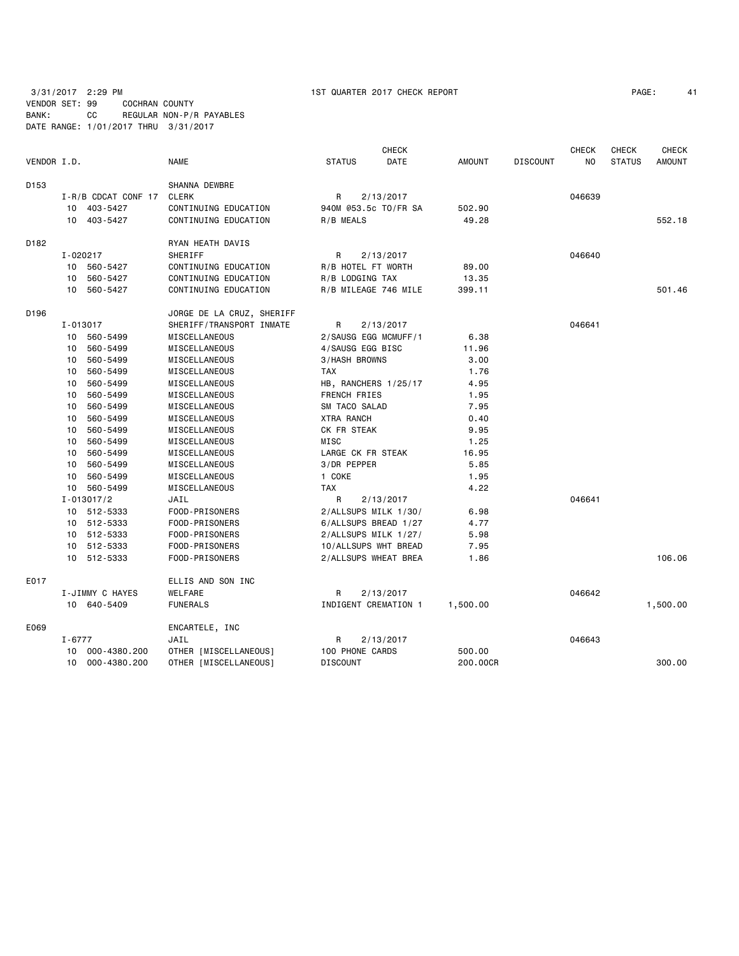| PAGE: |  | 4. |
|-------|--|----|
|-------|--|----|

| VENDOR I.D. |            |                         | <b>NAME</b>               | <b>STATUS</b>        | <b>CHECK</b><br>DATE | <b>AMOUNT</b> | <b>DISCOUNT</b> | <b>CHECK</b><br>NO | <b>CHECK</b><br><b>STATUS</b> | <b>CHECK</b><br><b>AMOUNT</b> |
|-------------|------------|-------------------------|---------------------------|----------------------|----------------------|---------------|-----------------|--------------------|-------------------------------|-------------------------------|
| D153        |            |                         | SHANNA DEWBRE             |                      |                      |               |                 |                    |                               |                               |
|             |            | $I - R/B$ CDCAT CONF 17 | <b>CLERK</b>              | R                    | 2/13/2017            |               |                 | 046639             |                               |                               |
|             |            | 10 403-5427             | CONTINUING EDUCATION      | 940M @53.5c TO/FR SA |                      | 502.90        |                 |                    |                               |                               |
|             |            | 10 403-5427             | CONTINUING EDUCATION      | R/B MEALS            |                      | 49.28         |                 |                    |                               | 552.18                        |
| D182        |            |                         | RYAN HEATH DAVIS          |                      |                      |               |                 |                    |                               |                               |
|             | I-020217   |                         | SHERIFF                   | R                    | 2/13/2017            |               |                 | 046640             |                               |                               |
|             |            | 10 560-5427             | CONTINUING EDUCATION      | R/B HOTEL FT WORTH   |                      | 89.00         |                 |                    |                               |                               |
|             | 10         | 560-5427                | CONTINUING EDUCATION      | R/B LODGING TAX      |                      | 13.35         |                 |                    |                               |                               |
|             |            | 10 560-5427             | CONTINUING EDUCATION      | R/B MILEAGE 746 MILE |                      | 399.11        |                 |                    |                               | 501.46                        |
| D196        |            |                         | JORGE DE LA CRUZ, SHERIFF |                      |                      |               |                 |                    |                               |                               |
|             | I-013017   |                         | SHERIFF/TRANSPORT INMATE  | R                    | 2/13/2017            |               |                 | 046641             |                               |                               |
|             |            | 10 560-5499             | MISCELLANEOUS             | 2/SAUSG EGG MCMUFF/1 |                      | 6.38          |                 |                    |                               |                               |
|             | 10         | 560-5499                | MISCELLANEOUS             | 4/SAUSG EGG BISC     |                      | 11.96         |                 |                    |                               |                               |
|             | 10         | 560-5499                | MISCELLANEOUS             | 3/HASH BROWNS        |                      | 3.00          |                 |                    |                               |                               |
|             | 10         | 560-5499                | MISCELLANEOUS             | <b>TAX</b>           |                      | 1.76          |                 |                    |                               |                               |
|             | 10         | 560-5499                | MISCELLANEOUS             | HB, RANCHERS 1/25/17 |                      | 4.95          |                 |                    |                               |                               |
|             | 10         | 560-5499                | MISCELLANEOUS             | FRENCH FRIES         |                      | 1.95          |                 |                    |                               |                               |
|             | 10         | 560-5499                | MISCELLANEOUS             | SM TACO SALAD        |                      | 7.95          |                 |                    |                               |                               |
|             | 10         | 560-5499                | MISCELLANEOUS             | <b>XTRA RANCH</b>    |                      | 0.40          |                 |                    |                               |                               |
|             | 10         | 560-5499                | MISCELLANEOUS             | CK FR STEAK          |                      | 9.95          |                 |                    |                               |                               |
|             | 10         | 560-5499                | MISCELLANEOUS             | MISC                 |                      | 1.25          |                 |                    |                               |                               |
|             | 10         | 560-5499                | MISCELLANEOUS             | LARGE CK FR STEAK    |                      | 16.95         |                 |                    |                               |                               |
|             | 10         | 560-5499                | MISCELLANEOUS             | 3/DR PEPPER          |                      | 5.85          |                 |                    |                               |                               |
|             | 10         | 560-5499                | MISCELLANEOUS             | 1 COKE               |                      | 1.95          |                 |                    |                               |                               |
|             | 10         | 560-5499                | MISCELLANEOUS             | <b>TAX</b>           |                      | 4.22          |                 |                    |                               |                               |
|             |            | $I - 013017/2$          | JAIL                      | R                    | 2/13/2017            |               |                 | 046641             |                               |                               |
|             |            | 10 512-5333             | FOOD-PRISONERS            | 2/ALLSUPS MILK 1/30/ |                      | 6.98          |                 |                    |                               |                               |
|             |            | 10 512-5333             | FOOD-PRISONERS            | 6/ALLSUPS BREAD 1/27 |                      | 4.77          |                 |                    |                               |                               |
|             |            | 10 512-5333             | FOOD-PRISONERS            | 2/ALLSUPS MILK 1/27/ |                      | 5.98          |                 |                    |                               |                               |
|             | 10         | 512-5333                | FOOD-PRISONERS            | 10/ALLSUPS WHT BREAD |                      | 7.95          |                 |                    |                               |                               |
|             |            | 10 512-5333             | FOOD-PRISONERS            | 2/ALLSUPS WHEAT BREA |                      | 1.86          |                 |                    |                               | 106.06                        |
| E017        |            |                         | ELLIS AND SON INC         |                      |                      |               |                 |                    |                               |                               |
|             |            | I-JIMMY C HAYES         | WELFARE                   | R                    | 2/13/2017            |               |                 | 046642             |                               |                               |
|             |            | 10 640-5409             | <b>FUNERALS</b>           | INDIGENT CREMATION 1 |                      | 1,500.00      |                 |                    |                               | 1,500.00                      |
| E069        |            |                         | ENCARTELE, INC            |                      |                      |               |                 |                    |                               |                               |
|             | $I - 6777$ |                         | JAIL                      | R                    | 2/13/2017            |               |                 | 046643             |                               |                               |
|             |            | 10 000-4380.200         | OTHER [MISCELLANEOUS]     | 100 PHONE CARDS      |                      | 500.00        |                 |                    |                               |                               |
|             |            | 10 000-4380.200         | OTHER [MISCELLANEOUS]     | <b>DISCOUNT</b>      |                      | 200.00CR      |                 |                    |                               | 300.00                        |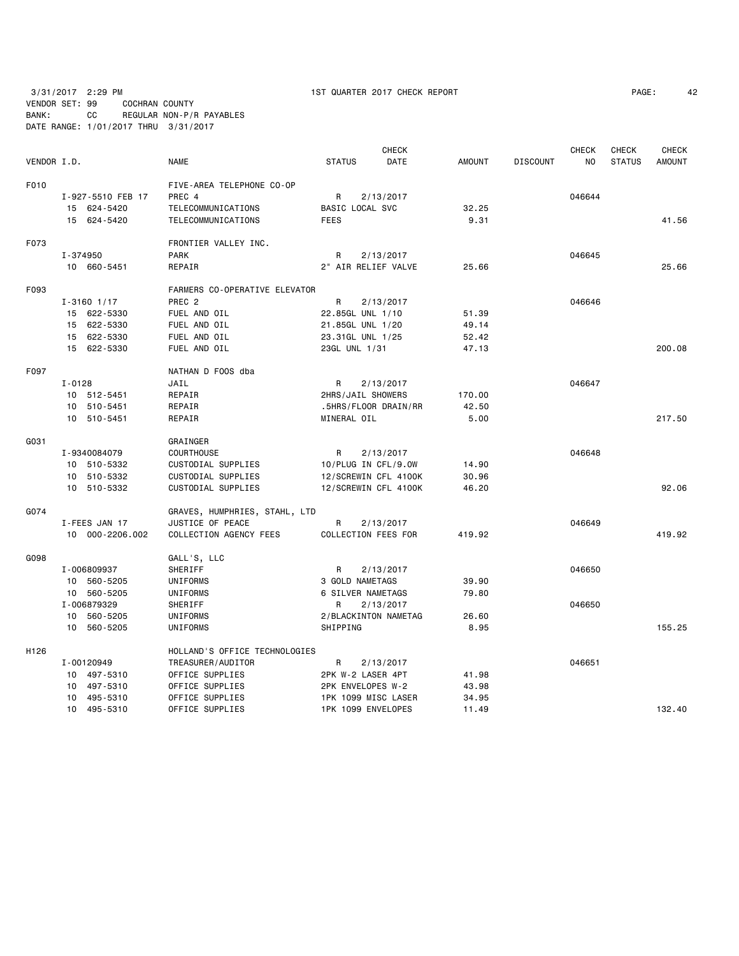|             |                   |                               |                     | <b>CHECK</b>         |               |                 | CHECK  | <b>CHECK</b>  | <b>CHECK</b>  |
|-------------|-------------------|-------------------------------|---------------------|----------------------|---------------|-----------------|--------|---------------|---------------|
| VENDOR I.D. |                   | <b>NAME</b>                   | <b>STATUS</b>       | <b>DATE</b>          | <b>AMOUNT</b> | <b>DISCOUNT</b> | NO.    | <b>STATUS</b> | <b>AMOUNT</b> |
| F010        |                   | FIVE-AREA TELEPHONE CO-OP     |                     |                      |               |                 |        |               |               |
|             | I-927-5510 FEB 17 | PREC 4                        | R                   | 2/13/2017            |               |                 | 046644 |               |               |
|             | 15 624-5420       | TELECOMMUNICATIONS            | BASIC LOCAL SVC     |                      | 32.25         |                 |        |               |               |
|             | 15 624-5420       | TELECOMMUNICATIONS            | <b>FEES</b>         |                      | 9.31          |                 |        |               | 41.56         |
| F073        |                   | FRONTIER VALLEY INC.          |                     |                      |               |                 |        |               |               |
|             | I-374950          | <b>PARK</b>                   | R                   | 2/13/2017            |               |                 | 046645 |               |               |
|             | 10 660-5451       | REPAIR                        | 2" AIR RELIEF VALVE |                      | 25.66         |                 |        |               | 25.66         |
| F093        |                   | FARMERS CO-OPERATIVE ELEVATOR |                     |                      |               |                 |        |               |               |
|             | $I - 3160$ 1/17   | PREC <sub>2</sub>             | R                   | 2/13/2017            |               |                 | 046646 |               |               |
|             | 15 622-5330       | FUEL AND OIL                  | 22.85GL UNL 1/10    |                      | 51.39         |                 |        |               |               |
|             | 15 622-5330       | FUEL AND OIL                  | 21.85GL UNL 1/20    |                      | 49.14         |                 |        |               |               |
|             | 15 622-5330       | FUEL AND OIL                  | 23.31GL UNL 1/25    |                      | 52.42         |                 |        |               |               |
|             | 15 622-5330       | FUEL AND OIL                  | 23GL UNL 1/31       |                      | 47.13         |                 |        |               | 200.08        |
| F097        |                   | NATHAN D FOOS dba             |                     |                      |               |                 |        |               |               |
|             | $I - 0128$        | JAIL                          | R                   | 2/13/2017            |               |                 | 046647 |               |               |
|             | 10 512-5451       | REPAIR                        | 2HRS/JAIL SHOWERS   |                      | 170.00        |                 |        |               |               |
|             | 10 510-5451       | REPAIR                        |                     | .5HRS/FLOOR DRAIN/RR | 42.50         |                 |        |               |               |
|             | 10 510-5451       | REPAIR                        | MINERAL OIL         |                      | 5.00          |                 |        |               | 217.50        |
| GO31        |                   | GRAINGER                      |                     |                      |               |                 |        |               |               |
|             | I-9340084079      | <b>COURTHOUSE</b>             | R                   | 2/13/2017            |               |                 | 046648 |               |               |
|             | 10 510-5332       | CUSTODIAL SUPPLIES            | 10/PLUG IN CFL/9.0W |                      | 14.90         |                 |        |               |               |
|             | 10 510-5332       | CUSTODIAL SUPPLIES            |                     | 12/SCREWIN CFL 4100K | 30.96         |                 |        |               |               |
|             | 10 510-5332       | CUSTODIAL SUPPLIES            |                     | 12/SCREWIN CFL 4100K | 46.20         |                 |        |               | 92.06         |
| G074        |                   | GRAVES, HUMPHRIES, STAHL, LTD |                     |                      |               |                 |        |               |               |
|             | I-FEES JAN 17     | JUSTICE OF PEACE              | R                   | 2/13/2017            |               |                 | 046649 |               |               |
|             | 10 000-2206.002   | COLLECTION AGENCY FEES        | COLLECTION FEES FOR |                      | 419.92        |                 |        |               | 419.92        |
| G098        |                   | GALL'S, LLC                   |                     |                      |               |                 |        |               |               |
|             | I-006809937       | SHERIFF                       | R                   | 2/13/2017            |               |                 | 046650 |               |               |
|             | 10 560-5205       | UNIFORMS                      | 3 GOLD NAMETAGS     |                      | 39.90         |                 |        |               |               |
|             | 10 560-5205       | UNIFORMS                      | 6 SILVER NAMETAGS   |                      | 79.80         |                 |        |               |               |
|             | I-006879329       | SHERIFF                       | R                   | 2/13/2017            |               |                 | 046650 |               |               |
|             | 10 560-5205       | UNIFORMS                      |                     | 2/BLACKINTON NAMETAG | 26.60         |                 |        |               |               |
|             | 10 560-5205       | UNIFORMS                      | SHIPPING            |                      | 8.95          |                 |        |               | 155.25        |
| H126        |                   | HOLLAND'S OFFICE TECHNOLOGIES |                     |                      |               |                 |        |               |               |
|             | I-00120949        | TREASURER/AUDITOR             | R.                  | 2/13/2017            |               |                 | 046651 |               |               |
|             | 10 497-5310       | OFFICE SUPPLIES               | 2PK W-2 LASER 4PT   |                      | 41.98         |                 |        |               |               |
|             | 10 497-5310       | OFFICE SUPPLIES               | 2PK ENVELOPES W-2   |                      | 43.98         |                 |        |               |               |
|             | 10 495-5310       | OFFICE SUPPLIES               | 1PK 1099 MISC LASER |                      | 34.95         |                 |        |               |               |
|             | 10 495-5310       | OFFICE SUPPLIES               | 1PK 1099 ENVELOPES  |                      | 11.49         |                 |        |               | 132.40        |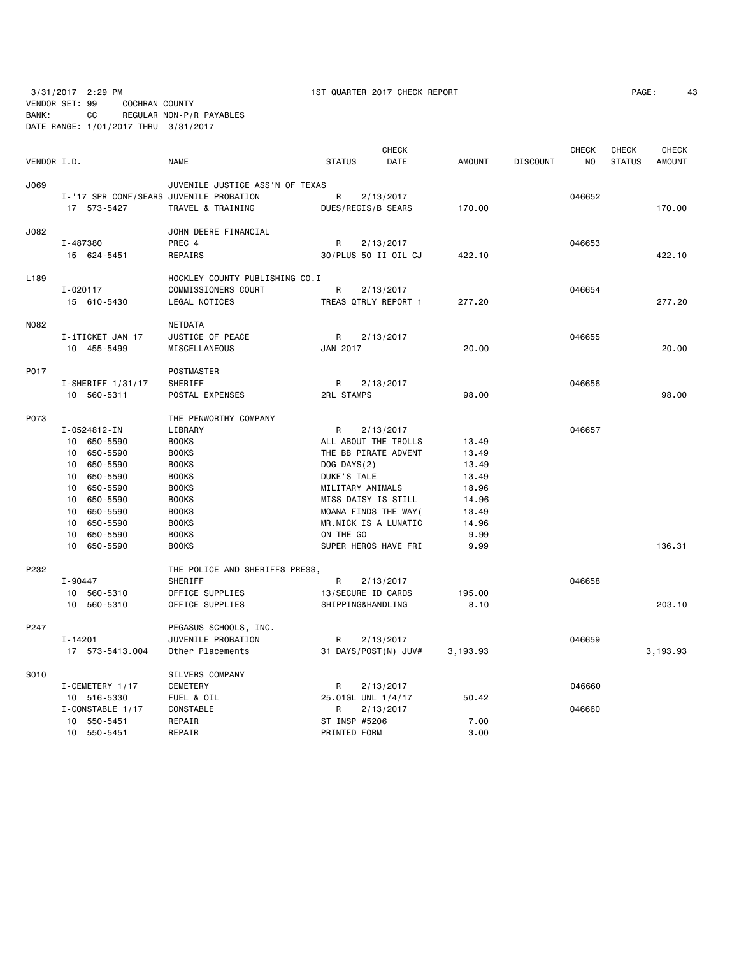VENDOR SET: 99 COCHRAN COUNTY BANK: CC REGULAR NON-P/R PAYABLES

DATE RANGE: 1/01/2017 THRU 3/31/2017

| 3/31/2017<br>the contract of the contract of the contract of the contract of the contract of | 2:29 PM | QUARTER<br>$\frac{1}{2017}$<br><b>CHECK REPORT</b><br>ı ST | PAGE | ≖⊾ |
|----------------------------------------------------------------------------------------------|---------|------------------------------------------------------------|------|----|
|                                                                                              |         |                                                            |      |    |

| VENDOR I.D. |                                         | <b>NAME</b>                     | <b>STATUS</b>     | <b>CHECK</b><br>DATE | <b>AMOUNT</b> | <b>DISCOUNT</b> | <b>CHECK</b><br>NO | <b>CHECK</b><br><b>STATUS</b> | <b>CHECK</b><br><b>AMOUNT</b> |
|-------------|-----------------------------------------|---------------------------------|-------------------|----------------------|---------------|-----------------|--------------------|-------------------------------|-------------------------------|
|             |                                         |                                 |                   |                      |               |                 |                    |                               |                               |
| J069        |                                         | JUVENILE JUSTICE ASS'N OF TEXAS |                   |                      |               |                 |                    |                               |                               |
|             | I-'17 SPR CONF/SEARS JUVENILE PROBATION |                                 | R                 | 2/13/2017            |               |                 | 046652             |                               |                               |
|             | 17 573-5427                             | TRAVEL & TRAINING               |                   | DUES/REGIS/B SEARS   | 170.00        |                 |                    |                               | 170.00                        |
| J082        |                                         | JOHN DEERE FINANCIAL            |                   |                      |               |                 |                    |                               |                               |
|             | I-487380                                | PREC 4                          | R                 | 2/13/2017            |               |                 | 046653             |                               |                               |
|             | 15 624-5451                             | REPAIRS                         |                   | 30/PLUS 50 II OIL CJ | 422.10        |                 |                    |                               | 422.10                        |
| L189        |                                         | HOCKLEY COUNTY PUBLISHING CO.I  |                   |                      |               |                 |                    |                               |                               |
|             | I-020117                                | COMMISSIONERS COURT             | R                 | 2/13/2017            |               |                 | 046654             |                               |                               |
|             | 15 610-5430                             | LEGAL NOTICES                   |                   | TREAS QTRLY REPORT 1 | 277.20        |                 |                    |                               | 277.20                        |
| N082        |                                         | <b>NETDATA</b>                  |                   |                      |               |                 |                    |                               |                               |
|             | I-iTICKET JAN 17                        | JUSTICE OF PEACE                | R                 | 2/13/2017            |               |                 | 046655             |                               |                               |
|             | 10 455-5499                             | MISCELLANEOUS                   | JAN 2017          |                      | 20.00         |                 |                    |                               | 20.00                         |
| P017        |                                         | <b>POSTMASTER</b>               |                   |                      |               |                 |                    |                               |                               |
|             | $I-SHERIFF 1/31/17$                     | SHERIFF                         | R                 | 2/13/2017            |               |                 | 046656             |                               |                               |
|             | 10 560-5311                             | POSTAL EXPENSES                 | <b>2RL STAMPS</b> |                      | 98.00         |                 |                    |                               | 98,00                         |
| P073        |                                         | THE PENWORTHY COMPANY           |                   |                      |               |                 |                    |                               |                               |
|             | I-0524812-IN                            | LIBRARY                         | R                 | 2/13/2017            |               |                 | 046657             |                               |                               |
|             | 10 650-5590                             | <b>BOOKS</b>                    |                   | ALL ABOUT THE TROLLS | 13.49         |                 |                    |                               |                               |
|             | 10 650-5590                             | <b>BOOKS</b>                    |                   | THE BB PIRATE ADVENT | 13.49         |                 |                    |                               |                               |
|             | 10 650-5590                             | <b>BOOKS</b>                    | DOG DAYS(2)       |                      | 13.49         |                 |                    |                               |                               |
|             | 10 650-5590                             | <b>BOOKS</b>                    | DUKE'S TALE       |                      | 13.49         |                 |                    |                               |                               |
|             | 650-5590<br>10                          | <b>BOOKS</b>                    | MILITARY ANIMALS  |                      | 18.96         |                 |                    |                               |                               |
|             | 650-5590<br>10                          | <b>BOOKS</b>                    |                   | MISS DAISY IS STILL  | 14.96         |                 |                    |                               |                               |
|             | 10 650-5590                             | <b>BOOKS</b>                    |                   | MOANA FINDS THE WAY( | 13.49         |                 |                    |                               |                               |
|             | 10 650-5590                             | <b>BOOKS</b>                    |                   | MR.NICK IS A LUNATIC | 14.96         |                 |                    |                               |                               |
|             | 10<br>650-5590                          | <b>BOOKS</b>                    | ON THE GO         |                      | 9.99          |                 |                    |                               |                               |
|             | 10 650-5590                             | <b>BOOKS</b>                    |                   | SUPER HEROS HAVE FRI | 9.99          |                 |                    |                               | 136.31                        |
| P232        |                                         | THE POLICE AND SHERIFFS PRESS,  |                   |                      |               |                 |                    |                               |                               |
|             | I-90447                                 | SHERIFF                         | R                 | 2/13/2017            |               |                 | 046658             |                               |                               |
|             | 10 560-5310                             | OFFICE SUPPLIES                 |                   | 13/SECURE ID CARDS   | 195.00        |                 |                    |                               |                               |
|             | 10 560-5310                             | OFFICE SUPPLIES                 |                   | SHIPPING&HANDLING    | 8.10          |                 |                    |                               | 203.10                        |
| P247        |                                         | PEGASUS SCHOOLS, INC.           |                   |                      |               |                 |                    |                               |                               |
|             | $I - 14201$                             | JUVENILE PROBATION              | R                 | 2/13/2017            |               |                 | 046659             |                               |                               |
|             | 17 573-5413.004                         | Other Placements                |                   | 31 DAYS/POST(N) JUV# | 3,193.93      |                 |                    |                               | 3,193.93                      |
| S010        |                                         | SILVERS COMPANY                 |                   |                      |               |                 |                    |                               |                               |
|             | I-CEMETERY 1/17                         | CEMETERY                        | R                 | 2/13/2017            |               |                 | 046660             |                               |                               |
|             | 10 516-5330                             | FUEL & OIL                      |                   | 25.01GL UNL 1/4/17   | 50.42         |                 |                    |                               |                               |
|             | I-CONSTABLE 1/17                        | CONSTABLE                       | R                 | 2/13/2017            |               |                 | 046660             |                               |                               |
|             | 10 550-5451                             | REPAIR                          | ST INSP #5206     |                      | 7.00          |                 |                    |                               |                               |
|             | 10 550-5451                             | REPAIR                          | PRINTED FORM      |                      | 3.00          |                 |                    |                               |                               |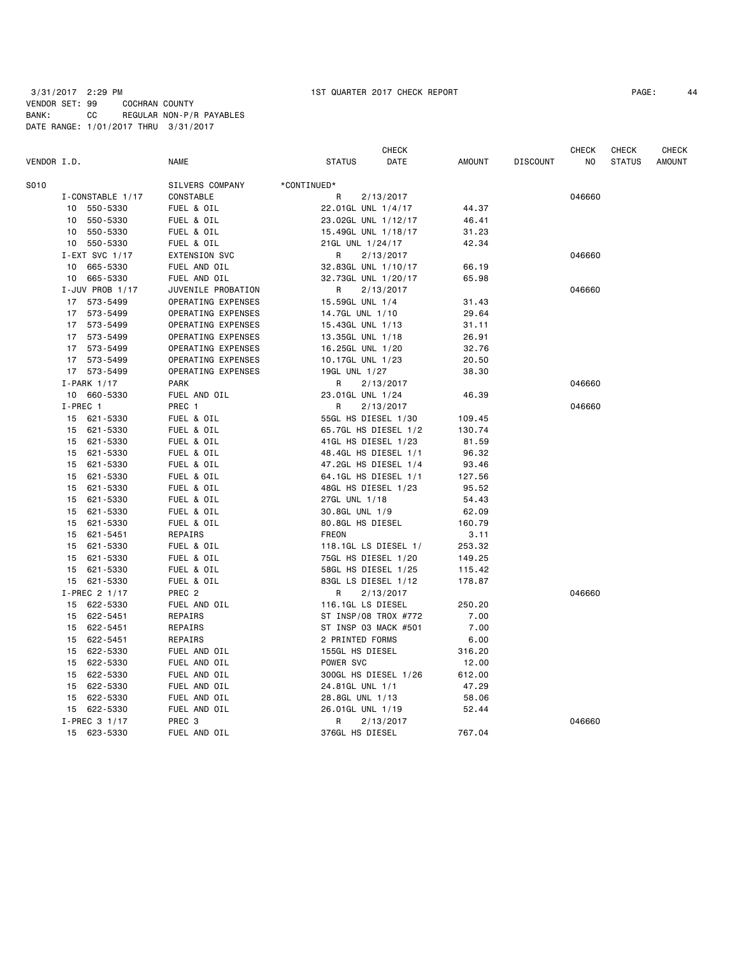|             |                             |                      | CHECK                |                |                 | <b>CHECK</b> | <b>CHECK</b>  | CHECK         |
|-------------|-----------------------------|----------------------|----------------------|----------------|-----------------|--------------|---------------|---------------|
| VENDOR I.D. |                             | NAME                 | <b>STATUS</b>        | DATE<br>AMOUNT | <b>DISCOUNT</b> | NO.          | <b>STATUS</b> | <b>AMOUNT</b> |
| S010        |                             | SILVERS COMPANY      | *CONTINUED*          |                |                 |              |               |               |
|             | I-CONSTABLE 1/17            | CONSTABLE            | R<br>2/13/2017       |                |                 | 046660       |               |               |
|             | 10 550-5330                 | FUEL & OIL           | 22.01GL UNL 1/4/17   | 44.37          |                 |              |               |               |
|             | 10 550-5330                 | FUEL & OIL           | 23.02GL UNL 1/12/17  | 46.41          |                 |              |               |               |
|             | 10 550-5330                 | FUEL & OIL           | 15.49GL UNL 1/18/17  | 31.23          |                 |              |               |               |
|             | 10 550-5330                 | FUEL & OIL           | 21GL UNL 1/24/17     | 42.34          |                 |              |               |               |
|             | I-EXT SVC 1/17              | <b>EXTENSION SVC</b> | R<br>2/13/2017       |                |                 | 046660       |               |               |
|             | 10 <sup>1</sup><br>665-5330 | FUEL AND OIL         | 32.83GL UNL 1/10/17  | 66.19          |                 |              |               |               |
|             | 10 665-5330                 | FUEL AND OIL         | 32.73GL UNL 1/20/17  | 65.98          |                 |              |               |               |
|             | $I$ -JUV PROB 1/17          | JUVENILE PROBATION   | R<br>2/13/2017       |                |                 | 046660       |               |               |
|             | 17 573-5499                 | OPERATING EXPENSES   | 15.59GL UNL 1/4      | 31.43          |                 |              |               |               |
|             | 17 573-5499                 | OPERATING EXPENSES   | 14.7GL UNL 1/10      | 29.64          |                 |              |               |               |
|             | 17 573-5499                 | OPERATING EXPENSES   | 15.43GL UNL 1/13     | 31.11          |                 |              |               |               |
|             | 17 573-5499                 | OPERATING EXPENSES   | 13.35GL UNL 1/18     | 26.91          |                 |              |               |               |
|             |                             |                      |                      | 32.76          |                 |              |               |               |
|             | 17 573-5499                 | OPERATING EXPENSES   | 16.25GL UNL 1/20     |                |                 |              |               |               |
|             | 17 573-5499                 | OPERATING EXPENSES   | 10.17GL UNL 1/23     | 20.50          |                 |              |               |               |
|             | 17 573-5499                 | OPERATING EXPENSES   | 19GL UNL 1/27        | 38.30          |                 |              |               |               |
|             | $I-PARK$ 1/17               | <b>PARK</b>          | R<br>2/13/2017       |                |                 | 046660       |               |               |
|             | 10 660-5330                 | FUEL AND OIL         | 23.01GL UNL 1/24     | 46.39          |                 |              |               |               |
|             | I-PREC 1                    | PREC 1               | R<br>2/13/2017       |                |                 | 046660       |               |               |
|             | 15 621-5330                 | FUEL & OIL           | 55GL HS DIESEL 1/30  | 109.45         |                 |              |               |               |
|             | 15 621-5330                 | FUEL & OIL           | 65.7GL HS DIESEL 1/2 | 130.74         |                 |              |               |               |
|             | 15<br>621-5330              | FUEL & OIL           | 41GL HS DIESEL 1/23  | 81.59          |                 |              |               |               |
|             | 15 621-5330                 | FUEL & OIL           | 48.4GL HS DIESEL 1/1 | 96.32          |                 |              |               |               |
|             | 15<br>621-5330              | FUEL & OIL           | 47.2GL HS DIESEL 1/4 | 93.46          |                 |              |               |               |
|             | 15<br>621-5330              | FUEL & OIL           | 64.1GL HS DIESEL 1/1 | 127.56         |                 |              |               |               |
|             | 15<br>621-5330              | FUEL & OIL           | 48GL HS DIESEL 1/23  | 95.52          |                 |              |               |               |
|             | 15<br>621-5330              | FUEL & OIL           | 27GL UNL 1/18        | 54.43          |                 |              |               |               |
|             | 15<br>621-5330              | FUEL & OIL           | 30.8GL UNL 1/9       | 62.09          |                 |              |               |               |
|             | 621-5330<br>15              | FUEL & OIL           | 80.8GL HS DIESEL     | 160.79         |                 |              |               |               |
|             | 621-5451<br>15              | REPAIRS              | <b>FREON</b>         | 3.11           |                 |              |               |               |
|             | 621-5330<br>15              | FUEL & OIL           | 118.1GL LS DIESEL 1/ | 253.32         |                 |              |               |               |
|             | 15<br>621-5330              | FUEL & OIL           | 75GL HS DIESEL 1/20  | 149.25         |                 |              |               |               |
|             | 621-5330<br>15              | FUEL & OIL           | 58GL HS DIESEL 1/25  | 115.42         |                 |              |               |               |
|             | 15 621-5330                 | FUEL & OIL           | 83GL LS DIESEL 1/12  | 178.87         |                 |              |               |               |
|             | $I-PREC$ 2 1/17             | PREC <sub>2</sub>    | R<br>2/13/2017       |                |                 | 046660       |               |               |
|             | 15 622-5330                 | FUEL AND OIL         | 116.1GL LS DIESEL    | 250.20         |                 |              |               |               |
|             | 15 622-5451                 | REPAIRS              | ST INSP/08 TROX #772 | 7.00           |                 |              |               |               |
|             | 622-5451<br>15              | REPAIRS              | ST INSP 03 MACK #501 | 7.00           |                 |              |               |               |
|             | 622-5451<br>15              | REPAIRS              | 2 PRINTED FORMS      | 6.00           |                 |              |               |               |
|             | 15 622-5330                 | FUEL AND OIL         | 155GL HS DIESEL      | 316.20         |                 |              |               |               |
|             | 15 622-5330                 | FUEL AND OIL         | POWER SVC            | 12.00          |                 |              |               |               |
|             | 15 622-5330                 | FUEL AND OIL         | 300GL HS DIESEL 1/26 | 612.00         |                 |              |               |               |
|             | 622-5330<br>15              | FUEL AND OIL         | 24.81GL UNL 1/1      | 47.29          |                 |              |               |               |
|             | 622-5330<br>15              | FUEL AND OIL         | 28.8GL UNL 1/13      | 58.06          |                 |              |               |               |
|             | 15 622-5330                 | FUEL AND OIL         | 26.01GL UNL 1/19     | 52.44          |                 |              |               |               |
|             | I-PREC 3 1/17               | PREC 3               | R<br>2/13/2017       |                |                 | 046660       |               |               |
|             | 15 623-5330                 | FUEL AND OIL         | 376GL HS DIESEL      | 767.04         |                 |              |               |               |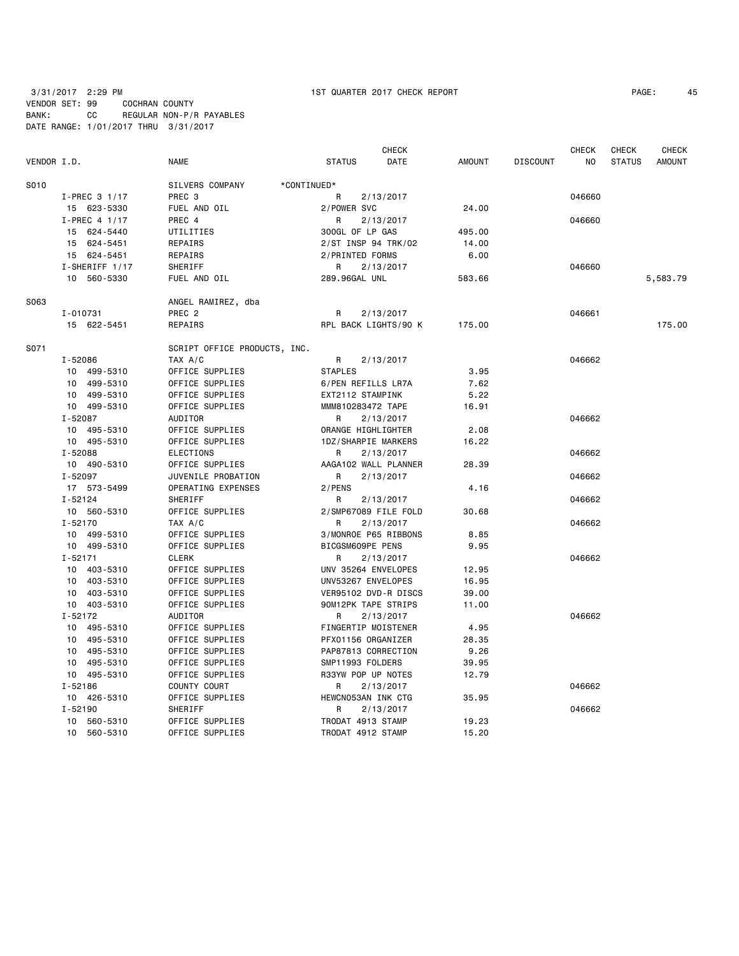|             |                |                              |                     | <b>CHECK</b>         |               |                 | <b>CHECK</b> | <b>CHECK</b>  | CHECK         |
|-------------|----------------|------------------------------|---------------------|----------------------|---------------|-----------------|--------------|---------------|---------------|
| VENDOR I.D. |                | <b>NAME</b>                  | <b>STATUS</b>       | DATE                 | <b>AMOUNT</b> | <b>DISCOUNT</b> | NO.          | <b>STATUS</b> | <b>AMOUNT</b> |
| S010        |                | SILVERS COMPANY              | *CONTINUED*         |                      |               |                 |              |               |               |
|             | I-PREC 3 1/17  | PREC <sub>3</sub>            | R                   | 2/13/2017            |               |                 | 046660       |               |               |
|             | 15 623-5330    | FUEL AND OIL                 | 2/POWER SVC         |                      | 24.00         |                 |              |               |               |
|             | I-PREC 4 1/17  | PREC 4                       | R                   | 2/13/2017            |               |                 | 046660       |               |               |
|             | 15 624-5440    | UTILITIES                    | 300GL OF LP GAS     |                      | 495.00        |                 |              |               |               |
|             | 15 624-5451    | REPAIRS                      | 2/ST INSP 94 TRK/02 |                      | 14.00         |                 |              |               |               |
|             | 15 624-5451    | REPAIRS                      | 2/PRINTED FORMS     |                      | 6.00          |                 |              |               |               |
|             | I-SHERIFF 1/17 | SHERIFF                      | R                   | 2/13/2017            |               |                 | 046660       |               |               |
|             | 10 560-5330    | FUEL AND OIL                 | 289.96GAL UNL       |                      | 583.66        |                 |              |               | 5,583.79      |
| S063        |                | ANGEL RAMIREZ, dba           |                     |                      |               |                 |              |               |               |
|             | I-010731       | PREC <sub>2</sub>            | R                   | 2/13/2017            |               |                 | 046661       |               |               |
|             | 15 622-5451    | REPAIRS                      |                     | RPL BACK LIGHTS/90 K | 175.00        |                 |              |               | 175.00        |
| S071        |                | SCRIPT OFFICE PRODUCTS, INC. |                     |                      |               |                 |              |               |               |
|             | I-52086        | TAX A/C                      | R                   | 2/13/2017            |               |                 | 046662       |               |               |
|             | 10 499-5310    | OFFICE SUPPLIES              | <b>STAPLES</b>      |                      | 3.95          |                 |              |               |               |
|             | 10 499-5310    | OFFICE SUPPLIES              | 6/PEN REFILLS LR7A  |                      | 7.62          |                 |              |               |               |
|             | 10 499-5310    | OFFICE SUPPLIES              | EXT2112 STAMPINK    |                      | 5.22          |                 |              |               |               |
|             | 10 499-5310    | OFFICE SUPPLIES              | MMM810283472 TAPE   |                      | 16.91         |                 |              |               |               |
|             | I-52087        | AUDITOR                      | R                   | 2/13/2017            |               |                 | 046662       |               |               |
|             | 10 495-5310    | OFFICE SUPPLIES              | ORANGE HIGHLIGHTER  |                      | 2.08          |                 |              |               |               |
|             | 10 495-5310    | OFFICE SUPPLIES              | 1DZ/SHARPIE MARKERS |                      | 16.22         |                 |              |               |               |
|             | I-52088        | <b>ELECTIONS</b>             | R                   | 2/13/2017            |               |                 | 046662       |               |               |
|             | 10 490-5310    | OFFICE SUPPLIES              |                     | AAGA102 WALL PLANNER | 28.39         |                 |              |               |               |
|             | I-52097        | JUVENILE PROBATION           | R                   | 2/13/2017            |               |                 | 046662       |               |               |
|             | 17 573-5499    | OPERATING EXPENSES           | 2/PENS              |                      | 4.16          |                 |              |               |               |
|             | $I - 52124$    | SHERIFF                      | R                   | 2/13/2017            |               |                 | 046662       |               |               |
|             | 10 560-5310    | OFFICE SUPPLIES              |                     | 2/SMP67089 FILE FOLD | 30.68         |                 |              |               |               |
|             | $I - 52170$    | TAX A/C                      | R                   | 2/13/2017            |               |                 | 046662       |               |               |
|             | 10 499-5310    | OFFICE SUPPLIES              |                     | 3/MONROE P65 RIBBONS | 8.85          |                 |              |               |               |
|             | 10 499-5310    | OFFICE SUPPLIES              | BICGSM609PE PENS    |                      | 9.95          |                 |              |               |               |
|             | $I - 52171$    | <b>CLERK</b>                 | R                   | 2/13/2017            |               |                 | 046662       |               |               |
|             | 10 403-5310    | OFFICE SUPPLIES              | UNV 35264 ENVELOPES |                      | 12.95         |                 |              |               |               |
|             | 10 403-5310    | OFFICE SUPPLIES              | UNV53267 ENVELOPES  |                      | 16.95         |                 |              |               |               |
|             | 10 403-5310    | OFFICE SUPPLIES              |                     | VER95102 DVD-R DISCS | 39.00         |                 |              |               |               |
|             | 10 403-5310    | OFFICE SUPPLIES              | 90M12PK TAPE STRIPS |                      | 11.00         |                 |              |               |               |
|             | $I - 52172$    | AUDITOR                      | R                   | 2/13/2017            |               |                 | 046662       |               |               |
|             | 10 495-5310    | OFFICE SUPPLIES              | FINGERTIP MOISTENER |                      | 4.95          |                 |              |               |               |
|             | 10 495-5310    | OFFICE SUPPLIES              | PFX01156 ORGANIZER  |                      | 28.35         |                 |              |               |               |
|             | 10 495-5310    | OFFICE SUPPLIES              | PAP87813 CORRECTION |                      | 9.26          |                 |              |               |               |
|             | 10 495-5310    | OFFICE SUPPLIES              | SMP11993 FOLDERS    |                      | 39.95         |                 |              |               |               |
|             | 10 495-5310    | OFFICE SUPPLIES              | R33YW POP UP NOTES  |                      | 12.79         |                 |              |               |               |
|             | $I - 52186$    | COUNTY COURT                 | R                   | 2/13/2017            |               |                 | 046662       |               |               |
|             | 10 426-5310    | OFFICE SUPPLIES              | HEWCN053AN INK CTG  |                      | 35.95         |                 |              |               |               |
|             | $I - 52190$    | SHERIFF                      | R                   | 2/13/2017            |               |                 | 046662       |               |               |
|             | 10 560-5310    | OFFICE SUPPLIES              | TRODAT 4913 STAMP   |                      | 19.23         |                 |              |               |               |
|             | 10 560-5310    | OFFICE SUPPLIES              | TRODAT 4912 STAMP   |                      | 15.20         |                 |              |               |               |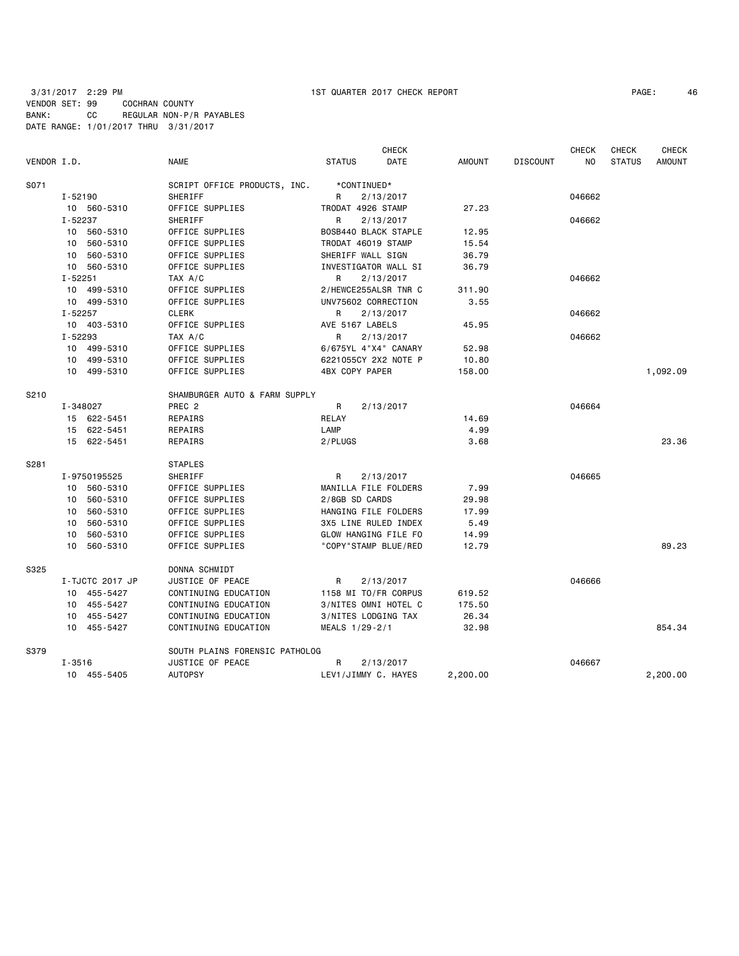| PAGE: | 46 |
|-------|----|
|-------|----|

| VENDOR I.D. |             |                 | <b>NAME</b>                    | <b>STATUS</b>         | <b>CHECK</b><br>DATE | <b>AMOUNT</b> | <b>DISCOUNT</b> | <b>CHECK</b><br>NO | <b>CHECK</b><br><b>STATUS</b> | <b>CHECK</b><br><b>AMOUNT</b> |
|-------------|-------------|-----------------|--------------------------------|-----------------------|----------------------|---------------|-----------------|--------------------|-------------------------------|-------------------------------|
| S071        |             |                 | SCRIPT OFFICE PRODUCTS, INC.   |                       | *CONTINUED*          |               |                 |                    |                               |                               |
|             | $I - 52190$ |                 | SHERIFF                        | R                     | 2/13/2017            |               |                 | 046662             |                               |                               |
|             |             | 10 560-5310     | OFFICE SUPPLIES                |                       | TRODAT 4926 STAMP    | 27.23         |                 |                    |                               |                               |
|             | I-52237     |                 | SHERIFF                        | R                     | 2/13/2017            |               |                 | 046662             |                               |                               |
|             | 10          | 560-5310        | OFFICE SUPPLIES                |                       | BOSB440 BLACK STAPLE | 12.95         |                 |                    |                               |                               |
|             | 10          | 560-5310        | OFFICE SUPPLIES                |                       | TRODAT 46019 STAMP   | 15.54         |                 |                    |                               |                               |
|             | 10          | 560-5310        | OFFICE SUPPLIES                |                       | SHERIFF WALL SIGN    | 36.79         |                 |                    |                               |                               |
|             |             | 10 560-5310     | OFFICE SUPPLIES                |                       | INVESTIGATOR WALL SI | 36.79         |                 |                    |                               |                               |
|             | $I - 52251$ |                 | TAX A/C                        | $\mathsf{R}$          | 2/13/2017            |               |                 | 046662             |                               |                               |
|             |             | 10 499-5310     | OFFICE SUPPLIES                |                       | 2/HEWCE255ALSR TNR C | 311.90        |                 |                    |                               |                               |
|             |             | 10 499-5310     | OFFICE SUPPLIES                |                       | UNV75602 CORRECTION  | 3.55          |                 |                    |                               |                               |
|             | $I - 52257$ |                 | <b>CLERK</b>                   | R                     | 2/13/2017            |               |                 | 046662             |                               |                               |
|             |             | 10 403-5310     | OFFICE SUPPLIES                | AVE 5167 LABELS       |                      | 45.95         |                 |                    |                               |                               |
|             | I-52293     |                 | TAX A/C                        | R                     | 2/13/2017            |               |                 | 046662             |                               |                               |
|             |             | 10 499-5310     | OFFICE SUPPLIES                |                       | 6/675YL 4"X4" CANARY | 52.98         |                 |                    |                               |                               |
|             |             | 10 499-5310     | OFFICE SUPPLIES                |                       | 6221055CY 2X2 NOTE P | 10.80         |                 |                    |                               |                               |
|             |             | 10 499-5310     | OFFICE SUPPLIES                | <b>4BX COPY PAPER</b> |                      | 158,00        |                 |                    |                               | 1,092.09                      |
| S210        |             |                 | SHAMBURGER AUTO & FARM SUPPLY  |                       |                      |               |                 |                    |                               |                               |
|             | I-348027    |                 | PREC <sub>2</sub>              | R                     | 2/13/2017            |               |                 | 046664             |                               |                               |
|             |             | 15 622-5451     | REPAIRS                        | RELAY                 |                      | 14.69         |                 |                    |                               |                               |
|             |             | 15 622-5451     | REPAIRS                        | LAMP                  |                      | 4.99          |                 |                    |                               |                               |
|             |             | 15 622-5451     | REPAIRS                        | 2/PLUGS               |                      | 3.68          |                 |                    |                               | 23.36                         |
| S281        |             |                 | <b>STAPLES</b>                 |                       |                      |               |                 |                    |                               |                               |
|             |             | I-9750195525    | SHERIFF                        | R                     | 2/13/2017            |               |                 | 046665             |                               |                               |
|             |             | 10 560-5310     | OFFICE SUPPLIES                |                       | MANILLA FILE FOLDERS | 7.99          |                 |                    |                               |                               |
|             | 10          | 560-5310        | OFFICE SUPPLIES                | 2/8GB SD CARDS        |                      | 29.98         |                 |                    |                               |                               |
|             | 10          | 560-5310        | OFFICE SUPPLIES                |                       | HANGING FILE FOLDERS | 17.99         |                 |                    |                               |                               |
|             | 10          | 560-5310        | OFFICE SUPPLIES                |                       | 3X5 LINE RULED INDEX | 5.49          |                 |                    |                               |                               |
|             | 10          | 560-5310        | OFFICE SUPPLIES                |                       | GLOW HANGING FILE FO | 14.99         |                 |                    |                               |                               |
|             | 10          | 560-5310        | OFFICE SUPPLIES                |                       | "COPY"STAMP BLUE/RED | 12.79         |                 |                    |                               | 89.23                         |
| S325        |             |                 | DONNA SCHMIDT                  |                       |                      |               |                 |                    |                               |                               |
|             |             | I-TJCTC 2017 JP | JUSTICE OF PEACE               | R                     | 2/13/2017            |               |                 | 046666             |                               |                               |
|             |             | 10 455-5427     | CONTINUING EDUCATION           |                       | 1158 MI TO/FR CORPUS | 619.52        |                 |                    |                               |                               |
|             |             | 10 455-5427     | CONTINUING EDUCATION           |                       | 3/NITES OMNI HOTEL C | 175.50        |                 |                    |                               |                               |
|             | 10          | 455-5427        | CONTINUING EDUCATION           |                       | 3/NITES LODGING TAX  | 26.34         |                 |                    |                               |                               |
|             |             | 10 455-5427     | CONTINUING EDUCATION           | MEALS 1/29-2/1        |                      | 32.98         |                 |                    |                               | 854.34                        |
| S379        |             |                 | SOUTH PLAINS FORENSIC PATHOLOG |                       |                      |               |                 |                    |                               |                               |
|             | $I - 3516$  |                 | JUSTICE OF PEACE               | R                     | 2/13/2017            |               |                 | 046667             |                               |                               |
|             |             | 10 455-5405     | <b>AUTOPSY</b>                 |                       | LEV1/JIMMY C. HAYES  | 2,200.00      |                 |                    |                               | 2,200.00                      |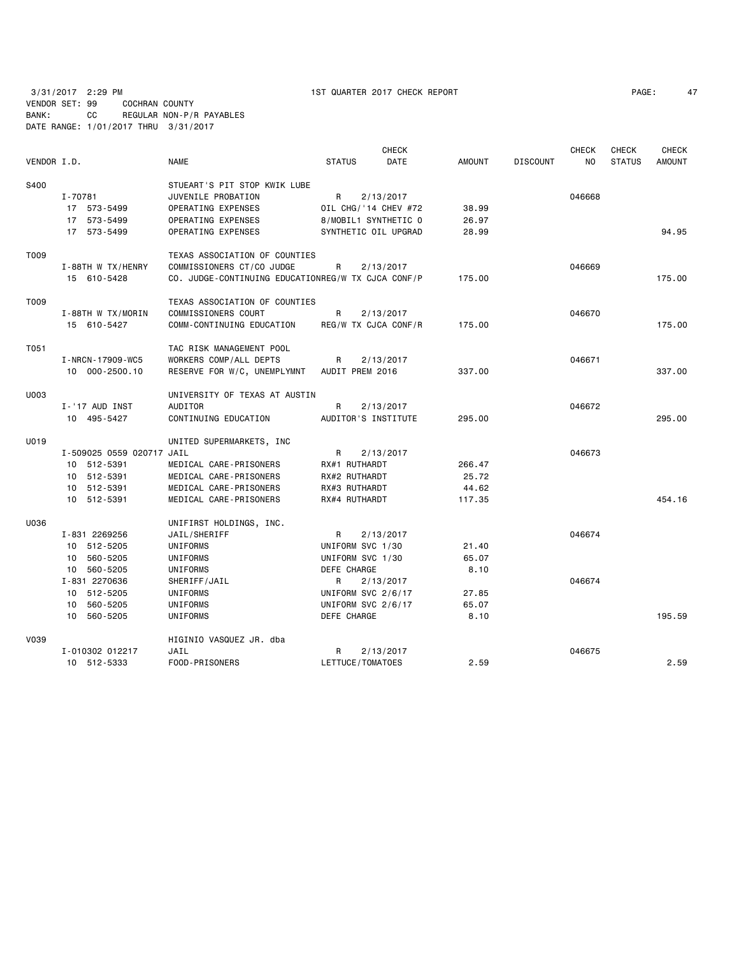| PAGE: | 47 |
|-------|----|
|-------|----|

|             |                           |                                                    |                      | <b>CHECK</b> |               |                 | <b>CHECK</b>   | <b>CHECK</b>  | <b>CHECK</b>  |
|-------------|---------------------------|----------------------------------------------------|----------------------|--------------|---------------|-----------------|----------------|---------------|---------------|
| VENDOR I.D. |                           | <b>NAME</b>                                        | <b>STATUS</b>        | DATE         | <b>AMOUNT</b> | <b>DISCOUNT</b> | N <sub>O</sub> | <b>STATUS</b> | <b>AMOUNT</b> |
| S400        |                           | STUEART'S PIT STOP KWIK LUBE                       |                      |              |               |                 |                |               |               |
|             | I-70781                   | JUVENILE PROBATION                                 | R                    | 2/13/2017    |               |                 | 046668         |               |               |
|             | 17 573-5499               | OPERATING EXPENSES                                 | OIL CHG/'14 CHEV #72 |              | 38.99         |                 |                |               |               |
|             | 17 573-5499               | OPERATING EXPENSES                                 | 8/MOBIL1 SYNTHETIC 0 |              | 26.97         |                 |                |               |               |
|             | 17 573-5499               | OPERATING EXPENSES                                 | SYNTHETIC OIL UPGRAD |              | 28.99         |                 |                |               | 94.95         |
| T009        |                           | TEXAS ASSOCIATION OF COUNTIES                      |                      |              |               |                 |                |               |               |
|             | I-88TH W TX/HENRY         | COMMISSIONERS CT/CO JUDGE                          | R                    | 2/13/2017    |               |                 | 046669         |               |               |
|             | 15 610-5428               | CO. JUDGE-CONTINUING EDUCATIONREG/W TX CJCA CONF/P |                      |              | 175.00        |                 |                |               | 175.00        |
| T009        |                           | TEXAS ASSOCIATION OF COUNTIES                      |                      |              |               |                 |                |               |               |
|             | I-88TH W TX/MORIN         | COMMISSIONERS COURT                                | R                    | 2/13/2017    |               |                 | 046670         |               |               |
|             | 15 610-5427               | COMM-CONTINUING EDUCATION                          | REG/W TX CJCA CONF/R |              | 175.00        |                 |                |               | 175.00        |
| T051        |                           | TAC RISK MANAGEMENT POOL                           |                      |              |               |                 |                |               |               |
|             | I-NRCN-17909-WC5          | WORKERS COMP/ALL DEPTS                             | R                    | 2/13/2017    |               |                 | 046671         |               |               |
|             | 10 000-2500.10            | RESERVE FOR W/C, UNEMPLYMNT                        | AUDIT PREM 2016      |              | 337.00        |                 |                |               | 337.00        |
| U003        |                           | UNIVERSITY OF TEXAS AT AUSTIN                      |                      |              |               |                 |                |               |               |
|             | I-'17 AUD INST            | <b>AUDITOR</b>                                     | R                    | 2/13/2017    |               |                 | 046672         |               |               |
|             | 10 495-5427               | CONTINUING EDUCATION                               | AUDITOR'S INSTITUTE  |              | 295.00        |                 |                |               | 295,00        |
| U019        |                           | UNITED SUPERMARKETS, INC                           |                      |              |               |                 |                |               |               |
|             | I-509025 0559 020717 JAIL |                                                    | R                    | 2/13/2017    |               |                 | 046673         |               |               |
|             | 10 512-5391               | MEDICAL CARE-PRISONERS                             | RX#1 RUTHARDT        |              | 266.47        |                 |                |               |               |
|             | 10 512-5391               | MEDICAL CARE-PRISONERS                             | RX#2 RUTHARDT        |              | 25.72         |                 |                |               |               |
|             | 10 512-5391               | MEDICAL CARE-PRISONERS                             | RX#3 RUTHARDT        |              | 44.62         |                 |                |               |               |
|             | 10 512-5391               | MEDICAL CARE-PRISONERS                             | RX#4 RUTHARDT        |              | 117.35        |                 |                |               | 454.16        |
| U036        |                           | UNIFIRST HOLDINGS, INC.                            |                      |              |               |                 |                |               |               |
|             | I-831 2269256             | JAIL/SHERIFF                                       | R                    | 2/13/2017    |               |                 | 046674         |               |               |
|             | 10 512-5205               | UNIFORMS                                           | UNIFORM SVC 1/30     |              | 21.40         |                 |                |               |               |
|             | 10 560-5205               | UNIFORMS                                           | UNIFORM SVC 1/30     |              | 65.07         |                 |                |               |               |
|             | 10 560-5205               | UNIFORMS                                           | DEFE CHARGE          |              | 8.10          |                 |                |               |               |
|             | I-831 2270636             | SHERIFF/JAIL                                       | R                    | 2/13/2017    |               |                 | 046674         |               |               |
|             | 10 512-5205               | UNIFORMS                                           | UNIFORM SVC 2/6/17   |              | 27.85         |                 |                |               |               |
|             | 10 560-5205               | UNIFORMS                                           | UNIFORM SVC 2/6/17   |              | 65.07         |                 |                |               |               |
|             | 10 560-5205               | UNIFORMS                                           | DEFE CHARGE          |              | 8.10          |                 |                |               | 195.59        |
| V039        |                           | HIGINIO VASQUEZ JR. dba                            |                      |              |               |                 |                |               |               |
|             | I-010302 012217           | JAIL                                               | R                    | 2/13/2017    |               |                 | 046675         |               |               |
|             | 10 512-5333               | FOOD-PRISONERS                                     | LETTUCE/TOMATOES     |              | 2.59          |                 |                |               | 2.59          |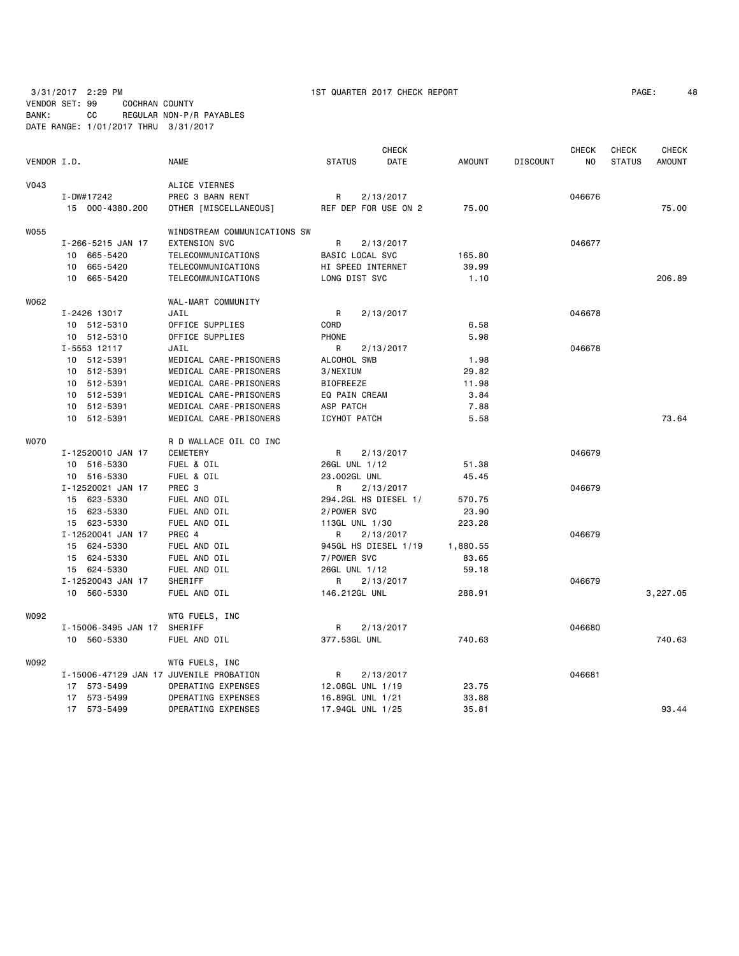|             |                                         |                              |                  |                      | <b>CHECK</b>         |          |                 | <b>CHECK</b> | <b>CHECK</b>  | <b>CHECK</b>  |
|-------------|-----------------------------------------|------------------------------|------------------|----------------------|----------------------|----------|-----------------|--------------|---------------|---------------|
| VENDOR I.D. |                                         | <b>NAME</b>                  | <b>STATUS</b>    |                      | DATE                 | AMOUNT   | <b>DISCOUNT</b> | NO.          | <b>STATUS</b> | <b>AMOUNT</b> |
| <b>V043</b> |                                         | ALICE VIERNES                |                  |                      |                      |          |                 |              |               |               |
|             | I-DW#17242                              | PREC 3 BARN RENT             | R                | 2/13/2017            |                      |          |                 | 046676       |               |               |
|             | 15 000-4380.200                         | OTHER [MISCELLANEOUS]        |                  |                      | REF DEP FOR USE ON 2 | 75.00    |                 |              |               | 75.00         |
| W055        |                                         | WINDSTREAM COMMUNICATIONS SW |                  |                      |                      |          |                 |              |               |               |
|             | I-266-5215 JAN 17                       | <b>EXTENSION SVC</b>         | R                | 2/13/2017            |                      |          |                 | 046677       |               |               |
|             | 10 665-5420                             | TELECOMMUNICATIONS           |                  | BASIC LOCAL SVC      |                      | 165.80   |                 |              |               |               |
|             | 10 665-5420                             | TELECOMMUNICATIONS           |                  | HI SPEED INTERNET    |                      | 39.99    |                 |              |               |               |
|             | 10 665-5420                             | TELECOMMUNICATIONS           |                  | LONG DIST SVC        |                      | 1.10     |                 |              |               | 206.89        |
| W062        |                                         | WAL-MART COMMUNITY           |                  |                      |                      |          |                 |              |               |               |
|             | I-2426 13017                            | JAIL                         | R                | 2/13/2017            |                      |          |                 | 046678       |               |               |
|             | 10 512-5310                             | OFFICE SUPPLIES              | CORD             |                      |                      | 6.58     |                 |              |               |               |
|             | 10 512-5310                             | OFFICE SUPPLIES              | PHONE            |                      |                      | 5.98     |                 |              |               |               |
|             | I-5553 12117                            | JAIL                         | R                | 2/13/2017            |                      |          |                 | 046678       |               |               |
|             | 10 512-5391                             | MEDICAL CARE-PRISONERS       | ALCOHOL SWB      |                      |                      | 1.98     |                 |              |               |               |
|             | 10 512-5391                             | MEDICAL CARE-PRISONERS       | 3/NEXIUM         |                      |                      | 29.82    |                 |              |               |               |
|             | 10 512-5391                             | MEDICAL CARE-PRISONERS       | <b>BIOFREEZE</b> |                      |                      | 11.98    |                 |              |               |               |
|             | 10 512-5391                             | MEDICAL CARE-PRISONERS       |                  | EQ PAIN CREAM        |                      | 3.84     |                 |              |               |               |
|             | 10 512-5391                             | MEDICAL CARE-PRISONERS       | ASP PATCH        |                      |                      | 7.88     |                 |              |               |               |
|             | 10 512-5391                             | MEDICAL CARE-PRISONERS       | ICYHOT PATCH     |                      |                      | 5.58     |                 |              |               | 73.64         |
| <b>WO70</b> |                                         | R D WALLACE OIL CO INC       |                  |                      |                      |          |                 |              |               |               |
|             | I-12520010 JAN 17                       | CEMETERY                     | R                | 2/13/2017            |                      |          |                 | 046679       |               |               |
|             | 10 516-5330                             | FUEL & OIL                   |                  | 26GL UNL 1/12        |                      | 51.38    |                 |              |               |               |
|             | 10 516-5330                             | FUEL & OIL                   | 23.002GL UNL     |                      |                      | 45.45    |                 |              |               |               |
|             | I-12520021 JAN 17                       | PREC <sub>3</sub>            | R                | 2/13/2017            |                      |          |                 | 046679       |               |               |
|             | 15 623-5330                             | FUEL AND OIL                 |                  | 294.2GL HS DIESEL 1/ |                      | 570.75   |                 |              |               |               |
|             | 15 623-5330                             | FUEL AND OIL                 | 2/POWER SVC      |                      |                      | 23.90    |                 |              |               |               |
|             | 15 623-5330                             | FUEL AND OIL                 |                  | 113GL UNL 1/30       |                      | 223.28   |                 |              |               |               |
|             | I-12520041 JAN 17                       | PREC 4                       | R.               | 2/13/2017            |                      |          |                 | 046679       |               |               |
|             | 15 624-5330                             | FUEL AND OIL                 |                  |                      | 945GL HS DIESEL 1/19 | 1,880.55 |                 |              |               |               |
|             | 15 624-5330                             | FUEL AND OIL                 | 7/POWER SVC      |                      |                      | 83.65    |                 |              |               |               |
|             | 15 624-5330                             | FUEL AND OIL                 |                  | 26GL UNL 1/12        |                      | 59.18    |                 |              |               |               |
|             | I-12520043 JAN 17                       | SHERIFF                      | R                | 2/13/2017            |                      |          |                 | 046679       |               |               |
|             | 10 560-5330                             | FUEL AND OIL                 |                  | 146.212GL UNL        |                      | 288.91   |                 |              |               | 3,227.05      |
| W092        |                                         | WTG FUELS, INC               |                  |                      |                      |          |                 |              |               |               |
|             | I-15006-3495 JAN 17                     | SHERIFF                      | R                | 2/13/2017            |                      |          |                 | 046680       |               |               |
|             | 10 560-5330                             | FUEL AND OIL                 | 377.53GL UNL     |                      |                      | 740.63   |                 |              |               | 740.63        |
| W092        |                                         | WTG FUELS, INC               |                  |                      |                      |          |                 |              |               |               |
|             | I-15006-47129 JAN 17 JUVENILE PROBATION |                              | R                | 2/13/2017            |                      |          |                 | 046681       |               |               |
|             | 17 573-5499                             | OPERATING EXPENSES           |                  | 12.08GL UNL 1/19     |                      | 23.75    |                 |              |               |               |
|             | 17 573-5499                             | OPERATING EXPENSES           |                  | 16.89GL UNL 1/21     |                      | 33.88    |                 |              |               |               |
|             | 17 573-5499                             | OPERATING EXPENSES           |                  | 17.94GL UNL 1/25     |                      | 35.81    |                 |              |               | 93.44         |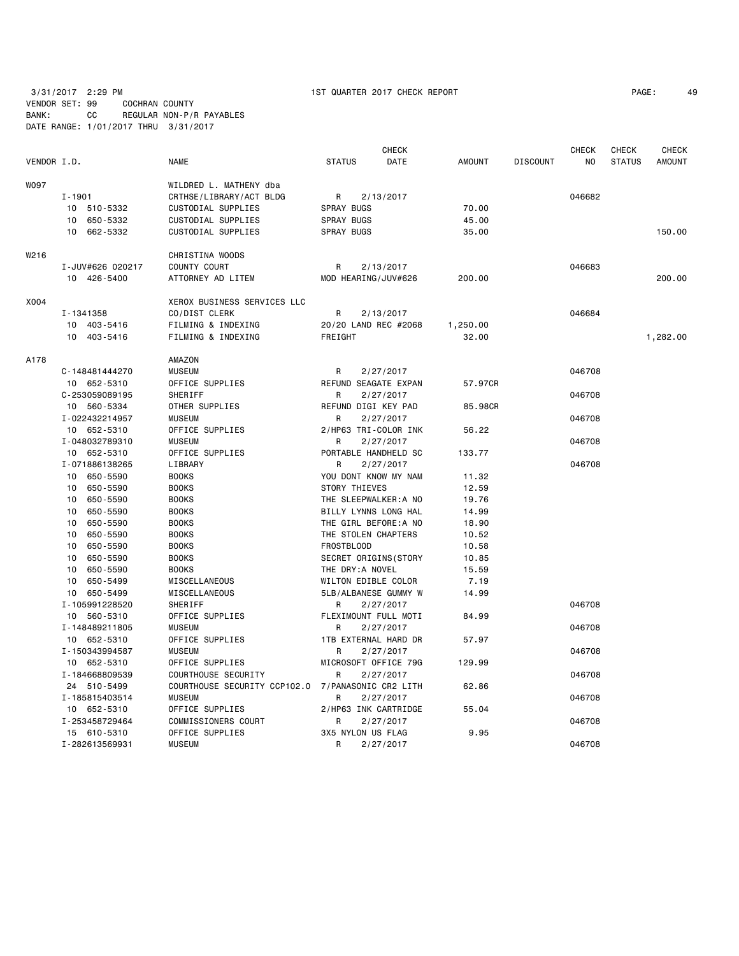|             |                             |                                                   |                       | <b>CHECK</b> |               |                 | <b>CHECK</b> | <b>CHECK</b>  | <b>CHECK</b>  |
|-------------|-----------------------------|---------------------------------------------------|-----------------------|--------------|---------------|-----------------|--------------|---------------|---------------|
| VENDOR I.D. |                             | <b>NAME</b>                                       | <b>STATUS</b>         | DATE         | <b>AMOUNT</b> | <b>DISCOUNT</b> | NO.          | <b>STATUS</b> | <b>AMOUNT</b> |
| WO97        |                             | WILDRED L. MATHENY dba                            |                       |              |               |                 |              |               |               |
|             | I-1901                      | CRTHSE/LIBRARY/ACT BLDG                           | R                     | 2/13/2017    |               |                 | 046682       |               |               |
|             | 10 510-5332                 | CUSTODIAL SUPPLIES                                | SPRAY BUGS            |              | 70.00         |                 |              |               |               |
|             | 10 650-5332                 | CUSTODIAL SUPPLIES                                | SPRAY BUGS            |              | 45.00         |                 |              |               |               |
|             | 10 662-5332                 | <b>CUSTODIAL SUPPLIES</b>                         | <b>SPRAY BUGS</b>     |              | 35,00         |                 |              |               | 150.00        |
| W216        |                             | CHRISTINA WOODS                                   |                       |              |               |                 |              |               |               |
|             | I-JUV#626 020217            | COUNTY COURT                                      | R                     | 2/13/2017    |               |                 | 046683       |               |               |
|             | 10 426-5400                 | ATTORNEY AD LITEM                                 | MOD HEARING/JUV#626   |              | 200.00        |                 |              |               | 200.00        |
| X004        |                             |                                                   |                       |              |               |                 |              |               |               |
|             |                             | XEROX BUSINESS SERVICES LLC                       |                       |              |               |                 |              |               |               |
|             | I-1341358                   | CO/DIST CLERK                                     | R                     | 2/13/2017    |               |                 | 046684       |               |               |
|             | 10 403-5416                 | FILMING & INDEXING                                | 20/20 LAND REC #2068  |              | 1,250.00      |                 |              |               |               |
|             | 10 403-5416                 | FILMING & INDEXING                                | FREIGHT               |              | 32.00         |                 |              |               | 1,282.00      |
| A178        |                             | AMAZON                                            |                       |              |               |                 |              |               |               |
|             | C-148481444270              | <b>MUSEUM</b>                                     | R                     | 2/27/2017    |               |                 | 046708       |               |               |
|             | 10 652-5310                 | OFFICE SUPPLIES                                   | REFUND SEAGATE EXPAN  |              | 57.97CR       |                 |              |               |               |
|             | C-253059089195              | SHERIFF                                           | R                     | 2/27/2017    |               |                 | 046708       |               |               |
|             | 10 560-5334                 | OTHER SUPPLIES                                    | REFUND DIGI KEY PAD   |              | 85.98CR       |                 |              |               |               |
|             | I-022432214957              | <b>MUSEUM</b>                                     | R                     | 2/27/2017    |               |                 | 046708       |               |               |
|             | 10 652-5310                 | OFFICE SUPPLIES                                   | 2/HP63 TRI-COLOR INK  |              | 56.22         |                 |              |               |               |
|             | I-048032789310              | <b>MUSEUM</b>                                     | R                     | 2/27/2017    |               |                 | 046708       |               |               |
|             | 10 652-5310                 | OFFICE SUPPLIES                                   | PORTABLE HANDHELD SC  |              | 133.77        |                 |              |               |               |
|             | I-071886138265              | LIBRARY                                           | R                     | 2/27/2017    |               |                 | 046708       |               |               |
|             | 10 650-5590                 | <b>BOOKS</b>                                      | YOU DONT KNOW MY NAM  |              | 11.32         |                 |              |               |               |
|             | 10 650-5590                 | <b>BOOKS</b>                                      | STORY THIEVES         |              | 12.59         |                 |              |               |               |
|             | 10 650-5590                 | <b>BOOKS</b>                                      | THE SLEEPWALKER:A NO  |              | 19.76         |                 |              |               |               |
|             | 650-5590<br>10              | <b>BOOKS</b>                                      | BILLY LYNNS LONG HAL  |              | 14.99         |                 |              |               |               |
|             | 10 650-5590                 | <b>BOOKS</b>                                      | THE GIRL BEFORE:A NO  |              | 18.90         |                 |              |               |               |
|             | 650-5590<br>10              | <b>BOOKS</b>                                      | THE STOLEN CHAPTERS   |              | 10.52         |                 |              |               |               |
|             | 650-5590<br>10              | <b>BOOKS</b>                                      | FROSTBLOOD            |              | 10.58         |                 |              |               |               |
|             | 10 <sub>1</sub><br>650-5590 | <b>BOOKS</b>                                      | SECRET ORIGINS (STORY |              | 10.85         |                 |              |               |               |
|             | 10 650-5590                 | <b>BOOKS</b>                                      | THE DRY:A NOVEL       |              | 15.59         |                 |              |               |               |
|             | 10 650-5499                 | MISCELLANEOUS                                     | WILTON EDIBLE COLOR   |              | 7.19          |                 |              |               |               |
|             | 10 650-5499                 | MISCELLANEOUS                                     | 5LB/ALBANESE GUMMY W  |              | 14.99         |                 |              |               |               |
|             | I-105991228520              | SHERIFF                                           | R                     | 2/27/2017    |               |                 | 046708       |               |               |
|             | 10 560-5310                 | OFFICE SUPPLIES                                   | FLEXIMOUNT FULL MOTI  |              | 84.99         |                 |              |               |               |
|             | I-148489211805              | <b>MUSEUM</b>                                     | R                     | 2/27/2017    |               |                 | 046708       |               |               |
|             | 10 652-5310                 | OFFICE SUPPLIES                                   | 1TB EXTERNAL HARD DR  |              | 57.97         |                 |              |               |               |
|             | I-150343994587              | <b>MUSEUM</b>                                     | R.                    | 2/27/2017    |               |                 | 046708       |               |               |
|             | 10 652-5310                 | OFFICE SUPPLIES                                   | MICROSOFT OFFICE 79G  |              | 129.99        |                 |              |               |               |
|             | I-184668809539              | COURTHOUSE SECURITY                               | R                     | 2/27/2017    |               |                 | 046708       |               |               |
|             | 24 510-5499                 | COURTHOUSE SECURITY CCP102.0 7/PANASONIC CR2 LITH |                       |              | 62.86         |                 |              |               |               |
|             | I-185815403514              | <b>MUSEUM</b>                                     | R                     | 2/27/2017    |               |                 | 046708       |               |               |
|             | 10 652-5310                 | OFFICE SUPPLIES                                   | 2/HP63 INK CARTRIDGE  |              | 55.04         |                 |              |               |               |
|             | I-253458729464              | COMMISSIONERS COURT                               | R                     | 2/27/2017    |               |                 | 046708       |               |               |
|             | 15 610-5310                 | OFFICE SUPPLIES                                   | 3X5 NYLON US FLAG     |              | 9.95          |                 |              |               |               |
|             | I-282613569931              | <b>MUSEUM</b>                                     | R                     | 2/27/2017    |               |                 | 046708       |               |               |
|             |                             |                                                   |                       |              |               |                 |              |               |               |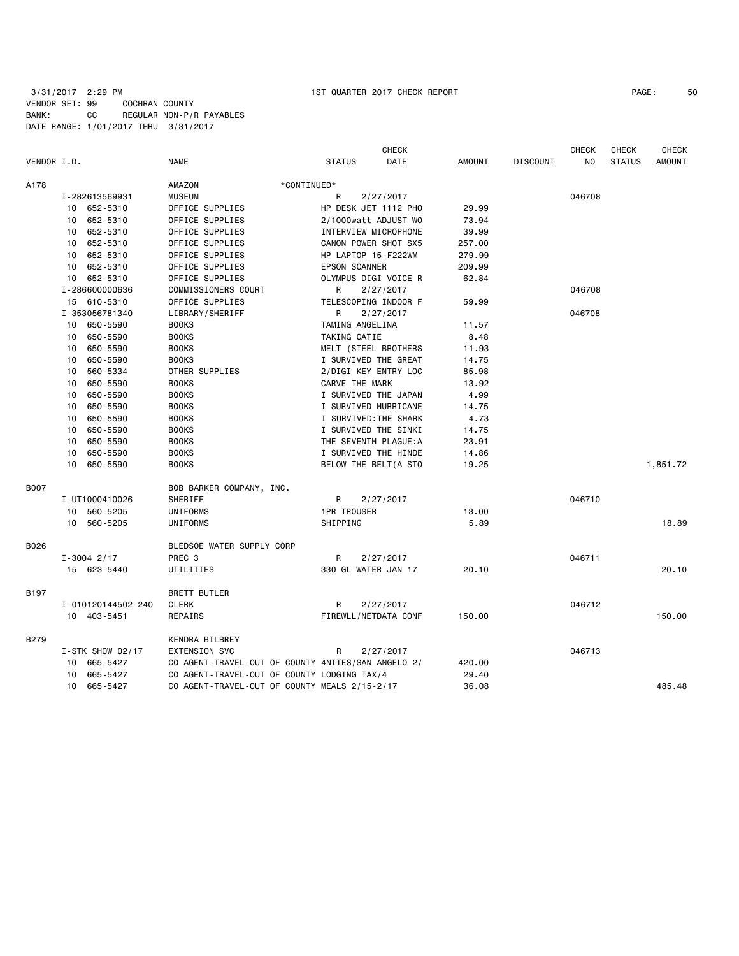|             |                             |                                                    |                      | <b>CHECK</b>          |        |                 | <b>CHECK</b> | CHECK         | <b>CHECK</b>  |
|-------------|-----------------------------|----------------------------------------------------|----------------------|-----------------------|--------|-----------------|--------------|---------------|---------------|
| VENDOR I.D. |                             | <b>NAME</b>                                        | <b>STATUS</b>        | DATE                  | AMOUNT | <b>DISCOUNT</b> | NO.          | <b>STATUS</b> | <b>AMOUNT</b> |
| A178        |                             | AMAZON                                             | *CONTINUED*          |                       |        |                 |              |               |               |
|             | I-282613569931              | <b>MUSEUM</b>                                      | R                    | 2/27/2017             |        |                 | 046708       |               |               |
|             | 10 652-5310                 | OFFICE SUPPLIES                                    |                      | HP DESK JET 1112 PHO  | 29.99  |                 |              |               |               |
|             | 10 652-5310                 | OFFICE SUPPLIES                                    |                      | 2/1000watt ADJUST WO  | 73.94  |                 |              |               |               |
|             | 10 652-5310                 | OFFICE SUPPLIES                                    |                      | INTERVIEW MICROPHONE  | 39.99  |                 |              |               |               |
|             | 10 652-5310                 | OFFICE SUPPLIES                                    |                      | CANON POWER SHOT SX5  | 257.00 |                 |              |               |               |
|             | 10 652-5310                 | OFFICE SUPPLIES                                    | HP LAPTOP 15-F222WM  |                       | 279.99 |                 |              |               |               |
|             | 10 652-5310                 | OFFICE SUPPLIES                                    | <b>EPSON SCANNER</b> |                       | 209.99 |                 |              |               |               |
|             | 10 652-5310                 | OFFICE SUPPLIES                                    |                      | OLYMPUS DIGI VOICE R  | 62.84  |                 |              |               |               |
|             | I-286600000636              | COMMISSIONERS COURT                                | R                    | 2/27/2017             |        |                 | 046708       |               |               |
|             | 15 610-5310                 | OFFICE SUPPLIES                                    |                      | TELESCOPING INDOOR F  | 59.99  |                 |              |               |               |
|             | I-353056781340              | LIBRARY/SHERIFF                                    | R                    | 2/27/2017             |        |                 | 046708       |               |               |
|             | 10 650-5590                 | <b>BOOKS</b>                                       | TAMING ANGELINA      |                       | 11.57  |                 |              |               |               |
|             | 650-5590<br>10              | <b>BOOKS</b>                                       | TAKING CATIE         |                       | 8.48   |                 |              |               |               |
|             | 650-5590<br>10              | <b>BOOKS</b>                                       |                      | MELT (STEEL BROTHERS  | 11.93  |                 |              |               |               |
|             | 650-5590<br>10              | <b>BOOKS</b>                                       |                      | I SURVIVED THE GREAT  | 14.75  |                 |              |               |               |
|             | 10 560-5334                 | OTHER SUPPLIES                                     |                      | 2/DIGI KEY ENTRY LOC  | 85.98  |                 |              |               |               |
|             | 10 <sup>1</sup><br>650-5590 | <b>BOOKS</b>                                       | CARVE THE MARK       |                       | 13.92  |                 |              |               |               |
|             | 10<br>650-5590              | <b>BOOKS</b>                                       |                      | I SURVIVED THE JAPAN  | 4.99   |                 |              |               |               |
|             | 650-5590<br>10              | <b>BOOKS</b>                                       |                      | I SURVIVED HURRICANE  | 14.75  |                 |              |               |               |
|             | 650-5590<br>10              | <b>BOOKS</b>                                       |                      | I SURVIVED: THE SHARK | 4.73   |                 |              |               |               |
|             | 650-5590<br>10              | <b>BOOKS</b>                                       |                      | I SURVIVED THE SINKI  | 14.75  |                 |              |               |               |
|             | 10 <sub>1</sub><br>650-5590 | <b>BOOKS</b>                                       |                      | THE SEVENTH PLAGUE: A | 23.91  |                 |              |               |               |
|             | 10<br>650-5590              | <b>BOOKS</b>                                       |                      | I SURVIVED THE HINDE  | 14.86  |                 |              |               |               |
|             | 10 650-5590                 | <b>BOOKS</b>                                       |                      | BELOW THE BELT (A STO | 19.25  |                 |              |               | 1,851.72      |
| <b>B007</b> |                             | BOB BARKER COMPANY, INC.                           |                      |                       |        |                 |              |               |               |
|             | I-UT1000410026              | SHERIFF                                            | R                    | 2/27/2017             |        |                 | 046710       |               |               |
|             | 10 560-5205                 | UNIFORMS                                           | <b>1PR TROUSER</b>   |                       | 13.00  |                 |              |               |               |
|             | 10 560-5205                 | UNIFORMS                                           | SHIPPING             |                       | 5.89   |                 |              |               | 18.89         |
| B026        |                             | BLEDSOE WATER SUPPLY CORP                          |                      |                       |        |                 |              |               |               |
|             | $I - 3004$ 2/17             | PREC <sub>3</sub>                                  | R                    | 2/27/2017             |        |                 | 046711       |               |               |
|             | 15 623-5440                 | UTILITIES                                          | 330 GL WATER JAN 17  |                       | 20.10  |                 |              |               | 20.10         |
| B197        |                             | <b>BRETT BUTLER</b>                                |                      |                       |        |                 |              |               |               |
|             | I-010120144502-240          | <b>CLERK</b>                                       | R                    | 2/27/2017             |        |                 | 046712       |               |               |
|             | 10 403-5451                 | REPAIRS                                            |                      | FIREWLL/NETDATA CONF  | 150.00 |                 |              |               | 150.00        |
| B279        |                             | KENDRA BILBREY                                     |                      |                       |        |                 |              |               |               |
|             | $I-STK$ SHOW 02/17          | <b>EXTENSION SVC</b>                               | R                    | 2/27/2017             |        |                 | 046713       |               |               |
|             | 10 665-5427                 | CO AGENT-TRAVEL-OUT OF COUNTY 4NITES/SAN ANGELO 2/ |                      |                       | 420.00 |                 |              |               |               |
|             | 10 665-5427                 | CO AGENT-TRAVEL-OUT OF COUNTY LODGING TAX/4        |                      |                       | 29.40  |                 |              |               |               |
|             | 10 665-5427                 | CO AGENT-TRAVEL-OUT OF COUNTY MEALS 2/15-2/17      |                      |                       | 36.08  |                 |              |               | 485.48        |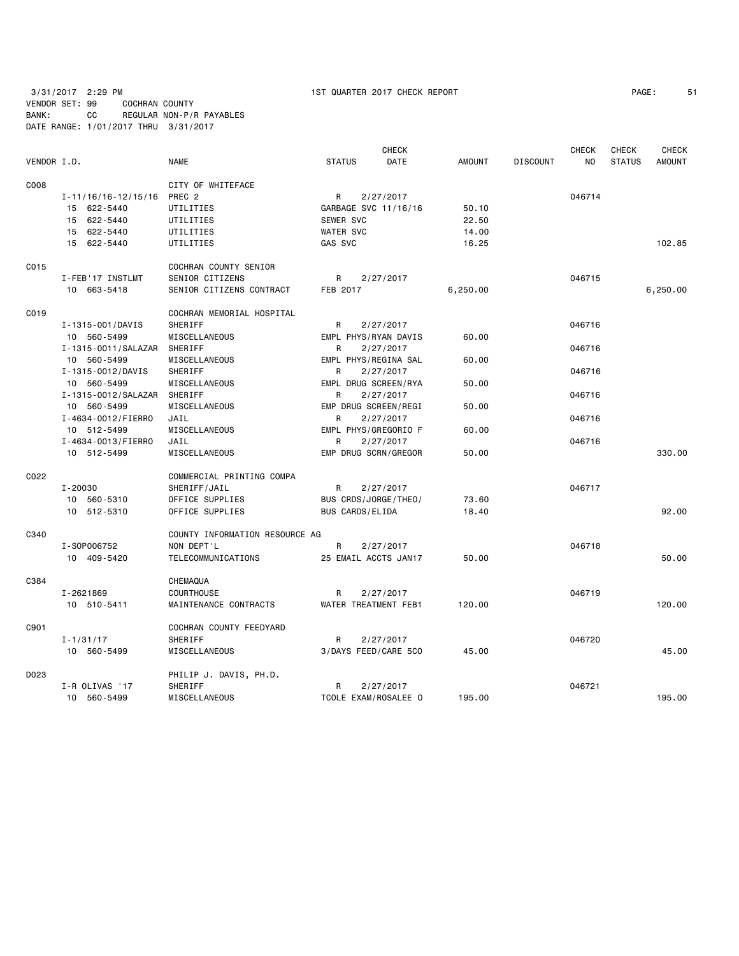|             |                           |                                |                      | <b>CHECK</b> |               |                 | <b>CHECK</b> | <b>CHECK</b>  | <b>CHECK</b>  |
|-------------|---------------------------|--------------------------------|----------------------|--------------|---------------|-----------------|--------------|---------------|---------------|
| VENDOR I.D. |                           | <b>NAME</b>                    | <b>STATUS</b>        | DATE         | <b>AMOUNT</b> | <b>DISCOUNT</b> | NO.          | <b>STATUS</b> | <b>AMOUNT</b> |
| C008        |                           | CITY OF WHITEFACE              |                      |              |               |                 |              |               |               |
|             | $I - 11/16/16 - 12/15/16$ | PREC <sub>2</sub>              | R                    | 2/27/2017    |               |                 | 046714       |               |               |
|             | 15 622-5440               | UTILITIES                      | GARBAGE SVC 11/16/16 |              | 50.10         |                 |              |               |               |
|             | 15 622-5440               | UTILITIES                      | SEWER SVC            |              | 22.50         |                 |              |               |               |
|             | 15 622-5440               | UTILITIES                      | <b>WATER SVC</b>     |              | 14.00         |                 |              |               |               |
|             | 15 622-5440               | UTILITIES                      | GAS SVC              |              | 16.25         |                 |              |               | 102.85        |
| C015        |                           | COCHRAN COUNTY SENIOR          |                      |              |               |                 |              |               |               |
|             | I-FEB'17 INSTLMT          | SENIOR CITIZENS                | R                    | 2/27/2017    |               |                 | 046715       |               |               |
|             | 10 663-5418               | SENIOR CITIZENS CONTRACT       | FEB 2017             |              | 6,250.00      |                 |              |               | 6,250.00      |
| C019        |                           | COCHRAN MEMORIAL HOSPITAL      |                      |              |               |                 |              |               |               |
|             | I-1315-001/DAVIS          | SHERIFF                        | R                    | 2/27/2017    |               |                 | 046716       |               |               |
|             | 10 560-5499               | MISCELLANEOUS                  | EMPL PHYS/RYAN DAVIS |              | 60.00         |                 |              |               |               |
|             | I-1315-0011/SALAZAR       | SHERIFF                        | R                    | 2/27/2017    |               |                 | 046716       |               |               |
|             | 10 560-5499               | MISCELLANEOUS                  | EMPL PHYS/REGINA SAL |              | 60.00         |                 |              |               |               |
|             | I-1315-0012/DAVIS         | SHERIFF                        | R                    | 2/27/2017    |               |                 | 046716       |               |               |
|             | 10 560-5499               | MISCELLANEOUS                  | EMPL DRUG SCREEN/RYA |              | 50.00         |                 |              |               |               |
|             | I-1315-0012/SALAZAR       | SHERIFF                        | R                    | 2/27/2017    |               |                 | 046716       |               |               |
|             | 10 560-5499               | MISCELLANEOUS                  | EMP DRUG SCREEN/REGI |              | 50.00         |                 |              |               |               |
|             | I-4634-0012/FIERRO        | JAIL                           | R                    | 2/27/2017    |               |                 | 046716       |               |               |
|             | 10 512-5499               | MISCELLANEOUS                  | EMPL PHYS/GREGORIO F |              | 60.00         |                 |              |               |               |
|             | I-4634-0013/FIERRO        | JAIL                           | R                    | 2/27/2017    |               |                 | 046716       |               |               |
|             | 10 512-5499               | MISCELLANEOUS                  | EMP DRUG SCRN/GREGOR |              | 50.00         |                 |              |               | 330,00        |
|             |                           |                                |                      |              |               |                 |              |               |               |
| C022        |                           | COMMERCIAL PRINTING COMPA      |                      |              |               |                 |              |               |               |
|             | $I - 20030$               | SHERIFF/JAIL                   | R                    | 2/27/2017    |               |                 | 046717       |               |               |
|             | 10 560-5310               | OFFICE SUPPLIES                | BUS CRDS/JORGE/THEO/ |              | 73.60         |                 |              |               |               |
|             | 10 512-5310               | OFFICE SUPPLIES                | BUS CARDS/ELIDA      |              | 18,40         |                 |              |               | 92.00         |
| C340        |                           | COUNTY INFORMATION RESOURCE AG |                      |              |               |                 |              |               |               |
|             | I-S0P006752               | NON DEPT'L                     | R                    | 2/27/2017    |               |                 | 046718       |               |               |
|             | 10 409-5420               | TELECOMMUNICATIONS             | 25 EMAIL ACCTS JAN17 |              | 50.00         |                 |              |               | 50.00         |
| C384        |                           | CHEMAQUA                       |                      |              |               |                 |              |               |               |
|             | I-2621869                 | COURTHOUSE                     | R                    | 2/27/2017    |               |                 | 046719       |               |               |
|             | 10 510-5411               | MAINTENANCE CONTRACTS          | WATER TREATMENT FEB1 |              | 120,00        |                 |              |               | 120.00        |
| C901        |                           | COCHRAN COUNTY FEEDYARD        |                      |              |               |                 |              |               |               |
|             | $I - 1/31/17$             | SHERIFF                        | R                    | 2/27/2017    |               |                 | 046720       |               |               |
|             | 10 560-5499               | MISCELLANEOUS                  | 3/DAYS FEED/CARE 5CO |              | 45.00         |                 |              |               | 45.00         |
| D023        |                           | PHILIP J. DAVIS, PH.D.         |                      |              |               |                 |              |               |               |
|             | I-R OLIVAS '17            | SHERIFF                        | R                    | 2/27/2017    |               |                 | 046721       |               |               |
|             | 10 560-5499               | MISCELLANEOUS                  | TCOLE EXAM/ROSALEE O |              | 195.00        |                 |              |               | 195.00        |
|             |                           |                                |                      |              |               |                 |              |               |               |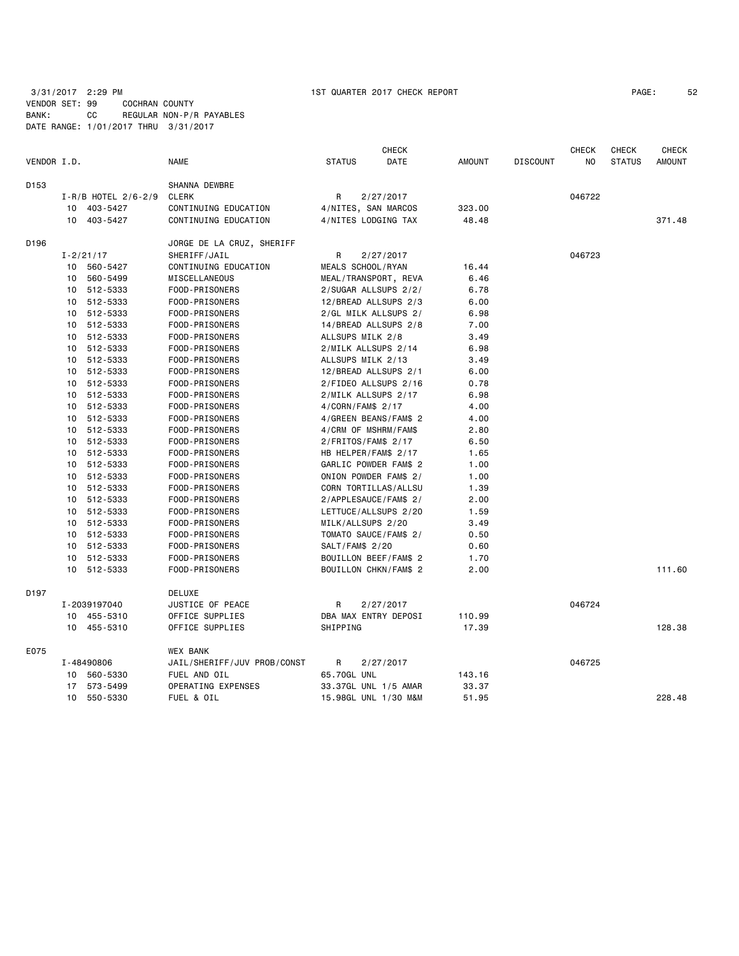|             |    |                       |                             |                      | <b>CHECK</b>          |               |                 | CHECK  | <b>CHECK</b>  | <b>CHECK</b> |
|-------------|----|-----------------------|-----------------------------|----------------------|-----------------------|---------------|-----------------|--------|---------------|--------------|
| VENDOR I.D. |    |                       | <b>NAME</b>                 | <b>STATUS</b>        | DATE                  | <b>AMOUNT</b> | <b>DISCOUNT</b> | NO     | <b>STATUS</b> | AMOUNT       |
| D153        |    |                       | SHANNA DEWBRE               |                      |                       |               |                 |        |               |              |
|             |    | $I-R/B$ HOTEL 2/6-2/9 | <b>CLERK</b>                | R                    | 2/27/2017             |               |                 | 046722 |               |              |
|             |    | 10 403-5427           | CONTINUING EDUCATION        |                      | 4/NITES, SAN MARCOS   | 323.00        |                 |        |               |              |
|             |    | 10 403-5427           | CONTINUING EDUCATION        |                      | 4/NITES LODGING TAX   | 48.48         |                 |        |               | 371.48       |
| D196        |    |                       | JORGE DE LA CRUZ, SHERIFF   |                      |                       |               |                 |        |               |              |
|             |    | $I - 2/21/17$         | SHERIFF/JAIL                | R                    | 2/27/2017             |               |                 | 046723 |               |              |
|             |    | 10 560-5427           | CONTINUING EDUCATION        | MEALS SCHOOL/RYAN    |                       | 16.44         |                 |        |               |              |
|             |    | 10 560-5499           | MISCELLANEOUS               |                      | MEAL/TRANSPORT, REVA  | 6.46          |                 |        |               |              |
|             |    | 10 512-5333           | FOOD-PRISONERS              |                      | 2/SUGAR ALLSUPS 2/2/  | 6.78          |                 |        |               |              |
|             |    | 10 512-5333           | FOOD-PRISONERS              |                      | 12/BREAD ALLSUPS 2/3  | 6.00          |                 |        |               |              |
|             |    | 10 512-5333           | FOOD-PRISONERS              |                      | 2/GL MILK ALLSUPS 2/  | 6.98          |                 |        |               |              |
|             |    | 10 512-5333           | FOOD-PRISONERS              |                      | 14/BREAD ALLSUPS 2/8  | 7.00          |                 |        |               |              |
|             |    | 10 512-5333           | FOOD-PRISONERS              | ALLSUPS MILK 2/8     |                       | 3.49          |                 |        |               |              |
|             |    | 10 512-5333           | FOOD-PRISONERS              |                      | 2/MILK ALLSUPS 2/14   | 6.98          |                 |        |               |              |
|             |    | 10 512-5333           | FOOD-PRISONERS              | ALLSUPS MILK 2/13    |                       | 3.49          |                 |        |               |              |
|             |    | 10 512-5333           | FOOD-PRISONERS              |                      | 12/BREAD ALLSUPS 2/1  | 6.00          |                 |        |               |              |
|             |    | 10 512-5333           | FOOD-PRISONERS              |                      | 2/FIDEO ALLSUPS 2/16  | 0.78          |                 |        |               |              |
|             |    | 10 512-5333           | FOOD-PRISONERS              |                      | 2/MILK ALLSUPS 2/17   | 6.98          |                 |        |               |              |
|             |    | 10 512-5333           | FOOD-PRISONERS              | 4/CORN/FAM\$ 2/17    |                       | 4.00          |                 |        |               |              |
|             |    | 10 512-5333           | FOOD-PRISONERS              |                      | 4/GREEN BEANS/FAM\$ 2 | 4.00          |                 |        |               |              |
|             |    | 10 512-5333           | FOOD-PRISONERS              |                      | 4/CRM OF MSHRM/FAM\$  | 2.80          |                 |        |               |              |
|             |    | 10 512-5333           | FOOD-PRISONERS              | $2/FRITOS/FAM$$ 2/17 |                       | 6.50          |                 |        |               |              |
|             |    | 10 512-5333           | FOOD-PRISONERS              |                      | HB HELPER/FAM\$ 2/17  | 1.65          |                 |        |               |              |
|             |    | 10 512-5333           | FOOD-PRISONERS              |                      | GARLIC POWDER FAM\$ 2 | 1.00          |                 |        |               |              |
|             |    | 10 512-5333           | FOOD-PRISONERS              |                      | ONION POWDER FAM\$ 2/ | 1.00          |                 |        |               |              |
|             |    | 10 512-5333           | FOOD-PRISONERS              |                      | CORN TORTILLAS/ALLSU  | 1.39          |                 |        |               |              |
|             |    | 10 512-5333           | FOOD-PRISONERS              |                      | 2/APPLESAUCE/FAM\$ 2/ | 2.00          |                 |        |               |              |
|             |    | 10 512-5333           | FOOD-PRISONERS              |                      | LETTUCE/ALLSUPS 2/20  | 1.59          |                 |        |               |              |
|             |    | 10 512-5333           | FOOD-PRISONERS              | MILK/ALLSUPS 2/20    |                       | 3.49          |                 |        |               |              |
|             |    | 10 512-5333           | FOOD-PRISONERS              |                      | TOMATO SAUCE/FAM\$ 2/ | 0.50          |                 |        |               |              |
|             |    | 10 512-5333           | FOOD-PRISONERS              | SALT/FAM\$ 2/20      |                       | 0.60          |                 |        |               |              |
|             | 10 | 512-5333              | FOOD-PRISONERS              |                      | BOUILLON BEEF/FAM\$ 2 | 1.70          |                 |        |               |              |
|             |    | 10 512-5333           | FOOD-PRISONERS              |                      | BOUILLON CHKN/FAM\$ 2 | 2.00          |                 |        |               | 111.60       |
| D197        |    |                       | <b>DELUXE</b>               |                      |                       |               |                 |        |               |              |
|             |    | I-2039197040          | JUSTICE OF PEACE            | R.                   | 2/27/2017             |               |                 | 046724 |               |              |
|             |    | 10 455-5310           | OFFICE SUPPLIES             |                      | DBA MAX ENTRY DEPOSI  | 110.99        |                 |        |               |              |
|             |    | 10 455-5310           | OFFICE SUPPLIES             | SHIPPING             |                       | 17.39         |                 |        |               | 128.38       |
| E075        |    |                       | WEX BANK                    |                      |                       |               |                 |        |               |              |
|             |    | I-48490806            | JAIL/SHERIFF/JUV PROB/CONST | R                    | 2/27/2017             |               |                 | 046725 |               |              |
|             |    | 10 560-5330           | FUEL AND OIL                | 65.70GL UNL          |                       | 143.16        |                 |        |               |              |
|             |    | 17 573-5499           | OPERATING EXPENSES          |                      | 33.37GL UNL 1/5 AMAR  | 33.37         |                 |        |               |              |
|             |    | 10 550-5330           | FUEL & OIL                  |                      | 15.98GL UNL 1/30 M&M  | 51.95         |                 |        |               | 228.48       |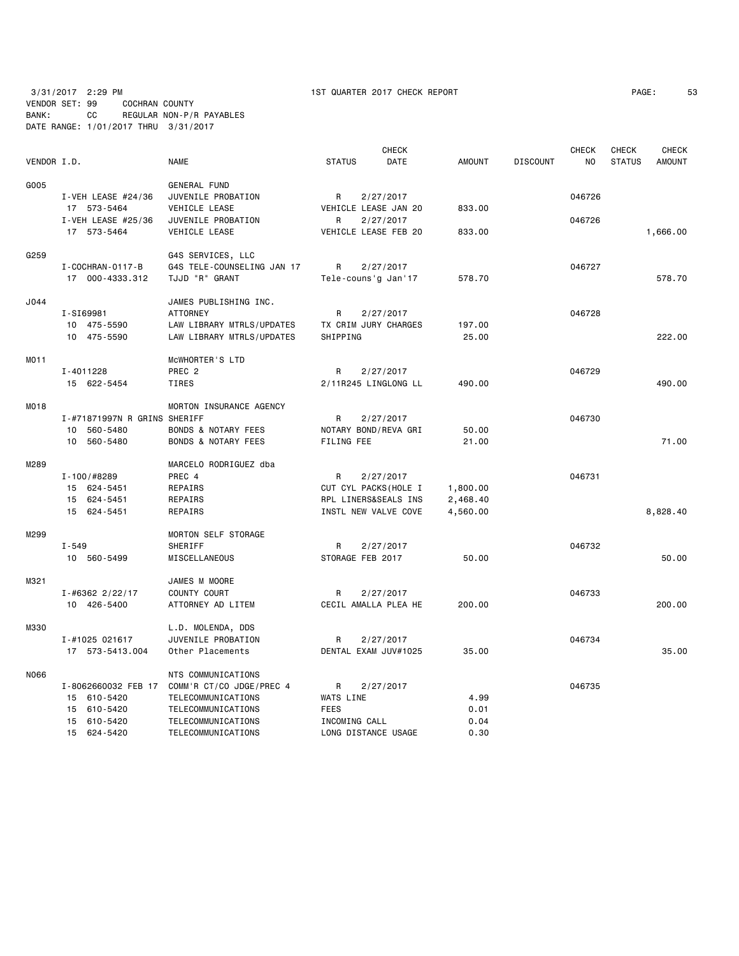|             |                              |                                |                       | <b>CHECK</b> |               |                 | <b>CHECK</b> | <b>CHECK</b>  | <b>CHECK</b>  |
|-------------|------------------------------|--------------------------------|-----------------------|--------------|---------------|-----------------|--------------|---------------|---------------|
| VENDOR I.D. |                              | <b>NAME</b>                    | <b>STATUS</b>         | DATE         | <b>AMOUNT</b> | <b>DISCOUNT</b> | NO           | <b>STATUS</b> | <b>AMOUNT</b> |
| G005        |                              | GENERAL FUND                   |                       |              |               |                 |              |               |               |
|             | I-VEH LEASE $#24/36$         | JUVENILE PROBATION             | R                     | 2/27/2017    |               |                 | 046726       |               |               |
|             | 17 573-5464                  | VEHICLE LEASE                  | VEHICLE LEASE JAN 20  |              | 833.00        |                 |              |               |               |
|             | I-VEH LEASE #25/36           | JUVENILE PROBATION             | R                     | 2/27/2017    |               |                 | 046726       |               |               |
|             | 17 573-5464                  | VEHICLE LEASE                  | VEHICLE LEASE FEB 20  |              | 833.00        |                 |              |               | 1,666.00      |
| G259        |                              | G4S SERVICES, LLC              |                       |              |               |                 |              |               |               |
|             | I - COCHRAN - 0117 - B       | G4S TELE-COUNSELING JAN 17     | R                     | 2/27/2017    |               |                 | 046727       |               |               |
|             | 17 000-4333.312              | TJJD "R" GRANT                 | Tele-couns'g Jan'17   |              | 578.70        |                 |              |               | 578.70        |
| J044        |                              | JAMES PUBLISHING INC.          |                       |              |               |                 |              |               |               |
|             | I-SI69981                    | <b>ATTORNEY</b>                | R                     | 2/27/2017    |               |                 | 046728       |               |               |
|             | 10 475-5590                  | LAW LIBRARY MTRLS/UPDATES      | TX CRIM JURY CHARGES  |              | 197.00        |                 |              |               |               |
|             | 10 475-5590                  | LAW LIBRARY MTRLS/UPDATES      | SHIPPING              |              | 25.00         |                 |              |               | 222.00        |
| MO11        |                              | MCWHORTER'S LTD                |                       |              |               |                 |              |               |               |
|             | I-4011228                    | PREC <sub>2</sub>              | R                     | 2/27/2017    |               |                 | 046729       |               |               |
|             | 15 622-5454                  | TIRES                          | 2/11R245 LINGLONG LL  |              | 490.00        |                 |              |               | 490,00        |
| M018        |                              | MORTON INSURANCE AGENCY        |                       |              |               |                 |              |               |               |
|             | I-#71871997N R GRINS SHERIFF |                                | R                     | 2/27/2017    |               |                 | 046730       |               |               |
|             | 10 560-5480                  | <b>BONDS &amp; NOTARY FEES</b> | NOTARY BOND/REVA GRI  |              | 50.00         |                 |              |               |               |
|             | 10 560-5480                  | <b>BONDS &amp; NOTARY FEES</b> | FILING FEE            |              | 21.00         |                 |              |               | 71.00         |
| M289        |                              | MARCELO RODRIGUEZ dba          |                       |              |               |                 |              |               |               |
|             | I-100/#8289                  | PREC 4                         | R                     | 2/27/2017    |               |                 | 046731       |               |               |
|             | 15 624-5451                  | REPAIRS                        | CUT CYL PACKS (HOLE I |              | 1,800.00      |                 |              |               |               |
|             | 15 624-5451                  | REPAIRS                        | RPL LINERS&SEALS INS  |              | 2,468.40      |                 |              |               |               |
|             | 15 624-5451                  | REPAIRS                        | INSTL NEW VALVE COVE  |              | 4,560.00      |                 |              |               | 8,828.40      |
| M299        |                              | MORTON SELF STORAGE            |                       |              |               |                 |              |               |               |
|             | $I - 549$                    | SHERIFF                        | R                     | 2/27/2017    |               |                 | 046732       |               |               |
|             | 10 560-5499                  | MISCELLANEOUS                  | STORAGE FEB 2017      |              | 50.00         |                 |              |               | 50.00         |
| M321        |                              | JAMES M MOORE                  |                       |              |               |                 |              |               |               |
|             | $I - #6362$ 2/22/17          | COUNTY COURT                   | R                     | 2/27/2017    |               |                 | 046733       |               |               |
|             | 10 426-5400                  | ATTORNEY AD LITEM              | CECIL AMALLA PLEA HE  |              | 200.00        |                 |              |               | 200.00        |
| M330        |                              | L.D. MOLENDA, DDS              |                       |              |               |                 |              |               |               |
|             | I-#1025 021617               | JUVENILE PROBATION             | R                     | 2/27/2017    |               |                 | 046734       |               |               |
|             | 17 573-5413.004              | Other Placements               | DENTAL EXAM JUV#1025  |              | 35.00         |                 |              |               | 35,00         |
| N066        |                              | NTS COMMUNICATIONS             |                       |              |               |                 |              |               |               |
|             | I-8062660032 FEB 17          | COMM'R CT/CO JDGE/PREC 4       | R                     | 2/27/2017    |               |                 | 046735       |               |               |
|             | 15 610-5420                  | TELECOMMUNICATIONS             | WATS LINE             |              | 4.99          |                 |              |               |               |
|             | 15 610-5420                  | TELECOMMUNICATIONS             | <b>FEES</b>           |              | 0.01          |                 |              |               |               |
|             | 15 610-5420                  | TELECOMMUNICATIONS             | INCOMING CALL         |              | 0.04          |                 |              |               |               |
|             | 15 624-5420                  | TELECOMMUNICATIONS             | LONG DISTANCE USAGE   |              | 0.30          |                 |              |               |               |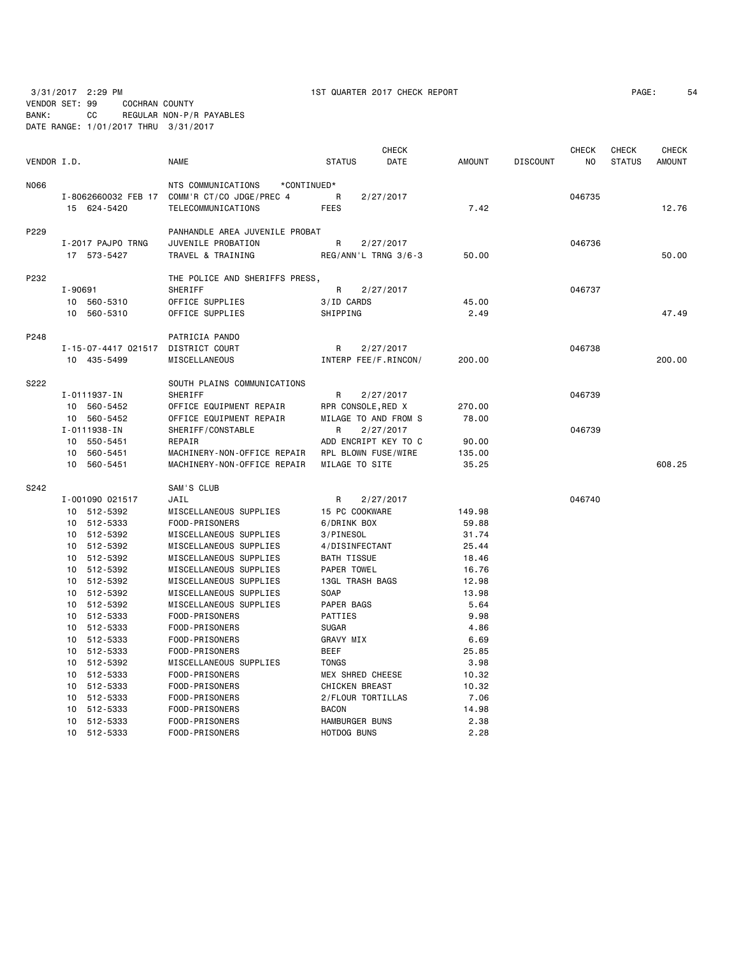VENDOR SET: 99 COCHRAN COUNTY BANK: CC REGULAR NON-P/R PAYABLES

3/31/2017 2:29 PM 1ST QUARTER 2017 CHECK REPORT PAGE: 54

|             |         | DATE RANGE: 1/01/2017 THRU 3/31/2017 |                                                    |                           |                                   |                 |                 |              |                               |                        |
|-------------|---------|--------------------------------------|----------------------------------------------------|---------------------------|-----------------------------------|-----------------|-----------------|--------------|-------------------------------|------------------------|
| VENDOR I.D. |         |                                      | <b>NAME</b>                                        | <b>STATUS</b>             | <b>CHECK</b><br>DATE              | <b>AMOUNT</b>   | <b>DISCOUNT</b> | CHECK<br>NO. | <b>CHECK</b><br><b>STATUS</b> | <b>CHECK</b><br>AMOUNT |
| N066        |         |                                      | NTS COMMUNICATIONS<br>*CONTINUED*                  |                           |                                   |                 |                 |              |                               |                        |
|             |         |                                      | I-8062660032 FEB 17 COMM'R CT/CO JDGE/PREC 4       | R                         | 2/27/2017                         |                 |                 | 046735       |                               |                        |
|             |         | 15 624-5420                          | TELECOMMUNICATIONS                                 | FEES                      |                                   | 7.42            |                 |              |                               | 12.76                  |
|             |         |                                      |                                                    |                           |                                   |                 |                 |              |                               |                        |
| P229        |         |                                      | PANHANDLE AREA JUVENILE PROBAT                     |                           |                                   |                 |                 |              |                               |                        |
|             |         | I-2017 PAJPO TRNG                    | JUVENILE PROBATION                                 | R                         | 2/27/2017                         |                 |                 | 046736       |                               |                        |
|             |         | 17 573-5427                          | TRAVEL & TRAINING                                  |                           | REG/ANN'L TRNG 3/6-3              | 50.00           |                 |              |                               | 50,00                  |
| P232        |         |                                      | THE POLICE AND SHERIFFS PRESS,                     |                           |                                   |                 |                 |              |                               |                        |
|             | I-90691 |                                      | SHERIFF                                            | R                         | 2/27/2017                         |                 |                 | 046737       |                               |                        |
|             |         | 10 560-5310                          | OFFICE SUPPLIES                                    | 3/ID CARDS                |                                   | 45.00           |                 |              |                               |                        |
|             |         | 10 560-5310                          | OFFICE SUPPLIES                                    | SHIPPING                  |                                   | 2.49            |                 |              |                               | 47.49                  |
|             |         |                                      |                                                    |                           |                                   |                 |                 |              |                               |                        |
| P248        |         |                                      | PATRICIA PANDO                                     |                           |                                   |                 |                 |              |                               |                        |
|             |         | I-15-07-4417 021517                  | DISTRICT COURT                                     | R                         | 2/27/2017                         |                 |                 | 046738       |                               |                        |
|             |         | 10 435-5499                          | MISCELLANEOUS                                      |                           | INTERP FEE/F.RINCON/              | 200,00          |                 |              |                               | 200,00                 |
|             |         |                                      |                                                    |                           |                                   |                 |                 |              |                               |                        |
| S222        |         |                                      | SOUTH PLAINS COMMUNICATIONS                        |                           |                                   |                 |                 |              |                               |                        |
|             |         | I-0111937-IN                         | <b>SHERIFF</b>                                     | R                         | 2/27/2017                         |                 |                 | 046739       |                               |                        |
|             |         | 10 560-5452<br>10 560-5452           | OFFICE EQUIPMENT REPAIR<br>OFFICE EQUIPMENT REPAIR | RPR CONSOLE, RED X        |                                   | 270.00<br>78.00 |                 |              |                               |                        |
|             |         | I-0111938-IN                         | SHERIFF/CONSTABLE                                  | R                         | MILAGE TO AND FROM S<br>2/27/2017 |                 |                 | 046739       |                               |                        |
|             |         | 10 550-5451                          | REPAIR                                             |                           | ADD ENCRIPT KEY TO C              | 90.00           |                 |              |                               |                        |
|             |         | 10 560-5451                          | MACHINERY-NON-OFFICE REPAIR                        |                           | RPL BLOWN FUSE/WIRE               | 135.00          |                 |              |                               |                        |
|             |         | 10 560-5451                          | MACHINERY-NON-OFFICE REPAIR                        | MILAGE TO SITE            |                                   | 35.25           |                 |              |                               | 608.25                 |
|             |         |                                      |                                                    |                           |                                   |                 |                 |              |                               |                        |
| S242        |         |                                      | SAM'S CLUB                                         |                           |                                   |                 |                 |              |                               |                        |
|             |         | I-001090 021517                      | JAIL                                               | R                         | 2/27/2017                         |                 |                 | 046740       |                               |                        |
|             |         | 10 512-5392                          | MISCELLANEOUS SUPPLIES                             | 15 PC COOKWARE            |                                   | 149.98          |                 |              |                               |                        |
|             |         | 10 512-5333                          | FOOD-PRISONERS                                     | 6/DRINK BOX               |                                   | 59.88           |                 |              |                               |                        |
|             |         | 10 512-5392                          | MISCELLANEOUS SUPPLIES                             | 3/PINESOL                 |                                   | 31.74           |                 |              |                               |                        |
|             |         | 10 512-5392                          | MISCELLANEOUS SUPPLIES                             | 4/DISINFECTANT            |                                   | 25.44           |                 |              |                               |                        |
|             |         | 10 512-5392                          | MISCELLANEOUS SUPPLIES                             | <b>BATH TISSUE</b>        |                                   | 18.46           |                 |              |                               |                        |
|             |         | 10 512-5392                          | MISCELLANEOUS SUPPLIES                             | PAPER TOWEL               |                                   | 16.76           |                 |              |                               |                        |
|             |         | 10 512-5392                          | MISCELLANEOUS SUPPLIES                             | 13GL TRASH BAGS           |                                   | 12.98           |                 |              |                               |                        |
|             |         | 10 512-5392                          | MISCELLANEOUS SUPPLIES                             | <b>SOAP</b>               |                                   | 13.98           |                 |              |                               |                        |
|             |         | 10 512-5392                          | MISCELLANEOUS SUPPLIES                             | PAPER BAGS                |                                   | 5.64            |                 |              |                               |                        |
|             |         | 10 512-5333                          | FOOD-PRISONERS                                     | PATTIES                   |                                   | 9.98            |                 |              |                               |                        |
|             |         | 10 512-5333<br>10 512-5333           | FOOD-PRISONERS<br>FOOD-PRISONERS                   | <b>SUGAR</b><br>GRAVY MIX |                                   | 4.86<br>6.69    |                 |              |                               |                        |
|             |         | 10 512-5333                          | FOOD-PRISONERS                                     | <b>BEEF</b>               |                                   | 25.85           |                 |              |                               |                        |
|             |         | 10 512-5392                          | MISCELLANEOUS SUPPLIES                             | <b>TONGS</b>              |                                   | 3.98            |                 |              |                               |                        |
|             |         | 10 512-5333                          | FOOD-PRISONERS                                     | MEX SHRED CHEESE          |                                   | 10.32           |                 |              |                               |                        |
|             |         | 10 512-5333                          | FOOD-PRISONERS                                     | <b>CHICKEN BREAST</b>     |                                   | 10.32           |                 |              |                               |                        |
|             |         | 10 512-5333                          | FOOD-PRISONERS                                     | 2/FLOUR TORTILLAS         |                                   | 7.06            |                 |              |                               |                        |
|             |         | 10 512-5333                          | FOOD-PRISONERS                                     | <b>BACON</b>              |                                   | 14.98           |                 |              |                               |                        |
|             |         | 10 512-5333                          | FOOD-PRISONERS                                     | <b>HAMBURGER BUNS</b>     |                                   | 2.38            |                 |              |                               |                        |
|             |         | 10 512-5333                          | FOOD-PRISONERS                                     | HOTDOG BUNS               |                                   | 2.28            |                 |              |                               |                        |
|             |         |                                      |                                                    |                           |                                   |                 |                 |              |                               |                        |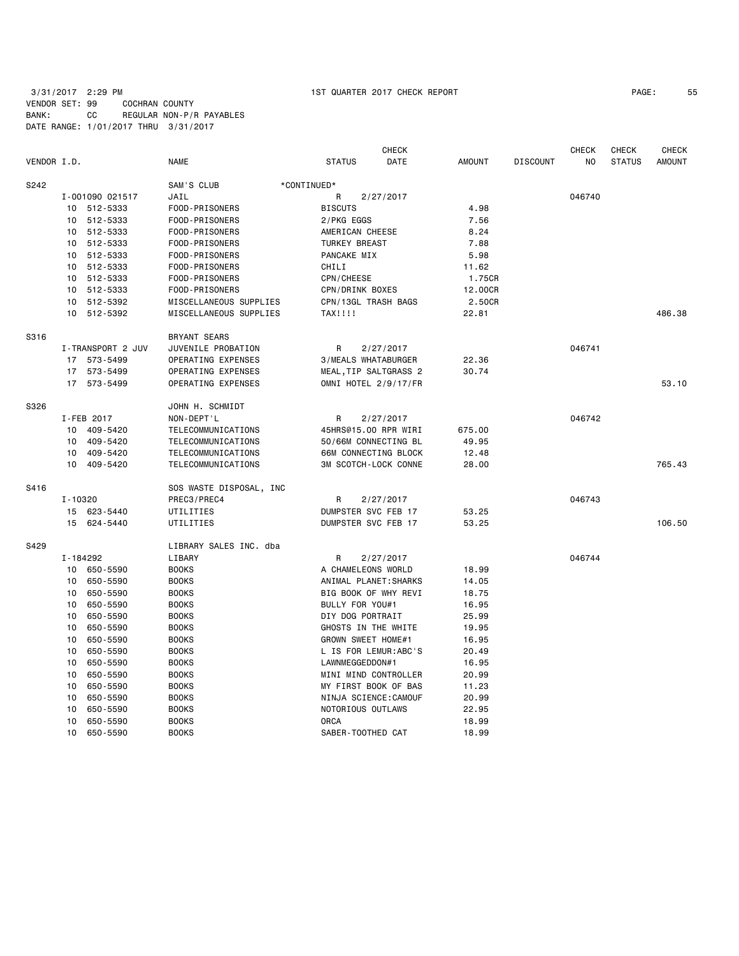|             |          |                   |                         |                             | <b>CHECK</b> |               |                 | <b>CHECK</b>   | <b>CHECK</b>  | <b>CHECK</b>  |
|-------------|----------|-------------------|-------------------------|-----------------------------|--------------|---------------|-----------------|----------------|---------------|---------------|
| VENDOR I.D. |          |                   | <b>NAME</b>             | <b>STATUS</b>               | DATE         | <b>AMOUNT</b> | <b>DISCOUNT</b> | N <sub>O</sub> | <b>STATUS</b> | <b>AMOUNT</b> |
| S242        |          |                   | SAM'S CLUB              | *CONTINUED*                 |              |               |                 |                |               |               |
|             |          | I-001090 021517   | JAIL                    | R                           | 2/27/2017    |               |                 | 046740         |               |               |
|             |          | 10 512-5333       | FOOD-PRISONERS          | <b>BISCUTS</b>              |              | 4.98          |                 |                |               |               |
|             | 10       | 512-5333          | FOOD-PRISONERS          | 2/PKG EGGS                  |              | 7.56          |                 |                |               |               |
|             | 10       | 512-5333          | FOOD-PRISONERS          | AMERICAN CHEESE             |              | 8.24          |                 |                |               |               |
|             | 10       | 512-5333          | FOOD-PRISONERS          | <b>TURKEY BREAST</b>        |              | 7.88          |                 |                |               |               |
|             | 10       | 512-5333          | FOOD-PRISONERS          | PANCAKE MIX                 |              | 5.98          |                 |                |               |               |
|             | 10       | 512-5333          | FOOD-PRISONERS          | CHILI                       |              | 11.62         |                 |                |               |               |
|             | 10       | 512-5333          | FOOD-PRISONERS          | CPN/CHEESE                  |              | 1.75CR        |                 |                |               |               |
|             | 10       | 512-5333          | FOOD-PRISONERS          | CPN/DRINK BOXES             |              | 12.00CR       |                 |                |               |               |
|             | 10       | 512-5392          | MISCELLANEOUS SUPPLIES  | CPN/13GL TRASH BAGS         |              | 2.50CR        |                 |                |               |               |
|             | 10       | 512-5392          | MISCELLANEOUS SUPPLIES  | TAX!!!!                     |              | 22.81         |                 |                |               | 486.38        |
| S316        |          |                   | BRYANT SEARS            |                             |              |               |                 |                |               |               |
|             |          | I-TRANSPORT 2 JUV | JUVENILE PROBATION      | R                           | 2/27/2017    |               |                 | 046741         |               |               |
|             |          | 17 573-5499       | OPERATING EXPENSES      | 3/MEALS WHATABURGER         |              | 22.36         |                 |                |               |               |
|             |          | 17 573-5499       | OPERATING EXPENSES      | MEAL, TIP SALTGRASS 2       |              | 30.74         |                 |                |               |               |
|             |          | 17 573-5499       | OPERATING EXPENSES      | OMNI HOTEL 2/9/17/FR        |              |               |                 |                |               | 53,10         |
| S326        |          |                   | JOHN H. SCHMIDT         |                             |              |               |                 |                |               |               |
|             |          | I-FEB 2017        | NON-DEPT'L              | R                           | 2/27/2017    |               |                 | 046742         |               |               |
|             | 10       | 409-5420          | TELECOMMUNICATIONS      | 45HRS@15.00 RPR WIRI        |              | 675.00        |                 |                |               |               |
|             | 10       | 409-5420          | TELECOMMUNICATIONS      | 50/66M CONNECTING BL        |              | 49.95         |                 |                |               |               |
|             | 10       | 409-5420          | TELECOMMUNICATIONS      | 66M CONNECTING BLOCK        |              | 12.48         |                 |                |               |               |
|             | 10       | 409-5420          | TELECOMMUNICATIONS      | <b>3M SCOTCH-LOCK CONNE</b> |              | 28.00         |                 |                |               | 765.43        |
| S416        |          |                   | SOS WASTE DISPOSAL, INC |                             |              |               |                 |                |               |               |
|             | I-10320  |                   | PREC3/PREC4             | R                           | 2/27/2017    |               |                 | 046743         |               |               |
|             |          | 15 623-5440       | UTILITIES               | DUMPSTER SVC FEB 17         |              | 53.25         |                 |                |               |               |
|             |          | 15 624-5440       | UTILITIES               | DUMPSTER SVC FEB 17         |              | 53.25         |                 |                |               | 106.50        |
| S429        |          |                   | LIBRARY SALES INC. dba  |                             |              |               |                 |                |               |               |
|             | I-184292 |                   | LIBARY                  | R                           | 2/27/2017    |               |                 | 046744         |               |               |
|             | 10       | 650-5590          | <b>BOOKS</b>            | A CHAMELEONS WORLD          |              | 18.99         |                 |                |               |               |
|             | 10       | 650-5590          | <b>BOOKS</b>            | ANIMAL PLANET: SHARKS       |              | 14.05         |                 |                |               |               |
|             | 10       | 650-5590          | <b>BOOKS</b>            | BIG BOOK OF WHY REVI        |              | 18.75         |                 |                |               |               |
|             | 10       | 650-5590          | <b>BOOKS</b>            | BULLY FOR YOU#1             |              | 16.95         |                 |                |               |               |
|             | 10       | 650-5590          | <b>BOOKS</b>            | DIY DOG PORTRAIT            |              | 25.99         |                 |                |               |               |
|             | 10       | 650-5590          | <b>BOOKS</b>            | GHOSTS IN THE WHITE         |              | 19.95         |                 |                |               |               |
|             | 10       | 650-5590          | <b>BOOKS</b>            | GROWN SWEET HOME#1          |              | 16.95         |                 |                |               |               |
|             | 10       | 650-5590          | <b>BOOKS</b>            | L IS FOR LEMUR:ABC'S        |              | 20.49         |                 |                |               |               |
|             | 10       | 650-5590          | <b>BOOKS</b>            | LAWNMEGGEDDON#1             |              | 16.95         |                 |                |               |               |
|             | 10       | 650-5590          | <b>BOOKS</b>            | MINI MIND CONTROLLER        |              | 20.99         |                 |                |               |               |
|             | 10       | 650-5590          | <b>BOOKS</b>            | MY FIRST BOOK OF BAS        |              | 11.23         |                 |                |               |               |
|             | 10       | 650-5590          | <b>BOOKS</b>            | NINJA SCIENCE: CAMOUF       |              | 20.99         |                 |                |               |               |
|             | 10       | 650-5590          | <b>BOOKS</b>            | NOTORIOUS OUTLAWS           |              | 22.95         |                 |                |               |               |
|             | 10       | 650-5590          | <b>BOOKS</b>            | <b>ORCA</b>                 |              | 18.99         |                 |                |               |               |
|             | 10       | 650-5590          | <b>BOOKS</b>            | SABER-TOOTHED CAT           |              | 18.99         |                 |                |               |               |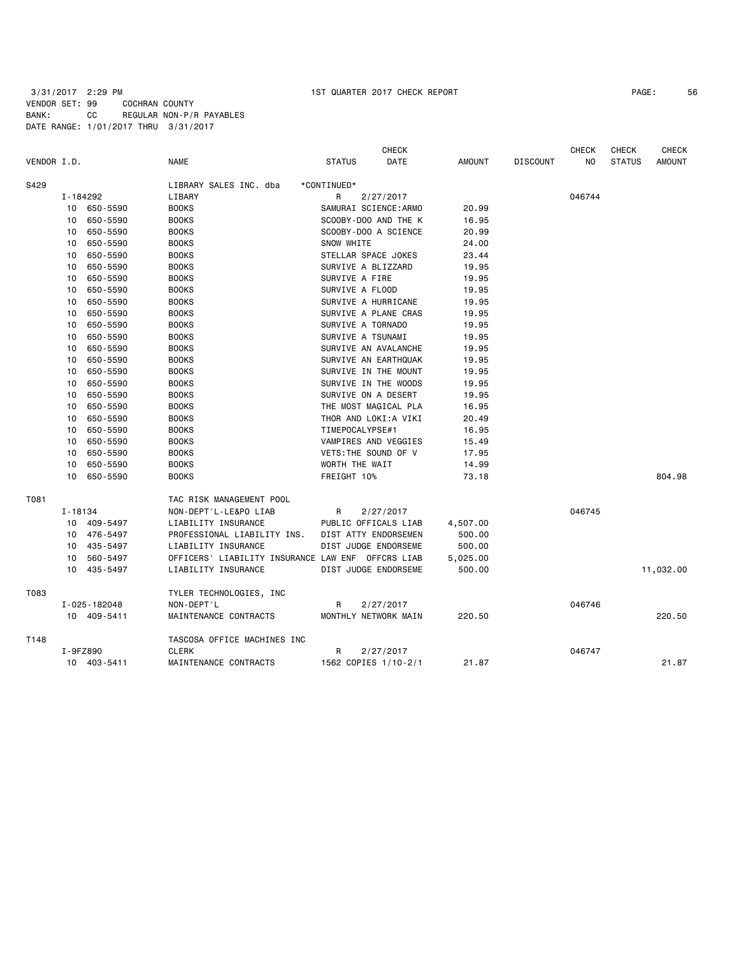| PAGE: | 56 |
|-------|----|
|-------|----|

| VENDOR I.D. |             |              | <b>NAME</b>                                       | <b>STATUS</b>         | <b>CHECK</b><br>DATE | AMOUNT   | <b>DISCOUNT</b> | <b>CHECK</b><br>NO | <b>CHECK</b><br><b>STATUS</b> | <b>CHECK</b><br><b>AMOUNT</b> |
|-------------|-------------|--------------|---------------------------------------------------|-----------------------|----------------------|----------|-----------------|--------------------|-------------------------------|-------------------------------|
|             |             |              |                                                   |                       |                      |          |                 |                    |                               |                               |
| S429        |             |              | LIBRARY SALES INC. dba                            | *CONTINUED*           |                      |          |                 |                    |                               |                               |
|             |             | I-184292     | LIBARY                                            | R                     | 2/27/2017            |          |                 | 046744             |                               |                               |
|             |             | 10 650-5590  | <b>BOOKS</b>                                      | SAMURAI SCIENCE: ARMO |                      | 20.99    |                 |                    |                               |                               |
|             | 10          | 650-5590     | <b>BOOKS</b>                                      |                       | SCOOBY-DOO AND THE K | 16.95    |                 |                    |                               |                               |
|             | 10          | 650-5590     | <b>BOOKS</b>                                      | SCOOBY-DOO A SCIENCE  |                      | 20.99    |                 |                    |                               |                               |
|             | 10          | 650-5590     | <b>BOOKS</b>                                      | SNOW WHITE            |                      | 24.00    |                 |                    |                               |                               |
|             | 10          | 650-5590     | <b>BOOKS</b>                                      | STELLAR SPACE JOKES   |                      | 23.44    |                 |                    |                               |                               |
|             | 10          | 650-5590     | <b>BOOKS</b>                                      | SURVIVE A BLIZZARD    |                      | 19.95    |                 |                    |                               |                               |
|             | 10          | 650-5590     | <b>BOOKS</b>                                      | SURVIVE A FIRE        |                      | 19.95    |                 |                    |                               |                               |
|             | 10          | 650-5590     | <b>BOOKS</b>                                      | SURVIVE A FLOOD       |                      | 19.95    |                 |                    |                               |                               |
|             | 10          | 650-5590     | <b>BOOKS</b>                                      | SURVIVE A HURRICANE   |                      | 19.95    |                 |                    |                               |                               |
|             | 10          | 650-5590     | <b>BOOKS</b>                                      | SURVIVE A PLANE CRAS  |                      | 19.95    |                 |                    |                               |                               |
|             | 10          | 650-5590     | <b>BOOKS</b>                                      | SURVIVE A TORNADO     |                      | 19.95    |                 |                    |                               |                               |
|             | 10          | 650-5590     | <b>BOOKS</b>                                      | SURVIVE A TSUNAMI     |                      | 19.95    |                 |                    |                               |                               |
|             | 10          | 650-5590     | <b>BOOKS</b>                                      | SURVIVE AN AVALANCHE  |                      | 19.95    |                 |                    |                               |                               |
|             | 10          | 650-5590     | <b>BOOKS</b>                                      |                       | SURVIVE AN EARTHQUAK | 19.95    |                 |                    |                               |                               |
|             | 10          | 650-5590     | <b>BOOKS</b>                                      | SURVIVE IN THE MOUNT  |                      | 19.95    |                 |                    |                               |                               |
|             | 10          | 650-5590     | <b>BOOKS</b>                                      | SURVIVE IN THE WOODS  |                      | 19.95    |                 |                    |                               |                               |
|             | 10          | 650-5590     | <b>BOOKS</b>                                      | SURVIVE ON A DESERT   |                      | 19.95    |                 |                    |                               |                               |
|             | 10          | 650-5590     | <b>BOOKS</b>                                      | THE MOST MAGICAL PLA  |                      | 16.95    |                 |                    |                               |                               |
|             | 10          | 650-5590     | <b>BOOKS</b>                                      | THOR AND LOKI:A VIKI  |                      | 20.49    |                 |                    |                               |                               |
|             | 10          | 650-5590     | <b>BOOKS</b>                                      | TIMEPOCALYPSE#1       |                      | 16.95    |                 |                    |                               |                               |
|             | 10          | 650-5590     | <b>BOOKS</b>                                      | VAMPIRES AND VEGGIES  |                      | 15.49    |                 |                    |                               |                               |
|             | 10          | 650-5590     | <b>BOOKS</b>                                      | VETS: THE SOUND OF V  |                      | 17.95    |                 |                    |                               |                               |
|             | 10          | 650-5590     | <b>BOOKS</b>                                      | WORTH THE WAIT        |                      | 14.99    |                 |                    |                               |                               |
|             | 10          | 650-5590     | <b>BOOKS</b>                                      | FREIGHT 10%           |                      | 73.18    |                 |                    |                               | 804.98                        |
| T081        |             |              | TAC RISK MANAGEMENT POOL                          |                       |                      |          |                 |                    |                               |                               |
|             | $I - 18134$ |              | NON-DEPT'L-LE&PO LIAB                             | R                     | 2/27/2017            |          |                 | 046745             |                               |                               |
|             |             | 10 409-5497  | LIABILITY INSURANCE                               |                       | PUBLIC OFFICALS LIAB | 4,507.00 |                 |                    |                               |                               |
|             |             | 10 476-5497  | PROFESSIONAL LIABILITY INS.                       | DIST ATTY ENDORSEMEN  |                      | 500.00   |                 |                    |                               |                               |
|             | 10          | 435-5497     | LIABILITY INSURANCE                               | DIST JUDGE ENDORSEME  |                      | 500.00   |                 |                    |                               |                               |
|             | 10          | 560-5497     | OFFICERS' LIABILITY INSURANCE LAW ENF OFFCRS LIAB |                       |                      | 5,025.00 |                 |                    |                               |                               |
|             |             | 10 435-5497  | LIABILITY INSURANCE                               |                       | DIST JUDGE ENDORSEME | 500.00   |                 |                    |                               | 11,032.00                     |
| T083        |             |              | TYLER TECHNOLOGIES, INC                           |                       |                      |          |                 |                    |                               |                               |
|             |             | I-025-182048 | NON-DEPT'L                                        | R                     | 2/27/2017            |          |                 | 046746             |                               |                               |
|             |             | 10 409-5411  | MAINTENANCE CONTRACTS                             | MONTHLY NETWORK MAIN  |                      | 220.50   |                 |                    |                               | 220.50                        |
| T148        |             |              | TASCOSA OFFICE MACHINES INC                       |                       |                      |          |                 |                    |                               |                               |
|             |             | I-9FZ890     | <b>CLERK</b>                                      | R                     | 2/27/2017            |          |                 | 046747             |                               |                               |
|             |             | 10 403-5411  | MAINTENANCE CONTRACTS                             | 1562 COPIES 1/10-2/1  |                      | 21.87    |                 |                    |                               | 21.87                         |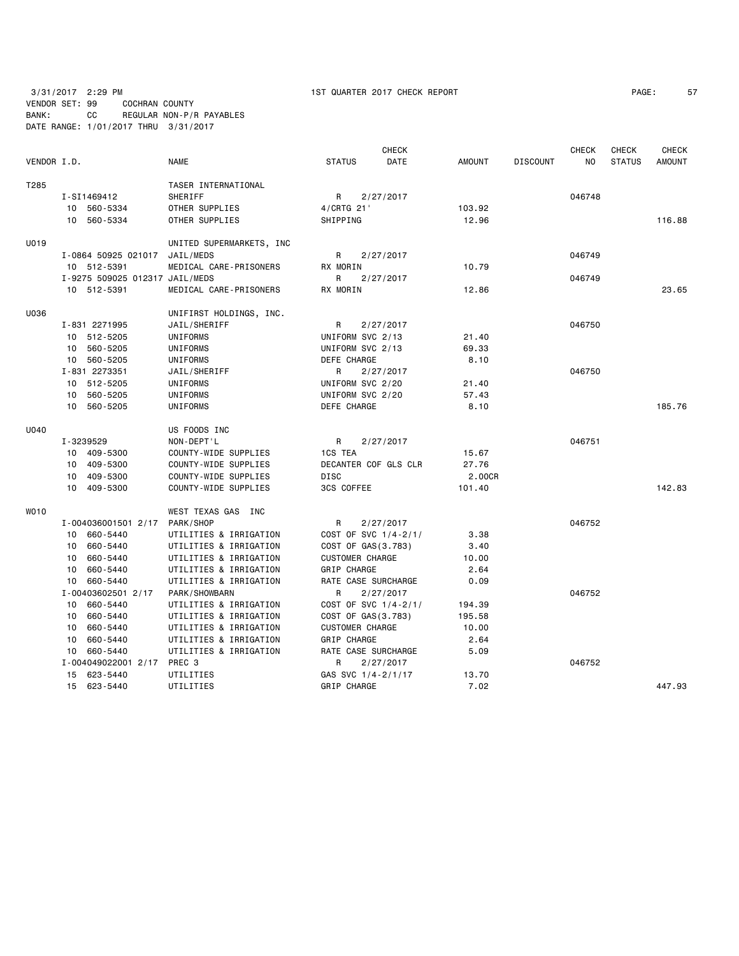| PAGE: |  |
|-------|--|
|       |  |

|             |                                |                          |                        | <b>CHECK</b>         |               |                 | <b>CHECK</b> | <b>CHECK</b>  | <b>CHECK</b>  |
|-------------|--------------------------------|--------------------------|------------------------|----------------------|---------------|-----------------|--------------|---------------|---------------|
| VENDOR I.D. |                                | <b>NAME</b>              | <b>STATUS</b>          | DATE                 | <b>AMOUNT</b> | <b>DISCOUNT</b> | NO.          | <b>STATUS</b> | <b>AMOUNT</b> |
| T285        |                                | TASER INTERNATIONAL      |                        |                      |               |                 |              |               |               |
|             | I-SI1469412                    | <b>SHERIFF</b>           | R                      | 2/27/2017            |               |                 | 046748       |               |               |
|             | 10 560-5334                    | OTHER SUPPLIES           | 4/CRTG 21'             |                      | 103.92        |                 |              |               |               |
|             | 10 560-5334                    | OTHER SUPPLIES           | SHIPPING               |                      | 12.96         |                 |              |               | 116.88        |
| U019        |                                | UNITED SUPERMARKETS, INC |                        |                      |               |                 |              |               |               |
|             | I-0864 50925 021017            | JAIL/MEDS                | R                      | 2/27/2017            |               |                 | 046749       |               |               |
|             | 10 512-5391                    | MEDICAL CARE-PRISONERS   | RX MORIN               |                      | 10.79         |                 |              |               |               |
|             | I-9275 509025 012317 JAIL/MEDS |                          | R                      | 2/27/2017            |               |                 | 046749       |               |               |
|             | 10 512-5391                    | MEDICAL CARE-PRISONERS   | RX MORIN               |                      | 12.86         |                 |              |               | 23.65         |
| U036        |                                | UNIFIRST HOLDINGS, INC.  |                        |                      |               |                 |              |               |               |
|             | I-831 2271995                  | JAIL/SHERIFF             | R                      | 2/27/2017            |               |                 | 046750       |               |               |
|             | 10 512-5205                    | UNIFORMS                 | UNIFORM SVC 2/13       |                      | 21.40         |                 |              |               |               |
|             | 10 560-5205                    | UNIFORMS                 | UNIFORM SVC 2/13       |                      | 69.33         |                 |              |               |               |
|             | 10 560-5205                    | UNIFORMS                 | DEFE CHARGE            |                      | 8.10          |                 |              |               |               |
|             | I-831 2273351                  | JAIL/SHERIFF             | R                      | 2/27/2017            |               |                 | 046750       |               |               |
|             | 10 512-5205                    | UNIFORMS                 | UNIFORM SVC 2/20       |                      | 21.40         |                 |              |               |               |
|             | 10 560-5205                    | UNIFORMS                 | UNIFORM SVC 2/20       |                      | 57.43         |                 |              |               |               |
|             | 10 560-5205                    | UNIFORMS                 | DEFE CHARGE            |                      | 8.10          |                 |              |               | 185.76        |
| U040        |                                | US FOODS INC             |                        |                      |               |                 |              |               |               |
|             | I-3239529                      | NON-DEPT'L               | R                      | 2/27/2017            |               |                 | 046751       |               |               |
|             | 10 409-5300                    | COUNTY-WIDE SUPPLIES     | 1CS TEA                |                      | 15.67         |                 |              |               |               |
|             | 10 409-5300                    | COUNTY-WIDE SUPPLIES     | DECANTER COF GLS CLR   |                      | 27.76         |                 |              |               |               |
|             | 10 409-5300                    | COUNTY-WIDE SUPPLIES     | DISC                   |                      | 2.00CR        |                 |              |               |               |
|             | 10 409-5300                    | COUNTY-WIDE SUPPLIES     | 3CS COFFEE             |                      | 101.40        |                 |              |               | 142.83        |
| WO10        |                                | WEST TEXAS GAS INC       |                        |                      |               |                 |              |               |               |
|             | I-004036001501 2/17 PARK/SHOP  |                          | R                      | 2/27/2017            |               |                 | 046752       |               |               |
|             | 10 660-5440                    | UTILITIES & IRRIGATION   |                        | COST OF SVC 1/4-2/1/ | 3.38          |                 |              |               |               |
|             | 10 660-5440                    | UTILITIES & IRRIGATION   | COST OF GAS (3.783)    |                      | 3.40          |                 |              |               |               |
|             | 10 660-5440                    | UTILITIES & IRRIGATION   | <b>CUSTOMER CHARGE</b> |                      | 10.00         |                 |              |               |               |
|             | 10 660-5440                    | UTILITIES & IRRIGATION   | GRIP CHARGE            |                      | 2.64          |                 |              |               |               |
|             | 10 660-5440                    | UTILITIES & IRRIGATION   | RATE CASE SURCHARGE    |                      | 0.09          |                 |              |               |               |
|             | I-00403602501 2/17             | PARK/SHOWBARN            | R.                     | 2/27/2017            |               |                 | 046752       |               |               |
|             | 10 660-5440                    | UTILITIES & IRRIGATION   |                        | COST OF SVC 1/4-2/1/ | 194.39        |                 |              |               |               |
|             | 10 660-5440                    | UTILITIES & IRRIGATION   | COST OF GAS(3.783)     |                      | 195.58        |                 |              |               |               |
|             | 10 660-5440                    | UTILITIES & IRRIGATION   | <b>CUSTOMER CHARGE</b> |                      | 10.00         |                 |              |               |               |
|             | 10<br>660-5440                 | UTILITIES & IRRIGATION   | GRIP CHARGE            |                      | 2.64          |                 |              |               |               |
|             | 10 660-5440                    | UTILITIES & IRRIGATION   | RATE CASE SURCHARGE    |                      | 5.09          |                 |              |               |               |
|             | I-004049022001 2/17            | PREC 3                   | R                      | 2/27/2017            |               |                 | 046752       |               |               |
|             | 15 623-5440                    | UTILITIES                | GAS SVC 1/4-2/1/17     |                      | 13.70         |                 |              |               |               |
|             | 15 623-5440                    | UTILITIES                | <b>GRIP CHARGE</b>     |                      | 7.02          |                 |              |               | 447.93        |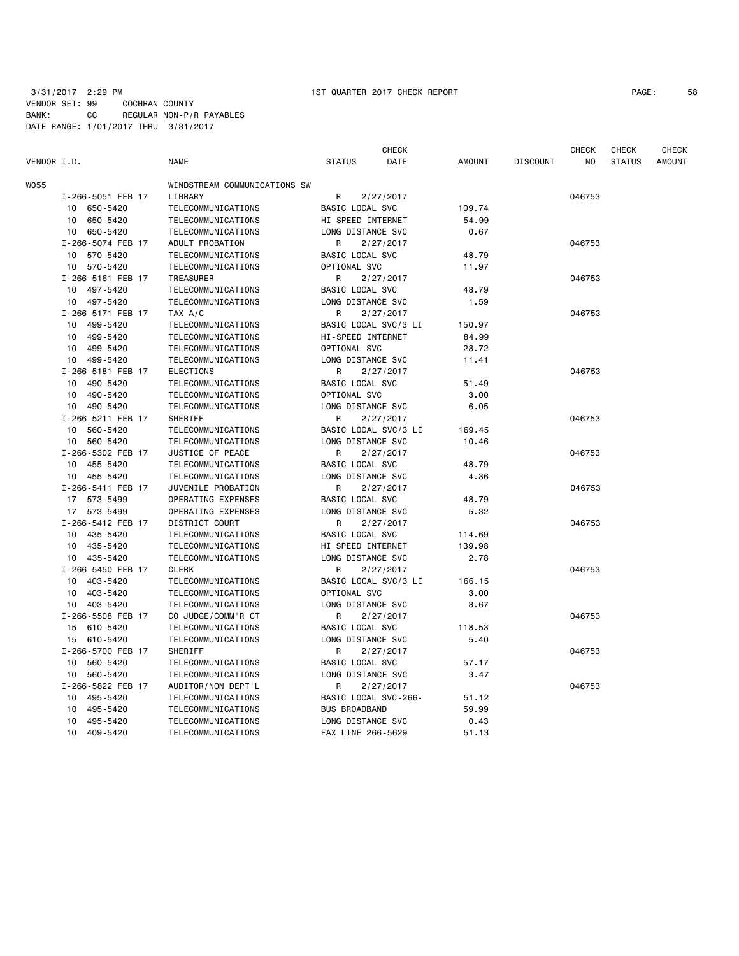| VENDOR I.D. |                   | <b>NAME</b>                  | <b>STATUS</b>        | <b>CHECK</b><br>DATE | <b>AMOUNT</b> | <b>DISCOUNT</b> | CHECK<br>NO. | <b>CHECK</b><br><b>STATUS</b> | <b>CHECK</b><br><b>AMOUNT</b> |
|-------------|-------------------|------------------------------|----------------------|----------------------|---------------|-----------------|--------------|-------------------------------|-------------------------------|
| W055        |                   | WINDSTREAM COMMUNICATIONS SW |                      |                      |               |                 |              |                               |                               |
|             | I-266-5051 FEB 17 | LIBRARY                      | R                    | 2/27/2017            |               |                 | 046753       |                               |                               |
|             | 650-5420<br>10    | TELECOMMUNICATIONS           | BASIC LOCAL SVC      |                      | 109.74        |                 |              |                               |                               |
|             | 650-5420<br>10    | TELECOMMUNICATIONS           | HI SPEED INTERNET    |                      | 54.99         |                 |              |                               |                               |
|             | 10 650-5420       | TELECOMMUNICATIONS           | LONG DISTANCE SVC    |                      | 0.67          |                 |              |                               |                               |
|             | I-266-5074 FEB 17 | ADULT PROBATION              | R                    | 2/27/2017            |               |                 | 046753       |                               |                               |
|             | 10 570-5420       | TELECOMMUNICATIONS           | BASIC LOCAL SVC      |                      | 48.79         |                 |              |                               |                               |
|             | 570-5420<br>10    | TELECOMMUNICATIONS           | OPTIONAL SVC         |                      | 11.97         |                 |              |                               |                               |
|             | I-266-5161 FEB 17 | <b>TREASURER</b>             | R                    | 2/27/2017            |               |                 | 046753       |                               |                               |
|             | 10 497-5420       | TELECOMMUNICATIONS           | BASIC LOCAL SVC      |                      | 48.79         |                 |              |                               |                               |
|             | 10 497-5420       | TELECOMMUNICATIONS           | LONG DISTANCE SVC    |                      | 1.59          |                 |              |                               |                               |
|             | I-266-5171 FEB 17 | TAX A/C                      | R                    | 2/27/2017            |               |                 | 046753       |                               |                               |
|             | 499-5420<br>10    | TELECOMMUNICATIONS           | BASIC LOCAL SVC/3 LI |                      | 150.97        |                 |              |                               |                               |
|             | 499-5420<br>10    | TELECOMMUNICATIONS           | HI-SPEED INTERNET    |                      | 84.99         |                 |              |                               |                               |
|             | 499-5420<br>10    | TELECOMMUNICATIONS           | OPTIONAL SVC         |                      | 28.72         |                 |              |                               |                               |
|             | 499-5420<br>10    | TELECOMMUNICATIONS           | LONG DISTANCE SVC    |                      | 11.41         |                 |              |                               |                               |
|             | I-266-5181 FEB 17 | <b>ELECTIONS</b>             | R                    | 2/27/2017            |               |                 | 046753       |                               |                               |
|             | 490-5420<br>10    | TELECOMMUNICATIONS           | BASIC LOCAL SVC      |                      | 51.49         |                 |              |                               |                               |
|             | 490-5420<br>10    | TELECOMMUNICATIONS           | OPTIONAL SVC         |                      | 3.00          |                 |              |                               |                               |
|             | 490-5420<br>10    | TELECOMMUNICATIONS           | LONG DISTANCE SVC    |                      | 6.05          |                 |              |                               |                               |
|             | I-266-5211 FEB 17 | SHERIFF                      | R                    | 2/27/2017            |               |                 | 046753       |                               |                               |
|             | 10 560-5420       | TELECOMMUNICATIONS           | BASIC LOCAL SVC/3 LI |                      | 169.45        |                 |              |                               |                               |
|             | 10 560-5420       | TELECOMMUNICATIONS           | LONG DISTANCE SVC    |                      | 10.46         |                 |              |                               |                               |
|             | I-266-5302 FEB 17 | JUSTICE OF PEACE             | R                    | 2/27/2017            |               |                 | 046753       |                               |                               |
|             | 10 455-5420       | TELECOMMUNICATIONS           | BASIC LOCAL SVC      |                      | 48.79         |                 |              |                               |                               |
|             | 455-5420<br>10    | TELECOMMUNICATIONS           | LONG DISTANCE SVC    |                      | 4.36          |                 |              |                               |                               |
|             | I-266-5411 FEB 17 | JUVENILE PROBATION           | R                    | 2/27/2017            |               |                 | 046753       |                               |                               |
|             | 17 573-5499       | OPERATING EXPENSES           | BASIC LOCAL SVC      |                      | 48.79         |                 |              |                               |                               |
|             | 17 573-5499       | OPERATING EXPENSES           | LONG DISTANCE SVC    |                      | 5.32          |                 |              |                               |                               |
|             | I-266-5412 FEB 17 | DISTRICT COURT               | R                    | 2/27/2017            |               |                 | 046753       |                               |                               |
|             | 10 435-5420       | TELECOMMUNICATIONS           | BASIC LOCAL SVC      |                      | 114.69        |                 |              |                               |                               |
|             | 435-5420<br>10    | TELECOMMUNICATIONS           | HI SPEED INTERNET    |                      | 139.98        |                 |              |                               |                               |
|             | 10 435-5420       | TELECOMMUNICATIONS           | LONG DISTANCE SVC    |                      | 2.78          |                 |              |                               |                               |
|             | I-266-5450 FEB 17 | <b>CLERK</b>                 | R                    | 2/27/2017            |               |                 | 046753       |                               |                               |
|             | 403-5420<br>10    | TELECOMMUNICATIONS           | BASIC LOCAL SVC/3 LI |                      | 166.15        |                 |              |                               |                               |
|             | 403-5420<br>10    | TELECOMMUNICATIONS           | OPTIONAL SVC         |                      | 3.00          |                 |              |                               |                               |
|             | 403-5420<br>10    | TELECOMMUNICATIONS           | LONG DISTANCE SVC    |                      | 8.67          |                 |              |                               |                               |
|             | I-266-5508 FEB 17 | CO JUDGE/COMM'R CT           | R                    | 2/27/2017            |               |                 | 046753       |                               |                               |
|             | 15<br>610-5420    | TELECOMMUNICATIONS           | BASIC LOCAL SVC      |                      | 118.53        |                 |              |                               |                               |
|             | 15<br>610-5420    | TELECOMMUNICATIONS           | LONG DISTANCE SVC    |                      | 5.40          |                 |              |                               |                               |
|             | I-266-5700 FEB 17 | SHERIFF                      | R                    | 2/27/2017            |               |                 | 046753       |                               |                               |
|             | 560-5420<br>10    | TELECOMMUNICATIONS           | BASIC LOCAL SVC      |                      | 57.17         |                 |              |                               |                               |
|             | 10 560-5420       | TELECOMMUNICATIONS           | LONG DISTANCE SVC    |                      | 3.47          |                 |              |                               |                               |
|             | I-266-5822 FEB 17 | AUDITOR/NON DEPT'L           | R                    | 2/27/2017            |               |                 | 046753       |                               |                               |
|             | 495-5420<br>10    | TELECOMMUNICATIONS           | BASIC LOCAL SVC-266- |                      | 51.12         |                 |              |                               |                               |
|             | 495-5420<br>10    | TELECOMMUNICATIONS           | <b>BUS BROADBAND</b> |                      | 59.99         |                 |              |                               |                               |
|             | 495-5420<br>10    | TELECOMMUNICATIONS           | LONG DISTANCE SVC    |                      | 0.43          |                 |              |                               |                               |
|             | 10<br>409-5420    | TELECOMMUNICATIONS           | FAX LINE 266-5629    |                      | 51.13         |                 |              |                               |                               |
|             |                   |                              |                      |                      |               |                 |              |                               |                               |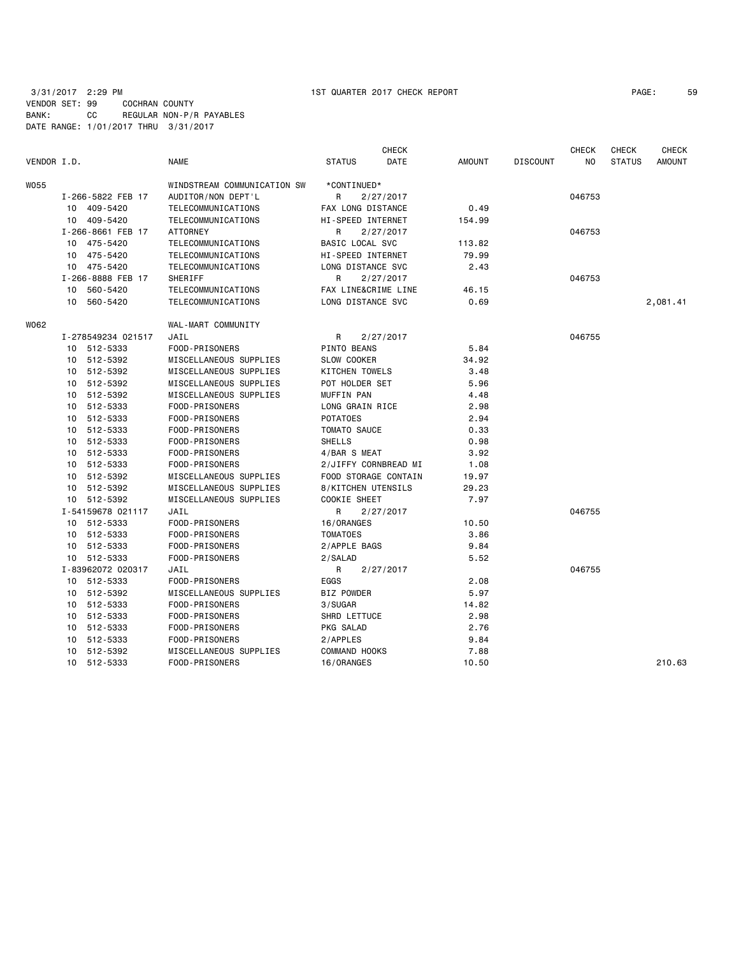| PAGE : | 59 |
|--------|----|
|--------|----|

| VENDOR I.D. |    |                    | <b>NAME</b>                 | <b>STATUS</b>        | <b>CHECK</b><br><b>DATE</b> | <b>AMOUNT</b> | <b>DISCOUNT</b> | <b>CHECK</b><br>NO. | <b>CHECK</b><br><b>STATUS</b> | <b>CHECK</b><br><b>AMOUNT</b> |
|-------------|----|--------------------|-----------------------------|----------------------|-----------------------------|---------------|-----------------|---------------------|-------------------------------|-------------------------------|
| W055        |    |                    | WINDSTREAM COMMUNICATION SW | *CONTINUED*          |                             |               |                 |                     |                               |                               |
|             |    | I-266-5822 FEB 17  | AUDITOR/NON DEPT'L          | R                    | 2/27/2017                   |               |                 | 046753              |                               |                               |
|             |    | 10 409-5420        | TELECOMMUNICATIONS          | FAX LONG DISTANCE    |                             | 0.49          |                 |                     |                               |                               |
|             |    | 10 409-5420        | TELECOMMUNICATIONS          | HI-SPEED INTERNET    |                             | 154.99        |                 |                     |                               |                               |
|             |    | I-266-8661 FEB 17  | <b>ATTORNEY</b>             | R                    | 2/27/2017                   |               |                 | 046753              |                               |                               |
|             |    | 10 475-5420        | TELECOMMUNICATIONS          | BASIC LOCAL SVC      |                             | 113.82        |                 |                     |                               |                               |
|             |    | 10 475-5420        | TELECOMMUNICATIONS          | HI-SPEED INTERNET    |                             | 79.99         |                 |                     |                               |                               |
|             |    | 10 475-5420        | TELECOMMUNICATIONS          | LONG DISTANCE SVC    |                             | 2.43          |                 |                     |                               |                               |
|             |    | I-266-8888 FEB 17  | SHERIFF                     | R                    | 2/27/2017                   |               |                 | 046753              |                               |                               |
|             | 10 | 560-5420           | TELECOMMUNICATIONS          | FAX LINE&CRIME LINE  |                             | 46.15         |                 |                     |                               |                               |
|             | 10 | 560-5420           | TELECOMMUNICATIONS          | LONG DISTANCE SVC    |                             | 0.69          |                 |                     |                               | 2,081.41                      |
| W062        |    |                    | WAL-MART COMMUNITY          |                      |                             |               |                 |                     |                               |                               |
|             |    | I-278549234 021517 | JAIL                        | R                    | 2/27/2017                   |               |                 | 046755              |                               |                               |
|             |    | 10 512-5333        | FOOD-PRISONERS              | PINTO BEANS          |                             | 5.84          |                 |                     |                               |                               |
|             |    | 10 512-5392        | MISCELLANEOUS SUPPLIES      | <b>SLOW COOKER</b>   |                             | 34.92         |                 |                     |                               |                               |
|             | 10 | 512-5392           | MISCELLANEOUS SUPPLIES      | KITCHEN TOWELS       |                             | 3.48          |                 |                     |                               |                               |
|             |    | 10 512-5392        | MISCELLANEOUS SUPPLIES      | POT HOLDER SET       |                             | 5.96          |                 |                     |                               |                               |
|             |    | 10 512-5392        | MISCELLANEOUS SUPPLIES      | MUFFIN PAN           |                             | 4.48          |                 |                     |                               |                               |
|             | 10 | 512-5333           | FOOD-PRISONERS              | LONG GRAIN RICE      |                             | 2.98          |                 |                     |                               |                               |
|             | 10 | 512-5333           | FOOD-PRISONERS              | <b>POTATOES</b>      |                             | 2.94          |                 |                     |                               |                               |
|             |    | 10 512-5333        | FOOD-PRISONERS              | TOMATO SAUCE         |                             | 0.33          |                 |                     |                               |                               |
|             |    | 10 512-5333        | FOOD-PRISONERS              | <b>SHELLS</b>        |                             | 0.98          |                 |                     |                               |                               |
|             | 10 | 512-5333           | FOOD-PRISONERS              | 4/BAR S MEAT         |                             | 3.92          |                 |                     |                               |                               |
|             |    | 10 512-5333        | FOOD-PRISONERS              |                      | 2/JIFFY CORNBREAD MI        | 1.08          |                 |                     |                               |                               |
|             | 10 | 512-5392           | MISCELLANEOUS SUPPLIES      |                      | FOOD STORAGE CONTAIN        | 19.97         |                 |                     |                               |                               |
|             | 10 | 512-5392           | MISCELLANEOUS SUPPLIES      | 8/KITCHEN UTENSILS   |                             | 29.23         |                 |                     |                               |                               |
|             |    | 10 512-5392        | MISCELLANEOUS SUPPLIES      | COOKIE SHEET         |                             | 7.97          |                 |                     |                               |                               |
|             |    | I-54159678 021117  | JAIL                        | R                    | 2/27/2017                   |               |                 | 046755              |                               |                               |
|             |    | 10 512-5333        | FOOD-PRISONERS              | 16/0RANGES           |                             | 10.50         |                 |                     |                               |                               |
|             | 10 | 512-5333           | FOOD-PRISONERS              | <b>TOMATOES</b>      |                             | 3.86          |                 |                     |                               |                               |
|             | 10 | 512-5333           | FOOD-PRISONERS              | 2/APPLE BAGS         |                             | 9.84          |                 |                     |                               |                               |
|             |    | 10 512-5333        | FOOD-PRISONERS              | 2/SALAD              |                             | 5.52          |                 |                     |                               |                               |
|             |    | I-83962072 020317  | JAIL                        | R                    | 2/27/2017                   |               |                 | 046755              |                               |                               |
|             |    | 10 512-5333        | FOOD-PRISONERS              | EGGS                 |                             | 2.08          |                 |                     |                               |                               |
|             |    | 10 512-5392        | MISCELLANEOUS SUPPLIES      | BIZ POWDER           |                             | 5.97          |                 |                     |                               |                               |
|             |    | 10 512-5333        | FOOD-PRISONERS              | 3/SUGAR              |                             | 14.82         |                 |                     |                               |                               |
|             | 10 | 512-5333           | FOOD-PRISONERS              | SHRD LETTUCE         |                             | 2.98          |                 |                     |                               |                               |
|             | 10 | 512-5333           | FOOD-PRISONERS              | PKG SALAD            |                             | 2.76          |                 |                     |                               |                               |
|             | 10 | 512-5333           | FOOD-PRISONERS              | 2/APPLES             |                             | 9.84          |                 |                     |                               |                               |
|             | 10 | 512-5392           | MISCELLANEOUS SUPPLIES      | <b>COMMAND HOOKS</b> |                             | 7.88          |                 |                     |                               |                               |
|             |    | 10 512-5333        | FOOD-PRISONERS              | 16/0RANGES           |                             | 10.50         |                 |                     |                               | 210.63                        |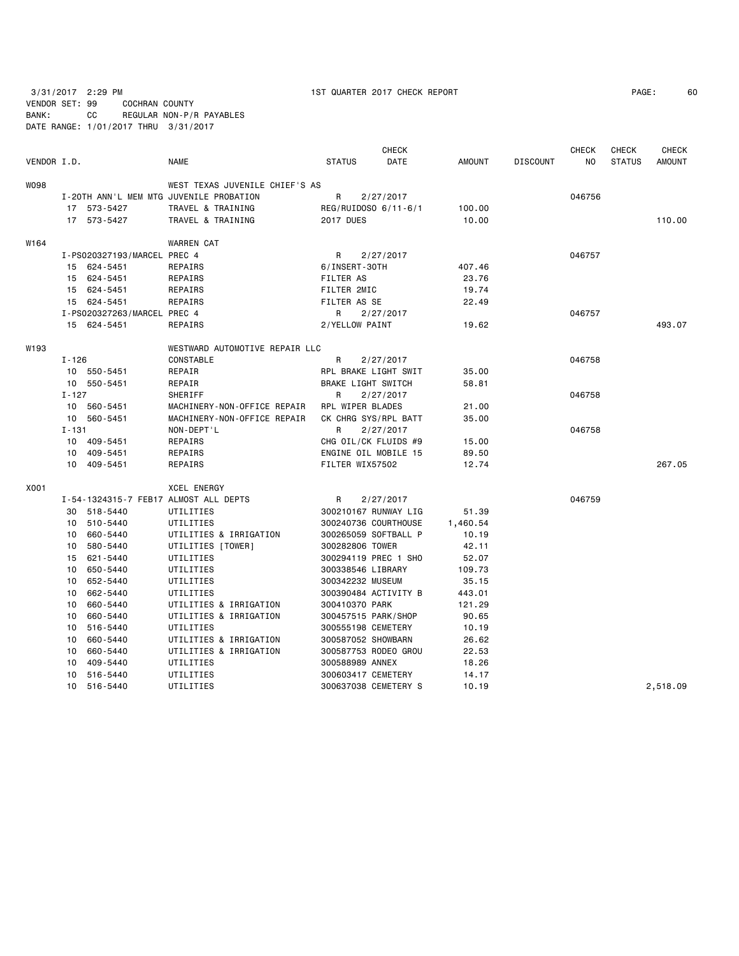| VENDOR I.D. |           |                             | <b>NAME</b>                             | <b>STATUS</b>        | <b>CHECK</b><br>DATE | <b>AMOUNT</b> | <b>DISCOUNT</b> | <b>CHECK</b><br>ΝO | <b>CHECK</b><br><b>STATUS</b> | <b>CHECK</b><br><b>AMOUNT</b> |
|-------------|-----------|-----------------------------|-----------------------------------------|----------------------|----------------------|---------------|-----------------|--------------------|-------------------------------|-------------------------------|
| WO98        |           |                             | WEST TEXAS JUVENILE CHIEF'S AS          |                      |                      |               |                 |                    |                               |                               |
|             |           |                             | I-20TH ANN'L MEM MTG JUVENILE PROBATION | R                    | 2/27/2017            |               |                 | 046756             |                               |                               |
|             |           | 17 573-5427                 | TRAVEL & TRAINING                       | REG/RUIDOSO 6/11-6/1 |                      | 100.00        |                 |                    |                               |                               |
|             |           | 17 573-5427                 | TRAVEL & TRAINING                       | <b>2017 DUES</b>     |                      | 10.00         |                 |                    |                               | 110.00                        |
| W164        |           |                             | <b>WARREN CAT</b>                       |                      |                      |               |                 |                    |                               |                               |
|             |           | I-PS020327193/MARCEL PREC 4 |                                         | R                    | 2/27/2017            |               |                 | 046757             |                               |                               |
|             |           | 15 624-5451                 | REPAIRS                                 | 6/INSERT-30TH        |                      | 407.46        |                 |                    |                               |                               |
|             |           | 15 624-5451                 | REPAIRS                                 | <b>FILTER AS</b>     |                      | 23.76         |                 |                    |                               |                               |
|             |           | 15 624-5451                 | REPAIRS                                 | FILTER 2MIC          |                      | 19.74         |                 |                    |                               |                               |
|             |           | 15 624-5451                 | REPAIRS                                 | FILTER AS SE         |                      | 22.49         |                 |                    |                               |                               |
|             |           | I-PS020327263/MARCEL PREC 4 |                                         | R.                   | 2/27/2017            |               |                 | 046757             |                               |                               |
|             |           | 15 624-5451                 | REPAIRS                                 | 2/YELLOW PAINT       |                      | 19.62         |                 |                    |                               | 493.07                        |
| W193        |           |                             | WESTWARD AUTOMOTIVE REPAIR LLC          |                      |                      |               |                 |                    |                               |                               |
|             | I-126     |                             | CONSTABLE                               | R                    | 2/27/2017            |               |                 | 046758             |                               |                               |
|             |           | 10 550-5451                 | REPAIR                                  | RPL BRAKE LIGHT SWIT |                      | 35.00         |                 |                    |                               |                               |
|             |           | 10 550-5451                 | REPAIR                                  | BRAKE LIGHT SWITCH   |                      | 58.81         |                 |                    |                               |                               |
|             | $I - 127$ |                             | SHERIFF                                 | R                    | 2/27/2017            |               |                 | 046758             |                               |                               |
|             |           | 10 560-5451                 | MACHINERY-NON-OFFICE REPAIR             | RPL WIPER BLADES     |                      | 21.00         |                 |                    |                               |                               |
|             |           | 10 560-5451                 | MACHINERY-NON-OFFICE REPAIR             | CK CHRG SYS/RPL BATT |                      | 35.00         |                 |                    |                               |                               |
|             | $I - 131$ |                             | NON-DEPT'L                              | R                    | 2/27/2017            |               |                 | 046758             |                               |                               |
|             |           | 10 409-5451                 | REPAIRS                                 | CHG OIL/CK FLUIDS #9 |                      | 15.00         |                 |                    |                               |                               |
|             |           | 10 409-5451                 | REPAIRS                                 | ENGINE OIL MOBILE 15 |                      | 89.50         |                 |                    |                               |                               |
|             |           | 10 409-5451                 | REPAIRS                                 | FILTER WIX57502      |                      | 12.74         |                 |                    |                               | 267.05                        |
| X001        |           |                             | <b>XCEL ENERGY</b>                      |                      |                      |               |                 |                    |                               |                               |
|             |           |                             | I-54-1324315-7 FEB17 ALMOST ALL DEPTS   | R                    | 2/27/2017            |               |                 | 046759             |                               |                               |
|             |           | 30 518-5440                 | UTILITIES                               | 300210167 RUNWAY LIG |                      | 51.39         |                 |                    |                               |                               |
|             |           | 10 510-5440                 | UTILITIES                               | 300240736 COURTHOUSE |                      | 1,460.54      |                 |                    |                               |                               |
|             |           | 10 660-5440                 | UTILITIES & IRRIGATION                  | 300265059 SOFTBALL P |                      | 10.19         |                 |                    |                               |                               |
|             |           | 10 580-5440                 | UTILITIES [TOWER]                       | 300282806 TOWER      |                      | 42.11         |                 |                    |                               |                               |
|             |           | 15 621-5440                 | UTILITIES                               | 300294119 PREC 1 SHO |                      | 52.07         |                 |                    |                               |                               |
|             |           | 10 650-5440                 | UTILITIES                               | 300338546 LIBRARY    |                      | 109.73        |                 |                    |                               |                               |
|             |           | 10 652-5440                 | UTILITIES                               | 300342232 MUSEUM     |                      | 35.15         |                 |                    |                               |                               |
|             |           | 10 662-5440                 | UTILITIES                               | 300390484 ACTIVITY B |                      | 443.01        |                 |                    |                               |                               |
|             |           | 10 660-5440                 | UTILITIES & IRRIGATION                  | 300410370 PARK       |                      | 121.29        |                 |                    |                               |                               |
|             |           | 10 660-5440                 | UTILITIES & IRRIGATION                  | 300457515 PARK/SHOP  |                      | 90.65         |                 |                    |                               |                               |
|             |           | 10 516-5440                 | UTILITIES                               | 300555198 CEMETERY   |                      | 10.19         |                 |                    |                               |                               |
|             | 10        | 660-5440                    | UTILITIES & IRRIGATION                  | 300587052 SHOWBARN   |                      | 26.62         |                 |                    |                               |                               |
|             | 10        | 660-5440                    | UTILITIES & IRRIGATION                  | 300587753 RODEO GROU |                      | 22.53         |                 |                    |                               |                               |
|             | 10        | 409-5440                    | UTILITIES                               | 300588989 ANNEX      |                      | 18.26         |                 |                    |                               |                               |
|             |           | 10 516-5440                 | UTILITIES                               | 300603417 CEMETERY   |                      | 14.17         |                 |                    |                               |                               |
|             | $10-10$   | 516-5440                    | UTILITIES                               | 300637038 CEMETERY S |                      | 10.19         |                 |                    |                               | 2,518.09                      |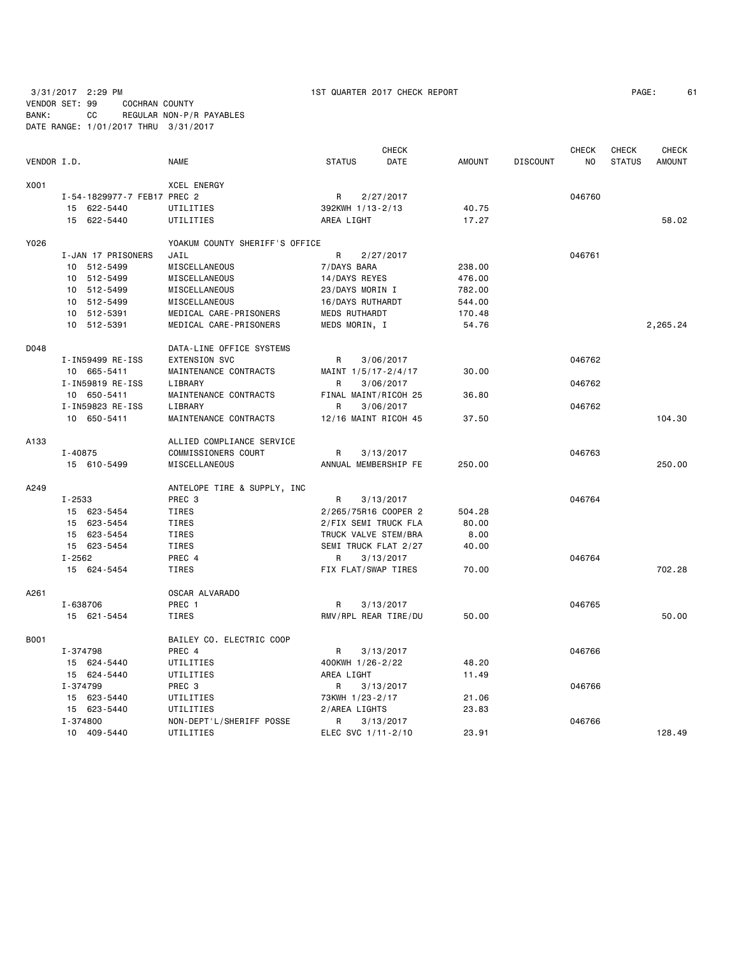|             |                             |                                |                      | <b>CHECK</b> |               |                 | <b>CHECK</b>   | <b>CHECK</b>  | <b>CHECK</b>  |
|-------------|-----------------------------|--------------------------------|----------------------|--------------|---------------|-----------------|----------------|---------------|---------------|
| VENDOR I.D. |                             | <b>NAME</b>                    | <b>STATUS</b>        | DATE         | <b>AMOUNT</b> | <b>DISCOUNT</b> | N <sub>O</sub> | <b>STATUS</b> | <b>AMOUNT</b> |
| X001        |                             | <b>XCEL ENERGY</b>             |                      |              |               |                 |                |               |               |
|             | I-54-1829977-7 FEB17 PREC 2 |                                | R                    | 2/27/2017    |               |                 | 046760         |               |               |
|             | 15 622-5440                 | UTILITIES                      | 392KWH 1/13-2/13     |              | 40.75         |                 |                |               |               |
|             | 15 622-5440                 | UTILITIES                      | AREA LIGHT           |              | 17.27         |                 |                |               | 58.02         |
| Y026        |                             | YOAKUM COUNTY SHERIFF'S OFFICE |                      |              |               |                 |                |               |               |
|             | I-JAN 17 PRISONERS          | JAIL                           | R                    | 2/27/2017    |               |                 | 046761         |               |               |
|             | 10 512-5499                 | MISCELLANEOUS                  | 7/DAYS BARA          |              | 238.00        |                 |                |               |               |
|             | 10 512-5499                 | MISCELLANEOUS                  | 14/DAYS REYES        |              | 476.00        |                 |                |               |               |
|             | 10 512-5499                 | MISCELLANEOUS                  | 23/DAYS MORIN I      |              | 782.00        |                 |                |               |               |
|             | 10 512-5499                 | MISCELLANEOUS                  | 16/DAYS RUTHARDT     |              | 544.00        |                 |                |               |               |
|             | 10 512-5391                 | MEDICAL CARE-PRISONERS         | <b>MEDS RUTHARDT</b> |              | 170.48        |                 |                |               |               |
|             | 10 512-5391                 | MEDICAL CARE-PRISONERS         | MEDS MORIN, I        |              | 54.76         |                 |                |               | 2,265.24      |
| D048        |                             | DATA-LINE OFFICE SYSTEMS       |                      |              |               |                 |                |               |               |
|             | I-IN59499 RE-ISS            | <b>EXTENSION SVC</b>           | R                    | 3/06/2017    |               |                 | 046762         |               |               |
|             | 10 665-5411                 | MAINTENANCE CONTRACTS          | MAINT 1/5/17-2/4/17  |              | 30.00         |                 |                |               |               |
|             | I-IN59819 RE-ISS            | LIBRARY                        | R                    | 3/06/2017    |               |                 | 046762         |               |               |
|             | 10 650-5411                 | MAINTENANCE CONTRACTS          | FINAL MAINT/RICOH 25 |              | 36.80         |                 |                |               |               |
|             | I-IN59823 RE-ISS            | LIBRARY                        | R                    | 3/06/2017    |               |                 | 046762         |               |               |
|             | 10 650-5411                 | MAINTENANCE CONTRACTS          | 12/16 MAINT RICOH 45 |              | 37.50         |                 |                |               | 104.30        |
| A133        |                             | ALLIED COMPLIANCE SERVICE      |                      |              |               |                 |                |               |               |
|             | $I - 40875$                 | COMMISSIONERS COURT            | R                    | 3/13/2017    |               |                 | 046763         |               |               |
|             | 15 610-5499                 | MISCELLANEOUS                  | ANNUAL MEMBERSHIP FE |              | 250.00        |                 |                |               | 250.00        |
| A249        |                             | ANTELOPE TIRE & SUPPLY, INC    |                      |              |               |                 |                |               |               |
|             | $I - 2533$                  | PREC 3                         | R                    | 3/13/2017    |               |                 | 046764         |               |               |
|             | 15 623-5454                 | <b>TIRES</b>                   | 2/265/75R16 COOPER 2 |              | 504.28        |                 |                |               |               |
|             | 15 623-5454                 | TIRES                          | 2/FIX SEMI TRUCK FLA |              | 80.00         |                 |                |               |               |
|             | 15 623-5454                 | TIRES                          | TRUCK VALVE STEM/BRA |              | 8.00          |                 |                |               |               |
|             | 15 623-5454                 | TIRES                          | SEMI TRUCK FLAT 2/27 |              | 40.00         |                 |                |               |               |
|             | $I - 2562$                  | PREC 4                         | R                    | 3/13/2017    |               |                 | 046764         |               |               |
|             | 15 624-5454                 | TIRES                          | FIX FLAT/SWAP TIRES  |              | 70.00         |                 |                |               | 702.28        |
| A261        |                             | OSCAR ALVARADO                 |                      |              |               |                 |                |               |               |
|             | I-638706                    | PREC 1                         | R                    | 3/13/2017    |               |                 | 046765         |               |               |
|             | 15 621-5454                 | <b>TIRES</b>                   | RMV/RPL REAR TIRE/DU |              | 50.00         |                 |                |               | 50.00         |
| B001        |                             | BAILEY CO. ELECTRIC COOP       |                      |              |               |                 |                |               |               |
|             | I-374798                    | PREC 4                         | R                    | 3/13/2017    |               |                 | 046766         |               |               |
|             | 15 624-5440                 | UTILITIES                      | 400KWH 1/26-2/22     |              | 48.20         |                 |                |               |               |
|             | 15 624-5440                 | UTILITIES                      | AREA LIGHT           |              | 11.49         |                 |                |               |               |
|             | I-374799                    | PREC <sub>3</sub>              | R                    | 3/13/2017    |               |                 | 046766         |               |               |
|             | 15 623-5440                 | UTILITIES                      | 73KWH 1/23-2/17      |              | 21.06         |                 |                |               |               |
|             | 15 623-5440                 | UTILITIES                      | 2/AREA LIGHTS        |              | 23.83         |                 |                |               |               |
|             | I-374800                    | NON-DEPT'L/SHERIFF POSSE       | R                    | 3/13/2017    |               |                 | 046766         |               |               |
|             | 10 409-5440                 | UTILITIES                      | ELEC SVC 1/11-2/10   |              | 23.91         |                 |                |               | 128.49        |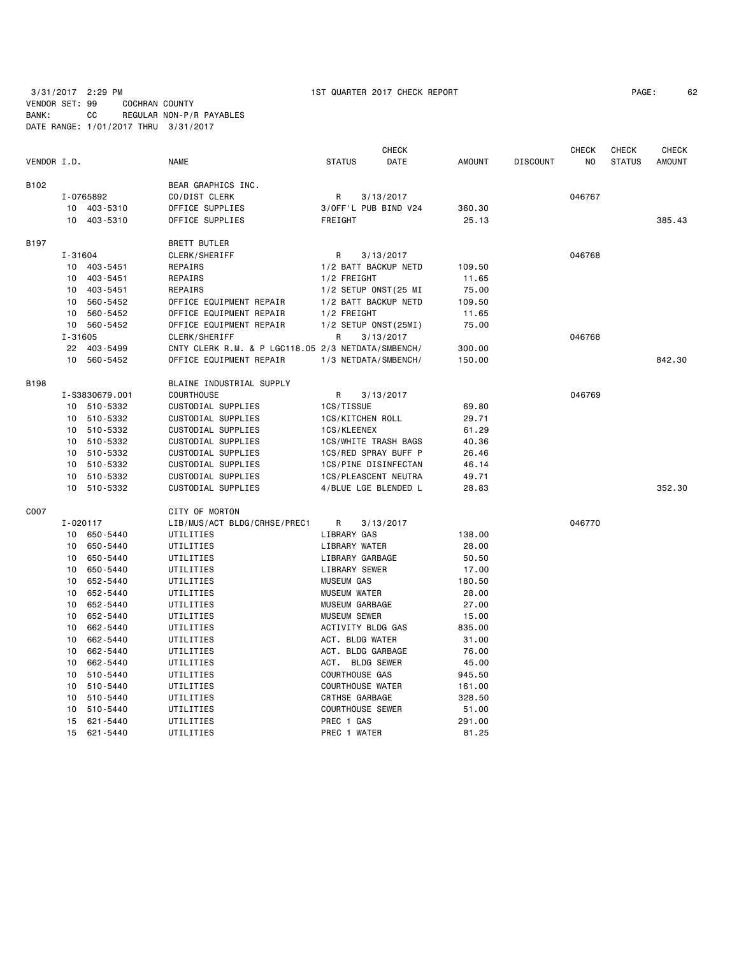|             |                 |                |                                                    |                         | <b>CHECK</b>                |               |                 | <b>CHECK</b> | <b>CHECK</b>  | <b>CHECK</b>  |
|-------------|-----------------|----------------|----------------------------------------------------|-------------------------|-----------------------------|---------------|-----------------|--------------|---------------|---------------|
| VENDOR I.D. |                 |                | <b>NAME</b>                                        | <b>STATUS</b>           | <b>DATE</b>                 | <b>AMOUNT</b> | <b>DISCOUNT</b> | NO.          | <b>STATUS</b> | <b>AMOUNT</b> |
| B102        |                 |                | BEAR GRAPHICS INC.                                 |                         |                             |               |                 |              |               |               |
|             |                 | I-0765892      | CO/DIST CLERK                                      | R                       | 3/13/2017                   |               |                 | 046767       |               |               |
|             |                 | 10 403-5310    | OFFICE SUPPLIES                                    |                         | 3/OFF'L PUB BIND V24        | 360.30        |                 |              |               |               |
|             |                 | 10 403-5310    | OFFICE SUPPLIES                                    | FREIGHT                 |                             | 25.13         |                 |              |               | 385.43        |
| B197        |                 |                | <b>BRETT BUTLER</b>                                |                         |                             |               |                 |              |               |               |
|             | I-31604         |                | CLERK/SHERIFF                                      | R                       | 3/13/2017                   |               |                 | 046768       |               |               |
|             |                 | 10 403-5451    | REPAIRS                                            |                         | 1/2 BATT BACKUP NETD        | 109.50        |                 |              |               |               |
|             |                 | 10 403-5451    | REPAIRS                                            | 1/2 FREIGHT             |                             | 11.65         |                 |              |               |               |
|             |                 | 10 403-5451    | REPAIRS                                            |                         | 1/2 SETUP ONST (25 MI       | 75.00         |                 |              |               |               |
|             | 10 <sup>1</sup> | 560-5452       | OFFICE EQUIPMENT REPAIR                            |                         | 1/2 BATT BACKUP NETD        | 109.50        |                 |              |               |               |
|             | 10              | 560-5452       | OFFICE EQUIPMENT REPAIR                            | 1/2 FREIGHT             |                             | 11.65         |                 |              |               |               |
|             |                 | 10 560-5452    | OFFICE EQUIPMENT REPAIR                            |                         | 1/2 SETUP ONST(25MI)        | 75.00         |                 |              |               |               |
|             | $I - 31605$     |                | CLERK/SHERIFF                                      | R                       | 3/13/2017                   |               |                 | 046768       |               |               |
|             |                 | 22 403-5499    | CNTY CLERK R.M. & P LGC118.05 2/3 NETDATA/SMBENCH/ |                         |                             | 300.00        |                 |              |               |               |
|             |                 | 10 560-5452    | OFFICE EQUIPMENT REPAIR                            |                         | 1/3 NETDATA/SMBENCH/        | 150.00        |                 |              |               | 842.30        |
| B198        |                 |                | BLAINE INDUSTRIAL SUPPLY                           |                         |                             |               |                 |              |               |               |
|             |                 | I-S3830679.001 | <b>COURTHOUSE</b>                                  | R                       | 3/13/2017                   |               |                 | 046769       |               |               |
|             |                 | 10 510-5332    | CUSTODIAL SUPPLIES                                 | 1CS/TISSUE              |                             | 69.80         |                 |              |               |               |
|             |                 | 10 510-5332    | CUSTODIAL SUPPLIES                                 | 1CS/KITCHEN ROLL        |                             | 29.71         |                 |              |               |               |
|             |                 | 10 510-5332    | CUSTODIAL SUPPLIES                                 | 1CS/KLEENEX             |                             | 61.29         |                 |              |               |               |
|             | 10 <sup>1</sup> | 510-5332       | CUSTODIAL SUPPLIES                                 |                         | <b>1CS/WHITE TRASH BAGS</b> | 40.36         |                 |              |               |               |
|             | 10              | 510-5332       | CUSTODIAL SUPPLIES                                 |                         | 1CS/RED SPRAY BUFF P        | 26.46         |                 |              |               |               |
|             |                 | 10 510-5332    | CUSTODIAL SUPPLIES                                 |                         | 1CS/PINE DISINFECTAN        | 46.14         |                 |              |               |               |
|             |                 | 10 510-5332    | CUSTODIAL SUPPLIES                                 |                         | 1CS/PLEASCENT NEUTRA        | 49.71         |                 |              |               |               |
|             |                 | 10 510-5332    | CUSTODIAL SUPPLIES                                 |                         | 4/BLUE LGE BLENDED L        | 28.83         |                 |              |               | 352.30        |
| C007        |                 |                | CITY OF MORTON                                     |                         |                             |               |                 |              |               |               |
|             |                 | I-020117       | LIB/MUS/ACT BLDG/CRHSE/PREC1                       | R                       | 3/13/2017                   |               |                 | 046770       |               |               |
|             |                 | 10 650-5440    | UTILITIES                                          | LIBRARY GAS             |                             | 138.00        |                 |              |               |               |
|             |                 | 10 650-5440    | UTILITIES                                          | LIBRARY WATER           |                             | 28.00         |                 |              |               |               |
|             | 10              | 650-5440       | UTILITIES                                          | LIBRARY GARBAGE         |                             | 50.50         |                 |              |               |               |
|             |                 | 10 650-5440    | UTILITIES                                          | LIBRARY SEWER           |                             | 17.00         |                 |              |               |               |
|             | 10 <sup>1</sup> | 652-5440       | UTILITIES                                          | <b>MUSEUM GAS</b>       |                             | 180.50        |                 |              |               |               |
|             | 10              | 652-5440       | UTILITIES                                          | <b>MUSEUM WATER</b>     |                             | 28.00         |                 |              |               |               |
|             | 10              | 652-5440       | UTILITIES                                          | MUSEUM GARBAGE          |                             | 27.00         |                 |              |               |               |
|             |                 | 10 652-5440    | UTILITIES                                          | <b>MUSEUM SEWER</b>     |                             | 15.00         |                 |              |               |               |
|             | 10              | 662-5440       | UTILITIES                                          | ACTIVITY BLDG GAS       |                             | 835.00        |                 |              |               |               |
|             | 10              | 662-5440       | UTILITIES                                          | ACT. BLDG WATER         |                             | 31.00         |                 |              |               |               |
|             | 10              | 662-5440       | UTILITIES                                          | ACT. BLDG GARBAGE       |                             | 76.00         |                 |              |               |               |
|             | 10              | 662-5440       | UTILITIES                                          | ACT. BLDG SEWER         |                             | 45.00         |                 |              |               |               |
|             | 10              | 510-5440       | UTILITIES                                          | <b>COURTHOUSE GAS</b>   |                             | 945.50        |                 |              |               |               |
|             | 10              | 510-5440       | UTILITIES                                          | <b>COURTHOUSE WATER</b> |                             | 161.00        |                 |              |               |               |
|             | 10              | 510-5440       | UTILITIES                                          | CRTHSE GARBAGE          |                             | 328.50        |                 |              |               |               |
|             | 10              | 510-5440       | UTILITIES                                          | <b>COURTHOUSE SEWER</b> |                             | 51.00         |                 |              |               |               |
|             | 15              | 621-5440       | UTILITIES                                          | PREC 1 GAS              |                             | 291.00        |                 |              |               |               |

15 621-5440 UTILITIES PREC 1 WATER 81.25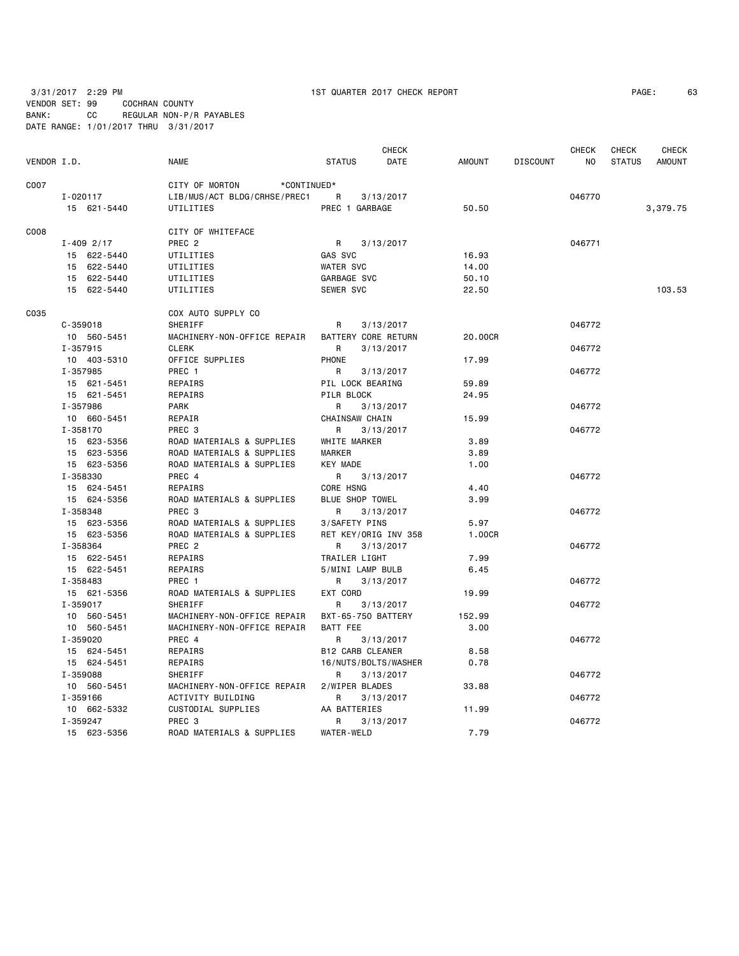VENDOR SET: 99 COCHRAN COUNTY BANK: CC REGULAR NON-P/R PAYABLES

3/31/2017 2:29 PM 1ST QUARTER 2017 CHECK REPORT PAGE: 63

DATE RANGE: 1/01/2017 THRU 3/31/2017

| VENDOR I.D. |                            | <b>NAME</b>                   | <b>STATUS</b>                     | <b>CHECK</b><br>DATE | AMOUNT       | <b>DISCOUNT</b> | <b>CHECK</b><br>NO | <b>CHECK</b><br><b>STATUS</b> | <b>CHECK</b><br><b>AMOUNT</b> |
|-------------|----------------------------|-------------------------------|-----------------------------------|----------------------|--------------|-----------------|--------------------|-------------------------------|-------------------------------|
| C007        |                            | CITY OF MORTON<br>*CONTINUED* |                                   |                      |              |                 |                    |                               |                               |
|             | I-020117                   | LIB/MUS/ACT BLDG/CRHSE/PREC1  | R                                 | 3/13/2017            |              |                 | 046770             |                               |                               |
|             | 15 621-5440                | UTILITIES                     | PREC 1 GARBAGE                    |                      | 50.50        |                 |                    |                               | 3,379.75                      |
| C008        |                            | CITY OF WHITEFACE             |                                   |                      |              |                 |                    |                               |                               |
|             | $I - 409$ 2/17             | PREC <sub>2</sub>             | R                                 | 3/13/2017            |              |                 | 046771             |                               |                               |
|             | 15 622-5440                | UTILITIES                     | GAS SVC                           |                      | 16.93        |                 |                    |                               |                               |
|             | 15 622-5440                | UTILITIES                     | <b>WATER SVC</b>                  |                      | 14.00        |                 |                    |                               |                               |
|             | 15 622-5440                | UTILITIES                     | GARBAGE SVC                       |                      | 50.10        |                 |                    |                               |                               |
|             | 15 622-5440                | UTILITIES                     | SEWER SVC                         |                      | 22.50        |                 |                    |                               | 103.53                        |
| C035        |                            | COX AUTO SUPPLY CO            |                                   |                      |              |                 |                    |                               |                               |
|             | $C-359018$                 | <b>SHERIFF</b>                | $\mathsf{R}$                      | 3/13/2017            |              |                 | 046772             |                               |                               |
|             | 10 560-5451                | MACHINERY-NON-OFFICE REPAIR   | BATTERY CORE RETURN               |                      | 20,00CR      |                 |                    |                               |                               |
|             | I-357915                   | <b>CLERK</b>                  | R                                 | 3/13/2017            |              |                 | 046772             |                               |                               |
|             | 10 403-5310                | OFFICE SUPPLIES               | PHONE                             |                      | 17.99        |                 |                    |                               |                               |
|             | I-357985                   | PREC 1                        | R                                 | 3/13/2017            |              |                 | 046772             |                               |                               |
|             | 15 621-5451                | REPAIRS                       | PIL LOCK BEARING                  |                      | 59.89        |                 |                    |                               |                               |
|             | 15 621-5451                | <b>REPAIRS</b>                | PILR BLOCK                        |                      | 24.95        |                 |                    |                               |                               |
|             | I-357986                   | <b>PARK</b>                   | R                                 | 3/13/2017            |              |                 | 046772             |                               |                               |
|             | 10 660-5451                | REPAIR                        | CHAINSAW CHAIN                    |                      | 15.99        |                 |                    |                               |                               |
|             | I-358170                   | PREC 3                        | R                                 | 3/13/2017            |              |                 | 046772             |                               |                               |
|             | 15 623-5356                | ROAD MATERIALS & SUPPLIES     | WHITE MARKER                      |                      | 3.89         |                 |                    |                               |                               |
|             | 15 623-5356                | ROAD MATERIALS & SUPPLIES     | <b>MARKER</b>                     |                      | 3.89         |                 |                    |                               |                               |
|             | 15 623-5356                | ROAD MATERIALS & SUPPLIES     | <b>KEY MADE</b>                   |                      | 1.00         |                 |                    |                               |                               |
|             | I-358330                   | PREC 4                        | R                                 | 3/13/2017            |              |                 | 046772             |                               |                               |
|             | 15 624-5451                | REPAIRS                       | CORE HSNG                         |                      | 4.40         |                 |                    |                               |                               |
|             | 15 624-5356                | ROAD MATERIALS & SUPPLIES     | BLUE SHOP TOWEL                   |                      | 3.99         |                 |                    |                               |                               |
|             | I-358348                   | PREC <sub>3</sub>             | R.                                | 3/13/2017            |              |                 | 046772             |                               |                               |
|             | 15 623-5356                | ROAD MATERIALS & SUPPLIES     | 3/SAFETY PINS                     |                      | 5.97         |                 |                    |                               |                               |
|             | 15 623-5356                | ROAD MATERIALS & SUPPLIES     | RET KEY/ORIG INV 358              |                      | 1.00CR       |                 |                    |                               |                               |
|             | I-358364                   | PREC <sub>2</sub>             | R                                 | 3/13/2017            |              |                 | 046772             |                               |                               |
|             | 15 622-5451<br>15 622-5451 | REPAIRS<br>REPAIRS            | TRAILER LIGHT<br>5/MINI LAMP BULB |                      | 7.99<br>6.45 |                 |                    |                               |                               |
|             | I-358483                   | PREC 1                        | R                                 | 3/13/2017            |              |                 | 046772             |                               |                               |
|             | 15 621-5356                | ROAD MATERIALS & SUPPLIES     | EXT CORD                          |                      | 19.99        |                 |                    |                               |                               |
|             | I-359017                   | <b>SHERIFF</b>                | $\mathsf{R}$                      | 3/13/2017            |              |                 | 046772             |                               |                               |
|             | 10 560-5451                | MACHINERY-NON-OFFICE REPAIR   | BXT-65-750 BATTERY                |                      | 152.99       |                 |                    |                               |                               |
|             | 10 560-5451                | MACHINERY-NON-OFFICE REPAIR   | BATT FEE                          |                      | 3,00         |                 |                    |                               |                               |
|             | I-359020                   | PREC 4                        | R.                                | 3/13/2017            |              |                 | 046772             |                               |                               |
|             | 15 624-5451                | REPAIRS                       | <b>B12 CARB CLEANER</b>           |                      | 8.58         |                 |                    |                               |                               |
|             | 15 624-5451                | REPAIRS                       | 16/NUTS/BOLTS/WASHER              |                      | 0.78         |                 |                    |                               |                               |
|             | I-359088                   | SHERIFF                       | R                                 | 3/13/2017            |              |                 | 046772             |                               |                               |
|             | 10 560-5451                | MACHINERY-NON-OFFICE REPAIR   | 2/WIPER BLADES                    |                      | 33.88        |                 |                    |                               |                               |
|             | I-359166                   | ACTIVITY BUILDING             | R                                 | 3/13/2017            |              |                 | 046772             |                               |                               |
|             | 10 662-5332                | CUSTODIAL SUPPLIES            | AA BATTERIES                      |                      | 11.99        |                 |                    |                               |                               |
|             | I-359247                   | PREC <sub>3</sub>             | R                                 | 3/13/2017            |              |                 | 046772             |                               |                               |
|             | 15 623-5356                | ROAD MATERIALS & SUPPLIES     | <b>WATER-WELD</b>                 |                      | 7.79         |                 |                    |                               |                               |
|             |                            |                               |                                   |                      |              |                 |                    |                               |                               |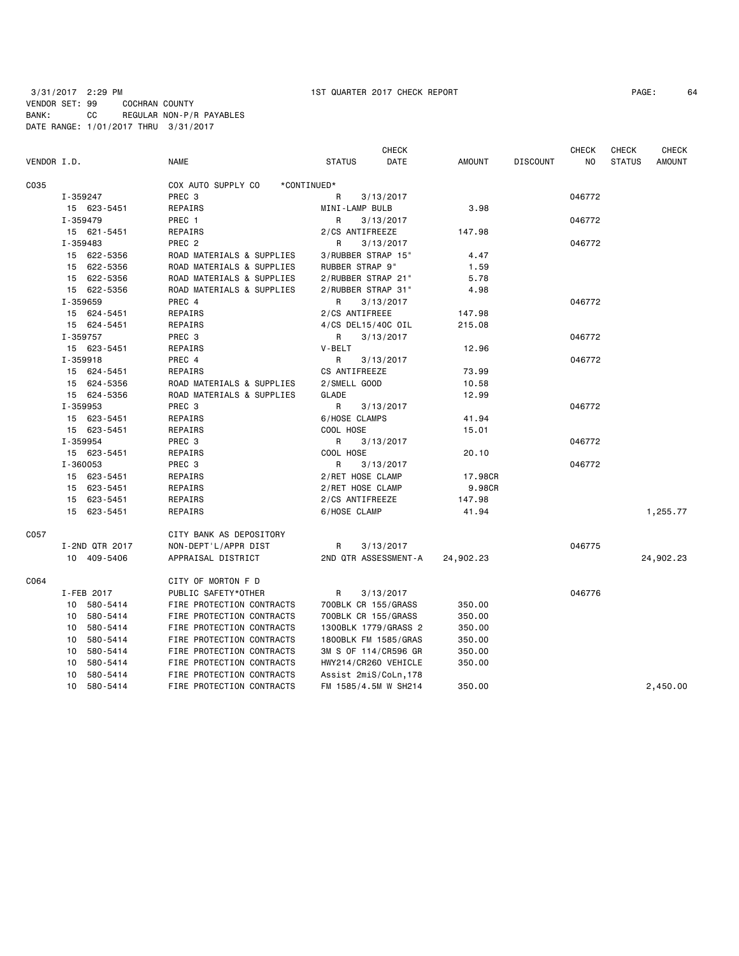| VENDOR I.D. |                | <b>NAME</b>               | <b>CHECK</b><br><b>STATUS</b><br>DATE | <b>AMOUNT</b> | <b>DISCOUNT</b> | <b>CHECK</b><br>N <sub>O</sub> | <b>CHECK</b><br><b>STATUS</b> | <b>CHECK</b><br><b>AMOUNT</b> |
|-------------|----------------|---------------------------|---------------------------------------|---------------|-----------------|--------------------------------|-------------------------------|-------------------------------|
| C035        |                | COX AUTO SUPPLY CO        | *CONTINUED*                           |               |                 |                                |                               |                               |
|             | I-359247       | PREC 3                    | R<br>3/13/2017                        |               |                 | 046772                         |                               |                               |
|             | 15 623-5451    | REPAIRS                   | MINI-LAMP BULB                        | 3.98          |                 |                                |                               |                               |
|             | I-359479       | PREC 1                    | R<br>3/13/2017                        |               |                 | 046772                         |                               |                               |
|             | 15 621-5451    | REPAIRS                   | 2/CS ANTIFREEZE                       | 147.98        |                 |                                |                               |                               |
|             | I-359483       | PREC <sub>2</sub>         | R<br>3/13/2017                        |               |                 | 046772                         |                               |                               |
|             | 15 622-5356    | ROAD MATERIALS & SUPPLIES | 3/RUBBER STRAP 15"                    | 4.47          |                 |                                |                               |                               |
|             | 15 622-5356    | ROAD MATERIALS & SUPPLIES | RUBBER STRAP 9"                       | 1.59          |                 |                                |                               |                               |
|             | 15 622-5356    | ROAD MATERIALS & SUPPLIES | 2/RUBBER STRAP 21"                    | 5.78          |                 |                                |                               |                               |
|             | 15 622-5356    | ROAD MATERIALS & SUPPLIES | 2/RUBBER STRAP 31"                    | 4.98          |                 |                                |                               |                               |
|             | I-359659       | PREC 4                    | R<br>3/13/2017                        |               |                 | 046772                         |                               |                               |
|             | 15 624-5451    | REPAIRS                   | 2/CS ANTIFREEE                        | 147.98        |                 |                                |                               |                               |
|             | 15 624-5451    | REPAIRS                   | 4/CS DEL15/40C OIL                    | 215.08        |                 |                                |                               |                               |
|             | I-359757       | PREC 3                    | R<br>3/13/2017                        |               |                 | 046772                         |                               |                               |
|             | 15 623-5451    | REPAIRS                   | V-BELT                                | 12.96         |                 |                                |                               |                               |
|             | I-359918       | PREC 4                    | R<br>3/13/2017                        |               |                 | 046772                         |                               |                               |
|             | 15 624-5451    | REPAIRS                   | CS ANTIFREEZE                         | 73.99         |                 |                                |                               |                               |
|             | 15 624-5356    | ROAD MATERIALS & SUPPLIES | 2/SMELL GOOD                          | 10.58         |                 |                                |                               |                               |
|             | 15 624-5356    | ROAD MATERIALS & SUPPLIES | GLADE                                 | 12.99         |                 |                                |                               |                               |
|             | I-359953       | PREC 3                    | R<br>3/13/2017                        |               |                 | 046772                         |                               |                               |
|             | 15 623-5451    | REPAIRS                   | 6/HOSE CLAMPS                         | 41.94         |                 |                                |                               |                               |
|             | 15 623-5451    | REPAIRS                   | COOL HOSE                             | 15.01         |                 |                                |                               |                               |
|             | I-359954       | PREC 3                    | R<br>3/13/2017                        |               |                 | 046772                         |                               |                               |
|             | 15 623-5451    | REPAIRS                   | COOL HOSE                             | 20.10         |                 |                                |                               |                               |
|             | I-360053       | PREC 3                    | R<br>3/13/2017                        |               |                 | 046772                         |                               |                               |
|             | 15 623-5451    | REPAIRS                   | 2/RET HOSE CLAMP                      | 17.98CR       |                 |                                |                               |                               |
|             | 15 623-5451    | REPAIRS                   | 2/RET HOSE CLAMP                      | 9.98CR        |                 |                                |                               |                               |
|             | 15 623-5451    | REPAIRS                   | 2/CS ANTIFREEZE                       | 147.98        |                 |                                |                               |                               |
|             | 15 623-5451    | REPAIRS                   | 6/HOSE CLAMP                          | 41.94         |                 |                                |                               | 1,255.77                      |
| C057        |                | CITY BANK AS DEPOSITORY   |                                       |               |                 |                                |                               |                               |
|             | I-2ND QTR 2017 | NON-DEPT'L/APPR DIST      | 3/13/2017<br>R                        |               |                 | 046775                         |                               |                               |
|             | 10 409-5406    | APPRAISAL DISTRICT        | 2ND QTR ASSESSMENT-A                  | 24,902.23     |                 |                                |                               | 24,902.23                     |
| C064        |                | CITY OF MORTON F D        |                                       |               |                 |                                |                               |                               |
|             | I-FEB 2017     | PUBLIC SAFETY*OTHER       | R<br>3/13/2017                        |               |                 | 046776                         |                               |                               |
|             | 10 580-5414    | FIRE PROTECTION CONTRACTS | 700BLK CR 155/GRASS                   | 350.00        |                 |                                |                               |                               |
|             | 10 580-5414    | FIRE PROTECTION CONTRACTS | 700BLK CR 155/GRASS                   | 350.00        |                 |                                |                               |                               |
|             | 10<br>580-5414 | FIRE PROTECTION CONTRACTS | 1300BLK 1779/GRASS 2                  | 350.00        |                 |                                |                               |                               |
|             | 10 580-5414    | FIRE PROTECTION CONTRACTS | 1800BLK FM 1585/GRAS                  | 350.00        |                 |                                |                               |                               |
|             | 10 580-5414    | FIRE PROTECTION CONTRACTS | 3M S OF 114/CR596 GR                  | 350.00        |                 |                                |                               |                               |
|             | 10<br>580-5414 | FIRE PROTECTION CONTRACTS | HWY214/CR260 VEHICLE                  | 350.00        |                 |                                |                               |                               |
|             | 580-5414<br>10 | FIRE PROTECTION CONTRACTS | Assist 2miS/CoLn, 178                 |               |                 |                                |                               |                               |
|             | 10 580-5414    | FIRE PROTECTION CONTRACTS | FM 1585/4.5M W SH214                  | 350.00        |                 |                                |                               | 2,450.00                      |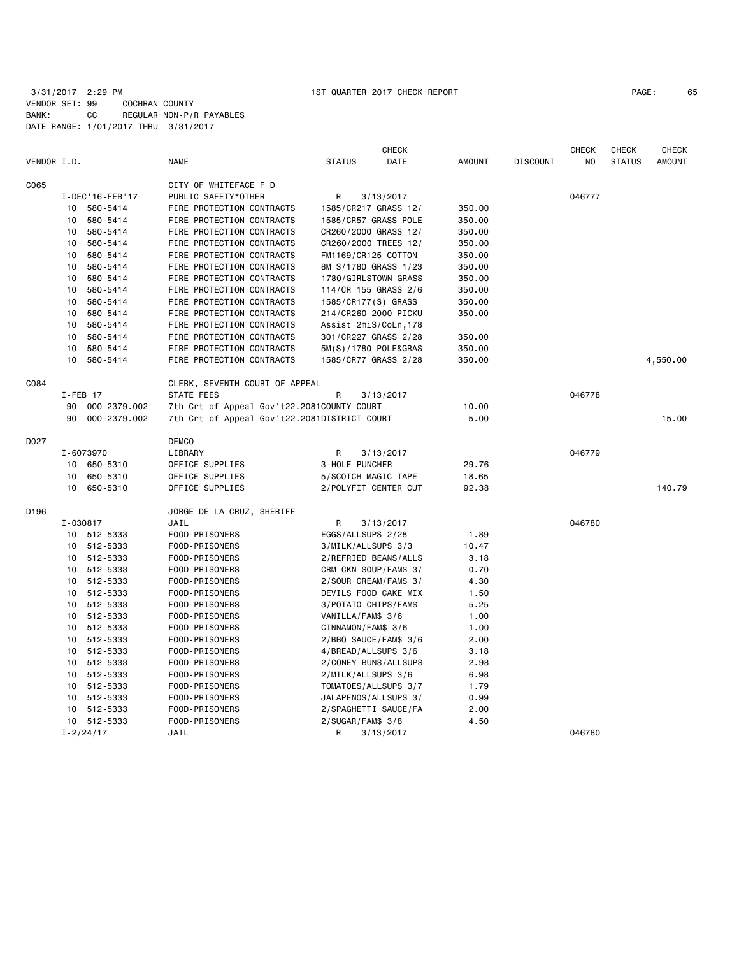|             |             |                   |                                              |                       | <b>CHECK</b>          |               |                 | CHECK  | <b>CHECK</b>  | <b>CHECK</b>  |
|-------------|-------------|-------------------|----------------------------------------------|-----------------------|-----------------------|---------------|-----------------|--------|---------------|---------------|
| VENDOR I.D. |             |                   | <b>NAME</b>                                  | <b>STATUS</b>         | DATE                  | <b>AMOUNT</b> | <b>DISCOUNT</b> | NO     | <b>STATUS</b> | <b>AMOUNT</b> |
| C065        |             |                   | CITY OF WHITEFACE F D                        |                       |                       |               |                 |        |               |               |
|             |             | I-DEC '16-FEB '17 | PUBLIC SAFETY*OTHER                          | R                     | 3/13/2017             |               |                 | 046777 |               |               |
|             |             | 10 580-5414       | FIRE PROTECTION CONTRACTS                    | 1585/CR217 GRASS 12/  |                       | 350.00        |                 |        |               |               |
|             |             | 10 580-5414       | FIRE PROTECTION CONTRACTS                    | 1585/CR57 GRASS POLE  |                       | 350.00        |                 |        |               |               |
|             |             | 10 580-5414       | FIRE PROTECTION CONTRACTS                    | CR260/2000 GRASS 12/  |                       | 350.00        |                 |        |               |               |
|             |             | 10 580-5414       | FIRE PROTECTION CONTRACTS                    | CR260/2000 TREES 12/  |                       | 350.00        |                 |        |               |               |
|             | 10          | 580-5414          | FIRE PROTECTION CONTRACTS                    | FM1169/CR125 COTTON   |                       | 350.00        |                 |        |               |               |
|             | 10          | 580-5414          | FIRE PROTECTION CONTRACTS                    | 8M S/1780 GRASS 1/23  |                       | 350.00        |                 |        |               |               |
|             | 10          | 580-5414          | FIRE PROTECTION CONTRACTS                    | 1780/GIRLSTOWN GRASS  |                       | 350.00        |                 |        |               |               |
|             | 10          | 580-5414          | FIRE PROTECTION CONTRACTS                    | 114/CR 155 GRASS 2/6  |                       | 350.00        |                 |        |               |               |
|             | 10          | 580-5414          | FIRE PROTECTION CONTRACTS                    | 1585/CR177(S) GRASS   |                       | 350.00        |                 |        |               |               |
|             | 10          | 580-5414          | FIRE PROTECTION CONTRACTS                    | 214/CR260 2000 PICKU  |                       | 350.00        |                 |        |               |               |
|             | 10          | 580-5414          | FIRE PROTECTION CONTRACTS                    | Assist 2miS/CoLn, 178 |                       |               |                 |        |               |               |
|             | 10          | 580-5414          | FIRE PROTECTION CONTRACTS                    | 301/CR227 GRASS 2/28  |                       | 350.00        |                 |        |               |               |
|             | 10          | 580-5414          | FIRE PROTECTION CONTRACTS                    | 5M(S)/1780 POLE&GRAS  |                       | 350.00        |                 |        |               |               |
|             | 10          | 580-5414          | FIRE PROTECTION CONTRACTS                    | 1585/CR77 GRASS 2/28  |                       | 350.00        |                 |        |               | 4,550.00      |
|             |             |                   |                                              |                       |                       |               |                 |        |               |               |
| C084        |             |                   | CLERK, SEVENTH COURT OF APPEAL               |                       |                       |               |                 |        |               |               |
|             | $I$ -FEB 17 |                   | STATE FEES                                   | R                     | 3/13/2017             |               |                 | 046778 |               |               |
|             | 90          | 000-2379.002      | 7th Crt of Appeal Gov't22.2081COUNTY COURT   |                       |                       | 10.00         |                 |        |               |               |
|             | 90          | 000-2379.002      | 7th Crt of Appeal Gov't22.2081DISTRICT COURT |                       |                       | 5.00          |                 |        |               | 15,00         |
| D027        |             |                   | <b>DEMCO</b>                                 |                       |                       |               |                 |        |               |               |
|             |             | I-6073970         | LIBRARY                                      | R                     | 3/13/2017             |               |                 | 046779 |               |               |
|             |             | 10 650-5310       | OFFICE SUPPLIES                              | 3-HOLE PUNCHER        |                       | 29.76         |                 |        |               |               |
|             | 10          | 650-5310          | OFFICE SUPPLIES                              | 5/SCOTCH MAGIC TAPE   |                       | 18.65         |                 |        |               |               |
|             |             | 10 650-5310       | OFFICE SUPPLIES                              | 2/POLYFIT CENTER CUT  |                       | 92.38         |                 |        |               | 140.79        |
| D196        |             |                   | JORGE DE LA CRUZ, SHERIFF                    |                       |                       |               |                 |        |               |               |
|             | I-030817    |                   | JAIL                                         | R                     | 3/13/2017             |               |                 | 046780 |               |               |
|             |             | 10 512-5333       | FOOD-PRISONERS                               | EGGS/ALLSUPS 2/28     |                       | 1.89          |                 |        |               |               |
|             |             | 10 512-5333       | FOOD-PRISONERS                               | 3/MILK/ALLSUPS 3/3    |                       | 10.47         |                 |        |               |               |
|             |             | 10 512-5333       | FOOD-PRISONERS                               | 2/REFRIED BEANS/ALLS  |                       | 3.18          |                 |        |               |               |
|             |             | 10 512-5333       | FOOD-PRISONERS                               | CRM CKN SOUP/FAM\$ 3/ |                       | 0.70          |                 |        |               |               |
|             |             | 10 512-5333       | FOOD-PRISONERS                               | 2/SOUR CREAM/FAM\$ 3/ |                       | 4.30          |                 |        |               |               |
|             |             | 10 512-5333       | FOOD-PRISONERS                               | DEVILS FOOD CAKE MIX  |                       | 1.50          |                 |        |               |               |
|             |             | 10 512-5333       | FOOD-PRISONERS                               | 3/POTATO CHIPS/FAM\$  |                       | 5.25          |                 |        |               |               |
|             |             | 10 512-5333       | FOOD-PRISONERS                               | VANILLA/FAM\$ 3/6     |                       | 1.00          |                 |        |               |               |
|             |             | 10 512-5333       | FOOD-PRISONERS                               | CINNAMON/FAM\$ 3/6    |                       | 1.00          |                 |        |               |               |
|             |             | 10 512-5333       | FOOD-PRISONERS                               |                       | 2/BBQ SAUCE/FAM\$ 3/6 | 2.00          |                 |        |               |               |
|             |             | 10 512-5333       | FOOD-PRISONERS                               | 4/BREAD/ALLSUPS 3/6   |                       | 3.18          |                 |        |               |               |
|             |             | 10 512-5333       | FOOD-PRISONERS                               |                       | 2/CONEY BUNS/ALLSUPS  | 2.98          |                 |        |               |               |
|             |             | 10 512-5333       | FOOD-PRISONERS                               | 2/MILK/ALLSUPS 3/6    |                       | 6.98          |                 |        |               |               |
|             |             | 10 512-5333       | FOOD-PRISONERS                               |                       | TOMATOES/ALLSUPS 3/7  | 1.79          |                 |        |               |               |
|             |             | 10 512-5333       | FOOD-PRISONERS                               | JALAPENOS/ALLSUPS 3/  |                       | 0.99          |                 |        |               |               |
|             |             | 10 512-5333       | FOOD-PRISONERS                               | 2/SPAGHETTI SAUCE/FA  |                       | 2.00          |                 |        |               |               |
|             |             | 10 512-5333       | FOOD-PRISONERS                               | $2/SUGAR/FAM$$ 3/8    |                       | 4.50          |                 |        |               |               |
|             |             | $I - 2/24/17$     | JAIL                                         | R                     | 3/13/2017             |               |                 | 046780 |               |               |
|             |             |                   |                                              |                       |                       |               |                 |        |               |               |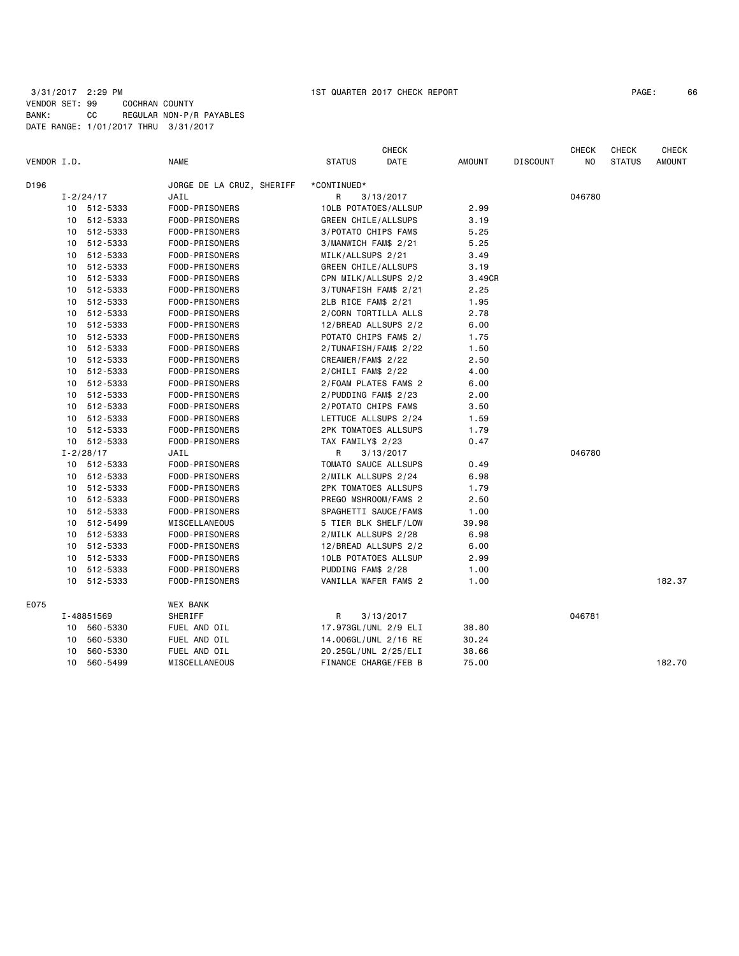| VENDOR I.D. |    |                              | <b>NAME</b>               | <b>STATUS</b>          | <b>CHECK</b><br>DATE              | <b>AMOUNT</b> | <b>DISCOUNT</b> | <b>CHECK</b><br>NO | CHECK<br><b>STATUS</b> | <b>CHECK</b><br>AMOUNT |
|-------------|----|------------------------------|---------------------------|------------------------|-----------------------------------|---------------|-----------------|--------------------|------------------------|------------------------|
|             |    |                              |                           |                        |                                   |               |                 |                    |                        |                        |
| D196        |    |                              | JORGE DE LA CRUZ, SHERIFF | *CONTINUED*            |                                   |               |                 |                    |                        |                        |
|             |    | $I - 2/24/17$<br>10 512-5333 | JAIL<br>FOOD-PRISONERS    | R.                     | 3/13/2017<br>10LB POTATOES/ALLSUP | 2.99          |                 | 046780             |                        |                        |
|             |    |                              |                           |                        |                                   | 3.19          |                 |                    |                        |                        |
|             |    | 10 512-5333                  | FOOD-PRISONERS            | GREEN CHILE/ALLSUPS    |                                   |               |                 |                    |                        |                        |
|             |    | 10 512-5333                  | FOOD-PRISONERS            | 3/POTATO CHIPS FAM\$   |                                   | 5.25          |                 |                    |                        |                        |
|             |    | 10 512-5333                  | FOOD-PRISONERS            | 3/MANWICH FAM\$ 2/21   |                                   | 5.25          |                 |                    |                        |                        |
|             |    | 10 512-5333                  | FOOD-PRISONERS            | MILK/ALLSUPS 2/21      |                                   | 3.49          |                 |                    |                        |                        |
|             |    | 10 512-5333                  | FOOD-PRISONERS            | GREEN CHILE/ALLSUPS    |                                   | 3.19          |                 |                    |                        |                        |
|             | 10 | 512-5333                     | FOOD-PRISONERS            |                        | CPN MILK/ALLSUPS 2/2              | 3.49CR        |                 |                    |                        |                        |
|             |    | 10 512-5333                  | FOOD-PRISONERS            |                        | 3/TUNAFISH FAM\$ 2/21             | 2.25          |                 |                    |                        |                        |
|             |    | 10 512-5333                  | FOOD-PRISONERS            | 2LB RICE FAM\$ 2/21    |                                   | 1.95          |                 |                    |                        |                        |
|             | 10 | 512-5333                     | FOOD-PRISONERS            |                        | 2/CORN TORTILLA ALLS              | 2.78          |                 |                    |                        |                        |
|             |    | 10 512-5333                  | FOOD-PRISONERS            |                        | 12/BREAD ALLSUPS 2/2              | 6.00          |                 |                    |                        |                        |
|             | 10 | 512-5333                     | FOOD-PRISONERS            |                        | POTATO CHIPS FAM\$ 2/             | 1.75          |                 |                    |                        |                        |
|             | 10 | 512-5333                     | FOOD-PRISONERS            |                        | 2/TUNAFISH/FAM\$ 2/22             | 1.50          |                 |                    |                        |                        |
|             |    | 10 512-5333                  | FOOD-PRISONERS            | CREAMER/FAM\$ 2/22     |                                   | 2.50          |                 |                    |                        |                        |
|             |    | 10 512-5333                  | FOOD-PRISONERS            | $2/CHILI$ FAM\$ $2/22$ |                                   | 4.00          |                 |                    |                        |                        |
|             |    | 10 512-5333                  | FOOD-PRISONERS            |                        | 2/FOAM PLATES FAM\$ 2             | 6.00          |                 |                    |                        |                        |
|             |    | 10 512-5333                  | FOOD-PRISONERS            | 2/PUDDING FAM\$ 2/23   |                                   | 2.00          |                 |                    |                        |                        |
|             | 10 | 512-5333                     | FOOD-PRISONERS            | 2/POTATO CHIPS FAM\$   |                                   | 3.50          |                 |                    |                        |                        |
|             |    | 10 512-5333                  | FOOD-PRISONERS            |                        | LETTUCE ALLSUPS 2/24              | 1.59          |                 |                    |                        |                        |
|             |    | 10 512-5333                  | FOOD-PRISONERS            |                        | 2PK TOMATOES ALLSUPS              | 1.79          |                 |                    |                        |                        |
|             |    | 10 512-5333                  | FOOD-PRISONERS            | TAX FAMILY\$ 2/23      |                                   | 0.47          |                 |                    |                        |                        |
|             |    | $I - 2/28/17$                | JAIL                      | R                      | 3/13/2017                         |               |                 | 046780             |                        |                        |
|             |    | 10 512-5333                  | FOOD-PRISONERS            |                        | TOMATO SAUCE ALLSUPS              | 0.49          |                 |                    |                        |                        |
|             |    | 10 512-5333                  | FOOD-PRISONERS            | 2/MILK ALLSUPS 2/24    |                                   | 6.98          |                 |                    |                        |                        |
|             |    | 10 512-5333                  | FOOD-PRISONERS            |                        | 2PK TOMATOES ALLSUPS              | 1.79          |                 |                    |                        |                        |
|             |    | 10 512-5333                  | FOOD-PRISONERS            |                        | PREGO MSHROOM/FAM\$ 2             | 2.50          |                 |                    |                        |                        |
|             |    | 10 512-5333                  | FOOD-PRISONERS            |                        | SPAGHETTI SAUCE/FAM\$             | 1.00          |                 |                    |                        |                        |
|             |    | 10 512-5499                  | MISCELLANEOUS             |                        | 5 TIER BLK SHELF/LOW              | 39.98         |                 |                    |                        |                        |
|             |    | 10 512-5333                  | FOOD-PRISONERS            | 2/MILK ALLSUPS 2/28    |                                   | 6.98          |                 |                    |                        |                        |
|             | 10 | 512-5333                     | FOOD-PRISONERS            |                        | 12/BREAD ALLSUPS 2/2              | 6.00          |                 |                    |                        |                        |
|             |    | 10 512-5333                  | FOOD-PRISONERS            |                        | 10LB POTATOES ALLSUP              | 2.99          |                 |                    |                        |                        |
|             | 10 | 512-5333                     | FOOD-PRISONERS            | PUDDING FAM\$ 2/28     |                                   | 1.00          |                 |                    |                        |                        |
|             |    | 10 512-5333                  | FOOD-PRISONERS            |                        | VANILLA WAFER FAM\$ 2             | 1.00          |                 |                    |                        | 182.37                 |
| E075        |    |                              | <b>WEX BANK</b>           |                        |                                   |               |                 |                    |                        |                        |
|             |    | I-48851569                   | SHERIFF                   | R                      | 3/13/2017                         |               |                 | 046781             |                        |                        |
|             |    | 10 560-5330                  | FUEL AND OIL              |                        | 17.973GL/UNL 2/9 ELI              | 38.80         |                 |                    |                        |                        |
|             | 10 | 560-5330                     | FUEL AND OIL              |                        | 14.006GL/UNL 2/16 RE              | 30.24         |                 |                    |                        |                        |
|             | 10 | 560-5330                     | FUEL AND OIL              |                        | 20.25GL/UNL 2/25/ELI              | 38.66         |                 |                    |                        |                        |
|             |    | 10 560-5499                  | MISCELLANEOUS             |                        | FINANCE CHARGE/FEB B              | 75.00         |                 |                    |                        | 182.70                 |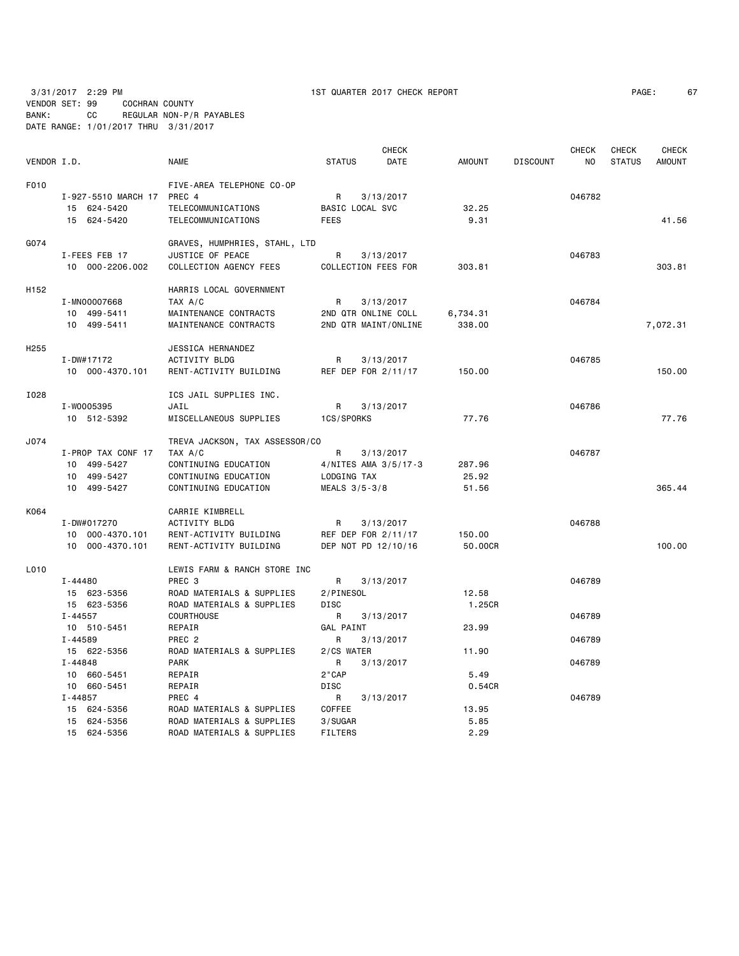|                  |                            |                                |                  | <b>CHECK</b>         |               |                 | <b>CHECK</b> | <b>CHECK</b>  | <b>CHECK</b>  |
|------------------|----------------------------|--------------------------------|------------------|----------------------|---------------|-----------------|--------------|---------------|---------------|
| VENDOR I.D.      |                            | <b>NAME</b>                    | <b>STATUS</b>    | <b>DATE</b>          | <b>AMOUNT</b> | <b>DISCOUNT</b> | NO.          | <b>STATUS</b> | <b>AMOUNT</b> |
| F010             |                            | FIVE-AREA TELEPHONE CO-OP      |                  |                      |               |                 |              |               |               |
|                  | I-927-5510 MARCH 17 PREC 4 |                                | R                | 3/13/2017            |               |                 | 046782       |               |               |
|                  | 15 624-5420                | TELECOMMUNICATIONS             | BASIC LOCAL SVC  |                      | 32.25         |                 |              |               |               |
|                  | 15 624-5420                | TELECOMMUNICATIONS             | <b>FEES</b>      |                      | 9.31          |                 |              |               | 41.56         |
| G074             |                            | GRAVES, HUMPHRIES, STAHL, LTD  |                  |                      |               |                 |              |               |               |
|                  | I-FEES FEB 17              | JUSTICE OF PEACE               | R                | 3/13/2017            |               |                 | 046783       |               |               |
|                  | 10 000-2206.002            | COLLECTION AGENCY FEES         |                  | COLLECTION FEES FOR  | 303.81        |                 |              |               | 303.81        |
| H <sub>152</sub> |                            | HARRIS LOCAL GOVERNMENT        |                  |                      |               |                 |              |               |               |
|                  | I-MN00007668               | TAX A/C                        | R                | 3/13/2017            |               |                 | 046784       |               |               |
|                  | 10 499-5411                | MAINTENANCE CONTRACTS          |                  | 2ND QTR ONLINE COLL  | 6,734.31      |                 |              |               |               |
|                  | 10 499-5411                | MAINTENANCE CONTRACTS          |                  | 2ND QTR MAINT/ONLINE | 338.00        |                 |              |               | 7,072.31      |
| H <sub>255</sub> |                            | JESSICA HERNANDEZ              |                  |                      |               |                 |              |               |               |
|                  | I-DW#17172                 | <b>ACTIVITY BLDG</b>           | R                | 3/13/2017            |               |                 | 046785       |               |               |
|                  | 10 000-4370.101            | RENT-ACTIVITY BUILDING         |                  | REF DEP FOR 2/11/17  | 150.00        |                 |              |               | 150.00        |
| I028             |                            | ICS JAIL SUPPLIES INC.         |                  |                      |               |                 |              |               |               |
|                  | I-W0005395                 | JAIL                           | R                | 3/13/2017            |               |                 | 046786       |               |               |
|                  | 10 512-5392                | MISCELLANEOUS SUPPLIES         | 1CS/SPORKS       |                      | 77.76         |                 |              |               | 77.76         |
| J074             |                            | TREVA JACKSON, TAX ASSESSOR/CO |                  |                      |               |                 |              |               |               |
|                  | I-PROP TAX CONF 17         | TAX A/C                        | R                | 3/13/2017            |               |                 | 046787       |               |               |
|                  | 10 499-5427                | CONTINUING EDUCATION           |                  | 4/NITES AMA 3/5/17-3 | 287.96        |                 |              |               |               |
|                  | 10 499-5427                | CONTINUING EDUCATION           | LODGING TAX      |                      | 25.92         |                 |              |               |               |
|                  | 10 499-5427                | CONTINUING EDUCATION           | MEALS 3/5-3/8    |                      | 51.56         |                 |              |               | 365.44        |
| K064             |                            | CARRIE KIMBRELL                |                  |                      |               |                 |              |               |               |
|                  | I-DW#017270                | <b>ACTIVITY BLDG</b>           | R                | 3/13/2017            |               |                 | 046788       |               |               |
|                  | 10 000-4370.101            | RENT-ACTIVITY BUILDING         |                  | REF DEP FOR 2/11/17  | 150.00        |                 |              |               |               |
|                  | 10 000-4370.101            | RENT-ACTIVITY BUILDING         |                  | DEP NOT PD 12/10/16  | 50.00CR       |                 |              |               | 100.00        |
| L010             |                            | LEWIS FARM & RANCH STORE INC   |                  |                      |               |                 |              |               |               |
|                  | I-44480                    | PREC <sub>3</sub>              | R                | 3/13/2017            |               |                 | 046789       |               |               |
|                  | 15 623-5356                | ROAD MATERIALS & SUPPLIES      | 2/PINESOL        |                      | 12.58         |                 |              |               |               |
|                  | 15 623-5356                | ROAD MATERIALS & SUPPLIES      | <b>DISC</b>      |                      | 1.25CR        |                 |              |               |               |
|                  | I-44557                    | <b>COURTHOUSE</b>              | R                | 3/13/2017            |               |                 | 046789       |               |               |
|                  | 10 510-5451                | REPAIR                         | <b>GAL PAINT</b> |                      | 23.99         |                 |              |               |               |
|                  | I-44589                    | PREC <sub>2</sub>              | R                | 3/13/2017            |               |                 | 046789       |               |               |
|                  | 15 622-5356                | ROAD MATERIALS & SUPPLIES      | 2/CS WATER       |                      | 11.90         |                 |              |               |               |
|                  | $I - 44848$                | <b>PARK</b>                    | R                | 3/13/2017            |               |                 | 046789       |               |               |
|                  | 10 660-5451                | REPAIR                         | 2"CAP            |                      | 5.49          |                 |              |               |               |
|                  | 10 660-5451                | REPAIR                         | <b>DISC</b>      |                      | 0.54CR        |                 |              |               |               |
|                  | I-44857                    | PREC 4                         | R                | 3/13/2017            |               |                 | 046789       |               |               |
|                  | 15 624-5356                | ROAD MATERIALS & SUPPLIES      | COFFEE           |                      | 13.95         |                 |              |               |               |

 15 624-5356 ROAD MATERIALS & SUPPLIES 3/SUGAR 5.85 15 624-5356 ROAD MATERIALS & SUPPLIES FILTERS 2.29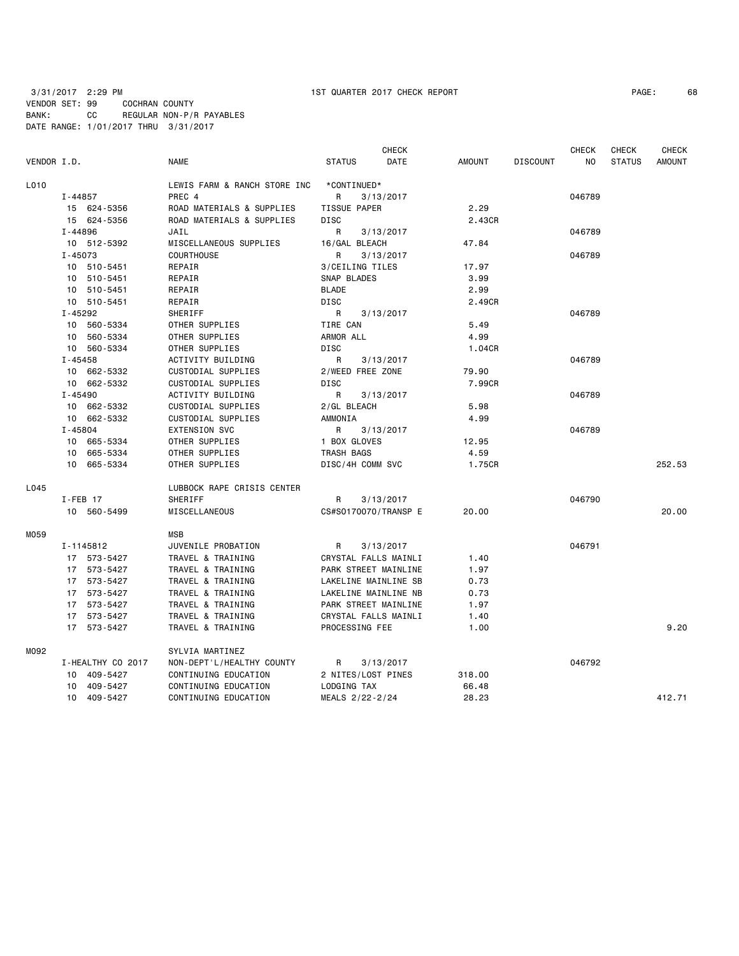| PAGE: | 68 |
|-------|----|
|-------|----|

|             |             |                   |                              |                    |             | <b>CHECK</b>         |        |                 | <b>CHECK</b> | <b>CHECK</b>  | <b>CHECK</b>  |
|-------------|-------------|-------------------|------------------------------|--------------------|-------------|----------------------|--------|-----------------|--------------|---------------|---------------|
| VENDOR I.D. |             |                   | <b>NAME</b>                  | <b>STATUS</b>      |             | DATE                 | AMOUNT | <b>DISCOUNT</b> | NO.          | <b>STATUS</b> | <b>AMOUNT</b> |
| L010        |             |                   | LEWIS FARM & RANCH STORE INC |                    | *CONTINUED* |                      |        |                 |              |               |               |
|             | $I - 44857$ |                   | PREC 4                       | R                  |             | 3/13/2017            |        |                 | 046789       |               |               |
|             |             | 15 624-5356       | ROAD MATERIALS & SUPPLIES    | TISSUE PAPER       |             |                      | 2.29   |                 |              |               |               |
|             |             | 15 624-5356       | ROAD MATERIALS & SUPPLIES    | <b>DISC</b>        |             |                      | 2.43CR |                 |              |               |               |
|             | $I - 44896$ |                   | JAIL                         | R                  |             | 3/13/2017            |        |                 | 046789       |               |               |
|             |             | 10 512-5392       | MISCELLANEOUS SUPPLIES       | 16/GAL BLEACH      |             |                      | 47.84  |                 |              |               |               |
|             | $I - 45073$ |                   | <b>COURTHOUSE</b>            | R                  |             | 3/13/2017            |        |                 | 046789       |               |               |
|             |             | 10 510-5451       | REPAIR                       | 3/CEILING TILES    |             |                      | 17.97  |                 |              |               |               |
|             |             | 10 510-5451       | REPAIR                       | SNAP BLADES        |             |                      | 3.99   |                 |              |               |               |
|             |             | 10 510-5451       | REPAIR                       | <b>BLADE</b>       |             |                      | 2.99   |                 |              |               |               |
|             |             | 10 510-5451       | REPAIR                       | DISC               |             |                      | 2.49CR |                 |              |               |               |
|             | I-45292     |                   | SHERIFF                      | R                  |             | 3/13/2017            |        |                 | 046789       |               |               |
|             |             | 10 560-5334       | OTHER SUPPLIES               | TIRE CAN           |             |                      | 5.49   |                 |              |               |               |
|             |             | 10 560-5334       | OTHER SUPPLIES               | ARMOR ALL          |             |                      | 4.99   |                 |              |               |               |
|             |             | 10 560-5334       | OTHER SUPPLIES               | DISC               |             |                      | 1.04CR |                 |              |               |               |
|             | $I - 45458$ |                   | ACTIVITY BUILDING            | R                  |             | 3/13/2017            |        |                 | 046789       |               |               |
|             |             | 10 662-5332       | CUSTODIAL SUPPLIES           | 2/WEED FREE ZONE   |             |                      | 79.90  |                 |              |               |               |
|             |             | 10 662-5332       | CUSTODIAL SUPPLIES           | DISC               |             |                      | 7.99CR |                 |              |               |               |
|             | $I - 45490$ |                   | ACTIVITY BUILDING            | R                  |             | 3/13/2017            |        |                 | 046789       |               |               |
|             |             | 10 662-5332       | CUSTODIAL SUPPLIES           | 2/GL BLEACH        |             |                      | 5.98   |                 |              |               |               |
|             |             | 10 662-5332       | CUSTODIAL SUPPLIES           | AMMONIA            |             |                      | 4.99   |                 |              |               |               |
|             | $I - 45804$ |                   | <b>EXTENSION SVC</b>         | R                  |             | 3/13/2017            |        |                 | 046789       |               |               |
|             |             | 10 665-5334       | OTHER SUPPLIES               | 1 BOX GLOVES       |             |                      | 12.95  |                 |              |               |               |
|             |             | 10 665-5334       | OTHER SUPPLIES               | TRASH BAGS         |             |                      | 4.59   |                 |              |               |               |
|             |             | 10 665-5334       | OTHER SUPPLIES               | DISC/4H COMM SVC   |             |                      | 1.75CR |                 |              |               | 252.53        |
| L045        |             |                   | LUBBOCK RAPE CRISIS CENTER   |                    |             |                      |        |                 |              |               |               |
|             | $I$ -FEB 17 |                   | SHERIFF                      | R                  |             | 3/13/2017            |        |                 | 046790       |               |               |
|             |             | 10 560-5499       | MISCELLANEOUS                |                    |             | CS#S0170070/TRANSP E | 20.00  |                 |              |               | 20,00         |
| M059        |             |                   | <b>MSB</b>                   |                    |             |                      |        |                 |              |               |               |
|             |             | I-1145812         | JUVENILE PROBATION           | R                  |             | 3/13/2017            |        |                 | 046791       |               |               |
|             |             | 17 573-5427       | TRAVEL & TRAINING            |                    |             | CRYSTAL FALLS MAINLI | 1.40   |                 |              |               |               |
|             |             | 17 573-5427       | TRAVEL & TRAINING            |                    |             | PARK STREET MAINLINE | 1.97   |                 |              |               |               |
|             |             | 17 573-5427       | TRAVEL & TRAINING            |                    |             | LAKELINE MAINLINE SB | 0.73   |                 |              |               |               |
|             |             | 17 573-5427       | TRAVEL & TRAINING            |                    |             | LAKELINE MAINLINE NB | 0.73   |                 |              |               |               |
|             |             | 17 573-5427       | TRAVEL & TRAINING            |                    |             | PARK STREET MAINLINE | 1.97   |                 |              |               |               |
|             |             | 17 573-5427       | TRAVEL & TRAINING            |                    |             | CRYSTAL FALLS MAINLI | 1.40   |                 |              |               |               |
|             |             | 17 573-5427       | TRAVEL & TRAINING            | PROCESSING FEE     |             |                      | 1.00   |                 |              |               | 9.20          |
| M092        |             |                   | SYLVIA MARTINEZ              |                    |             |                      |        |                 |              |               |               |
|             |             | I-HEALTHY CO 2017 | NON-DEPT'L/HEALTHY COUNTY    | R                  |             | 3/13/2017            |        |                 | 046792       |               |               |
|             |             | 10 409-5427       | CONTINUING EDUCATION         | 2 NITES/LOST PINES |             |                      | 318.00 |                 |              |               |               |
|             |             | 10 409-5427       | CONTINUING EDUCATION         | LODGING TAX        |             |                      | 66.48  |                 |              |               |               |
|             |             | 10 409-5427       | CONTINUING EDUCATION         | MEALS 2/22-2/24    |             |                      | 28.23  |                 |              |               | 412.71        |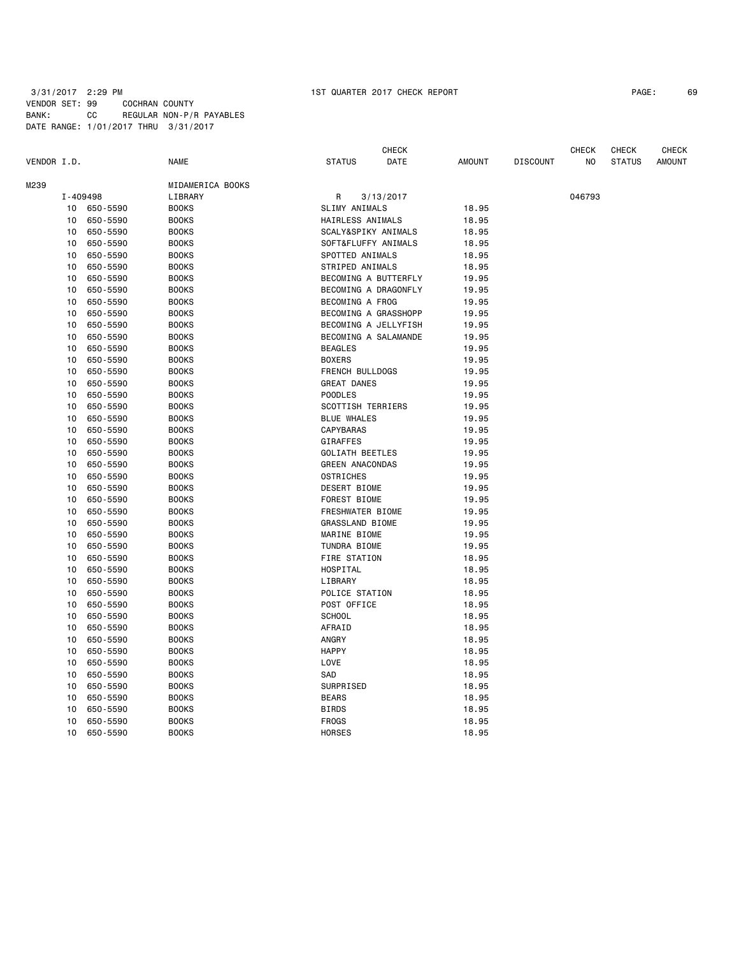| PAGE: | 69 |
|-------|----|
|-------|----|

|             |                |                      |                  |                         | <b>CHECK</b>         |                |                 | <b>CHECK</b><br><b>CHECK</b> |               |               |  |
|-------------|----------------|----------------------|------------------|-------------------------|----------------------|----------------|-----------------|------------------------------|---------------|---------------|--|
| VENDOR I.D. |                |                      | <b>NAME</b>      | <b>STATUS</b>           | DATE                 | <b>AMOUNT</b>  | <b>DISCOUNT</b> | NO                           | <b>STATUS</b> | <b>AMOUNT</b> |  |
| M239        |                |                      | MIDAMERICA BOOKS |                         |                      |                |                 |                              |               |               |  |
|             | I-409498       |                      | LIBRARY          | R                       | 3/13/2017            |                |                 | 046793                       |               |               |  |
|             | 10<br>650-5590 |                      | <b>BOOKS</b>     |                         | SLIMY ANIMALS        |                |                 |                              |               |               |  |
|             | 10             | 650-5590             | <b>BOOKS</b>     | HAIRLESS ANIMALS        |                      | 18.95<br>18.95 |                 |                              |               |               |  |
|             | 10             | 650-5590             | <b>BOOKS</b>     | SCALY&SPIKY ANIMALS     |                      | 18.95          |                 |                              |               |               |  |
|             | 10             | 650-5590             | <b>BOOKS</b>     | SOFT&FLUFFY ANIMALS     |                      | 18.95          |                 |                              |               |               |  |
|             | 10             | 650-5590             | <b>BOOKS</b>     | SPOTTED ANIMALS         |                      | 18.95          |                 |                              |               |               |  |
|             | 10             | 650-5590             | <b>BOOKS</b>     | STRIPED ANIMALS         |                      | 18.95          |                 |                              |               |               |  |
|             | 10             | 650-5590             | <b>BOOKS</b>     |                         | BECOMING A BUTTERFLY | 19.95          |                 |                              |               |               |  |
|             | 10             | 650-5590             | <b>BOOKS</b>     |                         | BECOMING A DRAGONFLY | 19.95          |                 |                              |               |               |  |
|             | 10             | 650-5590             | <b>BOOKS</b>     | BECOMING A FROG         |                      | 19.95          |                 |                              |               |               |  |
|             | 10             | 650-5590             | <b>BOOKS</b>     | BECOMING A GRASSHOPP    |                      | 19.95          |                 |                              |               |               |  |
|             | 10             | 650-5590             | <b>BOOKS</b>     |                         | BECOMING A JELLYFISH | 19.95          |                 |                              |               |               |  |
|             |                |                      | <b>BOOKS</b>     |                         |                      |                |                 |                              |               |               |  |
|             | 10<br>10       | 650-5590<br>650-5590 | <b>BOOKS</b>     | <b>BEAGLES</b>          | BECOMING A SALAMANDE | 19.95          |                 |                              |               |               |  |
|             | 10             |                      |                  |                         |                      | 19.95          |                 |                              |               |               |  |
|             |                | 650-5590             | <b>BOOKS</b>     | <b>BOXERS</b>           |                      | 19.95          |                 |                              |               |               |  |
|             | 10             | 650-5590             | <b>BOOKS</b>     | FRENCH BULLDOGS         |                      | 19.95          |                 |                              |               |               |  |
|             | 10             | 650-5590             | <b>BOOKS</b>     | <b>GREAT DANES</b>      |                      | 19.95          |                 |                              |               |               |  |
|             | 10             | 650-5590             | <b>BOOKS</b>     | <b>POODLES</b>          |                      | 19.95          |                 |                              |               |               |  |
|             | 10             | 650-5590             | <b>BOOKS</b>     | SCOTTISH TERRIERS       |                      | 19.95          |                 |                              |               |               |  |
|             | 10             | 650-5590             | <b>BOOKS</b>     | <b>BLUE WHALES</b>      |                      | 19.95          |                 |                              |               |               |  |
|             | 10             | 650-5590             | <b>BOOKS</b>     | CAPYBARAS               |                      | 19.95          |                 |                              |               |               |  |
|             | 10             | 650-5590             | <b>BOOKS</b>     | GIRAFFES                |                      | 19.95          |                 |                              |               |               |  |
|             | 10             | 650-5590             | <b>BOOKS</b>     | <b>GOLIATH BEETLES</b>  |                      | 19.95          |                 |                              |               |               |  |
|             | 10             | 650-5590             | <b>BOOKS</b>     | <b>GREEN ANACONDAS</b>  |                      | 19.95          |                 |                              |               |               |  |
|             | 10             | 650-5590             | <b>BOOKS</b>     | OSTRICHES               |                      | 19.95          |                 |                              |               |               |  |
|             | 10             | 650-5590             | <b>BOOKS</b>     | DESERT BIOME            |                      | 19.95          |                 |                              |               |               |  |
|             | 10             | 650-5590             | <b>BOOKS</b>     | FOREST BIOME            |                      | 19.95          |                 |                              |               |               |  |
|             | 10             | 650-5590             | <b>BOOKS</b>     | <b>FRESHWATER BIOME</b> |                      | 19.95          |                 |                              |               |               |  |
|             | 10             | 650-5590             | <b>BOOKS</b>     | GRASSLAND BIOME         |                      | 19.95          |                 |                              |               |               |  |
|             | 10             | 650-5590             | <b>BOOKS</b>     | MARINE BIOME            |                      | 19.95          |                 |                              |               |               |  |
|             | 10             | 650-5590             | <b>BOOKS</b>     | TUNDRA BIOME            |                      | 19.95          |                 |                              |               |               |  |
|             | 10             | 650-5590             | <b>BOOKS</b>     | FIRE STATION            |                      | 18.95          |                 |                              |               |               |  |
|             | 10             | 650-5590             | <b>BOOKS</b>     | HOSPITAL                |                      | 18.95          |                 |                              |               |               |  |
|             | 10             | 650-5590             | <b>BOOKS</b>     | LIBRARY                 |                      | 18.95          |                 |                              |               |               |  |
|             | 10             | 650-5590             | <b>BOOKS</b>     | POLICE STATION          |                      | 18.95          |                 |                              |               |               |  |
|             | 10             | 650-5590             | <b>BOOKS</b>     | POST OFFICE             |                      | 18.95          |                 |                              |               |               |  |
|             | 10             | 650-5590             | <b>BOOKS</b>     | <b>SCHOOL</b>           |                      | 18.95          |                 |                              |               |               |  |
|             | 10             | 650-5590             | <b>BOOKS</b>     | AFRAID                  |                      | 18.95          |                 |                              |               |               |  |
|             | 10             | 650-5590             | <b>BOOKS</b>     | ANGRY                   |                      | 18.95          |                 |                              |               |               |  |
|             | 10             | 650-5590             | <b>BOOKS</b>     | <b>HAPPY</b>            |                      | 18.95          |                 |                              |               |               |  |
|             | 10             | 650-5590             | <b>BOOKS</b>     | LOVE                    |                      | 18.95          |                 |                              |               |               |  |
|             | 10             | 650-5590             | <b>BOOKS</b>     | SAD                     |                      | 18.95          |                 |                              |               |               |  |
|             | 10             | 650-5590             | <b>BOOKS</b>     | SURPRISED               |                      | 18.95          |                 |                              |               |               |  |
|             | 10             | 650-5590             | <b>BOOKS</b>     | <b>BEARS</b>            |                      | 18.95          |                 |                              |               |               |  |
|             | 10             | 650-5590             | <b>BOOKS</b>     | <b>BIRDS</b>            |                      | 18.95          |                 |                              |               |               |  |
|             | 10             | 650-5590             | <b>BOOKS</b>     | <b>FROGS</b>            |                      | 18.95          |                 |                              |               |               |  |
|             | 10             | 650-5590             | <b>BOOKS</b>     | <b>HORSES</b>           |                      | 18.95          |                 |                              |               |               |  |
|             |                |                      |                  |                         |                      |                |                 |                              |               |               |  |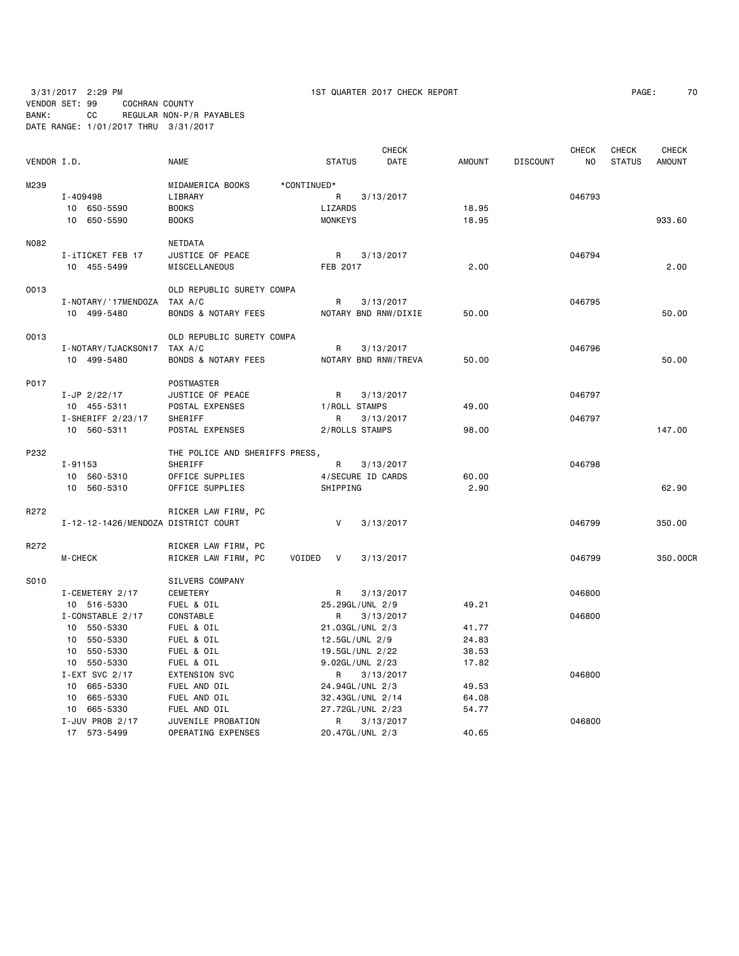3/31/2017 2:29 PM 1ST QUARTER 2017 CHECK REPORT PAGE: 70 VENDOR SET: 99 COCHRAN COUNTY BANK: CC REGULAR NON-P/R PAYABLES

DATE RANGE: 1/01/2017 THRU 3/31/2017

| PAGE: | 70 |
|-------|----|
|-------|----|

|             |                                     |                                |                                 | <b>CHECK</b> |                |                 | <b>CHECK</b>   | <b>CHECK</b>  | <b>CHECK</b>  |
|-------------|-------------------------------------|--------------------------------|---------------------------------|--------------|----------------|-----------------|----------------|---------------|---------------|
| VENDOR I.D. |                                     | <b>NAME</b>                    | <b>STATUS</b>                   | DATE         | <b>AMOUNT</b>  | <b>DISCOUNT</b> | N <sub>0</sub> | <b>STATUS</b> | <b>AMOUNT</b> |
| M239        |                                     | MIDAMERICA BOOKS               | *CONTINUED*                     |              |                |                 |                |               |               |
|             | I-409498                            | LIBRARY                        | R                               | 3/13/2017    |                |                 | 046793         |               |               |
|             | 10 650-5590                         | <b>BOOKS</b>                   | LIZARDS                         |              | 18.95          |                 |                |               |               |
|             | 10 650-5590                         | <b>BOOKS</b>                   | <b>MONKEYS</b>                  |              | 18.95          |                 |                |               | 933.60        |
| N082        |                                     | NETDATA                        |                                 |              |                |                 |                |               |               |
|             | I-iTICKET FEB 17                    | JUSTICE OF PEACE               | R                               | 3/13/2017    |                |                 | 046794         |               |               |
|             | 10 455-5499                         | MISCELLANEOUS                  | FEB 2017                        |              | 2.00           |                 |                |               | 2.00          |
| 0013        |                                     | OLD REPUBLIC SURETY COMPA      |                                 |              |                |                 |                |               |               |
|             | I-NOTARY/ '17MENDOZA                | TAX A/C                        | R                               | 3/13/2017    |                |                 | 046795         |               |               |
|             | 10 499-5480                         | <b>BONDS &amp; NOTARY FEES</b> | NOTARY BND RNW/DIXIE            |              | 50.00          |                 |                |               | 50.00         |
| 0013        |                                     | OLD REPUBLIC SURETY COMPA      |                                 |              |                |                 |                |               |               |
|             | I-NOTARY/TJACKSON17                 | TAX A/C                        | R                               | 3/13/2017    |                |                 | 046796         |               |               |
|             | 10 499-5480                         | <b>BONDS &amp; NOTARY FEES</b> | NOTARY BND RNW/TREVA            |              | 50.00          |                 |                |               | 50.00         |
| P017        |                                     | POSTMASTER                     |                                 |              |                |                 |                |               |               |
|             | $I - JP$ 2/22/17                    | JUSTICE OF PEACE               | R                               | 3/13/2017    |                |                 | 046797         |               |               |
|             | 10 455-5311                         | POSTAL EXPENSES                | 1/ROLL STAMPS                   |              | 49.00          |                 |                |               |               |
|             | $I-SHERIFF 2/23/17$                 | SHERIFF                        | R                               | 3/13/2017    |                |                 | 046797         |               |               |
|             | 10 560-5311                         | POSTAL EXPENSES                | 2/ROLLS STAMPS                  |              | 98.00          |                 |                |               | 147.00        |
| P232        |                                     | THE POLICE AND SHERIFFS PRESS, |                                 |              |                |                 |                |               |               |
|             | $I - 91153$                         | SHERIFF                        | R                               | 3/13/2017    |                |                 | 046798         |               |               |
|             | 10 560-5310                         | OFFICE SUPPLIES                | 4/SECURE ID CARDS               |              | 60.00          |                 |                |               |               |
|             | 10 560-5310                         | OFFICE SUPPLIES                | SHIPPING                        |              | 2.90           |                 |                |               | 62.90         |
| R272        |                                     | RICKER LAW FIRM, PC            |                                 |              |                |                 |                |               |               |
|             | I-12-12-1426/MENDOZA DISTRICT COURT |                                | V                               | 3/13/2017    |                |                 | 046799         |               | 350.00        |
| R272        |                                     | RICKER LAW FIRM, PC            |                                 |              |                |                 |                |               |               |
|             | <b>M-CHECK</b>                      | RICKER LAW FIRM, PC<br>VOIDED  | $\mathsf{V}$                    | 3/13/2017    |                |                 | 046799         |               | 350.00CR      |
| S010        |                                     | SILVERS COMPANY                |                                 |              |                |                 |                |               |               |
|             | I-CEMETERY 2/17                     | CEMETERY                       | R                               | 3/13/2017    |                |                 | 046800         |               |               |
|             | 10 516-5330                         | FUEL & OIL                     | 25.29GL/UNL 2/9                 |              | 49.21          |                 |                |               |               |
|             | I-CONSTABLE 2/17                    | CONSTABLE                      | R                               | 3/13/2017    |                |                 | 046800         |               |               |
|             | 10 550-5330                         | FUEL & OIL                     | 21.03GL/UNL 2/3                 |              | 41.77          |                 |                |               |               |
|             | 10 550-5330                         | FUEL & OIL                     | 12.5GL/UNL 2/9                  |              | 24.83          |                 |                |               |               |
|             | 10 550-5330                         | FUEL & OIL                     | 19.5GL/UNL 2/22                 |              | 38.53          |                 |                |               |               |
|             | 10 550-5330                         | FUEL & OIL                     | 9.02GL/UNL 2/23                 |              | 17.82          |                 |                |               |               |
|             | $I - EXT$ SVC 2/17                  | <b>EXTENSION SVC</b>           | R                               | 3/13/2017    |                |                 | 046800         |               |               |
|             | 10 665-5330                         | FUEL AND OIL                   | 24.94GL/UNL 2/3                 |              | 49.53<br>64.08 |                 |                |               |               |
|             | 10 665-5330<br>10 665-5330          | FUEL AND OIL<br>FUEL AND OIL   | 32.43GL/UNL 2/14                |              | 54.77          |                 |                |               |               |
|             | I-JUV PROB 2/17                     | JUVENILE PROBATION             | 27.72GL/UNL 2/23<br>R 3/13/2017 |              |                |                 | 046800         |               |               |
|             |                                     |                                |                                 |              |                |                 |                |               |               |

17 573-5499 OPERATING EXPENSES 20.47GL/UNL 2/3 40.65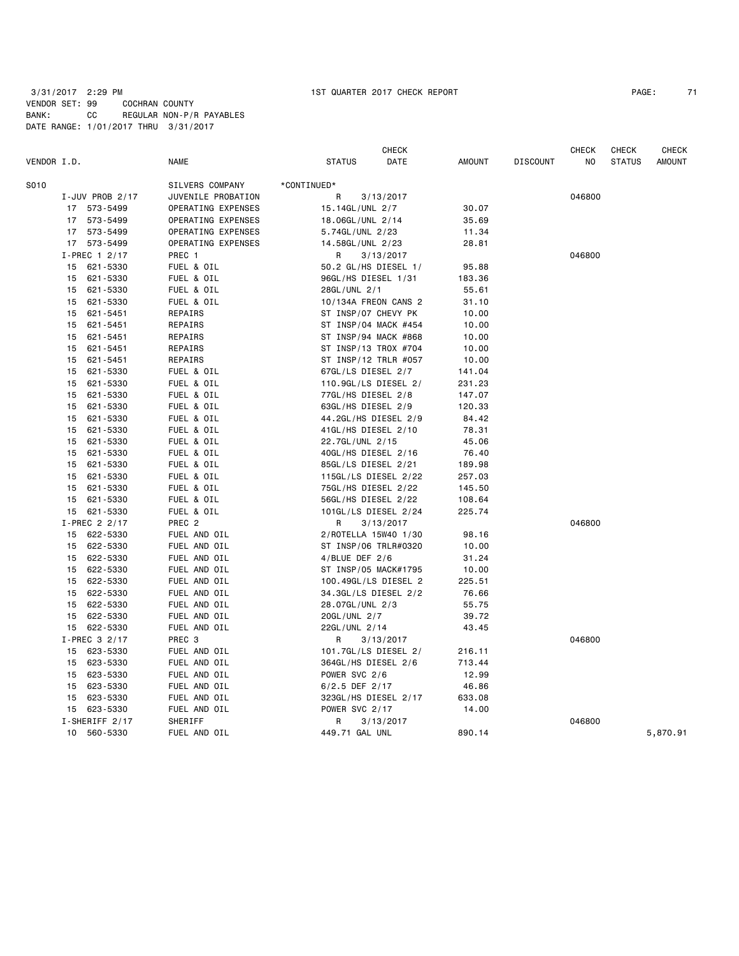|             |    |                        |                    |                      | <b>CHECK</b> |               |                 | <b>CHECK</b> | <b>CHECK</b>  | <b>CHECK</b>  |
|-------------|----|------------------------|--------------------|----------------------|--------------|---------------|-----------------|--------------|---------------|---------------|
| VENDOR I.D. |    |                        | <b>NAME</b>        | <b>STATUS</b>        | DATE         | <b>AMOUNT</b> | <b>DISCOUNT</b> | NO           | <b>STATUS</b> | <b>AMOUNT</b> |
| S010        |    |                        | SILVERS COMPANY    | *CONTINUED*          |              |               |                 |              |               |               |
|             |    | I-JUV PROB 2/17        | JUVENILE PROBATION | R                    | 3/13/2017    |               |                 | 046800       |               |               |
|             |    | 17 573-5499            | OPERATING EXPENSES | 15.14GL/UNL 2/7      |              | 30.07         |                 |              |               |               |
|             |    | 17 573-5499            | OPERATING EXPENSES | 18.06GL/UNL 2/14     |              | 35.69         |                 |              |               |               |
|             |    | 17 573-5499            | OPERATING EXPENSES | 5.74GL/UNL 2/23      |              | 11.34         |                 |              |               |               |
|             |    | 17 573-5499            | OPERATING EXPENSES | 14.58GL/UNL 2/23     |              | 28.81         |                 |              |               |               |
|             |    | I-PREC 1 2/17          | PREC 1             | R                    | 3/13/2017    |               |                 | 046800       |               |               |
|             |    | 15 621-5330            | FUEL & OIL         | 50.2 GL/HS DIESEL 1/ |              | 95.88         |                 |              |               |               |
|             | 15 | 621-5330               | FUEL & OIL         | 96GL/HS DIESEL 1/31  |              | 183.36        |                 |              |               |               |
|             | 15 | 621-5330               | FUEL & OIL         | 28GL/UNL 2/1         |              | 55.61         |                 |              |               |               |
|             | 15 | 621-5330               | FUEL & OIL         | 10/134A FREON CANS 2 |              | 31.10         |                 |              |               |               |
|             | 15 | 621-5451               | REPAIRS            | ST INSP/07 CHEVY PK  |              | 10.00         |                 |              |               |               |
|             | 15 | 621-5451               | REPAIRS            | ST INSP/04 MACK #454 |              | 10.00         |                 |              |               |               |
|             | 15 | 621-5451               | REPAIRS            | ST INSP/94 MACK #868 |              | 10.00         |                 |              |               |               |
|             | 15 | 621-5451               | REPAIRS            | ST INSP/13 TROX #704 |              | 10.00         |                 |              |               |               |
|             | 15 | 621-5451               | REPAIRS            | ST INSP/12 TRLR #057 |              | 10.00         |                 |              |               |               |
|             | 15 | 621-5330               | FUEL & OIL         | 67GL/LS DIESEL 2/7   |              | 141.04        |                 |              |               |               |
|             | 15 | 621-5330               | FUEL & OIL         | 110.9GL/LS DIESEL 2/ |              | 231.23        |                 |              |               |               |
|             | 15 | 621-5330               | FUEL & OIL         | 77GL/HS DIESEL 2/8   |              | 147.07        |                 |              |               |               |
|             | 15 | 621-5330               | FUEL & OIL         | 63GL/HS DIESEL 2/9   |              | 120.33        |                 |              |               |               |
|             | 15 | 621-5330               | FUEL & OIL         | 44.2GL/HS DIESEL 2/9 |              | 84.42         |                 |              |               |               |
|             | 15 | 621-5330               | FUEL & OIL         | 41GL/HS DIESEL 2/10  |              | 78.31         |                 |              |               |               |
|             | 15 | 621-5330               | FUEL & OIL         | 22.7GL/UNL 2/15      |              | 45.06         |                 |              |               |               |
|             | 15 | 621-5330               | FUEL & OIL         | 40GL/HS DIESEL 2/16  |              | 76.40         |                 |              |               |               |
|             | 15 | 621-5330               | FUEL & OIL         | 85GL/LS DIESEL 2/21  |              | 189.98        |                 |              |               |               |
|             | 15 | 621-5330               | FUEL & OIL         | 115GL/LS DIESEL 2/22 |              | 257.03        |                 |              |               |               |
|             | 15 | 621-5330               | FUEL & OIL         | 75GL/HS DIESEL 2/22  |              | 145.50        |                 |              |               |               |
|             | 15 | 621-5330               | FUEL & OIL         | 56GL/HS DIESEL 2/22  |              | 108.64        |                 |              |               |               |
|             |    | 15 621-5330            | FUEL & OIL         | 101GL/LS DIESEL 2/24 |              | 225.74        |                 |              |               |               |
|             |    | I-PREC $2\frac{2}{17}$ | PREC <sub>2</sub>  | R                    | 3/13/2017    |               |                 | 046800       |               |               |
|             |    | 15 622-5330            | FUEL AND OIL       | 2/ROTELLA 15W40 1/30 |              | 98.16         |                 |              |               |               |
|             |    | 15 622-5330            | FUEL AND OIL       | ST INSP/06 TRLR#0320 |              | 10.00         |                 |              |               |               |
|             | 15 | 622-5330               | FUEL AND OIL       | $4/$ BLUE DEF 2/6    |              | 31.24         |                 |              |               |               |
|             | 15 | 622-5330               | FUEL AND OIL       | ST INSP/05 MACK#1795 |              | 10.00         |                 |              |               |               |
|             | 15 | 622-5330               | FUEL AND OIL       | 100.49GL/LS DIESEL 2 |              | 225.51        |                 |              |               |               |
|             | 15 | 622-5330               | FUEL AND OIL       | 34.3GL/LS DIESEL 2/2 |              | 76.66         |                 |              |               |               |
|             | 15 | 622-5330               | FUEL AND OIL       | 28.07GL/UNL 2/3      |              | 55.75         |                 |              |               |               |
|             | 15 | 622-5330               | FUEL AND OIL       | 20GL/UNL 2/7         |              | 39.72         |                 |              |               |               |
|             |    | 15 622-5330            | FUEL AND OIL       | 22GL/UNL 2/14        |              | 43.45         |                 |              |               |               |
|             |    | I-PREC 3 2/17          | PREC <sub>3</sub>  | R                    | 3/13/2017    |               |                 | 046800       |               |               |
|             |    | 15 623-5330            | FUEL AND OIL       | 101.7GL/LS DIESEL 2/ |              | 216.11        |                 |              |               |               |
|             | 15 | 623-5330               | FUEL AND OIL       | 364GL/HS DIESEL 2/6  |              | 713.44        |                 |              |               |               |
|             | 15 | 623-5330               | FUEL AND OIL       | POWER SVC 2/6        |              | 12.99         |                 |              |               |               |
|             | 15 | 623-5330               | FUEL AND OIL       | $6/2.5$ DEF 2/17     |              | 46.86         |                 |              |               |               |
|             | 15 | 623-5330               | FUEL AND OIL       | 323GL/HS DIESEL 2/17 |              | 633.08        |                 |              |               |               |
|             |    | 15 623-5330            | FUEL AND OIL       | POWER SVC 2/17       |              | 14.00         |                 |              |               |               |
|             |    | I-SHERIFF 2/17         | SHERIFF            | R                    | 3/13/2017    |               |                 | 046800       |               |               |
|             | 10 | 560-5330               | FUEL AND OIL       | 449.71 GAL UNL       |              | 890.14        |                 |              |               | 5,870.91      |
|             |    |                        |                    |                      |              |               |                 |              |               |               |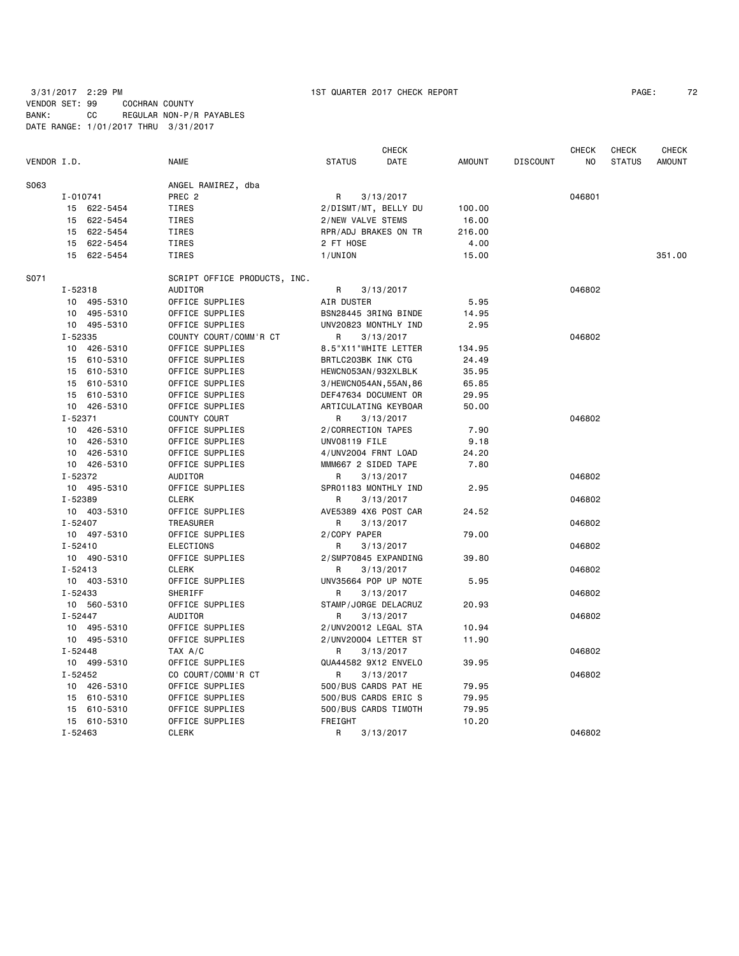3/31/2017 2:29 PM 1ST QUARTER 2017 CHECK REPORT PAGE: 72 VENDOR SET: 99 COCHRAN COUNTY BANK: CC REGULAR NON-P/R PAYABLES

|             |             |                              |                     | <b>CHECK</b>           |               |                 | <b>CHECK</b> | CHECK         | CHECK         |
|-------------|-------------|------------------------------|---------------------|------------------------|---------------|-----------------|--------------|---------------|---------------|
| VENDOR I.D. |             | <b>NAME</b>                  | <b>STATUS</b>       | DATE                   | <b>AMOUNT</b> | <b>DISCOUNT</b> | NO           | <b>STATUS</b> | <b>AMOUNT</b> |
| S063        |             | ANGEL RAMIREZ, dba           |                     |                        |               |                 |              |               |               |
|             | I-010741    | PREC <sub>2</sub>            | $\mathsf{R}$        | 3/13/2017              |               |                 | 046801       |               |               |
|             | 15 622-5454 | TIRES                        |                     | 2/DISMT/MT, BELLY DU   | 100.00        |                 |              |               |               |
|             | 15 622-5454 | <b>TIRES</b>                 | 2/NEW VALVE STEMS   |                        | 16.00         |                 |              |               |               |
|             | 15 622-5454 | TIRES                        |                     | RPR/ADJ BRAKES ON TR   | 216.00        |                 |              |               |               |
|             | 15 622-5454 | TIRES                        | 2 FT HOSE           |                        | 4.00          |                 |              |               |               |
|             | 15 622-5454 | <b>TIRES</b>                 | 1/UNION             |                        | 15.00         |                 |              |               | 351.00        |
| S071        |             | SCRIPT OFFICE PRODUCTS, INC. |                     |                        |               |                 |              |               |               |
|             | I-52318     | AUDITOR                      | R                   | 3/13/2017              |               |                 | 046802       |               |               |
|             | 10 495-5310 | OFFICE SUPPLIES              | AIR DUSTER          |                        | 5.95          |                 |              |               |               |
|             | 10 495-5310 | OFFICE SUPPLIES              |                     | BSN28445 3RING BINDE   | 14.95         |                 |              |               |               |
|             | 10 495-5310 | OFFICE SUPPLIES              |                     | UNV20823 MONTHLY IND   | 2.95          |                 |              |               |               |
|             | I-52335     | COUNTY COURT/COMM'R CT       | R                   | 3/13/2017              |               |                 | 046802       |               |               |
|             | 10 426-5310 | OFFICE SUPPLIES              |                     | 8.5"X11"WHITE LETTER   | 134.95        |                 |              |               |               |
|             | 15 610-5310 | OFFICE SUPPLIES              | BRTLC203BK INK CTG  |                        | 24.49         |                 |              |               |               |
|             | 15 610-5310 | OFFICE SUPPLIES              | HEWCN053AN/932XLBLK |                        | 35.95         |                 |              |               |               |
|             | 15 610-5310 | OFFICE SUPPLIES              |                     | 3/HEWCN054AN, 55AN, 86 | 65.85         |                 |              |               |               |
|             | 15 610-5310 | OFFICE SUPPLIES              |                     | DEF47634 DOCUMENT OR   | 29.95         |                 |              |               |               |
|             | 10 426-5310 | OFFICE SUPPLIES              |                     | ARTICULATING KEYBOAR   | 50.00         |                 |              |               |               |
|             | $I - 52371$ | COUNTY COURT                 | R                   | 3/13/2017              |               |                 | 046802       |               |               |
|             | 10 426-5310 | OFFICE SUPPLIES              | 2/CORRECTION TAPES  |                        | 7.90          |                 |              |               |               |
|             | 10 426-5310 | OFFICE SUPPLIES              | UNV08119 FILE       |                        | 9.18          |                 |              |               |               |
|             | 10 426-5310 | OFFICE SUPPLIES              | 4/UNV2004 FRNT LOAD |                        | 24.20         |                 |              |               |               |
|             | 10 426-5310 | OFFICE SUPPLIES              | MMM667 2 SIDED TAPE |                        | 7.80          |                 |              |               |               |
|             | I-52372     | AUDITOR                      | R                   | 3/13/2017              |               |                 | 046802       |               |               |
|             | 10 495-5310 | OFFICE SUPPLIES              |                     | SPR01183 MONTHLY IND   | 2.95          |                 |              |               |               |
|             | I-52389     | <b>CLERK</b>                 | R                   | 3/13/2017              |               |                 | 046802       |               |               |
|             | 10 403-5310 | OFFICE SUPPLIES              |                     | AVE5389 4X6 POST CAR   | 24.52         |                 |              |               |               |
|             | $I - 52407$ | TREASURER                    | R                   | 3/13/2017              |               |                 | 046802       |               |               |
|             | 10 497-5310 | OFFICE SUPPLIES              | 2/COPY PAPER        |                        | 79.00         |                 |              |               |               |
|             | $I - 52410$ | <b>ELECTIONS</b>             | R                   | 3/13/2017              |               |                 | 046802       |               |               |
|             | 10 490-5310 | OFFICE SUPPLIES              |                     | 2/SMP70845 EXPANDING   | 39.80         |                 |              |               |               |
|             | $I - 52413$ | <b>CLERK</b>                 | R.                  | 3/13/2017              |               |                 | 046802       |               |               |
|             | 10 403-5310 | OFFICE SUPPLIES              |                     | UNV35664 POP UP NOTE   | 5.95          |                 |              |               |               |
|             | I-52433     | SHERIFF                      | R                   | 3/13/2017              |               |                 | 046802       |               |               |
|             | 10 560-5310 | OFFICE SUPPLIES              |                     | STAMP/JORGE DELACRUZ   | 20.93         |                 |              |               |               |
|             | I-52447     | AUDITOR                      | R                   | 3/13/2017              |               |                 | 046802       |               |               |
|             | 10 495-5310 | OFFICE SUPPLIES              |                     | 2/UNV20012 LEGAL STA   | 10.94         |                 |              |               |               |
|             | 10 495-5310 | OFFICE SUPPLIES              |                     | 2/UNV20004 LETTER ST   | 11.90         |                 |              |               |               |
|             | $I - 52448$ | TAX A/C                      | R                   | 3/13/2017              |               |                 | 046802       |               |               |
|             | 10 499-5310 | OFFICE SUPPLIES              |                     | QUA44582 9X12 ENVELO   | 39.95         |                 |              |               |               |
|             | I-52452     | CO COURT/COMM'R CT           | R                   | 3/13/2017              |               |                 | 046802       |               |               |
|             | 10 426-5310 | OFFICE SUPPLIES              |                     | 500/BUS CARDS PAT HE   | 79.95         |                 |              |               |               |
|             | 15 610-5310 | OFFICE SUPPLIES              |                     | 500/BUS CARDS ERIC S   | 79.95         |                 |              |               |               |
|             | 15 610-5310 | OFFICE SUPPLIES              |                     | 500/BUS CARDS TIMOTH   | 79.95         |                 |              |               |               |
|             | 15 610-5310 | OFFICE SUPPLIES              | FREIGHT             |                        | 10.20         |                 |              |               |               |
|             | $I - 52463$ | <b>CLERK</b>                 | $\mathsf{R}$        | 3/13/2017              |               |                 | 046802       |               |               |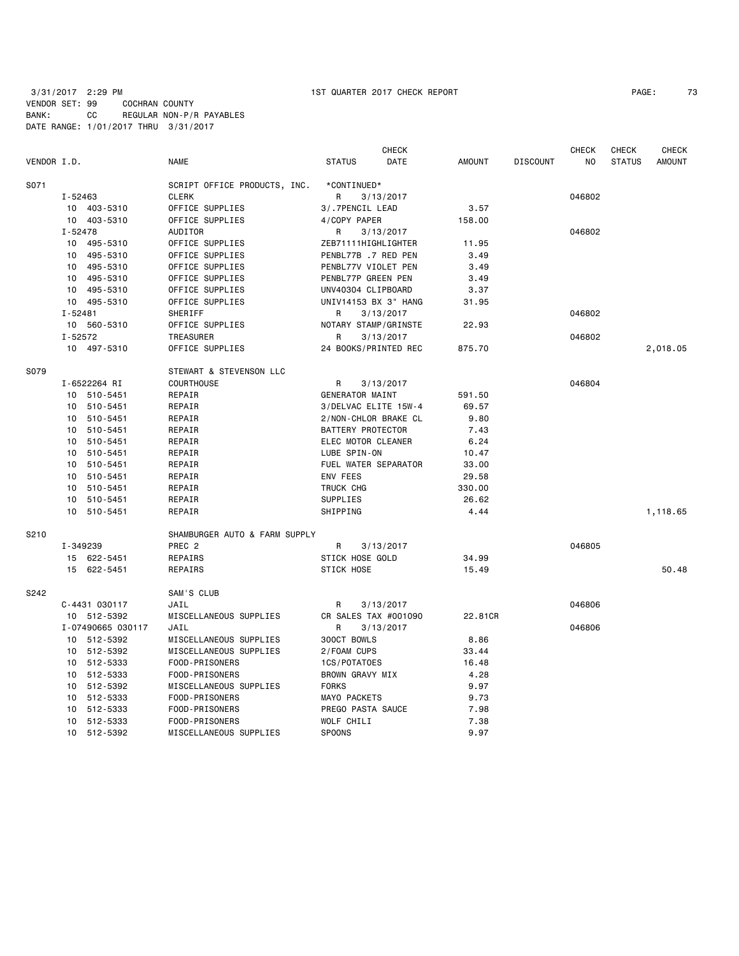# 3/31/2017 2:29 PM 1ST QUARTER 2017 CHECK REPORT PAGE: 73 VENDOR SET: 99 COCHRAN COUNTY BANK: CC REGULAR NON-P/R PAYABLES DATE RANGE: 1/01/2017 THRU 3/31/2017

|             |                   |                               | <b>CHECK</b>           |               |                 | <b>CHECK</b> | <b>CHECK</b>  | <b>CHECK</b>  |
|-------------|-------------------|-------------------------------|------------------------|---------------|-----------------|--------------|---------------|---------------|
| VENDOR I.D. |                   | <b>NAME</b>                   | <b>STATUS</b><br>DATE  | <b>AMOUNT</b> | <b>DISCOUNT</b> | NO.          | <b>STATUS</b> | <b>AMOUNT</b> |
| S071        |                   | SCRIPT OFFICE PRODUCTS, INC.  | *CONTINUED*            |               |                 |              |               |               |
|             | I-52463           | CLERK                         | R<br>3/13/2017         |               |                 | 046802       |               |               |
|             | 10 403-5310       | OFFICE SUPPLIES               | 3/.7PENCIL LEAD        | 3.57          |                 |              |               |               |
|             | 10 403-5310       | OFFICE SUPPLIES               | 4/COPY PAPER           | 158.00        |                 |              |               |               |
|             | $I - 52478$       | <b>AUDITOR</b>                | R<br>3/13/2017         |               |                 | 046802       |               |               |
|             | 10 495-5310       | OFFICE SUPPLIES               | ZEB71111HIGHLIGHTER    | 11.95         |                 |              |               |               |
|             | 10 495-5310       | OFFICE SUPPLIES               | PENBL77B .7 RED PEN    | 3.49          |                 |              |               |               |
|             | 10 495-5310       | OFFICE SUPPLIES               | PENBL77V VIOLET PEN    | 3.49          |                 |              |               |               |
|             | 10 495-5310       | OFFICE SUPPLIES               | PENBL77P GREEN PEN     | 3.49          |                 |              |               |               |
|             | 10 495-5310       | OFFICE SUPPLIES               | UNV40304 CLIPBOARD     | 3.37          |                 |              |               |               |
|             | 10 495-5310       | OFFICE SUPPLIES               | UNIV14153 BX 3" HANG   | 31.95         |                 |              |               |               |
|             | $I - 52481$       | SHERIFF                       | R<br>3/13/2017         |               |                 | 046802       |               |               |
|             | 10 560-5310       | OFFICE SUPPLIES               | NOTARY STAMP/GRINSTE   | 22.93         |                 |              |               |               |
|             | $I - 52572$       | TREASURER                     | R<br>3/13/2017         |               |                 | 046802       |               |               |
|             | 10 497-5310       | OFFICE SUPPLIES               | 24 BOOKS/PRINTED REC   | 875.70        |                 |              |               | 2,018.05      |
| S079        |                   | STEWART & STEVENSON LLC       |                        |               |                 |              |               |               |
|             | I-6522264 RI      | COURTHOUSE                    | R<br>3/13/2017         |               |                 | 046804       |               |               |
|             | 10 510-5451       | REPAIR                        | GENERATOR MAINT        | 591.50        |                 |              |               |               |
|             | 10 510-5451       | REPAIR                        | 3/DELVAC ELITE 15W-4   | 69.57         |                 |              |               |               |
|             | 10 510-5451       | REPAIR                        | 2/NON-CHLOR BRAKE CL   | 9.80          |                 |              |               |               |
|             | 10 510-5451       | REPAIR                        | BATTERY PROTECTOR      | 7.43          |                 |              |               |               |
|             | 10 510-5451       | REPAIR                        | ELEC MOTOR CLEANER     | 6.24          |                 |              |               |               |
|             | 10 510-5451       | REPAIR                        | LUBE SPIN-ON           | 10.47         |                 |              |               |               |
|             | 10 510-5451       | REPAIR                        | FUEL WATER SEPARATOR   | 33.00         |                 |              |               |               |
|             | 10 510-5451       | REPAIR                        | <b>ENV FEES</b>        | 29.58         |                 |              |               |               |
|             | 10 510-5451       | REPAIR                        | TRUCK CHG              | 330.00        |                 |              |               |               |
|             | 10 510-5451       | REPAIR                        | SUPPLIES               | 26.62         |                 |              |               |               |
|             | 10 510-5451       | REPAIR                        | SHIPPING               | 4.44          |                 |              |               | 1,118.65      |
| S210        |                   | SHAMBURGER AUTO & FARM SUPPLY |                        |               |                 |              |               |               |
|             | I-349239          | PREC <sub>2</sub>             | R<br>3/13/2017         |               |                 | 046805       |               |               |
|             | 15 622-5451       | REPAIRS                       | <b>STICK HOSE GOLD</b> | 34.99         |                 |              |               |               |
|             | 15 622-5451       | REPAIRS                       | <b>STICK HOSE</b>      | 15.49         |                 |              |               | 50.48         |
| S242        |                   | SAM'S CLUB                    |                        |               |                 |              |               |               |
|             | C-4431 030117     | JAIL                          | R<br>3/13/2017         |               |                 | 046806       |               |               |
|             | 10 512-5392       | MISCELLANEOUS SUPPLIES        | CR SALES TAX #001090   | 22.81CR       |                 |              |               |               |
|             | I-07490665 030117 | JAIL                          | R<br>3/13/2017         |               |                 | 046806       |               |               |
|             | 10 512-5392       | MISCELLANEOUS SUPPLIES        | 300CT BOWLS            | 8.86          |                 |              |               |               |
|             | 10 512-5392       | MISCELLANEOUS SUPPLIES        | 2/FOAM CUPS            | 33.44         |                 |              |               |               |
|             | 10 512-5333       | FOOD-PRISONERS                | 1CS/POTATOES           | 16.48         |                 |              |               |               |
|             | 10 512-5333       | FOOD-PRISONERS                | BROWN GRAVY MIX        | 4.28          |                 |              |               |               |
|             | 10 512-5392       | MISCELLANEOUS SUPPLIES        | <b>FORKS</b>           | 9.97          |                 |              |               |               |
|             | 10 512-5333       | FOOD-PRISONERS                | MAYO PACKETS           | 9.73          |                 |              |               |               |
|             | 512-5333<br>10    | FOOD-PRISONERS                | PREGO PASTA SAUCE      | 7.98          |                 |              |               |               |
|             | 10 512-5333       | FOOD-PRISONERS                | WOLF CHILI             | 7.38          |                 |              |               |               |
|             | 10 512-5392       | MISCELLANEOUS SUPPLIES        | <b>SPOONS</b>          | 9.97          |                 |              |               |               |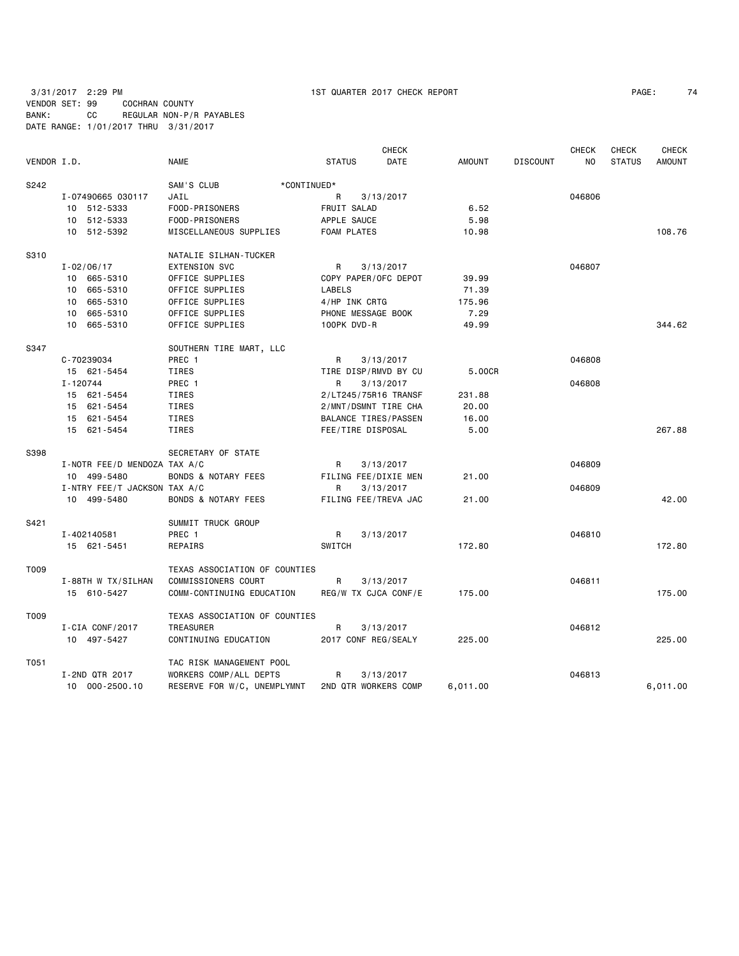3/31/2017 2:29 PM 1ST QUARTER 2017 CHECK REPORT PAGE: 74 VENDOR SET: 99 COCHRAN COUNTY BANK: CC REGULAR NON-P/R PAYABLES DATE RANGE: 1/01/2017 THRU 3/31/2017

| VENDOR I.D. |                              | <b>NAME</b>                    | <b>STATUS</b>        | <b>CHECK</b><br><b>DATE</b> | <b>AMOUNT</b> | <b>DISCOUNT</b> | <b>CHECK</b><br>NO. | <b>CHECK</b><br><b>STATUS</b> | <b>CHECK</b><br><b>AMOUNT</b> |
|-------------|------------------------------|--------------------------------|----------------------|-----------------------------|---------------|-----------------|---------------------|-------------------------------|-------------------------------|
| S242        |                              | SAM'S CLUB<br>*CONTINUED*      |                      |                             |               |                 |                     |                               |                               |
|             | I-07490665 030117            | JAIL                           | R                    | 3/13/2017                   |               |                 | 046806              |                               |                               |
|             | 10 512-5333                  | FOOD-PRISONERS                 | FRUIT SALAD          |                             | 6.52          |                 |                     |                               |                               |
|             | 10 512-5333                  | FOOD-PRISONERS                 | APPLE SAUCE          |                             | 5.98          |                 |                     |                               |                               |
|             | 10 512-5392                  | MISCELLANEOUS SUPPLIES         | <b>FOAM PLATES</b>   |                             | 10.98         |                 |                     |                               | 108.76                        |
| S310        |                              | NATALIE SILHAN-TUCKER          |                      |                             |               |                 |                     |                               |                               |
|             | $I - 02/06/17$               | <b>EXTENSION SVC</b>           | R                    | 3/13/2017                   |               |                 | 046807              |                               |                               |
|             | 10 665-5310                  | OFFICE SUPPLIES                | COPY PAPER/OFC DEPOT |                             | 39.99         |                 |                     |                               |                               |
|             | 10 665-5310                  | OFFICE SUPPLIES                | LABELS               |                             | 71.39         |                 |                     |                               |                               |
|             | 10 665-5310                  | OFFICE SUPPLIES                | 4/HP INK CRTG        |                             | 175.96        |                 |                     |                               |                               |
|             | 10 665-5310                  | OFFICE SUPPLIES                | PHONE MESSAGE BOOK   |                             | 7.29          |                 |                     |                               |                               |
|             | 10 665-5310                  | OFFICE SUPPLIES                | 100PK DVD-R          |                             | 49.99         |                 |                     |                               | 344.62                        |
| S347        |                              | SOUTHERN TIRE MART, LLC        |                      |                             |               |                 |                     |                               |                               |
|             | C-70239034                   | PREC 1                         | R                    | 3/13/2017                   |               |                 | 046808              |                               |                               |
|             | 15 621-5454                  | TIRES                          | TIRE DISP/RMVD BY CU |                             | 5.00CR        |                 |                     |                               |                               |
|             | I-120744                     | PREC 1                         | R                    | 3/13/2017                   |               |                 | 046808              |                               |                               |
|             | 15 621-5454                  | TIRES                          | 2/LT245/75R16 TRANSF |                             | 231.88        |                 |                     |                               |                               |
|             | 15 621-5454                  | TIRES                          | 2/MNT/DSMNT TIRE CHA |                             | 20.00         |                 |                     |                               |                               |
|             | 15 621-5454                  | TIRES                          | BALANCE TIRES/PASSEN |                             | 16.00         |                 |                     |                               |                               |
|             | 15 621-5454                  | <b>TIRES</b>                   | FEE/TIRE DISPOSAL    |                             | 5.00          |                 |                     |                               | 267.88                        |
| S398        |                              | SECRETARY OF STATE             |                      |                             |               |                 |                     |                               |                               |
|             | I-NOTR FEE/D MENDOZA TAX A/C |                                | R                    | 3/13/2017                   |               |                 | 046809              |                               |                               |
|             | 10 499-5480                  | <b>BONDS &amp; NOTARY FEES</b> | FILING FEE/DIXIE MEN |                             | 21.00         |                 |                     |                               |                               |
|             | I-NTRY FEE/T JACKSON TAX A/C |                                | R                    | 3/13/2017                   |               |                 | 046809              |                               |                               |
|             | 10 499-5480                  | <b>BONDS &amp; NOTARY FEES</b> | FILING FEE/TREVA JAC |                             | 21.00         |                 |                     |                               | 42.00                         |
| S421        |                              | SUMMIT TRUCK GROUP             |                      |                             |               |                 |                     |                               |                               |
|             | I-402140581                  | PREC <sub>1</sub>              | R                    | 3/13/2017                   |               |                 | 046810              |                               |                               |
|             | 15 621-5451                  | REPAIRS                        | <b>SWITCH</b>        |                             | 172.80        |                 |                     |                               | 172.80                        |
| T009        |                              | TEXAS ASSOCIATION OF COUNTIES  |                      |                             |               |                 |                     |                               |                               |
|             | I-88TH W TX/SILHAN           | COMMISSIONERS COURT            | R                    | 3/13/2017                   |               |                 | 046811              |                               |                               |
|             | 15 610-5427                  | COMM-CONTINUING EDUCATION      | REG/W TX CJCA CONF/E |                             | 175.00        |                 |                     |                               | 175.00                        |
| T009        |                              | TEXAS ASSOCIATION OF COUNTIES  |                      |                             |               |                 |                     |                               |                               |
|             | I-CIA CONF/2017              | TREASURER                      | R                    | 3/13/2017                   |               |                 | 046812              |                               |                               |
|             | 10 497-5427                  | CONTINUING EDUCATION           | 2017 CONF REG/SEALY  |                             | 225.00        |                 |                     |                               | 225.00                        |
| T051        |                              | TAC RISK MANAGEMENT POOL       |                      |                             |               |                 |                     |                               |                               |
|             | I-2ND QTR 2017               | WORKERS COMP/ALL DEPTS         | R                    | 3/13/2017                   |               |                 | 046813              |                               |                               |
|             | 10 000-2500.10               | RESERVE FOR W/C, UNEMPLYMNT    | 2ND QTR WORKERS COMP |                             | 6,011.00      |                 |                     |                               | 6,011.00                      |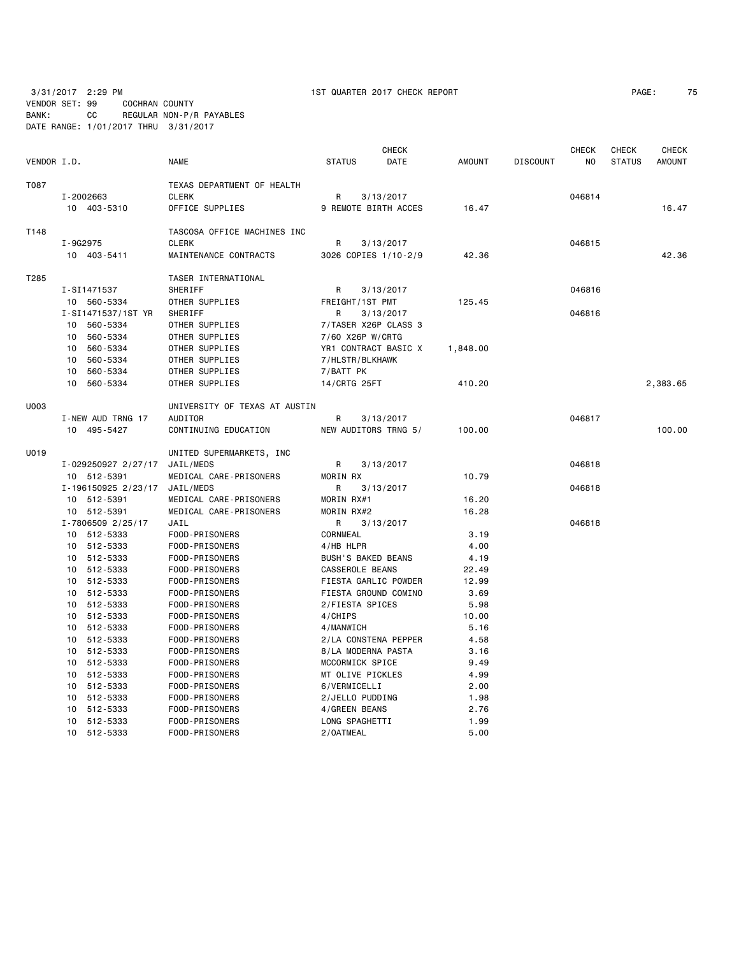VENDOR SET: 99 COCHRAN COUNTY BANK: CC REGULAR NON-P/R PAYABLES

3/31/2017 2:29 PM 1ST QUARTER 2017 CHECK REPORT PAGE: 75

|             | DATE RANGE: 1/01/2017 THRU 3/31/2017 |                                       |                           |                      |               |                 |                         |                               |                               |
|-------------|--------------------------------------|---------------------------------------|---------------------------|----------------------|---------------|-----------------|-------------------------|-------------------------------|-------------------------------|
| VENDOR I.D. |                                      | <b>NAME</b>                           | <b>STATUS</b>             | <b>CHECK</b><br>DATE | <b>AMOUNT</b> | <b>DISCOUNT</b> | CHECK<br>N <sub>O</sub> | <b>CHECK</b><br><b>STATUS</b> | <b>CHECK</b><br><b>AMOUNT</b> |
| T087        |                                      | TEXAS DEPARTMENT OF HEALTH            |                           |                      |               |                 |                         |                               |                               |
|             | I-2002663                            | <b>CLERK</b>                          | R                         | 3/13/2017            |               |                 | 046814                  |                               |                               |
|             | 10 403-5310                          | OFFICE SUPPLIES                       |                           | 9 REMOTE BIRTH ACCES | 16.47         |                 |                         |                               | 16.47                         |
| T148        |                                      | TASCOSA OFFICE MACHINES INC           |                           |                      |               |                 |                         |                               |                               |
|             | I-9G2975                             | <b>CLERK</b>                          | R.                        | 3/13/2017            |               |                 | 046815                  |                               |                               |
|             | 10 403-5411                          | MAINTENANCE CONTRACTS                 |                           | 3026 COPIES 1/10-2/9 | 42.36         |                 |                         |                               | 42.36                         |
|             |                                      |                                       |                           |                      |               |                 |                         |                               |                               |
| T285        |                                      | TASER INTERNATIONAL                   |                           |                      |               |                 |                         |                               |                               |
|             | I-SI1471537                          | SHERIFF                               | R                         | 3/13/2017            |               |                 | 046816                  |                               |                               |
|             | 10 560-5334                          | OTHER SUPPLIES                        | FREIGHT/1ST PMT           |                      | 125.45        |                 |                         |                               |                               |
|             | I-SI1471537/1ST YR                   | SHERIFF                               | R                         | 3/13/2017            |               |                 | 046816                  |                               |                               |
|             | 10 560-5334                          | OTHER SUPPLIES                        |                           | 7/TASER X26P CLASS 3 |               |                 |                         |                               |                               |
|             | 10 560-5334                          | OTHER SUPPLIES                        | 7/60 X26P W/CRTG          |                      |               |                 |                         |                               |                               |
|             | 10 560-5334                          | OTHER SUPPLIES                        |                           | YR1 CONTRACT BASIC X | 1,848.00      |                 |                         |                               |                               |
|             | 10<br>560-5334                       | OTHER SUPPLIES                        | 7/HLSTR/BLKHAWK           |                      |               |                 |                         |                               |                               |
|             | 560-5334<br>10                       | OTHER SUPPLIES                        | 7/BATT PK                 |                      |               |                 |                         |                               |                               |
|             | 10 560-5334                          | OTHER SUPPLIES                        | 14/CRTG 25FT              |                      | 410.20        |                 |                         |                               | 2,383.65                      |
| U003        |                                      | UNIVERSITY OF TEXAS AT AUSTIN         |                           |                      |               |                 |                         |                               |                               |
|             | I-NEW AUD TRNG 17                    | <b>AUDITOR</b>                        | R                         | 3/13/2017            |               |                 | 046817                  |                               |                               |
|             | 10 495-5427                          | CONTINUING EDUCATION                  |                           | NEW AUDITORS TRNG 5/ | 100.00        |                 |                         |                               | 100.00                        |
| U019        |                                      |                                       |                           |                      |               |                 |                         |                               |                               |
|             |                                      | UNITED SUPERMARKETS, INC<br>JAIL/MEDS |                           |                      |               |                 | 046818                  |                               |                               |
|             | I-029250927 2/27/17                  |                                       | R<br>MORIN RX             | 3/13/2017            |               |                 |                         |                               |                               |
|             | 10 512-5391                          | MEDICAL CARE-PRISONERS                |                           |                      | 10.79         |                 |                         |                               |                               |
|             | I-196150925 2/23/17                  | JAIL/MEDS                             | R                         | 3/13/2017            |               |                 | 046818                  |                               |                               |
|             | 10 512-5391                          | MEDICAL CARE-PRISONERS                | MORIN RX#1                |                      | 16.20         |                 |                         |                               |                               |
|             | 10 512-5391                          | MEDICAL CARE-PRISONERS                | MORIN RX#2                |                      | 16.28         |                 |                         |                               |                               |
|             | I-7806509 2/25/17                    | JAIL                                  | R                         | 3/13/2017            |               |                 | 046818                  |                               |                               |
|             | 10 512-5333                          | FOOD-PRISONERS                        | CORNMEAL                  |                      | 3.19          |                 |                         |                               |                               |
|             | 10 512-5333                          | FOOD-PRISONERS                        | 4/HB HLPR                 |                      | 4.00          |                 |                         |                               |                               |
|             | 10 512-5333                          | FOOD-PRISONERS                        | <b>BUSH'S BAKED BEANS</b> |                      | 4.19          |                 |                         |                               |                               |
|             | 10 512-5333                          | FOOD-PRISONERS                        | CASSEROLE BEANS           |                      | 22.49         |                 |                         |                               |                               |
|             | 10 512-5333                          | FOOD-PRISONERS                        |                           | FIESTA GARLIC POWDER | 12.99         |                 |                         |                               |                               |
|             | 10 512-5333                          | FOOD-PRISONERS                        |                           | FIESTA GROUND COMINO | 3.69          |                 |                         |                               |                               |
|             | 10 512-5333                          | FOOD-PRISONERS                        | 2/FIESTA SPICES           |                      | 5.98          |                 |                         |                               |                               |
|             | 10 512-5333                          | FOOD-PRISONERS                        | 4/CHIPS                   |                      | 10.00         |                 |                         |                               |                               |
|             | 10 512-5333                          | FOOD-PRISONERS                        | 4/MANWICH                 |                      | 5.16          |                 |                         |                               |                               |
|             | 10 512-5333                          | FOOD-PRISONERS                        |                           | 2/LA CONSTENA PEPPER | 4.58          |                 |                         |                               |                               |
|             | 10 512-5333                          | FOOD-PRISONERS                        | 8/LA MODERNA PASTA        |                      | 3.16          |                 |                         |                               |                               |
|             | 10 512-5333                          | FOOD-PRISONERS                        | MCCORMICK SPICE           |                      | 9.49          |                 |                         |                               |                               |
|             | 10 512-5333                          | FOOD-PRISONERS                        | MT OLIVE PICKLES          |                      | 4.99          |                 |                         |                               |                               |
|             | 10 512-5333                          | FOOD-PRISONERS                        | 6/VERMICELLI              |                      | 2.00          |                 |                         |                               |                               |
|             | 10 512-5333                          | FOOD-PRISONERS                        | 2/JELLO PUDDING           |                      | 1.98          |                 |                         |                               |                               |
|             | 10 512-5333                          | FOOD-PRISONERS                        | 4/GREEN BEANS             |                      | 2.76          |                 |                         |                               |                               |
|             | 10 512-5333                          | FOOD-PRISONERS                        | LONG SPAGHETTI            |                      | 1.99          |                 |                         |                               |                               |

10 512-5333 FOOD-PRISONERS 2/OATMEAL 5.00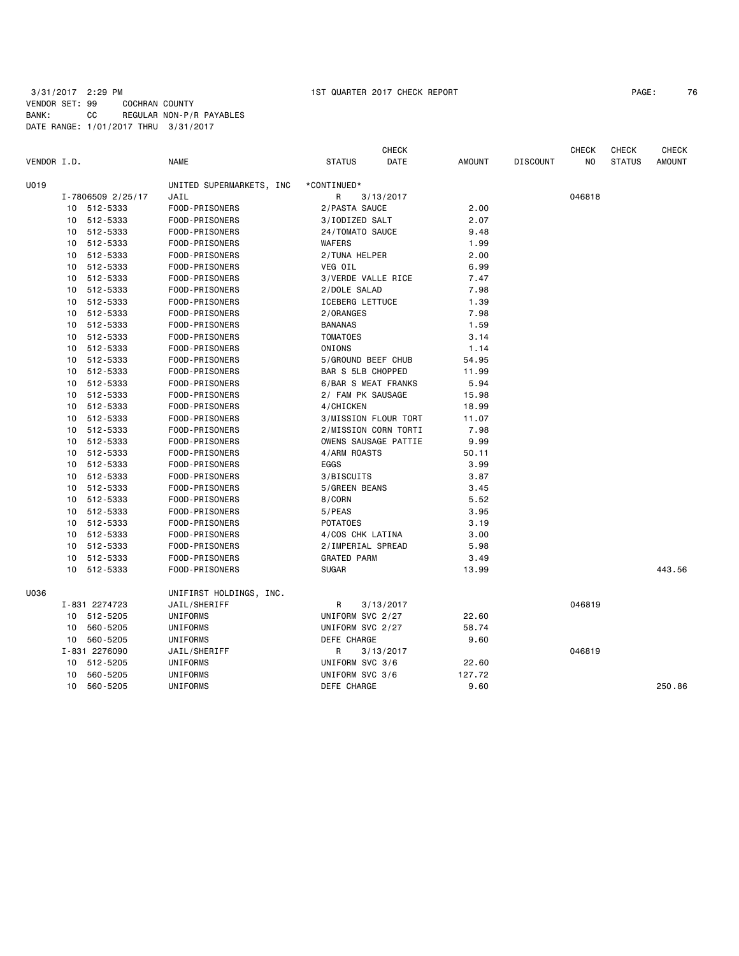# 3/31/2017 2:29 PM 1ST QUARTER 2017 CHECK REPORT VENDOR SET: 99 COCHRAN COUNTY BANK: CC REGULAR NON-P/R PAYABLES DATE RANGE: 1/01/2017 THRU 3/31/2017

| PAGE: | 76 |
|-------|----|
|-------|----|

| VENDOR I.D. |    |                   | <b>NAME</b>              | <b>STATUS</b>            | <b>CHECK</b><br>DATE | <b>AMOUNT</b> | <b>DISCOUNT</b> | <b>CHECK</b><br>NO | <b>CHECK</b><br><b>STATUS</b> | <b>CHECK</b><br><b>AMOUNT</b> |
|-------------|----|-------------------|--------------------------|--------------------------|----------------------|---------------|-----------------|--------------------|-------------------------------|-------------------------------|
| U019        |    |                   | UNITED SUPERMARKETS, INC | *CONTINUED*              |                      |               |                 |                    |                               |                               |
|             |    | I-7806509 2/25/17 | JAIL                     | R                        | 3/13/2017            |               |                 | 046818             |                               |                               |
|             |    | 10 512-5333       | FOOD-PRISONERS           | 2/PASTA SAUCE            |                      | 2.00          |                 |                    |                               |                               |
|             | 10 | 512-5333          | FOOD-PRISONERS           | 3/IODIZED SALT           |                      | 2.07          |                 |                    |                               |                               |
|             | 10 | 512-5333          | FOOD-PRISONERS           | 24/TOMATO SAUCE          |                      | 9.48          |                 |                    |                               |                               |
|             |    | 10 512-5333       | FOOD-PRISONERS           | WAFERS                   |                      | 1.99          |                 |                    |                               |                               |
|             | 10 | 512-5333          | FOOD-PRISONERS           | 2/TUNA HELPER            |                      | 2.00          |                 |                    |                               |                               |
|             | 10 | 512-5333          | FOOD-PRISONERS           | VEG OIL                  |                      | 6.99          |                 |                    |                               |                               |
|             | 10 | 512-5333          | FOOD-PRISONERS           | 3/VERDE VALLE RICE       |                      | 7.47          |                 |                    |                               |                               |
|             | 10 | 512-5333          | FOOD-PRISONERS           | 2/DOLE SALAD             |                      | 7.98          |                 |                    |                               |                               |
|             | 10 | 512-5333          | FOOD-PRISONERS           | <b>ICEBERG LETTUCE</b>   |                      | 1.39          |                 |                    |                               |                               |
|             |    | 10 512-5333       | FOOD-PRISONERS           | 2/ORANGES                |                      | 7.98          |                 |                    |                               |                               |
|             | 10 | 512-5333          | FOOD-PRISONERS           | <b>BANANAS</b>           |                      | 1.59          |                 |                    |                               |                               |
|             | 10 | 512-5333          | FOOD-PRISONERS           | <b>TOMATOES</b>          |                      | 3.14          |                 |                    |                               |                               |
|             | 10 | 512-5333          | FOOD-PRISONERS           | ONIONS                   |                      | 1.14          |                 |                    |                               |                               |
|             | 10 | 512-5333          | FOOD-PRISONERS           | 5/GROUND BEEF CHUB       |                      | 54.95         |                 |                    |                               |                               |
|             | 10 | 512-5333          | FOOD-PRISONERS           | <b>BAR S 5LB CHOPPED</b> |                      | 11.99         |                 |                    |                               |                               |
|             |    | 10 512-5333       | FOOD-PRISONERS           | 6/BAR S MEAT FRANKS      |                      | 5.94          |                 |                    |                               |                               |
|             |    | 10 512-5333       | FOOD-PRISONERS           | 2/ FAM PK SAUSAGE        |                      | 15.98         |                 |                    |                               |                               |
|             | 10 | 512-5333          | FOOD-PRISONERS           | 4/CHICKEN                |                      | 18.99         |                 |                    |                               |                               |
|             | 10 | 512-5333          | FOOD-PRISONERS           |                          | 3/MISSION FLOUR TORT | 11.07         |                 |                    |                               |                               |
|             | 10 | 512-5333          | FOOD-PRISONERS           |                          | 2/MISSION CORN TORTI | 7.98          |                 |                    |                               |                               |
|             | 10 | 512-5333          | FOOD-PRISONERS           |                          | OWENS SAUSAGE PATTIE | 9.99          |                 |                    |                               |                               |
|             |    | 10 512-5333       | FOOD-PRISONERS           | 4/ARM ROASTS             |                      | 50.11         |                 |                    |                               |                               |
|             |    | 10 512-5333       | FOOD-PRISONERS           | EGGS                     |                      | 3.99          |                 |                    |                               |                               |
|             | 10 | 512-5333          | FOOD-PRISONERS           | 3/BISCUITS               |                      | 3.87          |                 |                    |                               |                               |
|             | 10 | 512-5333          | FOOD-PRISONERS           | 5/GREEN BEANS            |                      | 3.45          |                 |                    |                               |                               |
|             | 10 | 512-5333          | FOOD-PRISONERS           | 8/CORN                   |                      | 5.52          |                 |                    |                               |                               |
|             | 10 | 512-5333          | FOOD-PRISONERS           | 5/PEAS                   |                      | 3.95          |                 |                    |                               |                               |
|             | 10 | 512-5333          | FOOD-PRISONERS           | <b>POTATOES</b>          |                      | 3.19          |                 |                    |                               |                               |
|             |    | 10 512-5333       | FOOD-PRISONERS           | 4/COS CHK LATINA         |                      | 3.00          |                 |                    |                               |                               |
|             | 10 | 512-5333          | FOOD-PRISONERS           | 2/IMPERIAL SPREAD        |                      | 5.98          |                 |                    |                               |                               |
|             | 10 | 512-5333          | FOOD-PRISONERS           | <b>GRATED PARM</b>       |                      | 3.49          |                 |                    |                               |                               |
|             |    | 10 512-5333       | FOOD-PRISONERS           | <b>SUGAR</b>             |                      | 13.99         |                 |                    |                               | 443.56                        |
| U036        |    |                   | UNIFIRST HOLDINGS, INC.  |                          |                      |               |                 |                    |                               |                               |
|             |    | I-831 2274723     | JAIL/SHERIFF             | R                        | 3/13/2017            |               |                 | 046819             |                               |                               |
|             |    | 10 512-5205       | UNIFORMS                 | UNIFORM SVC 2/27         |                      | 22.60         |                 |                    |                               |                               |
|             | 10 | 560-5205          | UNIFORMS                 | UNIFORM SVC 2/27         |                      | 58.74         |                 |                    |                               |                               |
|             | 10 | 560-5205          | UNIFORMS                 | DEFE CHARGE              |                      | 9.60          |                 |                    |                               |                               |
|             |    | I-831 2276090     | JAIL/SHERIFF             | R                        | 3/13/2017            |               |                 | 046819             |                               |                               |
|             | 10 | 512-5205          | UNIFORMS                 | UNIFORM SVC 3/6          |                      | 22.60         |                 |                    |                               |                               |
|             | 10 | 560-5205          | UNIFORMS                 | UNIFORM SVC 3/6          |                      | 127.72        |                 |                    |                               |                               |
|             | 10 | 560-5205          | UNIFORMS                 | <b>DEFE CHARGE</b>       |                      | 9.60          |                 |                    |                               | 250.86                        |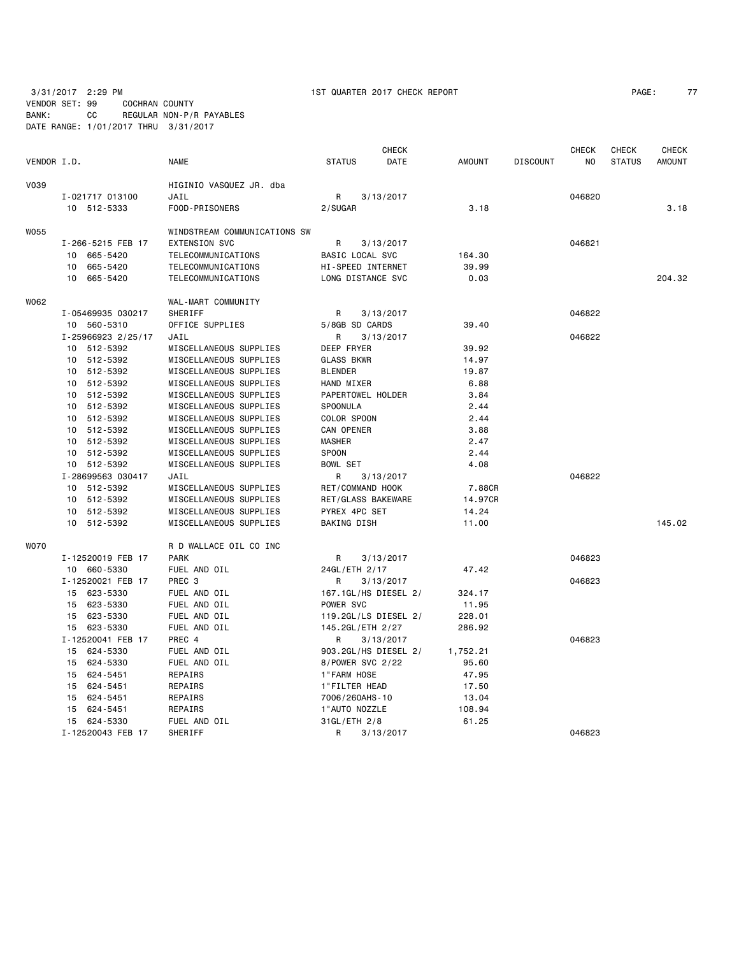3/31/2017 2:29 PM 1ST QUARTER 2017 CHECK REPORT PAGE: 77

VENDOR SET: 99 COCHRAN COUNTY BANK: CC REGULAR NON-P/R PAYABLES DATE RANGE: 1/01/2017 THRU 3/31/2017

|             |                    |                              |                    | <b>CHECK</b>         |               |                 | <b>CHECK</b> | <b>CHECK</b>  | <b>CHECK</b>  |
|-------------|--------------------|------------------------------|--------------------|----------------------|---------------|-----------------|--------------|---------------|---------------|
| VENDOR I.D. |                    | <b>NAME</b>                  | <b>STATUS</b>      | DATE                 | <b>AMOUNT</b> | <b>DISCOUNT</b> | NO           | <b>STATUS</b> | <b>AMOUNT</b> |
| V039        |                    | HIGINIO VASQUEZ JR. dba      |                    |                      |               |                 |              |               |               |
|             | I-021717 013100    | JAIL                         | R                  | 3/13/2017            |               |                 | 046820       |               |               |
|             | 10 512-5333        | FOOD-PRISONERS               | 2/SUGAR            |                      | 3.18          |                 |              |               | 3.18          |
| <b>W055</b> |                    | WINDSTREAM COMMUNICATIONS SW |                    |                      |               |                 |              |               |               |
|             | I-266-5215 FEB 17  | <b>EXTENSION SVC</b>         | R                  | 3/13/2017            |               |                 | 046821       |               |               |
|             | 10 665-5420        | TELECOMMUNICATIONS           | BASIC LOCAL SVC    |                      | 164.30        |                 |              |               |               |
|             | 10<br>665-5420     | TELECOMMUNICATIONS           | HI-SPEED INTERNET  |                      | 39.99         |                 |              |               |               |
|             | 10<br>665-5420     | TELECOMMUNICATIONS           | LONG DISTANCE SVC  |                      | 0.03          |                 |              |               | 204.32        |
| W062        |                    | WAL-MART COMMUNITY           |                    |                      |               |                 |              |               |               |
|             | I-05469935 030217  | SHERIFF                      | R                  | 3/13/2017            |               |                 | 046822       |               |               |
|             | 10 560-5310        | OFFICE SUPPLIES              | 5/8GB SD CARDS     |                      | 39.40         |                 |              |               |               |
|             | I-25966923 2/25/17 | JAIL                         | R                  | 3/13/2017            |               |                 | 046822       |               |               |
|             | 10 512-5392        | MISCELLANEOUS SUPPLIES       | DEEP FRYER         |                      | 39.92         |                 |              |               |               |
|             | 10 512-5392        | MISCELLANEOUS SUPPLIES       | <b>GLASS BKWR</b>  |                      | 14.97         |                 |              |               |               |
|             | 10 512-5392        | MISCELLANEOUS SUPPLIES       | <b>BLENDER</b>     |                      | 19.87         |                 |              |               |               |
|             | 10 512-5392        | MISCELLANEOUS SUPPLIES       | HAND MIXER         |                      | 6.88          |                 |              |               |               |
|             | 10 512-5392        | MISCELLANEOUS SUPPLIES       | PAPERTOWEL HOLDER  |                      | 3.84          |                 |              |               |               |
|             | 10 512-5392        | MISCELLANEOUS SUPPLIES       | SPOONULA           |                      | 2.44          |                 |              |               |               |
|             | 10 512-5392        | MISCELLANEOUS SUPPLIES       | COLOR SPOON        |                      | 2.44          |                 |              |               |               |
|             | 10 512-5392        | MISCELLANEOUS SUPPLIES       | CAN OPENER         |                      | 3.88          |                 |              |               |               |
|             | 10 512-5392        | MISCELLANEOUS SUPPLIES       | <b>MASHER</b>      |                      | 2.47          |                 |              |               |               |
|             | 10 512-5392        | MISCELLANEOUS SUPPLIES       | <b>SPOON</b>       |                      | 2.44          |                 |              |               |               |
|             | 10 512-5392        | MISCELLANEOUS SUPPLIES       | <b>BOWL SET</b>    |                      | 4.08          |                 |              |               |               |
|             | I-28699563 030417  | JAIL                         | R                  | 3/13/2017            |               |                 | 046822       |               |               |
|             | 10 512-5392        | MISCELLANEOUS SUPPLIES       | RET/COMMAND HOOK   |                      | 7.88CR        |                 |              |               |               |
|             | 10 512-5392        | MISCELLANEOUS SUPPLIES       | RET/GLASS BAKEWARE |                      | 14.97CR       |                 |              |               |               |
|             | 10 512-5392        | MISCELLANEOUS SUPPLIES       | PYREX 4PC SET      |                      | 14.24         |                 |              |               |               |
|             | 10 512-5392        | MISCELLANEOUS SUPPLIES       | BAKING DISH        |                      | 11.00         |                 |              |               | 145.02        |
| <b>WO70</b> |                    | R D WALLACE OIL CO INC       |                    |                      |               |                 |              |               |               |
|             | I-12520019 FEB 17  | <b>PARK</b>                  | R                  | 3/13/2017            |               |                 | 046823       |               |               |
|             | 10 660-5330        | FUEL AND OIL                 | 24GL/ETH 2/17      |                      | 47.42         |                 |              |               |               |
|             | I-12520021 FEB 17  | PREC <sub>3</sub>            | R                  | 3/13/2017            |               |                 | 046823       |               |               |
|             | 15 623-5330        | FUEL AND OIL                 |                    | 167.1GL/HS DIESEL 2/ | 324.17        |                 |              |               |               |
|             | 15 623-5330        | FUEL AND OIL                 | POWER SVC          |                      | 11.95         |                 |              |               |               |
|             | 15 623-5330        | FUEL AND OIL                 |                    | 119.2GL/LS DIESEL 2/ | 228.01        |                 |              |               |               |
|             | 15 623-5330        | FUEL AND OIL                 | 145.2GL/ETH 2/27   |                      | 286.92        |                 |              |               |               |
|             | I-12520041 FEB 17  | PREC 4                       | R                  | 3/13/2017            |               |                 | 046823       |               |               |
|             | 15 624-5330        | FUEL AND OIL                 |                    | 903.2GL/HS DIESEL 2/ | 1,752.21      |                 |              |               |               |
|             | 15 624-5330        | FUEL AND OIL                 | 8/POWER SVC 2/22   |                      | 95.60         |                 |              |               |               |
|             | 624-5451<br>15     | REPAIRS                      | 1"FARM HOSE        |                      | 47.95         |                 |              |               |               |
|             | 15 624-5451        | REPAIRS                      | 1"FILTER HEAD      |                      | 17.50         |                 |              |               |               |
|             | 15 624-5451        | REPAIRS                      | 7006/260AHS-10     |                      | 13.04         |                 |              |               |               |
|             | 15 624-5451        | REPAIRS                      | 1"AUTO NOZZLE      |                      | 108.94        |                 |              |               |               |
|             | 15 624-5330        | FUEL AND OIL                 | 31GL/ETH 2/8       |                      | 61.25         |                 |              |               |               |
|             | I-12520043 FEB 17  | SHERIFF                      | R                  | 3/13/2017            |               |                 | 046823       |               |               |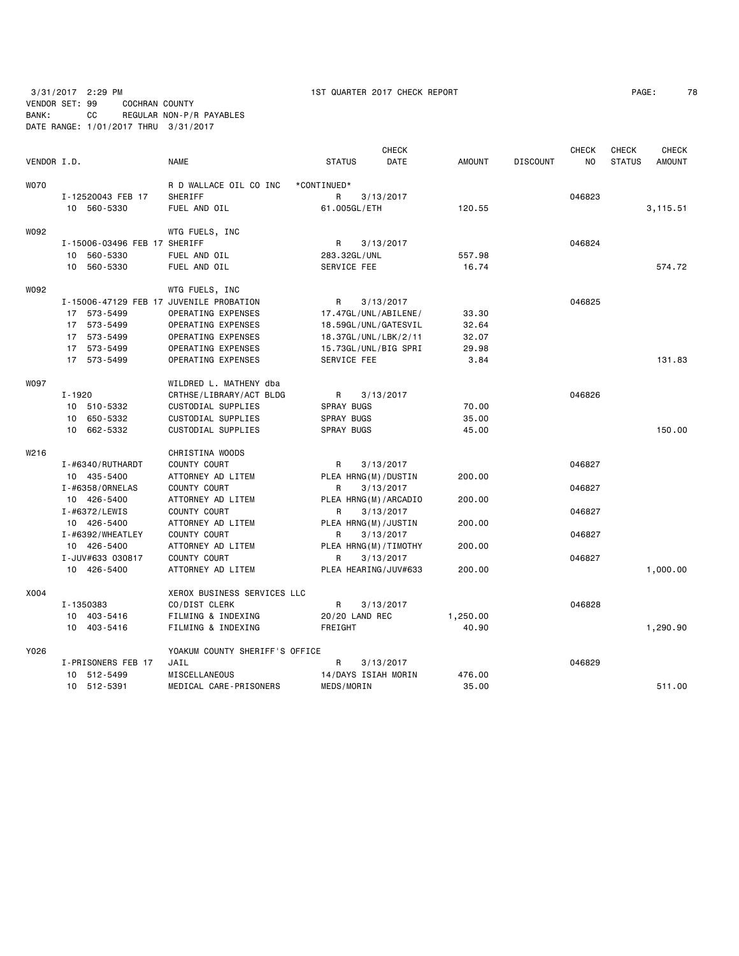3/31/2017 2:29 PM 1ST QUARTER 2017 CHECK REPORT PAGE: 78 VENDOR SET: 99 COCHRAN COUNTY BANK: CC REGULAR NON-P/R PAYABLES DATE RANGE: 1/01/2017 THRU 3/31/2017

| PAGE: | 78 |
|-------|----|
|       |    |

|             |                                         |                                |                     | <b>CHECK</b>         |               |                 | <b>CHECK</b> | <b>CHECK</b>  | CHECK         |
|-------------|-----------------------------------------|--------------------------------|---------------------|----------------------|---------------|-----------------|--------------|---------------|---------------|
| VENDOR I.D. |                                         | <b>NAME</b>                    | <b>STATUS</b>       | DATE                 | <b>AMOUNT</b> | <b>DISCOUNT</b> | NO.          | <b>STATUS</b> | <b>AMOUNT</b> |
| <b>WO70</b> |                                         | R D WALLACE OIL CO INC         | *CONTINUED*         |                      |               |                 |              |               |               |
|             | I-12520043 FEB 17                       | SHERIFF                        | R                   | 3/13/2017            |               |                 | 046823       |               |               |
|             | 10 560-5330                             | FUEL AND OIL                   | 61.005GL/ETH        |                      | 120.55        |                 |              |               | 3,115.51      |
| W092        |                                         | WTG FUELS, INC                 |                     |                      |               |                 |              |               |               |
|             | I-15006-03496 FEB 17 SHERIFF            |                                | R                   | 3/13/2017            |               |                 | 046824       |               |               |
|             | 10 560-5330                             | FUEL AND OIL                   | 283.32GL/UNL        |                      | 557.98        |                 |              |               |               |
|             | 10 560-5330                             | FUEL AND OIL                   | SERVICE FEE         |                      | 16.74         |                 |              |               | 574.72        |
| W092        |                                         | WTG FUELS, INC                 |                     |                      |               |                 |              |               |               |
|             | I-15006-47129 FEB 17 JUVENILE PROBATION |                                | R                   | 3/13/2017            |               |                 | 046825       |               |               |
|             | 17 573-5499                             | OPERATING EXPENSES             |                     | 17.47GL/UNL/ABILENE/ | 33.30         |                 |              |               |               |
|             | 17 573-5499                             | OPERATING EXPENSES             |                     | 18.59GL/UNL/GATESVIL | 32.64         |                 |              |               |               |
|             | 17 573-5499                             | OPERATING EXPENSES             |                     | 18.37GL/UNL/LBK/2/11 | 32.07         |                 |              |               |               |
|             | 17 573-5499                             | OPERATING EXPENSES             |                     | 15.73GL/UNL/BIG SPRI | 29.98         |                 |              |               |               |
|             | 17 573-5499                             | OPERATING EXPENSES             | SERVICE FEE         |                      | 3.84          |                 |              |               | 131.83        |
| <b>WO97</b> |                                         | WILDRED L. MATHENY dba         |                     |                      |               |                 |              |               |               |
|             | I-1920                                  | CRTHSE/LIBRARY/ACT BLDG        | R                   | 3/13/2017            |               |                 | 046826       |               |               |
|             | 10 510-5332                             | CUSTODIAL SUPPLIES             | <b>SPRAY BUGS</b>   |                      | 70.00         |                 |              |               |               |
|             | 10 650-5332                             | CUSTODIAL SUPPLIES             | SPRAY BUGS          |                      | 35.00         |                 |              |               |               |
|             | 10 662-5332                             | CUSTODIAL SUPPLIES             | <b>SPRAY BUGS</b>   |                      | 45.00         |                 |              |               | 150.00        |
| W216        |                                         | CHRISTINA WOODS                |                     |                      |               |                 |              |               |               |
|             | I-#6340/RUTHARDT                        | COUNTY COURT                   | R                   | 3/13/2017            |               |                 | 046827       |               |               |
|             | 10 435-5400                             | ATTORNEY AD LITEM              | PLEA HRNG(M)/DUSTIN |                      | 200.00        |                 |              |               |               |
|             | I-#6358/ORNELAS                         | COUNTY COURT                   | R                   | 3/13/2017            |               |                 | 046827       |               |               |
|             | 10 426-5400                             | ATTORNEY AD LITEM              |                     | PLEA HRNG(M)/ARCADIO | 200.00        |                 |              |               |               |
|             | $I - #6372/LEWIS$                       | COUNTY COURT                   | R                   | 3/13/2017            |               |                 | 046827       |               |               |
|             | 10 426-5400                             | ATTORNEY AD LITEM              | PLEA HRNG(M)/JUSTIN |                      | 200.00        |                 |              |               |               |
|             | I-#6392/WHEATLEY                        | COUNTY COURT                   | R                   | 3/13/2017            |               |                 | 046827       |               |               |
|             | 10 426-5400                             | ATTORNEY AD LITEM              |                     | PLEA HRNG(M)/TIMOTHY | 200.00        |                 |              |               |               |
|             | I-JUV#633 030817                        | <b>COUNTY COURT</b>            | R                   | 3/13/2017            |               |                 | 046827       |               |               |
|             | 10 426-5400                             | ATTORNEY AD LITEM              |                     | PLEA HEARING/JUV#633 | 200.00        |                 |              |               | 1,000.00      |
| X004        |                                         | XEROX BUSINESS SERVICES LLC    |                     |                      |               |                 |              |               |               |
|             | I-1350383                               | CO/DIST CLERK                  | R                   | 3/13/2017            |               |                 | 046828       |               |               |
|             | 10 403-5416                             | FILMING & INDEXING             | 20/20 LAND REC      |                      | 1,250.00      |                 |              |               |               |
|             | 10 403-5416                             | FILMING & INDEXING             | FREIGHT             |                      | 40.90         |                 |              |               | 1,290.90      |
| Y026        |                                         | YOAKUM COUNTY SHERIFF'S OFFICE |                     |                      |               |                 |              |               |               |
|             | I-PRISONERS FEB 17                      | JAIL                           | R                   | 3/13/2017            |               |                 | 046829       |               |               |
|             | 10 512-5499                             | MISCELLANEOUS                  | 14/DAYS ISIAH MORIN |                      | 476.00        |                 |              |               |               |
|             | 10 512-5391                             | MEDICAL CARE-PRISONERS         | MEDS/MORIN          |                      | 35.00         |                 |              |               | 511.00        |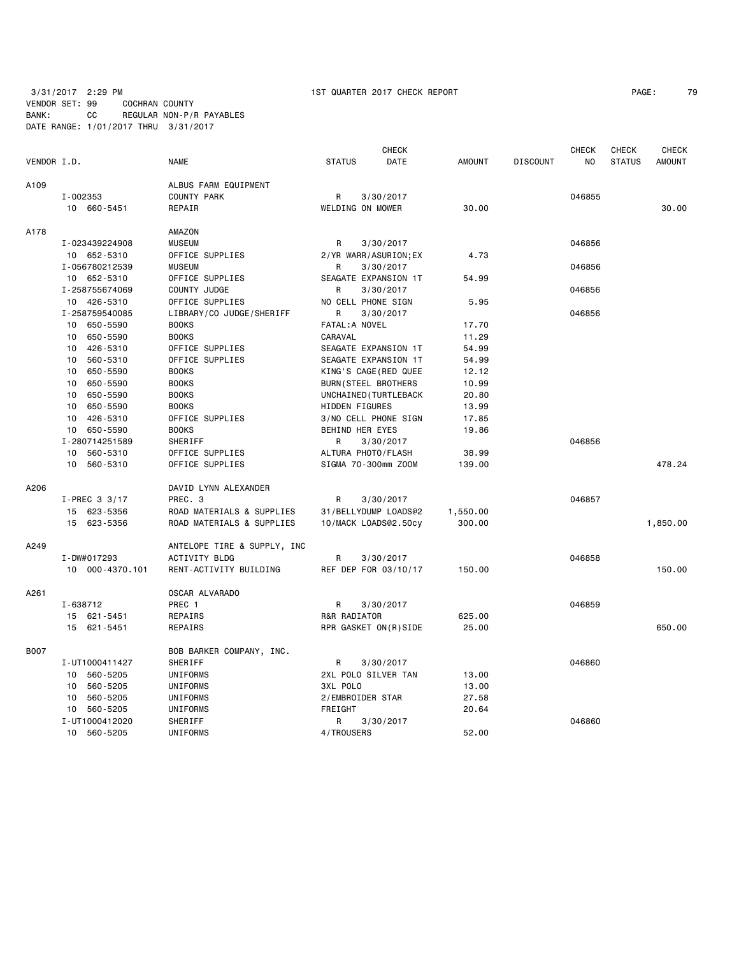3/31/2017 2:29 PM 1ST QUARTER 2017 CHECK REPORT PAGE: 79 VENDOR SET: 99 COCHRAN COUNTY BANK: CC REGULAR NON-P/R PAYABLES DATE RANGE: 1/01/2017 THRU 3/31/2017

|             |                 |                             |                       | <b>CHECK</b> |               |                 | <b>CHECK</b>   | <b>CHECK</b>  | <b>CHECK</b>  |
|-------------|-----------------|-----------------------------|-----------------------|--------------|---------------|-----------------|----------------|---------------|---------------|
| VENDOR I.D. |                 | <b>NAME</b>                 | <b>STATUS</b>         | DATE         | <b>AMOUNT</b> | <b>DISCOUNT</b> | N <sub>0</sub> | <b>STATUS</b> | <b>AMOUNT</b> |
| A109        |                 | ALBUS FARM EQUIPMENT        |                       |              |               |                 |                |               |               |
|             | I-002353        | COUNTY PARK                 | R                     | 3/30/2017    |               |                 | 046855         |               |               |
|             | 10 660-5451     | REPAIR                      | WELDING ON MOWER      |              | 30.00         |                 |                |               | 30.00         |
| A178        |                 | AMAZON                      |                       |              |               |                 |                |               |               |
|             | I-023439224908  | <b>MUSEUM</b>               | R                     | 3/30/2017    |               |                 | 046856         |               |               |
|             | 10 652-5310     | OFFICE SUPPLIES             | 2/YR WARR/ASURION;EX  |              | 4.73          |                 |                |               |               |
|             | I-056780212539  | <b>MUSEUM</b>               | R                     | 3/30/2017    |               |                 | 046856         |               |               |
|             | 10 652-5310     | OFFICE SUPPLIES             | SEAGATE EXPANSION 1T  |              | 54.99         |                 |                |               |               |
|             | I-258755674069  | COUNTY JUDGE                | R                     | 3/30/2017    |               |                 | 046856         |               |               |
|             | 10 426-5310     | OFFICE SUPPLIES             | NO CELL PHONE SIGN    |              | 5.95          |                 |                |               |               |
|             | I-258759540085  | LIBRARY/CO JUDGE/SHERIFF    | R                     | 3/30/2017    |               |                 | 046856         |               |               |
|             | 10 650-5590     | <b>BOOKS</b>                | FATAL: A NOVEL        |              | 17.70         |                 |                |               |               |
|             | 650-5590<br>10  | <b>BOOKS</b>                | CARAVAL               |              | 11.29         |                 |                |               |               |
|             | 10 426-5310     | OFFICE SUPPLIES             | SEAGATE EXPANSION 1T  |              | 54.99         |                 |                |               |               |
|             | 10 560-5310     | OFFICE SUPPLIES             | SEAGATE EXPANSION 1T  |              | 54.99         |                 |                |               |               |
|             | 10 650-5590     | <b>BOOKS</b>                | KING'S CAGE(RED QUEE  |              | 12.12         |                 |                |               |               |
|             | 650-5590<br>10  | <b>BOOKS</b>                | BURN (STEEL BROTHERS  |              | 10.99         |                 |                |               |               |
|             | 650-5590<br>10  | <b>BOOKS</b>                | UNCHAINED (TURTLEBACK |              | 20.80         |                 |                |               |               |
|             | 10<br>650-5590  | <b>BOOKS</b>                | HIDDEN FIGURES        |              | 13.99         |                 |                |               |               |
|             | 426-5310<br>10  | OFFICE SUPPLIES             | 3/NO CELL PHONE SIGN  |              | 17.85         |                 |                |               |               |
|             | 10 650-5590     | <b>BOOKS</b>                | BEHIND HER EYES       |              | 19.86         |                 |                |               |               |
|             | I-280714251589  | SHERIFF                     | R                     | 3/30/2017    |               |                 | 046856         |               |               |
|             | 10 560-5310     | OFFICE SUPPLIES             | ALTURA PHOTO/FLASH    |              | 38.99         |                 |                |               |               |
|             | 560-5310<br>10  | OFFICE SUPPLIES             | SIGMA 70-300mm ZOOM   |              | 139.00        |                 |                |               | 478.24        |
| A206        |                 | DAVID LYNN ALEXANDER        |                       |              |               |                 |                |               |               |
|             | I-PREC 3 3/17   | PREC. 3                     | R                     | 3/30/2017    |               |                 | 046857         |               |               |
|             | 15 623-5356     | ROAD MATERIALS & SUPPLIES   | 31/BELLYDUMP LOADS@2  |              | 1,550.00      |                 |                |               |               |
|             | 15<br>623-5356  | ROAD MATERIALS & SUPPLIES   | 10/MACK LOADS@2.50cy  |              | 300.00        |                 |                |               | 1,850.00      |
| A249        |                 | ANTELOPE TIRE & SUPPLY, INC |                       |              |               |                 |                |               |               |
|             | I-DW#017293     | ACTIVITY BLDG               | R                     | 3/30/2017    |               |                 | 046858         |               |               |
|             | 10 000-4370.101 | RENT-ACTIVITY BUILDING      | REF DEP FOR 03/10/17  |              | 150.00        |                 |                |               | 150.00        |
| A261        |                 | OSCAR ALVARADO              |                       |              |               |                 |                |               |               |
|             | I-638712        | PREC 1                      | R                     | 3/30/2017    |               |                 | 046859         |               |               |
|             | 15 621-5451     | REPAIRS                     | R&R RADIATOR          |              | 625.00        |                 |                |               |               |
|             | 15 621-5451     | REPAIRS                     | RPR GASKET ON(R)SIDE  |              | 25.00         |                 |                |               | 650.00        |
| B007        |                 | BOB BARKER COMPANY, INC.    |                       |              |               |                 |                |               |               |
|             | I-UT1000411427  | SHERIFF                     | R                     | 3/30/2017    |               |                 | 046860         |               |               |
|             | 10 560-5205     | UNIFORMS                    | 2XL POLO SILVER TAN   |              | 13.00         |                 |                |               |               |
|             | 560-5205<br>10  | UNIFORMS                    | 3XL POLO              |              | 13.00         |                 |                |               |               |
|             | 10 560-5205     | UNIFORMS                    | 2/EMBROIDER STAR      |              | 27.58         |                 |                |               |               |
|             | 10 560-5205     | UNIFORMS                    | FREIGHT               |              | 20.64         |                 |                |               |               |
|             | I-UT1000412020  | SHERIFF                     | R                     | 3/30/2017    |               |                 | 046860         |               |               |
|             | 10 560-5205     | <b>UNIFORMS</b>             | 4/TROUSERS            |              | 52.00         |                 |                |               |               |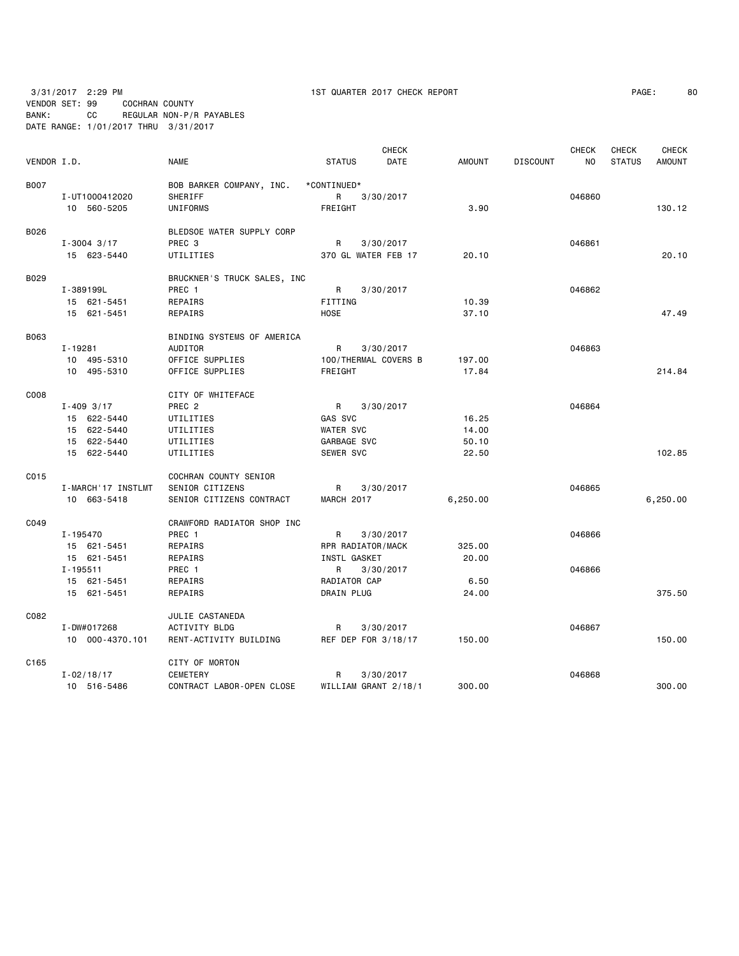3/31/2017 2:29 PM 1ST QUARTER 2017 CHECK REPORT PAGE: 80

VENDOR SET: 99 COCHRAN COUNTY BANK: CC REGULAR NON-P/R PAYABLES DATE RANGE: 1/01/2017 THRU 3/31/2017

| VENDOR I.D. |                          | <b>NAME</b>                                | <b>STATUS</b>        | <b>CHECK</b><br>DATE | <b>AMOUNT</b> | <b>DISCOUNT</b> | <b>CHECK</b><br>NO | <b>CHECK</b><br><b>STATUS</b> | <b>CHECK</b><br><b>AMOUNT</b> |
|-------------|--------------------------|--------------------------------------------|----------------------|----------------------|---------------|-----------------|--------------------|-------------------------------|-------------------------------|
| <b>B007</b> |                          |                                            |                      |                      |               |                 |                    |                               |                               |
|             | I-UT1000412020           | BOB BARKER COMPANY, INC.<br><b>SHERIFF</b> | *CONTINUED*<br>R     | 3/30/2017            |               |                 | 046860             |                               |                               |
|             | 10 560-5205              | UNIFORMS                                   | FREIGHT              |                      | 3.90          |                 |                    |                               | 130.12                        |
|             |                          |                                            |                      |                      |               |                 |                    |                               |                               |
| B026        |                          | BLEDSOE WATER SUPPLY CORP                  |                      |                      |               |                 |                    |                               |                               |
|             | $I - 3004$ 3/17          | PREC <sub>3</sub>                          | R                    | 3/30/2017            |               |                 | 046861             |                               |                               |
|             | 15 623-5440              | UTILITIES                                  | 370 GL WATER FEB 17  |                      | 20.10         |                 |                    |                               | 20.10                         |
|             |                          |                                            |                      |                      |               |                 |                    |                               |                               |
| B029        |                          | BRUCKNER'S TRUCK SALES, INC                |                      |                      |               |                 | 046862             |                               |                               |
|             | I-389199L<br>15 621-5451 | PREC 1<br><b>REPAIRS</b>                   | R.<br>FITTING        | 3/30/2017            | 10.39         |                 |                    |                               |                               |
|             | 15 621-5451              |                                            | <b>HOSE</b>          |                      | 37.10         |                 |                    |                               | 47.49                         |
|             |                          | REPAIRS                                    |                      |                      |               |                 |                    |                               |                               |
| B063        |                          | BINDING SYSTEMS OF AMERICA                 |                      |                      |               |                 |                    |                               |                               |
|             | I-19281                  | AUDITOR                                    | R                    | 3/30/2017            |               |                 | 046863             |                               |                               |
|             | 10 495-5310              | OFFICE SUPPLIES                            | 100/THERMAL COVERS B |                      | 197.00        |                 |                    |                               |                               |
|             | 10 495-5310              | OFFICE SUPPLIES                            | FREIGHT              |                      | 17.84         |                 |                    |                               | 214.84                        |
| C008        |                          | CITY OF WHITEFACE                          |                      |                      |               |                 |                    |                               |                               |
|             | $I - 409$ 3/17           | PREC <sub>2</sub>                          | R                    | 3/30/2017            |               |                 | 046864             |                               |                               |
|             | 15 622-5440              | UTILITIES                                  | GAS SVC              |                      | 16.25         |                 |                    |                               |                               |
|             | 15 622-5440              | UTILITIES                                  | <b>WATER SVC</b>     |                      | 14.00         |                 |                    |                               |                               |
|             | 15 622-5440              | UTILITIES                                  | GARBAGE SVC          |                      | 50.10         |                 |                    |                               |                               |
|             |                          |                                            |                      |                      |               |                 |                    |                               | 102.85                        |
|             | 15 622-5440              | UTILITIES                                  | SEWER SVC            |                      | 22.50         |                 |                    |                               |                               |
| C015        |                          | COCHRAN COUNTY SENIOR                      |                      |                      |               |                 |                    |                               |                               |
|             | I-MARCH'17 INSTLMT       | SENIOR CITIZENS                            | R                    | 3/30/2017            |               |                 | 046865             |                               |                               |
|             | 10 663-5418              | SENIOR CITIZENS CONTRACT                   | MARCH 2017           |                      | 6,250.00      |                 |                    |                               | 6,250.00                      |
| C049        |                          | CRAWFORD RADIATOR SHOP INC                 |                      |                      |               |                 |                    |                               |                               |
|             | I-195470                 | PREC 1                                     | R                    | 3/30/2017            |               |                 | 046866             |                               |                               |
|             | 15 621-5451              | <b>REPAIRS</b>                             | RPR RADIATOR/MACK    |                      | 325,00        |                 |                    |                               |                               |
|             | 15 621-5451              | REPAIRS                                    | <b>INSTL GASKET</b>  |                      | 20,00         |                 |                    |                               |                               |
|             | $I - 195511$             | PREC 1                                     | R                    | 3/30/2017            |               |                 | 046866             |                               |                               |
|             | 15 621-5451              | REPAIRS                                    | RADIATOR CAP         |                      | 6.50          |                 |                    |                               |                               |
|             | 15 621-5451              | REPAIRS                                    | <b>DRAIN PLUG</b>    |                      | 24.00         |                 |                    |                               | 375.50                        |
|             |                          |                                            |                      |                      |               |                 |                    |                               |                               |
| C082        |                          | JULIE CASTANEDA                            |                      |                      |               |                 |                    |                               |                               |
|             | I-DW#017268              | ACTIVITY BLDG                              | R                    | 3/30/2017            |               |                 | 046867             |                               |                               |
|             | 10 000-4370.101          | RENT-ACTIVITY BUILDING                     | REF DEP FOR 3/18/17  |                      | 150.00        |                 |                    |                               | 150.00                        |
| C165        |                          | CITY OF MORTON                             |                      |                      |               |                 |                    |                               |                               |
|             | $I - 02/18/17$           | <b>CEMETERY</b>                            | R                    | 3/30/2017            |               |                 | 046868             |                               |                               |
|             | 10 516-5486              | CONTRACT LABOR-OPEN CLOSE                  | WILLIAM GRANT 2/18/1 |                      | 300.00        |                 |                    |                               | 300.00                        |
|             |                          |                                            |                      |                      |               |                 |                    |                               |                               |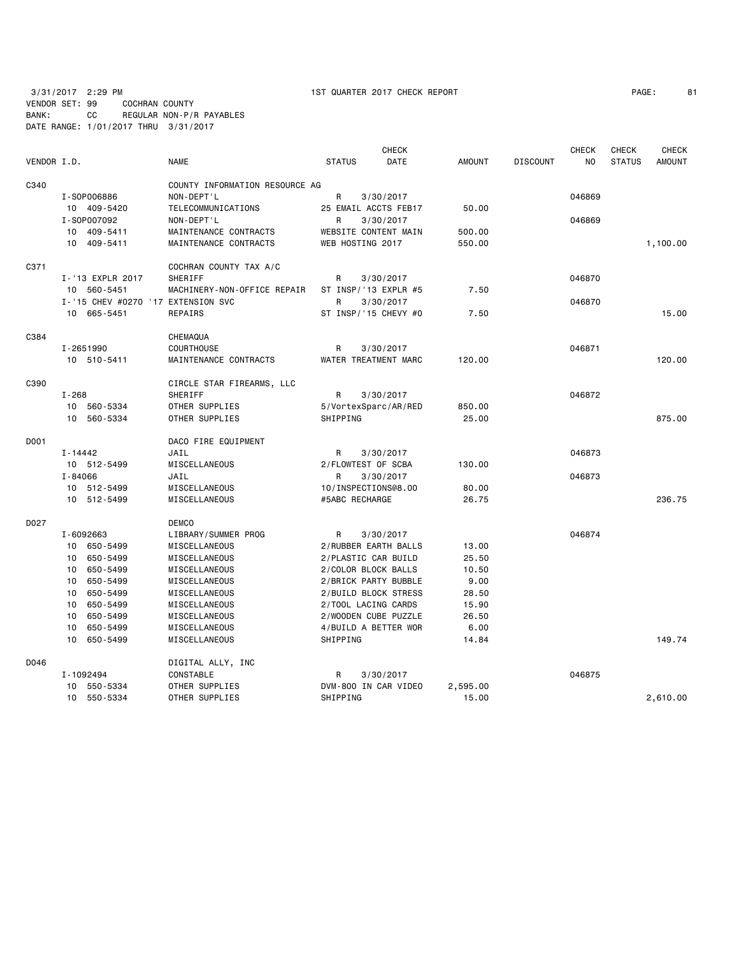# VENDOR SET: 99 COCHRAN COUNTY BANK: CC REGULAR NON-P/R PAYABLES DATE RANGE: 1/01/2017 THRU 3/31/2017

3/31/2017 2:29 PM 1ST QUARTER 2017 CHECK REPORT PAGE: 81

|             |         |                                    |                                |                      | <b>CHECK</b> |               |                 | <b>CHECK</b>   | <b>CHECK</b>  | <b>CHECK</b>  |
|-------------|---------|------------------------------------|--------------------------------|----------------------|--------------|---------------|-----------------|----------------|---------------|---------------|
| VENDOR I.D. |         |                                    | <b>NAME</b>                    | <b>STATUS</b>        | DATE         | <b>AMOUNT</b> | <b>DISCOUNT</b> | N <sub>O</sub> | <b>STATUS</b> | <b>AMOUNT</b> |
| C340        |         |                                    | COUNTY INFORMATION RESOURCE AG |                      |              |               |                 |                |               |               |
|             |         | I-S0P006886                        | NON-DEPT'L                     | R                    | 3/30/2017    |               |                 | 046869         |               |               |
|             |         | 10 409-5420                        | TELECOMMUNICATIONS             | 25 EMAIL ACCTS FEB17 |              | 50.00         |                 |                |               |               |
|             |         | I-S0P007092                        | NON-DEPT'L                     | R<br>3/30/2017       |              |               |                 | 046869         |               |               |
|             | 10      | 409-5411                           | MAINTENANCE CONTRACTS          | WEBSITE CONTENT MAIN |              | 500.00        |                 |                |               |               |
|             | 10      | 409-5411                           | MAINTENANCE CONTRACTS          | WEB HOSTING 2017     |              | 550.00        |                 |                |               | 1,100.00      |
| C371        |         |                                    | COCHRAN COUNTY TAX A/C         |                      |              |               |                 |                |               |               |
|             |         | I-'13 EXPLR 2017                   | SHERIFF                        | R                    | 3/30/2017    |               |                 | 046870         |               |               |
|             |         | 10 560-5451                        | MACHINERY-NON-OFFICE REPAIR    | ST INSP/'13 EXPLR #5 |              | 7.50          |                 |                |               |               |
|             |         | I-'15 CHEV #0270 '17 EXTENSION SVC |                                | R                    | 3/30/2017    |               |                 | 046870         |               |               |
|             |         | 10 665-5451                        | REPAIRS                        | ST INSP/'15 CHEVY #0 |              | 7.50          |                 |                |               | 15.00         |
| C384        |         |                                    | CHEMAQUA                       |                      |              |               |                 |                |               |               |
|             |         | I-2651990                          | <b>COURTHOUSE</b>              | R                    | 3/30/2017    |               |                 | 046871         |               |               |
|             |         | 10 510-5411                        | MAINTENANCE CONTRACTS          | WATER TREATMENT MARC |              | 120.00        |                 |                |               | 120.00        |
| C390        |         |                                    | CIRCLE STAR FIREARMS, LLC      |                      |              |               |                 |                |               |               |
|             | I-268   |                                    | SHERIFF                        | R                    | 3/30/2017    |               |                 | 046872         |               |               |
|             |         | 10 560-5334                        | OTHER SUPPLIES                 | 5/VortexSparc/AR/RED |              | 850.00        |                 |                |               |               |
|             | 10      | 560-5334                           | OTHER SUPPLIES                 | SHIPPING             |              | 25.00         |                 |                |               | 875.00        |
| D001        |         |                                    | DACO FIRE EQUIPMENT            |                      |              |               |                 |                |               |               |
|             | I-14442 |                                    | JAIL                           | R                    | 3/30/2017    |               |                 | 046873         |               |               |
|             |         | 10 512-5499                        | MISCELLANEOUS                  | 2/FLOWTEST OF SCBA   |              | 130.00        |                 |                |               |               |
|             | I-84066 |                                    | JAIL                           | R.                   | 3/30/2017    |               |                 | 046873         |               |               |
|             |         | 10 512-5499                        | MISCELLANEOUS                  | 10/INSPECTIONS@8.00  |              | 80.00         |                 |                |               |               |
|             |         | 10 512-5499                        | MISCELLANEOUS                  | #5ABC RECHARGE       |              | 26.75         |                 |                |               | 236.75        |
| D027        |         |                                    | <b>DEMCO</b>                   |                      |              |               |                 |                |               |               |
|             |         | I-6092663                          | LIBRARY/SUMMER PROG            | R                    | 3/30/2017    |               |                 | 046874         |               |               |
|             | 10      | 650-5499                           | MISCELLANEOUS                  | 2/RUBBER EARTH BALLS |              | 13.00         |                 |                |               |               |
|             | 10      | 650-5499                           | MISCELLANEOUS                  | 2/PLASTIC CAR BUILD  |              | 25.50         |                 |                |               |               |
|             |         | 10 650-5499                        | MISCELLANEOUS                  | 2/COLOR BLOCK BALLS  |              | 10.50         |                 |                |               |               |
|             | 10      | 650-5499                           | MISCELLANEOUS                  | 2/BRICK PARTY BUBBLE |              | 9.00          |                 |                |               |               |
|             | 10      | 650-5499                           | MISCELLANEOUS                  | 2/BUILD BLOCK STRESS |              | 28.50         |                 |                |               |               |
|             | 10      | 650-5499                           | MISCELLANEOUS                  | 2/TOOL LACING CARDS  |              | 15.90         |                 |                |               |               |
|             | 10      | 650-5499                           | MISCELLANEOUS                  | 2/WOODEN CUBE PUZZLE |              | 26.50         |                 |                |               |               |
|             | 10      | 650-5499                           | MISCELLANEOUS                  | 4/BUILD A BETTER WOR |              | 6.00          |                 |                |               |               |
|             | 10      | 650-5499                           | MISCELLANEOUS                  | SHIPPING             |              | 14.84         |                 |                |               | 149.74        |
| D046        |         |                                    | DIGITAL ALLY, INC              |                      |              |               |                 |                |               |               |
|             |         | I-1092494                          | CONSTABLE                      | R                    | 3/30/2017    |               |                 | 046875         |               |               |
|             |         | 10 550-5334                        | OTHER SUPPLIES                 | DVM-800 IN CAR VIDEO |              | 2,595.00      |                 |                |               |               |
|             |         | 10 550-5334                        | OTHER SUPPLIES                 | SHIPPING             |              | 15.00         |                 |                |               | 2,610.00      |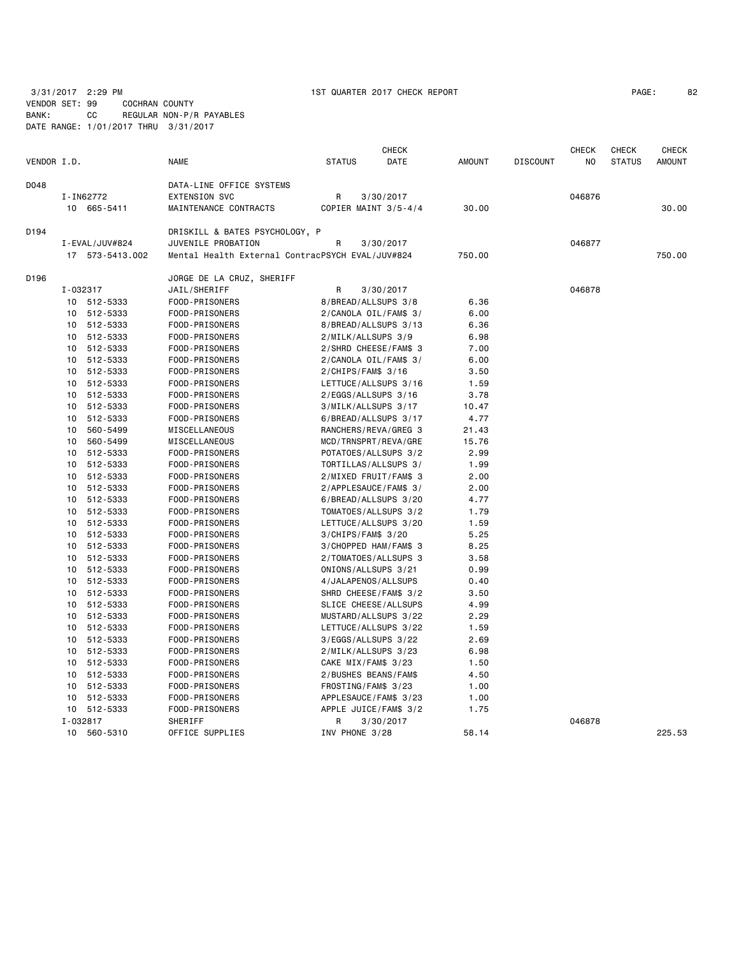VENDOR SET: 99 COCHRAN COUNTY BANK: CC REGULAR NON-P/R PAYABLES

DATE RANGE: 1/01/2017 THRU 3/31/2017

| VENDOR I.D. |          |                    | <b>NAME</b>                                      | <b>STATUS</b>         | <b>CHECK</b><br>DATE | <b>AMOUNT</b> | <b>DISCOUNT</b> | <b>CHECK</b><br>N <sub>O</sub> | <b>CHECK</b><br><b>STATUS</b> | <b>CHECK</b><br><b>AMOUNT</b> |
|-------------|----------|--------------------|--------------------------------------------------|-----------------------|----------------------|---------------|-----------------|--------------------------------|-------------------------------|-------------------------------|
| D048        |          |                    | DATA-LINE OFFICE SYSTEMS                         |                       |                      |               |                 |                                |                               |                               |
|             |          | I-IN62772          | <b>EXTENSION SVC</b>                             | R                     | 3/30/2017            |               |                 | 046876                         |                               |                               |
|             |          | 10 665-5411        | MAINTENANCE CONTRACTS                            | COPIER MAINT 3/5-4/4  |                      | 30.00         |                 |                                |                               | 30.00                         |
| D194        |          |                    | DRISKILL & BATES PSYCHOLOGY, P                   |                       |                      |               |                 |                                |                               |                               |
|             |          | I - EVAL / JUV#824 | JUVENILE PROBATION                               | R                     | 3/30/2017            |               |                 | 046877                         |                               |                               |
|             |          | 17 573-5413.002    | Mental Health External ContracPSYCH EVAL/JUV#824 |                       |                      | 750.00        |                 |                                |                               | 750.00                        |
| D196        |          |                    | JORGE DE LA CRUZ, SHERIFF                        |                       |                      |               |                 |                                |                               |                               |
|             | I-032317 |                    | JAIL/SHERIFF                                     | R                     | 3/30/2017            |               |                 | 046878                         |                               |                               |
|             |          | 10 512-5333        | FOOD-PRISONERS                                   | 8/BREAD/ALLSUPS 3/8   |                      | 6.36          |                 |                                |                               |                               |
|             |          | 10 512-5333        | FOOD-PRISONERS                                   | 2/CANOLA OIL/FAM\$ 3/ |                      | 6.00          |                 |                                |                               |                               |
|             | 10       | 512-5333           | FOOD-PRISONERS                                   | 8/BREAD/ALLSUPS 3/13  |                      | 6.36          |                 |                                |                               |                               |
|             |          | 10 512-5333        | FOOD-PRISONERS                                   | 2/MILK/ALLSUPS 3/9    |                      | 6.98          |                 |                                |                               |                               |
|             | 10       | 512-5333           | FOOD-PRISONERS                                   | 2/SHRD CHEESE/FAM\$ 3 |                      | 7.00          |                 |                                |                               |                               |
|             | 10       | 512-5333           | FOOD-PRISONERS                                   | 2/CANOLA OIL/FAM\$ 3/ |                      | 6.00          |                 |                                |                               |                               |
|             | 10       | 512-5333           | FOOD-PRISONERS                                   | $2/CHIPS/FAMS$ 3/16   |                      | 3.50          |                 |                                |                               |                               |
|             |          | 10 512-5333        | FOOD-PRISONERS                                   | LETTUCE/ALLSUPS 3/16  |                      | 1.59          |                 |                                |                               |                               |
|             | 10       | 512-5333           | FOOD-PRISONERS                                   | 2/EGGS/ALLSUPS 3/16   |                      | 3.78          |                 |                                |                               |                               |
|             | 10       | 512-5333           | FOOD-PRISONERS                                   | 3/MILK/ALLSUPS 3/17   |                      | 10.47         |                 |                                |                               |                               |
|             | 10       | 512-5333           | FOOD-PRISONERS                                   | 6/BREAD/ALLSUPS 3/17  |                      | 4.77          |                 |                                |                               |                               |
|             | 10       | 560-5499           | MISCELLANEOUS                                    | RANCHERS/REVA/GREG 3  |                      | 21.43         |                 |                                |                               |                               |
|             | 10       | 560-5499           | MISCELLANEOUS                                    | MCD/TRNSPRT/REVA/GRE  |                      | 15.76         |                 |                                |                               |                               |
|             | 10       | 512-5333           | FOOD-PRISONERS                                   | POTATOES/ALLSUPS 3/2  |                      | 2.99          |                 |                                |                               |                               |
|             | 10       | 512-5333           | FOOD-PRISONERS                                   | TORTILLAS/ALLSUPS 3/  |                      | 1.99          |                 |                                |                               |                               |
|             |          | 10 512-5333        | FOOD-PRISONERS                                   | 2/MIXED FRUIT/FAM\$ 3 |                      | 2.00          |                 |                                |                               |                               |
|             |          | 10 512-5333        | FOOD-PRISONERS                                   | 2/APPLESAUCE/FAM\$ 3/ |                      | 2.00          |                 |                                |                               |                               |
|             |          | 10 512-5333        | FOOD-PRISONERS                                   | 6/BREAD/ALLSUPS 3/20  |                      | 4.77          |                 |                                |                               |                               |
|             |          | 10 512-5333        | FOOD-PRISONERS                                   | TOMATOES/ALLSUPS 3/2  |                      | 1.79          |                 |                                |                               |                               |
|             |          | 10 512-5333        | FOOD-PRISONERS                                   | LETTUCE/ALLSUPS 3/20  |                      | 1.59          |                 |                                |                               |                               |
|             | 10       | 512-5333           | FOOD-PRISONERS                                   | 3/CHIPS/FAM\$ 3/20    |                      | 5.25          |                 |                                |                               |                               |
|             |          | 10 512-5333        | FOOD-PRISONERS                                   | 3/CHOPPED HAM/FAM\$ 3 |                      | 8.25          |                 |                                |                               |                               |
|             | 10       | 512-5333           | FOOD-PRISONERS                                   | 2/TOMATOES/ALLSUPS 3  |                      | 3.58          |                 |                                |                               |                               |
|             | 10       | 512-5333           | FOOD-PRISONERS                                   | ONIONS/ALLSUPS 3/21   |                      | 0.99          |                 |                                |                               |                               |
|             | 10       | 512-5333           | FOOD-PRISONERS                                   | 4/JALAPENOS/ALLSUPS   |                      | 0.40          |                 |                                |                               |                               |
|             |          | 10 512-5333        | FOOD-PRISONERS                                   | SHRD CHEESE/FAM\$ 3/2 |                      | 3.50          |                 |                                |                               |                               |
|             |          | 10 512-5333        | FOOD-PRISONERS                                   | SLICE CHEESE/ALLSUPS  |                      | 4.99          |                 |                                |                               |                               |
|             | 10       | 512-5333           | FOOD-PRISONERS                                   | MUSTARD/ALLSUPS 3/22  |                      | 2.29          |                 |                                |                               |                               |
|             | 10       | 512-5333           | FOOD-PRISONERS                                   | LETTUCE/ALLSUPS 3/22  |                      | 1.59          |                 |                                |                               |                               |
|             | 10       | 512-5333           | FOOD-PRISONERS                                   | 3/EGGS/ALLSUPS 3/22   |                      | 2.69          |                 |                                |                               |                               |
|             |          | 10 512-5333        | FOOD-PRISONERS                                   | 2/MILK/ALLSUPS 3/23   |                      | 6.98          |                 |                                |                               |                               |
|             | 10       | 512-5333           | FOOD-PRISONERS                                   | CAKE MIX/FAM\$ 3/23   |                      | 1.50          |                 |                                |                               |                               |
|             | 10       | 512-5333           | FOOD-PRISONERS                                   | 2/BUSHES BEANS/FAM\$  |                      | 4.50          |                 |                                |                               |                               |
|             | 10       | 512-5333           | FOOD-PRISONERS                                   | FROSTING/FAM\$ 3/23   |                      | 1.00          |                 |                                |                               |                               |
|             | 10       | 512-5333           | FOOD-PRISONERS                                   | APPLESAUCE/FAM\$ 3/23 |                      | 1.00          |                 |                                |                               |                               |
|             |          | 10 512-5333        | FOOD-PRISONERS                                   | APPLE JUICE/FAM\$ 3/2 |                      | 1.75          |                 |                                |                               |                               |
|             | I-032817 |                    | SHERIFF                                          | R                     | 3/30/2017            |               |                 | 046878                         |                               |                               |
|             |          | 10 560-5310        | OFFICE SUPPLIES                                  | INV PHONE 3/28        |                      | 58.14         |                 |                                |                               | 225.53                        |
|             |          |                    |                                                  |                       |                      |               |                 |                                |                               |                               |

3/31/2017 2:29 PM 1ST QUARTER 2017 CHECK REPORT PAGE: 82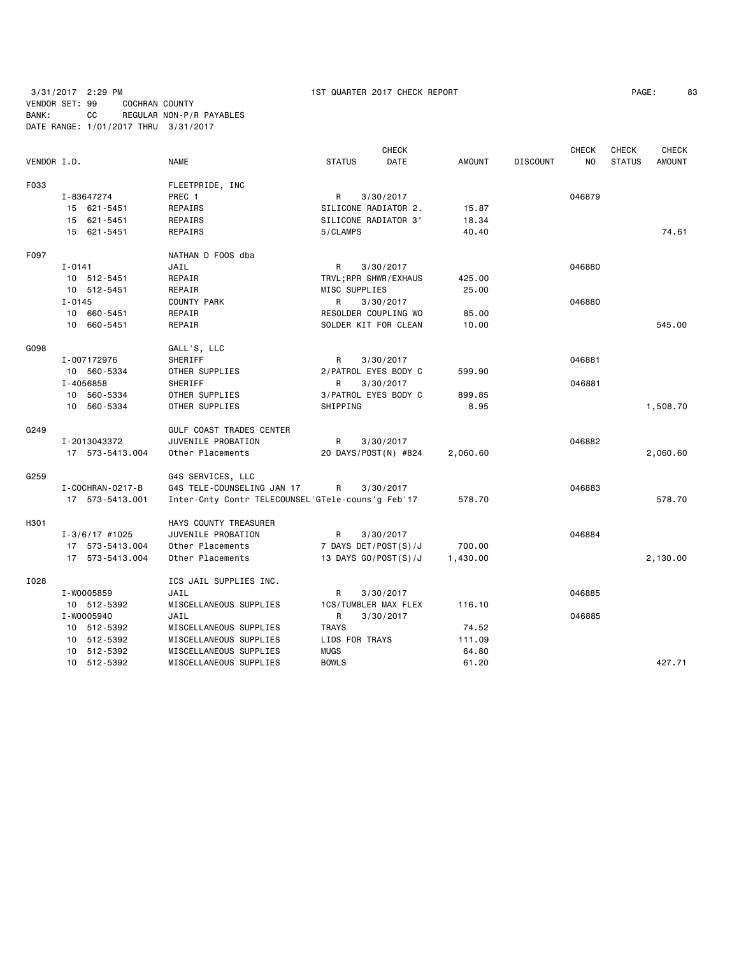3/31/2017 2:29 PM 1ST QUARTER 2017 CHECK REPORT PAGE: 83 VENDOR SET: 99 COCHRAN COUNTY BANK: CC REGULAR NON-P/R PAYABLES DATE RANGE: 1/01/2017 THRU 3/31/2017

| PAGE: | 83 |
|-------|----|
|-------|----|

|             |                        |                                                   | <b>CHECK</b>          |               |                 | <b>CHECK</b> | <b>CHECK</b>  | <b>CHECK</b>  |
|-------------|------------------------|---------------------------------------------------|-----------------------|---------------|-----------------|--------------|---------------|---------------|
| VENDOR I.D. |                        | <b>NAME</b>                                       | <b>STATUS</b><br>DATE | <b>AMOUNT</b> | <b>DISCOUNT</b> | NO           | <b>STATUS</b> | <b>AMOUNT</b> |
| F033        |                        | FLEETPRIDE, INC                                   |                       |               |                 |              |               |               |
|             | I-83647274             | PREC 1                                            | R<br>3/30/2017        |               |                 | 046879       |               |               |
|             | 15 621-5451            | REPAIRS                                           | SILICONE RADIATOR 2.  | 15.87         |                 |              |               |               |
|             | 15 621-5451            | REPAIRS                                           | SILICONE RADIATOR 3"  | 18.34         |                 |              |               |               |
|             | 15 621-5451            | REPAIRS                                           | 5/CLAMPS              | 40.40         |                 |              |               | 74.61         |
| F097        |                        | NATHAN D FOOS dba                                 |                       |               |                 |              |               |               |
|             | $I - 0141$             | JAIL                                              | R<br>3/30/2017        |               |                 | 046880       |               |               |
|             | 10 512-5451            | REPAIR                                            | TRVL; RPR SHWR/EXHAUS | 425.00        |                 |              |               |               |
|             | 10 512-5451            | REPAIR                                            | MISC SUPPLIES         | 25.00         |                 |              |               |               |
|             | $I - 0145$             | <b>COUNTY PARK</b>                                | R<br>3/30/2017        |               |                 | 046880       |               |               |
|             | 10 660-5451            | REPAIR                                            | RESOLDER COUPLING WO  | 85.00         |                 |              |               |               |
|             | 10 660-5451            | REPAIR                                            | SOLDER KIT FOR CLEAN  | 10.00         |                 |              |               | 545.00        |
| G098        |                        | GALL'S, LLC                                       |                       |               |                 |              |               |               |
|             | I-007172976            | SHERIFF                                           | R<br>3/30/2017        |               |                 | 046881       |               |               |
|             | 10 560-5334            | OTHER SUPPLIES                                    | 2/PATROL EYES BODY C  | 599.90        |                 |              |               |               |
|             | I-4056858              | SHERIFF                                           | 3/30/2017<br>R        |               |                 | 046881       |               |               |
|             | 10 560-5334            | OTHER SUPPLIES                                    | 3/PATROL EYES BODY C  | 899.85        |                 |              |               |               |
|             | 10 560-5334            | OTHER SUPPLIES                                    | SHIPPING              | 8.95          |                 |              |               | 1,508.70      |
| G249        |                        | <b>GULF COAST TRADES CENTER</b>                   |                       |               |                 |              |               |               |
|             | I-2013043372           | JUVENILE PROBATION                                | R<br>3/30/2017        |               |                 | 046882       |               |               |
|             | 17 573-5413.004        | Other Placements                                  | 20 DAYS/POST(N) #824  | 2,060.60      |                 |              |               | 2,060.60      |
| G259        |                        | G4S SERVICES, LLC                                 |                       |               |                 |              |               |               |
|             | I - COCHRAN - 0217 - B | G4S TELE-COUNSELING JAN 17                        | R<br>3/30/2017        |               |                 | 046883       |               |               |
|             | 17 573-5413.001        | Inter-Cnty Contr TELECOUNSEL'GTele-couns'g Feb'17 |                       | 578.70        |                 |              |               | 578.70        |
| H301        |                        | HAYS COUNTY TREASURER                             |                       |               |                 |              |               |               |
|             | $I - 3/6/17$ #1025     | JUVENILE PROBATION                                | R<br>3/30/2017        |               |                 | 046884       |               |               |
|             | 17 573-5413.004        | Other Placements                                  | 7 DAYS DET/POST(S)/J  | 700.00        |                 |              |               |               |
|             | 17 573-5413.004        | Other Placements                                  | 13 DAYS GO/POST(S)/J  | 1,430.00      |                 |              |               | 2,130.00      |
| I028        |                        | ICS JAIL SUPPLIES INC.                            |                       |               |                 |              |               |               |
|             | I-W0005859             | JAIL                                              | 3/30/2017<br>R        |               |                 | 046885       |               |               |
|             | 10 512-5392            | MISCELLANEOUS SUPPLIES                            | 1CS/TUMBLER MAX FLEX  | 116.10        |                 |              |               |               |
|             | I-W0005940             | JAIL                                              | R<br>3/30/2017        |               |                 | 046885       |               |               |
|             | 10 512-5392            | MISCELLANEOUS SUPPLIES                            | <b>TRAYS</b>          | 74.52         |                 |              |               |               |
|             | 10 512-5392            | MISCELLANEOUS SUPPLIES                            | LIDS FOR TRAYS        | 111.09        |                 |              |               |               |
|             | 10 512-5392            | MISCELLANEOUS SUPPLIES                            | <b>MUGS</b>           | 64.80         |                 |              |               |               |
|             | 10 512-5392            | MISCELLANEOUS SUPPLIES                            | <b>BOWLS</b>          | 61.20         |                 |              |               | 427.71        |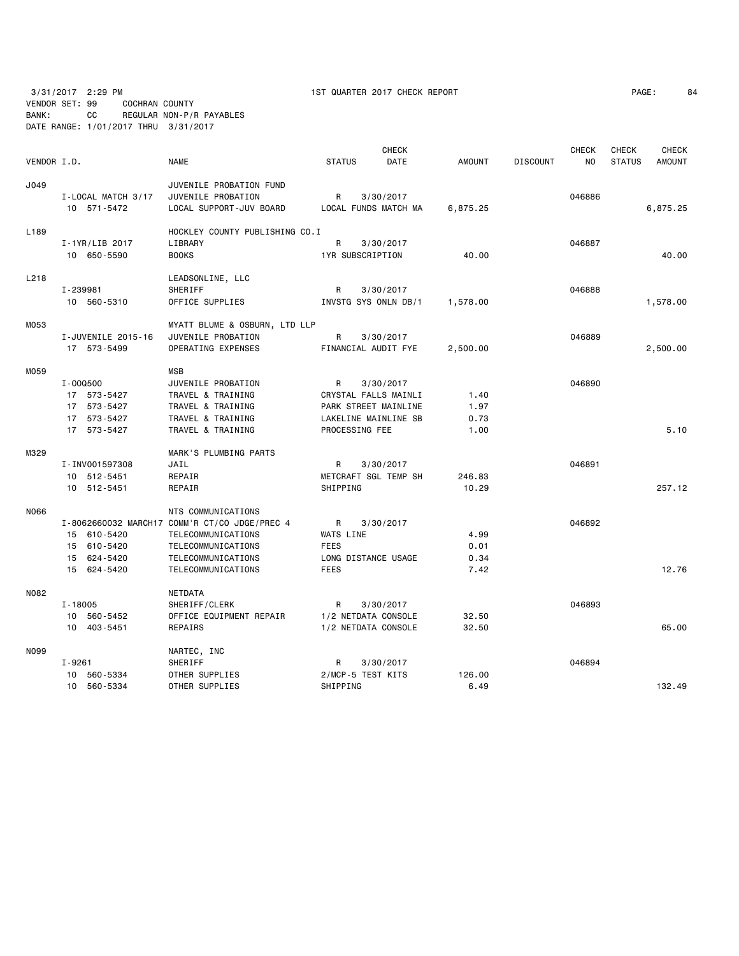3/31/2017 2:29 PM 1ST QUARTER 2017 CHECK REPORT VENDOR SET: 99 COCHRAN COUNTY

| PAGE: | 84 |
|-------|----|
|-------|----|

BANK: CC REGULAR NON-P/R PAYABLES DATE RANGE: 1/01/2017 THRU 3/31/2017

|             |                    |                                               |                   |                  | <b>CHECK</b>         |               |                 | <b>CHECK</b>   | <b>CHECK</b>  | <b>CHECK</b>  |
|-------------|--------------------|-----------------------------------------------|-------------------|------------------|----------------------|---------------|-----------------|----------------|---------------|---------------|
| VENDOR I.D. |                    | <b>NAME</b>                                   | <b>STATUS</b>     |                  | <b>DATE</b>          | <b>AMOUNT</b> | <b>DISCOUNT</b> | N <sub>O</sub> | <b>STATUS</b> | <b>AMOUNT</b> |
| J049        |                    | JUVENILE PROBATION FUND                       |                   |                  |                      |               |                 |                |               |               |
|             | I-LOCAL MATCH 3/17 | JUVENILE PROBATION                            | R                 |                  | 3/30/2017            |               |                 | 046886         |               |               |
|             | 10 571-5472        | LOCAL SUPPORT-JUV BOARD                       |                   |                  | LOCAL FUNDS MATCH MA | 6,875.25      |                 |                |               | 6,875.25      |
| L189        |                    | HOCKLEY COUNTY PUBLISHING CO.I                |                   |                  |                      |               |                 |                |               |               |
|             | I-1YR/LIB 2017     | LIBRARY                                       | R                 |                  | 3/30/2017            |               |                 | 046887         |               |               |
|             | 10 650-5590        | <b>BOOKS</b>                                  |                   | 1YR SUBSCRIPTION |                      | 40.00         |                 |                |               | 40.00         |
| L218        |                    | LEADSONLINE, LLC                              |                   |                  |                      |               |                 |                |               |               |
|             | I-239981           | SHERIFF                                       | R                 |                  | 3/30/2017            |               |                 | 046888         |               |               |
|             | 10 560-5310        | OFFICE SUPPLIES                               |                   |                  | INVSTG SYS ONLN DB/1 | 1,578.00      |                 |                |               | 1,578.00      |
| M053        |                    | MYATT BLUME & OSBURN, LTD LLP                 |                   |                  |                      |               |                 |                |               |               |
|             | I-JUVENILE 2015-16 | JUVENILE PROBATION                            | R                 |                  | 3/30/2017            |               |                 | 046889         |               |               |
|             | 17 573-5499        | OPERATING EXPENSES                            |                   |                  | FINANCIAL AUDIT FYE  | 2,500.00      |                 |                |               | 2,500.00      |
| M059        |                    | <b>MSB</b>                                    |                   |                  |                      |               |                 |                |               |               |
|             | I-000500           | JUVENILE PROBATION                            | R                 |                  | 3/30/2017            |               |                 | 046890         |               |               |
|             | 17 573-5427        | TRAVEL & TRAINING                             |                   |                  | CRYSTAL FALLS MAINLI | 1.40          |                 |                |               |               |
|             | 17 573-5427        | TRAVEL & TRAINING                             |                   |                  | PARK STREET MAINLINE | 1.97          |                 |                |               |               |
|             | 17 573-5427        | TRAVEL & TRAINING                             |                   |                  | LAKELINE MAINLINE SB | 0.73          |                 |                |               |               |
|             | 17 573-5427        | TRAVEL & TRAINING                             |                   | PROCESSING FEE   |                      | 1.00          |                 |                |               | 5.10          |
| M329        |                    | MARK'S PLUMBING PARTS                         |                   |                  |                      |               |                 |                |               |               |
|             | I-INV001597308     | JAIL                                          | R                 |                  | 3/30/2017            |               |                 | 046891         |               |               |
|             | 10 512-5451        | REPAIR                                        |                   |                  | METCRAFT SGL TEMP SH | 246.83        |                 |                |               |               |
|             | 10 512-5451        | REPAIR                                        | SHIPPING          |                  |                      | 10.29         |                 |                |               | 257.12        |
| N066        |                    | NTS COMMUNICATIONS                            |                   |                  |                      |               |                 |                |               |               |
|             |                    | I-8062660032 MARCH17 COMM'R CT/CO JDGE/PREC 4 | R                 |                  | 3/30/2017            |               |                 | 046892         |               |               |
|             | 15 610-5420        | TELECOMMUNICATIONS                            | WATS LINE         |                  |                      | 4.99          |                 |                |               |               |
|             | 15 610-5420        | TELECOMMUNICATIONS                            | <b>FEES</b>       |                  |                      | 0.01          |                 |                |               |               |
|             | 15 624-5420        | TELECOMMUNICATIONS                            |                   |                  | LONG DISTANCE USAGE  | 0.34          |                 |                |               |               |
|             | 15 624-5420        | TELECOMMUNICATIONS                            | <b>FEES</b>       |                  |                      | 7.42          |                 |                |               | 12.76         |
| N082        |                    | NETDATA                                       |                   |                  |                      |               |                 |                |               |               |
|             | $I - 18005$        | SHERIFF/CLERK                                 | R                 |                  | 3/30/2017            |               |                 | 046893         |               |               |
|             | 10 560-5452        | OFFICE EQUIPMENT REPAIR                       |                   |                  | 1/2 NETDATA CONSOLE  | 32.50         |                 |                |               |               |
|             | 10 403-5451        | REPAIRS                                       |                   |                  | 1/2 NETDATA CONSOLE  | 32.50         |                 |                |               | 65.00         |
| N099        |                    | NARTEC, INC                                   |                   |                  |                      |               |                 |                |               |               |
|             | I-9261             | SHERIFF                                       | R                 |                  | 3/30/2017            |               |                 | 046894         |               |               |
|             | 560-5334<br>10     | OTHER SUPPLIES                                | 2/MCP-5 TEST KITS |                  |                      | 126.00        |                 |                |               |               |
|             | 10 560-5334        | OTHER SUPPLIES                                | SHIPPING          |                  |                      | 6.49          |                 |                |               | 132.49        |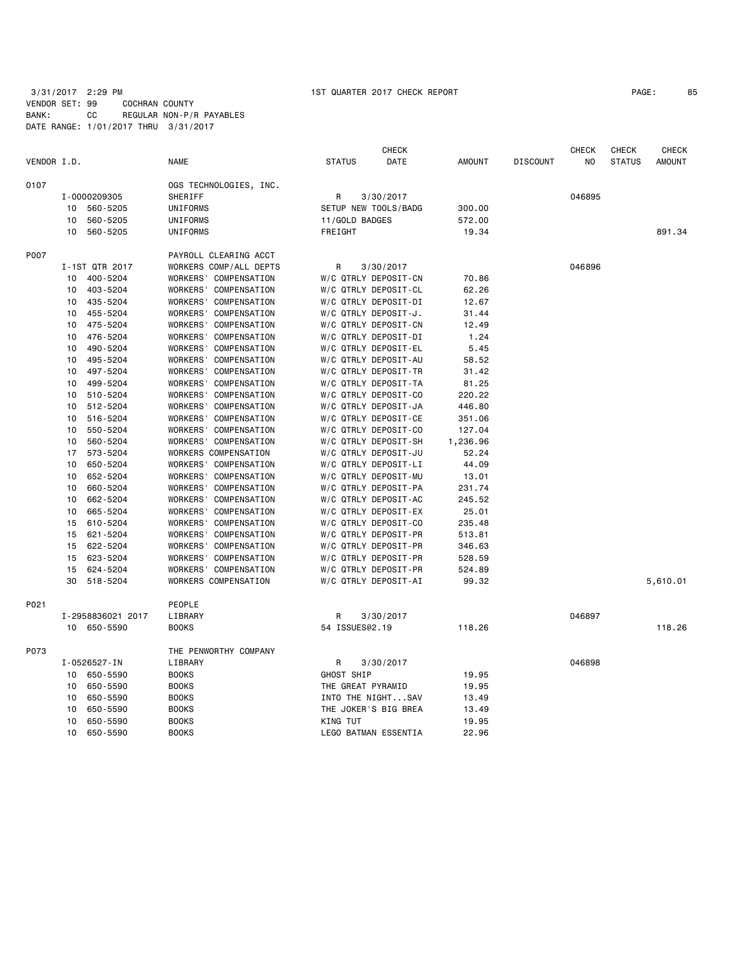## 3/31/2017 2:29 PM 1ST QUARTER 2017 CHECK REPORT VENDOR SET: 99 COCHRAN COUNTY BANK: CC REGULAR NON-P/R PAYABLES DATE RANGE: 1/01/2017 THRU 3/31/2017

| PAGE: | 85 |
|-------|----|
|-------|----|

|             |                 |                   |                        |                   | <b>CHECK</b>                |          |                 | <b>CHECK</b>   | <b>CHECK</b>  | <b>CHECK</b>  |
|-------------|-----------------|-------------------|------------------------|-------------------|-----------------------------|----------|-----------------|----------------|---------------|---------------|
| VENDOR I.D. |                 |                   | <b>NAME</b>            | <b>STATUS</b>     | DATE                        | AMOUNT   | <b>DISCOUNT</b> | N <sub>O</sub> | <b>STATUS</b> | <b>AMOUNT</b> |
| 0107        |                 |                   | OGS TECHNOLOGIES, INC. |                   |                             |          |                 |                |               |               |
|             |                 | I-0000209305      | SHERIFF                | R                 | 3/30/2017                   |          |                 | 046895         |               |               |
|             | 10              | 560-5205          | UNIFORMS               |                   | SETUP NEW TOOLS/BADG        | 300.00   |                 |                |               |               |
|             | 10              | 560-5205          | UNIFORMS               | 11/GOLD BADGES    |                             | 572.00   |                 |                |               |               |
|             | 10              | 560-5205          | UNIFORMS               | FREIGHT           |                             | 19.34    |                 |                |               | 891.34        |
| P007        |                 |                   | PAYROLL CLEARING ACCT  |                   |                             |          |                 |                |               |               |
|             |                 | I-1ST QTR 2017    | WORKERS COMP/ALL DEPTS | R                 | 3/30/2017                   |          |                 | 046896         |               |               |
|             | 10              | 400-5204          | WORKERS' COMPENSATION  |                   | W/C QTRLY DEPOSIT-CN        | 70.86    |                 |                |               |               |
|             | 10              | 403-5204          | WORKERS' COMPENSATION  |                   | W/C QTRLY DEPOSIT-CL        | 62.26    |                 |                |               |               |
|             | 10              | 435-5204          | WORKERS' COMPENSATION  |                   | W/C QTRLY DEPOSIT-DI        | 12.67    |                 |                |               |               |
|             | 10              | 455-5204          | WORKERS' COMPENSATION  |                   | W/C QTRLY DEPOSIT-J.        | 31.44    |                 |                |               |               |
|             | 10              | 475-5204          | WORKERS' COMPENSATION  |                   | W/C QTRLY DEPOSIT-CN        | 12.49    |                 |                |               |               |
|             | 10              | 476-5204          | WORKERS' COMPENSATION  |                   | W/C QTRLY DEPOSIT-DI        | 1.24     |                 |                |               |               |
|             | 10              | 490-5204          | WORKERS' COMPENSATION  |                   | W/C QTRLY DEPOSIT-EL        | 5.45     |                 |                |               |               |
|             | 10              | 495-5204          | WORKERS' COMPENSATION  |                   | W/C QTRLY DEPOSIT-AU        | 58.52    |                 |                |               |               |
|             | 10              | 497-5204          | WORKERS' COMPENSATION  |                   | W/C QTRLY DEPOSIT-TR        | 31.42    |                 |                |               |               |
|             | 10              | 499-5204          | WORKERS' COMPENSATION  |                   | W/C QTRLY DEPOSIT-TA        | 81.25    |                 |                |               |               |
|             | 10              | 510-5204          | WORKERS' COMPENSATION  |                   | W/C QTRLY DEPOSIT-CO        | 220.22   |                 |                |               |               |
|             | 10              | 512-5204          | WORKERS' COMPENSATION  |                   | W/C QTRLY DEPOSIT-JA        | 446.80   |                 |                |               |               |
|             | 10              | 516-5204          | WORKERS' COMPENSATION  |                   | W/C QTRLY DEPOSIT-CE        | 351.06   |                 |                |               |               |
|             | 10              | 550-5204          | WORKERS' COMPENSATION  |                   | W/C QTRLY DEPOSIT-CO        | 127.04   |                 |                |               |               |
|             | 10              | 560-5204          | WORKERS' COMPENSATION  |                   | W/C QTRLY DEPOSIT-SH        | 1,236.96 |                 |                |               |               |
|             | 17              | 573-5204          | WORKERS COMPENSATION   |                   | W/C QTRLY DEPOSIT-JU        | 52.24    |                 |                |               |               |
|             | 10              | 650-5204          | WORKERS' COMPENSATION  |                   | W/C QTRLY DEPOSIT-LI        | 44.09    |                 |                |               |               |
|             | 10              | 652-5204          | WORKERS' COMPENSATION  |                   | W/C QTRLY DEPOSIT-MU        | 13.01    |                 |                |               |               |
|             | 10              | 660-5204          | WORKERS' COMPENSATION  |                   | W/C QTRLY DEPOSIT-PA        | 231.74   |                 |                |               |               |
|             | 10              | 662-5204          | WORKERS' COMPENSATION  |                   | W/C QTRLY DEPOSIT-AC        | 245.52   |                 |                |               |               |
|             | 10              | 665-5204          | WORKERS' COMPENSATION  |                   | W/C QTRLY DEPOSIT-EX        | 25.01    |                 |                |               |               |
|             | 15              | 610-5204          | WORKERS' COMPENSATION  |                   | W/C QTRLY DEPOSIT-CO        | 235.48   |                 |                |               |               |
|             | 15              | 621-5204          | WORKERS' COMPENSATION  |                   | W/C QTRLY DEPOSIT-PR        | 513.81   |                 |                |               |               |
|             | 15              | 622-5204          | WORKERS' COMPENSATION  |                   | W/C QTRLY DEPOSIT-PR        | 346.63   |                 |                |               |               |
|             | 15              | 623-5204          | WORKERS' COMPENSATION  |                   | W/C QTRLY DEPOSIT-PR        | 528.59   |                 |                |               |               |
|             | 15              | 624-5204          | WORKERS' COMPENSATION  |                   | W/C QTRLY DEPOSIT-PR        | 524.89   |                 |                |               |               |
|             | 30              | 518-5204          | WORKERS COMPENSATION   |                   | W/C QTRLY DEPOSIT-AI        | 99.32    |                 |                |               | 5,610.01      |
| P021        |                 |                   | PEOPLE                 |                   |                             |          |                 |                |               |               |
|             |                 | I-2958836021 2017 | LIBRARY                | R                 | 3/30/2017                   |          |                 | 046897         |               |               |
|             |                 | 10 650-5590       | <b>BOOKS</b>           | 54 ISSUES@2.19    |                             | 118.26   |                 |                |               | 118.26        |
| P073        |                 |                   | THE PENWORTHY COMPANY  |                   |                             |          |                 |                |               |               |
|             |                 | I-0526527-IN      | LIBRARY                | R                 | 3/30/2017                   |          |                 | 046898         |               |               |
|             |                 | 10 650-5590       | <b>BOOKS</b>           | GHOST SHIP        |                             | 19.95    |                 |                |               |               |
|             | 10              | 650-5590          | <b>BOOKS</b>           | THE GREAT PYRAMID |                             | 19.95    |                 |                |               |               |
|             | 10              | 650-5590          | <b>BOOKS</b>           |                   | INTO THE NIGHTSAV           | 13.49    |                 |                |               |               |
|             | 10              | 650-5590          | <b>BOOKS</b>           |                   | THE JOKER'S BIG BREA        | 13.49    |                 |                |               |               |
|             | 10              | 650-5590          | <b>BOOKS</b>           | KING TUT          |                             | 19.95    |                 |                |               |               |
|             | 10 <sup>1</sup> | 650-5590          | <b>BOOKS</b>           |                   | <b>LEGO BATMAN ESSENTIA</b> | 22.96    |                 |                |               |               |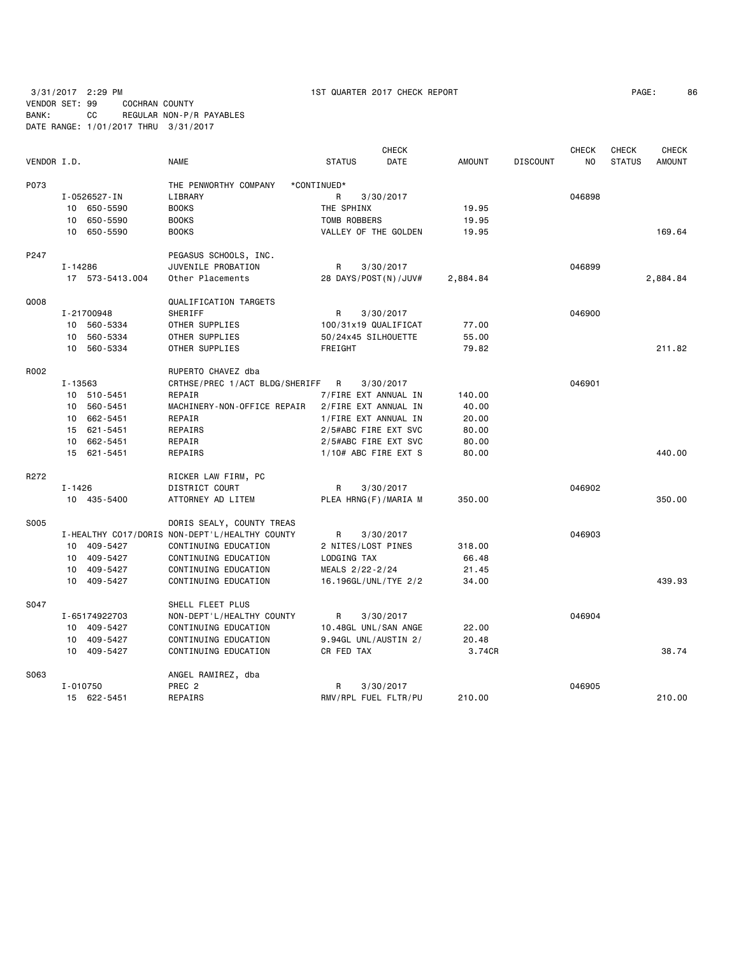VENDOR SET: 99 COCHRAN COUNTY BANK: CC REGULAR NON-P/R PAYABLES DATE RANGE: 1/01/2017 THRU 3/31/2017

| VENDOR I.D. |            |                 | <b>NAME</b>                                    | <b>STATUS</b>       | <b>CHECK</b><br>DATE | <b>AMOUNT</b> | <b>DISCOUNT</b> | <b>CHECK</b><br>NO. | <b>CHECK</b><br><b>STATUS</b> | <b>CHECK</b><br><b>AMOUNT</b> |
|-------------|------------|-----------------|------------------------------------------------|---------------------|----------------------|---------------|-----------------|---------------------|-------------------------------|-------------------------------|
| P073        |            |                 | THE PENWORTHY COMPANY                          | *CONTINUED*         |                      |               |                 |                     |                               |                               |
|             |            | I-0526527-IN    | LIBRARY                                        | R                   | 3/30/2017            |               |                 | 046898              |                               |                               |
|             |            | 10 650-5590     | <b>BOOKS</b>                                   | THE SPHINX          |                      | 19.95         |                 |                     |                               |                               |
|             |            | 10 650-5590     | <b>BOOKS</b>                                   | TOMB ROBBERS        |                      | 19.95         |                 |                     |                               |                               |
|             |            | 10 650-5590     | <b>BOOKS</b>                                   |                     | VALLEY OF THE GOLDEN | 19.95         |                 |                     |                               | 169.64                        |
| P247        |            |                 | PEGASUS SCHOOLS, INC.                          |                     |                      |               |                 |                     |                               |                               |
|             | I-14286    |                 | JUVENILE PROBATION                             | R                   | 3/30/2017            |               |                 | 046899              |                               |                               |
|             |            | 17 573-5413.004 | Other Placements                               |                     | 28 DAYS/POST(N)/JUV# | 2,884.84      |                 |                     |                               | 2,884.84                      |
| Q008        |            |                 | QUALIFICATION TARGETS                          |                     |                      |               |                 |                     |                               |                               |
|             |            | I-21700948      | SHERIFF                                        | R                   | 3/30/2017            |               |                 | 046900              |                               |                               |
|             |            | 10 560-5334     | OTHER SUPPLIES                                 |                     | 100/31x19 QUALIFICAT | 77.00         |                 |                     |                               |                               |
|             |            | 10 560-5334     | OTHER SUPPLIES                                 | 50/24x45 SILHOUETTE |                      | 55.00         |                 |                     |                               |                               |
|             |            | 10 560-5334     | OTHER SUPPLIES                                 | FREIGHT             |                      | 79.82         |                 |                     |                               | 211.82                        |
| R002        |            |                 | RUPERTO CHAVEZ dba                             |                     |                      |               |                 |                     |                               |                               |
|             | I-13563    |                 | CRTHSE/PREC 1/ACT BLDG/SHERIFF                 | – R                 | 3/30/2017            |               |                 | 046901              |                               |                               |
|             |            | 10 510-5451     | REPAIR                                         |                     | 7/FIRE EXT ANNUAL IN | 140.00        |                 |                     |                               |                               |
|             |            | 10 560-5451     | MACHINERY-NON-OFFICE REPAIR                    |                     | 2/FIRE EXT ANNUAL IN | 40.00         |                 |                     |                               |                               |
|             |            | 10 662-5451     | REPAIR                                         |                     | 1/FIRE EXT ANNUAL IN | 20.00         |                 |                     |                               |                               |
|             |            | 15 621-5451     | REPAIRS                                        |                     | 2/5#ABC FIRE EXT SVC | 80.00         |                 |                     |                               |                               |
|             |            | 10 662-5451     | REPAIR                                         |                     | 2/5#ABC FIRE EXT SVC | 80.00         |                 |                     |                               |                               |
|             |            | 15 621-5451     | REPAIRS                                        |                     | 1/10# ABC FIRE EXT S | 80.00         |                 |                     |                               | 440.00                        |
| R272        |            |                 | RICKER LAW FIRM, PC                            |                     |                      |               |                 |                     |                               |                               |
|             | $I - 1426$ |                 | DISTRICT COURT                                 | R                   | 3/30/2017            |               |                 | 046902              |                               |                               |
|             |            | 10 435-5400     | ATTORNEY AD LITEM                              |                     | PLEA HRNG(F)/MARIA M | 350.00        |                 |                     |                               | 350.00                        |
| S005        |            |                 | DORIS SEALY, COUNTY TREAS                      |                     |                      |               |                 |                     |                               |                               |
|             |            |                 | I-HEALTHY CO17/DORIS NON-DEPT'L/HEALTHY COUNTY | R                   | 3/30/2017            |               |                 | 046903              |                               |                               |
|             |            | 10 409-5427     | CONTINUING EDUCATION                           | 2 NITES/LOST PINES  |                      | 318.00        |                 |                     |                               |                               |
|             |            | 10 409-5427     | CONTINUING EDUCATION                           | LODGING TAX         |                      | 66.48         |                 |                     |                               |                               |
|             |            | 10 409-5427     | CONTINUING EDUCATION                           | MEALS 2/22-2/24     |                      | 21.45         |                 |                     |                               |                               |
|             |            | 10 409-5427     | CONTINUING EDUCATION                           |                     | 16.196GL/UNL/TYE 2/2 | 34.00         |                 |                     |                               | 439.93                        |
| S047        |            |                 | SHELL FLEET PLUS                               |                     |                      |               |                 |                     |                               |                               |
|             |            | I-65174922703   | NON-DEPT'L/HEALTHY COUNTY                      | R                   | 3/30/2017            |               |                 | 046904              |                               |                               |
|             |            | 10 409-5427     | CONTINUING EDUCATION                           |                     | 10.48GL UNL/SAN ANGE | 22.00         |                 |                     |                               |                               |
|             |            | 10 409-5427     | CONTINUING EDUCATION                           |                     | 9.94GL UNL/AUSTIN 2/ | 20.48         |                 |                     |                               |                               |
|             |            | 10 409-5427     | CONTINUING EDUCATION                           | CR FED TAX          |                      | 3.74CR        |                 |                     |                               | 38.74                         |
| S063        |            |                 | ANGEL RAMIREZ, dba                             |                     |                      |               |                 |                     |                               |                               |
|             |            | I-010750        | PREC <sub>2</sub>                              | R                   | 3/30/2017            |               |                 | 046905              |                               |                               |
|             |            | 15 622-5451     | REPAIRS                                        |                     | RMV/RPL FUEL FLTR/PU | 210.00        |                 |                     |                               | 210.00                        |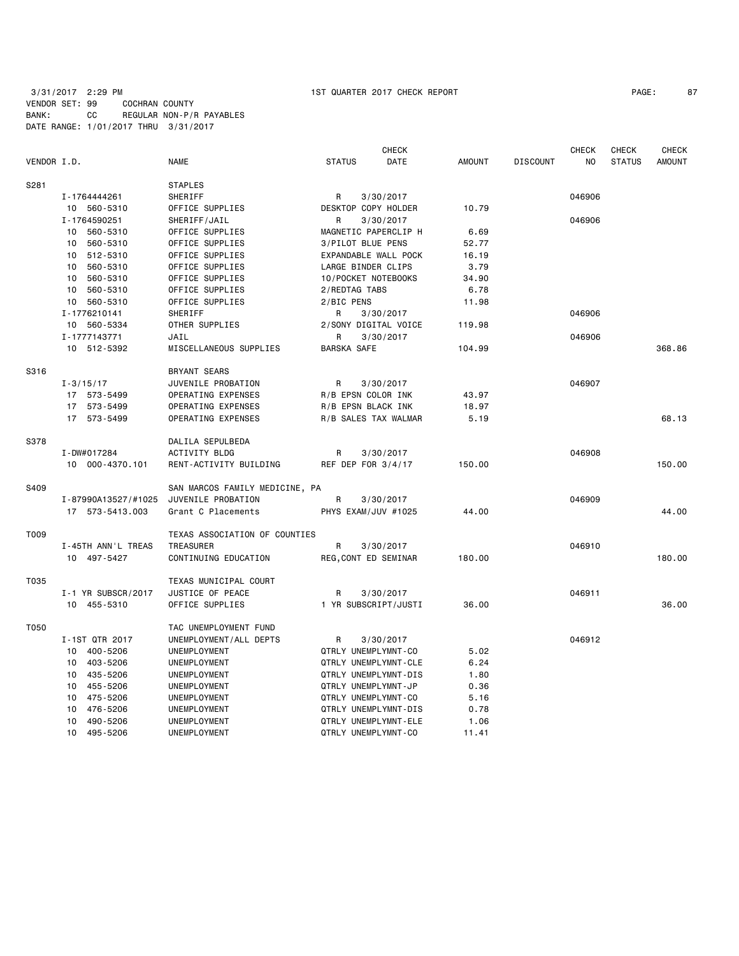# 3/31/2017 2:29 PM 1ST QUARTER 2017 CHECK REPORT PAGE: 87 VENDOR SET: 99 COCHRAN COUNTY BANK: CC REGULAR NON-P/R PAYABLES DATE RANGE: 1/01/2017 THRU 3/31/2017

|             |                     |                                |                      | <b>CHECK</b>         |               |                 | <b>CHECK</b> | <b>CHECK</b>  | <b>CHECK</b>  |
|-------------|---------------------|--------------------------------|----------------------|----------------------|---------------|-----------------|--------------|---------------|---------------|
| VENDOR I.D. |                     | <b>NAME</b>                    | <b>STATUS</b>        | DATE                 | <b>AMOUNT</b> | <b>DISCOUNT</b> | NO.          | <b>STATUS</b> | <b>AMOUNT</b> |
| S281        |                     | <b>STAPLES</b>                 |                      |                      |               |                 |              |               |               |
|             | I-1764444261        | SHERIFF                        | R                    | 3/30/2017            |               |                 | 046906       |               |               |
|             | 10 560-5310         | OFFICE SUPPLIES                | DESKTOP COPY HOLDER  |                      | 10.79         |                 |              |               |               |
|             | I-1764590251        | SHERIFF/JAIL                   | R                    | 3/30/2017            |               |                 | 046906       |               |               |
|             | 10 560-5310         | OFFICE SUPPLIES                |                      | MAGNETIC PAPERCLIP H | 6.69          |                 |              |               |               |
|             | 10 560-5310         | OFFICE SUPPLIES                | 3/PILOT BLUE PENS    |                      | 52.77         |                 |              |               |               |
|             | 10 512-5310         | OFFICE SUPPLIES                |                      | EXPANDABLE WALL POCK | 16.19         |                 |              |               |               |
|             | 10 560-5310         | OFFICE SUPPLIES                | LARGE BINDER CLIPS   |                      | 3.79          |                 |              |               |               |
|             | 560-5310<br>10      | OFFICE SUPPLIES                | 10/POCKET NOTEBOOKS  |                      | 34.90         |                 |              |               |               |
|             | 10 560-5310         | OFFICE SUPPLIES                | 2/REDTAG TABS        |                      | 6.78          |                 |              |               |               |
|             | 10 560-5310         | OFFICE SUPPLIES                | 2/BIC PENS           |                      | 11.98         |                 |              |               |               |
|             | I-1776210141        | SHERIFF                        | R                    | 3/30/2017            |               |                 | 046906       |               |               |
|             | 10 560-5334         | OTHER SUPPLIES                 |                      | 2/SONY DIGITAL VOICE | 119.98        |                 |              |               |               |
|             | I-1777143771        | JAIL                           | R                    | 3/30/2017            |               |                 | 046906       |               |               |
|             | 10 512-5392         | MISCELLANEOUS SUPPLIES         | <b>BARSKA SAFE</b>   |                      | 104.99        |                 |              |               | 368,86        |
| S316        |                     | <b>BRYANT SEARS</b>            |                      |                      |               |                 |              |               |               |
|             | $I - 3/15/17$       | JUVENILE PROBATION             | R                    | 3/30/2017            |               |                 | 046907       |               |               |
|             | 17 573-5499         | OPERATING EXPENSES             | R/B EPSN COLOR INK   |                      | 43.97         |                 |              |               |               |
|             | 17 573-5499         | OPERATING EXPENSES             | R/B EPSN BLACK INK   |                      | 18.97         |                 |              |               |               |
|             | 17 573-5499         | OPERATING EXPENSES             |                      | R/B SALES TAX WALMAR | 5.19          |                 |              |               | 68.13         |
| S378        |                     | DALILA SEPULBEDA               |                      |                      |               |                 |              |               |               |
|             | I-DW#017284         | ACTIVITY BLDG                  | R                    | 3/30/2017            |               |                 | 046908       |               |               |
|             | 10 000-4370.101     | RENT-ACTIVITY BUILDING         | REF DEP FOR 3/4/17   |                      | 150.00        |                 |              |               | 150.00        |
| S409        |                     | SAN MARCOS FAMILY MEDICINE, PA |                      |                      |               |                 |              |               |               |
|             | I-87990A13527/#1025 | JUVENILE PROBATION             | R                    | 3/30/2017            |               |                 | 046909       |               |               |
|             | 17 573-5413.003     | Grant C Placements             | PHYS EXAM/JUV #1025  |                      | 44.00         |                 |              |               | 44.00         |
| T009        |                     | TEXAS ASSOCIATION OF COUNTIES  |                      |                      |               |                 |              |               |               |
|             | I-45TH ANN'L TREAS  | TREASURER                      | R                    | 3/30/2017            |               |                 | 046910       |               |               |
|             | 10 497-5427         | CONTINUING EDUCATION           | REG, CONT ED SEMINAR |                      | 180.00        |                 |              |               | 180.00        |
| T035        |                     | TEXAS MUNICIPAL COURT          |                      |                      |               |                 |              |               |               |
|             | I-1 YR SUBSCR/2017  | JUSTICE OF PEACE               | R                    | 3/30/2017            |               |                 | 046911       |               |               |
|             | 10 455-5310         | OFFICE SUPPLIES                |                      | 1 YR SUBSCRIPT/JUSTI | 36.00         |                 |              |               | 36.00         |
| T050        |                     | TAC UNEMPLOYMENT FUND          |                      |                      |               |                 |              |               |               |
|             | I-1ST QTR 2017      | UNEMPLOYMENT/ALL DEPTS         | R                    | 3/30/2017            |               |                 | 046912       |               |               |
|             | 10 400-5206         | UNEMPLOYMENT                   | QTRLY UNEMPLYMNT-CO  |                      | 5.02          |                 |              |               |               |
|             | 10 403-5206         | UNEMPLOYMENT                   |                      | QTRLY UNEMPLYMNT-CLE | 6.24          |                 |              |               |               |
|             | 10 435-5206         | UNEMPLOYMENT                   |                      | QTRLY UNEMPLYMNT-DIS | 1.80          |                 |              |               |               |
|             | 455-5206<br>10      | UNEMPLOYMENT                   | QTRLY UNEMPLYMNT-JP  |                      | 0.36          |                 |              |               |               |
|             | 475-5206<br>10      | UNEMPLOYMENT                   | QTRLY UNEMPLYMNT-CO  |                      | 5.16          |                 |              |               |               |
|             | 476-5206<br>10      | UNEMPLOYMENT                   |                      | QTRLY UNEMPLYMNT-DIS | 0.78          |                 |              |               |               |
|             | 490-5206<br>10      | UNEMPLOYMENT                   |                      | QTRLY UNEMPLYMNT-ELE | 1.06          |                 |              |               |               |
|             | 10 495-5206         | <b>UNEMPLOYMENT</b>            | QTRLY UNEMPLYMNT-CO  |                      | 11.41         |                 |              |               |               |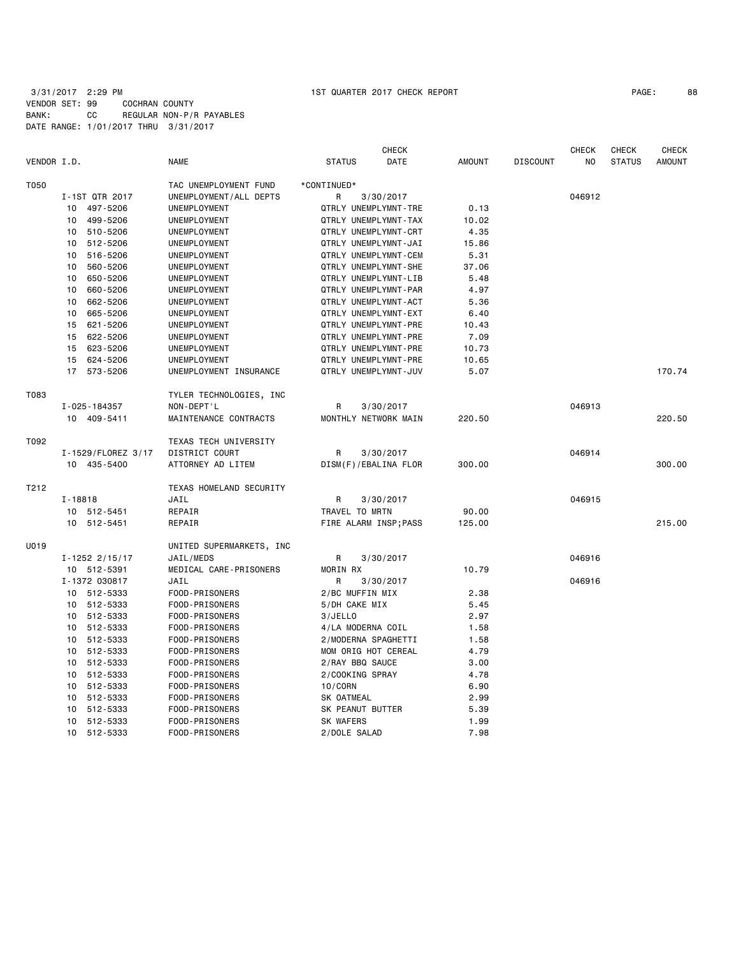3/31/2017 2:29 PM 1ST QUARTER 2017 CHECK REPORT PAGE: 88 VENDOR SET: 99 COCHRAN COUNTY BANK: CC REGULAR NON-P/R PAYABLES DATE RANGE: 1/01/2017 THRU 3/31/2017

|             |                    |                          | <b>CHECK</b>                                 |               |                 | <b>CHECK</b> | <b>CHECK</b>  | CHECK         |
|-------------|--------------------|--------------------------|----------------------------------------------|---------------|-----------------|--------------|---------------|---------------|
| VENDOR I.D. |                    | <b>NAME</b>              | DATE<br><b>STATUS</b>                        | <b>AMOUNT</b> | <b>DISCOUNT</b> | NO.          | <b>STATUS</b> | <b>AMOUNT</b> |
| T050        |                    | TAC UNEMPLOYMENT FUND    | *CONTINUED*                                  |               |                 |              |               |               |
|             | I-1ST QTR 2017     | UNEMPLOYMENT/ALL DEPTS   | R<br>3/30/2017                               |               |                 | 046912       |               |               |
|             | 497-5206<br>10     | UNEMPLOYMENT             | QTRLY UNEMPLYMNT-TRE                         | 0.13          |                 |              |               |               |
|             | 499-5206<br>10     | UNEMPLOYMENT             | QTRLY UNEMPLYMNT-TAX                         | 10.02         |                 |              |               |               |
|             | 10 510-5206        | UNEMPLOYMENT             | QTRLY UNEMPLYMNT-CRT                         | 4.35          |                 |              |               |               |
|             | 512-5206<br>10     | UNEMPLOYMENT             | QTRLY UNEMPLYMNT-JAI                         | 15.86         |                 |              |               |               |
|             | 516-5206<br>10     | UNEMPLOYMENT             | QTRLY UNEMPLYMNT-CEM                         | 5.31          |                 |              |               |               |
|             | 560-5206<br>10     | UNEMPLOYMENT             | QTRLY UNEMPLYMNT-SHE                         | 37.06         |                 |              |               |               |
|             | 650-5206<br>10     | UNEMPLOYMENT             | QTRLY UNEMPLYMNT-LIB                         | 5.48          |                 |              |               |               |
|             | 10<br>660-5206     | UNEMPLOYMENT             | QTRLY UNEMPLYMNT-PAR                         | 4.97          |                 |              |               |               |
|             | 662-5206<br>10     | UNEMPLOYMENT             | QTRLY UNEMPLYMNT-ACT                         | 5.36          |                 |              |               |               |
|             | 665-5206<br>10     | UNEMPLOYMENT             | QTRLY UNEMPLYMNT-EXT                         | 6.40          |                 |              |               |               |
|             | 15<br>621-5206     | UNEMPLOYMENT             | QTRLY UNEMPLYMNT-PRE                         | 10.43         |                 |              |               |               |
|             | 15<br>622-5206     | UNEMPLOYMENT             | QTRLY UNEMPLYMNT-PRE                         | 7.09          |                 |              |               |               |
|             | 623-5206<br>15     |                          |                                              |               |                 |              |               |               |
|             |                    | UNEMPLOYMENT             | QTRLY UNEMPLYMNT-PRE<br>QTRLY UNEMPLYMNT-PRE | 10.73         |                 |              |               |               |
|             | 624-5206<br>15     | UNEMPLOYMENT             |                                              | 10.65         |                 |              |               |               |
|             | 17 573-5206        | UNEMPLOYMENT INSURANCE   | QTRLY UNEMPLYMNT-JUV                         | 5.07          |                 |              |               | 170.74        |
| T083        |                    | TYLER TECHNOLOGIES, INC  |                                              |               |                 |              |               |               |
|             | I-025-184357       | NON-DEPT'L               | 3/30/2017<br>R                               |               |                 | 046913       |               |               |
|             | 10 409-5411        | MAINTENANCE CONTRACTS    | MONTHLY NETWORK MAIN                         | 220.50        |                 |              |               | 220.50        |
| T092        |                    | TEXAS TECH UNIVERSITY    |                                              |               |                 |              |               |               |
|             | I-1529/FLOREZ 3/17 | DISTRICT COURT           | R<br>3/30/2017                               |               |                 | 046914       |               |               |
|             | 10 435-5400        | ATTORNEY AD LITEM        | DISM(F)/EBALINA FLOR                         | 300.00        |                 |              |               | 300.00        |
| T212        |                    | TEXAS HOMELAND SECURITY  |                                              |               |                 |              |               |               |
|             | $I - 18818$        | JAIL                     | R<br>3/30/2017                               |               |                 | 046915       |               |               |
|             | 10 512-5451        | REPAIR                   | TRAVEL TO MRTN                               | 90.00         |                 |              |               |               |
|             | 10 512-5451        | REPAIR                   | FIRE ALARM INSP; PASS                        | 125.00        |                 |              |               | 215.00        |
| U019        |                    | UNITED SUPERMARKETS, INC |                                              |               |                 |              |               |               |
|             | $I - 1252$ 2/15/17 | JAIL/MEDS                | R<br>3/30/2017                               |               |                 | 046916       |               |               |
|             | 10 512-5391        | MEDICAL CARE-PRISONERS   | MORIN RX                                     | 10.79         |                 |              |               |               |
|             | I-1372 030817      | JAIL                     | R<br>3/30/2017                               |               |                 | 046916       |               |               |
|             | 10 512-5333        | FOOD-PRISONERS           | 2/BC MUFFIN MIX                              | 2.38          |                 |              |               |               |
|             | 10 512-5333        | FOOD-PRISONERS           | 5/DH CAKE MIX                                | 5.45          |                 |              |               |               |
|             | 10 512-5333        | FOOD-PRISONERS           | 3/JELLO                                      | 2.97          |                 |              |               |               |
|             | 10 512-5333        | FOOD-PRISONERS           | 4/LA MODERNA COIL                            | 1.58          |                 |              |               |               |
|             | 10 512-5333        | FOOD-PRISONERS           | 2/MODERNA SPAGHETTI                          | 1.58          |                 |              |               |               |
|             | 512-5333<br>10     | FOOD-PRISONERS           | MOM ORIG HOT CEREAL                          | 4.79          |                 |              |               |               |
|             | 10<br>512-5333     | FOOD-PRISONERS           | 2/RAY BBQ SAUCE                              | 3.00          |                 |              |               |               |
|             | 10<br>512-5333     | FOOD-PRISONERS           | 2/COOKING SPRAY                              | 4.78          |                 |              |               |               |
|             | 512-5333<br>10     | FOOD-PRISONERS           | 10/CORN                                      | 6.90          |                 |              |               |               |
|             | 10<br>512-5333     | FOOD-PRISONERS           | SK OATMEAL                                   | 2.99          |                 |              |               |               |
|             | 512-5333<br>10     | FOOD-PRISONERS           | SK PEANUT BUTTER                             | 5.39          |                 |              |               |               |
|             | 512-5333<br>10     | FOOD-PRISONERS           | <b>SK WAFERS</b>                             | 1.99          |                 |              |               |               |
|             | 10<br>512-5333     | FOOD-PRISONERS           | 2/DOLE SALAD                                 | 7.98          |                 |              |               |               |
|             |                    |                          |                                              |               |                 |              |               |               |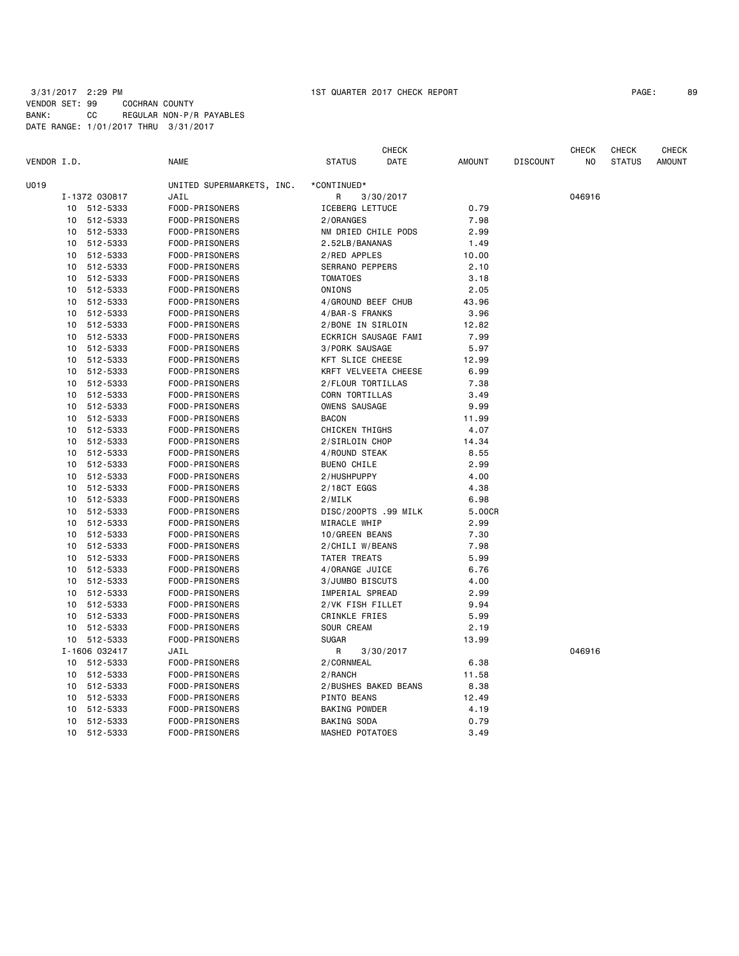# 3/31/2017 2:29 PM 1ST QUARTER 2017 CHECK REPORT PAGE: 89 VENDOR SET: 99 COCHRAN COUNTY BANK: CC REGULAR NON-P/R PAYABLES DATE RANGE: 1/01/2017 THRU 3/31/2017

|             |          |                      |                                  |                                     | <b>CHECK</b> |               |                 | <b>CHECK</b> | <b>CHECK</b>  | <b>CHECK</b>  |
|-------------|----------|----------------------|----------------------------------|-------------------------------------|--------------|---------------|-----------------|--------------|---------------|---------------|
| VENDOR I.D. |          |                      | <b>NAME</b>                      | <b>STATUS</b>                       | DATE         | <b>AMOUNT</b> | <b>DISCOUNT</b> | NO           | <b>STATUS</b> | <b>AMOUNT</b> |
| U019        |          |                      | UNITED SUPERMARKETS, INC.        | *CONTINUED*                         |              |               |                 |              |               |               |
|             |          | I-1372 030817        | JAIL                             | R                                   | 3/30/2017    |               |                 | 046916       |               |               |
|             |          | 10 512-5333          | FOOD-PRISONERS                   | ICEBERG LETTUCE                     |              | 0.79          |                 |              |               |               |
|             | 10       | 512-5333             | FOOD-PRISONERS                   | 2/ORANGES                           |              | 7.98          |                 |              |               |               |
|             | 10       | 512-5333             | FOOD-PRISONERS                   | NM DRIED CHILE PODS                 |              | 2.99          |                 |              |               |               |
|             | 10       | 512-5333             | FOOD-PRISONERS                   | 2.52LB/BANANAS                      |              | 1.49          |                 |              |               |               |
|             | 10       | 512-5333             | FOOD-PRISONERS                   | 2/RED APPLES                        |              | 10.00         |                 |              |               |               |
|             | 10       | 512-5333             | FOOD-PRISONERS                   | SERRANO PEPPERS                     |              | 2.10          |                 |              |               |               |
|             | 10       | 512-5333             | FOOD-PRISONERS                   | <b>TOMATOES</b>                     |              | 3.18          |                 |              |               |               |
|             | 10       | 512-5333             | FOOD-PRISONERS                   | ONIONS                              |              | 2.05          |                 |              |               |               |
|             | 10       | 512-5333             | FOOD-PRISONERS                   | 4/GROUND BEEF CHUB                  |              | 43.96         |                 |              |               |               |
|             | 10       | 512-5333             | FOOD-PRISONERS                   | 4/BAR-S FRANKS                      |              | 3.96          |                 |              |               |               |
|             | 10       | 512-5333             | FOOD-PRISONERS                   | 2/BONE IN SIRLOIN                   |              | 12.82         |                 |              |               |               |
|             | 10       | 512-5333             | FOOD-PRISONERS                   | ECKRICH SAUSAGE FAMI                |              | 7.99          |                 |              |               |               |
|             | 10       | 512-5333             | FOOD-PRISONERS                   | 3/PORK SAUSAGE                      |              | 5.97          |                 |              |               |               |
|             | 10       | 512-5333             | FOOD-PRISONERS                   | KFT SLICE CHEESE                    |              | 12.99         |                 |              |               |               |
|             | 10       | 512-5333             | FOOD-PRISONERS                   | KRFT VELVEETA CHEESE                |              | 6.99          |                 |              |               |               |
|             | 10       | 512-5333             | FOOD-PRISONERS                   | 2/FLOUR TORTILLAS                   |              | 7.38          |                 |              |               |               |
|             | 10       | 512-5333             |                                  | CORN TORTILLAS                      |              | 3.49          |                 |              |               |               |
|             | 10       | 512-5333             | FOOD-PRISONERS<br>FOOD-PRISONERS | <b>OWENS SAUSAGE</b>                |              | 9.99          |                 |              |               |               |
|             |          |                      |                                  | <b>BACON</b>                        |              |               |                 |              |               |               |
|             | 10<br>10 | 512-5333<br>512-5333 | FOOD-PRISONERS<br>FOOD-PRISONERS | CHICKEN THIGHS                      |              | 11.99<br>4.07 |                 |              |               |               |
|             | 10       |                      |                                  | 2/SIRLOIN CHOP                      |              | 14.34         |                 |              |               |               |
|             |          | 512-5333<br>512-5333 | FOOD-PRISONERS<br>FOOD-PRISONERS |                                     |              |               |                 |              |               |               |
|             | 10<br>10 | 512-5333             | FOOD-PRISONERS                   | 4/ROUND STEAK<br><b>BUENO CHILE</b> |              | 8.55<br>2.99  |                 |              |               |               |
|             | 10       | 512-5333             | FOOD-PRISONERS                   | 2/HUSHPUPPY                         |              | 4.00          |                 |              |               |               |
|             | 10       |                      |                                  |                                     |              |               |                 |              |               |               |
|             |          | 512-5333             | FOOD-PRISONERS                   | 2/18CT EGGS                         |              | 4.38          |                 |              |               |               |
|             | 10       | 512-5333             | FOOD-PRISONERS                   | 2/MILK                              |              | 6.98          |                 |              |               |               |
|             | 10       | 512-5333             | FOOD-PRISONERS                   | DISC/200PTS .99 MILK                |              | 5.00CR        |                 |              |               |               |
|             | 10       | 512-5333             | FOOD-PRISONERS                   | MIRACLE WHIP                        |              | 2.99          |                 |              |               |               |
|             | 10       | 512-5333             | FOOD-PRISONERS                   | 10/GREEN BEANS                      |              | 7.30          |                 |              |               |               |
|             | 10       | 512-5333             | FOOD-PRISONERS                   | 2/CHILI W/BEANS                     |              | 7.98          |                 |              |               |               |
|             | 10       | 512-5333             | FOOD-PRISONERS                   | TATER TREATS                        |              | 5.99          |                 |              |               |               |
|             | 10       | 512-5333             | FOOD-PRISONERS                   | 4/ORANGE JUICE                      |              | 6.76          |                 |              |               |               |
|             | 10       | 512-5333             | FOOD-PRISONERS                   | 3/JUMBO BISCUTS                     |              | 4.00          |                 |              |               |               |
|             | 10       | 512-5333             | FOOD-PRISONERS                   | IMPERIAL SPREAD                     |              | 2.99          |                 |              |               |               |
|             | 10       | 512-5333             | FOOD-PRISONERS                   | 2/VK FISH FILLET                    |              | 9.94          |                 |              |               |               |
|             | 10       | 512-5333             | FOOD-PRISONERS                   | <b>CRINKLE FRIES</b>                |              | 5.99          |                 |              |               |               |
|             | 10       | 512-5333             | FOOD-PRISONERS                   | SOUR CREAM                          |              | 2.19          |                 |              |               |               |
|             |          | 10 512-5333          | FOOD-PRISONERS                   | <b>SUGAR</b>                        |              | 13.99         |                 |              |               |               |
|             |          | I-1606 032417        | JAIL                             | R                                   | 3/30/2017    |               |                 | 046916       |               |               |
|             |          | 10 512-5333          | FOOD-PRISONERS                   | 2/CORNMEAL                          |              | 6.38          |                 |              |               |               |
|             | 10       | 512-5333             | FOOD-PRISONERS                   | 2/RANCH                             |              | 11.58         |                 |              |               |               |
|             | 10       | 512-5333             | FOOD-PRISONERS                   | 2/BUSHES BAKED BEANS                |              | 8.38          |                 |              |               |               |
|             | 10       | 512-5333             | FOOD-PRISONERS                   | PINTO BEANS                         |              | 12.49         |                 |              |               |               |
|             | 10       | 512-5333             | FOOD-PRISONERS                   | BAKING POWDER                       |              | 4.19          |                 |              |               |               |
|             | 10       | 512-5333             | FOOD-PRISONERS                   | BAKING SODA                         |              | 0.79          |                 |              |               |               |
|             | 10       | 512-5333             | FOOD-PRISONERS                   | <b>MASHED POTATOES</b>              |              | 3.49          |                 |              |               |               |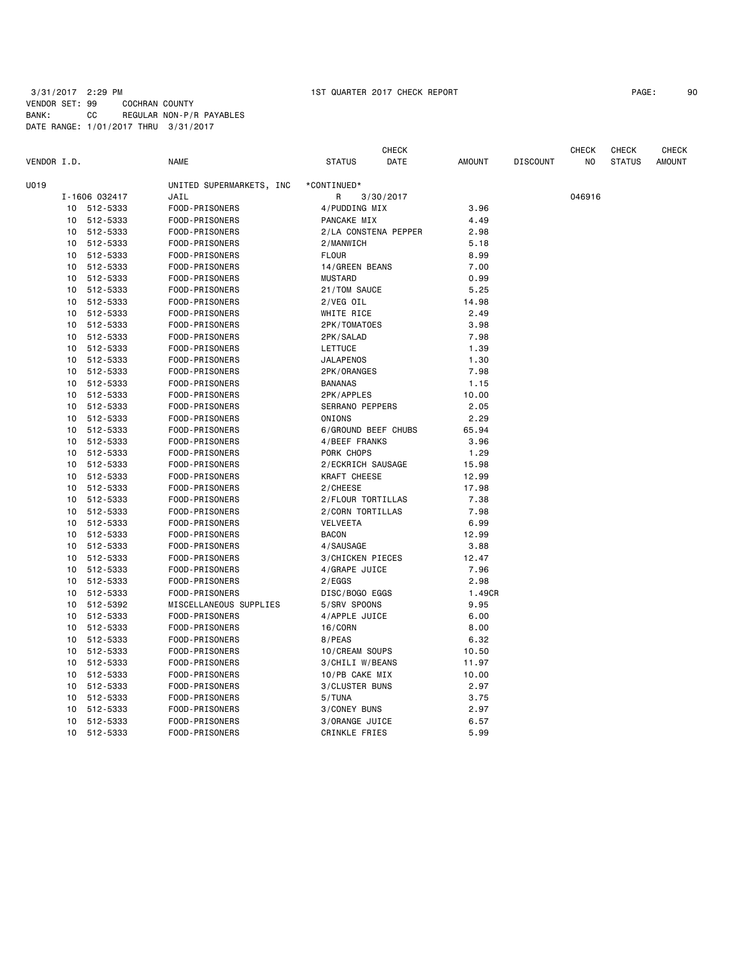# 3/31/2017 2:29 PM 1ST QUARTER 2017 CHECK REPORT PAGE: 90 VENDOR SET: 99 COCHRAN COUNTY BANK: CC REGULAR NON-P/R PAYABLES DATE RANGE: 1/01/2017 THRU 3/31/2017

|             |               |                                  |                        | <b>CHECK</b>         |               |                 | <b>CHECK</b> | <b>CHECK</b>  | <b>CHECK</b>  |
|-------------|---------------|----------------------------------|------------------------|----------------------|---------------|-----------------|--------------|---------------|---------------|
| VENDOR I.D. |               | <b>NAME</b>                      | <b>STATUS</b>          | DATE                 | <b>AMOUNT</b> | <b>DISCOUNT</b> | NO.          | <b>STATUS</b> | <b>AMOUNT</b> |
| U019        |               | UNITED SUPERMARKETS, INC         | *CONTINUED*            |                      |               |                 |              |               |               |
|             | I-1606 032417 | JAIL                             | R                      | 3/30/2017            |               |                 | 046916       |               |               |
| 10          | 512-5333      | FOOD-PRISONERS                   | 4/PUDDING MIX          |                      | 3.96          |                 |              |               |               |
| 10          | 512-5333      | FOOD-PRISONERS                   | PANCAKE MIX            |                      | 4.49          |                 |              |               |               |
| 10          | 512-5333      | FOOD-PRISONERS                   |                        | 2/LA CONSTENA PEPPER | 2.98          |                 |              |               |               |
| 10          | 512-5333      | FOOD-PRISONERS                   | 2/MANWICH              |                      | 5.18          |                 |              |               |               |
| 10          | 512-5333      | FOOD-PRISONERS                   | <b>FLOUR</b>           |                      | 8.99          |                 |              |               |               |
| 10          | 512-5333      | FOOD-PRISONERS                   | 14/GREEN BEANS         |                      | 7.00          |                 |              |               |               |
| 10          | 512-5333      | FOOD-PRISONERS                   | <b>MUSTARD</b>         |                      | 0.99          |                 |              |               |               |
| 10          | 512-5333      | FOOD-PRISONERS                   | 21/TOM SAUCE           |                      | 5.25          |                 |              |               |               |
| 10          | 512-5333      | FOOD-PRISONERS                   | 2/VEG OIL              |                      | 14.98         |                 |              |               |               |
| 10          | 512-5333      | FOOD-PRISONERS                   | WHITE RICE             |                      | 2.49          |                 |              |               |               |
| 10          | 512-5333      | FOOD-PRISONERS                   | 2PK/TOMATOES           |                      | 3.98          |                 |              |               |               |
| 10          | 512-5333      | FOOD-PRISONERS                   | 2PK/SALAD              |                      | 7.98          |                 |              |               |               |
| 10          | 512-5333      | FOOD-PRISONERS                   | LETTUCE                |                      | 1.39          |                 |              |               |               |
| 10          | 512-5333      | FOOD-PRISONERS                   | <b>JALAPENOS</b>       |                      | 1.30          |                 |              |               |               |
| 10          | 512-5333      | FOOD-PRISONERS                   | 2PK/ORANGES            |                      | 7.98          |                 |              |               |               |
| 10          | 512-5333      | FOOD-PRISONERS                   | <b>BANANAS</b>         |                      | 1.15          |                 |              |               |               |
| 10          | 512-5333      | FOOD-PRISONERS                   | 2PK/APPLES             |                      | 10.00         |                 |              |               |               |
| 10          | 512-5333      | FOOD-PRISONERS                   | <b>SERRANO PEPPERS</b> |                      | 2.05          |                 |              |               |               |
| 10          | 512-5333      | FOOD-PRISONERS                   | ONIONS                 |                      | 2.29          |                 |              |               |               |
| 10          | 512-5333      | FOOD-PRISONERS                   |                        | 6/GROUND BEEF CHUBS  | 65.94         |                 |              |               |               |
| 10          | 512-5333      | FOOD-PRISONERS                   | 4/BEEF FRANKS          |                      | 3.96          |                 |              |               |               |
| 10          | 512-5333      | FOOD-PRISONERS                   | PORK CHOPS             |                      | 1.29          |                 |              |               |               |
| 10          | 512-5333      | FOOD-PRISONERS                   | 2/ECKRICH SAUSAGE      |                      | 15.98         |                 |              |               |               |
| 10          | 512-5333      | FOOD-PRISONERS                   | KRAFT CHEESE           |                      | 12.99         |                 |              |               |               |
| 10          | 512-5333      | FOOD-PRISONERS                   | 2/CHEESE               |                      | 17.98         |                 |              |               |               |
| 10          | 512-5333      | FOOD-PRISONERS                   | 2/FLOUR TORTILLAS      |                      | 7.38          |                 |              |               |               |
| 10          | 512-5333      | FOOD-PRISONERS                   | 2/CORN TORTILLAS       |                      | 7.98          |                 |              |               |               |
| 10          | 512-5333      | FOOD-PRISONERS                   | <b>VELVEETA</b>        |                      | 6.99          |                 |              |               |               |
| 10          | 512-5333      | FOOD-PRISONERS                   | <b>BACON</b>           |                      | 12.99         |                 |              |               |               |
| 10          | 512-5333      | FOOD-PRISONERS                   | 4/SAUSAGE              |                      | 3.88          |                 |              |               |               |
| 10          | 512-5333      | FOOD-PRISONERS                   | 3/CHICKEN PIECES       |                      | 12.47         |                 |              |               |               |
| 10          | 512-5333      | FOOD-PRISONERS                   | 4/GRAPE JUICE          |                      | 7.96          |                 |              |               |               |
| 10          | 512-5333      | FOOD-PRISONERS                   | 2/EGGS                 |                      | 2.98          |                 |              |               |               |
| 10          | 512-5333      | FOOD-PRISONERS                   | DISC/BOGO EGGS         |                      | 1.49CR        |                 |              |               |               |
| 10          | 512-5392      | MISCELLANEOUS SUPPLIES           | 5/SRV SPOONS           |                      | 9.95          |                 |              |               |               |
| 10          | 512-5333      | FOOD-PRISONERS                   | 4/APPLE JUICE          |                      | 6.00          |                 |              |               |               |
| 10          | 512-5333      | FOOD-PRISONERS                   | 16/CORN                |                      | 8.00          |                 |              |               |               |
| 10          | 512-5333      | FOOD-PRISONERS                   | 8/PEAS                 |                      | 6.32          |                 |              |               |               |
| 10          | 512-5333      | FOOD-PRISONERS                   | 10/CREAM SOUPS         |                      | 10.50         |                 |              |               |               |
| 10          | 512-5333      | FOOD-PRISONERS                   | 3/CHILI W/BEANS        |                      | 11.97         |                 |              |               |               |
|             | 512-5333      | FOOD-PRISONERS                   | 10/PB CAKE MIX         |                      | 10.00         |                 |              |               |               |
| 10<br>10    |               |                                  |                        |                      |               |                 |              |               |               |
|             | 512-5333      | FOOD-PRISONERS<br>FOOD-PRISONERS | 3/CLUSTER BUNS         |                      | 2.97          |                 |              |               |               |
| 10<br>10    | 512-5333      |                                  | 5/TUNA                 |                      | 3.75<br>2.97  |                 |              |               |               |
|             | 512-5333      | FOOD-PRISONERS                   | 3/CONEY BUNS           |                      |               |                 |              |               |               |
| 10          | 512-5333      | FOOD-PRISONERS                   | 3/ORANGE JUICE         |                      | 6.57          |                 |              |               |               |
| 10          | 512-5333      | FOOD-PRISONERS                   | <b>CRINKLE FRIES</b>   |                      | 5.99          |                 |              |               |               |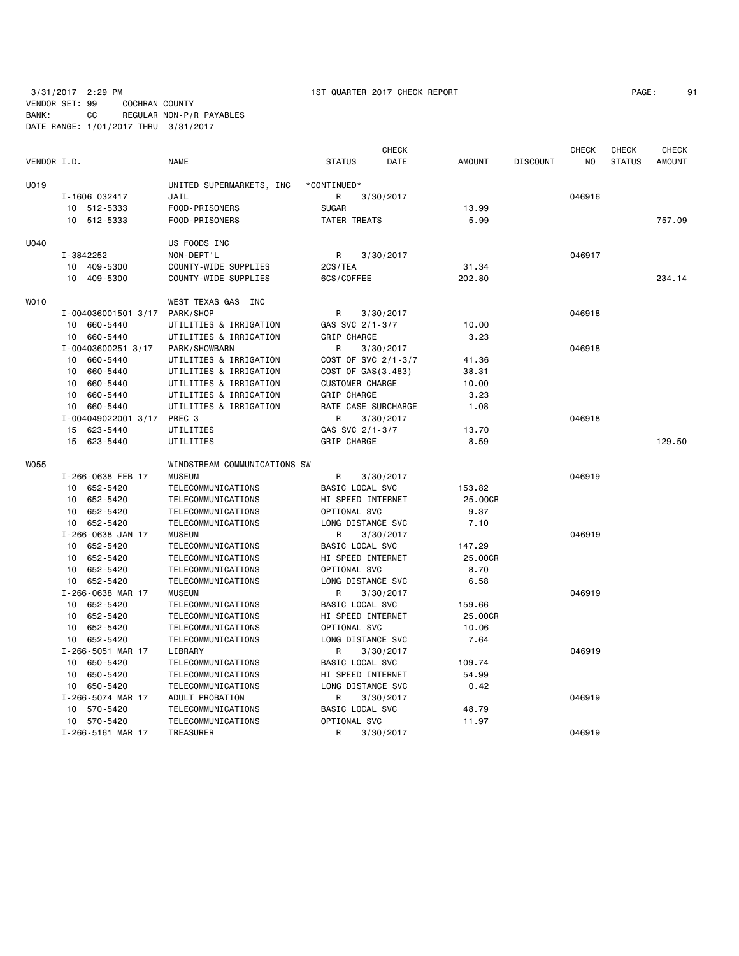3/31/2017 2:29 PM 1ST QUARTER 2017 CHECK REPORT PAGE: 91 VENDOR SET: 99 COCHRAN COUNTY BANK: CC REGULAR NON-P/R PAYABLES DATE RANGE: 1/01/2017 THRU 3/31/2017

|             |                     |                              |                        | <b>CHECK</b> |               |                 | <b>CHECK</b> | <b>CHECK</b>  | CHECK         |
|-------------|---------------------|------------------------------|------------------------|--------------|---------------|-----------------|--------------|---------------|---------------|
| VENDOR I.D. |                     | <b>NAME</b>                  | <b>STATUS</b>          | DATE         | <b>AMOUNT</b> | <b>DISCOUNT</b> | NO           | <b>STATUS</b> | <b>AMOUNT</b> |
| U019        |                     | UNITED SUPERMARKETS, INC     | *CONTINUED*            |              |               |                 |              |               |               |
|             | I-1606 032417       | JAIL                         | R                      | 3/30/2017    |               |                 | 046916       |               |               |
|             | 10 512-5333         | FOOD-PRISONERS               | <b>SUGAR</b>           |              | 13.99         |                 |              |               |               |
|             | 10 512-5333         | FOOD-PRISONERS               | TATER TREATS           |              | 5.99          |                 |              |               | 757.09        |
| U040        |                     | US FOODS INC                 |                        |              |               |                 |              |               |               |
|             | I-3842252           | NON-DEPT'L                   | R                      | 3/30/2017    |               |                 | 046917       |               |               |
|             | 10 409-5300         | COUNTY-WIDE SUPPLIES         | 2CS/TEA                |              | 31.34         |                 |              |               |               |
|             | 10<br>409-5300      | COUNTY-WIDE SUPPLIES         | 6CS/COFFEE             |              | 202.80        |                 |              |               | 234.14        |
| WO10        |                     | WEST TEXAS GAS INC           |                        |              |               |                 |              |               |               |
|             | I-004036001501 3/17 | PARK/SHOP                    | R                      | 3/30/2017    |               |                 | 046918       |               |               |
|             | 10 660-5440         | UTILITIES & IRRIGATION       | GAS SVC 2/1-3/7        |              | 10.00         |                 |              |               |               |
|             | 10 660-5440         | UTILITIES & IRRIGATION       | GRIP CHARGE            |              | 3.23          |                 |              |               |               |
|             | I-00403600251 3/17  | PARK/SHOWBARN                | R                      | 3/30/2017    |               |                 | 046918       |               |               |
|             | 10 660-5440         | UTILITIES & IRRIGATION       | COST OF SVC 2/1-3/7    |              | 41.36         |                 |              |               |               |
|             | 10 660-5440         | UTILITIES & IRRIGATION       | COST OF GAS(3.483)     |              | 38.31         |                 |              |               |               |
|             | 10 660-5440         | UTILITIES & IRRIGATION       | <b>CUSTOMER CHARGE</b> |              | 10.00         |                 |              |               |               |
|             | 10 660-5440         | UTILITIES & IRRIGATION       | GRIP CHARGE            |              | 3.23          |                 |              |               |               |
|             | 10 660-5440         | UTILITIES & IRRIGATION       | RATE CASE SURCHARGE    |              | 1.08          |                 |              |               |               |
|             | I-004049022001 3/17 | PREC 3                       | R                      | 3/30/2017    |               |                 | 046918       |               |               |
|             | 623-5440<br>15      | UTILITIES                    | GAS SVC 2/1-3/7        |              | 13.70         |                 |              |               |               |
|             | 15 623-5440         | UTILITIES                    | GRIP CHARGE            |              | 8.59          |                 |              |               | 129.50        |
| WO55        |                     | WINDSTREAM COMMUNICATIONS SW |                        |              |               |                 |              |               |               |
|             | I-266-0638 FEB 17   | <b>MUSEUM</b>                | R                      | 3/30/2017    |               |                 | 046919       |               |               |
|             | 10 652-5420         | TELECOMMUNICATIONS           | BASIC LOCAL SVC        |              | 153.82        |                 |              |               |               |
|             | 10 652-5420         | TELECOMMUNICATIONS           | HI SPEED INTERNET      |              | 25.00CR       |                 |              |               |               |
|             | 10 652-5420         | TELECOMMUNICATIONS           | OPTIONAL SVC           |              | 9.37          |                 |              |               |               |
|             | 10 652-5420         | TELECOMMUNICATIONS           | LONG DISTANCE SVC      |              | 7.10          |                 |              |               |               |
|             | I-266-0638 JAN 17   | <b>MUSEUM</b>                | R                      | 3/30/2017    |               |                 | 046919       |               |               |
|             | 10 652-5420         | TELECOMMUNICATIONS           | BASIC LOCAL SVC        |              | 147.29        |                 |              |               |               |
|             | 10<br>652-5420      | TELECOMMUNICATIONS           | HI SPEED INTERNET      |              | 25.00CR       |                 |              |               |               |
|             | 10 652-5420         | TELECOMMUNICATIONS           | OPTIONAL SVC           |              | 8.70          |                 |              |               |               |
|             | 10 652-5420         | TELECOMMUNICATIONS           | LONG DISTANCE SVC      |              | 6.58          |                 |              |               |               |
|             | I-266-0638 MAR 17   | <b>MUSEUM</b>                | R                      | 3/30/2017    |               |                 | 046919       |               |               |
|             | 10 652-5420         | TELECOMMUNICATIONS           | BASIC LOCAL SVC        |              | 159.66        |                 |              |               |               |
|             | 10 652-5420         | TELECOMMUNICATIONS           | HI SPEED INTERNET      |              | 25.00CR       |                 |              |               |               |
|             | 10 652-5420         | TELECOMMUNICATIONS           | OPTIONAL SVC           |              | 10.06         |                 |              |               |               |
|             | 10 652-5420         | TELECOMMUNICATIONS           | LONG DISTANCE SVC      |              | 7.64          |                 |              |               |               |
|             | I-266-5051 MAR 17   | LIBRARY                      | R                      | 3/30/2017    |               |                 | 046919       |               |               |
|             | 10 650-5420         | TELECOMMUNICATIONS           | BASIC LOCAL SVC        |              | 109.74        |                 |              |               |               |
|             | 10 650-5420         | TELECOMMUNICATIONS           | HI SPEED INTERNET      |              | 54.99         |                 |              |               |               |
|             | 10 650-5420         | TELECOMMUNICATIONS           | LONG DISTANCE SVC      |              | 0.42          |                 |              |               |               |
|             | I-266-5074 MAR 17   | ADULT PROBATION              | R                      | 3/30/2017    |               |                 | 046919       |               |               |
|             | 10 570-5420         | TELECOMMUNICATIONS           | BASIC LOCAL SVC        |              | 48.79         |                 |              |               |               |
|             | 10 570-5420         | TELECOMMUNICATIONS           | OPTIONAL SVC           |              | 11.97         |                 |              |               |               |
|             | I-266-5161 MAR 17   | TREASURER                    | R                      | 3/30/2017    |               |                 | 046919       |               |               |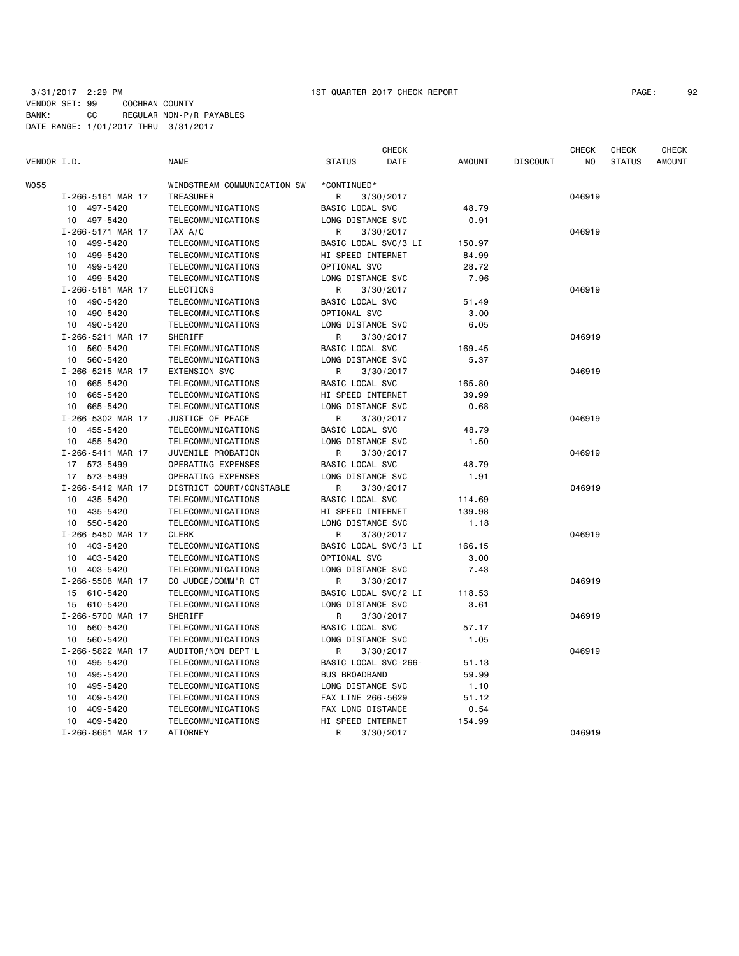# 3/31/2017 2:29 PM 1ST QUARTER 2017 CHECK REPORT VENDOR SET: 99 COCHRAN COUNTY BANK: CC REGULAR NON-P/R PAYABLES DATE RANGE: 1/01/2017 THRU 3/31/2017

| PAGE : |  | 92 |
|--------|--|----|
|--------|--|----|

| VENDOR I.D.       | <b>NAME</b>                 | <b>CHECK</b><br><b>STATUS</b><br>DATE | <b>AMOUNT</b> | <b>DISCOUNT</b> | <b>CHECK</b><br>N <sub>O</sub> | <b>CHECK</b><br><b>STATUS</b> | CHECK<br><b>AMOUNT</b> |
|-------------------|-----------------------------|---------------------------------------|---------------|-----------------|--------------------------------|-------------------------------|------------------------|
| W055              | WINDSTREAM COMMUNICATION SW | *CONTINUED*                           |               |                 |                                |                               |                        |
| I-266-5161 MAR 17 | <b>TREASURER</b>            | 3/30/2017<br>R                        |               |                 | 046919                         |                               |                        |
| 497-5420<br>10    | TELECOMMUNICATIONS          | BASIC LOCAL SVC                       | 48.79         |                 |                                |                               |                        |
| 10<br>497-5420    | TELECOMMUNICATIONS          | LONG DISTANCE SVC                     | 0.91          |                 |                                |                               |                        |
| I-266-5171 MAR 17 | TAX A/C                     | R<br>3/30/2017                        |               |                 | 046919                         |                               |                        |
| 499-5420<br>10    | TELECOMMUNICATIONS          | BASIC LOCAL SVC/3 LI                  | 150.97        |                 |                                |                               |                        |
| 499-5420<br>10    | TELECOMMUNICATIONS          | HI SPEED INTERNET                     | 84.99         |                 |                                |                               |                        |
| 499-5420<br>10    | TELECOMMUNICATIONS          | OPTIONAL SVC                          | 28.72         |                 |                                |                               |                        |
| 10 499-5420       | TELECOMMUNICATIONS          | LONG DISTANCE SVC                     | 7.96          |                 |                                |                               |                        |
| I-266-5181 MAR 17 | <b>ELECTIONS</b>            | R<br>3/30/2017                        |               |                 | 046919                         |                               |                        |
| 490-5420<br>10    | TELECOMMUNICATIONS          | BASIC LOCAL SVC                       | 51.49         |                 |                                |                               |                        |
| 490-5420<br>10    | TELECOMMUNICATIONS          | OPTIONAL SVC                          | 3.00          |                 |                                |                               |                        |
| 490-5420<br>10    | TELECOMMUNICATIONS          | LONG DISTANCE SVC                     | 6.05          |                 |                                |                               |                        |
| I-266-5211 MAR 17 | SHERIFF                     | R<br>3/30/2017                        |               |                 | 046919                         |                               |                        |
| 560-5420<br>10    | TELECOMMUNICATIONS          | BASIC LOCAL SVC                       | 169.45        |                 |                                |                               |                        |
| 560-5420<br>10    | TELECOMMUNICATIONS          | LONG DISTANCE SVC                     | 5.37          |                 |                                |                               |                        |
| I-266-5215 MAR 17 | <b>EXTENSION SVC</b>        | R<br>3/30/2017                        |               |                 | 046919                         |                               |                        |
| 665-5420<br>10    | TELECOMMUNICATIONS          | BASIC LOCAL SVC                       | 165.80        |                 |                                |                               |                        |
| 665-5420<br>10    | TELECOMMUNICATIONS          | HI SPEED INTERNET                     | 39.99         |                 |                                |                               |                        |
| 10 665-5420       | TELECOMMUNICATIONS          | LONG DISTANCE SVC                     | 0.68          |                 |                                |                               |                        |
| I-266-5302 MAR 17 | JUSTICE OF PEACE            | R<br>3/30/2017                        |               |                 | 046919                         |                               |                        |
| 10 455-5420       | TELECOMMUNICATIONS          | BASIC LOCAL SVC                       | 48.79         |                 |                                |                               |                        |
| 455-5420<br>10    | TELECOMMUNICATIONS          | LONG DISTANCE SVC                     | 1.50          |                 |                                |                               |                        |
| I-266-5411 MAR 17 | JUVENILE PROBATION          | R<br>3/30/2017                        |               |                 | 046919                         |                               |                        |
| 17 573-5499       | OPERATING EXPENSES          | BASIC LOCAL SVC                       | 48.79         |                 |                                |                               |                        |
| 17 573-5499       | OPERATING EXPENSES          | LONG DISTANCE SVC                     | 1.91          |                 |                                |                               |                        |
| I-266-5412 MAR 17 | DISTRICT COURT/CONSTABLE    | R<br>3/30/2017                        |               |                 | 046919                         |                               |                        |
| 435-5420<br>10    | TELECOMMUNICATIONS          | BASIC LOCAL SVC                       | 114.69        |                 |                                |                               |                        |
| 435-5420<br>10    | TELECOMMUNICATIONS          | HI SPEED INTERNET                     | 139.98        |                 |                                |                               |                        |
| 550-5420<br>10    | TELECOMMUNICATIONS          | LONG DISTANCE SVC                     | 1.18          |                 |                                |                               |                        |
| I-266-5450 MAR 17 | <b>CLERK</b>                | R<br>3/30/2017                        |               |                 | 046919                         |                               |                        |
| 403-5420<br>10    | TELECOMMUNICATIONS          | BASIC LOCAL SVC/3 LI                  | 166.15        |                 |                                |                               |                        |
| 403-5420<br>10    | TELECOMMUNICATIONS          | OPTIONAL SVC                          | 3.00          |                 |                                |                               |                        |
| 403-5420<br>10    | TELECOMMUNICATIONS          | LONG DISTANCE SVC                     | 7.43          |                 |                                |                               |                        |
| I-266-5508 MAR 17 | CO JUDGE/COMM'R CT          | R<br>3/30/2017                        |               |                 | 046919                         |                               |                        |
| 15<br>610-5420    | TELECOMMUNICATIONS          | BASIC LOCAL SVC/2 LI                  | 118.53        |                 |                                |                               |                        |
| 15 610-5420       | TELECOMMUNICATIONS          | LONG DISTANCE SVC                     | 3.61          |                 |                                |                               |                        |
| I-266-5700 MAR 17 | SHERIFF                     | R<br>3/30/2017                        |               |                 | 046919                         |                               |                        |
| 560-5420<br>10    | TELECOMMUNICATIONS          | BASIC LOCAL SVC                       | 57.17         |                 |                                |                               |                        |
| 560-5420<br>10    | TELECOMMUNICATIONS          | LONG DISTANCE SVC                     | 1.05          |                 |                                |                               |                        |
| I-266-5822 MAR 17 | AUDITOR/NON DEPT'L          | R<br>3/30/2017                        |               |                 | 046919                         |                               |                        |
| 495-5420<br>10    | TELECOMMUNICATIONS          | BASIC LOCAL SVC-266-                  | 51.13         |                 |                                |                               |                        |
| 495-5420<br>10    | TELECOMMUNICATIONS          | <b>BUS BROADBAND</b>                  | 59.99         |                 |                                |                               |                        |
| 495-5420<br>10    | TELECOMMUNICATIONS          | LONG DISTANCE SVC                     | 1.10          |                 |                                |                               |                        |
| 10<br>409-5420    | TELECOMMUNICATIONS          | FAX LINE 266-5629                     | 51.12         |                 |                                |                               |                        |
| 409-5420<br>10    | TELECOMMUNICATIONS          | FAX LONG DISTANCE                     | 0.54          |                 |                                |                               |                        |
| 10<br>409-5420    | TELECOMMUNICATIONS          | HI SPEED INTERNET                     | 154.99        |                 |                                |                               |                        |
| I-266-8661 MAR 17 | <b>ATTORNEY</b>             | R<br>3/30/2017                        |               |                 | 046919                         |                               |                        |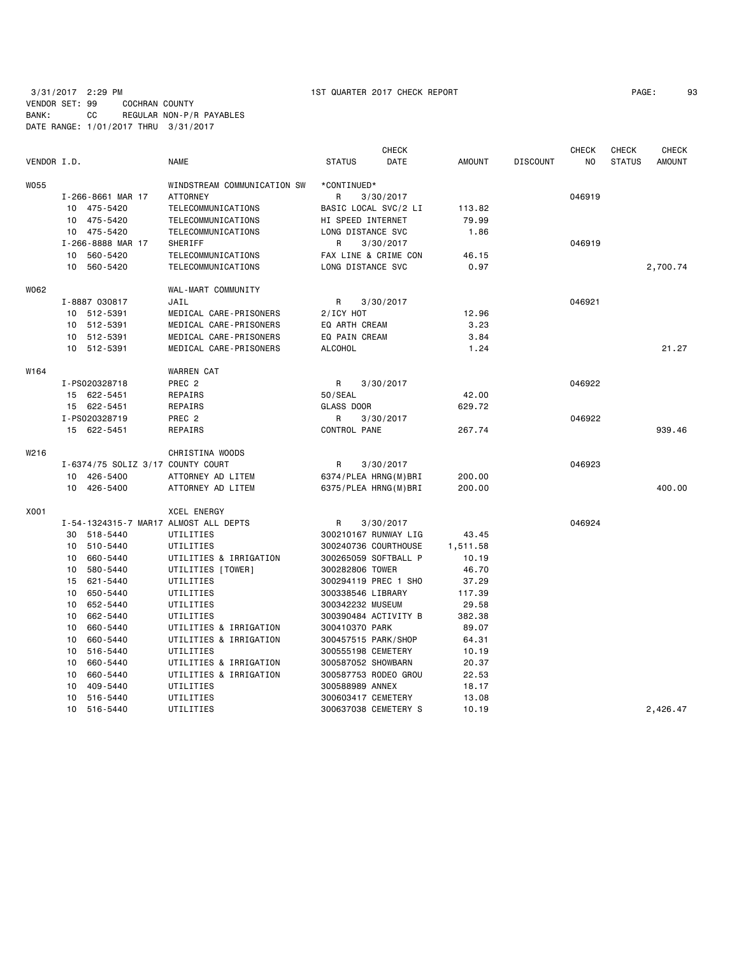# 3/31/2017 2:29 PM 1ST QUARTER 2017 CHECK REPORT PAGE: 93 VENDOR SET: 99 COCHRAN COUNTY BANK: CC REGULAR NON-P/R PAYABLES DATE RANGE: 1/01/2017 THRU 3/31/2017

|                  |                                       |                             |                      | <b>CHECK</b> |               |                 | <b>CHECK</b> | <b>CHECK</b>  | <b>CHECK</b>  |
|------------------|---------------------------------------|-----------------------------|----------------------|--------------|---------------|-----------------|--------------|---------------|---------------|
| VENDOR I.D.      |                                       | <b>NAME</b>                 | <b>STATUS</b>        | DATE         | <b>AMOUNT</b> | <b>DISCOUNT</b> | NO           | <b>STATUS</b> | <b>AMOUNT</b> |
| W055             |                                       | WINDSTREAM COMMUNICATION SW | *CONTINUED*          |              |               |                 |              |               |               |
|                  | I-266-8661 MAR 17                     | <b>ATTORNEY</b>             | R                    | 3/30/2017    |               |                 | 046919       |               |               |
|                  | 10 475-5420                           | TELECOMMUNICATIONS          | BASIC LOCAL SVC/2 LI |              | 113.82        |                 |              |               |               |
|                  | 10 475-5420                           | TELECOMMUNICATIONS          | HI SPEED INTERNET    |              | 79.99         |                 |              |               |               |
|                  | 10 475-5420                           | TELECOMMUNICATIONS          | LONG DISTANCE SVC    |              | 1.86          |                 |              |               |               |
|                  | I-266-8888 MAR 17                     | SHERIFF                     | R                    | 3/30/2017    |               |                 | 046919       |               |               |
|                  | 10 560-5420                           | TELECOMMUNICATIONS          | FAX LINE & CRIME CON |              | 46.15         |                 |              |               |               |
|                  | 10 560-5420                           | TELECOMMUNICATIONS          | LONG DISTANCE SVC    |              | 0.97          |                 |              |               | 2,700.74      |
| W062             |                                       | WAL-MART COMMUNITY          |                      |              |               |                 |              |               |               |
|                  | I-8887 030817                         | JAIL                        | R                    | 3/30/2017    |               |                 | 046921       |               |               |
|                  | 10 512-5391                           | MEDICAL CARE-PRISONERS      | 2/ICY HOT            |              | 12.96         |                 |              |               |               |
|                  | 10 512-5391                           | MEDICAL CARE-PRISONERS      | EQ ARTH CREAM        |              | 3.23          |                 |              |               |               |
|                  | 10 512-5391                           | MEDICAL CARE-PRISONERS      | EQ PAIN CREAM        |              | 3.84          |                 |              |               |               |
|                  | 10 512-5391                           | MEDICAL CARE-PRISONERS      | <b>ALCOHOL</b>       |              | 1.24          |                 |              |               | 21.27         |
| W <sub>164</sub> |                                       | <b>WARREN CAT</b>           |                      |              |               |                 |              |               |               |
|                  | I-PS020328718                         | PREC <sub>2</sub>           | R                    | 3/30/2017    |               |                 | 046922       |               |               |
|                  | 15 622-5451                           | REPAIRS                     | 50/SEAL              |              | 42.00         |                 |              |               |               |
|                  | 15 622-5451                           | REPAIRS                     | GLASS DOOR           |              | 629.72        |                 |              |               |               |
|                  | I-PS020328719                         | PREC <sub>2</sub>           | R                    | 3/30/2017    |               |                 | 046922       |               |               |
|                  | 15 622-5451                           | REPAIRS                     | CONTROL PANE         |              | 267.74        |                 |              |               | 939.46        |
| W216             |                                       | CHRISTINA WOODS             |                      |              |               |                 |              |               |               |
|                  | I-6374/75 SOLIZ 3/17 COUNTY COURT     |                             | R                    | 3/30/2017    |               |                 | 046923       |               |               |
|                  | 10 426-5400                           | ATTORNEY AD LITEM           | 6374/PLEA HRNG(M)BRI |              | 200.00        |                 |              |               |               |
|                  | 10 426-5400                           | ATTORNEY AD LITEM           | 6375/PLEA HRNG(M)BRI |              | 200.00        |                 |              |               | 400.00        |
| X001             |                                       | <b>XCEL ENERGY</b>          |                      |              |               |                 |              |               |               |
|                  | I-54-1324315-7 MAR17 ALMOST ALL DEPTS |                             | R                    | 3/30/2017    |               |                 | 046924       |               |               |
|                  | 30 518-5440                           | UTILITIES                   | 300210167 RUNWAY LIG |              | 43.45         |                 |              |               |               |
|                  | 510-5440<br>10                        | UTILITIES                   | 300240736 COURTHOUSE |              | 1,511.58      |                 |              |               |               |
|                  | 660-5440<br>10                        | UTILITIES & IRRIGATION      | 300265059 SOFTBALL P |              | 10.19         |                 |              |               |               |
|                  | 580-5440<br>10                        | UTILITIES [TOWER]           | 300282806 TOWER      |              | 46.70         |                 |              |               |               |
|                  | 621-5440<br>15                        | UTILITIES                   | 300294119 PREC 1 SHO |              | 37.29         |                 |              |               |               |
|                  | 650-5440<br>10                        | UTILITIES                   | 300338546 LIBRARY    |              | 117.39        |                 |              |               |               |
|                  | 10<br>652-5440                        | UTILITIES                   | 300342232 MUSEUM     |              | 29.58         |                 |              |               |               |
|                  | 10<br>662-5440                        | UTILITIES                   | 300390484 ACTIVITY B |              | 382.38        |                 |              |               |               |
|                  | 660-5440<br>10                        | UTILITIES & IRRIGATION      | 300410370 PARK       |              | 89.07         |                 |              |               |               |
|                  | 10<br>660-5440                        | UTILITIES & IRRIGATION      | 300457515 PARK/SHOP  |              | 64.31         |                 |              |               |               |
|                  | 10<br>516-5440                        | UTILITIES                   | 300555198 CEMETERY   |              | 10.19         |                 |              |               |               |
|                  | 10<br>660-5440                        | UTILITIES & IRRIGATION      | 300587052 SHOWBARN   |              | 20.37         |                 |              |               |               |
|                  | 660-5440<br>10                        | UTILITIES & IRRIGATION      | 300587753 RODEO GROU |              | 22.53         |                 |              |               |               |
|                  | 409-5440<br>10                        | UTILITIES                   | 300588989 ANNEX      |              | 18.17         |                 |              |               |               |
|                  | 516-5440<br>10                        | UTILITIES                   | 300603417 CEMETERY   |              | 13.08         |                 |              |               |               |
|                  | 10<br>516-5440                        | UTILITIES                   | 300637038 CEMETERY S |              | 10.19         |                 |              |               | 2.426.47      |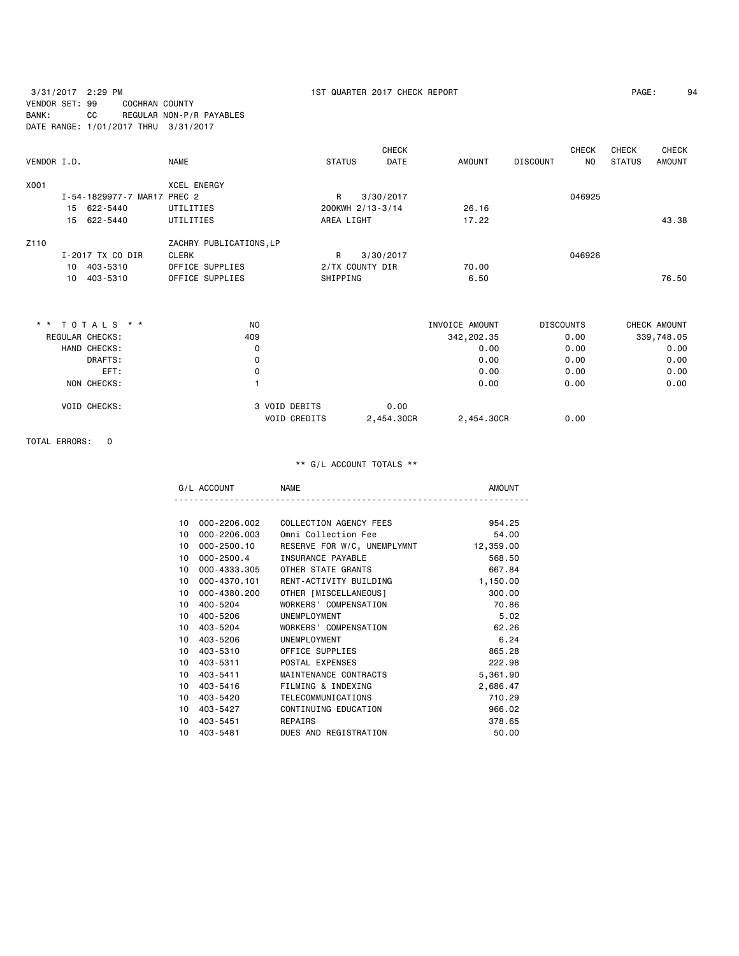3/31/2017 2:29 PM 1ST QUARTER 2017 CHECK REPORT PAGE: 94 VENDOR SET: 99 COCHRAN COUNTY BANK: CC REGULAR NON-P/R PAYABLES DATE RANGE: 1/01/2017 THRU 3/31/2017

| PAGE: | 9، |
|-------|----|
|-------|----|

|             |    |                             |                         |                 | <b>CHECK</b>     |               |                 | <b>CHECK</b> | CHECK         | <b>CHECK</b>  |
|-------------|----|-----------------------------|-------------------------|-----------------|------------------|---------------|-----------------|--------------|---------------|---------------|
| VENDOR I.D. |    |                             | <b>NAME</b>             | <b>STATUS</b>   | <b>DATE</b>      | <b>AMOUNT</b> | <b>DISCOUNT</b> | NO.          | <b>STATUS</b> | <b>AMOUNT</b> |
| X001        |    |                             | <b>XCEL ENERGY</b>      |                 |                  |               |                 |              |               |               |
|             |    | I-54-1829977-7 MAR17 PREC 2 |                         | R               | 3/30/2017        |               |                 | 046925       |               |               |
|             |    | 15 622-5440                 | UTILITIES               |                 | 200KWH 2/13-3/14 | 26.16         |                 |              |               |               |
|             |    | 15 622-5440                 | UTILITIES               | AREA LIGHT      |                  | 17.22         |                 |              |               | 43.38         |
| Z110        |    |                             | ZACHRY PUBLICATIONS, LP |                 |                  |               |                 |              |               |               |
|             |    | I-2017 TX CO DIR            | CLERK                   | R               | 3/30/2017        |               |                 | 046926       |               |               |
|             | 10 | 403-5310                    | OFFICE SUPPLIES         | 2/TX COUNTY DIR |                  | 70.00         |                 |              |               |               |
|             | 10 | 403-5310                    | OFFICE SUPPLIES         | SHIPPING        |                  | 6.50          |                 |              |               | 76.50         |
|             |    |                             |                         |                 |                  |               |                 |              |               |               |

| * * TOTALS * *      | N <sub>0</sub>      | INVOICE AMOUNT | <b>DISCOUNTS</b>   | CHECK AMOUNT |
|---------------------|---------------------|----------------|--------------------|--------------|
| REGULAR CHECKS:     | 409                 | 342,202.35     | 0.00               | 339,748.05   |
| HAND CHECKS:        | 0                   |                | 0.00<br>0.00       | 0.00         |
| DRAFTS:             | 0                   |                | 0.00<br>0.00       | 0.00         |
| EFT:                | 0                   |                | 0.00<br>0.00       | 0.00         |
| NON CHECKS:         |                     |                | 0.00<br>0.00       | 0.00         |
| <b>VOID CHECKS:</b> | 3 VOID DEBITS       | 0.00           |                    |              |
|                     | <b>VOID CREDITS</b> | 2.454.30CR     | 2,454.30CR<br>0.00 |              |

TOTAL ERRORS: 0

| G<br>∵ยา⊟\ก.<br>$\mathbf{A}$ | NAME |  |
|------------------------------|------|--|
|                              |      |  |

| 10 | 000-2206.002 | COLLECTION AGENCY FEES      | 954.25    |
|----|--------------|-----------------------------|-----------|
| 10 | 000-2206.003 | Omni Collection Fee         | 54.00     |
| 10 | 000-2500.10  | RESERVE FOR W/C, UNEMPLYMNT | 12,359.00 |
| 10 | 000-2500.4   | INSURANCE PAYABLE           | 568.50    |
| 10 | 000-4333.305 | OTHER STATE GRANTS          | 667.84    |
| 10 | 000-4370.101 | RENT-ACTIVITY BUILDING      | 1,150.00  |
| 10 | 000-4380.200 | OTHER [MISCELLANEOUS]       | 300.00    |
| 10 | 400-5204     | WORKERS' COMPENSATION       | 70.86     |
| 10 | 400-5206     | UNEMPLOYMENT                | 5.02      |
| 10 | 403-5204     | WORKERS' COMPENSATION       | 62.26     |
| 10 | 403-5206     | UNEMPLOYMENT                | 6.24      |
| 10 | 403-5310     | OFFICE SUPPLIES             | 865.28    |
| 10 | 403 - 5311   | POSTAL EXPENSES             | 222.98    |
| 10 | 403-5411     | MAINTENANCE CONTRACTS       | 5,361.90  |
| 10 | 403-5416     | FILMING & INDEXING          | 2,686.47  |
| 10 | 403-5420     | TELECOMMUNICATIONS          | 710.29    |
| 10 | 403-5427     | CONTINUING EDUCATION        | 966.02    |
| 10 | 403-5451     | REPAIRS                     | 378.65    |
| 10 | 403 - 5481   | DUES AND REGISTRATION       | 50.00     |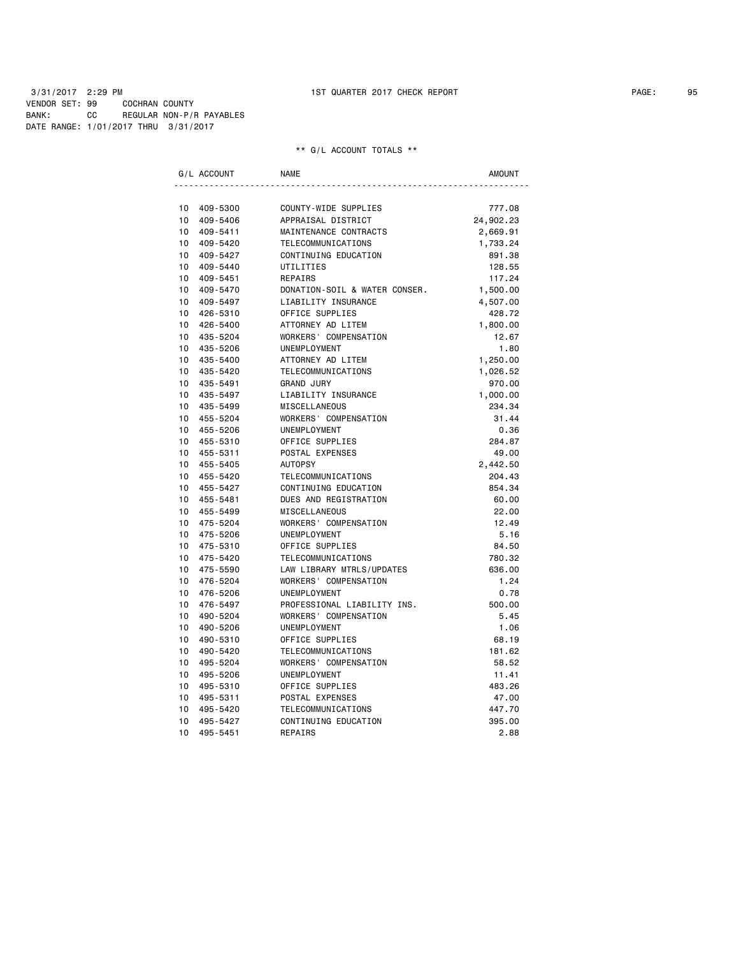3/31/2017 2:29 PM 1ST QUARTER 2017 CHECK REPORT PAGE: 95 VENDOR SET: 99 COCHRAN COUNTY BANK: CC REGULAR NON-P/R PAYABLES DATE RANGE: 1/01/2017 THRU 3/31/2017

|                       | G/L ACCOUNT          | <b>NAME</b>                           | <b>AMOUNT</b>   |
|-----------------------|----------------------|---------------------------------------|-----------------|
|                       |                      |                                       |                 |
| 10                    | 409-5300             | COUNTY-WIDE SUPPLIES                  | 777.08          |
| 10                    | 409-5406             | APPRAISAL DISTRICT                    | 24,902.23       |
| 10                    | 409-5411             | MAINTENANCE CONTRACTS                 | 2,669.91        |
| 10 <sup>1</sup>       | 409-5420             | TELECOMMUNICATIONS                    | 1,733.24        |
| 10 <sup>1</sup>       | 409-5427             | CONTINUING EDUCATION                  | 891.38          |
|                       | 10 409-5440          | UTILITIES                             | 128.55          |
| 10 <sup>1</sup>       | 409-5451             | REPAIRS                               | 117.24          |
| 10                    | 409-5470             | DONATION-SOIL & WATER CONSER.         | 1,500.00        |
| 10                    | 409-5497             | LIABILITY INSURANCE                   | 4,507.00        |
| 10                    | 426-5310             | OFFICE SUPPLIES                       | 428.72          |
| 10 <sup>1</sup>       | 426-5400             | ATTORNEY AD LITEM                     | 1,800.00        |
| 10                    | 435-5204             | WORKERS' COMPENSATION                 | 12.67           |
| 10 <sup>1</sup>       | 435-5206             | UNEMPLOYMENT                          | 1.80            |
| 10                    | 435-5400             | ATTORNEY AD LITEM                     | 1,250.00        |
| 10 <sup>1</sup>       | 435-5420             | TELECOMMUNICATIONS                    | 1,026.52        |
| 10                    | 435-5491             | <b>GRAND JURY</b>                     | 970.00          |
| 10                    | 435-5497             | LIABILITY INSURANCE                   | 1,000.00        |
| 10 <sup>1</sup>       | 435-5499             | <b>MISCELLANEOUS</b>                  | 234.34          |
| 10 <sup>1</sup>       | 455-5204             | WORKERS' COMPENSATION                 | 31.44           |
| 10                    | 455-5206             | UNEMPLOYMENT                          | 0.36            |
| 10 <sup>1</sup>       | 455-5310             | OFFICE SUPPLIES                       | 284.87          |
| 10 <sup>1</sup>       | 455-5311             | POSTAL EXPENSES                       | 49.00           |
| 10 <sup>1</sup>       | 455-5405             | <b>AUTOPSY</b>                        | 2,442.50        |
| 10 <sup>1</sup>       | 455-5420             | TELECOMMUNICATIONS                    | 204.43          |
| 10                    | 455-5427             | CONTINUING EDUCATION                  | 854.34          |
| 10 <sup>1</sup>       | 455-5481             | DUES AND REGISTRATION                 | 60.00           |
| 10                    | 455-5499             | <b>MISCELLANEOUS</b>                  | 22.00           |
| 10 <sup>1</sup>       | 475-5204             | WORKERS' COMPENSATION                 | 12.49           |
| 10 <sup>1</sup>       | 475-5206             | UNEMPLOYMENT                          | 5.16            |
| 10 <sup>1</sup>       | 475-5310             | OFFICE SUPPLIES                       | 84.50           |
| 10 <sup>1</sup>       | 475-5420             | TELECOMMUNICATIONS                    | 780.32          |
| 10 <sup>1</sup>       | 475-5590             | LAW LIBRARY MTRLS/UPDATES             | 636.00          |
| 10                    | 476-5204             | WORKERS' COMPENSATION                 | 1.24            |
| 10                    | 476-5206             | UNEMPLOYMENT                          | 0.78            |
| 10                    | 476-5497             | PROFESSIONAL LIABILITY INS.           | 500.00          |
| 10<br>10 <sup>1</sup> | 490-5204             | WORKERS' COMPENSATION                 | 5.45            |
|                       | 490-5206             | UNEMPLOYMENT                          | 1.06            |
| 10<br>10              | 490-5310             | OFFICE SUPPLIES<br>TELECOMMUNICATIONS | 68.19           |
| 10                    | 490-5420<br>495-5204 | WORKERS' COMPENSATION                 | 181.62<br>58.52 |
| 10                    |                      | UNEMPLOYMENT                          | 11.41           |
| 10                    | 495-5206<br>495-5310 | OFFICE SUPPLIES                       | 483.26          |
| 10                    | 495-5311             | POSTAL EXPENSES                       | 47.00           |
| 10                    | 495-5420             | TELECOMMUNICATIONS                    | 447.70          |
| 10                    | 495-5427             | CONTINUING EDUCATION                  | 395.00          |
| 10                    | 495-5451             | REPAIRS                               | 2.88            |
|                       |                      |                                       |                 |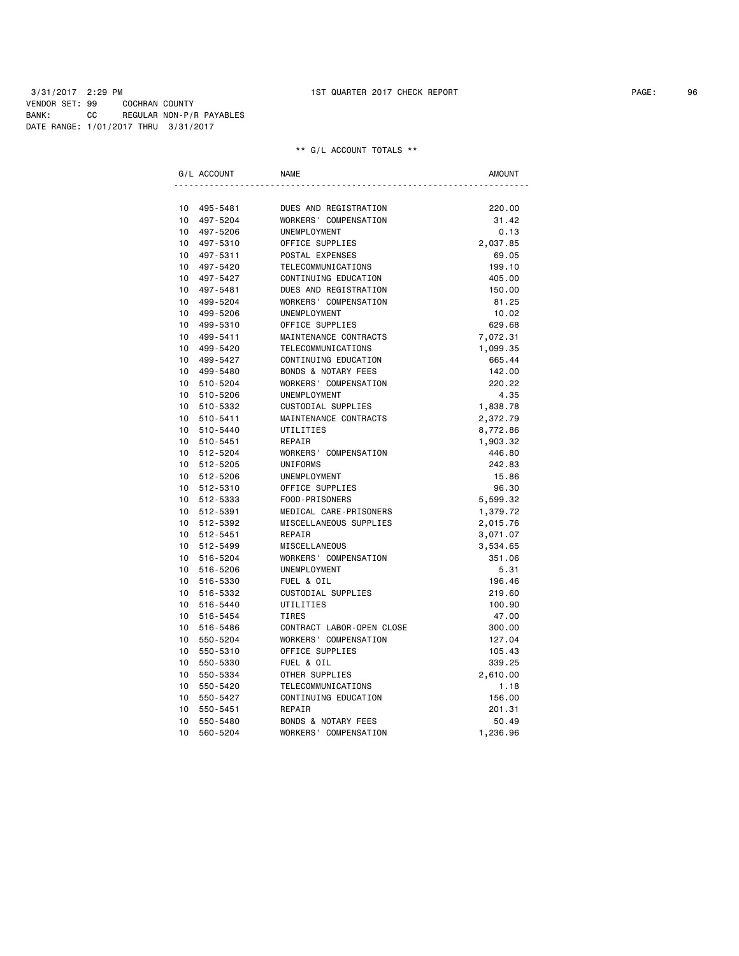3/31/2017 2:29 PM 1ST QUARTER 2017 CHECK REPORT PAGE: 96 VENDOR SET: 99 COCHRAN COUNTY BANK: CC REGULAR NON-P/R PAYABLES DATE RANGE: 1/01/2017 THRU 3/31/2017

| G/L ACCOUNT     |             | <b>NAME</b>                    | AMOUNT   |
|-----------------|-------------|--------------------------------|----------|
|                 |             |                                |          |
| 10              | 495-5481    | DUES AND REGISTRATION          | 220.00   |
| 10              | 497-5204    | WORKERS' COMPENSATION          | 31.42    |
| 10 <sup>1</sup> | 497-5206    | UNEMPLOYMENT                   | 0.13     |
|                 | 10 497-5310 | OFFICE SUPPLIES                | 2,037.85 |
| $10-10$         | 497-5311    | POSTAL EXPENSES                | 69.05    |
|                 | 10 497-5420 | TELECOMMUNICATIONS             | 199.10   |
| $10-10$         | 497-5427    | CONTINUING EDUCATION           | 405.00   |
|                 | 10 497-5481 | DUES AND REGISTRATION          | 150.00   |
| $10-10$         | 499-5204    | WORKERS' COMPENSATION          | 81.25    |
| 10              | 499-5206    | UNEMPLOYMENT                   | 10.02    |
| 10 <sup>1</sup> | 499-5310    | OFFICE SUPPLIES                | 629.68   |
| 10              | 499-5411    | MAINTENANCE CONTRACTS          | 7,072.31 |
| $10-10$         | 499-5420    | TELECOMMUNICATIONS             | 1,099.35 |
| 10              | 499-5427    | CONTINUING EDUCATION           | 665.44   |
| 10 <sup>1</sup> | 499-5480    | <b>BONDS &amp; NOTARY FEES</b> | 142.00   |
| 10              | 510-5204    | WORKERS' COMPENSATION          | 220.22   |
| 10              | 510-5206    | UNEMPLOYMENT                   | 4.35     |
| 10              | 510-5332    | CUSTODIAL SUPPLIES             | 1,838.78 |
|                 | 10 510-5411 | MAINTENANCE CONTRACTS          | 2,372.79 |
| 10 <sub>1</sub> | 510-5440    | UTILITIES                      | 8,772.86 |
|                 | 10 510-5451 | REPAIR                         | 1,903.32 |
| 10 <sup>1</sup> | 512-5204    | WORKERS' COMPENSATION          | 446.80   |
| 10 <sup>1</sup> | 512-5205    | UNIFORMS                       | 242.83   |
|                 | 10 512-5206 | UNEMPLOYMENT                   | 15.86    |
|                 | 10 512-5310 | OFFICE SUPPLIES                | 96.30    |
|                 | 10 512-5333 | FOOD-PRISONERS                 | 5,599.32 |
| 10              | 512-5391    | MEDICAL CARE-PRISONERS         | 1,379.72 |
| 10              | 512-5392    | MISCELLANEOUS SUPPLIES         | 2,015.76 |
| 10 <sup>1</sup> | 512-5451    | REPAIR                         | 3,071.07 |
|                 | 10 512-5499 | MISCELLANEOUS                  | 3,534.65 |
| 10              | 516-5204    | WORKERS' COMPENSATION          | 351.06   |
| 10 <sup>1</sup> | 516-5206    | UNEMPLOYMENT                   | 5.31     |
| 10              | 516-5330    | FUEL & OIL                     | 196.46   |
| 10              | 516-5332    | CUSTODIAL SUPPLIES             | 219.60   |
| 10              | 516-5440    | UTILITIES                      | 100.90   |
| 10              | 516-5454    | <b>TIRES</b>                   | 47.00    |
| 10 <sup>1</sup> | 516-5486    | CONTRACT LABOR-OPEN CLOSE      | 300.00   |
| 10              | 550-5204    | WORKERS' COMPENSATION          | 127.04   |
| 10              | 550-5310    | OFFICE SUPPLIES                | 105.43   |
| 10              | 550-5330    | FUEL & OIL                     | 339.25   |
| 10              | 550-5334    | OTHER SUPPLIES                 | 2,610.00 |
| 10              | 550-5420    | TELECOMMUNICATIONS             | 1.18     |
| 10              | 550-5427    | CONTINUING EDUCATION           | 156.00   |
| 10              | 550-5451    | REPAIR                         | 201.31   |
| 10              | 550-5480    | <b>BONDS &amp; NOTARY FEES</b> | 50.49    |
| 10              | 560-5204    | WORKERS' COMPENSATION          | 1,236.96 |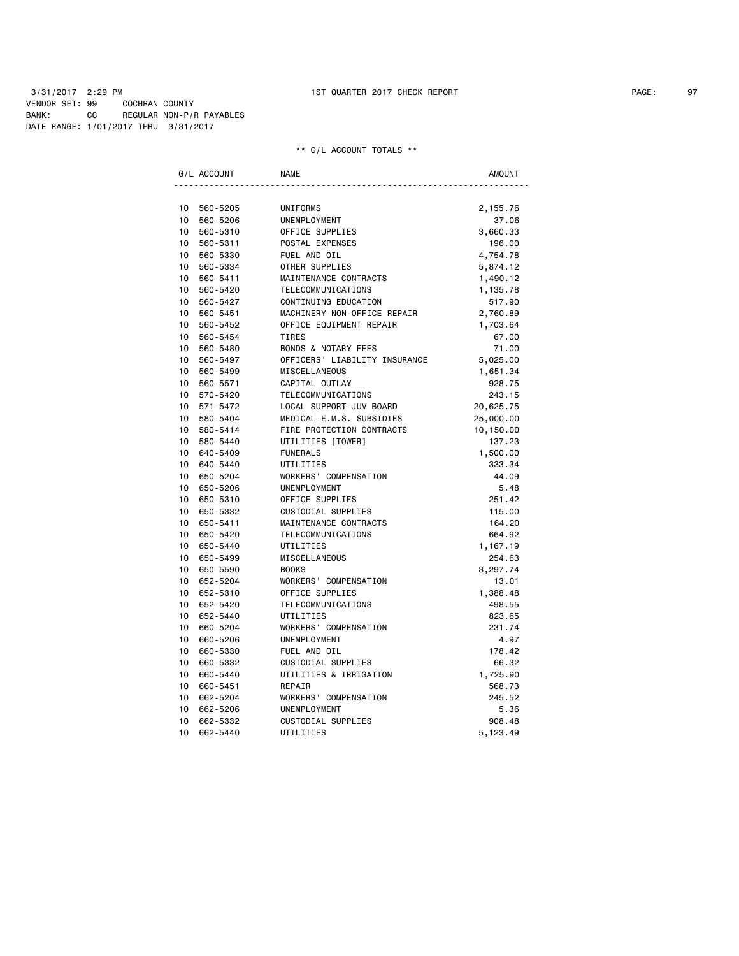## 3/31/2017 2:29 PM 1ST QUARTER 2017 CHECK REPORT PAGE: 97 VENDOR SET: 99 COCHRAN COUNTY BANK: CC REGULAR NON-P/R PAYABLES DATE RANGE: 1/01/2017 THRU 3/31/2017

|                 | G/L ACCOUNT | <b>NAME</b>                    | AMOUNT    |
|-----------------|-------------|--------------------------------|-----------|
|                 |             |                                |           |
| 10              | 560-5205    | UNIFORMS                       | 2,155.76  |
| 10              | 560-5206    | UNEMPLOYMENT                   | 37.06     |
| 10              | 560-5310    | OFFICE SUPPLIES                | 3,660.33  |
| 10              | 560-5311    | POSTAL EXPENSES                | 196.00    |
| 10              | 560-5330    | FUEL AND OIL                   | 4,754.78  |
| $10-10$         | 560-5334    | OTHER SUPPLIES                 | 5,874.12  |
| 10              | 560-5411    | MAINTENANCE CONTRACTS          | 1,490.12  |
| 10              | 560-5420    | TELECOMMUNICATIONS             | 1,135.78  |
| 10              | 560-5427    | CONTINUING EDUCATION           | 517.90    |
| 10              | 560-5451    | MACHINERY-NON-OFFICE REPAIR    | 2,760.89  |
| 10              | 560-5452    | OFFICE EQUIPMENT REPAIR        | 1,703.64  |
| 10              | 560-5454    | TIRES                          | 67.00     |
| 10 <sup>1</sup> | 560-5480    | <b>BONDS &amp; NOTARY FEES</b> | 71.00     |
| 10              | 560-5497    | OFFICERS' LIABILITY INSURANCE  | 5,025.00  |
| 10              | 560-5499    | MISCELLANEOUS                  | 1,651.34  |
| 10              | 560-5571    | CAPITAL OUTLAY                 | 928.75    |
| 10              | 570-5420    | TELECOMMUNICATIONS             | 243.15    |
| 10              | 571-5472    | LOCAL SUPPORT-JUV BOARD        | 20,625.75 |
| $10-10$         | 580-5404    | MEDICAL-E.M.S. SUBSIDIES       | 25,000.00 |
| $10-10$         | 580-5414    | FIRE PROTECTION CONTRACTS      | 10,150.00 |
| 10 <sub>1</sub> | 580-5440    | UTILITIES [TOWER]              | 137.23    |
| $10-10$         | 640-5409    | <b>FUNERALS</b>                | 1,500.00  |
| 10 <sup>1</sup> | 640-5440    | UTILITIES                      | 333.34    |
| 10              | 650-5204    | WORKERS' COMPENSATION          | 44.09     |
| 10              | 650-5206    | UNEMPLOYMENT                   | 5.48      |
| 10              | 650-5310    | OFFICE SUPPLIES                | 251.42    |
| 10              | 650-5332    | CUSTODIAL SUPPLIES             | 115.00    |
| 10              | 650-5411    | MAINTENANCE CONTRACTS          | 164.20    |
| 10              | 650-5420    | TELECOMMUNICATIONS             | 664.92    |
| 10              | 650-5440    | UTILITIES                      | 1,167.19  |
| 10              | 650-5499    | MISCELLANEOUS                  | 254.63    |
| 10              | 650-5590    | <b>BOOKS</b>                   | 3,297.74  |
| 10 <sup>1</sup> | 652-5204    | WORKERS' COMPENSATION          | 13.01     |
|                 | 10 652-5310 | OFFICE SUPPLIES                | 1,388.48  |
| 10              | 652-5420    | TELECOMMUNICATIONS             | 498.55    |
| 10 <sup>1</sup> | 652-5440    | UTILITIES                      | 823.65    |
| 10              | 660-5204    | WORKERS' COMPENSATION          | 231.74    |
| 10              | 660-5206    | UNEMPLOYMENT                   | 4.97      |
| 10              | 660-5330    | FUEL AND OIL                   | 178.42    |
| 10              | 660-5332    | CUSTODIAL SUPPLIES             | 66.32     |
| 10              | 660-5440    | UTILITIES & IRRIGATION         | 1,725.90  |
| 10              | 660-5451    | REPAIR                         | 568.73    |
| 10              | 662-5204    | WORKERS' COMPENSATION          | 245.52    |
| 10              | 662-5206    | UNEMPLOYMENT                   | 5.36      |
| 10              | 662-5332    | CUSTODIAL SUPPLIES             | 908.48    |
| 10              | 662-5440    | UTILITIES                      | 5,123.49  |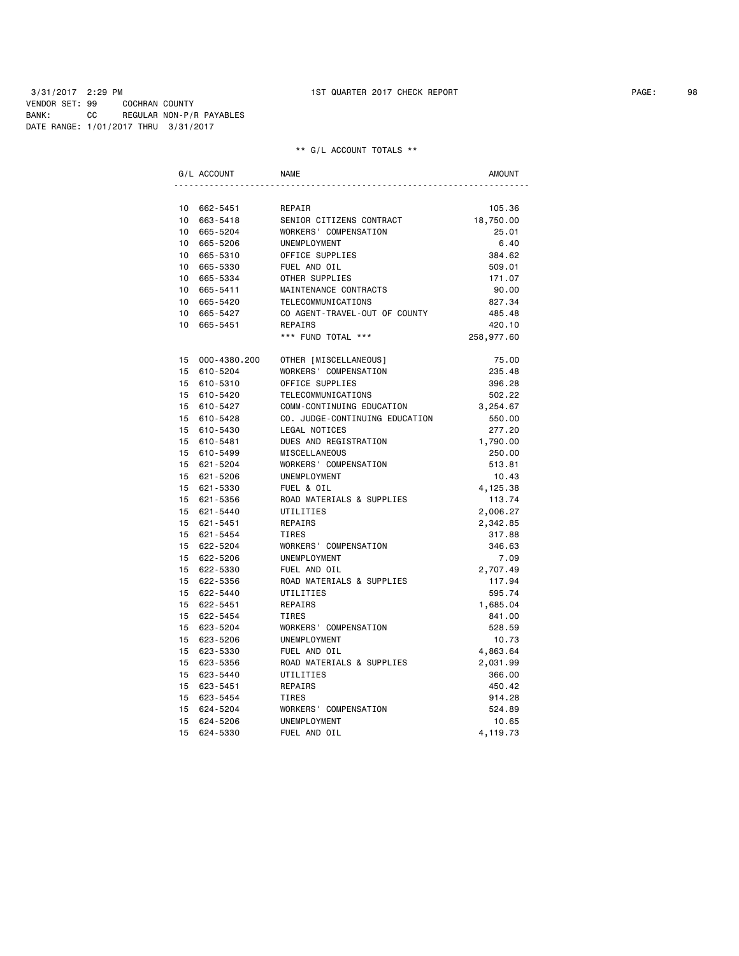## 3/31/2017 2:29 PM 1ST QUARTER 2017 CHECK REPORT PAGE: 98 VENDOR SET: 99 COCHRAN COUNTY BANK: CC REGULAR NON-P/R PAYABLES DATE RANGE: 1/01/2017 THRU 3/31/2017

|                 | G/L ACCOUNT  | NAME                           | <b>AMOUNT</b> |
|-----------------|--------------|--------------------------------|---------------|
|                 |              |                                |               |
|                 | 10 662-5451  | REPAIR                         | 105.36        |
| 10              | 663-5418     | SENIOR CITIZENS CONTRACT       | 18,750.00     |
| 10              | 665-5204     | WORKERS' COMPENSATION          | 25.01         |
| $10-10$         | 665-5206     | UNEMPLOYMENT                   | 6.40          |
|                 | 10 665-5310  | OFFICE SUPPLIES                | 384.62        |
| $10-10$         | 665-5330     | FUEL AND OIL                   | 509.01        |
|                 | 10 665-5334  | OTHER SUPPLIES                 | 171.07        |
|                 | 10 665-5411  | MAINTENANCE CONTRACTS          | 90.00         |
|                 | 10 665-5420  | TELECOMMUNICATIONS             | 827.34        |
| 10              | 665-5427     | CO AGENT-TRAVEL-OUT OF COUNTY  | 485.48        |
| 10 <sup>1</sup> | 665-5451     | REPAIRS                        | 420.10        |
|                 |              | *** FUND TOTAL ***             | 258,977.60    |
| 15              | 000-4380.200 | OTHER [MISCELLANEOUS]          | 75.00         |
| 15              | 610-5204     | WORKERS' COMPENSATION          | 235.48        |
|                 | 15 610-5310  | OFFICE SUPPLIES                | 396.28        |
|                 | 15 610-5420  | TELECOMMUNICATIONS             | 502.22        |
|                 | 15 610-5427  | COMM-CONTINUING EDUCATION      | 3,254.67      |
| 15              | 610-5428     | CO. JUDGE-CONTINUING EDUCATION | 550.00        |
|                 | 15 610-5430  | LEGAL NOTICES                  | 277.20        |
|                 | 15 610-5481  | DUES AND REGISTRATION          | 1,790.00      |
|                 | 15 610-5499  | MISCELLANEOUS                  | 250.00        |
|                 | 15 621-5204  | WORKERS' COMPENSATION          | 513.81        |
|                 | 15 621-5206  | UNEMPLOYMENT                   | 10.43         |
|                 | 15 621-5330  | FUEL & OIL                     | 4,125.38      |
|                 | 15 621-5356  | ROAD MATERIALS & SUPPLIES      | 113.74        |
|                 | 15 621-5440  | UTILITIES                      | 2,006.27      |
|                 | 15 621-5451  | REPAIRS                        | 2,342.85      |
|                 | 15 621-5454  | <b>TIRES</b>                   | 317.88        |
|                 | 15 622-5204  | WORKERS' COMPENSATION          | 346.63        |
|                 | 15 622-5206  | UNEMPLOYMENT                   | 7.09          |
|                 | 15 622-5330  | FUEL AND OIL                   | 2,707.49      |
|                 | 15 622-5356  | ROAD MATERIALS & SUPPLIES      | 117.94        |
|                 | 15 622-5440  | UTILITIES                      | 595.74        |
|                 | 15 622-5451  | REPAIRS                        | 1,685.04      |
|                 | 15 622-5454  | <b>TIRES</b>                   | 841.00        |
| 15              | 623-5204     | WORKERS' COMPENSATION          | 528.59        |
| 15 <sub>1</sub> | 623-5206     | UNEMPLOYMENT                   | 10.73         |
| 15              | 623-5330     | FUEL AND OIL                   | 4,863.64      |
| 15              | 623-5356     | ROAD MATERIALS & SUPPLIES      | 2,031.99      |
|                 | 15 623-5440  | UTILITIES                      | 366.00        |
|                 | 15 623-5451  | REPAIRS                        | 450.42        |
|                 | 15 623-5454  | TIRES                          | 914.28        |
| 15              | 624-5204     | WORKERS' COMPENSATION          | 524.89        |
| 15              | 624-5206     | UNEMPLOYMENT                   | 10.65         |
| 15              | 624-5330     | FUEL AND OIL                   | 4,119.73      |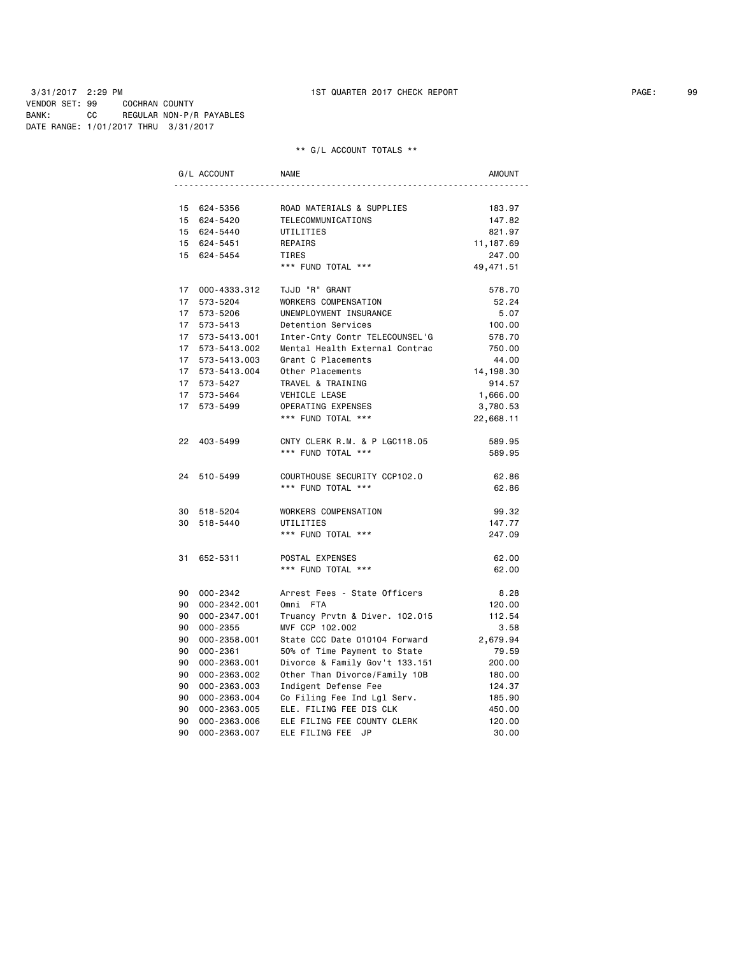|    | G/L ACCOUNT     | <b>NAME</b>                    | <b>AMOUNT</b> |
|----|-----------------|--------------------------------|---------------|
|    |                 |                                |               |
|    | 15 624-5356     | ROAD MATERIALS & SUPPLIES      | 183.97        |
|    | 15 624-5420     | TELECOMMUNICATIONS             | 147.82        |
|    | 15 624-5440     | UTILITIES                      | 821.97        |
|    | 15 624-5451     | REPAIRS                        | 11,187.69     |
|    | 15 624-5454     | TIRES                          | 247.00        |
|    |                 | *** FUND TOTAL ***             | 49,471.51     |
|    | 17 000-4333.312 | TJJD "R" GRANT                 | 578.70        |
| 17 | 573-5204        | WORKERS COMPENSATION           | 52.24         |
|    | 17 573-5206     | UNEMPLOYMENT INSURANCE         | 5.07          |
|    | 17 573-5413     | Detention Services             | 100.00        |
|    | 17 573-5413.001 | Inter-Cnty Contr TELECOUNSEL'G | 578.70        |
|    | 17 573-5413.002 | Mental Health External Contrac | 750.00        |
|    | 17 573-5413.003 | Grant C Placements             | 44.00         |
|    | 17 573-5413.004 | Other Placements               | 14, 198.30    |
|    | 17 573-5427     | TRAVEL & TRAINING              | 914.57        |
|    | 17 573-5464     | VEHICLE LEASE                  | 1,666.00      |
|    | 17 573-5499     | OPERATING EXPENSES             | 3,780.53      |
|    |                 | *** FUND TOTAL ***             | 22,668.11     |
|    | 22 403-5499     | CNTY CLERK R.M. & P LGC118.05  | 589.95        |
|    |                 | *** FUND TOTAL ***             | 589.95        |
|    | 24 510-5499     | COURTHOUSE SECURITY CCP102.0   | 62.86         |
|    |                 | *** FUND TOTAL ***             | 62.86         |
|    | 30 518-5204     | WORKERS COMPENSATION           | 99.32         |
|    | 30 518-5440     | UTILITIES                      | 147.77        |
|    |                 | *** FUND TOTAL ***             | 247.09        |
| 31 | 652-5311        | POSTAL EXPENSES                | 62.00         |
|    |                 | *** FUND TOTAL ***             | 62.00         |
|    | 90 000-2342     | Arrest Fees - State Officers   | 8.28          |
|    | 90 000-2342.001 | Omni FTA                       | 120.00        |
|    | 90 000-2347.001 | Truancy Prvtn & Diver. 102.015 | 112.54        |
| 90 | 000-2355        | MVF CCP 102.002                | 3.58          |
| 90 | 000-2358.001    | State CCC Date 010104 Forward  | 2,679.94      |
| 90 | 000-2361        | 50% of Time Payment to State   | 79.59         |
| 90 | 000-2363.001    | Divorce & Family Gov't 133.151 | 200.00        |
| 90 | 000-2363.002    | Other Than Divorce/Family 10B  | 180.00        |
| 90 | 000-2363.003    | Indigent Defense Fee           | 124.37        |
| 90 | 000-2363.004    | Co Filing Fee Ind Lgl Serv.    | 185.90        |
| 90 | 000-2363.005    | ELE. FILING FEE DIS CLK        | 450.00        |
| 90 | 000-2363.006    | ELE FILING FEE COUNTY CLERK    | 120.00        |
| 90 | 000-2363.007    | ELE FILING FEE JP              | 30.00         |
|    |                 |                                |               |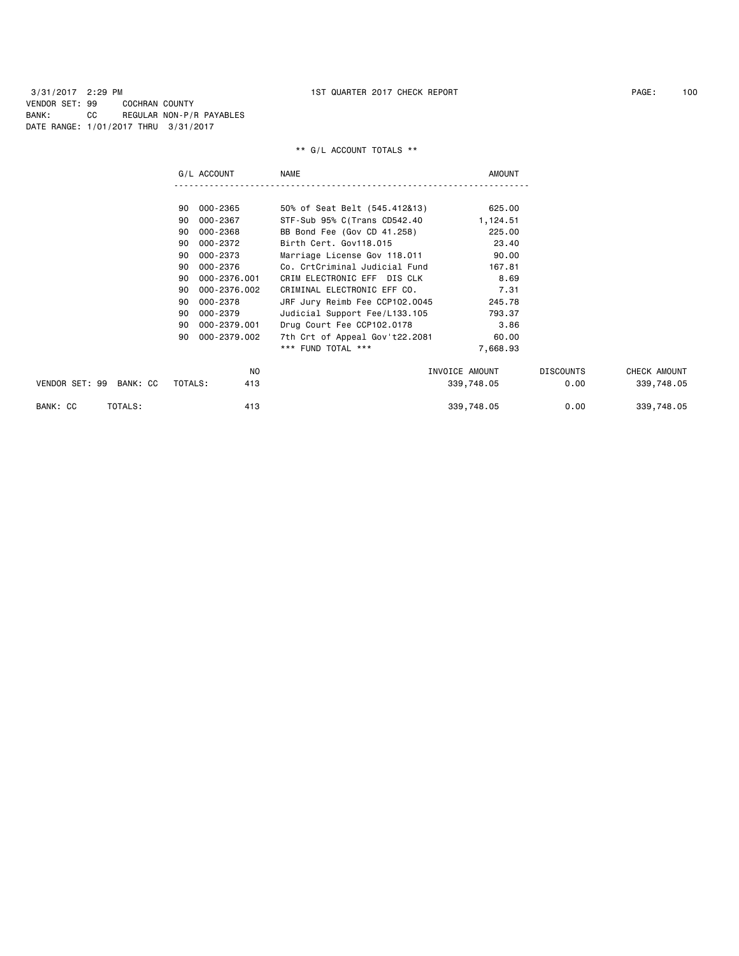3/31/2017 2:29 PM 1ST QUARTER 2017 CHECK REPORT PAGE: 100 VENDOR SET: 99 COCHRAN COUNTY BANK: CC REGULAR NON-P/R PAYABLES DATE RANGE: 1/01/2017 THRU 3/31/2017

|                         | G/L ACCOUNT        | <b>NAME</b>                    | <b>AMOUNT</b>  |                  |              |
|-------------------------|--------------------|--------------------------------|----------------|------------------|--------------|
|                         |                    |                                |                |                  |              |
|                         | 000-2365<br>90     | 50% of Seat Belt (545.412&13)  | 625.00         |                  |              |
|                         | 000-2367<br>90     | STF-Sub 95% C(Trans CD542.40   | 1,124.51       |                  |              |
|                         | 000-2368<br>90     | BB Bond Fee (Gov CD 41.258)    | 225.00         |                  |              |
|                         | 90<br>000-2372     | Birth Cert. Gov118.015         | 23.40          |                  |              |
|                         | 000-2373<br>90     | Marriage License Gov 118.011   | 90.00          |                  |              |
|                         | 000-2376<br>90     | Co. CrtCriminal Judicial Fund  | 167.81         |                  |              |
|                         | 000-2376.001<br>90 | CRIM ELECTRONIC EFF DIS CLK    | 8.69           |                  |              |
|                         | 000-2376.002<br>90 | CRIMINAL ELECTRONIC EFF CO.    | 7.31           |                  |              |
|                         | 000-2378<br>90     | JRF Jury Reimb Fee CCP102.0045 | 245.78         |                  |              |
|                         | 000-2379<br>90     | Judicial Support Fee/L133.105  | 793.37         |                  |              |
|                         | 000-2379.001<br>90 | Drug Court Fee CCP102.0178     | 3.86           |                  |              |
|                         | 000-2379.002<br>90 | 7th Crt of Appeal Gov't22.2081 | 60.00          |                  |              |
|                         |                    | *** FUND TOTAL ***             | 7,668.93       |                  |              |
|                         | N <sub>0</sub>     |                                | INVOICE AMOUNT | <b>DISCOUNTS</b> | CHECK AMOUNT |
| VENDOR SET: 99 BANK: CC | TOTALS:<br>413     |                                | 339,748.05     | 0.00             | 339,748.05   |
| TOTALS:<br>BANK: CC     | 413                |                                | 339,748.05     | 0.00             | 339,748.05   |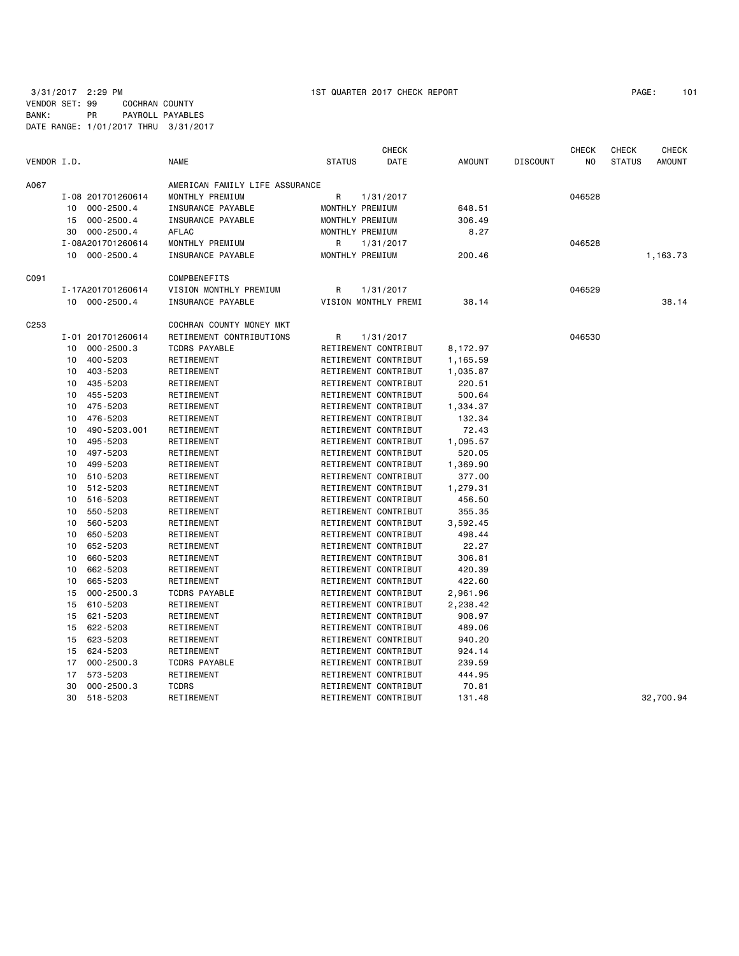3/31/2017 2:29 PM 1ST QUARTER 2017 CHECK REPORT PAGE: 101 VENDOR SET: 99 COCHRAN COUNTY BANK: PR PAYROLL PAYABLES DATE RANGE: 1/01/2017 THRU 3/31/2017

|             |    |                   |                                |                 | <b>CHECK</b>         |               |                 | <b>CHECK</b>   | <b>CHECK</b>  | CHECK         |
|-------------|----|-------------------|--------------------------------|-----------------|----------------------|---------------|-----------------|----------------|---------------|---------------|
| VENDOR I.D. |    |                   | <b>NAME</b>                    | <b>STATUS</b>   | DATE                 | <b>AMOUNT</b> | <b>DISCOUNT</b> | N <sub>0</sub> | <b>STATUS</b> | <b>AMOUNT</b> |
| A067        |    |                   | AMERICAN FAMILY LIFE ASSURANCE |                 |                      |               |                 |                |               |               |
|             |    | I-08 201701260614 | MONTHLY PREMIUM                | R               | 1/31/2017            |               |                 | 046528         |               |               |
|             |    | 10 000-2500.4     | INSURANCE PAYABLE              | MONTHLY PREMIUM |                      | 648.51        |                 |                |               |               |
|             | 15 | 000-2500.4        | INSURANCE PAYABLE              | MONTHLY PREMIUM |                      | 306.49        |                 |                |               |               |
|             | 30 | 000-2500.4        | <b>AFLAC</b>                   | MONTHLY PREMIUM |                      | 8.27          |                 |                |               |               |
|             |    | I-08A201701260614 | MONTHLY PREMIUM                | R               | 1/31/2017            |               |                 | 046528         |               |               |
|             |    | 10 000-2500.4     | INSURANCE PAYABLE              | MONTHLY PREMIUM |                      | 200.46        |                 |                |               | 1,163.73      |
| C091        |    |                   | COMPBENEFITS                   |                 |                      |               |                 |                |               |               |
|             |    | I-17A201701260614 | VISION MONTHLY PREMIUM         | R               | 1/31/2017            |               |                 | 046529         |               |               |
|             |    | 10 000-2500.4     | INSURANCE PAYABLE              |                 | VISION MONTHLY PREMI | 38.14         |                 |                |               | 38.14         |
| C253        |    |                   | COCHRAN COUNTY MONEY MKT       |                 |                      |               |                 |                |               |               |
|             |    | I-01 201701260614 | RETIREMENT CONTRIBUTIONS       | R               | 1/31/2017            |               |                 | 046530         |               |               |
|             |    | 10 000-2500.3     | <b>TCDRS PAYABLE</b>           |                 | RETIREMENT CONTRIBUT | 8,172.97      |                 |                |               |               |
|             | 10 | 400-5203          | RETIREMENT                     |                 | RETIREMENT CONTRIBUT | 1,165.59      |                 |                |               |               |
|             | 10 | 403-5203          | RETIREMENT                     |                 | RETIREMENT CONTRIBUT | 1,035.87      |                 |                |               |               |
|             | 10 | 435-5203          | RETIREMENT                     |                 | RETIREMENT CONTRIBUT | 220.51        |                 |                |               |               |
|             | 10 | 455-5203          | RETIREMENT                     |                 | RETIREMENT CONTRIBUT | 500.64        |                 |                |               |               |
|             | 10 | 475-5203          | RETIREMENT                     |                 | RETIREMENT CONTRIBUT | 1,334.37      |                 |                |               |               |
|             | 10 | 476-5203          | RETIREMENT                     |                 | RETIREMENT CONTRIBUT | 132.34        |                 |                |               |               |
|             | 10 | 490-5203.001      | RETIREMENT                     |                 | RETIREMENT CONTRIBUT | 72.43         |                 |                |               |               |
|             | 10 | 495-5203          | RETIREMENT                     |                 | RETIREMENT CONTRIBUT | 1,095.57      |                 |                |               |               |
|             | 10 | 497-5203          | RETIREMENT                     |                 | RETIREMENT CONTRIBUT | 520.05        |                 |                |               |               |
|             | 10 | 499-5203          | RETIREMENT                     |                 | RETIREMENT CONTRIBUT | 1,369.90      |                 |                |               |               |
|             | 10 | 510-5203          | RETIREMENT                     |                 | RETIREMENT CONTRIBUT | 377.00        |                 |                |               |               |
|             | 10 | 512-5203          | RETIREMENT                     |                 | RETIREMENT CONTRIBUT | 1,279.31      |                 |                |               |               |
|             | 10 | 516-5203          | RETIREMENT                     |                 | RETIREMENT CONTRIBUT | 456.50        |                 |                |               |               |
|             | 10 | 550-5203          | RETIREMENT                     |                 | RETIREMENT CONTRIBUT | 355.35        |                 |                |               |               |
|             | 10 | 560-5203          | RETIREMENT                     |                 | RETIREMENT CONTRIBUT | 3,592.45      |                 |                |               |               |
|             | 10 | 650-5203          | RETIREMENT                     |                 | RETIREMENT CONTRIBUT | 498.44        |                 |                |               |               |
|             | 10 | 652-5203          | RETIREMENT                     |                 | RETIREMENT CONTRIBUT | 22.27         |                 |                |               |               |
|             | 10 | 660-5203          | RETIREMENT                     |                 | RETIREMENT CONTRIBUT | 306.81        |                 |                |               |               |
|             | 10 | 662-5203          | RETIREMENT                     |                 | RETIREMENT CONTRIBUT | 420.39        |                 |                |               |               |
|             | 10 | 665-5203          | RETIREMENT                     |                 | RETIREMENT CONTRIBUT | 422.60        |                 |                |               |               |
|             | 15 | $000 - 2500.3$    | <b>TCDRS PAYABLE</b>           |                 | RETIREMENT CONTRIBUT | 2,961.96      |                 |                |               |               |
|             | 15 | 610-5203          | RETIREMENT                     |                 | RETIREMENT CONTRIBUT | 2,238.42      |                 |                |               |               |
|             | 15 | 621-5203          | RETIREMENT                     |                 | RETIREMENT CONTRIBUT | 908.97        |                 |                |               |               |
|             | 15 | 622-5203          | RETIREMENT                     |                 | RETIREMENT CONTRIBUT | 489.06        |                 |                |               |               |
|             | 15 | 623-5203          | RETIREMENT                     |                 | RETIREMENT CONTRIBUT | 940.20        |                 |                |               |               |
|             | 15 | 624-5203          | RETIREMENT                     |                 | RETIREMENT CONTRIBUT | 924.14        |                 |                |               |               |
|             | 17 | $000 - 2500.3$    | <b>TCDRS PAYABLE</b>           |                 | RETIREMENT CONTRIBUT | 239.59        |                 |                |               |               |
|             | 17 | 573-5203          | RETIREMENT                     |                 | RETIREMENT CONTRIBUT | 444.95        |                 |                |               |               |
|             | 30 | $000 - 2500.3$    | <b>TCDRS</b>                   |                 | RETIREMENT CONTRIBUT | 70.81         |                 |                |               |               |
|             | 30 | 518-5203          | RETIREMENT                     |                 | RETIREMENT CONTRIBUT | 131.48        |                 |                |               | 32,700.94     |
|             |    |                   |                                |                 |                      |               |                 |                |               |               |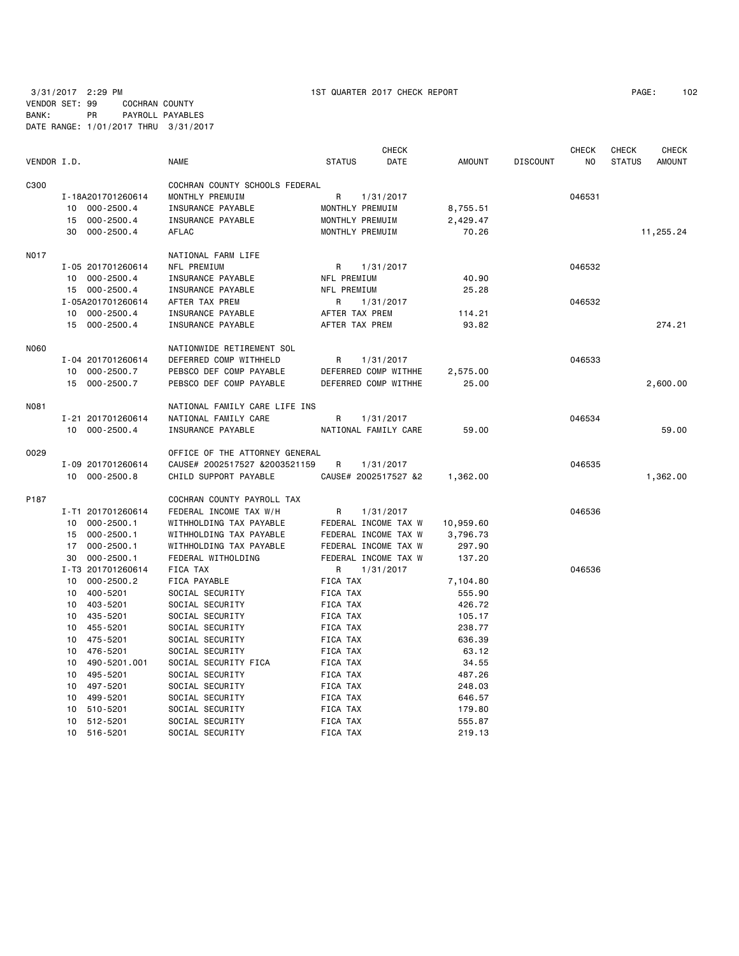3/31/2017 2:29 PM 1ST QUARTER 2017 CHECK REPORT PAGE: 102 VENDOR SET: 99 COCHRAN COUNTY BANK: PR PAYROLL PAYABLES DATE RANGE: 1/01/2017 THRU 3/31/2017

|             |    |                   |                                |                | <b>CHECK</b>         |           |                 | <b>CHECK</b> | <b>CHECK</b>  | <b>CHECK</b>  |
|-------------|----|-------------------|--------------------------------|----------------|----------------------|-----------|-----------------|--------------|---------------|---------------|
| VENDOR I.D. |    |                   | <b>NAME</b>                    | <b>STATUS</b>  | DATE                 | AMOUNT    | <b>DISCOUNT</b> | NO           | <b>STATUS</b> | <b>AMOUNT</b> |
| C300        |    |                   | COCHRAN COUNTY SCHOOLS FEDERAL |                |                      |           |                 |              |               |               |
|             |    | I-18A201701260614 | MONTHLY PREMUIM                | R              | 1/31/2017            |           |                 | 046531       |               |               |
|             |    | 10 000-2500.4     | INSURANCE PAYABLE              |                | MONTHLY PREMUIM      | 8,755.51  |                 |              |               |               |
|             | 15 | 000-2500.4        | INSURANCE PAYABLE              |                | MONTHLY PREMUIM      | 2,429.47  |                 |              |               |               |
|             |    | 30 000-2500.4     | AFLAC                          |                | MONTHLY PREMUIM      | 70.26     |                 |              |               | 11,255.24     |
| N017        |    |                   | NATIONAL FARM LIFE             |                |                      |           |                 |              |               |               |
|             |    | I-05 201701260614 | NFL PREMIUM                    | R              | 1/31/2017            |           |                 | 046532       |               |               |
|             |    | 10 000-2500.4     | INSURANCE PAYABLE              | NFL PREMIUM    |                      | 40.90     |                 |              |               |               |
|             |    | 15 000-2500.4     | INSURANCE PAYABLE              | NFL PREMIUM    |                      | 25.28     |                 |              |               |               |
|             |    | I-05A201701260614 | AFTER TAX PREM                 | R              | 1/31/2017            |           |                 | 046532       |               |               |
|             |    | 10 000-2500.4     | INSURANCE PAYABLE              | AFTER TAX PREM |                      | 114.21    |                 |              |               |               |
|             |    | 15 000-2500.4     | INSURANCE PAYABLE              | AFTER TAX PREM |                      | 93.82     |                 |              |               | 274.21        |
| N060        |    |                   | NATIONWIDE RETIREMENT SOL      |                |                      |           |                 |              |               |               |
|             |    | I-04 201701260614 | DEFERRED COMP WITHHELD         | R              | 1/31/2017            |           |                 | 046533       |               |               |
|             |    | 10 000-2500.7     | PEBSCO DEF COMP PAYABLE        |                | DEFERRED COMP WITHHE | 2,575.00  |                 |              |               |               |
|             |    | 15 000-2500.7     | PEBSCO DEF COMP PAYABLE        |                | DEFERRED COMP WITHHE | 25.00     |                 |              |               | 2,600.00      |
| N081        |    |                   | NATIONAL FAMILY CARE LIFE INS  |                |                      |           |                 |              |               |               |
|             |    | I-21 201701260614 | NATIONAL FAMILY CARE           | R              | 1/31/2017            |           |                 | 046534       |               |               |
|             |    | 10 000-2500.4     | INSURANCE PAYABLE              |                | NATIONAL FAMILY CARE | 59.00     |                 |              |               | 59.00         |
| 0029        |    |                   | OFFICE OF THE ATTORNEY GENERAL |                |                      |           |                 |              |               |               |
|             |    | I-09 201701260614 | CAUSE# 2002517527 &2003521159  | R              | 1/31/2017            |           |                 | 046535       |               |               |
|             |    | 10 000-2500.8     | CHILD SUPPORT PAYABLE          |                | CAUSE# 2002517527 &2 | 1,362.00  |                 |              |               | 1,362.00      |
| P187        |    |                   | COCHRAN COUNTY PAYROLL TAX     |                |                      |           |                 |              |               |               |
|             |    | I-T1 201701260614 | FEDERAL INCOME TAX W/H         | R              | 1/31/2017            |           |                 | 046536       |               |               |
|             |    | 10 000-2500.1     | WITHHOLDING TAX PAYABLE        |                | FEDERAL INCOME TAX W | 10,959.60 |                 |              |               |               |
|             |    | 15 000-2500.1     | WITHHOLDING TAX PAYABLE        |                | FEDERAL INCOME TAX W | 3,796.73  |                 |              |               |               |
|             |    | 17 000-2500.1     | WITHHOLDING TAX PAYABLE        |                | FEDERAL INCOME TAX W | 297.90    |                 |              |               |               |
|             | 30 | $000 - 2500.1$    | FEDERAL WITHOLDING             |                | FEDERAL INCOME TAX W | 137.20    |                 |              |               |               |
|             |    | I-T3 201701260614 | FICA TAX                       | R              | 1/31/2017            |           |                 | 046536       |               |               |
|             |    | 10 000-2500.2     | FICA PAYABLE                   | FICA TAX       |                      | 7,104.80  |                 |              |               |               |
|             | 10 | 400-5201          | SOCIAL SECURITY                | FICA TAX       |                      | 555.90    |                 |              |               |               |
|             | 10 | 403-5201          | SOCIAL SECURITY                | FICA TAX       |                      | 426.72    |                 |              |               |               |
|             | 10 | 435-5201          | SOCIAL SECURITY                | FICA TAX       |                      | 105.17    |                 |              |               |               |
|             |    | 10 455-5201       | SOCIAL SECURITY                | FICA TAX       |                      | 238.77    |                 |              |               |               |
|             |    | 10 475-5201       | SOCIAL SECURITY                | FICA TAX       |                      | 636.39    |                 |              |               |               |
|             | 10 | 476-5201          | SOCIAL SECURITY                | FICA TAX       |                      | 63.12     |                 |              |               |               |
|             | 10 | 490-5201.001      | SOCIAL SECURITY FICA           | FICA TAX       |                      | 34.55     |                 |              |               |               |
|             | 10 | 495-5201          | SOCIAL SECURITY                | FICA TAX       |                      | 487.26    |                 |              |               |               |
|             | 10 | 497-5201          | SOCIAL SECURITY                | FICA TAX       |                      | 248.03    |                 |              |               |               |
|             | 10 | 499-5201          | SOCIAL SECURITY                | FICA TAX       |                      | 646.57    |                 |              |               |               |
|             | 10 | 510-5201          | SOCIAL SECURITY                | FICA TAX       |                      | 179.80    |                 |              |               |               |
|             | 10 | 512-5201          | SOCIAL SECURITY                | FICA TAX       |                      | 555.87    |                 |              |               |               |
|             | 10 | 516-5201          | SOCIAL SECURITY                | FICA TAX       |                      | 219.13    |                 |              |               |               |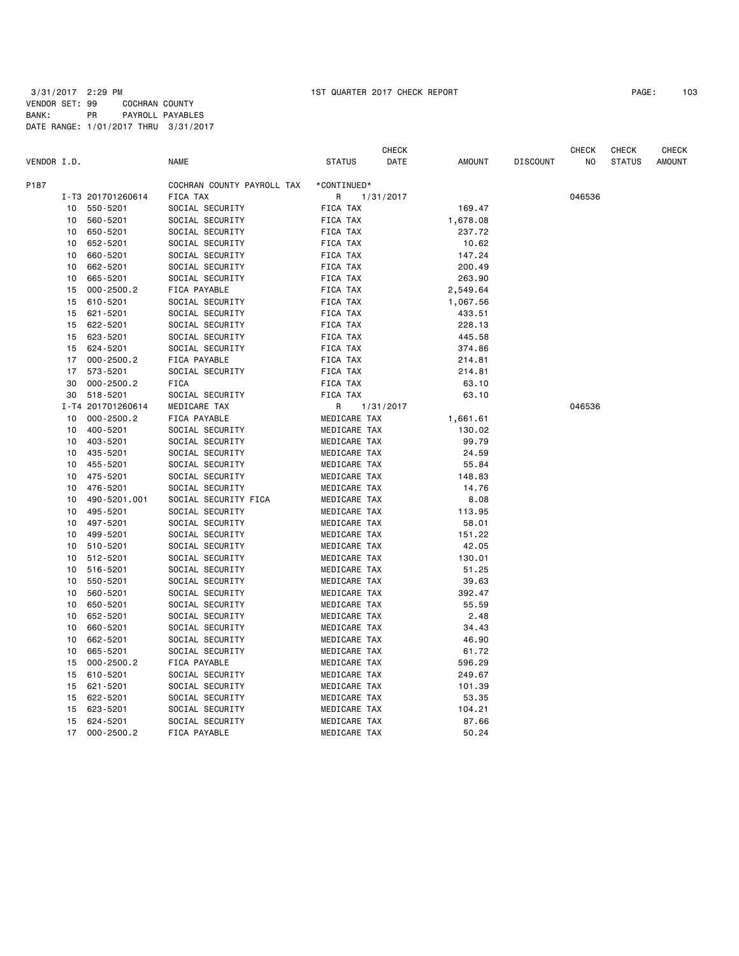CHECK CHECK CHECK CHECK VENDOR I.D. NAME STATUS DATE AMOUNT DISCOUNT NO STATUS AMOUNT P187 COCHRAN COUNTY PAYROLL TAX \*CONTINUED\* I-T3 201701260614 FICA TAX R 1/31/2017 046536 10 550-5201 SOCIAL SECURITY FICA TAX 169.47 10 560-5201 SOCIAL SECURITY FICA TAX 1,678.08 10 650-5201 SOCIAL SECURITY FICA TAX 10 652-5201 SOCIAL SECURITY FICA TAX 10.62 10 660-5201 SOCIAL SECURITY FICA TAX 147.24 10 662-5201 SOCIAL SECURITY FICA TAX 200.49 10 665-5201 SOCIAL SECURITY FICA TAX 263.90 15 000-2500.2 FICA PAYABLE FICA TAX 2,549.64 15 610-5201 SOCIAL SECURITY FICA TAX 1,067.56 15 621-5201 SOCIAL SECURITY FICA TAX 433.51 15 622-5201 SOCIAL SECURITY FICA TAX 228.13 15 623-5201 SOCIAL SECURITY FICA TAX 445.58 15 624-5201 SOCIAL SECURITY FICA TAX 374.86 17 000-2500.2 FICA PAYABLE FICA TAX 214.81 17 573-5201 SOCIAL SECURITY FICA TAX 214.81 30 000-2500.2 FICA FICA TAX 63.10 30 518-5201 SOCIAL SECURITY FICA TAX 63.10 I-T4 201701260614 MEDICARE TAX R 1/31/2017 046536 10 000-2500.2 FICA PAYABLE MEDICARE TAX 1,661.61 10 400-5201 SOCIAL SECURITY MEDICARE TAX 130.02 10 403-5201 SOCIAL SECURITY MEDICARE TAX 99.79 10 435-5201 SOCIAL SECURITY MEDICARE TAX 10 455-5201 SOCIAL SECURITY MEDICARE TAX 55.84 10 475-5201 SOCIAL SECURITY MEDICARE TAX 148.83 10 476-5201 SOCIAL SECURITY MEDICARE TAX 14.76 10 490-5201.001 SOCIAL SECURITY FICA MEDICARE TAX 8.08 10 495-5201 SOCIAL SECURITY MEDICARE TAX 113.95 10 497-5201 SOCIAL SECURITY MEDICARE TAX 58.01 10 499-5201 SOCIAL SECURITY MEDICARE TAX 151.22 10 510-5201 SOCIAL SECURITY MEDICARE TAX 42.05 10 512-5201 SOCIAL SECURITY MEDICARE TAX 130.01 10 516-5201 SOCIAL SECURITY 600 MEDICARE TAX 10 550-5201 SOCIAL SECURITY MEDICARE TAX 39.63 10 560-5201 SOCIAL SECURITY MEDICARE TAX 392.47 10 650-5201 SOCIAL SECURITY MEDICARE TAX 55.59 10 SOCIAL SECURITY MEDICARE TAX 2.48 10 660-5201 SOCIAL SECURITY MEDICARE TAX 34.43 10 662-5201 SOCIAL SECURITY MEDICARE TAX 46.90 10 665-5201 SOCIAL SECURITY MEDICARE TAX 61.72 15 000-2500.2 FICA PAYABLE MEDICARE TAX 596.29 15 610-5201 SOCIAL SECURITY MEDICARE TAX 249.67 15 621-5201 SOCIAL SECURITY MEDICARE TAX 101.39 15 622-5201 SOCIAL SECURITY MEDICARE TAX 53.35 15 623-5201 SOCIAL SECURITY MEDICARE TAX 104.21 15 624-5201 SOCIAL SECURITY MEDICARE TAX 87.66 17 000-2500.2 FICA PAYABLE MEDICARE TAX 50.24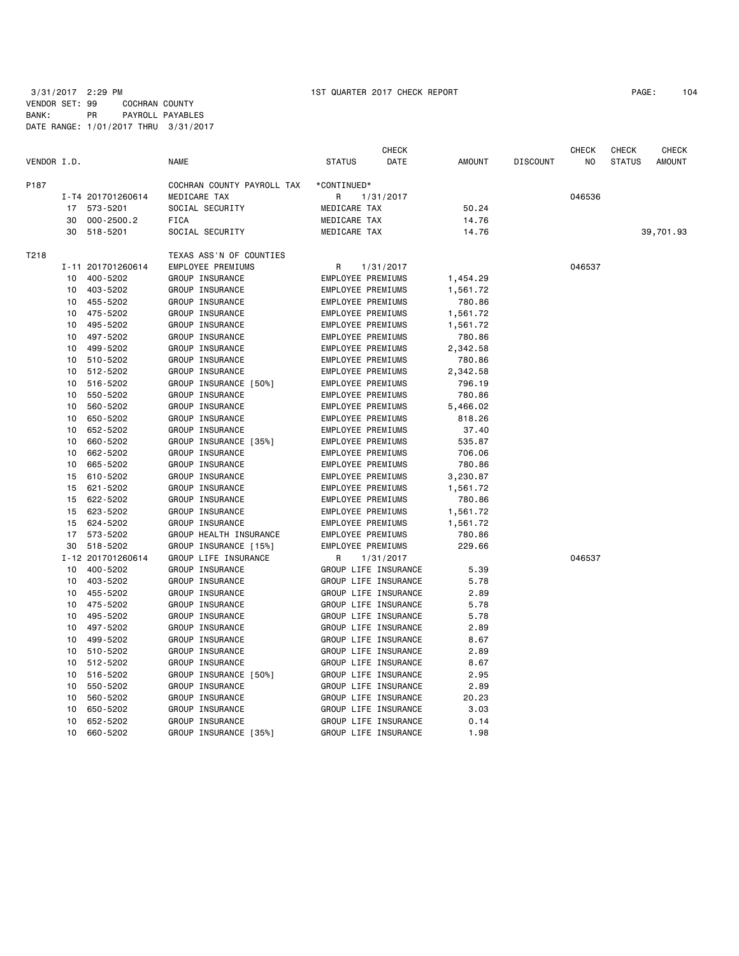3/31/2017 2:29 PM 1ST QUARTER 2017 CHECK REPORT PAGE: 104 VENDOR SET: 99 COCHRAN COUNTY BANK: PR PAYROLL PAYABLES DATE RANGE: 1/01/2017 THRU 3/31/2017

|             |    |                   |                            |                          | <b>CHECK</b>         |               |                 | CHECK  | CHECK         | <b>CHECK</b>  |
|-------------|----|-------------------|----------------------------|--------------------------|----------------------|---------------|-----------------|--------|---------------|---------------|
| VENDOR I.D. |    |                   | <b>NAME</b>                | <b>STATUS</b>            | DATE                 | <b>AMOUNT</b> | <b>DISCOUNT</b> | NO.    | <b>STATUS</b> | <b>AMOUNT</b> |
| P187        |    |                   | COCHRAN COUNTY PAYROLL TAX | *CONTINUED*              |                      |               |                 |        |               |               |
|             |    | I-T4 201701260614 | MEDICARE TAX               | R                        | 1/31/2017            |               |                 | 046536 |               |               |
|             |    | 17 573-5201       | SOCIAL SECURITY            | MEDICARE TAX             |                      | 50.24         |                 |        |               |               |
|             | 30 | $000 - 2500.2$    | <b>FICA</b>                | MEDICARE TAX             |                      | 14.76         |                 |        |               |               |
|             | 30 | 518-5201          | SOCIAL SECURITY            | MEDICARE TAX             |                      | 14.76         |                 |        |               | 39,701.93     |
| T218        |    |                   | TEXAS ASS'N OF COUNTIES    |                          |                      |               |                 |        |               |               |
|             |    | I-11 201701260614 | EMPLOYEE PREMIUMS          | R                        | 1/31/2017            |               |                 | 046537 |               |               |
|             | 10 | 400-5202          | GROUP INSURANCE            | EMPLOYEE PREMIUMS        |                      | 1,454.29      |                 |        |               |               |
|             | 10 | 403-5202          | GROUP INSURANCE            | EMPLOYEE PREMIUMS        |                      | 1,561.72      |                 |        |               |               |
|             | 10 | 455-5202          | GROUP INSURANCE            | EMPLOYEE PREMIUMS        |                      | 780.86        |                 |        |               |               |
|             | 10 | 475-5202          | GROUP INSURANCE            | EMPLOYEE PREMIUMS        |                      | 1,561.72      |                 |        |               |               |
|             | 10 | 495-5202          | GROUP INSURANCE            | <b>EMPLOYEE PREMIUMS</b> |                      | 1,561.72      |                 |        |               |               |
|             | 10 | 497-5202          | GROUP INSURANCE            | EMPLOYEE PREMIUMS        |                      | 780.86        |                 |        |               |               |
|             | 10 | 499-5202          | GROUP INSURANCE            | EMPLOYEE PREMIUMS        |                      | 2,342.58      |                 |        |               |               |
|             | 10 | 510-5202          | GROUP INSURANCE            | EMPLOYEE PREMIUMS        |                      | 780.86        |                 |        |               |               |
|             | 10 | 512-5202          | GROUP INSURANCE            | EMPLOYEE PREMIUMS        |                      | 2,342.58      |                 |        |               |               |
|             | 10 | 516-5202          | GROUP INSURANCE [50%]      | EMPLOYEE PREMIUMS        |                      | 796.19        |                 |        |               |               |
|             | 10 | 550-5202          | GROUP INSURANCE            | EMPLOYEE PREMIUMS        |                      | 780.86        |                 |        |               |               |
|             | 10 | 560-5202          | GROUP INSURANCE            | <b>EMPLOYEE PREMIUMS</b> |                      | 5,466.02      |                 |        |               |               |
|             | 10 | 650-5202          | GROUP INSURANCE            | EMPLOYEE PREMIUMS        |                      | 818.26        |                 |        |               |               |
|             | 10 | 652-5202          | GROUP INSURANCE            | EMPLOYEE PREMIUMS        |                      | 37.40         |                 |        |               |               |
|             | 10 | 660-5202          | GROUP INSURANCE [35%]      | EMPLOYEE PREMIUMS        |                      | 535.87        |                 |        |               |               |
|             | 10 | 662-5202          | GROUP INSURANCE            | EMPLOYEE PREMIUMS        |                      | 706.06        |                 |        |               |               |
|             | 10 | 665-5202          | GROUP INSURANCE            | EMPLOYEE PREMIUMS        |                      | 780.86        |                 |        |               |               |
|             | 15 | 610-5202          | GROUP INSURANCE            | EMPLOYEE PREMIUMS        |                      | 3,230.87      |                 |        |               |               |
|             | 15 | 621-5202          | GROUP INSURANCE            | <b>EMPLOYEE PREMIUMS</b> |                      | 1,561.72      |                 |        |               |               |
|             | 15 | 622-5202          | GROUP INSURANCE            | EMPLOYEE PREMIUMS        |                      | 780.86        |                 |        |               |               |
|             | 15 | 623-5202          | GROUP INSURANCE            | EMPLOYEE PREMIUMS        |                      | 1,561.72      |                 |        |               |               |
|             | 15 | 624-5202          | GROUP INSURANCE            | EMPLOYEE PREMIUMS        |                      | 1,561.72      |                 |        |               |               |
|             | 17 | 573-5202          | GROUP HEALTH INSURANCE     | EMPLOYEE PREMIUMS        |                      | 780.86        |                 |        |               |               |
|             | 30 | 518-5202          | GROUP INSURANCE [15%]      | EMPLOYEE PREMIUMS        |                      | 229.66        |                 |        |               |               |
|             |    | I-12 201701260614 | GROUP LIFE INSURANCE       | R                        | 1/31/2017            |               |                 | 046537 |               |               |
|             | 10 | 400-5202          | GROUP INSURANCE            |                          | GROUP LIFE INSURANCE | 5.39          |                 |        |               |               |
|             | 10 | 403-5202          | GROUP INSURANCE            |                          | GROUP LIFE INSURANCE | 5.78          |                 |        |               |               |
|             | 10 | 455-5202          | GROUP INSURANCE            |                          | GROUP LIFE INSURANCE | 2.89          |                 |        |               |               |
|             | 10 | 475-5202          | GROUP INSURANCE            |                          | GROUP LIFE INSURANCE | 5.78          |                 |        |               |               |
|             | 10 | 495-5202          | GROUP INSURANCE            |                          | GROUP LIFE INSURANCE | 5.78          |                 |        |               |               |
|             | 10 | 497-5202          | GROUP INSURANCE            |                          | GROUP LIFE INSURANCE | 2.89          |                 |        |               |               |
|             | 10 | 499-5202          | GROUP INSURANCE            |                          | GROUP LIFE INSURANCE | 8.67          |                 |        |               |               |
|             | 10 | 510-5202          | GROUP INSURANCE            |                          | GROUP LIFE INSURANCE | 2.89          |                 |        |               |               |
|             | 10 | 512-5202          | GROUP INSURANCE            |                          | GROUP LIFE INSURANCE | 8.67          |                 |        |               |               |
|             | 10 | 516-5202          | GROUP INSURANCE [50%]      |                          | GROUP LIFE INSURANCE | 2.95          |                 |        |               |               |
|             | 10 | 550-5202          | GROUP INSURANCE            |                          | GROUP LIFE INSURANCE | 2.89          |                 |        |               |               |
|             | 10 | 560-5202          | GROUP INSURANCE            |                          | GROUP LIFE INSURANCE | 20.23         |                 |        |               |               |
|             | 10 | 650-5202          | GROUP INSURANCE            |                          | GROUP LIFE INSURANCE | 3.03          |                 |        |               |               |
|             | 10 | 652-5202          | GROUP INSURANCE            |                          | GROUP LIFE INSURANCE | 0.14          |                 |        |               |               |
|             | 10 | 660-5202          | GROUP INSURANCE [35%]      |                          | GROUP LIFE INSURANCE | 1.98          |                 |        |               |               |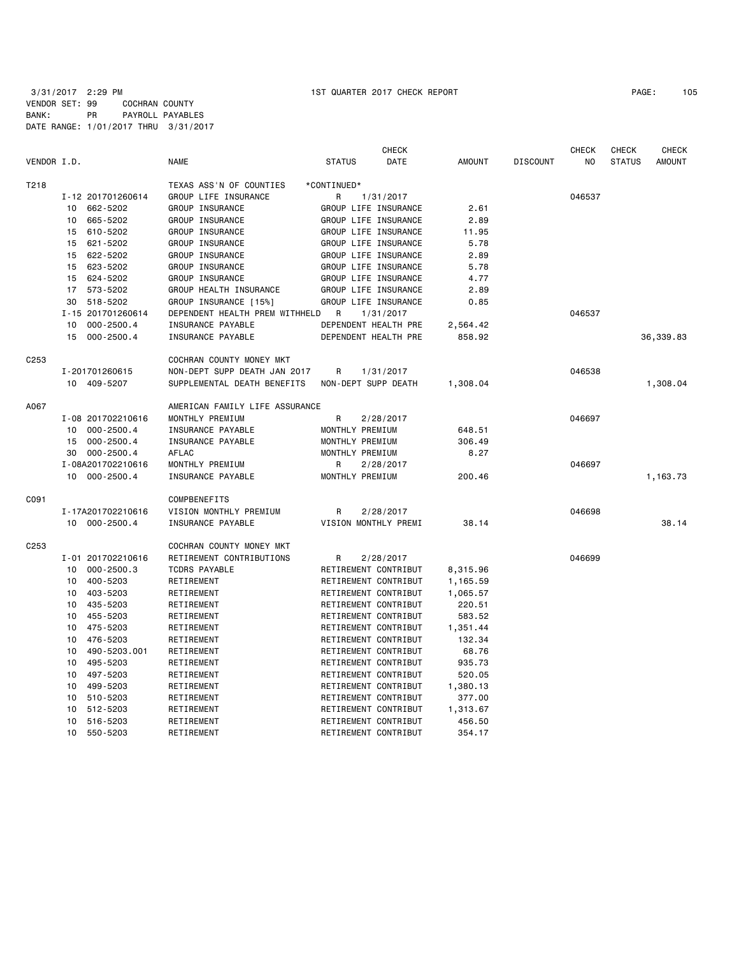3/31/2017 2:29 PM 1ST QUARTER 2017 CHECK REPORT PAGE: 105 VENDOR SET: 99 COCHRAN COUNTY BANK: PR PAYROLL PAYABLES DATE RANGE: 1/01/2017 THRU 3/31/2017

|                  |                             |                                | <b>CHECK</b>         |      |               |                 | <b>CHECK</b>   | <b>CHECK</b>  | <b>CHECK</b>  |
|------------------|-----------------------------|--------------------------------|----------------------|------|---------------|-----------------|----------------|---------------|---------------|
| VENDOR I.D.      |                             | <b>NAME</b>                    | <b>STATUS</b>        | DATE | <b>AMOUNT</b> | <b>DISCOUNT</b> | N <sub>O</sub> | <b>STATUS</b> | <b>AMOUNT</b> |
| T218             |                             | TEXAS ASS'N OF COUNTIES        | *CONTINUED*          |      |               |                 |                |               |               |
|                  | I-12 201701260614           | GROUP LIFE INSURANCE           | 1/31/2017<br>R       |      |               |                 | 046537         |               |               |
|                  | 662-5202<br>10              | GROUP INSURANCE                | GROUP LIFE INSURANCE |      | 2.61          |                 |                |               |               |
|                  | 665-5202<br>10              | GROUP INSURANCE                | GROUP LIFE INSURANCE |      | 2.89          |                 |                |               |               |
|                  | 610-5202<br>15              | GROUP INSURANCE                | GROUP LIFE INSURANCE |      | 11.95         |                 |                |               |               |
|                  | 15 621-5202                 | GROUP INSURANCE                | GROUP LIFE INSURANCE |      | 5.78          |                 |                |               |               |
|                  | 622-5202<br>15              | GROUP INSURANCE                | GROUP LIFE INSURANCE |      | 2.89          |                 |                |               |               |
|                  | 623-5202<br>15              | GROUP INSURANCE                | GROUP LIFE INSURANCE |      | 5.78          |                 |                |               |               |
|                  | 15<br>624-5202              | GROUP INSURANCE                | GROUP LIFE INSURANCE |      | 4.77          |                 |                |               |               |
|                  | 573-5202<br>17              | GROUP HEALTH INSURANCE         | GROUP LIFE INSURANCE |      | 2.89          |                 |                |               |               |
|                  | 518-5202<br>30              | GROUP INSURANCE [15%]          | GROUP LIFE INSURANCE |      | 0.85          |                 |                |               |               |
|                  | I-15 201701260614           | DEPENDENT HEALTH PREM WITHHELD | R<br>1/31/2017       |      |               |                 | 046537         |               |               |
|                  | $000 - 2500.4$<br>10        | INSURANCE PAYABLE              | DEPENDENT HEALTH PRE |      | 2,564.42      |                 |                |               |               |
|                  | 15<br>$000 - 2500.4$        | INSURANCE PAYABLE              | DEPENDENT HEALTH PRE |      | 858.92        |                 |                |               | 36,339.83     |
| C <sub>253</sub> |                             | COCHRAN COUNTY MONEY MKT       |                      |      |               |                 |                |               |               |
|                  | I-201701260615              | NON-DEPT SUPP DEATH JAN 2017   | R<br>1/31/2017       |      |               |                 | 046538         |               |               |
|                  | 10 409-5207                 | SUPPLEMENTAL DEATH BENEFITS    | NON-DEPT SUPP DEATH  |      | 1,308.04      |                 |                |               | 1,308.04      |
|                  |                             |                                |                      |      |               |                 |                |               |               |
| A067             |                             | AMERICAN FAMILY LIFE ASSURANCE |                      |      |               |                 |                |               |               |
|                  | I-08 201702210616           | MONTHLY PREMIUM                | R<br>2/28/2017       |      |               |                 | 046697         |               |               |
|                  | 10<br>$000 - 2500.4$        | INSURANCE PAYABLE              | MONTHLY PREMIUM      |      | 648.51        |                 |                |               |               |
|                  | $000 - 2500.4$<br>15        | INSURANCE PAYABLE              | MONTHLY PREMIUM      |      | 306.49        |                 |                |               |               |
|                  | $000 - 2500.4$<br>30        | <b>AFLAC</b>                   | MONTHLY PREMIUM      |      | 8.27          |                 |                |               |               |
|                  | I-08A201702210616           | MONTHLY PREMIUM                | R<br>2/28/2017       |      |               |                 | 046697         |               |               |
|                  | 10 000-2500.4               | INSURANCE PAYABLE              | MONTHLY PREMIUM      |      | 200.46        |                 |                |               | 1,163.73      |
| C091             |                             | <b>COMPBENEFITS</b>            |                      |      |               |                 |                |               |               |
|                  | I-17A201702210616           | VISION MONTHLY PREMIUM         | R<br>2/28/2017       |      |               |                 | 046698         |               |               |
|                  | 10 000-2500.4               | INSURANCE PAYABLE              | VISION MONTHLY PREMI |      | 38.14         |                 |                |               | 38.14         |
| C <sub>253</sub> |                             | COCHRAN COUNTY MONEY MKT       |                      |      |               |                 |                |               |               |
|                  | I-01 201702210616           | RETIREMENT CONTRIBUTIONS       | R<br>2/28/2017       |      |               |                 | 046699         |               |               |
|                  | $000 - 2500.3$<br>10        | <b>TCDRS PAYABLE</b>           | RETIREMENT CONTRIBUT |      | 8,315.96      |                 |                |               |               |
|                  | 400-5203<br>10              | RETIREMENT                     | RETIREMENT CONTRIBUT |      | 1,165.59      |                 |                |               |               |
|                  | 403-5203<br>10              | RETIREMENT                     | RETIREMENT CONTRIBUT |      | 1,065.57      |                 |                |               |               |
|                  | 435-5203<br>10              | RETIREMENT                     | RETIREMENT CONTRIBUT |      | 220.51        |                 |                |               |               |
|                  | 10<br>455-5203              | RETIREMENT                     | RETIREMENT CONTRIBUT |      | 583.52        |                 |                |               |               |
|                  | 475-5203<br>10              | RETIREMENT                     | RETIREMENT CONTRIBUT |      | 1,351.44      |                 |                |               |               |
|                  | 476-5203<br>10              | RETIREMENT                     | RETIREMENT CONTRIBUT |      | 132.34        |                 |                |               |               |
|                  | 490-5203.001<br>10          | RETIREMENT                     | RETIREMENT CONTRIBUT |      | 68.76         |                 |                |               |               |
|                  | 495-5203<br>10              | RETIREMENT                     | RETIREMENT CONTRIBUT |      | 935.73        |                 |                |               |               |
|                  | 497-5203<br>10              | RETIREMENT                     | RETIREMENT CONTRIBUT |      | 520.05        |                 |                |               |               |
|                  | 499-5203<br>10              | RETIREMENT                     | RETIREMENT CONTRIBUT |      | 1,380.13      |                 |                |               |               |
|                  | 10 510-5203                 | RETIREMENT                     | RETIREMENT CONTRIBUT |      | 377.00        |                 |                |               |               |
|                  | 10<br>512-5203              | RETIREMENT                     | RETIREMENT CONTRIBUT |      | 1,313.67      |                 |                |               |               |
|                  | 10<br>516-5203              | RETIREMENT                     | RETIREMENT CONTRIBUT |      | 456.50        |                 |                |               |               |
|                  | 10 <sub>1</sub><br>550-5203 | RETIREMENT                     | RETIREMENT CONTRIBUT |      | 354.17        |                 |                |               |               |
|                  |                             |                                |                      |      |               |                 |                |               |               |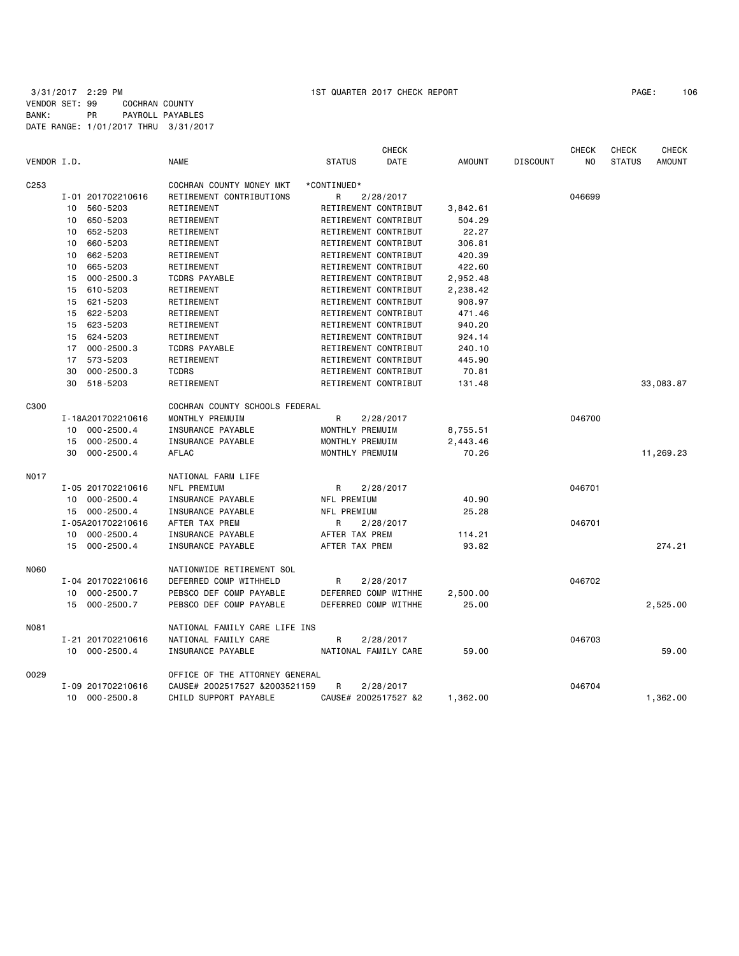3/31/2017 2:29 PM 1ST QUARTER 2017 CHECK REPORT PAGE: 106 VENDOR SET: 99 COCHRAN COUNTY BANK: PR PAYROLL PAYABLES DATE RANGE: 1/01/2017 THRU 3/31/2017

|                  |    |                   |                                |                      | <b>CHECK</b>         |               |                 | <b>CHECK</b> | <b>CHECK</b>  | <b>CHECK</b>  |
|------------------|----|-------------------|--------------------------------|----------------------|----------------------|---------------|-----------------|--------------|---------------|---------------|
| VENDOR I.D.      |    |                   | <b>NAME</b>                    | <b>STATUS</b>        | DATE                 | <b>AMOUNT</b> | <b>DISCOUNT</b> | NO.          | <b>STATUS</b> | <b>AMOUNT</b> |
| C <sub>253</sub> |    |                   | COCHRAN COUNTY MONEY MKT       | *CONTINUED*          |                      |               |                 |              |               |               |
|                  |    | I-01 201702210616 | RETIREMENT CONTRIBUTIONS       | R                    | 2/28/2017            |               |                 | 046699       |               |               |
|                  | 10 | 560-5203          | RETIREMENT                     | RETIREMENT CONTRIBUT |                      | 3,842.61      |                 |              |               |               |
|                  | 10 | 650-5203          | RETIREMENT                     | RETIREMENT CONTRIBUT |                      | 504.29        |                 |              |               |               |
|                  | 10 | 652-5203          | RETIREMENT                     | RETIREMENT CONTRIBUT |                      | 22.27         |                 |              |               |               |
|                  | 10 | 660-5203          | RETIREMENT                     | RETIREMENT CONTRIBUT |                      | 306.81        |                 |              |               |               |
|                  | 10 | 662-5203          | RETIREMENT                     | RETIREMENT CONTRIBUT |                      | 420.39        |                 |              |               |               |
|                  | 10 | 665-5203          | RETIREMENT                     | RETIREMENT CONTRIBUT |                      | 422.60        |                 |              |               |               |
|                  | 15 | $000 - 2500.3$    | <b>TCDRS PAYABLE</b>           | RETIREMENT CONTRIBUT |                      | 2,952.48      |                 |              |               |               |
|                  | 15 | 610-5203          | RETIREMENT                     | RETIREMENT CONTRIBUT |                      | 2,238.42      |                 |              |               |               |
|                  |    | 15 621-5203       | RETIREMENT                     | RETIREMENT CONTRIBUT |                      | 908.97        |                 |              |               |               |
|                  |    | 15 622-5203       | RETIREMENT                     | RETIREMENT CONTRIBUT |                      | 471.46        |                 |              |               |               |
|                  | 15 | 623-5203          | RETIREMENT                     | RETIREMENT CONTRIBUT |                      | 940.20        |                 |              |               |               |
|                  | 15 | 624-5203          | RETIREMENT                     | RETIREMENT CONTRIBUT |                      | 924.14        |                 |              |               |               |
|                  |    | 17 000-2500.3     | <b>TCDRS PAYABLE</b>           | RETIREMENT CONTRIBUT |                      | 240.10        |                 |              |               |               |
|                  |    | 17 573-5203       | RETIREMENT                     | RETIREMENT CONTRIBUT |                      | 445.90        |                 |              |               |               |
|                  | 30 | $000 - 2500.3$    | <b>TCDRS</b>                   | RETIREMENT CONTRIBUT |                      | 70.81         |                 |              |               |               |
|                  |    | 30 518-5203       | RETIREMENT                     | RETIREMENT CONTRIBUT |                      | 131.48        |                 |              |               | 33,083.87     |
| C300             |    |                   | COCHRAN COUNTY SCHOOLS FEDERAL |                      |                      |               |                 |              |               |               |
|                  |    | I-18A201702210616 | MONTHLY PREMUIM                | $\mathsf{R}$         | 2/28/2017            |               |                 | 046700       |               |               |
|                  | 10 | $000 - 2500.4$    | INSURANCE PAYABLE              | MONTHLY PREMUIM      |                      | 8,755.51      |                 |              |               |               |
|                  | 15 | $000 - 2500.4$    | INSURANCE PAYABLE              | MONTHLY PREMUIM      |                      | 2,443.46      |                 |              |               |               |
|                  | 30 | $000 - 2500.4$    | AFLAC                          | MONTHLY PREMUIM      |                      | 70.26         |                 |              |               | 11,269.23     |
| N017             |    |                   | NATIONAL FARM LIFE             |                      |                      |               |                 |              |               |               |
|                  |    | I-05 201702210616 | NFL PREMIUM                    | R                    | 2/28/2017            |               |                 | 046701       |               |               |
|                  |    | 10 000-2500.4     | INSURANCE PAYABLE              | NFL PREMIUM          |                      | 40.90         |                 |              |               |               |
|                  |    | 15 000-2500.4     | INSURANCE PAYABLE              | NFL PREMIUM          |                      | 25.28         |                 |              |               |               |
|                  |    | I-05A201702210616 | AFTER TAX PREM                 | R                    | 2/28/2017            |               |                 | 046701       |               |               |
|                  |    | 10 000-2500.4     | INSURANCE PAYABLE              | AFTER TAX PREM       |                      | 114.21        |                 |              |               |               |
|                  |    | 15 000-2500.4     | INSURANCE PAYABLE              | AFTER TAX PREM       |                      | 93.82         |                 |              |               | 274.21        |
| <b>N060</b>      |    |                   | NATIONWIDE RETIREMENT SOL      |                      |                      |               |                 |              |               |               |
|                  |    | I-04 201702210616 | DEFERRED COMP WITHHELD         | R                    | 2/28/2017            |               |                 | 046702       |               |               |
|                  | 10 | $000 - 2500.7$    | PEBSCO DEF COMP PAYABLE        | DEFERRED COMP WITHHE |                      | 2,500.00      |                 |              |               |               |
|                  | 15 | $000 - 2500.7$    | PEBSCO DEF COMP PAYABLE        | DEFERRED COMP WITHHE |                      | 25,00         |                 |              |               | 2,525.00      |
| <b>N081</b>      |    |                   | NATIONAL FAMILY CARE LIFE INS  |                      |                      |               |                 |              |               |               |
|                  |    | I-21 201702210616 | NATIONAL FAMILY CARE           | R                    | 2/28/2017            |               |                 | 046703       |               |               |
|                  |    | 10 000-2500.4     | INSURANCE PAYABLE              | NATIONAL FAMILY CARE |                      | 59.00         |                 |              |               | 59,00         |
| 0029             |    |                   | OFFICE OF THE ATTORNEY GENERAL |                      |                      |               |                 |              |               |               |
|                  |    | I-09 201702210616 | CAUSE# 2002517527 &2003521159  | R                    | 2/28/2017            |               |                 | 046704       |               |               |
|                  | 10 | $000 - 2500.8$    | CHILD SUPPORT PAYABLE          |                      | CAUSE# 2002517527 &2 | 1,362.00      |                 |              |               | 1,362.00      |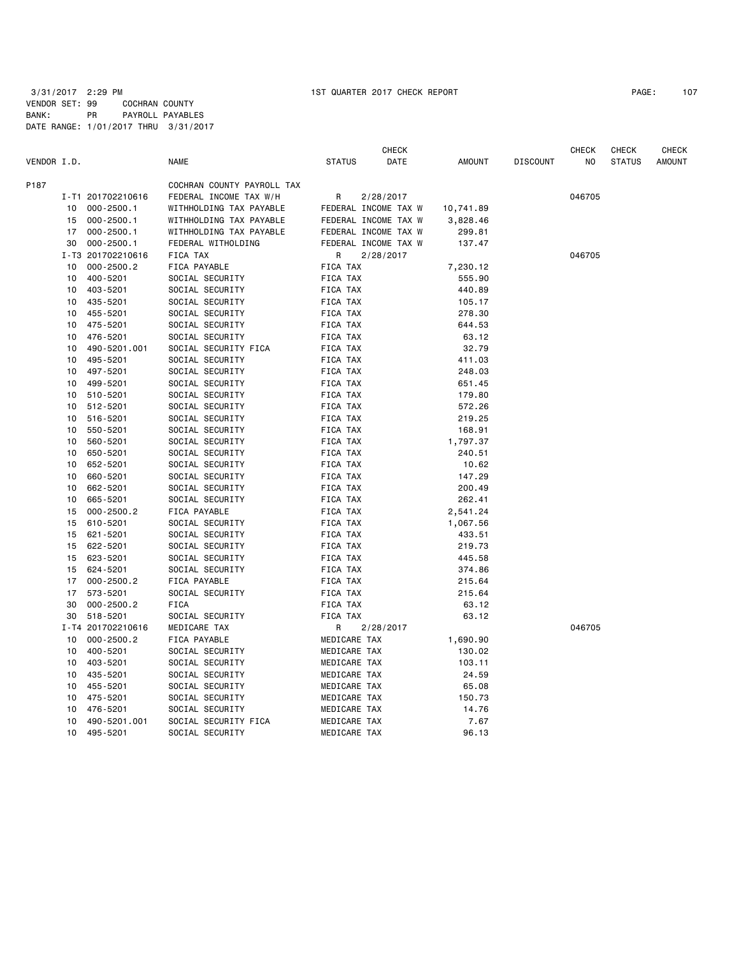CHECK CHECK CHECK CHECK VENDOR I.D. NAME STATUS DATE AMOUNT DISCOUNT NO STATUS AMOUNT P187 COCHRAN COUNTY PAYROLL TAX I-T1 201702210616 FEDERAL INCOME TAX W/H R 2/28/2017 046705 10 000-2500.1 WITHHOLDING TAX PAYABLE FEDERAL INCOME TAX W 10,741.89 15 000-2500.1 WITHHOLDING TAX PAYABLE FEDERAL INCOME TAX W 3,828.46 17 000-2500.1 WITHHOLDING TAX PAYABLE FEDERAL INCOME TAX W 299.81 30 000-2500.1 FEDERAL WITHOLDING FEDERAL INCOME TAX W 137.47 I-T3 201702210616 FICA TAX R 2/28/2017 046705 10 000-2500.2 FICA PAYABLE FICA TAX 7,230.12 10 400-5201 SOCIAL SECURITY FICA TAX 555.90 10 403-5201 SOCIAL SECURITY FICA TAX 440.89 10 435-5201 SOCIAL SECURITY FICA TAX 105.17 10 455-5201 SOCIAL SECURITY FICA TAX 278.30 10 475-5201 SOCIAL SECURITY FICA TAX 644.53 10 476-5201 SOCIAL SECURITY FICA TAX 63.12 10 490-5201.001 SOCIAL SECURITY FICA FICA TAX 32.79 10 495-5201 SOCIAL SECURITY FICA TAX 411.03 10 497-5201 SOCIAL SECURITY FICA TAX 248.03 10 499-5201 SOCIAL SECURITY FICA TAX 651.45 10 510-5201 SOCIAL SECURITY FICA TAX 179.80 10 512-5201 SOCIAL SECURITY FICA TAX 572.26 10 516-5201 SOCIAL SECURITY FICA TAX 219.25 10 550-5201 SOCIAL SECURITY FICA TAX 168.91 10 560-5201 SOCIAL SECURITY FICA TAX 1,797.37 10 650-5201 SOCIAL SECURITY FICA TAX 240.51 10 652-5201 SOCIAL SECURITY FICA TAX 10.62 10 660-5201 SOCIAL SECURITY FICA TAX 147.29 10 662-5201 SOCIAL SECURITY FICA TAX 200.49 10 665-5201 SOCIAL SECURITY FICA TAX 262.41 15 000-2500.2 FICA PAYABLE FICA TAX 2,541.24 15 610-5201 SOCIAL SECURITY FICA TAX 1,067.56 15 621-5201 SOCIAL SECURITY FICA TAX 433.51 15 622-5201 SOCIAL SECURITY FICA TAX 219.73 15 623-5201 SOCIAL SECURITY FICA TAX 445.58 15 624-5201 SOCIAL SECURITY FICA TAX 374.86 17 000-2500.2 FICA PAYABLE FICA TAX 215.64 17 573-5201 SOCIAL SECURITY FICA TAX 215.64 30 000-2500.2 FICA FICA TAX 63.12 SOCIAL SECURITY FICA TAX 63.12 I-T4 201702210616 MEDICARE TAX R 2/28/2017 046705 10 000-2500.2 FICA PAYABLE MEDICARE TAX 1,690.90 10 400-5201 SOCIAL SECURITY MEDICARE TAX 130.02 10 403-5201 SOCIAL SECURITY MEDICARE TAX 103.11 10 435-5201 SOCIAL SECURITY MEDICARE TAX 24.59 10 455-5201 SOCIAL SECURITY MEDICARE TAX 65.08 10 475-5201 SOCIAL SECURITY MEDICARE TAX 150.73 10 476-5201 SOCIAL SECURITY MEDICARE TAX 14.76 10 490-5201.001 SOCIAL SECURITY FICA MEDICARE TAX 7.67 10 495-5201 SOCIAL SECURITY MEDICARE TAX 96.13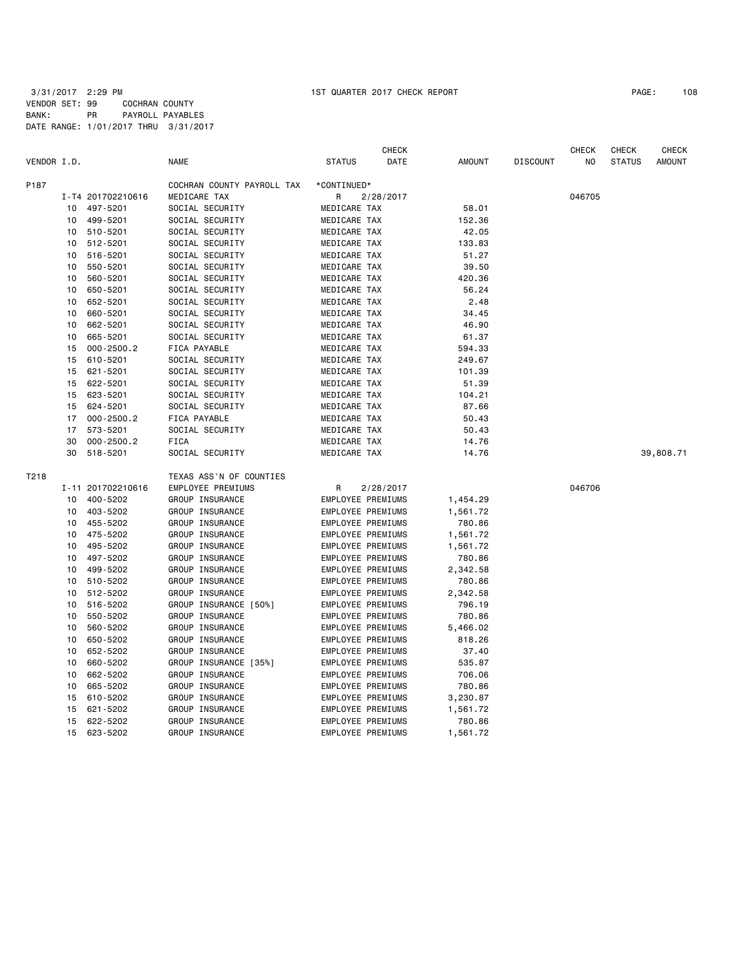|             |    |                   |                            |                          | <b>CHECK</b> |               |                 | <b>CHECK</b> | <b>CHECK</b>  | CHECK     |
|-------------|----|-------------------|----------------------------|--------------------------|--------------|---------------|-----------------|--------------|---------------|-----------|
| VENDOR I.D. |    |                   | <b>NAME</b>                | <b>STATUS</b>            | DATE         | <b>AMOUNT</b> | <b>DISCOUNT</b> | ΝO           | <b>STATUS</b> | AMOUNT    |
| P187        |    |                   | COCHRAN COUNTY PAYROLL TAX | *CONTINUED*              |              |               |                 |              |               |           |
|             |    | I-T4 201702210616 | MEDICARE TAX               | R                        | 2/28/2017    |               |                 | 046705       |               |           |
|             | 10 | 497-5201          | SOCIAL SECURITY            | MEDICARE TAX             |              | 58.01         |                 |              |               |           |
|             | 10 | 499-5201          | SOCIAL SECURITY            | MEDICARE TAX             |              | 152.36        |                 |              |               |           |
|             | 10 | 510-5201          | SOCIAL SECURITY            | MEDICARE TAX             |              | 42.05         |                 |              |               |           |
|             | 10 | 512-5201          | SOCIAL SECURITY            | MEDICARE TAX             |              | 133.83        |                 |              |               |           |
|             | 10 | 516-5201          | SOCIAL SECURITY            | MEDICARE TAX             |              | 51.27         |                 |              |               |           |
|             | 10 | 550-5201          | SOCIAL SECURITY            | MEDICARE TAX             |              | 39.50         |                 |              |               |           |
|             | 10 | 560-5201          | SOCIAL SECURITY            | MEDICARE TAX             |              | 420.36        |                 |              |               |           |
|             | 10 | 650-5201          | SOCIAL SECURITY            | MEDICARE TAX             |              | 56.24         |                 |              |               |           |
|             | 10 | 652-5201          | SOCIAL SECURITY            | MEDICARE TAX             |              | 2.48          |                 |              |               |           |
|             | 10 | 660-5201          | SOCIAL SECURITY            | MEDICARE TAX             |              | 34.45         |                 |              |               |           |
|             | 10 | 662-5201          | SOCIAL SECURITY            | MEDICARE TAX             |              | 46.90         |                 |              |               |           |
|             | 10 | 665-5201          | SOCIAL SECURITY            | MEDICARE TAX             |              | 61.37         |                 |              |               |           |
|             | 15 | $000 - 2500.2$    |                            |                          |              |               |                 |              |               |           |
|             |    |                   | FICA PAYABLE               | MEDICARE TAX             |              | 594.33        |                 |              |               |           |
|             | 15 | 610-5201          | SOCIAL SECURITY            | MEDICARE TAX             |              | 249.67        |                 |              |               |           |
|             | 15 | 621-5201          | SOCIAL SECURITY            | MEDICARE TAX             |              | 101.39        |                 |              |               |           |
|             | 15 | 622-5201          | SOCIAL SECURITY            | MEDICARE TAX             |              | 51.39         |                 |              |               |           |
|             | 15 | 623-5201          | SOCIAL SECURITY            | MEDICARE TAX             |              | 104.21        |                 |              |               |           |
|             | 15 | 624-5201          | SOCIAL SECURITY            | MEDICARE TAX             |              | 87.66         |                 |              |               |           |
|             | 17 | $000 - 2500.2$    | FICA PAYABLE               | MEDICARE TAX             |              | 50.43         |                 |              |               |           |
|             | 17 | 573-5201          | SOCIAL SECURITY            | MEDICARE TAX             |              | 50.43         |                 |              |               |           |
|             | 30 | $000 - 2500.2$    | <b>FICA</b>                | MEDICARE TAX             |              | 14.76         |                 |              |               |           |
|             | 30 | 518-5201          | SOCIAL SECURITY            | MEDICARE TAX             |              | 14.76         |                 |              |               | 39,808.71 |
| T218        |    |                   | TEXAS ASS'N OF COUNTIES    |                          |              |               |                 |              |               |           |
|             |    | I-11 201702210616 | EMPLOYEE PREMIUMS          | R                        | 2/28/2017    |               |                 | 046706       |               |           |
|             | 10 | 400-5202          | GROUP INSURANCE            | EMPLOYEE PREMIUMS        |              | 1,454.29      |                 |              |               |           |
|             | 10 | 403-5202          | GROUP INSURANCE            | <b>EMPLOYEE PREMIUMS</b> |              | 1,561.72      |                 |              |               |           |
|             | 10 | 455-5202          | GROUP INSURANCE            | EMPLOYEE PREMIUMS        |              | 780.86        |                 |              |               |           |
|             | 10 | 475-5202          | GROUP INSURANCE            | <b>EMPLOYEE PREMIUMS</b> |              | 1,561.72      |                 |              |               |           |
|             | 10 | 495-5202          | GROUP INSURANCE            | EMPLOYEE PREMIUMS        |              | 1,561.72      |                 |              |               |           |
|             | 10 | 497-5202          | GROUP INSURANCE            | EMPLOYEE PREMIUMS        |              | 780.86        |                 |              |               |           |
|             | 10 | 499-5202          | GROUP INSURANCE            | EMPLOYEE PREMIUMS        |              | 2,342.58      |                 |              |               |           |
|             | 10 | 510-5202          | GROUP INSURANCE            | EMPLOYEE PREMIUMS        |              | 780.86        |                 |              |               |           |
|             | 10 | 512-5202          | GROUP INSURANCE            | EMPLOYEE PREMIUMS        |              | 2,342.58      |                 |              |               |           |
|             | 10 | 516-5202          | GROUP INSURANCE [50%]      | EMPLOYEE PREMIUMS        |              | 796.19        |                 |              |               |           |
|             | 10 | 550-5202          | GROUP INSURANCE            | EMPLOYEE PREMIUMS        |              | 780.86        |                 |              |               |           |
|             | 10 | 560-5202          | GROUP INSURANCE            | <b>EMPLOYEE PREMIUMS</b> |              | 5,466.02      |                 |              |               |           |
|             | 10 | 650-5202          | GROUP INSURANCE            | <b>EMPLOYEE PREMIUMS</b> |              | 818.26        |                 |              |               |           |
|             | 10 | 652-5202          | GROUP INSURANCE            | EMPLOYEE PREMIUMS        |              | 37.40         |                 |              |               |           |
|             | 10 | 660-5202          | GROUP INSURANCE [35%]      | EMPLOYEE PREMIUMS        |              | 535.87        |                 |              |               |           |
|             | 10 | 662-5202          | GROUP INSURANCE            | EMPLOYEE PREMIUMS        |              | 706.06        |                 |              |               |           |
|             | 10 | 665-5202          | GROUP INSURANCE            | EMPLOYEE PREMIUMS        |              | 780.86        |                 |              |               |           |
|             | 15 | 610-5202          | GROUP INSURANCE            | EMPLOYEE PREMIUMS        |              | 3,230.87      |                 |              |               |           |
|             | 15 | 621-5202          | GROUP INSURANCE            | EMPLOYEE PREMIUMS        |              | 1,561.72      |                 |              |               |           |
|             | 15 | 622-5202          | GROUP INSURANCE            | <b>EMPLOYEE PREMIUMS</b> |              | 780.86        |                 |              |               |           |
|             | 15 | 623-5202          | GROUP INSURANCE            | EMPLOYEE PREMIUMS        |              | 1,561.72      |                 |              |               |           |
|             |    |                   |                            |                          |              |               |                 |              |               |           |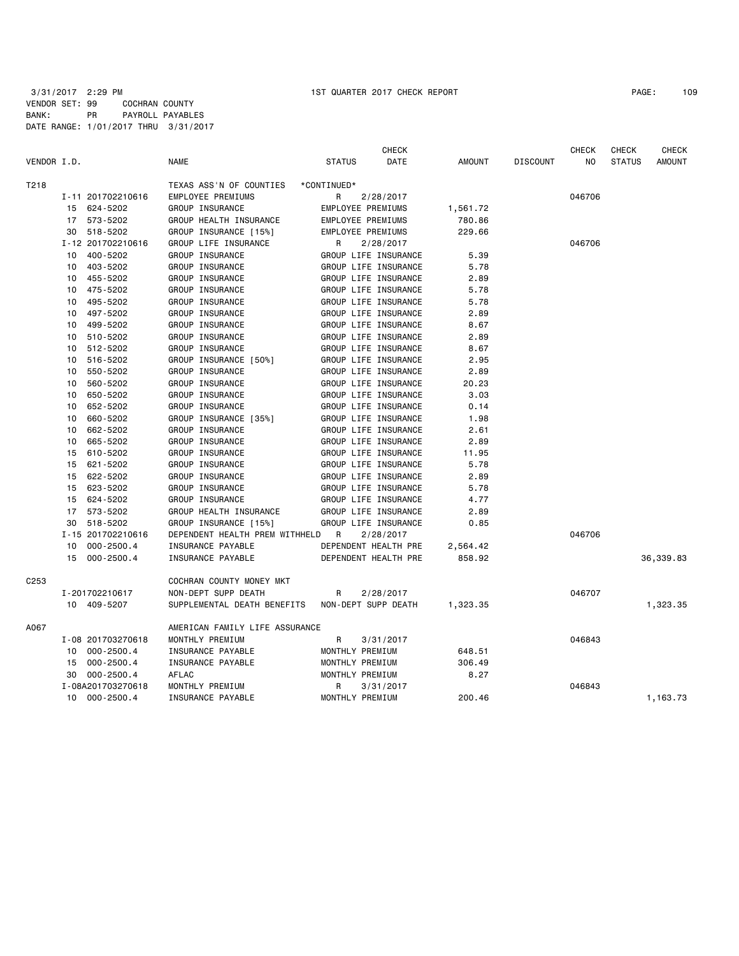3/31/2017 2:29 PM 1ST QUARTER 2017 CHECK REPORT PAGE: 109 VENDOR SET: 99 COCHRAN COUNTY BANK: PR PAYROLL PAYABLES DATE RANGE: 1/01/2017 THRU 3/31/2017

| VENDOR I.D. |                               | <b>NAME</b>                                        | <b>CHECK</b><br><b>STATUS</b><br>DATE | <b>AMOUNT</b> | <b>DISCOUNT</b> | <b>CHECK</b><br>NO | <b>CHECK</b><br><b>STATUS</b> | <b>CHECK</b><br><b>AMOUNT</b> |
|-------------|-------------------------------|----------------------------------------------------|---------------------------------------|---------------|-----------------|--------------------|-------------------------------|-------------------------------|
| T218        |                               | TEXAS ASS'N OF COUNTIES                            | *CONTINUED*                           |               |                 |                    |                               |                               |
|             | I-11 201702210616             | EMPLOYEE PREMIUMS                                  | 2/28/2017<br>R                        |               |                 | 046706             |                               |                               |
|             | 624-5202<br>15                | GROUP INSURANCE                                    | <b>EMPLOYEE PREMIUMS</b>              | 1,561.72      |                 |                    |                               |                               |
|             | 573-5202<br>17                | GROUP HEALTH INSURANCE                             | <b>EMPLOYEE PREMIUMS</b>              | 780.86        |                 |                    |                               |                               |
|             | 518-5202<br>30                | GROUP INSURANCE [15%]                              | <b>EMPLOYEE PREMIUMS</b>              | 229.66        |                 |                    |                               |                               |
|             | I-12 201702210616             | GROUP LIFE INSURANCE                               | R<br>2/28/2017                        |               |                 | 046706             |                               |                               |
|             | 400-5202<br>10                | GROUP INSURANCE                                    | GROUP LIFE INSURANCE                  | 5.39          |                 |                    |                               |                               |
|             | 403-5202<br>10                | GROUP INSURANCE                                    | GROUP LIFE INSURANCE                  | 5.78          |                 |                    |                               |                               |
|             | 455-5202<br>10                | GROUP INSURANCE                                    | GROUP LIFE INSURANCE                  | 2.89          |                 |                    |                               |                               |
|             | 475-5202<br>10                | GROUP INSURANCE                                    | GROUP LIFE INSURANCE                  | 5.78          |                 |                    |                               |                               |
|             | 495-5202<br>10                | GROUP INSURANCE                                    | GROUP LIFE INSURANCE                  | 5.78          |                 |                    |                               |                               |
|             | 497-5202<br>10                | GROUP INSURANCE                                    | GROUP LIFE INSURANCE                  | 2.89          |                 |                    |                               |                               |
|             | 499-5202<br>10                | GROUP INSURANCE                                    | GROUP LIFE INSURANCE                  | 8.67          |                 |                    |                               |                               |
|             | 510-5202<br>10                | GROUP INSURANCE                                    | GROUP LIFE INSURANCE                  | 2.89          |                 |                    |                               |                               |
|             | 512-5202<br>10                | GROUP INSURANCE                                    | GROUP LIFE INSURANCE                  | 8.67          |                 |                    |                               |                               |
|             | 516-5202<br>10                | GROUP INSURANCE [50%]                              | GROUP LIFE INSURANCE                  | 2.95          |                 |                    |                               |                               |
|             | 550-5202<br>10                | GROUP INSURANCE                                    | GROUP LIFE INSURANCE                  | 2.89          |                 |                    |                               |                               |
|             | 560-5202<br>10                | GROUP INSURANCE                                    | GROUP LIFE INSURANCE                  | 20.23         |                 |                    |                               |                               |
|             | 650-5202<br>10                | GROUP INSURANCE                                    | GROUP LIFE INSURANCE                  | 3.03          |                 |                    |                               |                               |
|             | 652-5202<br>10                | GROUP INSURANCE                                    | GROUP LIFE INSURANCE                  | 0.14          |                 |                    |                               |                               |
|             | 660-5202<br>10                | GROUP INSURANCE [35%]                              | GROUP LIFE INSURANCE                  | 1.98          |                 |                    |                               |                               |
|             | 662-5202<br>10                | GROUP INSURANCE                                    | GROUP LIFE INSURANCE                  | 2.61          |                 |                    |                               |                               |
|             | 665-5202<br>10                | GROUP INSURANCE                                    | GROUP LIFE INSURANCE                  | 2.89          |                 |                    |                               |                               |
|             | 610-5202<br>15                | GROUP INSURANCE                                    | GROUP LIFE INSURANCE                  | 11.95         |                 |                    |                               |                               |
|             | 621-5202<br>15                | GROUP INSURANCE                                    | GROUP LIFE INSURANCE                  | 5.78          |                 |                    |                               |                               |
|             | 622-5202<br>15                | GROUP INSURANCE                                    | GROUP LIFE INSURANCE                  | 2.89          |                 |                    |                               |                               |
|             | 15<br>623-5202                | GROUP INSURANCE                                    | GROUP LIFE INSURANCE                  | 5.78          |                 |                    |                               |                               |
|             | 624-5202<br>15                | GROUP INSURANCE                                    | GROUP LIFE INSURANCE                  | 4.77          |                 |                    |                               |                               |
|             | 573-5202<br>17                | GROUP HEALTH INSURANCE                             | GROUP LIFE INSURANCE                  | 2.89          |                 |                    |                               |                               |
|             | 518-5202<br>30                | GROUP INSURANCE [15%]                              | GROUP LIFE INSURANCE                  | 0.85          |                 |                    |                               |                               |
|             | I-15 201702210616             | DEPENDENT HEALTH PREM WITHHELD                     | R<br>2/28/2017                        |               |                 | 046706             |                               |                               |
|             | 10<br>$000 - 2500.4$          | INSURANCE PAYABLE                                  | DEPENDENT HEALTH PRE                  | 2,564.42      |                 |                    |                               |                               |
|             | $000 - 2500.4$<br>15          | INSURANCE PAYABLE                                  | DEPENDENT HEALTH PRE                  | 858.92        |                 |                    |                               | 36,339.83                     |
|             |                               |                                                    |                                       |               |                 |                    |                               |                               |
| C253        |                               | COCHRAN COUNTY MONEY MKT                           |                                       |               |                 |                    |                               |                               |
|             | I-201702210617<br>10 409-5207 | NON-DEPT SUPP DEATH<br>SUPPLEMENTAL DEATH BENEFITS | 2/28/2017<br>R<br>NON-DEPT SUPP DEATH | 1,323.35      |                 | 046707             |                               | 1,323.35                      |
|             |                               |                                                    |                                       |               |                 |                    |                               |                               |
| A067        |                               | AMERICAN FAMILY LIFE ASSURANCE                     |                                       |               |                 |                    |                               |                               |
|             | I-08 201703270618             | MONTHLY PREMIUM                                    | R<br>3/31/2017                        |               |                 | 046843             |                               |                               |
|             | 10<br>$000 - 2500.4$          | INSURANCE PAYABLE                                  | MONTHLY PREMIUM                       | 648.51        |                 |                    |                               |                               |
|             | 15<br>$000 - 2500.4$          | INSURANCE PAYABLE                                  | MONTHLY PREMIUM                       | 306.49        |                 |                    |                               |                               |
|             | $000 - 2500.4$<br>30          | AFLAC                                              | MONTHLY PREMIUM                       | 8.27          |                 |                    |                               |                               |
|             | I-08A201703270618             | MONTHLY PREMIUM                                    | R<br>3/31/2017                        |               |                 | 046843             |                               |                               |
|             | $000 - 2500.4$<br>10          | INSURANCE PAYABLE                                  | MONTHLY PREMIUM                       | 200.46        |                 |                    |                               | 1,163.73                      |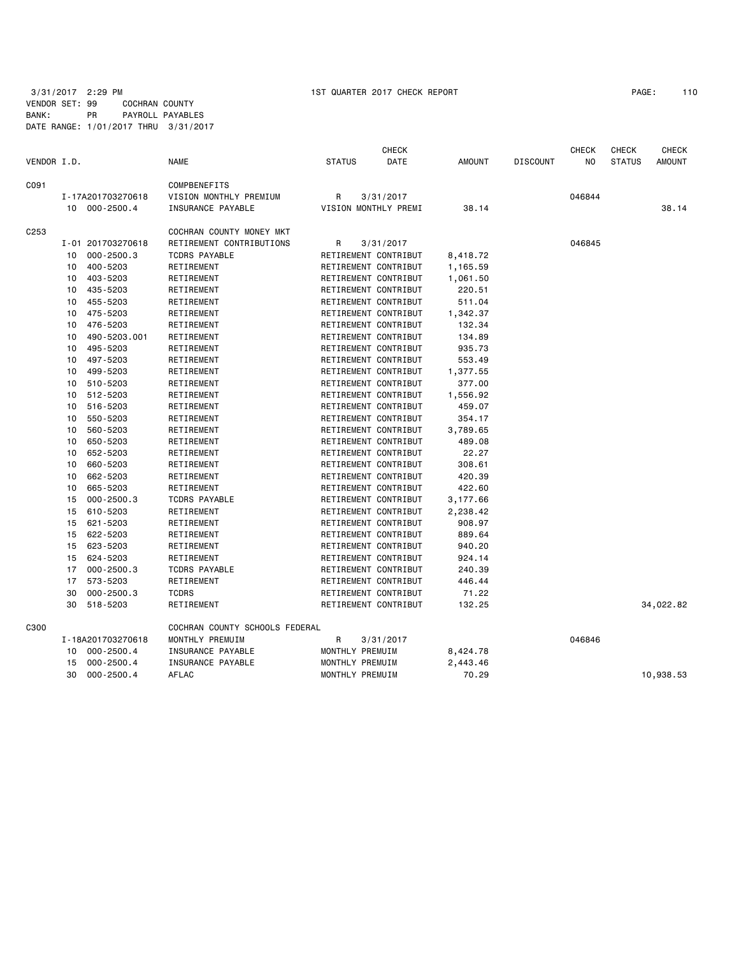3/31/2017 2:29 PM 1ST QUARTER 2017 CHECK REPORT PAGE: 110 VENDOR SET: 99 COCHRAN COUNTY BANK: PR PAYROLL PAYABLES DATE RANGE: 1/01/2017 THRU 3/31/2017

|             |    |                   |                                |                 | <b>CHECK</b>         |               |                 | <b>CHECK</b> | <b>CHECK</b>  | <b>CHECK</b>  |
|-------------|----|-------------------|--------------------------------|-----------------|----------------------|---------------|-----------------|--------------|---------------|---------------|
| VENDOR I.D. |    |                   | <b>NAME</b>                    | <b>STATUS</b>   | DATE                 | <b>AMOUNT</b> | <b>DISCOUNT</b> | NO.          | <b>STATUS</b> | <b>AMOUNT</b> |
| C091        |    |                   | COMPBENEFITS                   |                 |                      |               |                 |              |               |               |
|             |    | I-17A201703270618 | VISION MONTHLY PREMIUM         | R               | 3/31/2017            |               |                 | 046844       |               |               |
|             |    | 10 000-2500.4     | INSURANCE PAYABLE              |                 | VISION MONTHLY PREMI | 38.14         |                 |              |               | 38.14         |
| C253        |    |                   | COCHRAN COUNTY MONEY MKT       |                 |                      |               |                 |              |               |               |
|             |    | I-01 201703270618 | RETIREMENT CONTRIBUTIONS       | R               | 3/31/2017            |               |                 | 046845       |               |               |
|             | 10 | $000 - 2500.3$    | TCDRS PAYABLE                  |                 | RETIREMENT CONTRIBUT | 8,418.72      |                 |              |               |               |
|             | 10 | 400-5203          | RETIREMENT                     |                 | RETIREMENT CONTRIBUT | 1,165.59      |                 |              |               |               |
|             | 10 | 403-5203          | RETIREMENT                     |                 | RETIREMENT CONTRIBUT | 1,061.50      |                 |              |               |               |
|             | 10 | 435-5203          | RETIREMENT                     |                 | RETIREMENT CONTRIBUT | 220.51        |                 |              |               |               |
|             | 10 | 455-5203          | RETIREMENT                     |                 | RETIREMENT CONTRIBUT | 511.04        |                 |              |               |               |
|             | 10 | 475-5203          | RETIREMENT                     |                 | RETIREMENT CONTRIBUT | 1,342.37      |                 |              |               |               |
|             | 10 | 476-5203          | RETIREMENT                     |                 | RETIREMENT CONTRIBUT | 132.34        |                 |              |               |               |
|             | 10 | 490-5203.001      | RETIREMENT                     |                 | RETIREMENT CONTRIBUT | 134.89        |                 |              |               |               |
|             | 10 | 495-5203          | RETIREMENT                     |                 | RETIREMENT CONTRIBUT | 935.73        |                 |              |               |               |
|             | 10 | 497-5203          | RETIREMENT                     |                 | RETIREMENT CONTRIBUT | 553.49        |                 |              |               |               |
|             | 10 | 499-5203          | RETIREMENT                     |                 | RETIREMENT CONTRIBUT | 1,377.55      |                 |              |               |               |
|             | 10 | 510-5203          | RETIREMENT                     |                 | RETIREMENT CONTRIBUT | 377.00        |                 |              |               |               |
|             | 10 | 512-5203          | RETIREMENT                     |                 | RETIREMENT CONTRIBUT | 1,556.92      |                 |              |               |               |
|             | 10 | 516-5203          | RETIREMENT                     |                 | RETIREMENT CONTRIBUT | 459.07        |                 |              |               |               |
|             | 10 | 550-5203          | RETIREMENT                     |                 | RETIREMENT CONTRIBUT | 354.17        |                 |              |               |               |
|             | 10 | 560-5203          | RETIREMENT                     |                 | RETIREMENT CONTRIBUT | 3,789.65      |                 |              |               |               |
|             | 10 | 650-5203          | RETIREMENT                     |                 | RETIREMENT CONTRIBUT | 489.08        |                 |              |               |               |
|             | 10 | 652-5203          | RETIREMENT                     |                 | RETIREMENT CONTRIBUT | 22.27         |                 |              |               |               |
|             | 10 | 660-5203          | RETIREMENT                     |                 | RETIREMENT CONTRIBUT | 308.61        |                 |              |               |               |
|             | 10 | 662-5203          | RETIREMENT                     |                 | RETIREMENT CONTRIBUT | 420.39        |                 |              |               |               |
|             | 10 | 665-5203          | RETIREMENT                     |                 | RETIREMENT CONTRIBUT | 422.60        |                 |              |               |               |
|             | 15 | $000 - 2500.3$    | <b>TCDRS PAYABLE</b>           |                 | RETIREMENT CONTRIBUT | 3,177.66      |                 |              |               |               |
|             | 15 | 610-5203          | RETIREMENT                     |                 | RETIREMENT CONTRIBUT | 2,238.42      |                 |              |               |               |
|             | 15 | 621-5203          | RETIREMENT                     |                 | RETIREMENT CONTRIBUT | 908.97        |                 |              |               |               |
|             | 15 | 622-5203          | RETIREMENT                     |                 | RETIREMENT CONTRIBUT | 889.64        |                 |              |               |               |
|             | 15 | 623-5203          | RETIREMENT                     |                 | RETIREMENT CONTRIBUT | 940.20        |                 |              |               |               |
|             | 15 | 624-5203          | RETIREMENT                     |                 | RETIREMENT CONTRIBUT | 924.14        |                 |              |               |               |
|             | 17 | $000 - 2500.3$    | <b>TCDRS PAYABLE</b>           |                 | RETIREMENT CONTRIBUT | 240.39        |                 |              |               |               |
|             | 17 | 573-5203          | RETIREMENT                     |                 | RETIREMENT CONTRIBUT | 446.44        |                 |              |               |               |
|             | 30 | $000 - 2500.3$    | <b>TCDRS</b>                   |                 | RETIREMENT CONTRIBUT | 71.22         |                 |              |               |               |
|             | 30 | 518-5203          | RETIREMENT                     |                 | RETIREMENT CONTRIBUT | 132.25        |                 |              |               | 34,022.82     |
| C300        |    |                   | COCHRAN COUNTY SCHOOLS FEDERAL |                 |                      |               |                 |              |               |               |
|             |    | I-18A201703270618 | MONTHLY PREMUIM                | R               | 3/31/2017            |               |                 | 046846       |               |               |
|             |    | 10 000-2500.4     | INSURANCE PAYABLE              | MONTHLY PREMUIM |                      | 8,424.78      |                 |              |               |               |
|             | 15 | $000 - 2500.4$    | INSURANCE PAYABLE              | MONTHLY PREMUIM |                      | 2,443.46      |                 |              |               |               |
|             | 30 | $000 - 2500.4$    | AFLAC                          | MONTHLY PREMUIM |                      | 70.29         |                 |              |               | 10,938.53     |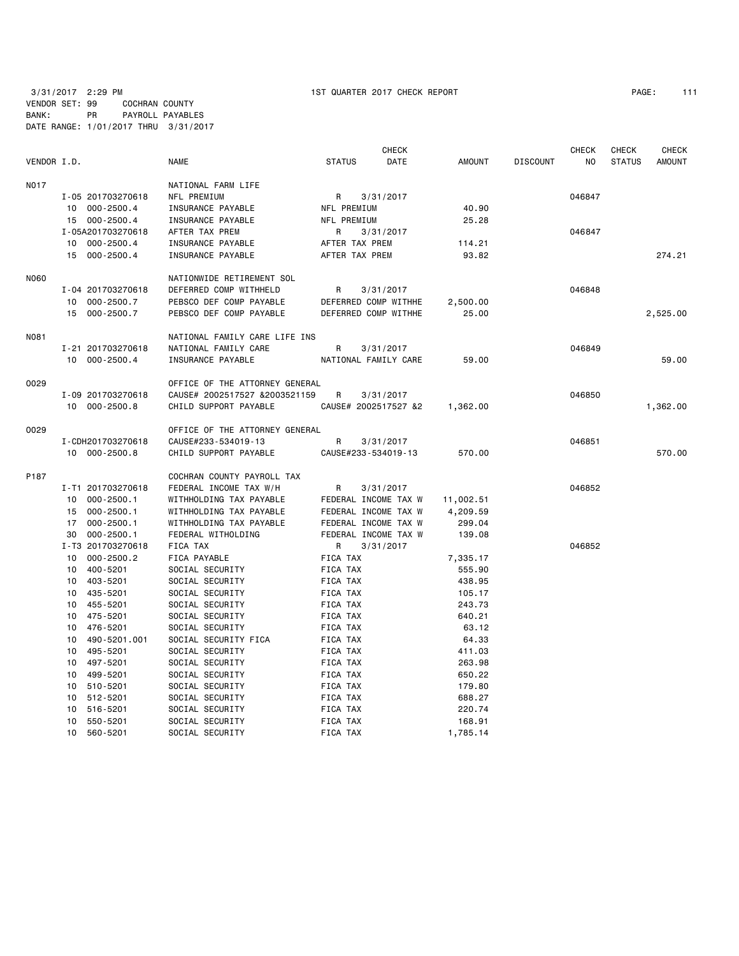3/31/2017 2:29 PM 1ST QUARTER 2017 CHECK REPORT PAGE: 111 VENDOR SET: 99 COCHRAN COUNTY BANK: PR PAYROLL PAYABLES DATE RANGE: 1/01/2017 THRU 3/31/2017

|             |                 |                      |                                    |                      | <b>CHECK</b>         |                  |                 | <b>CHECK</b>   | <b>CHECK</b>  | CHECK         |
|-------------|-----------------|----------------------|------------------------------------|----------------------|----------------------|------------------|-----------------|----------------|---------------|---------------|
| VENDOR I.D. |                 |                      | <b>NAME</b>                        | <b>STATUS</b>        | DATE                 | <b>AMOUNT</b>    | <b>DISCOUNT</b> | N <sub>O</sub> | <b>STATUS</b> | <b>AMOUNT</b> |
| <b>NO17</b> |                 |                      | NATIONAL FARM LIFE                 |                      |                      |                  |                 |                |               |               |
|             |                 | I-05 201703270618    | NFL PREMIUM                        | R                    | 3/31/2017            |                  |                 | 046847         |               |               |
|             |                 | 10 000-2500.4        | INSURANCE PAYABLE                  | NFL PREMIUM          |                      | 40.90            |                 |                |               |               |
|             |                 | 15 000-2500.4        | INSURANCE PAYABLE                  | NFL PREMIUM          |                      | 25.28            |                 |                |               |               |
|             |                 | I-05A201703270618    | AFTER TAX PREM                     | R                    | 3/31/2017            |                  |                 | 046847         |               |               |
|             |                 | 10 000-2500.4        | INSURANCE PAYABLE                  | AFTER TAX PREM       |                      | 114.21           |                 |                |               |               |
|             |                 | 15 000-2500.4        | INSURANCE PAYABLE                  | AFTER TAX PREM       |                      | 93.82            |                 |                |               | 274.21        |
| N060        |                 |                      | NATIONWIDE RETIREMENT SOL          |                      |                      |                  |                 |                |               |               |
|             |                 | I-04 201703270618    | DEFERRED COMP WITHHELD             | R                    | 3/31/2017            |                  |                 | 046848         |               |               |
|             |                 | 10 000-2500.7        | PEBSCO DEF COMP PAYABLE            |                      | DEFERRED COMP WITHHE | 2,500.00         |                 |                |               |               |
|             |                 | 15 000-2500.7        | PEBSCO DEF COMP PAYABLE            | DEFERRED COMP WITHHE |                      | 25.00            |                 |                |               | 2,525.00      |
| N081        |                 |                      | NATIONAL FAMILY CARE LIFE INS      |                      |                      |                  |                 |                |               |               |
|             |                 | I-21 201703270618    | NATIONAL FAMILY CARE               | R                    | 3/31/2017            |                  |                 | 046849         |               |               |
|             |                 | 10 000-2500.4        | INSURANCE PAYABLE                  |                      | NATIONAL FAMILY CARE | 59.00            |                 |                |               | 59.00         |
| 0029        |                 |                      | OFFICE OF THE ATTORNEY GENERAL     |                      |                      |                  |                 |                |               |               |
|             |                 | I-09 201703270618    | CAUSE# 2002517527 &2003521159      | R                    | 3/31/2017            |                  |                 | 046850         |               |               |
|             |                 | 10 000-2500.8        | CHILD SUPPORT PAYABLE              |                      | CAUSE# 2002517527 &2 | 1,362.00         |                 |                |               | 1,362.00      |
| 0029        |                 |                      | OFFICE OF THE ATTORNEY GENERAL     |                      |                      |                  |                 |                |               |               |
|             |                 | I-CDH201703270618    | CAUSE#233-534019-13                | R                    | 3/31/2017            |                  |                 | 046851         |               |               |
|             |                 | 10 000-2500.8        | CHILD SUPPORT PAYABLE              | CAUSE#233-534019-13  |                      | 570.00           |                 |                |               | 570.00        |
| P187        |                 |                      | COCHRAN COUNTY PAYROLL TAX         |                      |                      |                  |                 |                |               |               |
|             |                 | I-T1 201703270618    | FEDERAL INCOME TAX W/H             | R                    | 3/31/2017            |                  |                 | 046852         |               |               |
|             |                 | 10 000-2500.1        | WITHHOLDING TAX PAYABLE            |                      | FEDERAL INCOME TAX W | 11,002.51        |                 |                |               |               |
|             |                 | 15 000-2500.1        | WITHHOLDING TAX PAYABLE            | FEDERAL INCOME TAX W |                      | 4,209.59         |                 |                |               |               |
|             |                 | 17 000-2500.1        | WITHHOLDING TAX PAYABLE            |                      | FEDERAL INCOME TAX W | 299.04           |                 |                |               |               |
|             |                 | 30 000-2500.1        | FEDERAL WITHOLDING                 |                      | FEDERAL INCOME TAX W | 139.08           |                 |                |               |               |
|             |                 | I-T3 201703270618    | FICA TAX                           | R.                   | 3/31/2017            |                  |                 | 046852         |               |               |
|             |                 | 10 000-2500.2        | FICA PAYABLE                       | FICA TAX             |                      | 7,335.17         |                 |                |               |               |
|             |                 | 10 400-5201          | SOCIAL SECURITY                    | FICA TAX             |                      | 555.90           |                 |                |               |               |
|             |                 | 10 403-5201          | SOCIAL SECURITY                    | FICA TAX             |                      | 438.95           |                 |                |               |               |
|             |                 | 10 435-5201          | SOCIAL SECURITY                    | FICA TAX             |                      | 105.17           |                 |                |               |               |
|             | 10              | 455-5201             | SOCIAL SECURITY                    | FICA TAX             |                      | 243.73           |                 |                |               |               |
|             | 10              | 475-5201             | SOCIAL SECURITY                    | FICA TAX             |                      | 640.21           |                 |                |               |               |
|             | 10              | 476-5201             | SOCIAL SECURITY                    | FICA TAX             |                      | 63.12            |                 |                |               |               |
|             | 10              | 490-5201.001         | SOCIAL SECURITY FICA               | FICA TAX             |                      | 64.33            |                 |                |               |               |
|             | 10              | 495-5201             | SOCIAL SECURITY                    | FICA TAX             |                      | 411.03           |                 |                |               |               |
|             | 10              | 497-5201             | SOCIAL SECURITY                    | FICA TAX             |                      | 263.98           |                 |                |               |               |
|             | 10              | 499-5201             | SOCIAL SECURITY                    | FICA TAX             |                      | 650.22           |                 |                |               |               |
|             |                 | 10 510-5201          | SOCIAL SECURITY                    | FICA TAX             |                      | 179.80           |                 |                |               |               |
|             | 10              | 512-5201             | SOCIAL SECURITY                    | FICA TAX<br>FICA TAX |                      | 688.27           |                 |                |               |               |
|             | 10<br>10        | 516-5201<br>550-5201 | SOCIAL SECURITY<br>SOCIAL SECURITY | FICA TAX             |                      | 220.74<br>168.91 |                 |                |               |               |
|             | 10 <sup>1</sup> | 560-5201             | SOCIAL SECURITY                    | FICA TAX             |                      | 1,785.14         |                 |                |               |               |
|             |                 |                      |                                    |                      |                      |                  |                 |                |               |               |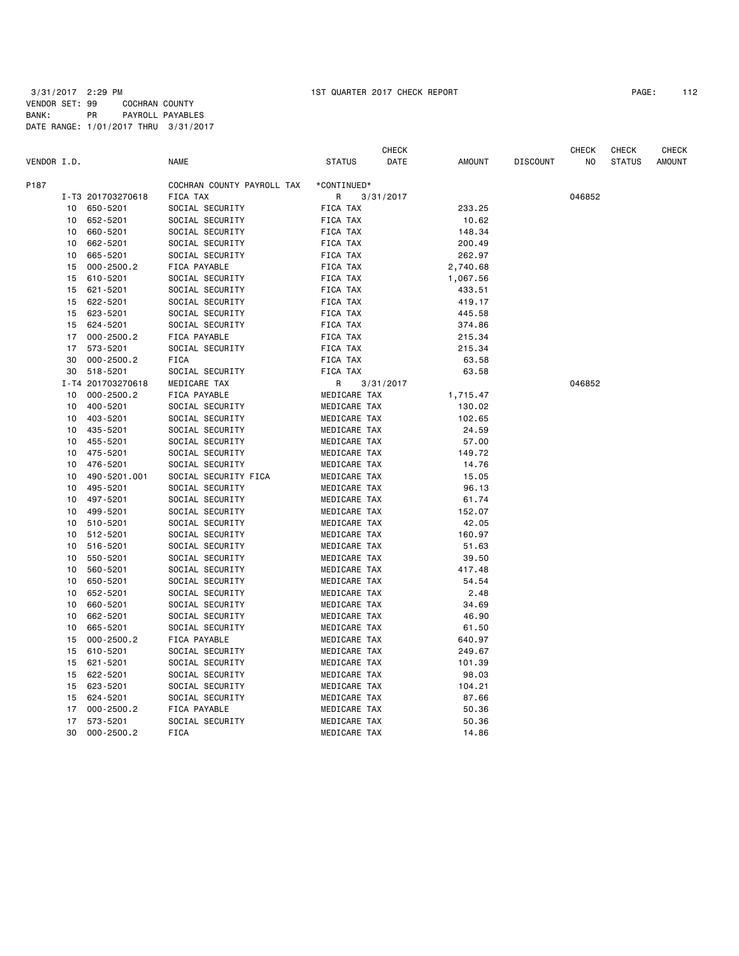|             |    |                   |                            |               | <b>CHECK</b> |               |                 | <b>CHECK</b> | <b>CHECK</b>  | <b>CHECK</b>  |
|-------------|----|-------------------|----------------------------|---------------|--------------|---------------|-----------------|--------------|---------------|---------------|
| VENDOR I.D. |    |                   | <b>NAME</b>                | <b>STATUS</b> | DATE         | <b>AMOUNT</b> | <b>DISCOUNT</b> | NO           | <b>STATUS</b> | <b>AMOUNT</b> |
| P187        |    |                   | COCHRAN COUNTY PAYROLL TAX | *CONTINUED*   |              |               |                 |              |               |               |
|             |    | I-T3 201703270618 | FICA TAX                   | R             | 3/31/2017    |               |                 | 046852       |               |               |
|             | 10 | 650-5201          | SOCIAL SECURITY            | FICA TAX      |              | 233.25        |                 |              |               |               |
|             | 10 | 652-5201          | SOCIAL SECURITY            | FICA TAX      |              | 10.62         |                 |              |               |               |
|             | 10 | 660-5201          | SOCIAL SECURITY            | FICA TAX      |              | 148.34        |                 |              |               |               |
|             | 10 | 662-5201          | SOCIAL SECURITY            | FICA TAX      |              | 200.49        |                 |              |               |               |
|             | 10 | 665-5201          | SOCIAL SECURITY            | FICA TAX      |              | 262.97        |                 |              |               |               |
|             | 15 | $000 - 2500.2$    | FICA PAYABLE               | FICA TAX      |              | 2,740.68      |                 |              |               |               |
|             | 15 | 610-5201          | SOCIAL SECURITY            | FICA TAX      |              | 1,067.56      |                 |              |               |               |
|             | 15 | 621-5201          | SOCIAL SECURITY            | FICA TAX      |              | 433.51        |                 |              |               |               |
|             | 15 | 622-5201          | SOCIAL SECURITY            | FICA TAX      |              | 419.17        |                 |              |               |               |
|             | 15 | 623-5201          | SOCIAL SECURITY            | FICA TAX      |              | 445.58        |                 |              |               |               |
|             | 15 | 624-5201          | SOCIAL SECURITY            | FICA TAX      |              | 374.86        |                 |              |               |               |
|             | 17 | $000 - 2500.2$    | FICA PAYABLE               | FICA TAX      |              | 215.34        |                 |              |               |               |
|             | 17 | 573-5201          | SOCIAL SECURITY            | FICA TAX      |              | 215.34        |                 |              |               |               |
|             | 30 | $000 - 2500.2$    | <b>FICA</b>                | FICA TAX      |              | 63.58         |                 |              |               |               |
|             |    | 30 518-5201       | SOCIAL SECURITY            | FICA TAX      |              | 63.58         |                 |              |               |               |
|             |    | I-T4 201703270618 | MEDICARE TAX               | R             | 3/31/2017    |               |                 | 046852       |               |               |
|             | 10 | $000 - 2500.2$    | FICA PAYABLE               | MEDICARE TAX  |              | 1,715.47      |                 |              |               |               |
|             | 10 | 400-5201          | SOCIAL SECURITY            | MEDICARE TAX  |              | 130.02        |                 |              |               |               |
|             | 10 | 403-5201          | SOCIAL SECURITY            | MEDICARE TAX  |              | 102.65        |                 |              |               |               |
|             | 10 | 435-5201          | SOCIAL SECURITY            | MEDICARE TAX  |              | 24.59         |                 |              |               |               |
|             | 10 | 455-5201          | SOCIAL SECURITY            | MEDICARE TAX  |              | 57.00         |                 |              |               |               |
|             | 10 | 475-5201          | SOCIAL SECURITY            | MEDICARE TAX  |              | 149.72        |                 |              |               |               |
|             | 10 | 476-5201          | SOCIAL SECURITY            | MEDICARE TAX  |              | 14.76         |                 |              |               |               |
|             | 10 | 490-5201.001      | SOCIAL SECURITY FICA       | MEDICARE TAX  |              | 15.05         |                 |              |               |               |
|             | 10 | 495-5201          | SOCIAL SECURITY            | MEDICARE TAX  |              | 96.13         |                 |              |               |               |
|             | 10 | 497-5201          | SOCIAL SECURITY            | MEDICARE TAX  |              | 61.74         |                 |              |               |               |
|             | 10 | 499-5201          | SOCIAL SECURITY            | MEDICARE TAX  |              | 152.07        |                 |              |               |               |
|             | 10 | 510-5201          | SOCIAL SECURITY            | MEDICARE TAX  |              | 42.05         |                 |              |               |               |
|             | 10 | 512-5201          | SOCIAL SECURITY            | MEDICARE TAX  |              | 160.97        |                 |              |               |               |
|             | 10 | 516-5201          | SOCIAL SECURITY            | MEDICARE TAX  |              | 51.63         |                 |              |               |               |
|             | 10 | 550-5201          | SOCIAL SECURITY            | MEDICARE TAX  |              | 39.50         |                 |              |               |               |
|             | 10 | 560-5201          | SOCIAL SECURITY            | MEDICARE TAX  |              | 417.48        |                 |              |               |               |
|             | 10 | 650-5201          | SOCIAL SECURITY            | MEDICARE TAX  |              | 54.54         |                 |              |               |               |
|             | 10 | 652-5201          | SOCIAL SECURITY            | MEDICARE TAX  |              | 2.48          |                 |              |               |               |
|             | 10 | 660-5201          | SOCIAL SECURITY            | MEDICARE TAX  |              | 34.69         |                 |              |               |               |
|             | 10 | 662-5201          | SOCIAL SECURITY            | MEDICARE TAX  |              | 46.90         |                 |              |               |               |
|             | 10 | 665-5201          | SOCIAL SECURITY            | MEDICARE TAX  |              | 61.50         |                 |              |               |               |
|             | 15 | $000 - 2500.2$    | FICA PAYABLE               | MEDICARE TAX  |              | 640.97        |                 |              |               |               |
|             | 15 | 610-5201          | SOCIAL SECURITY            | MEDICARE TAX  |              | 249.67        |                 |              |               |               |
|             | 15 | 621-5201          | SOCIAL SECURITY            | MEDICARE TAX  |              | 101.39        |                 |              |               |               |
|             | 15 | 622-5201          | SOCIAL SECURITY            | MEDICARE TAX  |              | 98.03         |                 |              |               |               |
|             | 15 | 623-5201          | SOCIAL SECURITY            | MEDICARE TAX  |              | 104.21        |                 |              |               |               |
|             | 15 | 624-5201          | SOCIAL SECURITY            | MEDICARE TAX  |              | 87.66         |                 |              |               |               |
|             | 17 | $000 - 2500.2$    | FICA PAYABLE               | MEDICARE TAX  |              | 50.36         |                 |              |               |               |
|             | 17 | 573-5201          | SOCIAL SECURITY            | MEDICARE TAX  |              | 50.36         |                 |              |               |               |
|             | 30 | $000 - 2500.2$    | FICA                       | MEDICARE TAX  |              | 14.86         |                 |              |               |               |
|             |    |                   |                            |               |              |               |                 |              |               |               |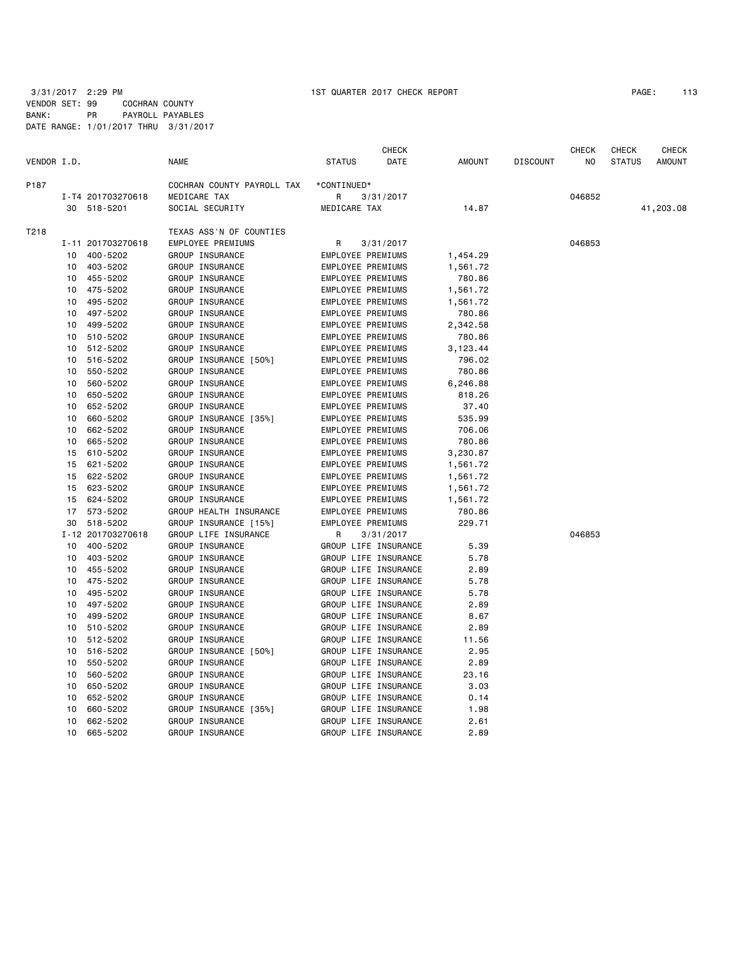3/31/2017 2:29 PM 1ST QUARTER 2017 CHECK REPORT PAGE: 113 VENDOR SET: 99 COCHRAN COUNTY BANK: PR PAYROLL PAYABLES DATE RANGE: 1/01/2017 THRU 3/31/2017

|             |    |                   |                            |                          | <b>CHECK</b>         |               |                 | <b>CHECK</b> | <b>CHECK</b>  | <b>CHECK</b>  |
|-------------|----|-------------------|----------------------------|--------------------------|----------------------|---------------|-----------------|--------------|---------------|---------------|
| VENDOR I.D. |    |                   | <b>NAME</b>                | <b>STATUS</b>            | DATE                 | <b>AMOUNT</b> | <b>DISCOUNT</b> | NO.          | <b>STATUS</b> | <b>AMOUNT</b> |
| P187        |    |                   | COCHRAN COUNTY PAYROLL TAX | *CONTINUED*              |                      |               |                 |              |               |               |
|             |    | I-T4 201703270618 | MEDICARE TAX               | R                        | 3/31/2017            |               |                 | 046852       |               |               |
|             |    | 30 518-5201       | SOCIAL SECURITY            | MEDICARE TAX             |                      | 14.87         |                 |              |               | 41,203.08     |
| T218        |    |                   | TEXAS ASS'N OF COUNTIES    |                          |                      |               |                 |              |               |               |
|             |    | I-11 201703270618 | EMPLOYEE PREMIUMS          | R                        | 3/31/2017            |               |                 | 046853       |               |               |
|             | 10 | 400-5202          | GROUP INSURANCE            | EMPLOYEE PREMIUMS        |                      | 1,454.29      |                 |              |               |               |
|             |    | 10 403-5202       | GROUP INSURANCE            | EMPLOYEE PREMIUMS        |                      | 1,561.72      |                 |              |               |               |
|             | 10 | 455-5202          | GROUP INSURANCE            | EMPLOYEE PREMIUMS        |                      | 780.86        |                 |              |               |               |
|             | 10 | 475-5202          | GROUP INSURANCE            | EMPLOYEE PREMIUMS        |                      | 1,561.72      |                 |              |               |               |
|             | 10 | 495-5202          | GROUP INSURANCE            | EMPLOYEE PREMIUMS        |                      | 1,561.72      |                 |              |               |               |
|             | 10 | 497-5202          | GROUP INSURANCE            | EMPLOYEE PREMIUMS        |                      | 780.86        |                 |              |               |               |
|             | 10 | 499-5202          | GROUP INSURANCE            | EMPLOYEE PREMIUMS        |                      | 2,342.58      |                 |              |               |               |
|             | 10 | 510-5202          | GROUP INSURANCE            | <b>EMPLOYEE PREMIUMS</b> |                      | 780.86        |                 |              |               |               |
|             | 10 | 512-5202          | GROUP INSURANCE            | EMPLOYEE PREMIUMS        |                      | 3,123.44      |                 |              |               |               |
|             | 10 | 516-5202          | GROUP INSURANCE [50%]      | EMPLOYEE PREMIUMS        |                      | 796.02        |                 |              |               |               |
|             | 10 | 550-5202          | GROUP INSURANCE            | EMPLOYEE PREMIUMS        |                      | 780.86        |                 |              |               |               |
|             | 10 | 560-5202          | GROUP INSURANCE            | EMPLOYEE PREMIUMS        |                      | 6,246.88      |                 |              |               |               |
|             | 10 | 650-5202          | GROUP INSURANCE            | EMPLOYEE PREMIUMS        |                      | 818.26        |                 |              |               |               |
|             | 10 | 652-5202          | GROUP INSURANCE            | EMPLOYEE PREMIUMS        |                      | 37.40         |                 |              |               |               |
|             | 10 | 660-5202          | GROUP INSURANCE [35%]      | EMPLOYEE PREMIUMS        |                      | 535.99        |                 |              |               |               |
|             | 10 | 662-5202          | GROUP INSURANCE            | EMPLOYEE PREMIUMS        |                      | 706.06        |                 |              |               |               |
|             | 10 | 665-5202          | GROUP INSURANCE            | EMPLOYEE PREMIUMS        |                      | 780.86        |                 |              |               |               |
|             | 15 | 610-5202          | GROUP INSURANCE            | EMPLOYEE PREMIUMS        |                      | 3,230.87      |                 |              |               |               |
|             | 15 | 621-5202          | GROUP INSURANCE            | EMPLOYEE PREMIUMS        |                      | 1,561.72      |                 |              |               |               |
|             | 15 | 622-5202          | GROUP INSURANCE            | EMPLOYEE PREMIUMS        |                      | 1,561.72      |                 |              |               |               |
|             | 15 | 623-5202          | GROUP INSURANCE            | EMPLOYEE PREMIUMS        |                      | 1,561.72      |                 |              |               |               |
|             | 15 | 624-5202          | GROUP INSURANCE            | <b>EMPLOYEE PREMIUMS</b> |                      | 1,561.72      |                 |              |               |               |
|             | 17 | 573-5202          | GROUP HEALTH INSURANCE     | EMPLOYEE PREMIUMS        |                      | 780.86        |                 |              |               |               |
|             | 30 | 518-5202          | GROUP INSURANCE [15%]      | EMPLOYEE PREMIUMS        |                      | 229.71        |                 |              |               |               |
|             |    | I-12 201703270618 | GROUP LIFE INSURANCE       | R                        | 3/31/2017            |               |                 | 046853       |               |               |
|             | 10 | 400-5202          | GROUP INSURANCE            |                          | GROUP LIFE INSURANCE | 5.39          |                 |              |               |               |
|             | 10 | 403-5202          | GROUP INSURANCE            |                          | GROUP LIFE INSURANCE | 5.78          |                 |              |               |               |
|             | 10 | 455-5202          | GROUP INSURANCE            |                          | GROUP LIFE INSURANCE | 2.89          |                 |              |               |               |
|             | 10 | 475-5202          | GROUP INSURANCE            |                          | GROUP LIFE INSURANCE | 5.78          |                 |              |               |               |
|             | 10 | 495-5202          | GROUP INSURANCE            |                          | GROUP LIFE INSURANCE | 5.78          |                 |              |               |               |
|             | 10 | 497-5202          | GROUP INSURANCE            |                          | GROUP LIFE INSURANCE | 2.89          |                 |              |               |               |
|             | 10 | 499-5202          | GROUP INSURANCE            |                          | GROUP LIFE INSURANCE | 8.67          |                 |              |               |               |
|             | 10 | 510-5202          | GROUP INSURANCE            |                          | GROUP LIFE INSURANCE | 2.89          |                 |              |               |               |
|             | 10 | 512-5202          | GROUP INSURANCE            |                          | GROUP LIFE INSURANCE | 11.56         |                 |              |               |               |
|             | 10 | 516-5202          | GROUP INSURANCE [50%]      |                          | GROUP LIFE INSURANCE | 2.95          |                 |              |               |               |
|             | 10 | 550-5202          | GROUP INSURANCE            |                          | GROUP LIFE INSURANCE | 2.89          |                 |              |               |               |
|             | 10 | 560-5202          | GROUP INSURANCE            |                          | GROUP LIFE INSURANCE | 23.16         |                 |              |               |               |
|             | 10 | 650-5202          | GROUP INSURANCE            |                          | GROUP LIFE INSURANCE | 3.03          |                 |              |               |               |
|             | 10 | 652-5202          | GROUP INSURANCE            |                          | GROUP LIFE INSURANCE | 0.14          |                 |              |               |               |
|             | 10 | 660-5202          | GROUP INSURANCE [35%]      |                          | GROUP LIFE INSURANCE | 1.98          |                 |              |               |               |
|             | 10 | 662-5202          | GROUP INSURANCE            |                          | GROUP LIFE INSURANCE | 2.61          |                 |              |               |               |
|             | 10 | 665-5202          | GROUP INSURANCE            |                          | GROUP LIFE INSURANCE | 2.89          |                 |              |               |               |
|             |    |                   |                            |                          |                      |               |                 |              |               |               |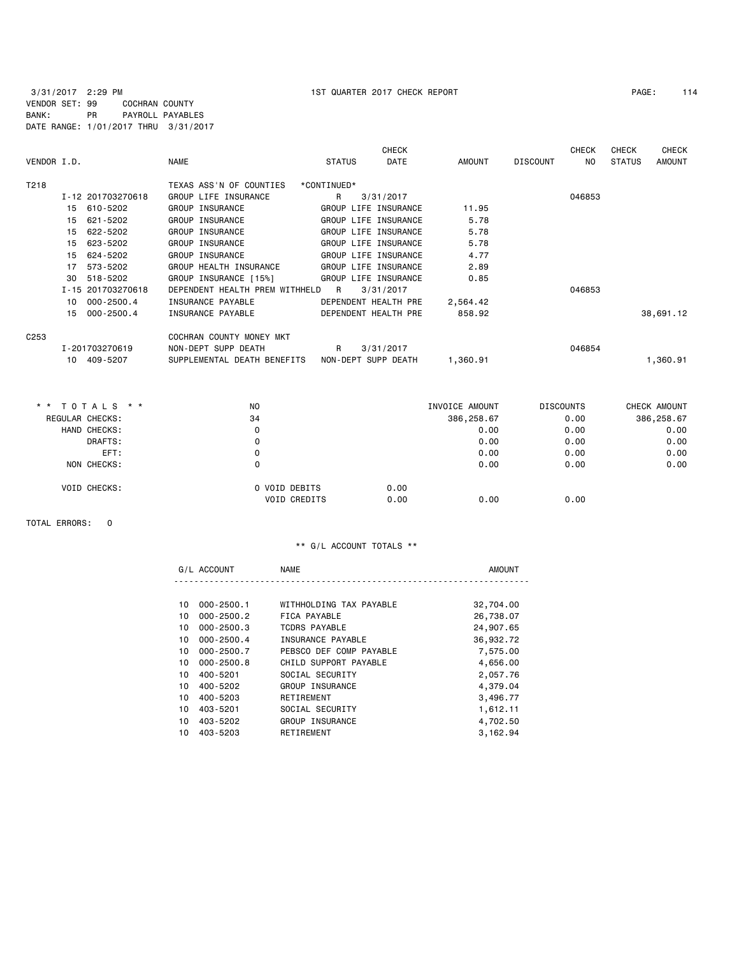# 3/31/2017 2:29 PM 1ST QUARTER 2017 CHECK REPORT PAGE: 114 VENDOR SET: 99 COCHRAN COUNTY BANK: PR PAYROLL PAYABLES DATE RANGE: 1/01/2017 THRU 3/31/2017

|                      |                                | <b>CHECK</b><br><b>CHECK</b><br><b>CHECK</b> |                      |          |                 |        |               |               |
|----------------------|--------------------------------|----------------------------------------------|----------------------|----------|-----------------|--------|---------------|---------------|
| VENDOR I.D.          | <b>NAME</b>                    | <b>STATUS</b>                                | <b>DATE</b>          | AMOUNT   | <b>DISCOUNT</b> | NO.    | <b>STATUS</b> | <b>AMOUNT</b> |
| T218                 | TEXAS ASS'N OF COUNTIES        | *CONTINUED*                                  |                      |          |                 |        |               |               |
| I-12 201703270618    | GROUP LIFE INSURANCE           | R                                            | 3/31/2017            |          |                 | 046853 |               |               |
| 610-5202<br>15       | GROUP INSURANCE                |                                              | GROUP LIFE INSURANCE | 11.95    |                 |        |               |               |
| 621-5202<br>15       | GROUP INSURANCE                |                                              | GROUP LIFE INSURANCE | 5.78     |                 |        |               |               |
| 15<br>622-5202       | GROUP INSURANCE                |                                              | GROUP LIFE INSURANCE | 5.78     |                 |        |               |               |
| 623-5202<br>15       | GROUP INSURANCE                |                                              | GROUP LIFE INSURANCE | 5.78     |                 |        |               |               |
| 624-5202<br>15       | <b>GROUP INSURANCE</b>         |                                              | GROUP LIFE INSURANCE | 4.77     |                 |        |               |               |
| 573-5202<br>17       | GROUP HEALTH INSURANCE         |                                              | GROUP LIFE INSURANCE | 2.89     |                 |        |               |               |
| 30<br>518-5202       | GROUP INSURANCE [15%]          |                                              | GROUP LIFE INSURANCE | 0.85     |                 |        |               |               |
| I-15 201703270618    | DEPENDENT HEALTH PREM WITHHELD | R                                            | 3/31/2017            |          |                 | 046853 |               |               |
| $000 - 2500.4$<br>10 | INSURANCE PAYABLE              |                                              | DEPENDENT HEALTH PRE | 2,564.42 |                 |        |               |               |
| $000 - 2500.4$<br>15 | INSURANCE PAYABLE              |                                              | DEPENDENT HEALTH PRE | 858.92   |                 |        |               | 38,691.12     |
| C <sub>253</sub>     | COCHRAN COUNTY MONEY MKT       |                                              |                      |          |                 |        |               |               |
| I-201703270619       | NON-DEPT SUPP DEATH            | R                                            | 3/31/2017            |          |                 | 046854 |               |               |
| 409-5207<br>10       | SUPPLEMENTAL DEATH BENEFITS    |                                              | NON-DEPT SUPP DEATH  | 1,360.91 |                 |        |               | 1,360.91      |

| $\star$ $\star$ | TOTALS * *          | N <sub>O</sub> |                     | INVOICE AMOUNT |            | <b>DISCOUNTS</b> | CHECK AMOUNT |
|-----------------|---------------------|----------------|---------------------|----------------|------------|------------------|--------------|
|                 | REGULAR CHECKS:     | 34             |                     |                | 386,258.67 | 0.00             | 386,258.67   |
|                 | HAND CHECKS:        |                | 0                   |                | 0.00       | 0.00             | 0.00         |
|                 | DRAFTS:             |                | 0                   |                | 0.00       | 0.00             | 0.00         |
|                 | EFT:                |                | 0                   |                | 0.00       | 0.00             | 0.00         |
|                 | NON CHECKS:         |                | 0                   |                | 0.00       | 0.00             | 0.00         |
|                 | <b>VOID CHECKS:</b> |                | O VOID DEBITS       | 0.00           |            |                  |              |
|                 |                     |                | <b>VOID CREDITS</b> | 0.00           | 0.00       | 0.00             |              |

TOTAL ERRORS: 0

# \*\* G/L ACCOUNT TOTALS \*\*

|    | G/L ACCOUNT    | <b>NAME</b>             | <b>AMOUNT</b> |
|----|----------------|-------------------------|---------------|
|    |                |                         |               |
| 10 | $000 - 2500.1$ | WITHHOLDING TAX PAYABLE | 32,704.00     |
| 10 | $000 - 2500.2$ | FICA PAYABLE            | 26,738.07     |
| 10 | $000 - 2500.3$ | TCDRS PAYABLE           | 24,907.65     |
| 10 | $000 - 2500.4$ | INSURANCE PAYABLE       | 36,932.72     |
| 10 | 000-2500.7     | PEBSCO DEF COMP PAYABLE | 7,575.00      |
| 10 | $000 - 2500.8$ | CHILD SUPPORT PAYABLE   | 4,656.00      |
| 10 | 400-5201       | SOCIAL SECURITY         | 2,057.76      |
| 10 | 400-5202       | GROUP INSURANCE         | 4,379.04      |
| 10 | 400-5203       | RETIREMENT              | 3,496.77      |
| 10 | 403-5201       | SOCIAL SECURITY         | 1,612.11      |
| 10 | 403-5202       | GROUP INSURANCE         | 4,702.50      |
| 10 | 403-5203       | RETIREMENT              | 3,162.94      |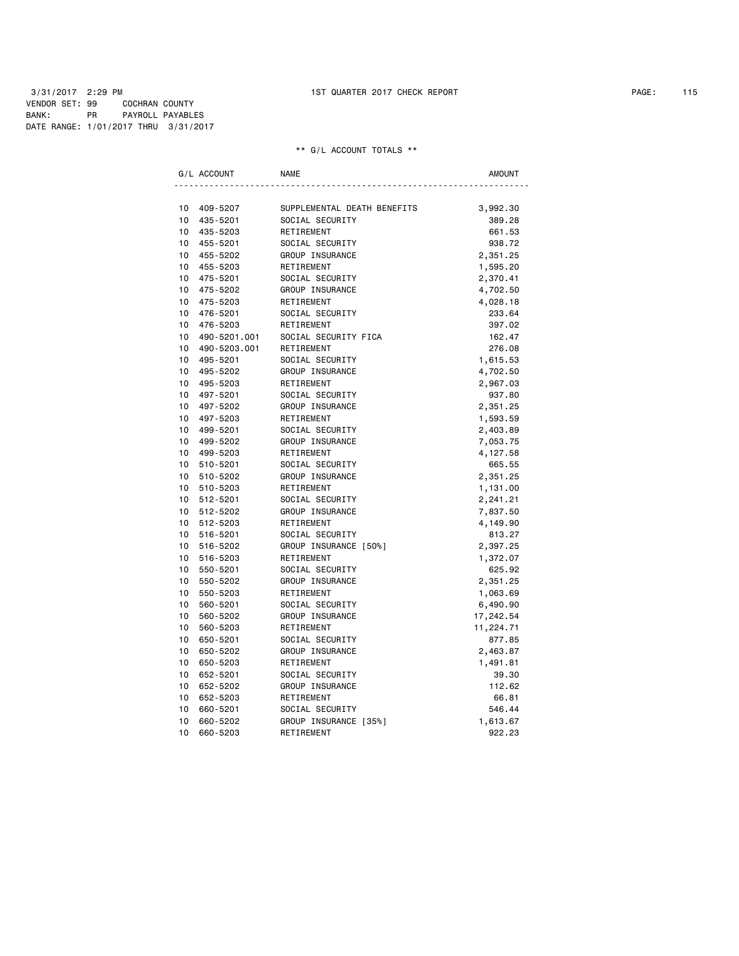3/31/2017 2:29 PM 1ST QUARTER 2017 CHECK REPORT PAGE: 115 VENDOR SET: 99 COCHRAN COUNTY BANK: PR PAYROLL PAYABLES DATE RANGE: 1/01/2017 THRU 3/31/2017

#### \*\* G/L ACCOUNT TOTALS \*\*

| G/L ACCOUNT |              | <b>NAME</b>                 | AMOUNT    |
|-------------|--------------|-----------------------------|-----------|
|             |              |                             |           |
| 10          | 409-5207     | SUPPLEMENTAL DEATH BENEFITS | 3,992.30  |
| 10          | 435-5201     | SOCIAL SECURITY             | 389.28    |
| 10          | 435-5203     | RETIREMENT                  | 661.53    |
| 10          | 455-5201     | SOCIAL SECURITY             | 938.72    |
| 10          | 455-5202     | GROUP INSURANCE             | 2,351.25  |
| 10          | 455-5203     | RETIREMENT                  | 1,595.20  |
| 10          | 475-5201     | SOCIAL SECURITY             | 2,370.41  |
| 10          | 475-5202     | GROUP INSURANCE             | 4,702.50  |
| 10          | 475-5203     | RETIREMENT                  | 4,028.18  |
| 10          | 476-5201     | SOCIAL SECURITY             | 233.64    |
| 10          | 476-5203     | RETIREMENT                  | 397.02    |
| 10          | 490-5201.001 | SOCIAL SECURITY FICA        | 162.47    |
| 10          | 490-5203.001 | RETIREMENT                  | 276.08    |
| 10          | 495-5201     | SOCIAL SECURITY             | 1,615.53  |
| 10          | 495-5202     | GROUP INSURANCE             | 4,702.50  |
| 10          | 495-5203     | RETIREMENT                  | 2,967.03  |
| 10          | 497-5201     | SOCIAL SECURITY             | 937.80    |
| 10          | 497-5202     | GROUP INSURANCE             | 2,351.25  |
| 10          | 497-5203     | RETIREMENT                  | 1,593.59  |
| 10          | 499-5201     | SOCIAL SECURITY             | 2,403.89  |
| 10          | 499-5202     | GROUP INSURANCE             | 7,053.75  |
| 10          | 499-5203     | RETIREMENT                  | 4,127.58  |
| 10          | 510-5201     | SOCIAL SECURITY             | 665.55    |
| 10          | 510-5202     | GROUP INSURANCE             | 2,351.25  |
| 10          | 510-5203     | RETIREMENT                  | 1,131.00  |
| 10          | 512-5201     | SOCIAL SECURITY             | 2,241.21  |
| 10          | 512-5202     | GROUP INSURANCE             | 7,837.50  |
| 10          | 512-5203     | RETIREMENT                  | 4,149.90  |
| 10          | 516-5201     | SOCIAL SECURITY             | 813.27    |
| 10          | 516-5202     | GROUP INSURANCE [50%]       | 2,397.25  |
| 10          | 516-5203     | RETIREMENT                  | 1,372.07  |
| 10          | 550-5201     | SOCIAL SECURITY             | 625.92    |
| 10          | 550-5202     | GROUP INSURANCE             | 2,351.25  |
| 10          | 550-5203     | RETIREMENT                  | 1,063.69  |
| 10          | 560-5201     | SOCIAL SECURITY             | 6,490.90  |
| 10          | 560-5202     | GROUP INSURANCE             | 17,242.54 |
| 10          | 560-5203     | RETIREMENT                  | 11,224.71 |
| 10          | 650-5201     | SOCIAL SECURITY             | 877.85    |
| 10          | 650-5202     | GROUP INSURANCE             | 2,463.87  |
| 10          | 650-5203     | RETIREMENT                  | 1,491.81  |
| 10          | 652-5201     | SOCIAL SECURITY             | 39.30     |
| 10          | 652-5202     | GROUP INSURANCE             | 112.62    |
| 10          | 652-5203     | RETIREMENT                  | 66.81     |
| 10          | 660-5201     | SOCIAL SECURITY             | 546.44    |
| 10          | 660-5202     | GROUP INSURANCE [35%]       | 1,613.67  |
| 10          | 660-5203     | RETIREMENT                  | 922.23    |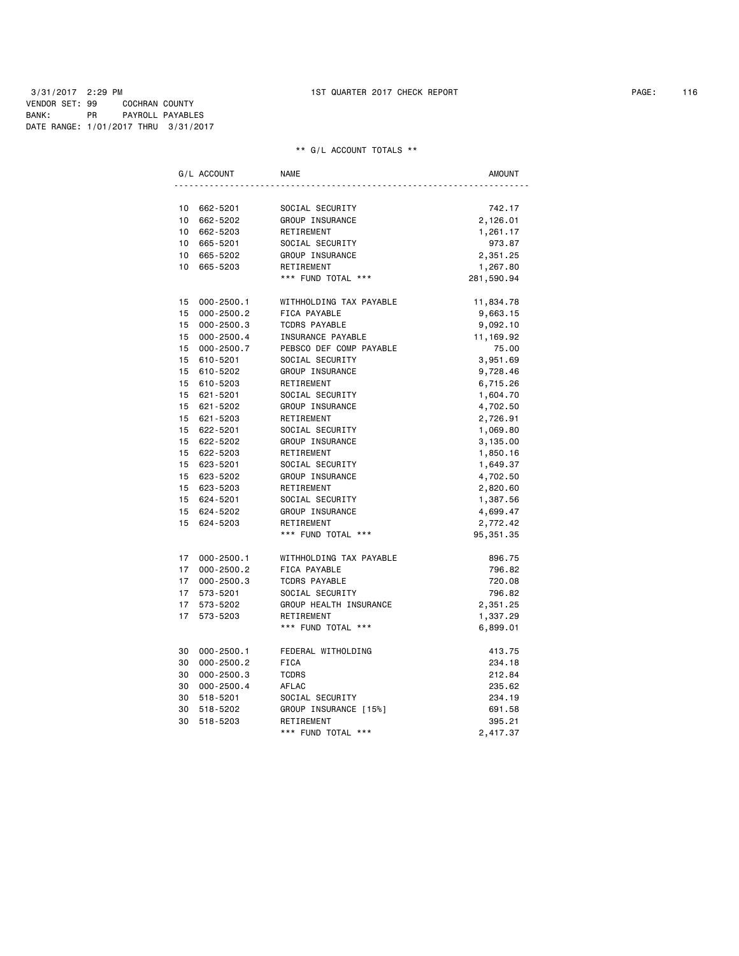### 3/31/2017 2:29 PM 1ST QUARTER 2017 CHECK REPORT PAGE: 116 VENDOR SET: 99 COCHRAN COUNTY BANK: PR PAYROLL PAYABLES DATE RANGE: 1/01/2017 THRU 3/31/2017

#### \*\* G/L ACCOUNT TOTALS \*\*

|                 | G/L ACCOUNT    | <b>NAME</b>             | AMOUNT     |
|-----------------|----------------|-------------------------|------------|
|                 |                |                         |            |
| 10              | 662-5201       | SOCIAL SECURITY         | 742.17     |
| 10              | 662-5202       | GROUP INSURANCE         | 2,126.01   |
| 10 <sup>1</sup> | 662-5203       | RETIREMENT              | 1,261.17   |
| $10-10$         | 665-5201       | SOCIAL SECURITY         | 973.87     |
| 10 <sup>1</sup> | 665-5202       | GROUP INSURANCE         | 2,351.25   |
|                 | 10 665-5203    | RETIREMENT              | 1,267.80   |
|                 |                | *** FUND TOTAL ***      | 281,590.94 |
|                 | 15 000-2500.1  | WITHHOLDING TAX PAYABLE | 11,834.78  |
| 15              | $000 - 2500.2$ | FICA PAYABLE            | 9,663.15   |
| 15              | 000-2500.3     | <b>TCDRS PAYABLE</b>    | 9,092.10   |
|                 | 15 000-2500.4  | INSURANCE PAYABLE       | 11,169.92  |
|                 | 15 000-2500.7  | PEBSCO DEF COMP PAYABLE | 75.00      |
| 15              | 610-5201       | SOCIAL SECURITY         | 3,951.69   |
| 15              | 610-5202       | GROUP INSURANCE         | 9,728.46   |
| 15              | 610-5203       | RETIREMENT              | 6,715.26   |
| 15              | 621-5201       | SOCIAL SECURITY         | 1,604.70   |
|                 | 15 621-5202    | GROUP INSURANCE         | 4,702.50   |
|                 | 15 621-5203    | RETIREMENT              | 2,726.91   |
|                 | 15 622-5201    | SOCIAL SECURITY         | 1,069.80   |
|                 | 15 622-5202    | GROUP INSURANCE         | 3,135.00   |
| 15              | 622-5203       | RETIREMENT              | 1,850.16   |
|                 | 15 623-5201    | SOCIAL SECURITY         | 1,649.37   |
|                 | 15 623-5202    | GROUP INSURANCE         | 4,702.50   |
|                 | 15 623-5203    | RETIREMENT              | 2,820.60   |
|                 | 15 624-5201    | SOCIAL SECURITY         | 1,387.56   |
| 15              | 624-5202       | GROUP INSURANCE         | 4,699.47   |
| 15              | 624-5203       | RETIREMENT              | 2,772.42   |
|                 |                | *** FUND TOTAL ***      | 95, 351.35 |
|                 | 17 000-2500.1  | WITHHOLDING TAX PAYABLE | 896.75     |
| 17              | $000 - 2500.2$ | FICA PAYABLE            | 796.82     |
| 17 <sup>7</sup> | $000 - 2500.3$ | <b>TCDRS PAYABLE</b>    | 720.08     |
| 17              | 573-5201       | SOCIAL SECURITY         | 796.82     |
| 17              | 573-5202       | GROUP HEALTH INSURANCE  | 2,351.25   |
| 17              | 573-5203       | RETIREMENT              | 1,337.29   |
|                 |                | *** FUND TOTAL ***      | 6,899.01   |
|                 | 30 000-2500.1  | FEDERAL WITHOLDING      | 413.75     |
| 30              | 000-2500.2     | <b>FICA</b>             | 234.18     |
| 30              | $000 - 2500.3$ | <b>TCDRS</b>            | 212.84     |
| 30              | $000 - 2500.4$ | AFLAC                   | 235.62     |
| 30              | 518-5201       | SOCIAL SECURITY         | 234.19     |
| 30              | 518-5202       | GROUP INSURANCE [15%]   | 691.58     |
| 30              | 518-5203       | RETIREMENT              | 395.21     |
|                 |                | *** FUND TOTAL ***      | 2,417.37   |
|                 |                |                         |            |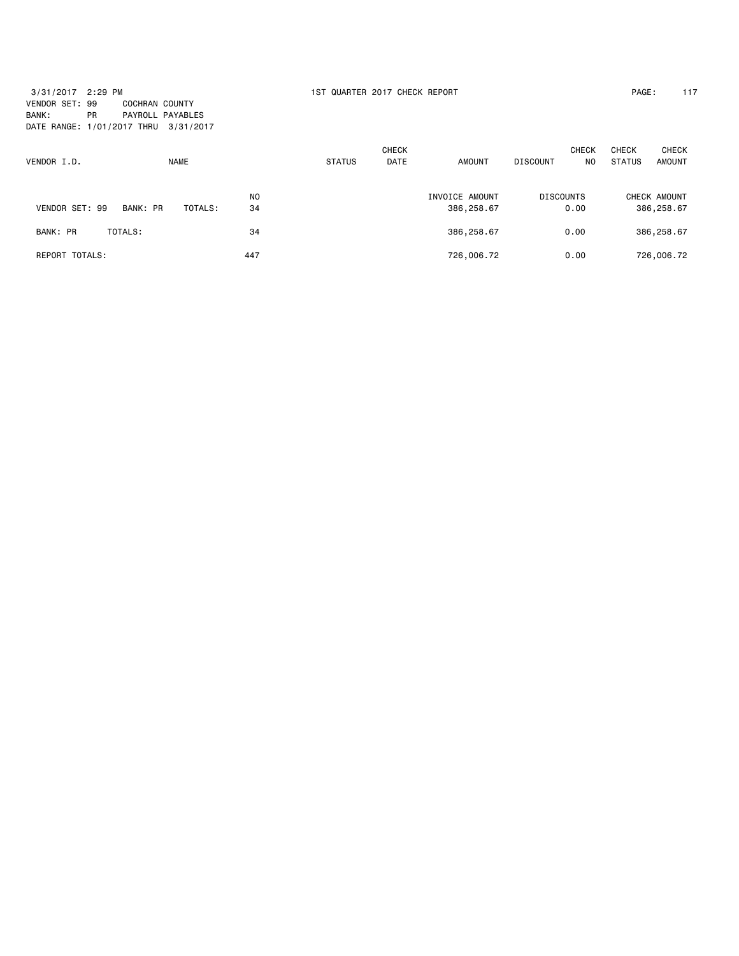3/31/2017 2:29 PM 1ST QUARTER 2017 CHECK REPORT PAGE: 117 VENDOR SET: 99 COCHRAN COUNTY BANK: PR PAYROLL PAYABLES DATE RANGE: 1/01/2017 THRU 3/31/2017

| VENDOR I.D.       |          | <b>NAME</b> |                      | <b>STATUS</b> | <b>CHECK</b><br><b>DATE</b> | <b>AMOUNT</b>                | <b>DISCOUNT</b>  | <b>CHECK</b><br>NO. | <b>CHECK</b><br><b>STATUS</b> | <b>CHECK</b><br><b>AMOUNT</b> |
|-------------------|----------|-------------|----------------------|---------------|-----------------------------|------------------------------|------------------|---------------------|-------------------------------|-------------------------------|
| VENDOR SET: 99    | BANK: PR | TOTALS:     | N <sub>O</sub><br>34 |               |                             | INVOICE AMOUNT<br>386,258.67 | <b>DISCOUNTS</b> | 0.00                |                               | CHECK AMOUNT<br>386,258.67    |
| BANK: PR          | TOTALS:  |             | 34                   |               |                             | 386,258.67                   |                  | 0.00                |                               | 386,258.67                    |
| TOTALS:<br>REPORT |          |             | 447                  |               |                             | 726,006.72                   |                  | 0.00                |                               | 726,006.72                    |